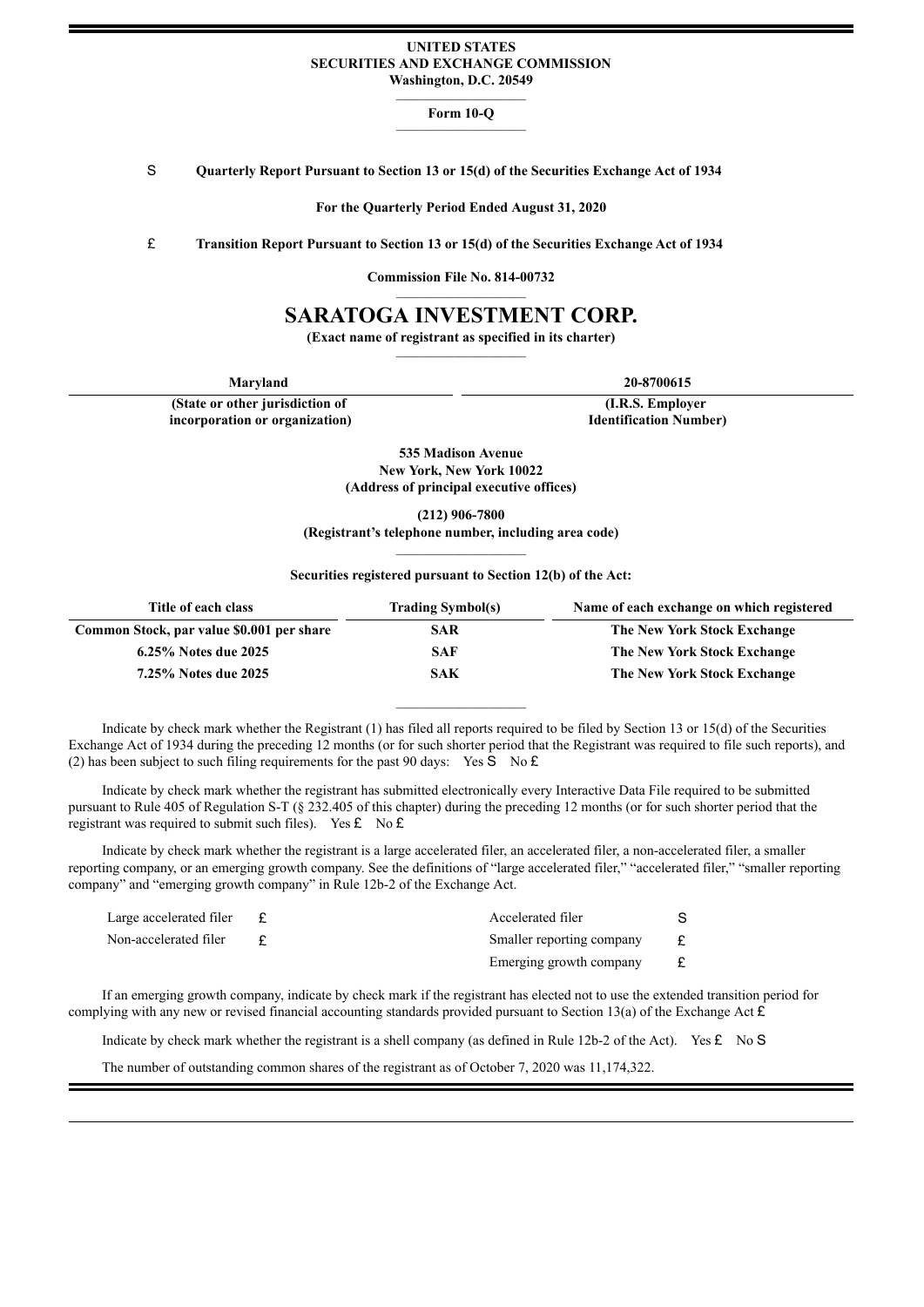## **UNITED STATES SECURITIES AND EXCHANGE COMMISSION Washington, D.C. 20549**

#### **Form 10-Q \_\_\_\_\_\_\_\_\_\_\_\_\_\_\_\_\_\_\_\_\_\_\_\_\_\_\_\_\_\_\_**

S **Quarterly Report Pursuant to Section 13 or 15(d) of the Securities Exchange Act of 1934**

**For the Quarterly Period Ended August 31, 2020**

£ **Transition Report Pursuant to Section 13 or 15(d) of the Securities Exchange Act of 1934**

**Commission File No. 814-00732 \_\_\_\_\_\_\_\_\_\_\_\_\_\_\_\_\_\_\_\_\_\_\_\_\_\_\_\_\_\_\_**

# **SARATOGA INVESTMENT CORP.**

**(Exact name of registrant as specified in its charter)**

**(State or other jurisdiction of incorporation or organization)**

**Maryland 20-8700615**

**(I.R.S. Employer Identification Number)**

**535 Madison Avenue New York, New York 10022 (Address of principal executive offices)**

**(212) 906-7800 (Registrant's telephone number, including area code)**

### **Securities registered pursuant to Section 12(b) of the Act:**

| Title of each class                       | <b>Trading Symbol(s)</b> | Name of each exchange on which registered |  |  |  |  |  |
|-------------------------------------------|--------------------------|-------------------------------------------|--|--|--|--|--|
| Common Stock, par value \$0.001 per share | <b>SAR</b>               | The New York Stock Exchange               |  |  |  |  |  |
| 6.25% Notes due 2025                      | -SAF                     | The New York Stock Exchange               |  |  |  |  |  |
| 7.25% Notes due 2025                      | SAK                      | The New York Stock Exchange               |  |  |  |  |  |

Indicate by check mark whether the Registrant (1) has filed all reports required to be filed by Section 13 or 15(d) of the Securities Exchange Act of 1934 during the preceding 12 months (or for such shorter period that the Registrant was required to file such reports), and (2) has been subject to such filing requirements for the past 90 days: Yes S No  $\mathbf{\pounds}$ 

**\_\_\_\_\_\_\_\_\_\_\_\_\_\_\_\_\_\_\_\_\_\_\_\_\_\_\_\_\_\_\_**

Indicate by check mark whether the registrant has submitted electronically every Interactive Data File required to be submitted pursuant to Rule 405 of Regulation S-T (§ 232.405 of this chapter) during the preceding 12 months (or for such shorter period that the registrant was required to submit such files). Yes  $\mathbf{\pounds}$  No  $\mathbf{\pounds}$ 

Indicate by check mark whether the registrant is a large accelerated filer, an accelerated filer, a non-accelerated filer, a smaller reporting company, or an emerging growth company. See the definitions of "large accelerated filer," "accelerated filer," "smaller reporting company" and "emerging growth company" in Rule 12b-2 of the Exchange Act.

| Large accelerated filer | Accelerated filer         |  |
|-------------------------|---------------------------|--|
| Non-accelerated filer   | Smaller reporting company |  |
|                         | Emerging growth company   |  |

If an emerging growth company, indicate by check mark if the registrant has elected not to use the extended transition period for complying with any new or revised financial accounting standards provided pursuant to Section 13(a) of the Exchange Act  $\hat{\mathbf{E}}$ 

Indicate by check mark whether the registrant is a shell company (as defined in Rule 12b-2 of the Act). Yes  $\mathbf{\pounds}$  No S

The number of outstanding common shares of the registrant as of October 7, 2020 was 11,174,322.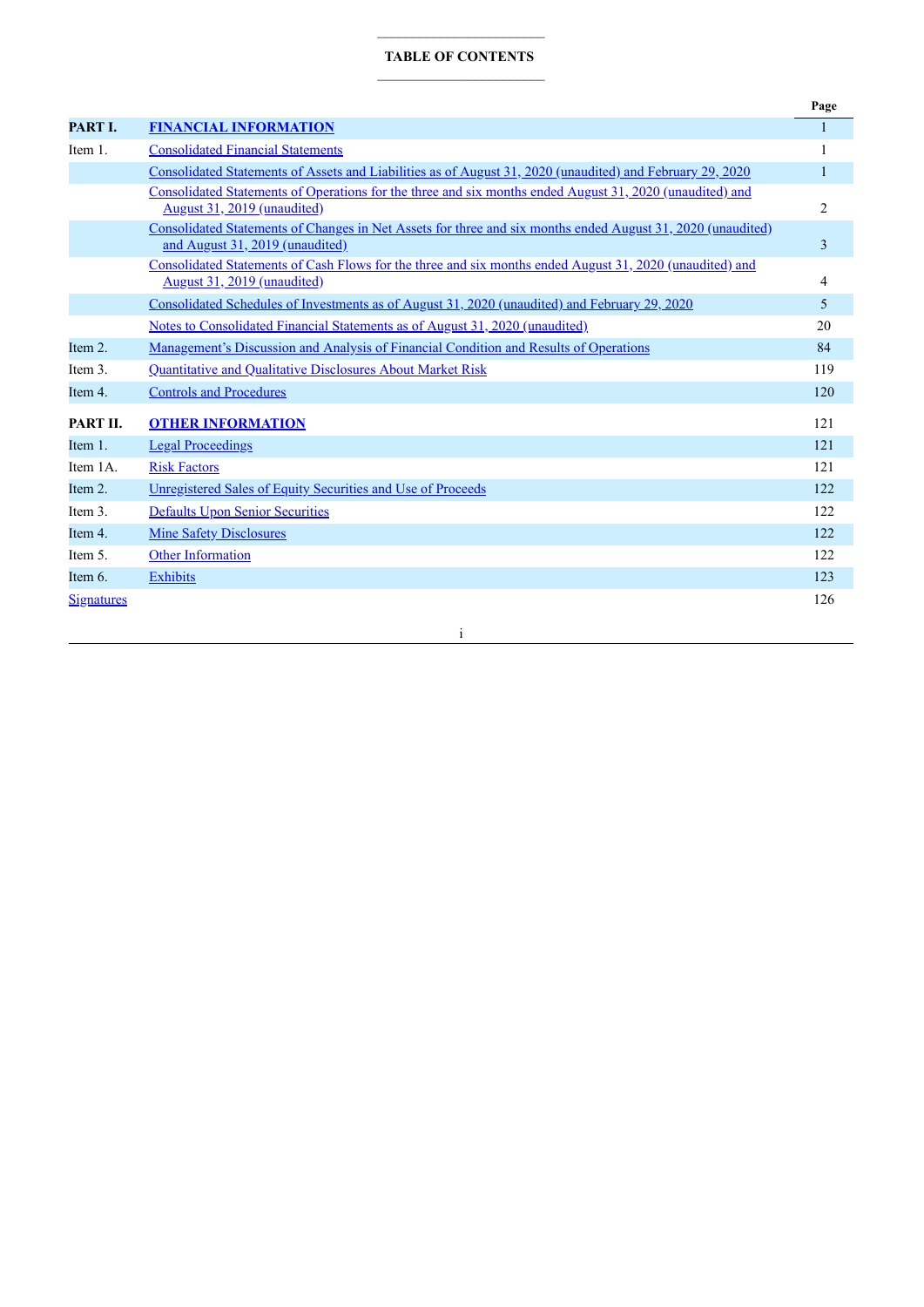## **TABLE OF CONTENTS**

|                   |                                                                                                                                                | Page           |
|-------------------|------------------------------------------------------------------------------------------------------------------------------------------------|----------------|
| PART I.           | <b>FINANCIAL INFORMATION</b>                                                                                                                   | 1              |
| Item 1.           | <b>Consolidated Financial Statements</b>                                                                                                       |                |
|                   | Consolidated Statements of Assets and Liabilities as of August 31, 2020 (unaudited) and February 29, 2020                                      | 1              |
|                   | Consolidated Statements of Operations for the three and six months ended August 31, 2020 (unaudited) and<br>August 31, 2019 (unaudited)        | $\overline{c}$ |
|                   | Consolidated Statements of Changes in Net Assets for three and six months ended August 31, 2020 (unaudited)<br>and August 31, 2019 (unaudited) | 3              |
|                   | Consolidated Statements of Cash Flows for the three and six months ended August 31, 2020 (unaudited) and<br>August 31, 2019 (unaudited)        | 4              |
|                   | Consolidated Schedules of Investments as of August 31, 2020 (unaudited) and February 29, 2020                                                  | 5              |
|                   | Notes to Consolidated Financial Statements as of August 31, 2020 (unaudited)                                                                   | 20             |
| Item 2.           | Management's Discussion and Analysis of Financial Condition and Results of Operations                                                          | 84             |
| Item 3.           | Quantitative and Qualitative Disclosures About Market Risk                                                                                     | 119            |
| Item 4.           | <b>Controls and Procedures</b>                                                                                                                 | 120            |
| PART II.          | <b>OTHER INFORMATION</b>                                                                                                                       | 121            |
| Item 1.           | <b>Legal Proceedings</b>                                                                                                                       | 121            |
| Item 1A.          | <b>Risk Factors</b>                                                                                                                            | 121            |
| Item 2.           | Unregistered Sales of Equity Securities and Use of Proceeds                                                                                    | 122            |
| Item 3.           | <b>Defaults Upon Senior Securities</b>                                                                                                         | 122            |
| Item 4.           | <b>Mine Safety Disclosures</b>                                                                                                                 | 122            |
| Item 5.           | <b>Other Information</b>                                                                                                                       | 122            |
| Item 6.           | <b>Exhibits</b>                                                                                                                                | 123            |
| <b>Signatures</b> |                                                                                                                                                | 126            |

i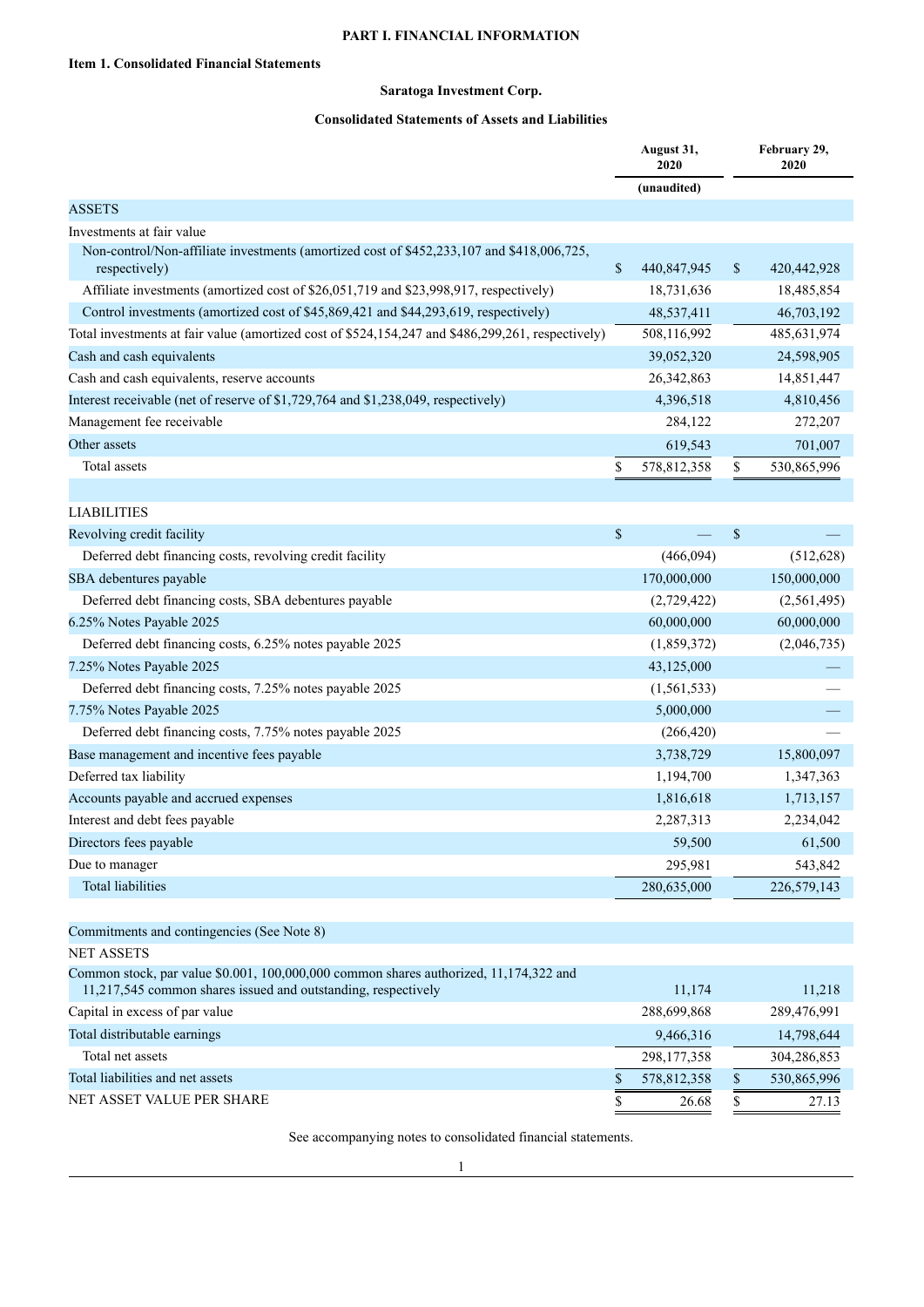# **PART I. FINANCIAL INFORMATION**

# **Saratoga Investment Corp.**

# **Consolidated Statements of Assets and Liabilities**

<span id="page-2-2"></span><span id="page-2-1"></span><span id="page-2-0"></span>

|                                                                                                                                                        |                           | August 31,<br>2020 |              | February 29,<br>2020 |
|--------------------------------------------------------------------------------------------------------------------------------------------------------|---------------------------|--------------------|--------------|----------------------|
|                                                                                                                                                        |                           | (unaudited)        |              |                      |
| <b>ASSETS</b>                                                                                                                                          |                           |                    |              |                      |
| Investments at fair value                                                                                                                              |                           |                    |              |                      |
| Non-control/Non-affiliate investments (amortized cost of \$452,233,107 and \$418,006,725,<br>respectively)                                             | $\mathbb{S}$              | 440,847,945        | \$           | 420, 442, 928        |
| Affiliate investments (amortized cost of \$26,051,719 and \$23,998,917, respectively)                                                                  |                           | 18,731,636         |              | 18,485,854           |
| Control investments (amortized cost of \$45,869,421 and \$44,293,619, respectively)                                                                    |                           | 48,537,411         |              | 46,703,192           |
| Total investments at fair value (amortized cost of \$524,154,247 and \$486,299,261, respectively)                                                      |                           | 508,116,992        |              | 485,631,974          |
| Cash and cash equivalents                                                                                                                              |                           | 39,052,320         |              | 24,598,905           |
| Cash and cash equivalents, reserve accounts                                                                                                            |                           | 26,342,863         |              | 14,851,447           |
| Interest receivable (net of reserve of \$1,729,764 and \$1,238,049, respectively)                                                                      |                           | 4,396,518          |              | 4,810,456            |
| Management fee receivable                                                                                                                              |                           | 284,122            |              | 272,207              |
| Other assets                                                                                                                                           |                           | 619,543            |              | 701,007              |
| Total assets                                                                                                                                           | \$                        | 578,812,358        | \$           | 530,865,996          |
|                                                                                                                                                        |                           |                    |              |                      |
| <b>LIABILITIES</b>                                                                                                                                     |                           |                    |              |                      |
| Revolving credit facility                                                                                                                              | $\boldsymbol{\mathsf{S}}$ |                    | $\mathbb{S}$ |                      |
| Deferred debt financing costs, revolving credit facility                                                                                               |                           | (466,094)          |              | (512, 628)           |
| SBA debentures payable                                                                                                                                 |                           | 170,000,000        |              | 150,000,000          |
| Deferred debt financing costs, SBA debentures payable                                                                                                  |                           | (2,729,422)        |              | (2,561,495)          |
| 6.25% Notes Payable 2025                                                                                                                               |                           | 60,000,000         |              | 60,000,000           |
| Deferred debt financing costs, 6.25% notes payable 2025                                                                                                |                           | (1,859,372)        |              | (2,046,735)          |
| 7.25% Notes Payable 2025                                                                                                                               |                           | 43,125,000         |              |                      |
| Deferred debt financing costs, 7.25% notes payable 2025                                                                                                |                           | (1, 561, 533)      |              |                      |
| 7.75% Notes Payable 2025                                                                                                                               |                           | 5,000,000          |              |                      |
| Deferred debt financing costs, 7.75% notes payable 2025                                                                                                |                           | (266, 420)         |              |                      |
| Base management and incentive fees payable                                                                                                             |                           | 3,738,729          |              | 15,800,097           |
| Deferred tax liability                                                                                                                                 |                           | 1,194,700          |              | 1,347,363            |
| Accounts payable and accrued expenses                                                                                                                  |                           | 1,816,618          |              | 1,713,157            |
| Interest and debt fees payable                                                                                                                         |                           | 2,287,313          |              | 2,234,042            |
| Directors fees payable                                                                                                                                 |                           | 59,500             |              | 61,500               |
| Due to manager                                                                                                                                         |                           | 295,981            |              | 543,842              |
| Total liabilities                                                                                                                                      |                           | 280,635,000        |              | 226,579,143          |
|                                                                                                                                                        |                           |                    |              |                      |
| Commitments and contingencies (See Note 8)                                                                                                             |                           |                    |              |                      |
| <b>NET ASSETS</b>                                                                                                                                      |                           |                    |              |                      |
| Common stock, par value \$0.001, 100,000,000 common shares authorized, 11,174,322 and<br>11,217,545 common shares issued and outstanding, respectively |                           | 11,174             |              | 11,218               |
| Capital in excess of par value                                                                                                                         |                           | 288,699,868        |              | 289,476,991          |
| Total distributable earnings                                                                                                                           |                           | 9,466,316          |              | 14,798,644           |
| Total net assets                                                                                                                                       |                           | 298,177,358        |              | 304,286,853          |
| Total liabilities and net assets                                                                                                                       | \$                        | 578,812,358        | \$           | 530,865,996          |
| NET ASSET VALUE PER SHARE                                                                                                                              | \$                        | 26.68              | \$           | 27.13                |

See accompanying notes to consolidated financial statements.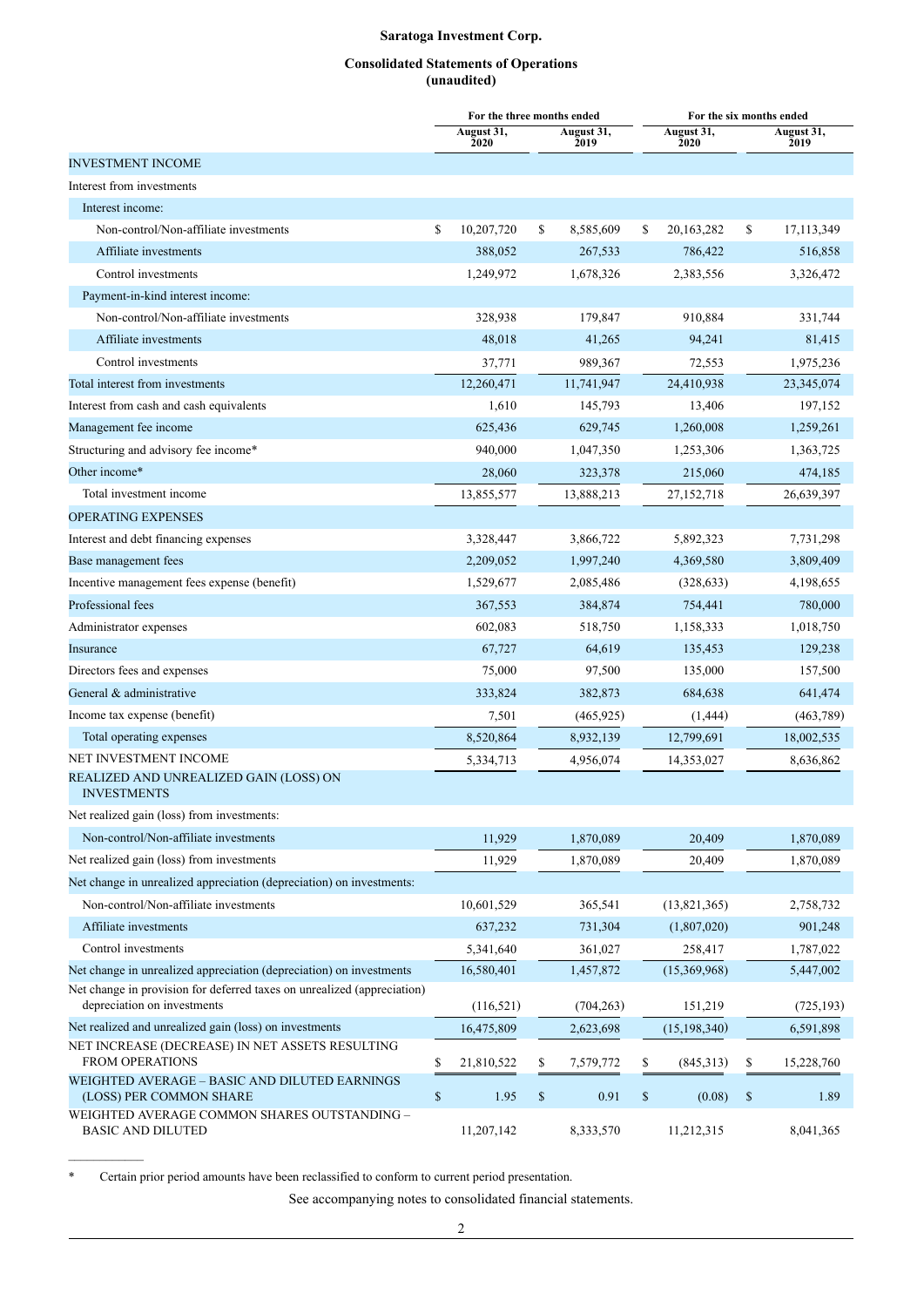## **Consolidated Statements of Operations (unaudited)**

<span id="page-3-0"></span>

|                                                                                                        | For the three months ended |                                                                       |                    |      | For the six months ended |      |                    |
|--------------------------------------------------------------------------------------------------------|----------------------------|-----------------------------------------------------------------------|--------------------|------|--------------------------|------|--------------------|
|                                                                                                        | August 31,<br>2020         |                                                                       | August 31,<br>2019 |      | August 31,<br>2020       |      | August 31,<br>2019 |
| <b>INVESTMENT INCOME</b>                                                                               |                            |                                                                       |                    |      |                          |      |                    |
| Interest from investments                                                                              |                            |                                                                       |                    |      |                          |      |                    |
| Interest income:                                                                                       |                            |                                                                       |                    |      |                          |      |                    |
| Non-control/Non-affiliate investments                                                                  | \$<br>10,207,720           | \$                                                                    | 8,585,609          | S    | 20,163,282               | \$   | 17,113,349         |
| Affiliate investments                                                                                  | 388,052                    |                                                                       | 267,533            |      | 786,422                  |      | 516,858            |
| Control investments                                                                                    | 1,249,972                  |                                                                       | 1,678,326          |      | 2,383,556                |      | 3,326,472          |
| Payment-in-kind interest income:                                                                       |                            |                                                                       |                    |      |                          |      |                    |
| Non-control/Non-affiliate investments                                                                  | 328,938                    |                                                                       | 179,847            |      | 910,884                  |      | 331,744            |
| Affiliate investments                                                                                  | 48,018                     |                                                                       | 41,265             |      | 94,241                   |      | 81,415             |
| Control investments                                                                                    | 37,771                     |                                                                       | 989,367            |      | 72,553                   |      | 1,975,236          |
| Total interest from investments                                                                        | 12,260,471                 |                                                                       | 11,741,947         |      | 24,410,938               |      | 23,345,074         |
| Interest from cash and cash equivalents                                                                | 1,610                      |                                                                       | 145,793            |      | 13,406                   |      | 197,152            |
| Management fee income                                                                                  | 625,436                    |                                                                       | 629,745            |      | 1,260,008                |      | 1,259,261          |
| Structuring and advisory fee income*                                                                   | 940,000                    |                                                                       | 1,047,350          |      | 1,253,306                |      | 1,363,725          |
| Other income*                                                                                          | 28,060                     |                                                                       | 323,378            |      | 215,060                  |      | 474,185            |
| Total investment income                                                                                | 13,855,577                 |                                                                       | 13,888,213         |      | 27,152,718               |      | 26,639,397         |
| <b>OPERATING EXPENSES</b>                                                                              |                            |                                                                       |                    |      |                          |      |                    |
| Interest and debt financing expenses                                                                   | 3,328,447                  |                                                                       | 3,866,722          |      | 5,892,323                |      | 7,731,298          |
| Base management fees                                                                                   | 2,209,052                  |                                                                       | 1,997,240          |      | 4,369,580                |      | 3,809,409          |
| Incentive management fees expense (benefit)                                                            | 1,529,677                  |                                                                       | 2,085,486          |      | (328, 633)               |      | 4,198,655          |
| Professional fees                                                                                      | 367,553                    |                                                                       | 384,874            |      | 754,441                  |      | 780,000            |
| Administrator expenses                                                                                 | 602,083                    |                                                                       | 518,750            |      | 1,158,333                |      | 1,018,750          |
| Insurance                                                                                              | 67,727                     |                                                                       | 64,619             |      | 135,453                  |      | 129,238            |
| Directors fees and expenses                                                                            | 75,000                     |                                                                       | 97,500             |      | 135,000                  |      | 157,500            |
| General & administrative                                                                               | 333,824                    |                                                                       | 382,873            |      | 684,638                  |      | 641,474            |
| Income tax expense (benefit)                                                                           | 7,501                      |                                                                       | (465, 925)         |      | (1, 444)                 |      | (463,789)          |
| Total operating expenses                                                                               | 8,520,864                  |                                                                       | 8,932,139          |      | 12,799,691               |      | 18,002,535         |
| NET INVESTMENT INCOME                                                                                  | 5,334,713                  |                                                                       | 4,956,074          |      | 14,353,027               |      | 8,636,862          |
| REALIZED AND UNREALIZED GAIN (LOSS) ON<br><b>INVESTMENTS</b>                                           |                            |                                                                       |                    |      |                          |      |                    |
| Net realized gain (loss) from investments:                                                             |                            |                                                                       |                    |      |                          |      |                    |
| Non-control/Non-affiliate investments                                                                  | 11,929                     |                                                                       | 1,870,089          |      | 20,409                   |      | 1,870,089          |
| Net realized gain (loss) from investments                                                              | 11,929                     |                                                                       | 1,870,089          |      | 20,409                   |      | 1,870,089          |
| Net change in unrealized appreciation (depreciation) on investments:                                   |                            |                                                                       |                    |      |                          |      |                    |
| Non-control/Non-affiliate investments                                                                  | 10,601,529                 |                                                                       | 365,541            |      | (13, 821, 365)           |      | 2,758,732          |
| Affiliate investments                                                                                  | 637,232                    |                                                                       | 731,304            |      | (1,807,020)              |      | 901,248            |
| Control investments                                                                                    | 5,341,640                  |                                                                       | 361,027            |      | 258,417                  |      | 1,787,022          |
| Net change in unrealized appreciation (depreciation) on investments                                    | 16,580,401                 |                                                                       | 1,457,872          |      | (15,369,968)             |      | 5,447,002          |
| Net change in provision for deferred taxes on unrealized (appreciation)<br>depreciation on investments | (116, 521)                 |                                                                       | (704, 263)         |      | 151,219                  |      | (725, 193)         |
| Net realized and unrealized gain (loss) on investments                                                 | 16,475,809                 |                                                                       | 2,623,698          |      | (15, 198, 340)           |      | 6,591,898          |
| NET INCREASE (DECREASE) IN NET ASSETS RESULTING<br><b>FROM OPERATIONS</b>                              | \$<br>21,810,522           | \$                                                                    | 7,579,772          | \$   | (845,313)                | \$   | 15,228,760         |
| WEIGHTED AVERAGE - BASIC AND DILUTED EARNINGS<br>(LOSS) PER COMMON SHARE                               | \$<br>1.95                 | $\mathbb{S}% _{t}\left( t\right) \equiv\mathbb{S}_{t}\left( t\right)$ | 0.91               | $\$$ | (0.08)                   | $\$$ | 1.89               |
| WEIGHTED AVERAGE COMMON SHARES OUTSTANDING -<br><b>BASIC AND DILUTED</b>                               | 11,207,142                 |                                                                       | 8,333,570          |      | 11,212,315               |      | 8,041,365          |

\* Certain prior period amounts have been reclassified to conform to current period presentation.

See accompanying notes to consolidated financial statements.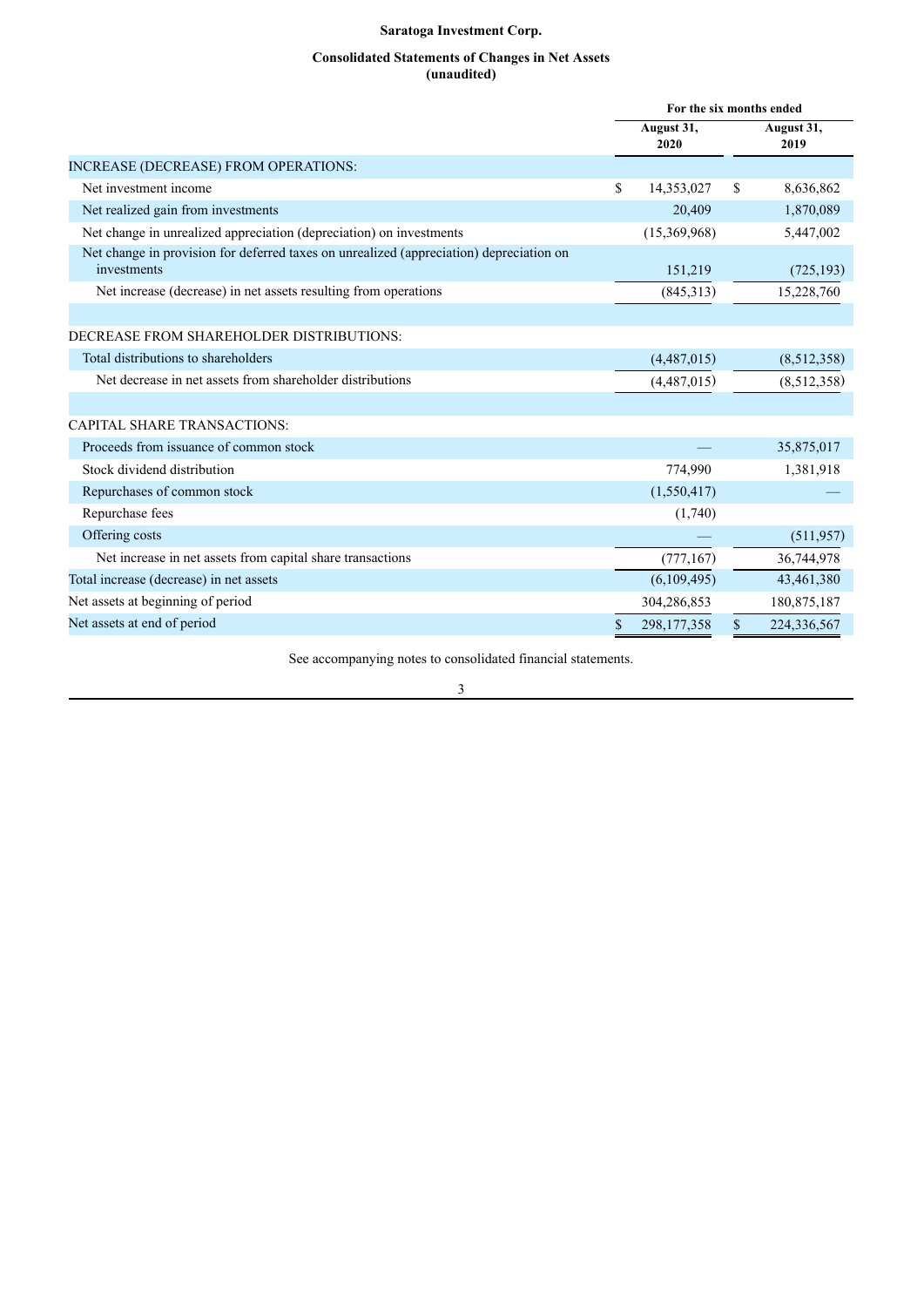## **Consolidated Statements of Changes in Net Assets (unaudited)**

<span id="page-4-0"></span>

|                                                                                                        | For the six months ended |                    |
|--------------------------------------------------------------------------------------------------------|--------------------------|--------------------|
|                                                                                                        | August 31,<br>2020       | August 31,<br>2019 |
| INCREASE (DECREASE) FROM OPERATIONS:                                                                   |                          |                    |
| Net investment income                                                                                  | \$<br>14,353,027         | \$<br>8,636,862    |
| Net realized gain from investments                                                                     | 20,409                   | 1,870,089          |
| Net change in unrealized appreciation (depreciation) on investments                                    | (15,369,968)             | 5,447,002          |
| Net change in provision for deferred taxes on unrealized (appreciation) depreciation on<br>investments | 151,219                  | (725, 193)         |
| Net increase (decrease) in net assets resulting from operations                                        | (845,313)                | 15,228,760         |
|                                                                                                        |                          |                    |
| DECREASE FROM SHAREHOLDER DISTRIBUTIONS:                                                               |                          |                    |
| Total distributions to shareholders                                                                    | (4,487,015)              | (8,512,358)        |
| Net decrease in net assets from shareholder distributions                                              | (4,487,015)              | (8,512,358)        |
|                                                                                                        |                          |                    |
| <b>CAPITAL SHARE TRANSACTIONS:</b>                                                                     |                          |                    |
| Proceeds from issuance of common stock                                                                 |                          | 35,875,017         |
| Stock dividend distribution                                                                            | 774,990                  | 1,381,918          |
| Repurchases of common stock                                                                            | (1,550,417)              |                    |
| Repurchase fees                                                                                        | (1,740)                  |                    |
| Offering costs                                                                                         |                          | (511, 957)         |
| Net increase in net assets from capital share transactions                                             | (777, 167)               | 36,744,978         |
| Total increase (decrease) in net assets                                                                | (6,109,495)              | 43,461,380         |
| Net assets at beginning of period                                                                      | 304,286,853              | 180,875,187        |
| Net assets at end of period                                                                            | \$<br>298,177,358        | \$<br>224,336,567  |
|                                                                                                        |                          |                    |

See accompanying notes to consolidated financial statements.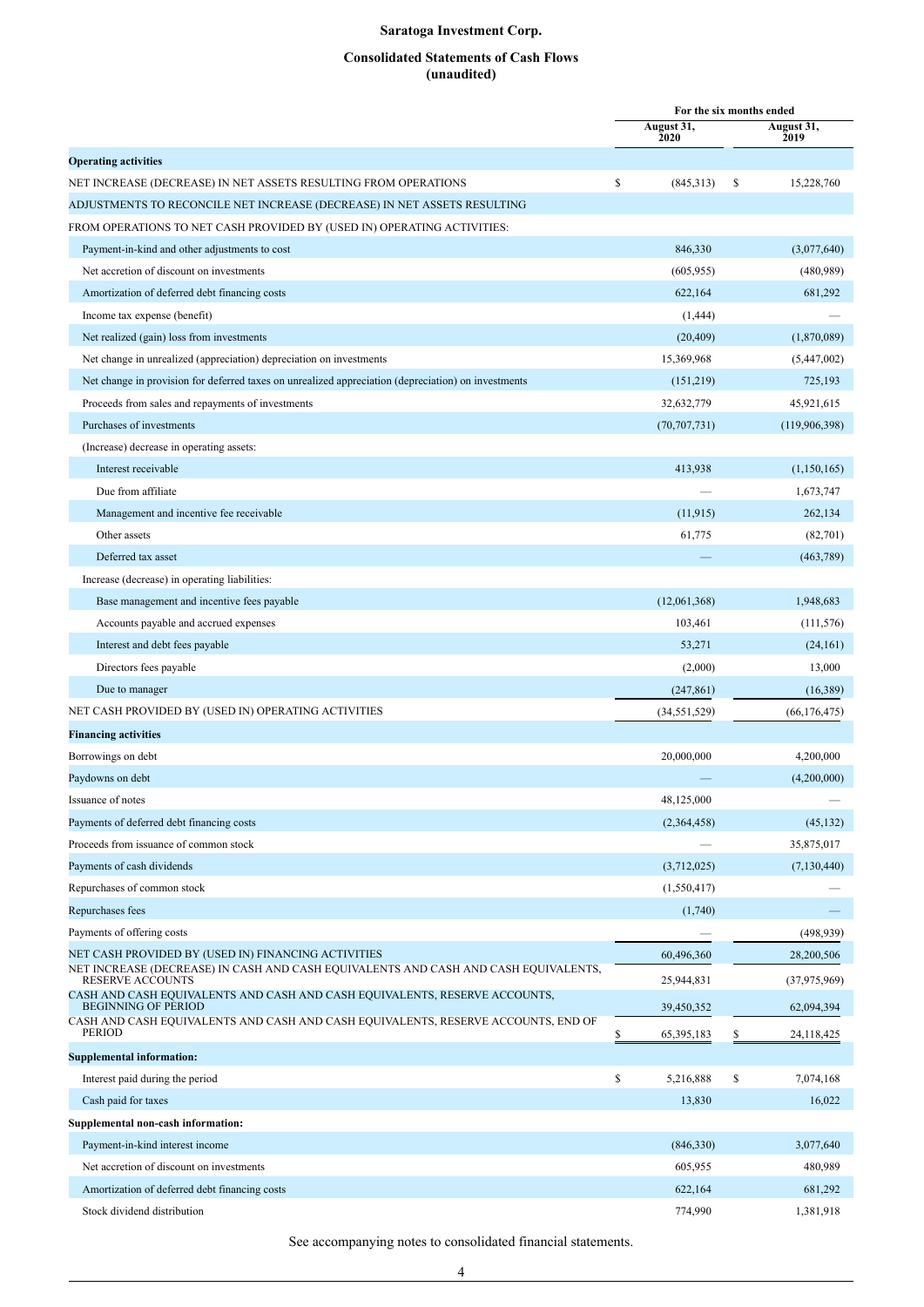## **Consolidated Statements of Cash Flows (unaudited)**

<span id="page-5-0"></span>

|                                                                                                                 |                    |    | For the six months ended |
|-----------------------------------------------------------------------------------------------------------------|--------------------|----|--------------------------|
|                                                                                                                 | August 31,<br>2020 |    | August 31,<br>2019       |
| <b>Operating activities</b>                                                                                     |                    |    |                          |
| NET INCREASE (DECREASE) IN NET ASSETS RESULTING FROM OPERATIONS                                                 | \$<br>(845,313)    | -S | 15,228,760               |
| ADJUSTMENTS TO RECONCILE NET INCREASE (DECREASE) IN NET ASSETS RESULTING                                        |                    |    |                          |
| FROM OPERATIONS TO NET CASH PROVIDED BY (USED IN) OPERATING ACTIVITIES:                                         |                    |    |                          |
| Payment-in-kind and other adjustments to cost                                                                   | 846,330            |    | (3,077,640)              |
| Net accretion of discount on investments                                                                        | (605, 955)         |    | (480, 989)               |
| Amortization of deferred debt financing costs                                                                   | 622,164            |    | 681,292                  |
| Income tax expense (benefit)                                                                                    | (1, 444)           |    |                          |
| Net realized (gain) loss from investments                                                                       | (20, 409)          |    | (1,870,089)              |
| Net change in unrealized (appreciation) depreciation on investments                                             | 15,369,968         |    | (5,447,002)              |
| Net change in provision for deferred taxes on unrealized appreciation (depreciation) on investments             | (151,219)          |    | 725,193                  |
| Proceeds from sales and repayments of investments                                                               | 32,632,779         |    | 45,921,615               |
| Purchases of investments                                                                                        | (70, 707, 731)     |    | (119,906,398)            |
| (Increase) decrease in operating assets:                                                                        |                    |    |                          |
| Interest receivable                                                                                             | 413,938            |    | (1,150,165)              |
| Due from affiliate                                                                                              |                    |    | 1,673,747                |
| Management and incentive fee receivable                                                                         | (11, 915)          |    | 262,134                  |
| Other assets                                                                                                    | 61,775             |    | (82,701)                 |
| Deferred tax asset                                                                                              |                    |    | (463,789)                |
| Increase (decrease) in operating liabilities:                                                                   |                    |    |                          |
| Base management and incentive fees payable                                                                      | (12,061,368)       |    | 1,948,683                |
| Accounts payable and accrued expenses                                                                           | 103,461            |    | (111, 576)               |
| Interest and debt fees payable                                                                                  | 53,271             |    | (24, 161)                |
| Directors fees payable                                                                                          | (2,000)            |    | 13,000                   |
| Due to manager                                                                                                  | (247, 861)         |    | (16, 389)                |
| NET CASH PROVIDED BY (USED IN) OPERATING ACTIVITIES                                                             | (34, 551, 529)     |    | (66, 176, 475)           |
| <b>Financing activities</b>                                                                                     |                    |    |                          |
| Borrowings on debt                                                                                              | 20,000,000         |    | 4,200,000                |
| Paydowns on debt                                                                                                |                    |    | (4,200,000)              |
| Issuance of notes                                                                                               | 48,125,000         |    |                          |
| Payments of deferred debt financing costs                                                                       | (2,364,458)        |    | (45, 132)                |
| Proceeds from issuance of common stock                                                                          |                    |    | 35,875,017               |
| Payments of cash dividends                                                                                      | (3,712,025)        |    | (7, 130, 440)            |
| Repurchases of common stock                                                                                     | (1,550,417)        |    |                          |
| Repurchases fees                                                                                                | (1,740)            |    |                          |
| Payments of offering costs                                                                                      |                    |    | (498, 939)               |
| NET CASH PROVIDED BY (USED IN) FINANCING ACTIVITIES                                                             | 60,496,360         |    | 28,200,506               |
| NET INCREASE (DECREASE) IN CASH AND CASH EQUIVALENTS AND CASH AND CASH EQUIVALENTS,<br><b>RESERVE ACCOUNTS</b>  | 25,944,831         |    | (37,975,969)             |
| CASH AND CASH EQUIVALENTS AND CASH AND CASH EQUIVALENTS, RESERVE ACCOUNTS,                                      |                    |    |                          |
| <b>BEGINNING OF PERIOD</b><br>CASH AND CASH EQUIVALENTS AND CASH AND CASH EQUIVALENTS, RESERVE ACCOUNTS, END OF | 39,450,352         |    | 62,094,394               |
| PERIOD                                                                                                          | \$<br>65, 395, 183 | \$ | 24,118,425               |
| <b>Supplemental information:</b>                                                                                |                    |    |                          |
| Interest paid during the period                                                                                 | \$<br>5,216,888    | \$ | 7,074,168                |
| Cash paid for taxes                                                                                             | 13,830             |    | 16,022                   |
| Supplemental non-cash information:                                                                              |                    |    |                          |
| Payment-in-kind interest income                                                                                 | (846,330)          |    | 3,077,640                |
| Net accretion of discount on investments                                                                        | 605,955            |    | 480,989                  |
| Amortization of deferred debt financing costs                                                                   | 622,164            |    | 681,292                  |
| Stock dividend distribution                                                                                     | 774,990            |    | 1,381,918                |

See accompanying notes to consolidated financial statements.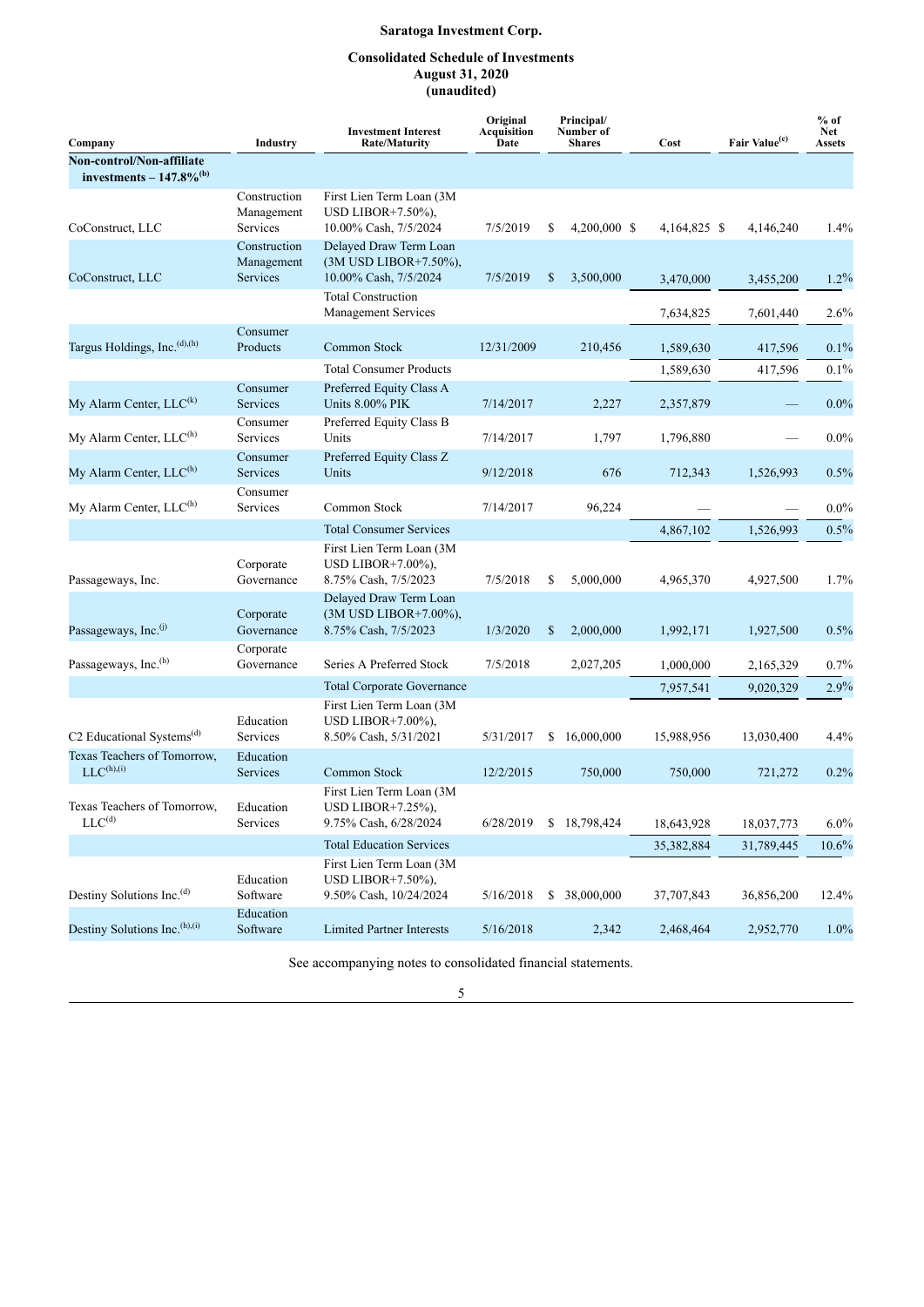## **Consolidated Schedule of Investments August 31, 2020 (unaudited)**

<span id="page-6-0"></span>

| Company                                                            | Industry                               | <b>Investment Interest</b><br><b>Rate/Maturity</b>                           | Original<br>Acquisition<br>Date | Principal/<br>Number of<br><b>Shares</b> | Cost         | Fair Value <sup>(c)</sup> | $%$ of<br><b>Net</b><br><b>Assets</b> |
|--------------------------------------------------------------------|----------------------------------------|------------------------------------------------------------------------------|---------------------------------|------------------------------------------|--------------|---------------------------|---------------------------------------|
| Non-control/Non-affiliate<br>investments $-147.8\%$ <sup>(b)</sup> |                                        |                                                                              |                                 |                                          |              |                           |                                       |
| CoConstruct, LLC                                                   | Construction<br>Management<br>Services | First Lien Term Loan (3M)<br>USD LIBOR $+7.50\%$ ),<br>10.00% Cash, 7/5/2024 | 7/5/2019                        | \$<br>4,200,000 \$                       | 4,164,825 \$ | 4,146,240                 | 1.4%                                  |
| CoConstruct, LLC                                                   | Construction<br>Management<br>Services | Delayed Draw Term Loan<br>(3M USD LIBOR+7.50%),<br>10.00% Cash, 7/5/2024     | 7/5/2019                        | \$<br>3,500,000                          | 3,470,000    | 3,455,200                 | $1.2\%$                               |
|                                                                    |                                        | <b>Total Construction</b><br><b>Management Services</b>                      |                                 |                                          | 7,634,825    | 7,601,440                 | 2.6%                                  |
| Targus Holdings, Inc. <sup>(d),(h)</sup>                           | Consumer<br>Products                   | Common Stock                                                                 | 12/31/2009                      | 210,456                                  | 1,589,630    | 417,596                   | $0.1\%$                               |
|                                                                    |                                        | <b>Total Consumer Products</b>                                               |                                 |                                          | 1,589,630    | 417,596                   | $0.1\%$                               |
| My Alarm Center, LLC <sup>(k)</sup>                                | Consumer<br>Services                   | Preferred Equity Class A<br><b>Units 8.00% PIK</b>                           | 7/14/2017                       | 2,227                                    | 2,357,879    |                           | $0.0\%$                               |
| My Alarm Center, $LLC^{(h)}$                                       | Consumer<br>Services                   | Preferred Equity Class B<br>Units                                            | 7/14/2017                       | 1,797                                    | 1,796,880    |                           | $0.0\%$                               |
| My Alarm Center, LLC <sup>(h)</sup>                                | Consumer<br>Services                   | Preferred Equity Class Z<br>Units                                            | 9/12/2018                       | 676                                      | 712,343      | 1,526,993                 | 0.5%                                  |
| My Alarm Center, LLC <sup>(h)</sup>                                | Consumer<br>Services                   | Common Stock                                                                 | 7/14/2017                       | 96,224                                   |              |                           | $0.0\%$                               |
|                                                                    |                                        | <b>Total Consumer Services</b>                                               |                                 |                                          | 4,867,102    | 1,526,993                 | 0.5%                                  |
| Passageways, Inc.                                                  | Corporate<br>Governance                | First Lien Term Loan (3M<br>USD LIBOR $+7.00\%$ ),<br>8.75% Cash, 7/5/2023   | 7/5/2018                        | \$<br>5,000,000                          | 4,965,370    | 4,927,500                 | 1.7%                                  |
| Passageways, Inc. <sup>(j)</sup>                                   | Corporate<br>Governance                | Delayed Draw Term Loan<br>(3M USD LIBOR+7.00%),<br>8.75% Cash, 7/5/2023      | 1/3/2020                        | \$<br>2,000,000                          | 1,992,171    | 1,927,500                 | 0.5%                                  |
| Passageways, Inc. <sup>(h)</sup>                                   | Corporate<br>Governance                | Series A Preferred Stock                                                     | 7/5/2018                        | 2,027,205                                | 1,000,000    | 2,165,329                 | 0.7%                                  |
|                                                                    |                                        | <b>Total Corporate Governance</b>                                            |                                 |                                          | 7,957,541    | 9,020,329                 | 2.9%                                  |
| C2 Educational Systems <sup>(d)</sup>                              | Education<br>Services                  | First Lien Term Loan (3M<br>USD LIBOR $+7.00\%$ ).<br>8.50% Cash, 5/31/2021  | 5/31/2017                       | \$<br>16,000,000                         | 15,988,956   | 13,030,400                | 4.4%                                  |
| Texas Teachers of Tomorrow,<br>$LLC^{(h),(i)}$                     | Education<br>Services                  | Common Stock                                                                 | 12/2/2015                       | 750,000                                  | 750,000      | 721,272                   | 0.2%                                  |
| Texas Teachers of Tomorrow,<br>LLC <sup>(d)</sup>                  | Education<br>Services                  | First Lien Term Loan (3M<br>USD LIBOR+7.25%),<br>9.75% Cash, 6/28/2024       | 6/28/2019                       | \$18,798,424                             | 18,643,928   | 18,037,773                | $6.0\%$                               |
|                                                                    |                                        | <b>Total Education Services</b>                                              |                                 |                                          | 35,382,884   | 31,789,445                | $10.6\%$                              |
| Destiny Solutions Inc. <sup>(d)</sup>                              | Education<br>Software                  | First Lien Term Loan (3M<br>USD LIBOR+7.50%),<br>9.50% Cash, 10/24/2024      | 5/16/2018                       | \$<br>38,000,000                         | 37,707,843   | 36,856,200                | 12.4%                                 |
| Destiny Solutions Inc. <sup>(h),(i)</sup>                          | Education<br>Software                  | <b>Limited Partner Interests</b>                                             | 5/16/2018                       | 2,342                                    | 2,468,464    | 2,952,770                 | 1.0%                                  |

See accompanying notes to consolidated financial statements.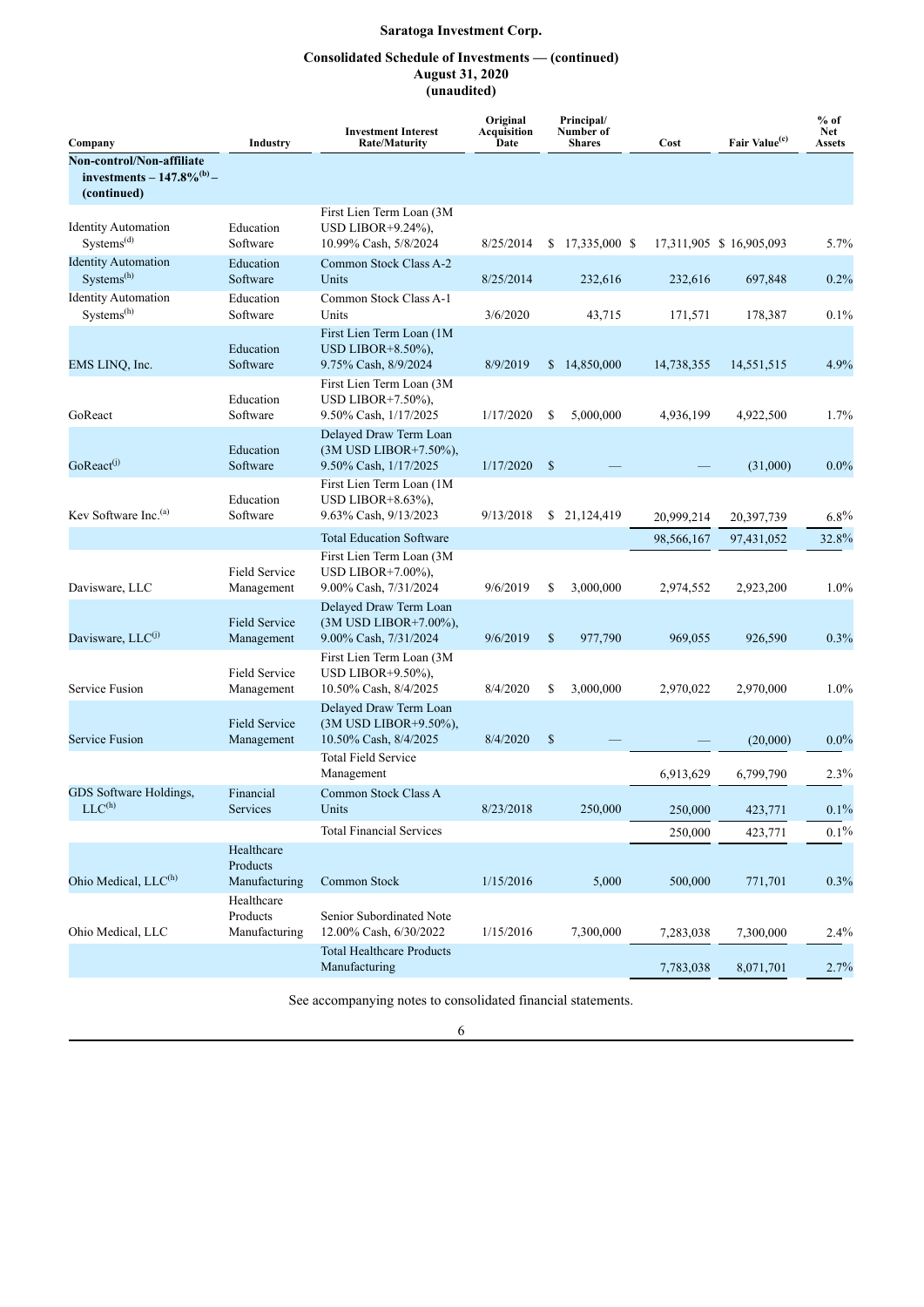## **Consolidated Schedule of Investments — (continued) August 31, 2020 (unaudited)**

| Company                                                                     | <b>Industry</b>                         | <b>Investment Interest</b><br><b>Rate/Maturity</b>                           | Original<br>Acquisition<br>Date | Principal/<br>Number of<br><b>Shares</b> | Cost       | Fair Value <sup>(c)</sup> | $%$ of<br><b>Net</b><br><b>Assets</b> |
|-----------------------------------------------------------------------------|-----------------------------------------|------------------------------------------------------------------------------|---------------------------------|------------------------------------------|------------|---------------------------|---------------------------------------|
| Non-control/Non-affiliate<br>investments – $147.8\%^{(b)}$ –<br>(continued) |                                         |                                                                              |                                 |                                          |            |                           |                                       |
| <b>Identity Automation</b><br>Systems <sup>(d)</sup>                        | Education<br>Software                   | First Lien Term Loan (3M<br>USD LIBOR $+9.24\%$ ),<br>10.99% Cash, 5/8/2024  | 8/25/2014                       | $$17,335,000$ \$                         |            | 17,311,905 \$ 16,905,093  | 5.7%                                  |
| <b>Identity Automation</b><br>Systems <sup>(h)</sup>                        | Education<br>Software                   | Common Stock Class A-2<br>Units                                              | 8/25/2014                       | 232,616                                  | 232,616    | 697,848                   | 0.2%                                  |
| <b>Identity Automation</b><br>Systems <sup>(h)</sup>                        | Education<br>Software                   | Common Stock Class A-1<br>Units                                              | 3/6/2020                        | 43,715                                   | 171,571    | 178,387                   | 0.1%                                  |
| EMS LINQ, Inc.                                                              | Education<br>Software                   | First Lien Term Loan (1M<br>USD LIBOR $+8.50\%$ ),<br>9.75% Cash, 8/9/2024   | 8/9/2019                        | \$14,850,000                             | 14,738,355 | 14,551,515                | 4.9%                                  |
| GoReact                                                                     | Education<br>Software                   | First Lien Term Loan (3M)<br>USD LIBOR $+7.50\%$ ),<br>9.50% Cash, 1/17/2025 | 1/17/2020                       | S<br>5,000,000                           | 4,936,199  | 4,922,500                 | 1.7%                                  |
| $GoReach$ <sub>(j)</sub>                                                    | Education<br>Software                   | Delayed Draw Term Loan<br>(3M USD LIBOR+7.50%),<br>9.50% Cash, 1/17/2025     | 1/17/2020                       | $\mathbb{S}$                             |            | (31,000)                  | $0.0\%$                               |
| Kev Software Inc. <sup>(a)</sup>                                            | Education<br>Software                   | First Lien Term Loan (1M)<br>USD LIBOR $+8.63\%$ ).<br>9.63% Cash, 9/13/2023 | 9/13/2018                       | \$<br>21,124,419                         | 20,999,214 | 20,397,739                | $6.8\%$                               |
|                                                                             |                                         | <b>Total Education Software</b>                                              |                                 |                                          | 98,566,167 | 97,431,052                | 32.8%                                 |
| Davisware, LLC                                                              | <b>Field Service</b><br>Management      | First Lien Term Loan (3M<br>USD LIBOR $+7.00\%$ ),<br>9.00% Cash, 7/31/2024  | 9/6/2019                        | \$<br>3,000,000                          | 2,974,552  | 2,923,200                 | $1.0\%$                               |
| Davisware, LLC <sup>(J)</sup>                                               | <b>Field Service</b><br>Management      | Delayed Draw Term Loan<br>(3M USD LIBOR+7.00%),<br>9.00% Cash, 7/31/2024     | 9/6/2019                        | $\mathbf S$<br>977,790                   | 969,055    | 926,590                   | 0.3%                                  |
| Service Fusion                                                              | <b>Field Service</b><br>Management      | First Lien Term Loan (3M<br>USD LIBOR $+9.50\%$ ),<br>10.50% Cash, 8/4/2025  | 8/4/2020                        | \$<br>3,000,000                          | 2,970,022  | 2,970,000                 | $1.0\%$                               |
| <b>Service Fusion</b>                                                       | <b>Field Service</b><br>Management      | Delayed Draw Term Loan<br>(3M USD LIBOR+9.50%),<br>10.50% Cash, 8/4/2025     | 8/4/2020                        | $\mathbb{S}$                             |            | (20,000)                  | $0.0\%$                               |
|                                                                             |                                         | <b>Total Field Service</b><br>Management                                     |                                 |                                          | 6,913,629  | 6,799,790                 | 2.3%                                  |
| GDS Software Holdings.<br>$LLC^{(h)}$                                       | Financial<br>Services                   | Common Stock Class A<br>Units                                                | 8/23/2018                       | 250,000                                  | 250,000    | 423,771                   | $0.1\%$                               |
|                                                                             |                                         | <b>Total Financial Services</b>                                              |                                 |                                          | 250,000    | 423,771                   | $0.1\%$                               |
| Ohio Medical, LLC <sup>(h)</sup>                                            | Healthcare<br>Products<br>Manufacturing | Common Stock                                                                 | 1/15/2016                       | 5,000                                    | 500,000    | 771,701                   | 0.3%                                  |
|                                                                             | Healthcare<br>Products                  | Senior Subordinated Note                                                     |                                 |                                          |            |                           |                                       |
| Ohio Medical, LLC                                                           | Manufacturing                           | 12.00% Cash, 6/30/2022                                                       | 1/15/2016                       | 7,300,000                                | 7,283,038  | 7,300,000                 | 2.4%                                  |
|                                                                             |                                         | <b>Total Healthcare Products</b><br>Manufacturing                            |                                 |                                          | 7,783,038  | 8,071,701                 | 2.7%                                  |

See accompanying notes to consolidated financial statements.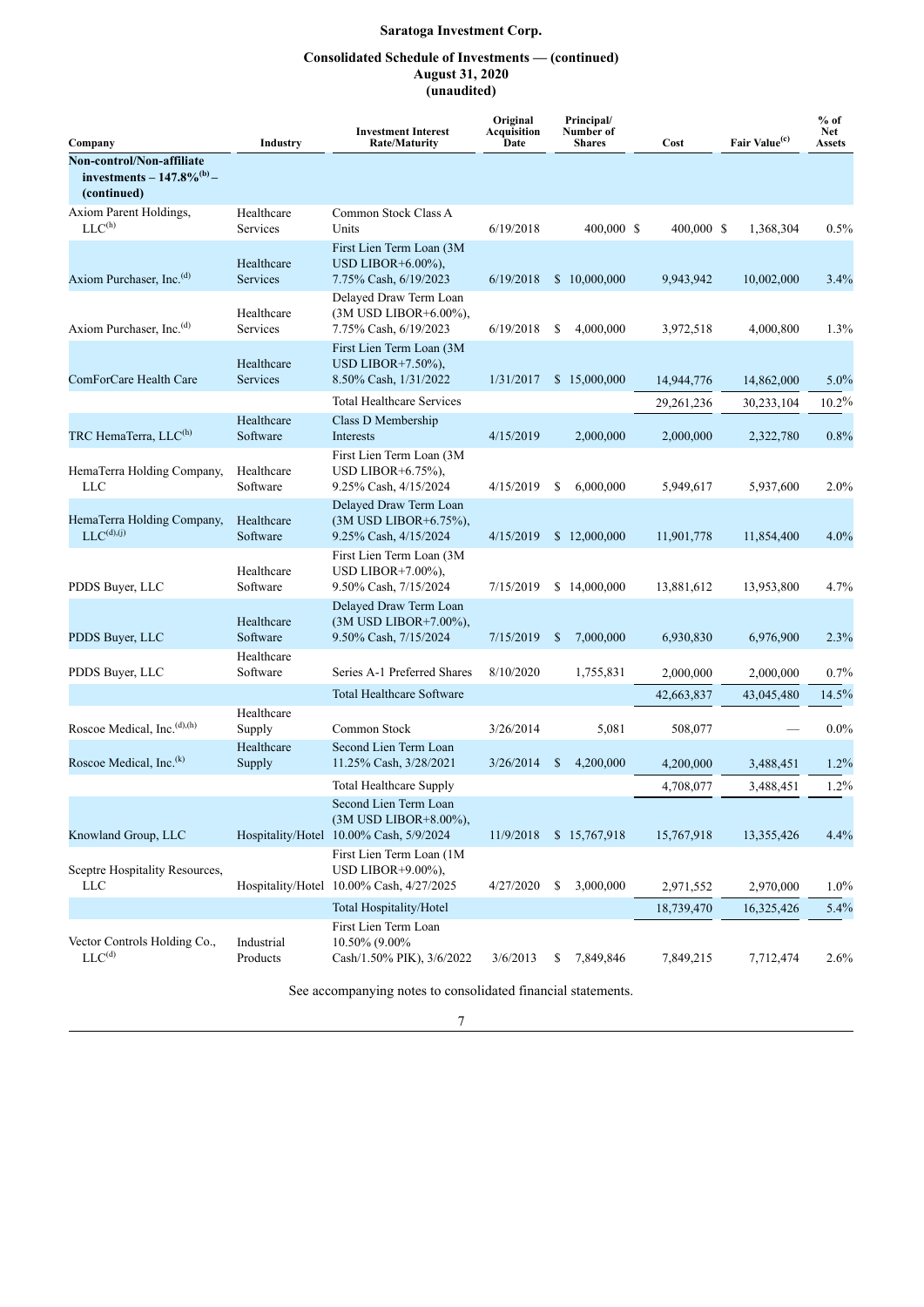## **Consolidated Schedule of Investments — (continued) August 31, 2020 (unaudited)**

| Company                                                                     | Industry               | <b>Investment Interest</b><br><b>Rate/Maturity</b>                                         | Original<br><b>Acquisition</b><br>Date | Principal/<br>Number of<br><b>Shares</b> | Cost         | Fair Value <sup>(c)</sup> | $%$ of<br><b>Net</b><br><b>Assets</b> |
|-----------------------------------------------------------------------------|------------------------|--------------------------------------------------------------------------------------------|----------------------------------------|------------------------------------------|--------------|---------------------------|---------------------------------------|
| Non-control/Non-affiliate<br>investments – $147.8\%^{(b)}$ –<br>(continued) |                        |                                                                                            |                                        |                                          |              |                           |                                       |
| Axiom Parent Holdings,<br>LLC <sup>(h)</sup>                                | Healthcare<br>Services | Common Stock Class A<br>Units                                                              | 6/19/2018                              | 400,000 \$                               | 400,000 \$   | 1,368,304                 | 0.5%                                  |
| Axiom Purchaser, Inc. <sup>(d)</sup>                                        | Healthcare<br>Services | First Lien Term Loan (3M<br>USD LIBOR+6.00%),<br>7.75% Cash, 6/19/2023                     | 6/19/2018                              | \$10,000,000                             | 9,943,942    | 10,002,000                | 3.4%                                  |
| Axiom Purchaser, Inc. <sup>(d)</sup>                                        | Healthcare<br>Services | Delayed Draw Term Loan<br>(3M USD LIBOR+6.00%),<br>7.75% Cash, 6/19/2023                   | 6/19/2018                              | 4,000,000<br>S                           | 3,972,518    | 4,000,800                 | 1.3%                                  |
| ComForCare Health Care                                                      | Healthcare<br>Services | First Lien Term Loan (3M<br>USD LIBOR $+7.50\%$ ),<br>8.50% Cash, 1/31/2022                | 1/31/2017                              | \$15,000,000                             | 14,944,776   | 14,862,000                | $5.0\%$                               |
|                                                                             |                        | <b>Total Healthcare Services</b>                                                           |                                        |                                          | 29, 261, 236 | 30,233,104                | 10.2%                                 |
| TRC HemaTerra, LLC <sup>(h)</sup>                                           | Healthcare<br>Software | Class D Membership<br>Interests                                                            | 4/15/2019                              | 2,000,000                                | 2,000,000    | 2,322,780                 | 0.8%                                  |
| HemaTerra Holding Company,<br>LLC                                           | Healthcare<br>Software | First Lien Term Loan (3M<br>USD LIBOR+6.75%),<br>9.25% Cash, 4/15/2024                     | 4/15/2019                              | S<br>6,000,000                           | 5,949,617    | 5,937,600                 | 2.0%                                  |
| HemaTerra Holding Company,<br>$LLC^{(d),(j)}$                               | Healthcare<br>Software | Delayed Draw Term Loan<br>(3M USD LIBOR+6.75%),<br>9.25% Cash, 4/15/2024                   | 4/15/2019                              | \$12,000,000                             | 11,901,778   | 11,854,400                | 4.0%                                  |
| PDDS Buyer, LLC                                                             | Healthcare<br>Software | First Lien Term Loan (3M<br>USD LIBOR $+7.00\%$ ),<br>9.50% Cash, 7/15/2024                | 7/15/2019                              | \$14,000,000                             | 13,881,612   | 13,953,800                | 4.7%                                  |
| PDDS Buyer, LLC                                                             | Healthcare<br>Software | Delayed Draw Term Loan<br>(3M USD LIBOR+7.00%),<br>9.50% Cash, 7/15/2024                   | 7/15/2019                              | 7,000,000<br><sup>\$</sup>               | 6,930,830    | 6,976,900                 | 2.3%                                  |
| PDDS Buyer, LLC                                                             | Healthcare<br>Software | Series A-1 Preferred Shares                                                                | 8/10/2020                              | 1,755,831                                | 2,000,000    | 2,000,000                 | $0.7\%$                               |
|                                                                             |                        | <b>Total Healthcare Software</b>                                                           |                                        |                                          | 42,663,837   | 43,045,480                | 14.5%                                 |
| Roscoe Medical, Inc. <sup>(d),(h)</sup>                                     | Healthcare<br>Supply   | Common Stock                                                                               | 3/26/2014                              | 5,081                                    | 508,077      |                           | $0.0\%$                               |
| Roscoe Medical, Inc. <sup>(k)</sup>                                         | Healthcare<br>Supply   | Second Lien Term Loan<br>11.25% Cash, 3/28/2021                                            | 3/26/2014                              | \$<br>4,200,000                          | 4,200,000    | 3,488,451                 | $1.2\%$                               |
|                                                                             |                        | <b>Total Healthcare Supply</b>                                                             |                                        |                                          | 4,708,077    | 3,488,451                 | 1.2%                                  |
| Knowland Group, LLC                                                         |                        | Second Lien Term Loan<br>(3M USD LIBOR+8.00%),<br>Hospitality/Hotel 10.00% Cash, 5/9/2024  | 11/9/2018                              | \$15,767,918                             | 15,767,918   | 13,355,426                | 4.4%                                  |
| Sceptre Hospitality Resources,<br>LLC                                       |                        | First Lien Term Loan (1M)<br>USD LIBOR+9.00%),<br>Hospitality/Hotel 10.00% Cash, 4/27/2025 | 4/27/2020                              | \$<br>3,000,000                          | 2,971,552    | 2,970,000                 | $1.0\%$                               |
|                                                                             |                        | Total Hospitality/Hotel                                                                    |                                        |                                          | 18,739,470   | 16,325,426                | 5.4%                                  |
| Vector Controls Holding Co.,<br>LLC <sup>(d)</sup>                          | Industrial<br>Products | First Lien Term Loan<br>10.50% (9.00%<br>Cash/1.50% PIK), 3/6/2022                         | 3/6/2013                               | 7,849,846<br>\$                          | 7,849,215    | 7,712,474                 | 2.6%                                  |

See accompanying notes to consolidated financial statements.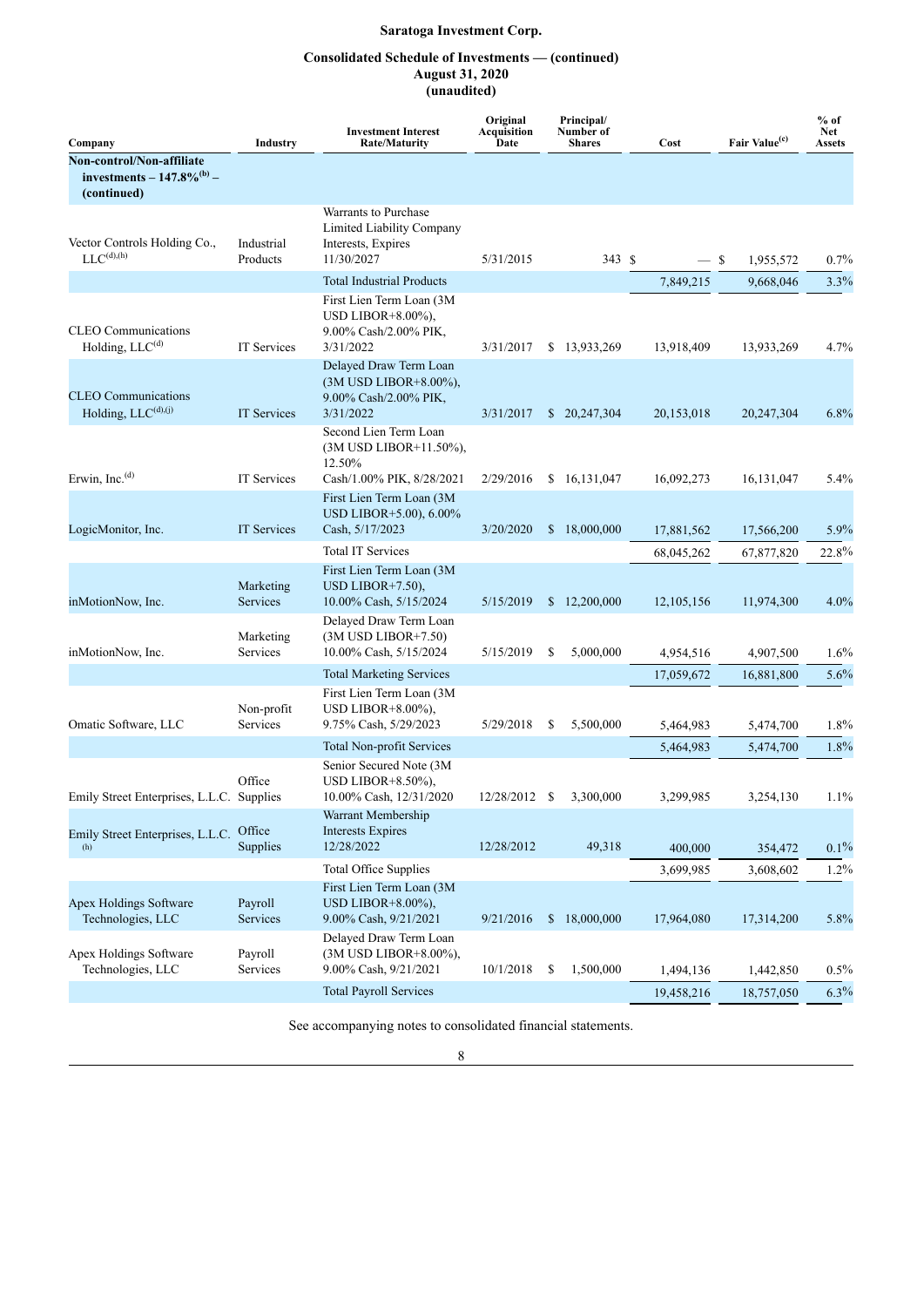## **Consolidated Schedule of Investments — (continued) August 31, 2020 (unaudited)**

| Company                                                                     | Industry                  | <b>Investment Interest</b><br><b>Rate/Maturity</b>                                       | Original<br>Acquisition<br>Date |    | Principal/<br>Number of<br><b>Shares</b> | Cost         | Fair Value <sup>(c)</sup> | $%$ of<br>Net<br>Assets |
|-----------------------------------------------------------------------------|---------------------------|------------------------------------------------------------------------------------------|---------------------------------|----|------------------------------------------|--------------|---------------------------|-------------------------|
| Non-control/Non-affiliate<br>investments – $147.8\%^{(b)}$ –<br>(continued) |                           |                                                                                          |                                 |    |                                          |              |                           |                         |
| Vector Controls Holding Co.,<br>$LLC^{(d),(h)}$                             | Industrial<br>Products    | Warrants to Purchase<br>Limited Liability Company<br>Interests, Expires<br>11/30/2027    | 5/31/2015                       |    | 343 \$                                   | — \$         | 1,955,572                 | 0.7%                    |
|                                                                             |                           | <b>Total Industrial Products</b>                                                         |                                 |    |                                          | 7,849,215    | 9,668,046                 | 3.3%                    |
| <b>CLEO</b> Communications<br>Holding, LLC <sup>(d)</sup>                   | IT Services               | First Lien Term Loan (3M<br>USD LIBOR $+8.00\%$ ),<br>9.00% Cash/2.00% PIK,<br>3/31/2022 | 3/31/2017                       |    | \$13,933,269                             | 13,918,409   | 13,933,269                | 4.7%                    |
| <b>CLEO</b> Communications<br>Holding, $LLC^{(d),(j)}$                      | <b>IT Services</b>        | Delayed Draw Term Loan<br>(3M USD LIBOR+8.00%),<br>9.00% Cash/2.00% PIK,<br>3/31/2022    | 3/31/2017                       |    | \$20,247,304                             | 20,153,018   | 20,247,304                | 6.8%                    |
| Erwin, Inc. <sup>(d)</sup>                                                  | IT Services               | Second Lien Term Loan<br>(3M USD LIBOR+11.50%),<br>12.50%<br>Cash/1.00% PIK, 8/28/2021   | 2/29/2016                       |    | \$16,131,047                             | 16,092,273   | 16, 131, 047              | 5.4%                    |
| LogicMonitor, Inc.                                                          | <b>IT Services</b>        | First Lien Term Loan (3M<br>USD LIBOR+5.00), 6.00%<br>Cash, 5/17/2023                    | 3/20/2020                       |    | \$18,000,000                             | 17,881,562   | 17,566,200                | $5.9\%$                 |
|                                                                             |                           | <b>Total IT Services</b>                                                                 |                                 |    |                                          | 68,045,262   | 67,877,820                | 22.8%                   |
| inMotionNow, Inc.                                                           | Marketing<br>Services     | First Lien Term Loan (3M<br>USD LIBOR $+7.50$ ),<br>10.00% Cash, 5/15/2024               | 5/15/2019                       |    | \$12,200,000                             | 12, 105, 156 | 11,974,300                | 4.0%                    |
| inMotionNow, Inc.                                                           | Marketing<br>Services     | Delayed Draw Term Loan<br>$(3M$ USD LIBOR+7.50)<br>10.00% Cash, 5/15/2024                | 5/15/2019                       | S  | 5,000,000                                | 4,954,516    | 4,907,500                 | 1.6%                    |
|                                                                             |                           | <b>Total Marketing Services</b>                                                          |                                 |    |                                          | 17,059,672   | 16,881,800                | 5.6%                    |
| Omatic Software, LLC                                                        | Non-profit<br>Services    | First Lien Term Loan (3M<br>USD LIBOR $+8.00\%$ ),<br>9.75% Cash, 5/29/2023              | 5/29/2018                       | S  | 5,500,000                                | 5,464,983    | 5,474,700                 | 1.8%                    |
|                                                                             |                           | <b>Total Non-profit Services</b>                                                         |                                 |    |                                          | 5,464,983    | 5,474,700                 | 1.8%                    |
| Emily Street Enterprises, L.L.C. Supplies                                   | Office                    | Senior Secured Note (3M<br>USD LIBOR $+8.50\%$ ),<br>10.00% Cash, 12/31/2020             | 12/28/2012                      | -S | 3,300,000                                | 3,299,985    | 3,254,130                 | 1.1%                    |
| Emily Street Enterprises, L.L.C.<br>(h)                                     | Office<br><b>Supplies</b> | Warrant Membership<br><b>Interests Expires</b><br>12/28/2022                             | 12/28/2012                      |    | 49,318                                   | 400,000      | 354,472                   | $0.1\%$                 |
|                                                                             |                           | <b>Total Office Supplies</b>                                                             |                                 |    |                                          | 3,699,985    | 3,608,602                 | 1.2%                    |
| Apex Holdings Software<br>Technologies, LLC                                 | Payroll<br>Services       | First Lien Term Loan (3M<br>USD LIBOR $+8.00\%$ ),<br>9.00% Cash, 9/21/2021              | 9/21/2016                       |    | \$18,000,000                             | 17,964,080   | 17,314,200                | 5.8%                    |
| Apex Holdings Software<br>Technologies, LLC                                 | Payroll<br>Services       | Delayed Draw Term Loan<br>(3M USD LIBOR+8.00%),<br>9.00% Cash, 9/21/2021                 | 10/1/2018                       | S  | 1,500,000                                | 1,494,136    | 1,442,850                 | 0.5%                    |
|                                                                             |                           | <b>Total Payroll Services</b>                                                            |                                 |    |                                          | 19,458,216   | 18,757,050                | 6.3%                    |

See accompanying notes to consolidated financial statements.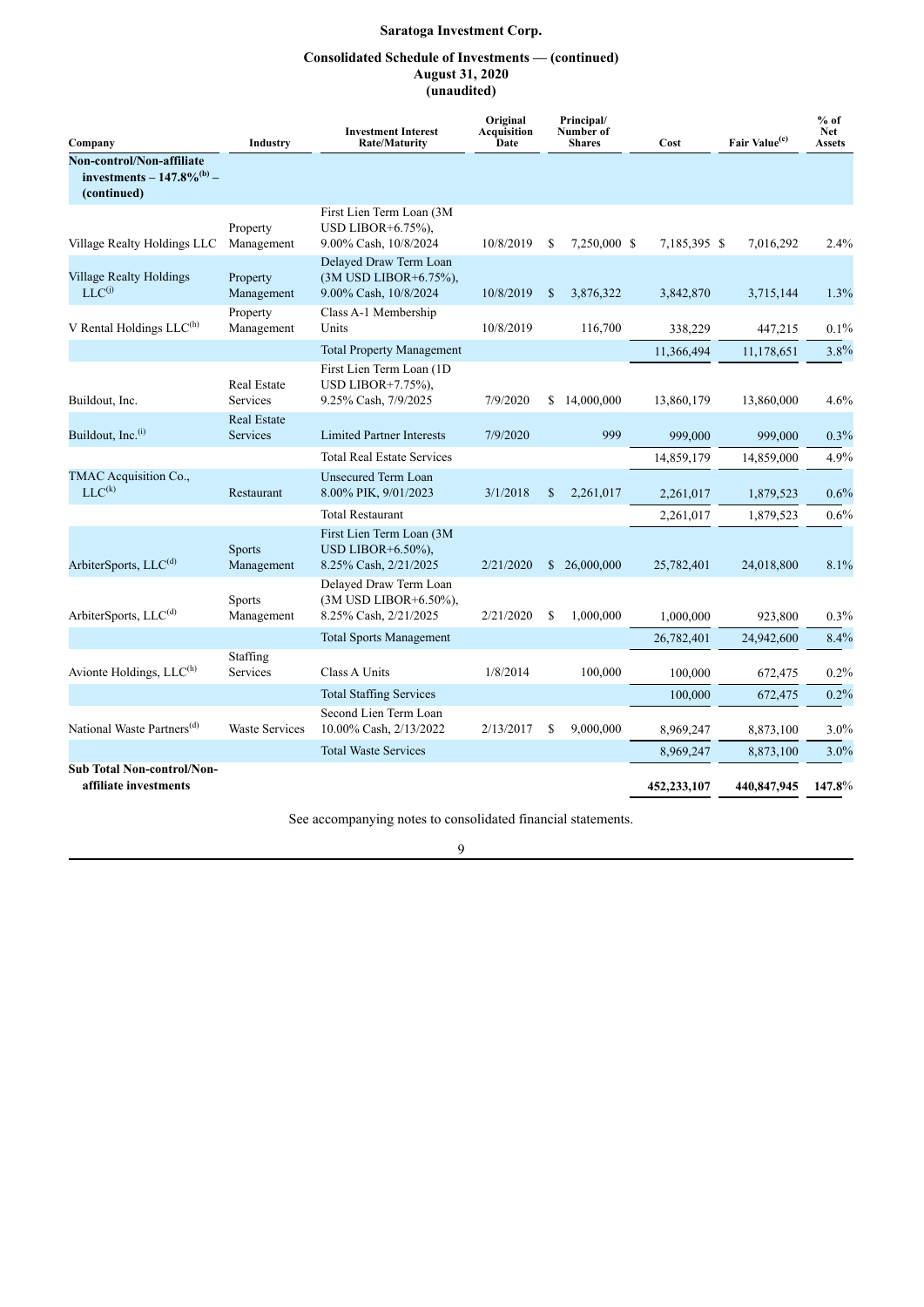## **Consolidated Schedule of Investments — (continued) August 31, 2020 (unaudited)**

| Company                                                                     | Industry                              | <b>Investment Interest</b><br><b>Rate/Maturity</b>                          | Original<br>Acquisition<br>Date |    | Principal/<br>Number of<br><b>Shares</b> | Cost         | Fair Value <sup>(c)</sup> | $%$ of<br><b>Net</b><br><b>Assets</b> |
|-----------------------------------------------------------------------------|---------------------------------------|-----------------------------------------------------------------------------|---------------------------------|----|------------------------------------------|--------------|---------------------------|---------------------------------------|
| Non-control/Non-affiliate<br>investments – $147.8\%^{(b)}$ –<br>(continued) |                                       |                                                                             |                                 |    |                                          |              |                           |                                       |
| Village Realty Holdings LLC                                                 | Property<br>Management                | First Lien Term Loan (3M<br>USD LIBOR $+6.75\%$ ).<br>9.00% Cash, 10/8/2024 | 10/8/2019                       | S  | 7,250,000 \$                             | 7,185,395 \$ | 7,016,292                 | 2.4%                                  |
| <b>Village Realty Holdings</b><br>$LLC^{(j)}$                               | Property<br>Management                | Delayed Draw Term Loan<br>(3M USD LIBOR+6.75%),<br>9.00% Cash, 10/8/2024    | 10/8/2019                       | \$ | 3,876,322                                | 3,842,870    | 3,715,144                 | 1.3%                                  |
| V Rental Holdings $LLC^{(h)}$                                               | Property<br>Management                | Class A-1 Membership<br>Units                                               | 10/8/2019                       |    | 116,700                                  | 338,229      | 447,215                   | $0.1\%$                               |
|                                                                             |                                       | <b>Total Property Management</b>                                            |                                 |    |                                          | 11,366,494   | 11,178,651                | 3.8%                                  |
| Buildout, Inc.                                                              | <b>Real Estate</b><br>Services        | First Lien Term Loan (1D<br>USD LIBOR $+7.75%$ ).<br>9.25% Cash, 7/9/2025   | 7/9/2020                        | \$ | 14,000,000                               | 13,860,179   | 13,860,000                | 4.6%                                  |
| Buildout, Inc. <sup>(i)</sup>                                               | <b>Real Estate</b><br><b>Services</b> | <b>Limited Partner Interests</b>                                            | 7/9/2020                        |    | 999                                      | 999,000      | 999,000                   | $0.3\%$                               |
|                                                                             |                                       | <b>Total Real Estate Services</b>                                           |                                 |    |                                          | 14,859,179   | 14,859,000                | 4.9%                                  |
| TMAC Acquisition Co.,<br>$LLC^{(k)}$                                        | Restaurant                            | <b>Unsecured Term Loan</b><br>8.00% PIK, 9/01/2023                          | 3/1/2018                        | \$ | 2,261,017                                | 2.261.017    | 1,879,523                 | $0.6\%$                               |
|                                                                             |                                       | <b>Total Restaurant</b>                                                     |                                 |    |                                          | 2,261,017    | 1,879,523                 | 0.6%                                  |
| ArbiterSports, LLC <sup>(d)</sup>                                           | <b>Sports</b><br>Management           | First Lien Term Loan (3M<br>USD LIBOR+ $6.50\%$ ),<br>8.25% Cash, 2/21/2025 | 2/21/2020                       |    | \$26,000,000                             | 25,782,401   | 24,018,800                | 8.1%                                  |
| ArbiterSports, LLC <sup>(d)</sup>                                           | Sports<br>Management                  | Delayed Draw Term Loan<br>(3M USD LIBOR+6.50%),<br>8.25% Cash, 2/21/2025    | 2/21/2020                       | S  | 1,000,000                                | 1.000,000    | 923,800                   | $0.3\%$                               |
|                                                                             |                                       | <b>Total Sports Management</b>                                              |                                 |    |                                          | 26,782,401   | 24,942,600                | 8.4%                                  |
| Avionte Holdings, LLC <sup>(h)</sup>                                        | Staffing<br>Services                  | Class A Units                                                               | 1/8/2014                        |    | 100,000                                  | 100,000      | 672,475                   | $0.2\%$                               |
|                                                                             |                                       | <b>Total Staffing Services</b>                                              |                                 |    |                                          | 100,000      | 672,475                   | 0.2%                                  |
| National Waste Partners <sup>(d)</sup>                                      | <b>Waste Services</b>                 | Second Lien Term Loan<br>10.00% Cash, 2/13/2022                             | 2/13/2017                       | S  | 9,000,000                                | 8,969,247    | 8,873,100                 | $3.0\%$                               |
|                                                                             |                                       | <b>Total Waste Services</b>                                                 |                                 |    |                                          | 8,969,247    | 8,873,100                 | $3.0\%$                               |
| <b>Sub Total Non-control/Non-</b><br>affiliate investments                  |                                       |                                                                             |                                 |    |                                          | 452,233,107  | 440,847,945               | 147.8%                                |

See accompanying notes to consolidated financial statements.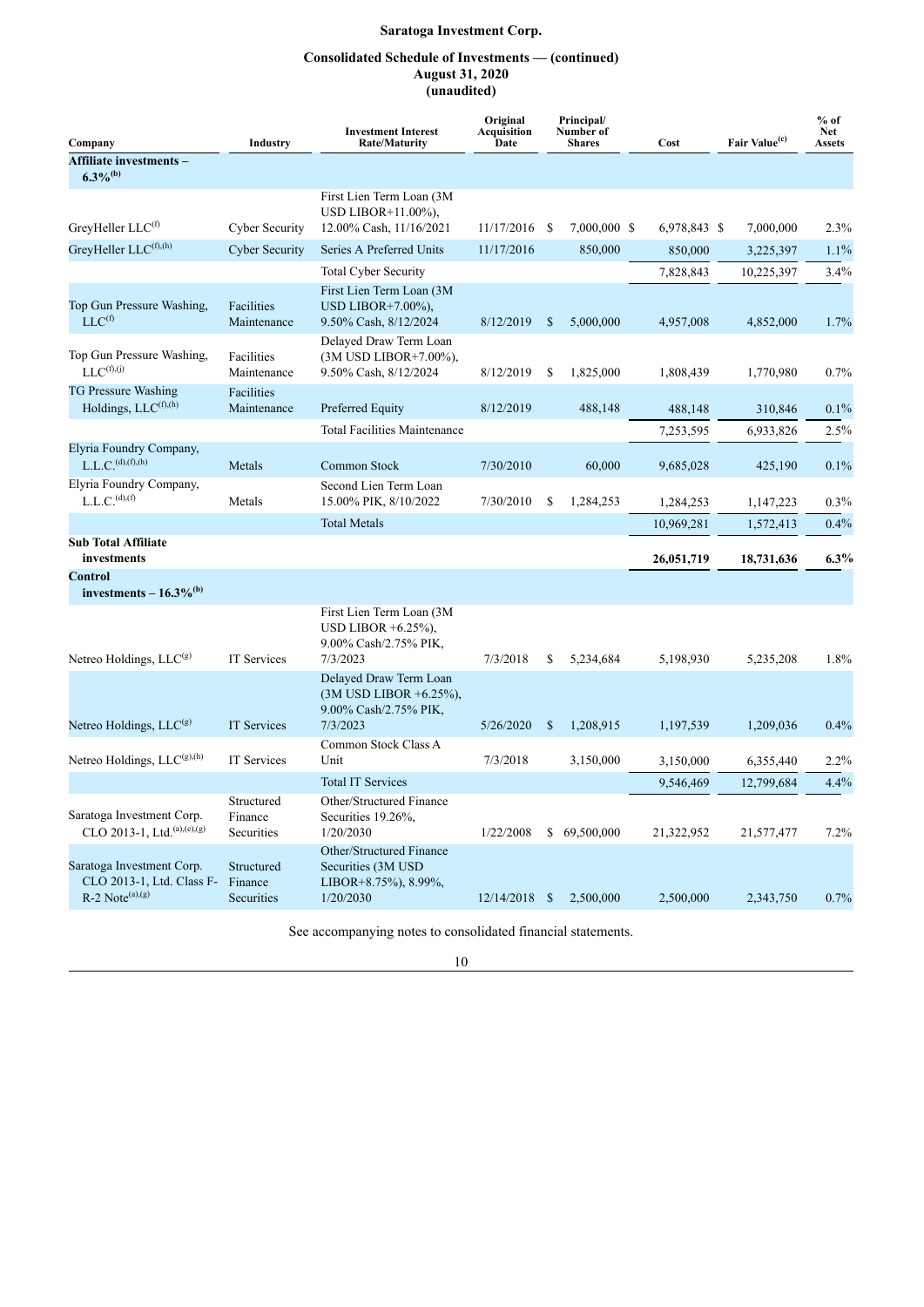## **Consolidated Schedule of Investments — (continued) August 31, 2020 (unaudited)**

| Company                                                                                 | Industry                                   | <b>Investment Interest</b><br><b>Rate/Maturity</b>                                       | Original<br>Principal/<br>Number of<br>Acquisition<br>Date<br><b>Shares</b> |               | Cost         |  | Fair Value <sup>(c)</sup> | $%$ of<br><b>Net</b><br><b>Assets</b> |         |
|-----------------------------------------------------------------------------------------|--------------------------------------------|------------------------------------------------------------------------------------------|-----------------------------------------------------------------------------|---------------|--------------|--|---------------------------|---------------------------------------|---------|
| Affiliate investments -<br>$6.3\%$ <sup>(b)</sup>                                       |                                            |                                                                                          |                                                                             |               |              |  |                           |                                       |         |
| GreyHeller LLC <sup>(f)</sup>                                                           | <b>Cyber Security</b>                      | First Lien Term Loan (3M)<br>USD LIBOR+11.00%),<br>12.00% Cash, 11/16/2021               | 11/17/2016                                                                  | -S            | 7,000,000 \$ |  | 6,978,843 \$              | 7,000,000                             | 2.3%    |
| GreyHeller LLC(f),(h)                                                                   | <b>Cyber Security</b>                      | Series A Preferred Units                                                                 | 11/17/2016                                                                  |               | 850,000      |  | 850,000                   | 3,225,397                             | $1.1\%$ |
|                                                                                         |                                            | <b>Total Cyber Security</b>                                                              |                                                                             |               |              |  | 7,828,843                 | 10,225,397                            | 3.4%    |
| Top Gun Pressure Washing,<br>$LLC^{(f)}$                                                | Facilities<br>Maintenance                  | First Lien Term Loan (3M<br>USD LIBOR $+7.00\%$ ).<br>9.50% Cash, 8/12/2024              | 8/12/2019                                                                   | <sup>\$</sup> | 5.000.000    |  | 4,957,008                 | 4,852,000                             | 1.7%    |
| Top Gun Pressure Washing,<br>$LLC^{(f),(j)}$                                            | Facilities<br>Maintenance                  | Delayed Draw Term Loan<br>(3M USD LIBOR+7.00%),<br>9.50% Cash, 8/12/2024                 | 8/12/2019                                                                   | \$            | 1,825,000    |  | 1,808,439                 | 1,770,980                             | 0.7%    |
| <b>TG Pressure Washing</b><br>Holdings, LLC(f),(h)                                      | Facilities<br>Maintenance                  | Preferred Equity                                                                         | 8/12/2019                                                                   |               | 488,148      |  | 488,148                   | 310,846                               | $0.1\%$ |
|                                                                                         |                                            | <b>Total Facilities Maintenance</b>                                                      |                                                                             |               |              |  | 7,253,595                 | 6,933,826                             | 2.5%    |
| Elyria Foundry Company,<br>L.L.C. <sup>(d)</sup> ,(f),(h)                               | Metals                                     | Common Stock                                                                             | 7/30/2010                                                                   |               | 60,000       |  | 9,685,028                 | 425,190                               | 0.1%    |
| Elyria Foundry Company,<br>L.L.C. <sup>(d)</sup> , <sup>(f)</sup>                       | Metals                                     | Second Lien Term Loan<br>15.00% PIK, 8/10/2022                                           | 7/30/2010                                                                   | \$            | 1,284,253    |  | 1,284,253                 | 1,147,223                             | $0.3\%$ |
|                                                                                         |                                            | <b>Total Metals</b>                                                                      |                                                                             |               |              |  | 10,969,281                | 1,572,413                             | $0.4\%$ |
| <b>Sub Total Affiliate</b><br>investments                                               |                                            |                                                                                          |                                                                             |               |              |  | 26,051,719                | 18,731,636                            | $6.3\%$ |
| <b>Control</b><br>investments $-16.3\%$ <sup>(b)</sup>                                  |                                            |                                                                                          |                                                                             |               |              |  |                           |                                       |         |
| Netreo Holdings, $LLC(g)$                                                               | <b>IT Services</b>                         | First Lien Term Loan (3M)<br>USD LIBOR $+6.25\%$ ),<br>9.00% Cash/2.75% PIK,<br>7/3/2023 | 7/3/2018                                                                    | S             | 5,234,684    |  | 5,198,930                 | 5,235,208                             | 1.8%    |
|                                                                                         |                                            | Delayed Draw Term Loan<br>$(3M$ USD LIBOR +6.25%),<br>9.00% Cash/2.75% PIK,              |                                                                             |               |              |  |                           |                                       |         |
| Netreo Holdings, LLC <sup>(g)</sup>                                                     | <b>IT Services</b>                         | 7/3/2023                                                                                 | 5/26/2020                                                                   | <sup>\$</sup> | 1,208,915    |  | 1,197,539                 | 1,209,036                             | 0.4%    |
| Netreo Holdings, $LLC^{(g),(h)}$                                                        | IT Services                                | Common Stock Class A<br>Unit                                                             | 7/3/2018                                                                    |               | 3,150,000    |  | 3,150,000                 | 6,355,440                             | $2.2\%$ |
|                                                                                         |                                            | <b>Total IT Services</b>                                                                 |                                                                             |               |              |  | 9.546.469                 | 12,799,684                            | $4.4\%$ |
| Saratoga Investment Corp.<br>CLO 2013-1, Ltd. <sup>(a),(e),(g)</sup>                    | Structured<br>Finance<br>Securities        | Other/Structured Finance<br>Securities 19.26%,<br>1/20/2030                              | 1/22/2008                                                                   | \$            | 69,500,000   |  | 21,322,952                | 21,577,477                            | 7.2%    |
| Saratoga Investment Corp.<br>CLO 2013-1, Ltd. Class F-<br>$R-2$ Note <sup>(a),(g)</sup> | Structured<br>Finance<br><b>Securities</b> | Other/Structured Finance<br>Securities (3M USD)<br>LIBOR+8.75%), 8.99%,<br>1/20/2030     | $12/14/2018$ \$                                                             |               | 2,500,000    |  | 2,500,000                 | 2,343,750                             | 0.7%    |

See accompanying notes to consolidated financial statements.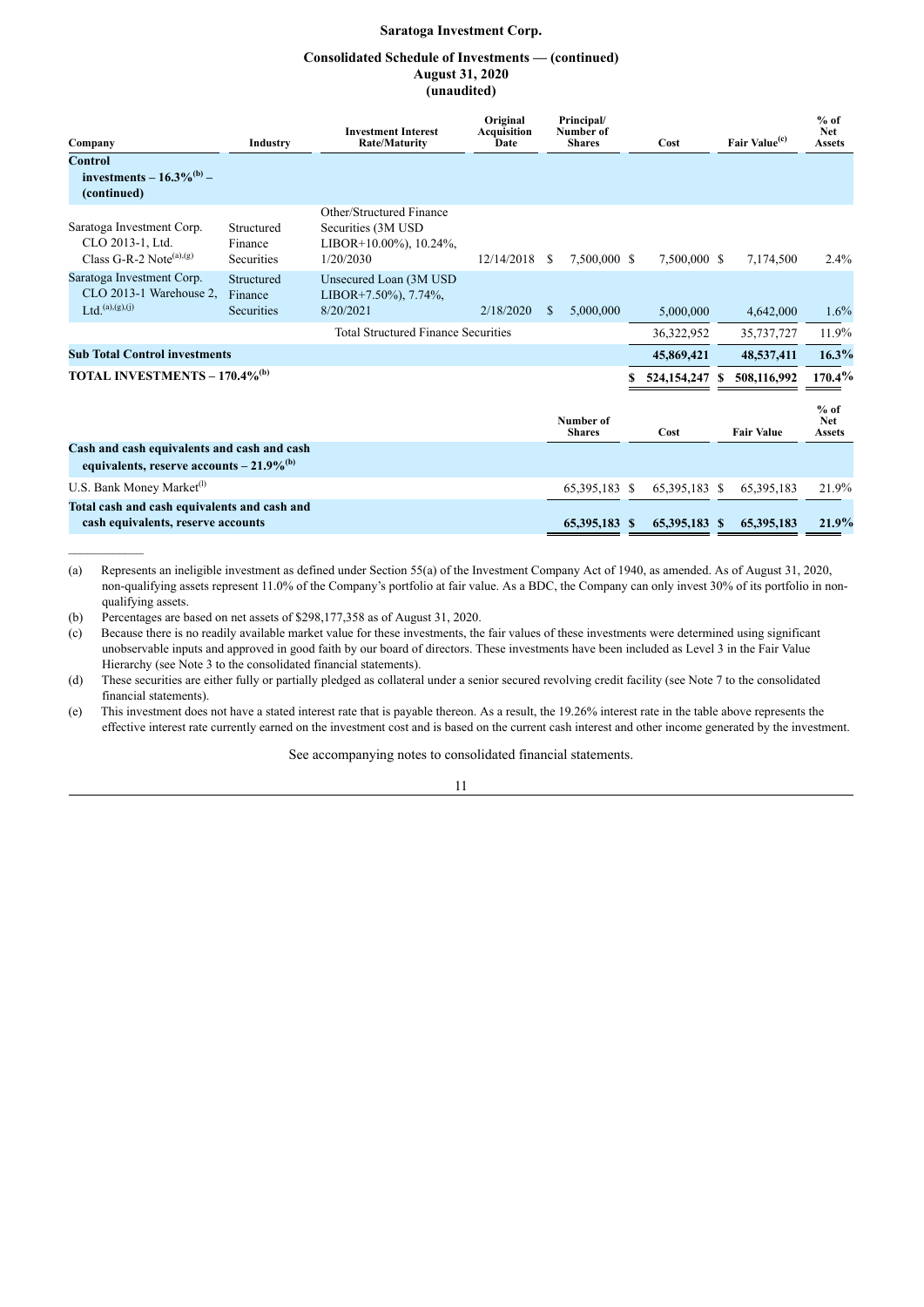## **Consolidated Schedule of Investments — (continued) August 31, 2020 (unaudited)**

| Company                                                                                               | Industry                            | <b>Investment Interest</b><br><b>Rate/Maturity</b>                                     | Original<br><b>Acquisition</b><br>Date | Principal/<br>Number of<br><b>Shares</b> |                            | Cost |               | Fair Value <sup>(c)</sup> |                   | $%$ of<br><b>Net</b><br><b>Assets</b> |
|-------------------------------------------------------------------------------------------------------|-------------------------------------|----------------------------------------------------------------------------------------|----------------------------------------|------------------------------------------|----------------------------|------|---------------|---------------------------|-------------------|---------------------------------------|
| <b>Control</b><br>investments – $16.3\%^{(b)}$ –<br>(continued)                                       |                                     |                                                                                        |                                        |                                          |                            |      |               |                           |                   |                                       |
| Saratoga Investment Corp.<br>CLO 2013-1, Ltd.<br>Class G-R-2 Note <sup>(a),(g)</sup>                  | Structured<br>Finance<br>Securities | Other/Structured Finance<br>Securities (3M USD)<br>LIBOR+10.00%), 10.24%,<br>1/20/2030 | 12/14/2018                             | -S                                       | 7,500,000 \$               |      | 7,500,000 \$  |                           | 7,174,500         | 2.4%                                  |
| Saratoga Investment Corp.<br>CLO 2013-1 Warehouse 2.<br>$Ltd.$ (a),(g),(j)                            | Structured<br>Finance<br>Securities | Unsecured Loan (3M USD<br>LIBOR+7.50%), $7.74\%$ ,<br>8/20/2021                        | 2/18/2020                              | \$.                                      | 5,000,000                  |      | 5,000,000     |                           | 4,642,000         | $1.6\%$                               |
|                                                                                                       |                                     | <b>Total Structured Finance Securities</b>                                             |                                        |                                          |                            |      | 36,322,952    |                           | 35,737,727        | 11.9%                                 |
| <b>Sub Total Control investments</b>                                                                  |                                     |                                                                                        |                                        |                                          |                            |      | 45,869,421    |                           | 48,537,411        | 16.3%                                 |
| TOTAL INVESTMENTS – 170.4% <sup>(b)</sup>                                                             |                                     |                                                                                        |                                        |                                          |                            |      | 524,154,247   |                           | 508,116,992       | $170.4\%$                             |
|                                                                                                       |                                     |                                                                                        |                                        |                                          | Number of<br><b>Shares</b> |      | Cost          |                           | <b>Fair Value</b> | $%$ of<br><b>Net</b><br><b>Assets</b> |
| Cash and cash equivalents and cash and cash<br>equivalents, reserve accounts $-21.9\%$ <sup>(b)</sup> |                                     |                                                                                        |                                        |                                          |                            |      |               |                           |                   |                                       |
| U.S. Bank Money Market <sup>(1)</sup>                                                                 |                                     |                                                                                        |                                        |                                          | 65,395,183 \$              |      | 65,395,183 \$ |                           | 65,395,183        | 21.9%                                 |
| Total cash and cash equivalents and cash and<br>cash equivalents, reserve accounts                    |                                     |                                                                                        |                                        |                                          | 65,395,183 \$              |      | 65,395,183 \$ |                           | 65,395,183        | 21.9%                                 |

(a) Represents an ineligible investment as defined under Section 55(a) of the Investment Company Act of 1940, as amended. As of August 31, 2020, non-qualifying assets represent 11.0% of the Company's portfolio at fair value. As a BDC, the Company can only invest 30% of its portfolio in nonqualifying assets.

(b) Percentages are based on net assets of \$298,177,358 as of August 31, 2020.

(c) Because there is no readily available market value for these investments, the fair values of these investments were determined using significant unobservable inputs and approved in good faith by our board of directors. These investments have been included as Level 3 in the Fair Value Hierarchy (see Note 3 to the consolidated financial statements).

(d) These securities are either fully or partially pledged as collateral under a senior secured revolving credit facility (see Note 7 to the consolidated financial statements).

(e) This investment does not have a stated interest rate that is payable thereon. As a result, the 19.26% interest rate in the table above represents the effective interest rate currently earned on the investment cost and is based on the current cash interest and other income generated by the investment.

See accompanying notes to consolidated financial statements.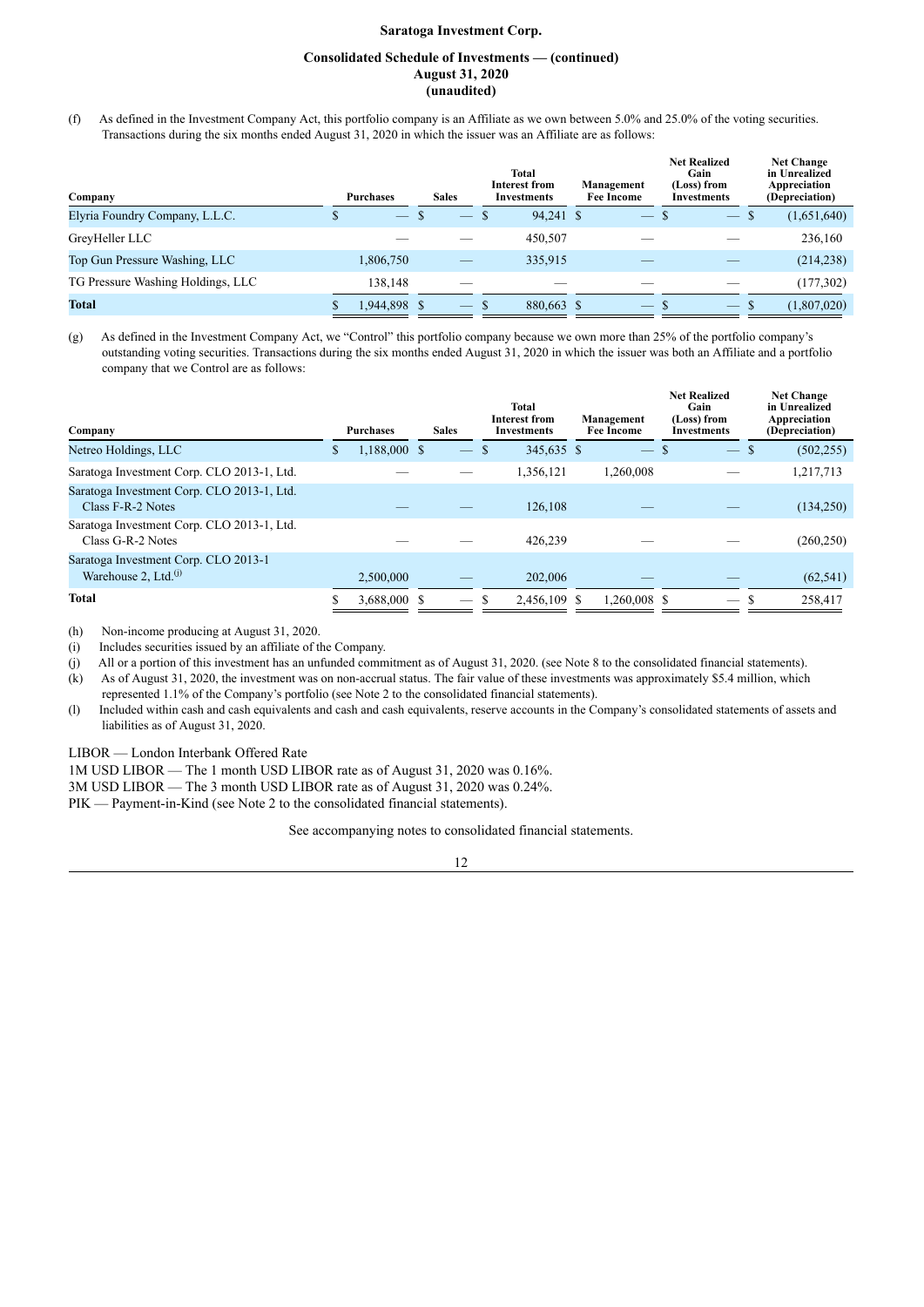## **Consolidated Schedule of Investments — (continued) August 31, 2020 (unaudited)**

(f) As defined in the Investment Company Act, this portfolio company is an Affiliate as we own between 5.0% and 25.0% of the voting securities. Transactions during the six months ended August 31, 2020 in which the issuer was an Affiliate are as follows:

| Company                           | <b>Purchases</b> | <b>Sales</b> | <b>Total</b><br><b>Interest from</b><br><b>Investments</b> | Management<br><b>Fee Income</b> | <b>Net Realized</b><br>Gain<br>(Loss) from<br>Investments | <b>Net Change</b><br>in Unrealized<br>Appreciation<br>(Depreciation) |
|-----------------------------------|------------------|--------------|------------------------------------------------------------|---------------------------------|-----------------------------------------------------------|----------------------------------------------------------------------|
| Elyria Foundry Company, L.L.C.    | التستعد          |              | 94,241 \$<br>S                                             | $\overline{\phantom{0}}$        | $\qquad \qquad -$                                         | (1,651,640)<br>ъ                                                     |
| GreyHeller LLC                    |                  |              | 450.507                                                    |                                 |                                                           | 236,160                                                              |
| Top Gun Pressure Washing, LLC     | 1,806,750        |              | 335,915                                                    |                                 |                                                           | (214, 238)                                                           |
| TG Pressure Washing Holdings, LLC | 138.148          |              |                                                            |                                 |                                                           | (177, 302)                                                           |
| <b>Total</b>                      | 1,944,898 \$     | $-$ \$       | 880,663 \$                                                 | $-$ s                           | $-$ S                                                     | (1,807,020)                                                          |

(g) As defined in the Investment Company Act, we "Control" this portfolio company because we own more than 25% of the portfolio company's outstanding voting securities. Transactions during the six months ended August 31, 2020 in which the issuer was both an Affiliate and a portfolio company that we Control are as follows:

| Company                                                                     |   | <b>Purchases</b> | <b>Sales</b> | Total<br><b>Interest from</b><br><b>Investments</b> | Management<br><b>Fee Income</b> | <b>Net Realized</b><br>Gain<br>(Loss) from<br>Investments |                   |              | <b>Net Change</b><br>in Unrealized<br>Appreciation<br>(Depreciation) |
|-----------------------------------------------------------------------------|---|------------------|--------------|-----------------------------------------------------|---------------------------------|-----------------------------------------------------------|-------------------|--------------|----------------------------------------------------------------------|
| Netreo Holdings, LLC                                                        | Ф | 1,188,000 \$     |              | 345,635 \$                                          | $\frac{1}{2}$                   |                                                           | $\qquad \qquad -$ | <sup>S</sup> | (502, 255)                                                           |
| Saratoga Investment Corp. CLO 2013-1, Ltd.                                  |   |                  |              | 1,356,121                                           | 1,260,008                       |                                                           |                   |              | 1,217,713                                                            |
| Saratoga Investment Corp. CLO 2013-1, Ltd.<br>Class F-R-2 Notes             |   |                  |              | 126,108                                             |                                 |                                                           |                   |              | (134,250)                                                            |
| Saratoga Investment Corp. CLO 2013-1, Ltd.<br>Class G-R-2 Notes             |   |                  |              | 426,239                                             |                                 |                                                           |                   |              | (260, 250)                                                           |
| Saratoga Investment Corp. CLO 2013-1<br>Warehouse $2$ , Ltd. <sup>(j)</sup> |   | 2.500,000        |              | 202,006                                             |                                 |                                                           |                   |              | (62, 541)                                                            |
| <b>Total</b>                                                                |   | 3.688.000 \$     |              | 2.456.109 \$                                        | 1.260,008 \$                    |                                                           |                   |              | 258,417                                                              |

(h) Non-income producing at August 31, 2020.

(i) Includes securities issued by an affiliate of the Company.

(j) All or a portion of this investment has an unfunded commitment as of August 31, 2020. (see Note 8 to the consolidated financial statements).

(k) As of August 31, 2020, the investment was on non-accrual status. The fair value of these investments was approximately \$5.4 million, which represented 1.1% of the Company's portfolio (see Note 2 to the consolidated financial statements).

(l) Included within cash and cash equivalents and cash and cash equivalents, reserve accounts in the Company's consolidated statements of assets and liabilities as of August 31, 2020.

LIBOR — London Interbank Offered Rate

1M USD LIBOR — The 1 month USD LIBOR rate as of August 31, 2020 was 0.16%.

3M USD LIBOR — The 3 month USD LIBOR rate as of August 31, 2020 was 0.24%.

PIK — Payment-in-Kind (see Note 2 to the consolidated financial statements).

See accompanying notes to consolidated financial statements.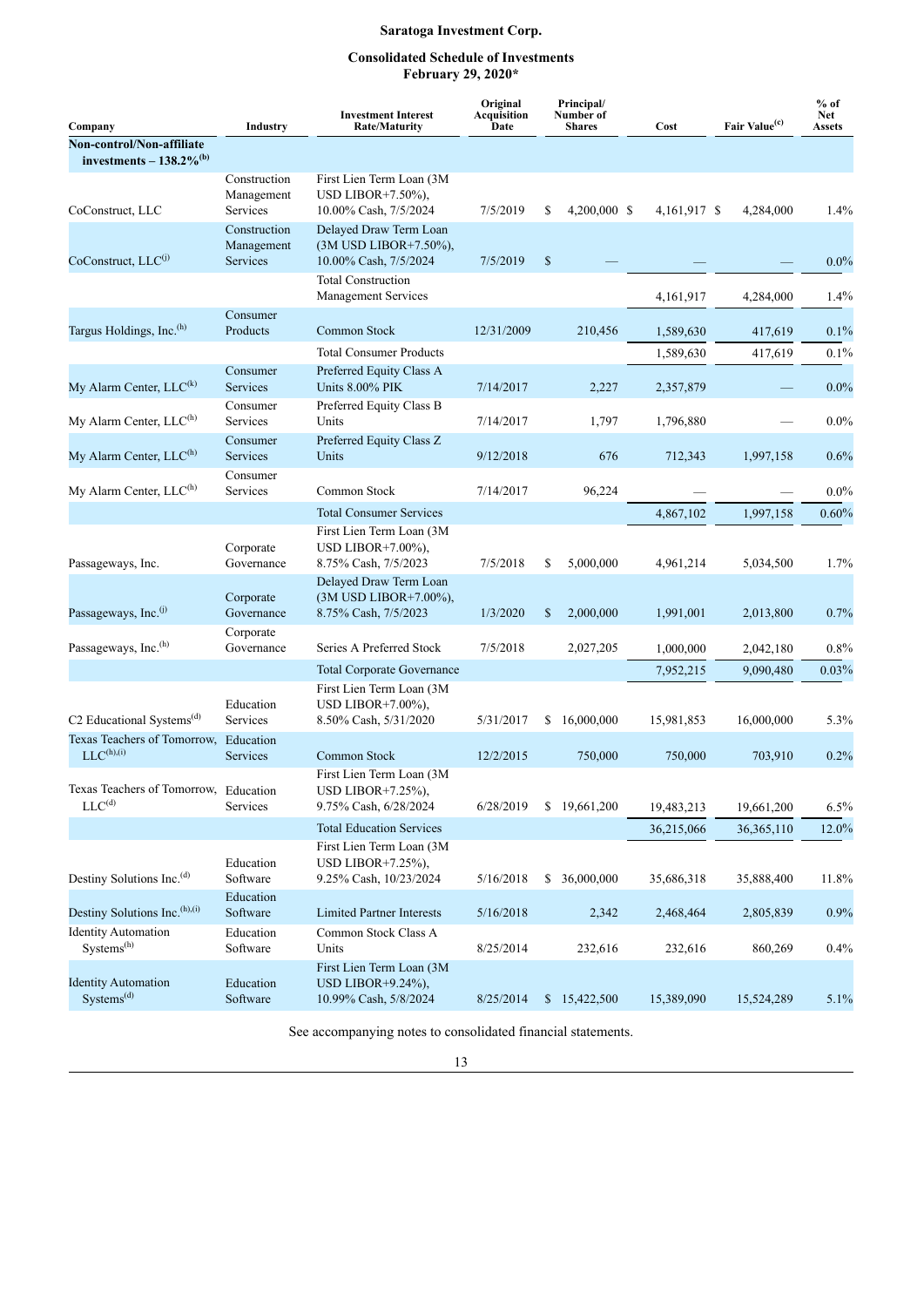## **Consolidated Schedule of Investments February 29, 2020\***

| Company                                                            | Industry                                      | <b>Investment Interest</b><br><b>Rate/Maturity</b>                          | Original<br>Acquisition<br>Date |              | Principal/<br>Number of<br><b>Shares</b> | Cost         | Fair Value <sup>(c)</sup> | $%$ of<br><b>Net</b><br><b>Assets</b> |  |
|--------------------------------------------------------------------|-----------------------------------------------|-----------------------------------------------------------------------------|---------------------------------|--------------|------------------------------------------|--------------|---------------------------|---------------------------------------|--|
| Non-control/Non-affiliate<br>investments $-138.2\%$ <sup>(b)</sup> |                                               |                                                                             |                                 |              |                                          |              |                           |                                       |  |
| CoConstruct, LLC                                                   | Construction<br>Management<br>Services        | First Lien Term Loan (3M<br>USD LIBOR $+7.50\%$ ).<br>10.00% Cash, 7/5/2024 | 7/5/2019                        | \$           | 4,200,000 \$                             | 4,161,917 \$ | 4,284,000                 | 1.4%                                  |  |
| CoConstruct, LLC <sup>(j)</sup>                                    | Construction<br>Management<br><b>Services</b> | Delayed Draw Term Loan<br>(3M USD LIBOR+7.50%),<br>10.00% Cash, 7/5/2024    | 7/5/2019                        | $\mathbb{S}$ |                                          |              |                           | $0.0\%$                               |  |
|                                                                    |                                               | <b>Total Construction</b><br><b>Management Services</b>                     |                                 |              |                                          | 4,161,917    | 4,284,000                 | 1.4%                                  |  |
| Targus Holdings, Inc. <sup>(h)</sup>                               | Consumer<br>Products                          | Common Stock                                                                | 12/31/2009                      |              | 210,456                                  | 1,589,630    | 417,619                   | $0.1\%$                               |  |
|                                                                    |                                               | <b>Total Consumer Products</b>                                              |                                 |              |                                          | 1,589,630    | 417,619                   | 0.1%                                  |  |
| My Alarm Center, LLC <sup>(k)</sup>                                | Consumer<br>Services                          | Preferred Equity Class A<br>Units 8.00% PIK                                 | 7/14/2017                       |              | 2,227                                    | 2,357,879    |                           | $0.0\%$                               |  |
| My Alarm Center, LLC <sup>(h)</sup>                                | Consumer<br>Services                          | Preferred Equity Class B<br>Units                                           | 7/14/2017                       |              | 1,797                                    | 1,796,880    |                           | $0.0\%$                               |  |
| My Alarm Center, LLC <sup>(h)</sup>                                | Consumer<br>Services                          | Preferred Equity Class Z<br>Units                                           | 9/12/2018                       |              | 676                                      | 712,343      | 1,997,158                 | 0.6%                                  |  |
| My Alarm Center, LLC <sup>(h)</sup>                                | Consumer<br>Services                          | Common Stock                                                                | 7/14/2017                       |              | 96,224                                   |              |                           | $0.0\%$                               |  |
|                                                                    |                                               | <b>Total Consumer Services</b>                                              |                                 |              |                                          | 4,867,102    | 1,997,158                 | $0.60\%$                              |  |
| Passageways, Inc.                                                  | Corporate<br>Governance                       | First Lien Term Loan (3M<br>USD LIBOR+7.00%).<br>8.75% Cash, 7/5/2023       | 7/5/2018                        | \$           | 5,000,000                                | 4,961,214    | 5,034,500                 | 1.7%                                  |  |
| Passageways, Inc. <sup>(j)</sup>                                   | Corporate<br>Governance                       | Delayed Draw Term Loan<br>(3M USD LIBOR+7.00%),<br>8.75% Cash, 7/5/2023     | 1/3/2020                        | \$           | 2,000,000                                | 1,991,001    | 2,013,800                 | 0.7%                                  |  |
| Passageways, Inc. <sup>(h)</sup>                                   | Corporate<br>Governance                       | Series A Preferred Stock                                                    | 7/5/2018                        |              | 2,027,205                                | 1,000,000    | 2,042,180                 | $0.8\%$                               |  |
|                                                                    |                                               | <b>Total Corporate Governance</b>                                           |                                 |              |                                          | 7,952,215    | 9,090,480                 | 0.03%                                 |  |
| C <sub>2</sub> Educational Systems <sup>(d)</sup>                  | Education<br>Services                         | First Lien Term Loan (3M<br>USD LIBOR $+7.00\%$ ),<br>8.50% Cash, 5/31/2020 | 5/31/2017                       | \$           | 16,000,000                               | 15,981,853   | 16,000,000                | 5.3%                                  |  |
| Texas Teachers of Tomorrow, Education<br>$LLC^{(h),(i)}$           | <b>Services</b>                               | Common Stock                                                                | 12/2/2015                       |              | 750,000                                  | 750,000      | 703,910                   | 0.2%                                  |  |
| Texas Teachers of Tomorrow, Education<br>$LLC^{(d)}$               | Services                                      | First Lien Term Loan (3M<br>USD LIBOR+7.25%),<br>9.75% Cash, 6/28/2024      | 6/28/2019                       |              | \$19,661,200                             | 19,483,213   | 19,661,200                | $6.5\%$                               |  |
|                                                                    |                                               | <b>Total Education Services</b>                                             |                                 |              |                                          | 36,215,066   | 36, 365, 110              | 12.0%                                 |  |
| Destiny Solutions Inc. <sup>(d)</sup>                              | Education<br>Software                         | First Lien Term Loan (3M<br>USD LIBOR+7.25%),<br>9.25% Cash, 10/23/2024     | 5/16/2018                       | \$           | 36,000,000                               | 35,686,318   | 35,888,400                | 11.8%                                 |  |
| Destiny Solutions Inc. <sup>(h),(i)</sup>                          | Education<br>Software                         | <b>Limited Partner Interests</b>                                            | 5/16/2018                       |              | 2,342                                    | 2,468,464    | 2,805,839                 | 0.9%                                  |  |
| <b>Identity Automation</b><br>Systems <sup>(h)</sup>               | Education<br>Software                         | Common Stock Class A<br>Units                                               | 8/25/2014                       |              | 232,616                                  | 232,616      | 860,269                   | 0.4%                                  |  |
| <b>Identity Automation</b><br>Systems <sup>(d)</sup>               | Education<br>Software                         | First Lien Term Loan (3M<br>USD LIBOR+9.24%),<br>10.99% Cash, 5/8/2024      | 8/25/2014                       |              | \$15,422,500                             | 15,389,090   | 15,524,289                | 5.1%                                  |  |

See accompanying notes to consolidated financial statements.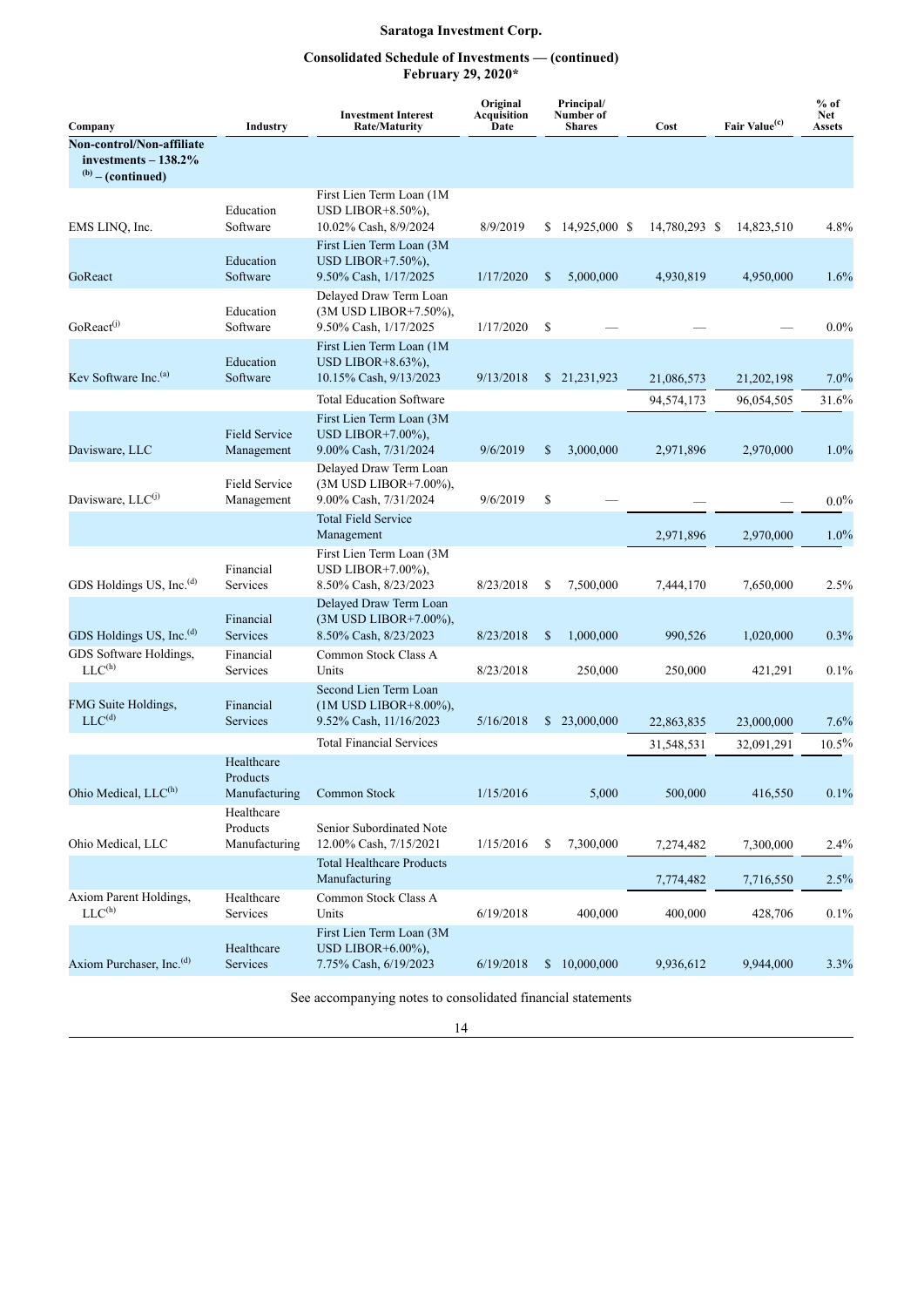## **Consolidated Schedule of Investments — (continued) February 29, 2020\***

| Company                                                                    | Industry                                | <b>Investment Interest</b><br><b>Rate/Maturity</b>                           | Original<br><b>Acquisition</b><br>Date |    | Principal/<br>Number of<br><b>Shares</b> | Cost          | Fair Value <sup>(c)</sup> | $%$ of<br><b>Net</b><br><b>Assets</b> |
|----------------------------------------------------------------------------|-----------------------------------------|------------------------------------------------------------------------------|----------------------------------------|----|------------------------------------------|---------------|---------------------------|---------------------------------------|
| Non-control/Non-affiliate<br>investments $-138.2\%$<br>$(b)$ – (continued) |                                         |                                                                              |                                        |    |                                          |               |                           |                                       |
| EMS LINQ, Inc.                                                             | Education<br>Software                   | First Lien Term Loan (1M<br>USD LIBOR $+8.50\%$ ),<br>10.02% Cash, 8/9/2024  | 8/9/2019                               |    | $$14,925,000$ \, \$                      | 14,780,293 \$ | 14,823,510                | 4.8%                                  |
| GoReact                                                                    | Education<br>Software                   | First Lien Term Loan (3M<br>USD LIBOR $+7.50\%$ ),<br>9.50% Cash, 1/17/2025  | 1/17/2020                              | \$ | 5,000,000                                | 4,930,819     | 4,950,000                 | 1.6%                                  |
| GoReact <sup>(j)</sup>                                                     | Education<br>Software                   | Delayed Draw Term Loan<br>(3M USD LIBOR+7.50%),<br>9.50% Cash, 1/17/2025     | 1/17/2020                              | \$ |                                          |               |                           | $0.0\%$                               |
| Kev Software Inc. <sup>(a)</sup>                                           | Education<br>Software                   | First Lien Term Loan (1M<br>USD LIBOR $+8.63\%$ ),<br>10.15% Cash, 9/13/2023 | 9/13/2018                              |    | \$21,231,923                             | 21,086,573    | 21,202,198                | $7.0\%$                               |
|                                                                            |                                         | <b>Total Education Software</b>                                              |                                        |    |                                          | 94,574,173    | 96,054,505                | 31.6%                                 |
| Davisware, LLC                                                             | <b>Field Service</b><br>Management      | First Lien Term Loan (3M)<br>USD LIBOR+7.00%),<br>9.00% Cash, 7/31/2024      | 9/6/2019                               | \$ | 3,000,000                                | 2,971,896     | 2,970,000                 | 1.0%                                  |
| Davisware, LLC <sup>(j)</sup>                                              | <b>Field Service</b><br>Management      | Delayed Draw Term Loan<br>(3M USD LIBOR+7.00%),<br>9.00% Cash, 7/31/2024     | 9/6/2019                               | \$ |                                          |               |                           | $0.0\%$                               |
|                                                                            |                                         | <b>Total Field Service</b><br>Management                                     |                                        |    |                                          | 2,971,896     | 2,970,000                 | $1.0\%$                               |
| GDS Holdings US, Inc. <sup>(d)</sup>                                       | Financial<br>Services                   | First Lien Term Loan (3M<br>USD LIBOR $+7.00\%$ ),<br>8.50% Cash, 8/23/2023  | 8/23/2018                              | \$ | 7,500,000                                | 7,444,170     | 7,650,000                 | 2.5%                                  |
| GDS Holdings US, Inc. <sup>(d)</sup>                                       | Financial<br>Services                   | Delayed Draw Term Loan<br>(3M USD LIBOR+7.00%),<br>8.50% Cash, 8/23/2023     | 8/23/2018                              | S  | 1,000,000                                | 990,526       | 1,020,000                 | 0.3%                                  |
| GDS Software Holdings,<br>$\text{LLC}^{\text{(h)}}$                        | Financial<br>Services                   | Common Stock Class A<br>Units                                                | 8/23/2018                              |    | 250,000                                  | 250,000       | 421,291                   | 0.1%                                  |
| FMG Suite Holdings,<br>$LLC^{(d)}$                                         | Financial<br><b>Services</b>            | Second Lien Term Loan<br>(1M USD LIBOR+8.00%),<br>9.52% Cash, 11/16/2023     | 5/16/2018                              |    | \$23,000,000                             | 22,863,835    | 23,000,000                | 7.6%                                  |
|                                                                            |                                         | <b>Total Financial Services</b>                                              |                                        |    |                                          | 31,548,531    | 32,091,291                | 10.5%                                 |
| Ohio Medical, LLC <sup>(h)</sup>                                           | Healthcare<br>Products<br>Manufacturing | Common Stock                                                                 | 1/15/2016                              |    | 5,000                                    | 500,000       | 416,550                   | $0.1\%$                               |
| Ohio Medical, LLC                                                          | Healthcare<br>Products<br>Manufacturing | Senior Subordinated Note<br>12.00% Cash, 7/15/2021                           | 1/15/2016                              | \$ | 7,300,000                                | 7,274,482     | 7,300,000                 | 2.4%                                  |
|                                                                            |                                         | <b>Total Healthcare Products</b><br>Manufacturing                            |                                        |    |                                          | 7,774,482     | 7,716,550                 | 2.5%                                  |
| Axiom Parent Holdings,<br>$LLC^{(h)}$                                      | Healthcare<br>Services                  | Common Stock Class A<br>Units                                                | 6/19/2018                              |    | 400,000                                  | 400,000       | 428,706                   | 0.1%                                  |
| Axiom Purchaser, Inc. <sup>(d)</sup>                                       | Healthcare<br>Services                  | First Lien Term Loan (3M<br>USD LIBOR $+6.00\%$ ),<br>7.75% Cash, 6/19/2023  | 6/19/2018                              |    | \$10,000,000                             | 9,936,612     | 9,944,000                 | 3.3%                                  |

See accompanying notes to consolidated financial statements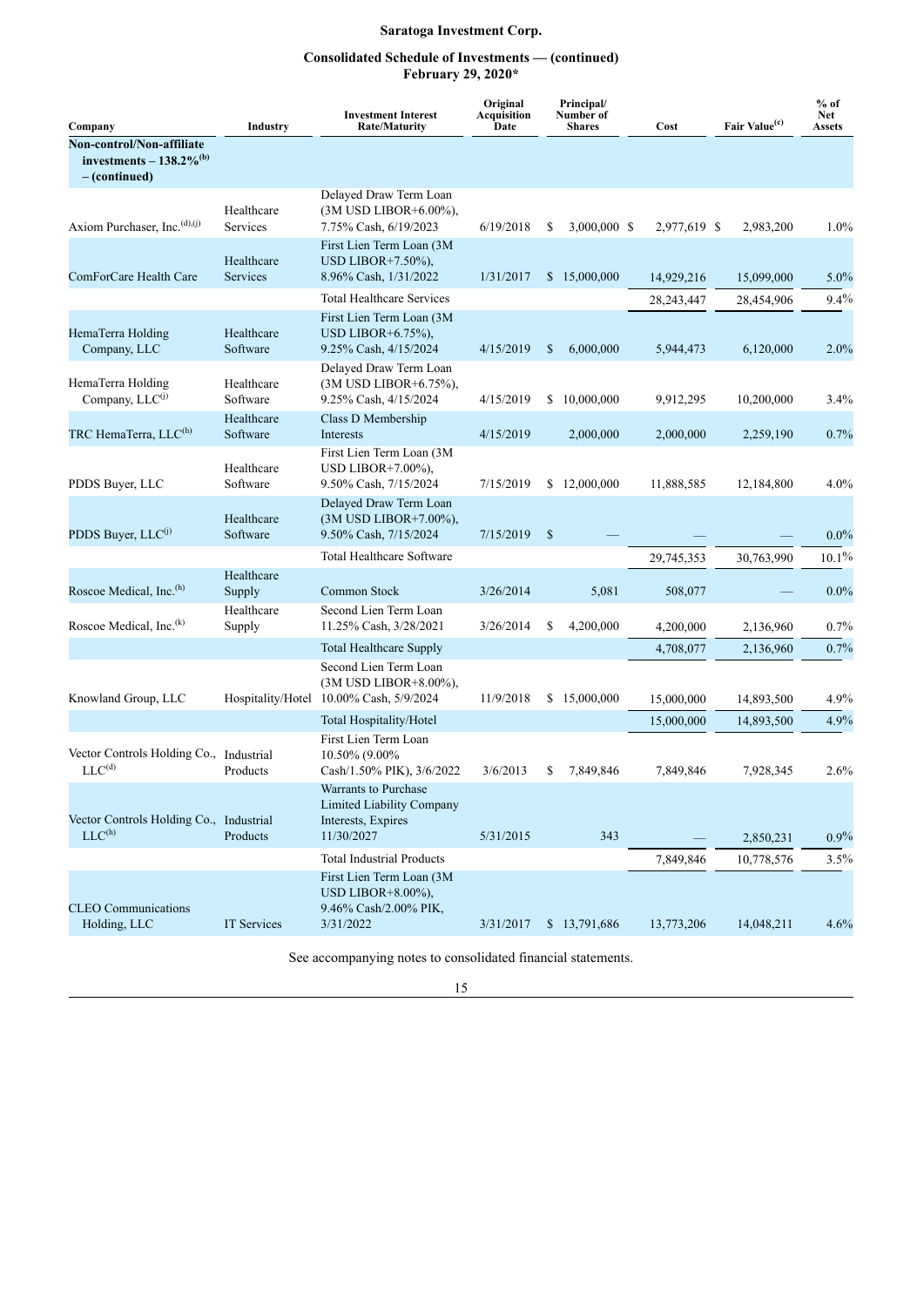## **Consolidated Schedule of Investments — (continued) February 29, 2020\***

| Company                                                                                | <b>Industry</b>        |                                                                                              | Original<br><b>Acquisition</b><br>Date | Principal/<br>Number of<br><b>Shares</b> | Cost         | Fair Value <sup>(c)</sup> | $%$ of<br><b>Net</b><br><b>Assets</b> |
|----------------------------------------------------------------------------------------|------------------------|----------------------------------------------------------------------------------------------|----------------------------------------|------------------------------------------|--------------|---------------------------|---------------------------------------|
| Non-control/Non-affiliate<br>investments - $138.2\%$ <sup>(b)</sup><br>$-$ (continued) |                        |                                                                                              |                                        |                                          |              |                           |                                       |
| Axiom Purchaser, Inc. $(d), (j)$                                                       | Healthcare<br>Services | Delayed Draw Term Loan<br>(3M USD LIBOR+6.00%),<br>7.75% Cash, 6/19/2023                     | 6/19/2018                              | 3,000,000 \$<br>\$                       | 2,977,619 \$ | 2,983,200                 | 1.0%                                  |
| ComForCare Health Care                                                                 | Healthcare<br>Services | First Lien Term Loan (3M<br>USD LIBOR $+7.50\%$ ).<br>8.96% Cash, 1/31/2022                  | 1/31/2017                              | \$15,000,000                             | 14,929,216   | 15,099,000                | $5.0\%$                               |
|                                                                                        |                        | <b>Total Healthcare Services</b>                                                             |                                        |                                          | 28,243,447   | 28,454,906                | 9.4%                                  |
| HemaTerra Holding<br>Company, LLC                                                      | Healthcare<br>Software | First Lien Term Loan (3M<br>USD LIBOR+ $6.75\%$ ),<br>9.25% Cash, 4/15/2024                  | 4/15/2019                              | 6,000,000<br>\$                          | 5,944,473    | 6,120,000                 | $2.0\%$                               |
| HemaTerra Holding<br>Company, LLC <sup>(j)</sup>                                       | Healthcare<br>Software | Delayed Draw Term Loan<br>(3M USD LIBOR+6.75%),<br>9.25% Cash, 4/15/2024                     | 4/15/2019                              | S<br>10,000,000                          | 9,912,295    | 10,200,000                | 3.4%                                  |
| TRC HemaTerra, LLC <sup>(h)</sup>                                                      | Healthcare<br>Software | Class D Membership<br>Interests                                                              | 4/15/2019                              | 2,000,000                                | 2,000,000    | 2,259,190                 | 0.7%                                  |
| PDDS Buver, LLC                                                                        | Healthcare<br>Software | First Lien Term Loan (3M<br>USD LIBOR $+7.00\%$ ),<br>9.50% Cash, 7/15/2024                  | 7/15/2019                              | \$12,000,000                             | 11,888,585   | 12,184,800                | $4.0\%$                               |
| PDDS Buyer, LLC <sup>(j)</sup>                                                         | Healthcare<br>Software | Delayed Draw Term Loan<br>(3M USD LIBOR+7.00%),<br>9.50% Cash, 7/15/2024                     | 7/15/2019                              | $\mathbb{S}$                             |              |                           | $0.0\%$                               |
|                                                                                        |                        | <b>Total Healthcare Software</b>                                                             |                                        |                                          | 29,745,353   | 30,763,990                | $10.1\%$                              |
| Roscoe Medical, Inc. <sup>(h)</sup>                                                    | Healthcare<br>Supply   | Common Stock                                                                                 | 3/26/2014                              | 5,081                                    | 508,077      |                           | $0.0\%$                               |
| Roscoe Medical, Inc. <sup>(k)</sup>                                                    | Healthcare<br>Supply   | Second Lien Term Loan<br>11.25% Cash, 3/28/2021                                              | 3/26/2014                              | 4,200,000<br>\$                          | 4,200,000    | 2,136,960                 | $0.7\%$                               |
|                                                                                        |                        | <b>Total Healthcare Supply</b>                                                               |                                        |                                          | 4,708,077    | 2,136,960                 | 0.7%                                  |
| Knowland Group, LLC                                                                    |                        | Second Lien Term Loan<br>(3M USD LIBOR+8.00%),<br>Hospitality/Hotel 10.00% Cash, 5/9/2024    | 11/9/2018                              | \$15,000,000                             | 15,000,000   | 14,893,500                | $4.9\%$                               |
|                                                                                        |                        | Total Hospitality/Hotel                                                                      |                                        |                                          | 15,000,000   | 14,893,500                | 4.9%                                  |
| Vector Controls Holding Co., Industrial<br>$LLC^{(d)}$                                 | Products               | First Lien Term Loan<br>10.50% (9.00%)<br>Cash/1.50% PIK), 3/6/2022                          | 3/6/2013                               | 7,849,846<br>S                           | 7,849,846    | 7,928,345                 | 2.6%                                  |
| Vector Controls Holding Co., Industrial<br>LLC <sup>(h)</sup>                          | Products               | Warrants to Purchase<br><b>Limited Liability Company</b><br>Interests, Expires<br>11/30/2027 | 5/31/2015                              | 343                                      |              | 2,850,231                 | $0.9\%$                               |
|                                                                                        |                        | <b>Total Industrial Products</b>                                                             |                                        |                                          | 7,849,846    | 10,778,576                | 3.5%                                  |
| <b>CLEO</b> Communications<br>Holding, LLC                                             | IT Services            | First Lien Term Loan (3M<br>USD LIBOR $+8.00\%$ ),<br>9.46% Cash/2.00% PIK,<br>3/31/2022     | 3/31/2017                              | \$13,791,686                             | 13,773,206   | 14,048,211                | 4.6%                                  |

See accompanying notes to consolidated financial statements.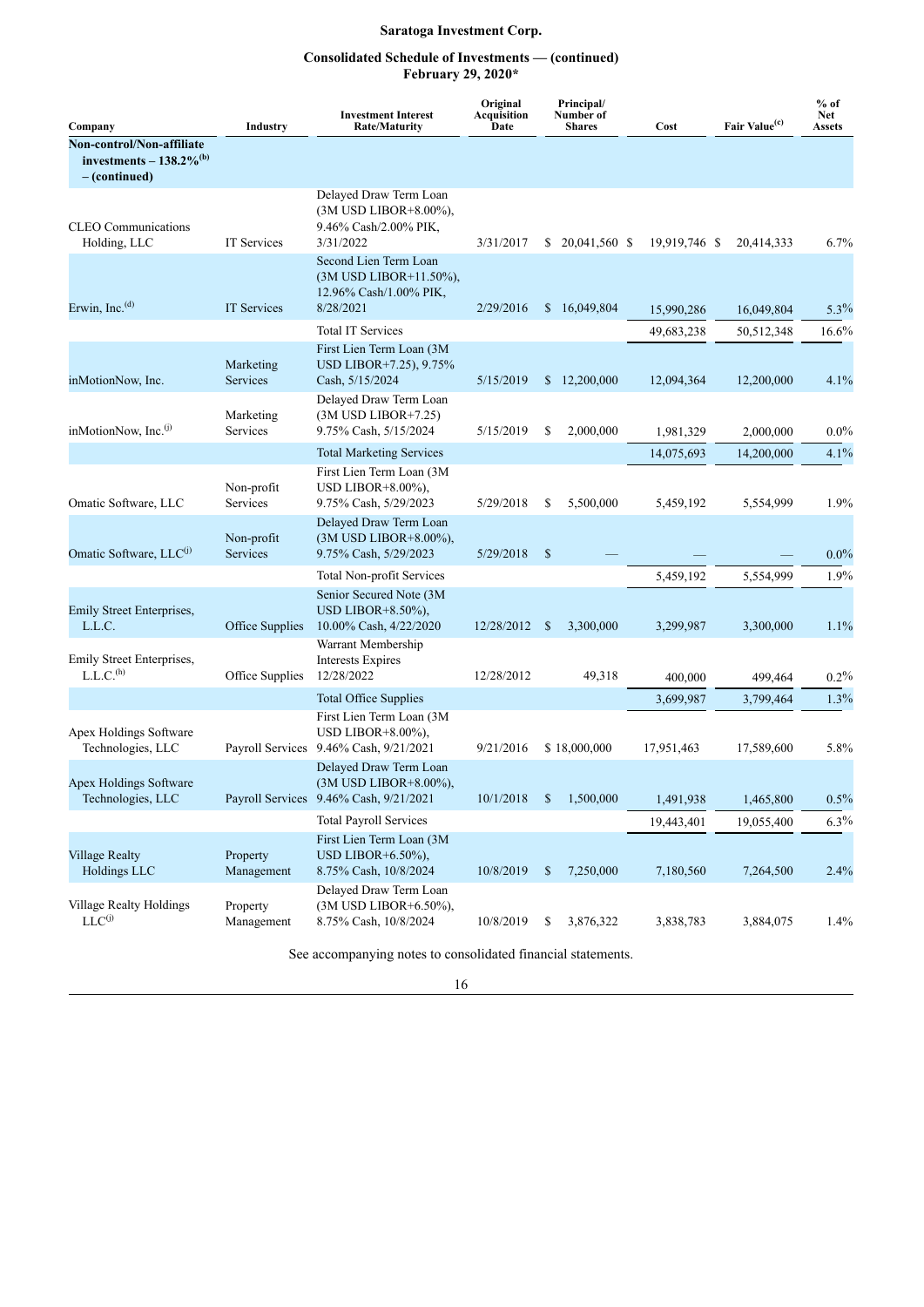## **Consolidated Schedule of Investments — (continued) February 29, 2020\***

| Company                                                                             | Industry               | <b>Investment Interest</b><br><b>Rate/Maturity</b>                                        | Original<br>Acquisition<br>Date |               | Principal/<br>Number of<br><b>Shares</b> | Cost          | Fair Value <sup>(c)</sup> | $%$ of<br><b>Net</b><br><b>Assets</b> |
|-------------------------------------------------------------------------------------|------------------------|-------------------------------------------------------------------------------------------|---------------------------------|---------------|------------------------------------------|---------------|---------------------------|---------------------------------------|
| Non-control/Non-affiliate<br>investments $-138.2\%$ <sup>(b)</sup><br>– (continued) |                        |                                                                                           |                                 |               |                                          |               |                           |                                       |
| <b>CLEO</b> Communications<br>Holding, LLC                                          | IT Services            | Delayed Draw Term Loan<br>(3M USD LIBOR+8.00%),<br>9.46% Cash/2.00% PIK,<br>3/31/2022     | 3/31/2017                       | S.            | 20,041,560 \$                            | 19,919,746 \$ | 20,414,333                | 6.7%                                  |
| Erwin, Inc. $(d)$                                                                   | <b>IT Services</b>     | Second Lien Term Loan<br>(3M USD LIBOR+11.50%),<br>12.96% Cash/1.00% PIK,<br>8/28/2021    | 2/29/2016                       | $\mathbb{S}$  | 16,049,804                               | 15,990,286    | 16,049,804                | $5.3\%$                               |
|                                                                                     |                        | <b>Total IT Services</b>                                                                  |                                 |               |                                          | 49,683,238    | 50,512,348                | 16.6%                                 |
| inMotionNow, Inc.                                                                   | Marketing<br>Services  | First Lien Term Loan (3M<br>USD LIBOR+7.25), 9.75%<br>Cash, 5/15/2024                     | 5/15/2019                       | S.            | 12,200,000                               | 12,094,364    | 12,200,000                | 4.1%                                  |
| inMotionNow, Inc. <sup>(j)</sup>                                                    | Marketing<br>Services  | Delayed Draw Term Loan<br>$(3M$ USD LIBOR+7.25)<br>9.75% Cash, 5/15/2024                  | 5/15/2019                       | \$            | 2,000,000                                | 1,981,329     | 2,000,000                 | $0.0\%$                               |
|                                                                                     |                        | <b>Total Marketing Services</b>                                                           |                                 |               |                                          | 14,075,693    | 14,200,000                | 4.1%                                  |
| Omatic Software, LLC                                                                | Non-profit<br>Services | First Lien Term Loan (3M<br>USD LIBOR $+8.00\%$ ),<br>9.75% Cash, 5/29/2023               | 5/29/2018                       | \$            | 5,500,000                                | 5,459,192     | 5,554,999                 | 1.9%                                  |
| Omatic Software, LLC <sup>(j)</sup>                                                 | Non-profit<br>Services | Delayed Draw Term Loan<br>(3M USD LIBOR+8.00%),<br>9.75% Cash, 5/29/2023                  | 5/29/2018                       | $\mathbb{S}$  |                                          |               |                           | $0.0\%$                               |
|                                                                                     |                        | Total Non-profit Services                                                                 |                                 |               |                                          | 5,459,192     | 5,554,999                 | 1.9%                                  |
| Emily Street Enterprises,<br>L.L.C.                                                 | Office Supplies        | Senior Secured Note (3M<br>USD LIBOR $+8.50\%$ ),<br>10.00% Cash, 4/22/2020               | 12/28/2012                      | <sup>\$</sup> | 3,300,000                                | 3,299,987     | 3,300,000                 | 1.1%                                  |
| Emily Street Enterprises,<br>L.L.C. <sup>(h)</sup>                                  | Office Supplies        | Warrant Membership<br>Interests Expires<br>12/28/2022                                     | 12/28/2012                      |               | 49,318                                   | 400,000       | 499,464                   | 0.2%                                  |
|                                                                                     |                        | <b>Total Office Supplies</b>                                                              |                                 |               |                                          | 3,699,987     | 3,799,464                 | 1.3%                                  |
| Apex Holdings Software<br>Technologies, LLC                                         | Payroll Services       | First Lien Term Loan (3M<br>USD LIBOR+8.00%).<br>9.46% Cash, 9/21/2021                    | 9/21/2016                       |               | \$18,000,000                             | 17,951,463    | 17,589,600                | 5.8%                                  |
| Apex Holdings Software<br>Technologies, LLC                                         |                        | Delayed Draw Term Loan<br>(3M USD LIBOR+8.00%),<br>Payroll Services 9.46% Cash, 9/21/2021 | 10/1/2018                       | \$            | 1,500,000                                | 1,491,938     | 1,465,800                 | $0.5\%$                               |
|                                                                                     |                        | <b>Total Payroll Services</b>                                                             |                                 |               |                                          | 19,443,401    | 19,055,400                | $6.3\%$                               |
| <b>Village Realty</b><br>Holdings LLC                                               | Property<br>Management | First Lien Term Loan (3M<br>USD LIBOR+6.50%),<br>8.75% Cash, 10/8/2024                    | 10/8/2019                       | \$            | 7,250,000                                | 7,180,560     | 7,264,500                 | 2.4%                                  |
| Village Realty Holdings<br>$LLC^{(j)}$                                              | Property<br>Management | Delayed Draw Term Loan<br>(3M USD LIBOR+6.50%),<br>8.75% Cash, 10/8/2024                  | 10/8/2019                       | \$            | 3,876,322                                | 3,838,783     | 3,884,075                 | $1.4\%$                               |

See accompanying notes to consolidated financial statements.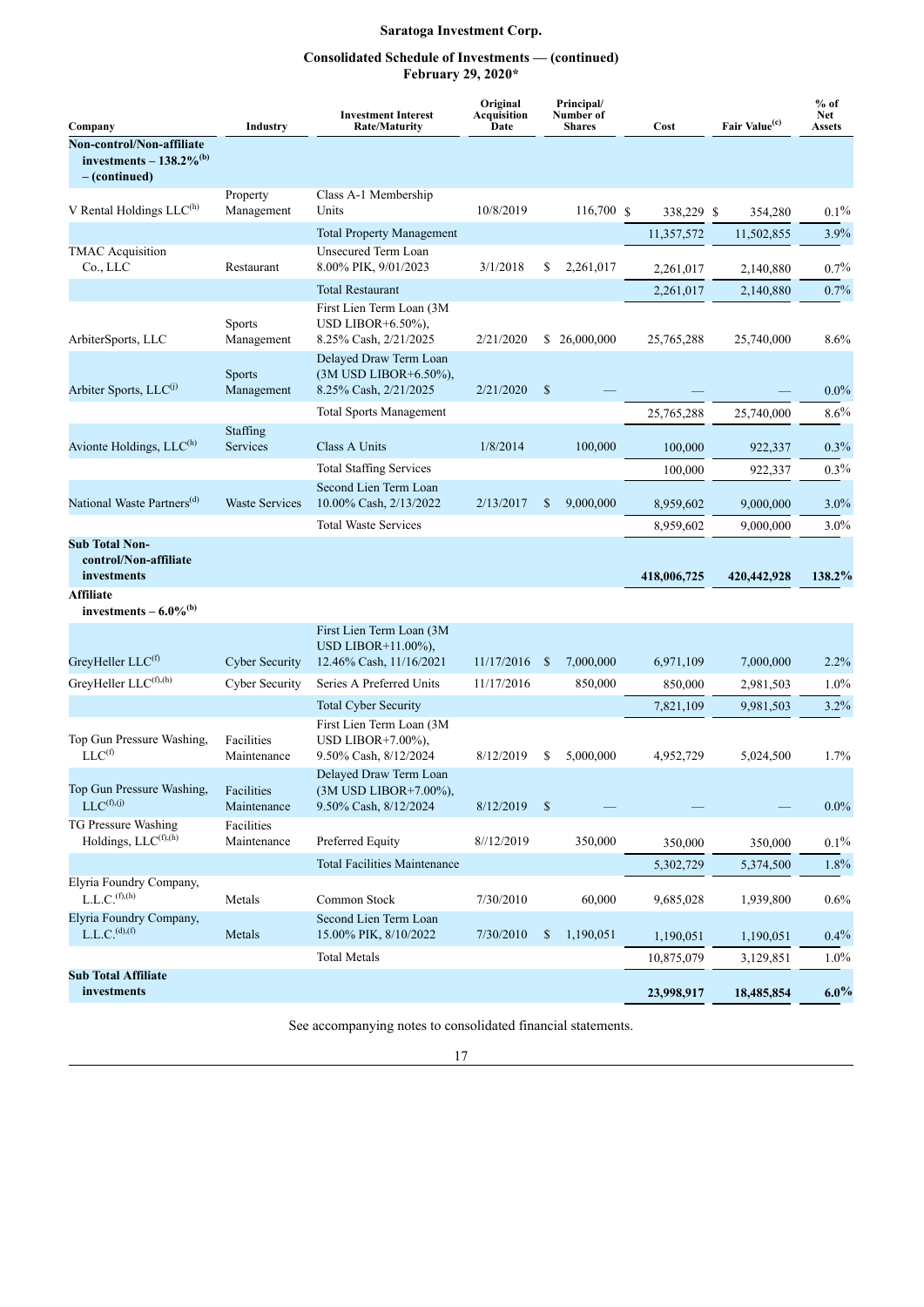## **Consolidated Schedule of Investments — (continued) February 29, 2020\***

| Company                                                                               | <b>Industry</b>             | <b>Investment Interest</b><br><b>Rate/Maturity</b>                              | Original<br>Acquisition<br>Date |              | Principal/<br>Number of<br><b>Shares</b> |  | Cost        |  | Fair Value <sup>(c)</sup> | $%$ of<br>Net<br><b>Assets</b> |
|---------------------------------------------------------------------------------------|-----------------------------|---------------------------------------------------------------------------------|---------------------------------|--------------|------------------------------------------|--|-------------|--|---------------------------|--------------------------------|
| Non-control/Non-affiliate<br>investments $-138.2\%$ <sup>(b)</sup><br>$-$ (continued) |                             |                                                                                 |                                 |              |                                          |  |             |  |                           |                                |
| V Rental Holdings $LLC^{(h)}$                                                         | Property<br>Management      | Class A-1 Membership<br>Units                                                   | 10/8/2019                       |              | 116,700 \$                               |  | 338,229 \$  |  | 354,280                   | $0.1\%$                        |
|                                                                                       |                             | <b>Total Property Management</b>                                                |                                 |              |                                          |  | 11,357,572  |  | 11,502,855                | 3.9%                           |
| <b>TMAC</b> Acquisition<br>Co., LLC                                                   | Restaurant                  | Unsecured Term Loan<br>8.00% PIK, 9/01/2023                                     | 3/1/2018                        | \$           | 2,261,017                                |  | 2,261,017   |  | 2,140,880                 | 0.7%                           |
|                                                                                       |                             | <b>Total Restaurant</b>                                                         |                                 |              |                                          |  | 2,261,017   |  | 2,140,880                 | $0.7\%$                        |
| ArbiterSports, LLC                                                                    | Sports<br>Management        | First Lien Term Loan (3M<br>USD LIBOR+ $6.50\%$ ),<br>8.25% Cash, 2/21/2025     | 2/21/2020                       |              | \$26,000,000                             |  | 25,765,288  |  | 25,740,000                | 8.6%                           |
| Arbiter Sports, LLC <sup>(j)</sup>                                                    | <b>Sports</b><br>Management | Delayed Draw Term Loan<br>(3M USD LIBOR+6.50%),<br>8.25% Cash, 2/21/2025        | $\mathbb{S}$<br>2/21/2020       |              |                                          |  |             |  |                           | $0.0\%$                        |
|                                                                                       |                             | <b>Total Sports Management</b>                                                  |                                 |              |                                          |  | 25,765,288  |  | 25,740,000                | 8.6%                           |
| Avionte Holdings, LLC <sup>(h)</sup>                                                  | Staffing<br>Services        | Class A Units                                                                   | 1/8/2014                        |              | 100,000                                  |  | 100,000     |  | 922,337                   | $0.3\%$                        |
|                                                                                       |                             | <b>Total Staffing Services</b>                                                  |                                 |              |                                          |  | 100,000     |  | 922,337                   | $0.3\%$                        |
| National Waste Partners <sup>(d)</sup>                                                | <b>Waste Services</b>       | Second Lien Term Loan<br>10.00% Cash, 2/13/2022                                 | 2/13/2017                       | \$           | 9,000,000                                |  | 8,959,602   |  | 9,000,000                 | $3.0\%$                        |
|                                                                                       |                             | <b>Total Waste Services</b>                                                     |                                 |              |                                          |  | 8,959,602   |  | 9,000,000                 | 3.0%                           |
| <b>Sub Total Non-</b><br>control/Non-affiliate<br>investments                         |                             |                                                                                 |                                 |              |                                          |  | 418,006,725 |  | 420,442,928               | 138.2%                         |
| <b>Affiliate</b><br>investments $-6.0\%$ <sup>(b)</sup>                               |                             |                                                                                 |                                 |              |                                          |  |             |  |                           |                                |
| GreyHeller LLC <sup>(f)</sup>                                                         | <b>Cyber Security</b>       | First Lien Term Loan (3M)<br>USD LIBOR $+11.00\%$ ),<br>12.46% Cash, 11/16/2021 | 11/17/2016                      | -S           | 7,000,000                                |  | 6,971,109   |  | 7,000,000                 | 2.2%                           |
| GreyHeller LLC(f),(h)                                                                 | <b>Cyber Security</b>       | Series A Preferred Units                                                        | 11/17/2016                      |              | 850,000                                  |  | 850,000     |  | 2,981,503                 | $1.0\%$                        |
|                                                                                       |                             | <b>Total Cyber Security</b>                                                     |                                 |              |                                          |  | 7,821,109   |  | 9,981,503                 | 3.2%                           |
| Top Gun Pressure Washing,<br>$LLC^{(f)}$                                              | Facilities<br>Maintenance   | First Lien Term Loan (3M<br>USD LIBOR $+7.00\%$ ),<br>9.50% Cash, 8/12/2024     | 8/12/2019                       | \$           | 5,000,000                                |  | 4,952,729   |  | 5,024,500                 | 1.7%                           |
| Top Gun Pressure Washing,<br>$LLC^{(f),(j)}$                                          | Facilities<br>Maintenance   | Delayed Draw Term Loan<br>(3M USD LIBOR+7.00%),<br>9.50% Cash, 8/12/2024        | 8/12/2019                       | $\mathbb{S}$ |                                          |  |             |  |                           | $0.0\%$                        |
| TG Pressure Washing<br>Holdings, LLC <sup>(f),(h)</sup>                               | Facilities<br>Maintenance   | Preferred Equity                                                                | 8//12/2019                      |              | 350,000                                  |  | 350,000     |  | 350,000                   | $0.1\%$                        |
|                                                                                       |                             | <b>Total Facilities Maintenance</b>                                             |                                 |              |                                          |  | 5,302,729   |  | 5,374,500                 | 1.8%                           |
| Elyria Foundry Company,<br>L.L.C. <sup>(f),(h)</sup>                                  | Metals                      | Common Stock                                                                    | 7/30/2010                       |              | 60,000                                   |  | 9,685,028   |  | 1,939,800                 | 0.6%                           |
| Elyria Foundry Company,<br>L.L.C. <sup>(d),(f)</sup>                                  | Metals                      | Second Lien Term Loan<br>15.00% PIK, 8/10/2022                                  | 7/30/2010                       | \$           | 1,190,051                                |  | 1,190,051   |  | 1,190,051                 | $0.4\%$                        |
|                                                                                       |                             | <b>Total Metals</b>                                                             |                                 |              |                                          |  | 10,875,079  |  | 3,129,851                 | $1.0\%$                        |
| <b>Sub Total Affiliate</b><br>investments                                             |                             |                                                                                 |                                 |              |                                          |  | 23,998,917  |  | 18,485,854                | $6.0\%$                        |

See accompanying notes to consolidated financial statements.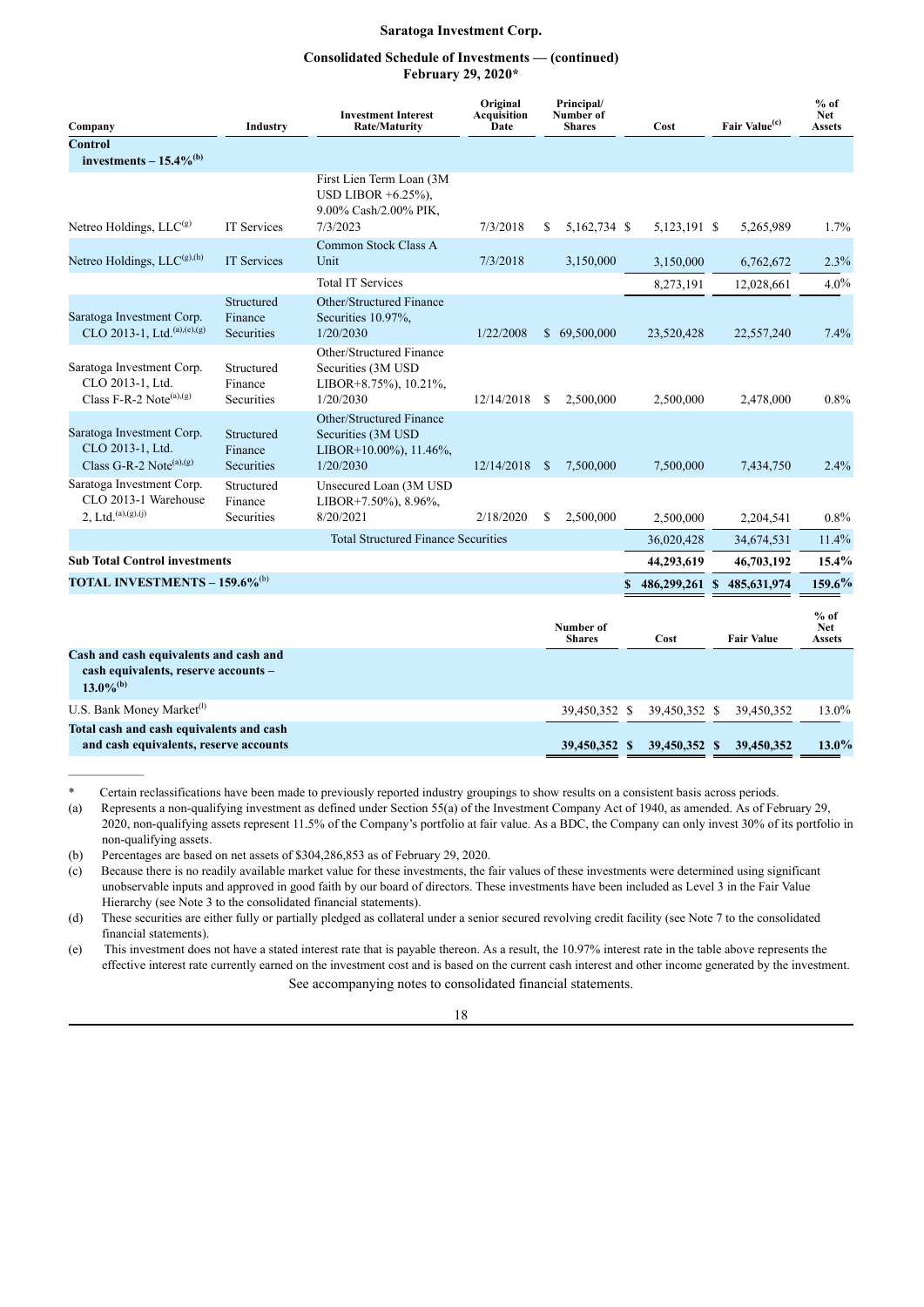## **Consolidated Schedule of Investments — (continued) February 29, 2020\***

| Company                                                                                                   | Industry                            | <b>Investment Interest</b><br><b>Rate/Maturity</b>                                      | Original<br><b>Acquisition</b><br>Date |    | Principal/<br>Number of<br><b>Shares</b> |    | Cost           | Fair Value <sup>(c)</sup> | $%$ of<br><b>Net</b><br><b>Assets</b> |
|-----------------------------------------------------------------------------------------------------------|-------------------------------------|-----------------------------------------------------------------------------------------|----------------------------------------|----|------------------------------------------|----|----------------|---------------------------|---------------------------------------|
| <b>Control</b>                                                                                            |                                     |                                                                                         |                                        |    |                                          |    |                |                           |                                       |
| investments $-15.4\%$ <sup>(b)</sup>                                                                      |                                     |                                                                                         |                                        |    |                                          |    |                |                           |                                       |
| Netreo Holdings, $LLC(g)$                                                                                 | <b>IT Services</b>                  | First Lien Term Loan (3M<br>USD LIBOR $+6.25\%$ ),<br>9.00% Cash/2.00% PIK,<br>7/3/2023 | 7/3/2018                               | S  | 5,162,734 \$                             |    | 5,123,191 \$   | 5,265,989                 | 1.7%                                  |
| Netreo Holdings, $LLC^{(g),(h)}$                                                                          | <b>IT Services</b>                  | Common Stock Class A<br>Unit<br>7/3/2018                                                |                                        |    | 3,150,000                                |    | 3,150,000      | 6,762,672                 | 2.3%                                  |
|                                                                                                           |                                     | <b>Total IT Services</b>                                                                |                                        |    |                                          |    | 8,273,191      | 12,028,661                | $4.0\%$                               |
| Saratoga Investment Corp.<br>CLO 2013-1, Ltd. <sup>(a),(e),(g)</sup>                                      | Structured<br>Finance<br>Securities | Other/Structured Finance<br>Securities 10.97%,<br>1/20/2030                             | 1/22/2008                              |    | \$69,500,000                             |    | 23,520,428     | 22,557,240                | 7.4%                                  |
| Saratoga Investment Corp.<br>CLO 2013-1, Ltd.<br>Class F-R-2 Note <sup>(a),(g)</sup>                      | Structured<br>Finance<br>Securities | Other/Structured Finance<br>Securities (3M USD<br>LIBOR+8.75%), 10.21%,<br>1/20/2030    | 12/14/2018                             | \$ | 2,500,000                                |    | 2,500,000      | 2,478,000                 | 0.8%                                  |
| Saratoga Investment Corp.<br>CLO 2013-1, Ltd.<br>Class G-R-2 Note <sup>(a),(g)</sup>                      | Structured<br>Finance<br>Securities | Other/Structured Finance<br>Securities (3M USD<br>LIBOR+10.00%), 11.46%,<br>1/20/2030   | 12/14/2018                             | -S | 7,500,000                                |    | 7,500,000      | 7,434,750                 | 2.4%                                  |
| Saratoga Investment Corp.<br>CLO 2013-1 Warehouse<br>$2, Ltd.$ <sup>(a),(g),(j)</sup>                     | Structured<br>Finance<br>Securities | Unsecured Loan (3M USD<br>LIBOR+7.50%), 8.96%,<br>8/20/2021                             | 2/18/2020                              | \$ | 2,500,000                                |    | 2,500,000      | 2,204,541                 | 0.8%                                  |
|                                                                                                           |                                     | <b>Total Structured Finance Securities</b>                                              |                                        |    |                                          |    | 36,020,428     | 34,674,531                | 11.4%                                 |
| <b>Sub Total Control investments</b>                                                                      |                                     |                                                                                         |                                        |    |                                          |    | 44,293,619     | 46,703,192                | $15.4\%$                              |
| <b>TOTAL INVESTMENTS – 159.6%</b> <sup>(b)</sup>                                                          |                                     |                                                                                         |                                        |    |                                          | \$ | 486,299,261 \$ | 485, 631, 974             | 159.6%                                |
|                                                                                                           |                                     |                                                                                         |                                        |    | Number of<br><b>Shares</b>               |    | Cost           | <b>Fair Value</b>         | $%$ of<br><b>Net</b><br>Assets        |
| Cash and cash equivalents and cash and<br>cash equivalents, reserve accounts -<br>$13.0\%$ <sup>(b)</sup> |                                     |                                                                                         |                                        |    |                                          |    |                |                           |                                       |
| U.S. Bank Money Market <sup>(1)</sup>                                                                     |                                     |                                                                                         |                                        |    | 39,450,352 \$                            |    | 39,450,352 \$  | 39,450,352                | 13.0%                                 |
| Total cash and cash equivalents and cash<br>and cash equivalents, reserve accounts                        |                                     |                                                                                         |                                        |    | 39,450,352 \$                            |    | 39,450,352 \$  | 39,450,352                | $13.0\%$                              |

\* Certain reclassifications have been made to previously reported industry groupings to show results on a consistent basis across periods.

(a) Represents a non-qualifying investment as defined under Section 55(a) of the Investment Company Act of 1940, as amended. As of February 29, 2020, non-qualifying assets represent 11.5% of the Company's portfolio at fair value. As a BDC, the Company can only invest 30% of its portfolio in non-qualifying assets.

(b) Percentages are based on net assets of \$304,286,853 as of February 29, 2020.

(c) Because there is no readily available market value for these investments, the fair values of these investments were determined using significant unobservable inputs and approved in good faith by our board of directors. These investments have been included as Level 3 in the Fair Value Hierarchy (see Note 3 to the consolidated financial statements).

(d) These securities are either fully or partially pledged as collateral under a senior secured revolving credit facility (see Note 7 to the consolidated financial statements).

(e) This investment does not have a stated interest rate that is payable thereon. As a result, the 10.97% interest rate in the table above represents the effective interest rate currently earned on the investment cost and is based on the current cash interest and other income generated by the investment. See accompanying notes to consolidated financial statements.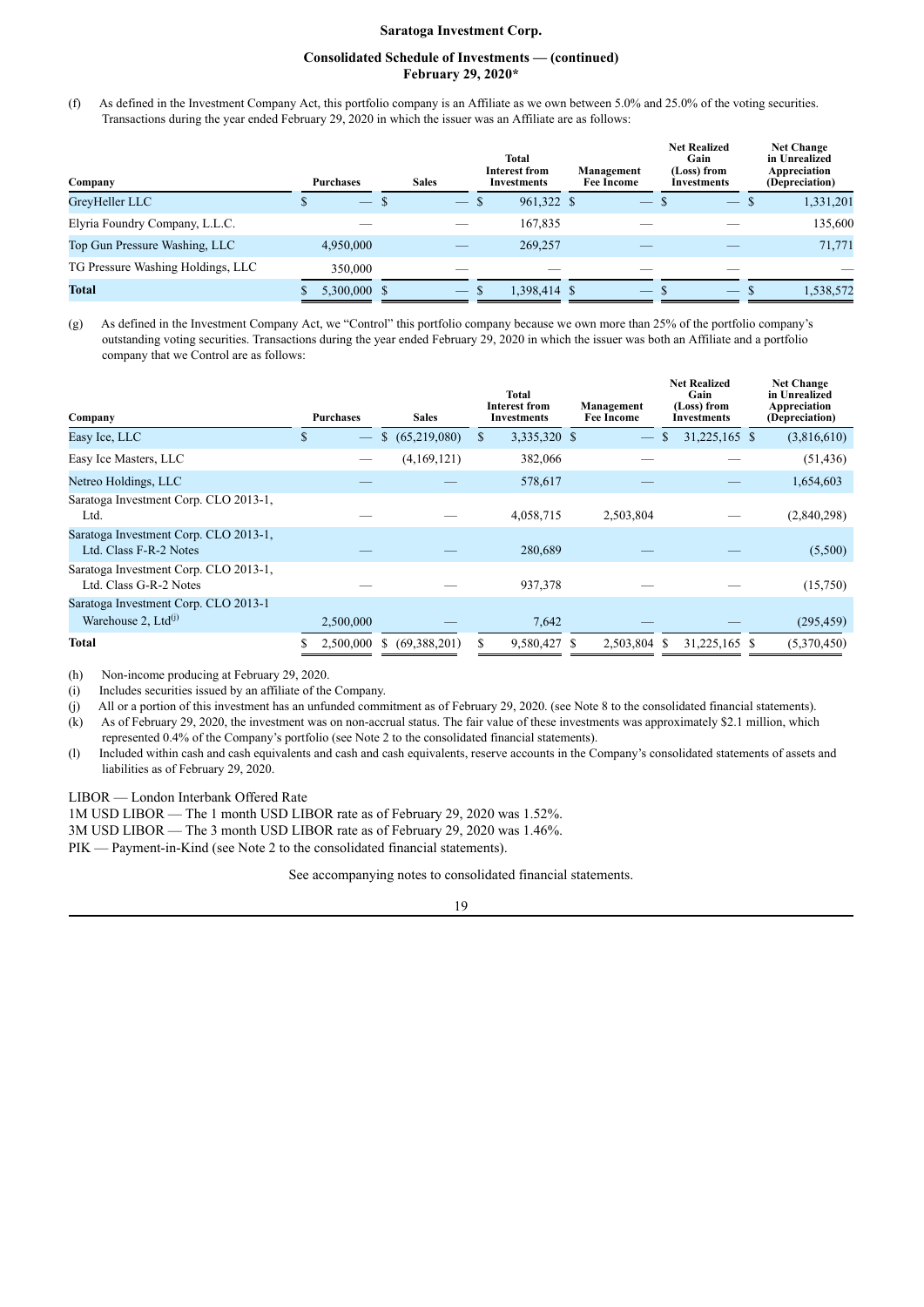## **Consolidated Schedule of Investments — (continued) February 29, 2020\***

(f) As defined in the Investment Company Act, this portfolio company is an Affiliate as we own between 5.0% and 25.0% of the voting securities. Transactions during the year ended February 29, 2020 in which the issuer was an Affiliate are as follows:

| Company                           | <b>Purchases</b> | <b>Sales</b> | Total<br>Interest from<br><b>Investments</b> | Management<br><b>Fee Income</b> | <b>Net Realized</b><br>Gain<br>(Loss) from<br>Investments | <b>Net Change</b><br>in Unrealized<br>Appreciation<br>(Depreciation) |
|-----------------------------------|------------------|--------------|----------------------------------------------|---------------------------------|-----------------------------------------------------------|----------------------------------------------------------------------|
| GreyHeller LLC                    | $-$ \$           | $-$ \$       | 961,322 \$                                   | $\qquad \qquad -$               | $\hspace{0.1mm}-\hspace{0.1mm}$                           | 1,331,201<br>- S                                                     |
| Elyria Foundry Company, L.L.C.    |                  |              | 167,835                                      |                                 |                                                           | 135,600                                                              |
| Top Gun Pressure Washing, LLC     | 4,950,000        |              | 269,257                                      |                                 |                                                           | 71,771                                                               |
| TG Pressure Washing Holdings, LLC | 350,000          |              |                                              |                                 |                                                           |                                                                      |
| <b>Total</b>                      | 5,300,000 \$     | $-$ \$       | 1.398.414 \$                                 | $-5$                            | $-$ S                                                     | 1,538,572                                                            |

(g) As defined in the Investment Company Act, we "Control" this portfolio company because we own more than 25% of the portfolio company's outstanding voting securities. Transactions during the year ended February 29, 2020 in which the issuer was both an Affiliate and a portfolio company that we Control are as follows:

| Company                                                                 | <b>Purchases</b>               | <b>Sales</b>      | <b>Total</b><br><b>Interest from</b><br><b>Investments</b> | Management<br><b>Fee Income</b> | <b>Net Realized</b><br>Gain<br>(Loss) from<br>Investments | <b>Net Change</b><br>in Unrealized<br>Appreciation<br>(Depreciation) |
|-------------------------------------------------------------------------|--------------------------------|-------------------|------------------------------------------------------------|---------------------------------|-----------------------------------------------------------|----------------------------------------------------------------------|
| Easy Ice, LLC                                                           | \$<br>$\overline{\phantom{m}}$ | \$ (65,219,080)   | 3,335,320 \$<br><sup>\$</sup>                              | $\overline{\phantom{m}}$        | 31,225,165 \$<br><sup>S</sup>                             | (3,816,610)                                                          |
| Easy Ice Masters, LLC                                                   |                                | (4,169,121)       | 382,066                                                    |                                 |                                                           | (51, 436)                                                            |
| Netreo Holdings, LLC                                                    |                                |                   | 578,617                                                    |                                 |                                                           | 1,654,603                                                            |
| Saratoga Investment Corp. CLO 2013-1,<br>Ltd.                           |                                |                   | 4,058,715                                                  | 2,503,804                       |                                                           | (2,840,298)                                                          |
| Saratoga Investment Corp. CLO 2013-1,<br>Ltd. Class F-R-2 Notes         |                                |                   | 280,689                                                    |                                 |                                                           | (5,500)                                                              |
| Saratoga Investment Corp. CLO 2013-1,<br>Ltd. Class G-R-2 Notes         |                                |                   | 937,378                                                    |                                 |                                                           | (15,750)                                                             |
| Saratoga Investment Corp. CLO 2013-1<br>Warehouse 2, Ltd <sup>(j)</sup> | 2,500,000                      |                   | 7,642                                                      |                                 |                                                           | (295, 459)                                                           |
| <b>Total</b>                                                            | 2,500,000                      | (69,388,201)<br>S | 9,580,427                                                  | 2,503,804 \$                    | 31,225,165 \$                                             | (5,370,450)                                                          |

(h) Non-income producing at February 29, 2020.

(i) Includes securities issued by an affiliate of the Company.

(j) All or a portion of this investment has an unfunded commitment as of February 29, 2020. (see Note 8 to the consolidated financial statements).

(k) As of February 29, 2020, the investment was on non-accrual status. The fair value of these investments was approximately \$2.1 million, which represented 0.4% of the Company's portfolio (see Note 2 to the consolidated financial statements).

(l) Included within cash and cash equivalents and cash and cash equivalents, reserve accounts in the Company's consolidated statements of assets and liabilities as of February 29, 2020.

LIBOR — London Interbank Offered Rate

1M USD LIBOR — The 1 month USD LIBOR rate as of February 29, 2020 was 1.52%.

3M USD LIBOR — The 3 month USD LIBOR rate as of February 29, 2020 was 1.46%.

PIK — Payment-in-Kind (see Note 2 to the consolidated financial statements).

See accompanying notes to consolidated financial statements.

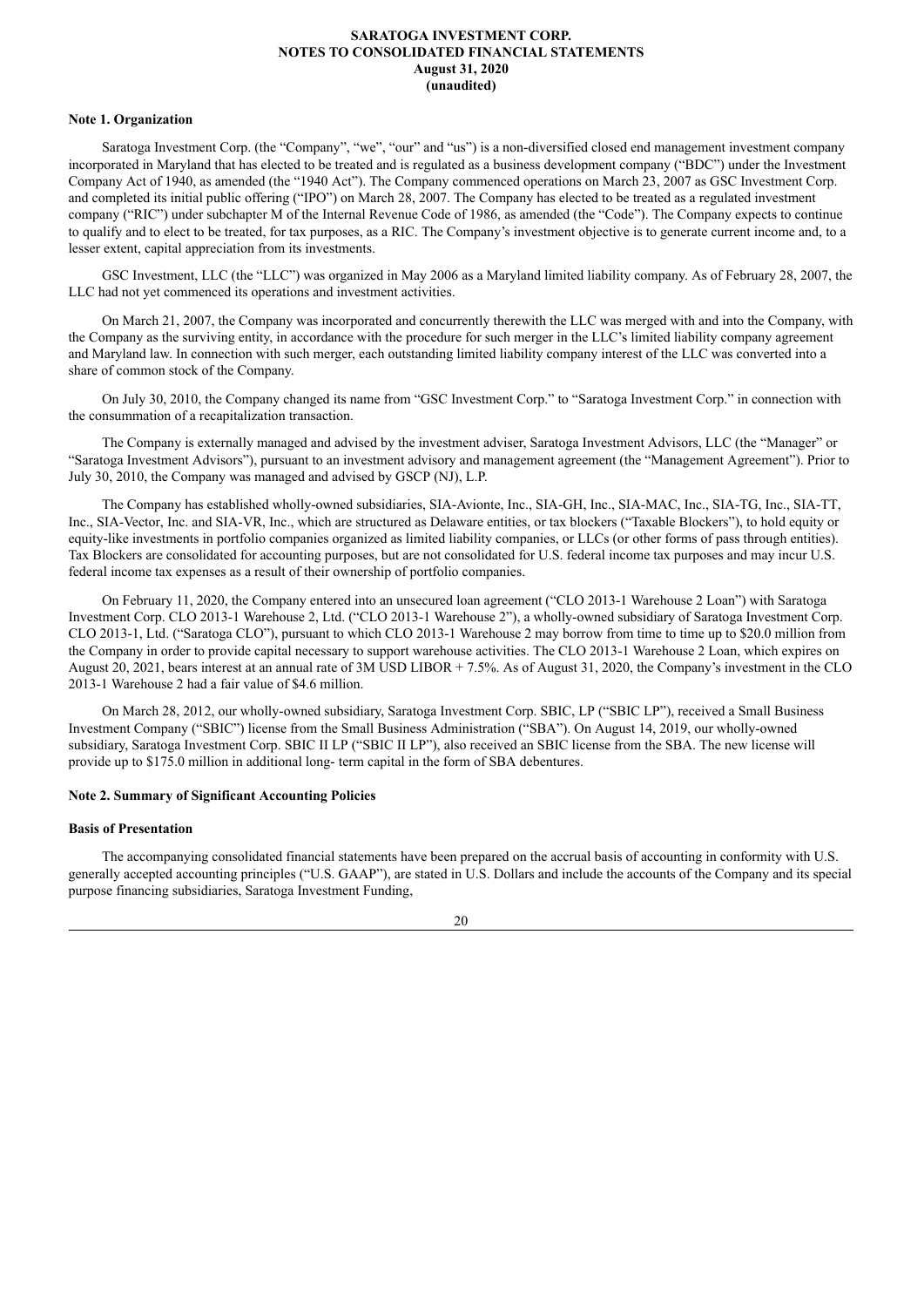#### <span id="page-21-0"></span>**Note 1. Organization**

Saratoga Investment Corp. (the "Company", "we", "our" and "us") is a non-diversified closed end management investment company incorporated in Maryland that has elected to be treated and is regulated as a business development company ("BDC") under the Investment Company Act of 1940, as amended (the "1940 Act"). The Company commenced operations on March 23, 2007 as GSC Investment Corp. and completed its initial public offering ("IPO") on March 28, 2007. The Company has elected to be treated as a regulated investment company ("RIC") under subchapter M of the Internal Revenue Code of 1986, as amended (the "Code"). The Company expects to continue to qualify and to elect to be treated, for tax purposes, as a RIC. The Company's investment objective is to generate current income and, to a lesser extent, capital appreciation from its investments.

GSC Investment, LLC (the "LLC") was organized in May 2006 as a Maryland limited liability company. As of February 28, 2007, the LLC had not yet commenced its operations and investment activities.

On March 21, 2007, the Company was incorporated and concurrently therewith the LLC was merged with and into the Company, with the Company as the surviving entity, in accordance with the procedure for such merger in the LLC's limited liability company agreement and Maryland law. In connection with such merger, each outstanding limited liability company interest of the LLC was converted into a share of common stock of the Company.

On July 30, 2010, the Company changed its name from "GSC Investment Corp." to "Saratoga Investment Corp." in connection with the consummation of a recapitalization transaction.

The Company is externally managed and advised by the investment adviser, Saratoga Investment Advisors, LLC (the "Manager" or "Saratoga Investment Advisors"), pursuant to an investment advisory and management agreement (the "Management Agreement"). Prior to July 30, 2010, the Company was managed and advised by GSCP (NJ), L.P.

The Company has established wholly-owned subsidiaries, SIA-Avionte, Inc., SIA-GH, Inc., SIA-MAC, Inc., SIA-TG, Inc., SIA-TT, Inc., SIA-Vector, Inc. and SIA-VR, Inc., which are structured as Delaware entities, or tax blockers ("Taxable Blockers"), to hold equity or equity-like investments in portfolio companies organized as limited liability companies, or LLCs (or other forms of pass through entities). Tax Blockers are consolidated for accounting purposes, but are not consolidated for U.S. federal income tax purposes and may incur U.S. federal income tax expenses as a result of their ownership of portfolio companies.

On February 11, 2020, the Company entered into an unsecured loan agreement ("CLO 2013-1 Warehouse 2 Loan") with Saratoga Investment Corp. CLO 2013-1 Warehouse 2, Ltd. ("CLO 2013-1 Warehouse 2"), a wholly-owned subsidiary of Saratoga Investment Corp. CLO 2013-1, Ltd. ("Saratoga CLO"), pursuant to which CLO 2013-1 Warehouse 2 may borrow from time to time up to \$20.0 million from the Company in order to provide capital necessary to support warehouse activities. The CLO 2013-1 Warehouse 2 Loan, which expires on August 20, 2021, bears interest at an annual rate of 3M USD LIBOR + 7.5%. As of August 31, 2020, the Company's investment in the CLO 2013-1 Warehouse 2 had a fair value of \$4.6 million.

On March 28, 2012, our wholly-owned subsidiary, Saratoga Investment Corp. SBIC, LP ("SBIC LP"), received a Small Business Investment Company ("SBIC") license from the Small Business Administration ("SBA"). On August 14, 2019, our wholly-owned subsidiary, Saratoga Investment Corp. SBIC II LP ("SBIC II LP"), also received an SBIC license from the SBA. The new license will provide up to \$175.0 million in additional long- term capital in the form of SBA debentures.

## **Note 2. Summary of Significant Accounting Policies**

## **Basis of Presentation**

The accompanying consolidated financial statements have been prepared on the accrual basis of accounting in conformity with U.S. generally accepted accounting principles ("U.S. GAAP"), are stated in U.S. Dollars and include the accounts of the Company and its special purpose financing subsidiaries, Saratoga Investment Funding,

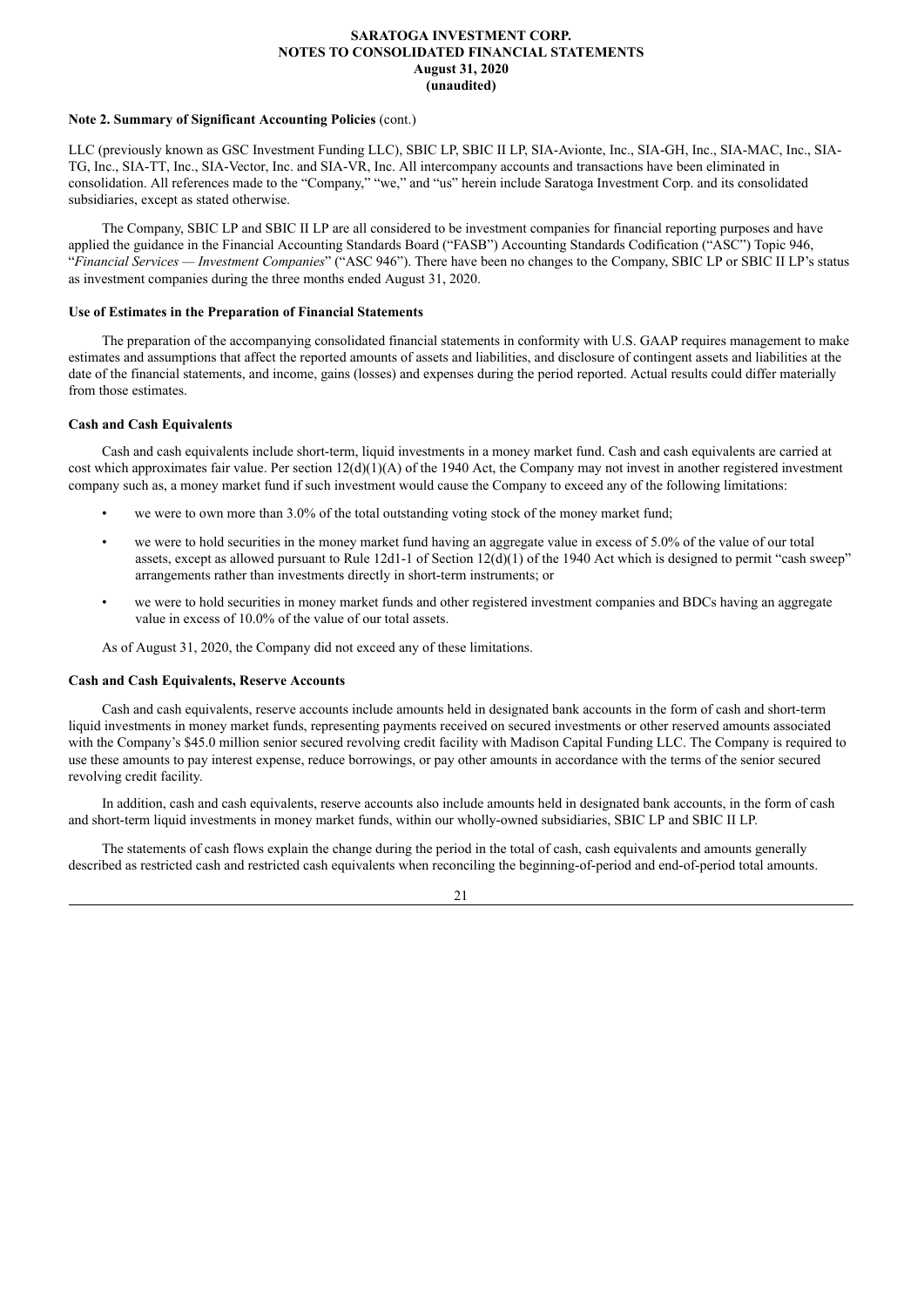### **Note 2. Summary of Significant Accounting Policies** (cont.)

LLC (previously known as GSC Investment Funding LLC), SBIC LP, SBIC II LP, SIA-Avionte, Inc., SIA-GH, Inc., SIA-MAC, Inc., SIA-TG, Inc., SIA-TT, Inc., SIA-Vector, Inc. and SIA-VR, Inc. All intercompany accounts and transactions have been eliminated in consolidation. All references made to the "Company," "we," and "us" herein include Saratoga Investment Corp. and its consolidated subsidiaries, except as stated otherwise.

The Company, SBIC LP and SBIC II LP are all considered to be investment companies for financial reporting purposes and have applied the guidance in the Financial Accounting Standards Board ("FASB") Accounting Standards Codification ("ASC") Topic 946, "*Financial Services — Investment Companies*" ("ASC 946"). There have been no changes to the Company, SBIC LP or SBIC II LP's status as investment companies during the three months ended August 31, 2020.

## **Use of Estimates in the Preparation of Financial Statements**

The preparation of the accompanying consolidated financial statements in conformity with U.S. GAAP requires management to make estimates and assumptions that affect the reported amounts of assets and liabilities, and disclosure of contingent assets and liabilities at the date of the financial statements, and income, gains (losses) and expenses during the period reported. Actual results could differ materially from those estimates.

### **Cash and Cash Equivalents**

Cash and cash equivalents include short-term, liquid investments in a money market fund. Cash and cash equivalents are carried at cost which approximates fair value. Per section  $12(d)(1)(A)$  of the 1940 Act, the Company may not invest in another registered investment company such as, a money market fund if such investment would cause the Company to exceed any of the following limitations:

- we were to own more than 3.0% of the total outstanding voting stock of the money market fund;
- we were to hold securities in the money market fund having an aggregate value in excess of 5.0% of the value of our total assets, except as allowed pursuant to Rule 12d1-1 of Section  $12(d)(1)$  of the 1940 Act which is designed to permit "cash sweep" arrangements rather than investments directly in short-term instruments; or
- we were to hold securities in money market funds and other registered investment companies and BDCs having an aggregate value in excess of 10.0% of the value of our total assets.

As of August 31, 2020, the Company did not exceed any of these limitations.

#### **Cash and Cash Equivalents, Reserve Accounts**

Cash and cash equivalents, reserve accounts include amounts held in designated bank accounts in the form of cash and short-term liquid investments in money market funds, representing payments received on secured investments or other reserved amounts associated with the Company's \$45.0 million senior secured revolving credit facility with Madison Capital Funding LLC. The Company is required to use these amounts to pay interest expense, reduce borrowings, or pay other amounts in accordance with the terms of the senior secured revolving credit facility.

In addition, cash and cash equivalents, reserve accounts also include amounts held in designated bank accounts, in the form of cash and short-term liquid investments in money market funds, within our wholly-owned subsidiaries, SBIC LP and SBIC II LP.

The statements of cash flows explain the change during the period in the total of cash, cash equivalents and amounts generally described as restricted cash and restricted cash equivalents when reconciling the beginning-of-period and end-of-period total amounts.

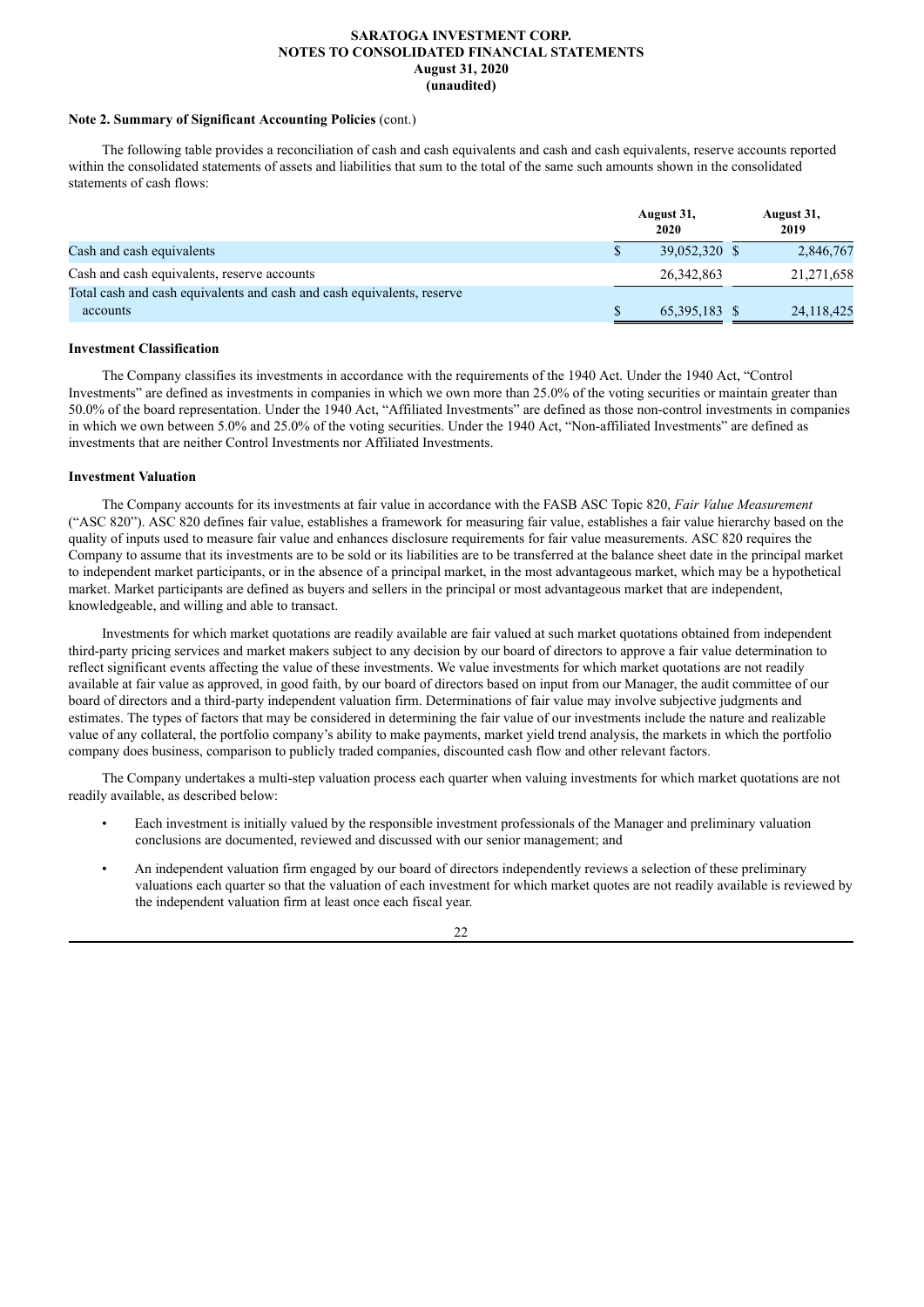#### **Note 2. Summary of Significant Accounting Policies** (cont.)

The following table provides a reconciliation of cash and cash equivalents and cash and cash equivalents, reserve accounts reported within the consolidated statements of assets and liabilities that sum to the total of the same such amounts shown in the consolidated statements of cash flows:

|                                                                        | August 31,<br>2020 | August 31,<br>2019 |
|------------------------------------------------------------------------|--------------------|--------------------|
| Cash and cash equivalents                                              | 39,052,320 \$      | 2,846,767          |
| Cash and cash equivalents, reserve accounts                            | 26.342.863         | 21,271,658         |
| Total cash and cash equivalents and cash and cash equivalents, reserve |                    |                    |
| accounts                                                               | 65,395,183 \$      | 24, 118, 425       |

### **Investment Classification**

The Company classifies its investments in accordance with the requirements of the 1940 Act. Under the 1940 Act, "Control Investments" are defined as investments in companies in which we own more than 25.0% of the voting securities or maintain greater than 50.0% of the board representation. Under the 1940 Act, "Affiliated Investments" are defined as those non-control investments in companies in which we own between 5.0% and 25.0% of the voting securities. Under the 1940 Act, "Non-affiliated Investments" are defined as investments that are neither Control Investments nor Affiliated Investments.

#### **Investment Valuation**

The Company accounts for its investments at fair value in accordance with the FASB ASC Topic 820, *Fair Value Measurement* ("ASC 820"). ASC 820 defines fair value, establishes a framework for measuring fair value, establishes a fair value hierarchy based on the quality of inputs used to measure fair value and enhances disclosure requirements for fair value measurements. ASC 820 requires the Company to assume that its investments are to be sold or its liabilities are to be transferred at the balance sheet date in the principal market to independent market participants, or in the absence of a principal market, in the most advantageous market, which may be a hypothetical market. Market participants are defined as buyers and sellers in the principal or most advantageous market that are independent, knowledgeable, and willing and able to transact.

Investments for which market quotations are readily available are fair valued at such market quotations obtained from independent third-party pricing services and market makers subject to any decision by our board of directors to approve a fair value determination to reflect significant events affecting the value of these investments. We value investments for which market quotations are not readily available at fair value as approved, in good faith, by our board of directors based on input from our Manager, the audit committee of our board of directors and a third-party independent valuation firm. Determinations of fair value may involve subjective judgments and estimates. The types of factors that may be considered in determining the fair value of our investments include the nature and realizable value of any collateral, the portfolio company's ability to make payments, market yield trend analysis, the markets in which the portfolio company does business, comparison to publicly traded companies, discounted cash flow and other relevant factors.

The Company undertakes a multi-step valuation process each quarter when valuing investments for which market quotations are not readily available, as described below:

- Each investment is initially valued by the responsible investment professionals of the Manager and preliminary valuation conclusions are documented, reviewed and discussed with our senior management; and
- An independent valuation firm engaged by our board of directors independently reviews a selection of these preliminary valuations each quarter so that the valuation of each investment for which market quotes are not readily available is reviewed by the independent valuation firm at least once each fiscal year.

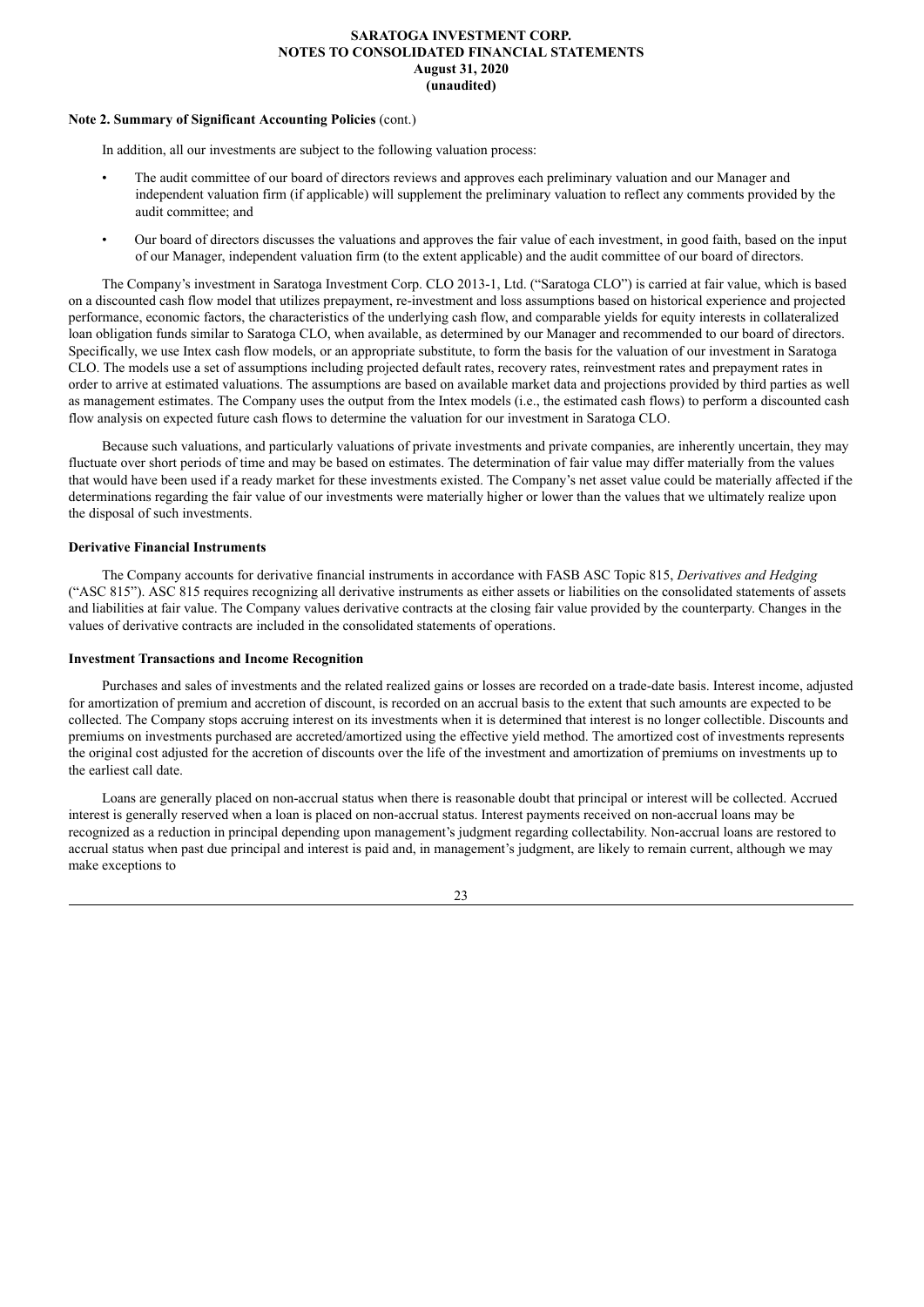#### **Note 2. Summary of Significant Accounting Policies** (cont.)

In addition, all our investments are subject to the following valuation process:

- The audit committee of our board of directors reviews and approves each preliminary valuation and our Manager and independent valuation firm (if applicable) will supplement the preliminary valuation to reflect any comments provided by the audit committee; and
- Our board of directors discusses the valuations and approves the fair value of each investment, in good faith, based on the input of our Manager, independent valuation firm (to the extent applicable) and the audit committee of our board of directors.

The Company's investment in Saratoga Investment Corp. CLO 2013-1, Ltd. ("Saratoga CLO") is carried at fair value, which is based on a discounted cash flow model that utilizes prepayment, re-investment and loss assumptions based on historical experience and projected performance, economic factors, the characteristics of the underlying cash flow, and comparable yields for equity interests in collateralized loan obligation funds similar to Saratoga CLO, when available, as determined by our Manager and recommended to our board of directors. Specifically, we use Intex cash flow models, or an appropriate substitute, to form the basis for the valuation of our investment in Saratoga CLO. The models use a set of assumptions including projected default rates, recovery rates, reinvestment rates and prepayment rates in order to arrive at estimated valuations. The assumptions are based on available market data and projections provided by third parties as well as management estimates. The Company uses the output from the Intex models (i.e., the estimated cash flows) to perform a discounted cash flow analysis on expected future cash flows to determine the valuation for our investment in Saratoga CLO.

Because such valuations, and particularly valuations of private investments and private companies, are inherently uncertain, they may fluctuate over short periods of time and may be based on estimates. The determination of fair value may differ materially from the values that would have been used if a ready market for these investments existed. The Company's net asset value could be materially affected if the determinations regarding the fair value of our investments were materially higher or lower than the values that we ultimately realize upon the disposal of such investments.

### **Derivative Financial Instruments**

The Company accounts for derivative financial instruments in accordance with FASB ASC Topic 815, *Derivatives and Hedging* ("ASC 815"). ASC 815 requires recognizing all derivative instruments as either assets or liabilities on the consolidated statements of assets and liabilities at fair value. The Company values derivative contracts at the closing fair value provided by the counterparty. Changes in the values of derivative contracts are included in the consolidated statements of operations.

#### **Investment Transactions and Income Recognition**

Purchases and sales of investments and the related realized gains or losses are recorded on a trade-date basis. Interest income, adjusted for amortization of premium and accretion of discount, is recorded on an accrual basis to the extent that such amounts are expected to be collected. The Company stops accruing interest on its investments when it is determined that interest is no longer collectible. Discounts and premiums on investments purchased are accreted/amortized using the effective yield method. The amortized cost of investments represents the original cost adjusted for the accretion of discounts over the life of the investment and amortization of premiums on investments up to the earliest call date.

Loans are generally placed on non-accrual status when there is reasonable doubt that principal or interest will be collected. Accrued interest is generally reserved when a loan is placed on non-accrual status. Interest payments received on non-accrual loans may be recognized as a reduction in principal depending upon management's judgment regarding collectability. Non-accrual loans are restored to accrual status when past due principal and interest is paid and, in management's judgment, are likely to remain current, although we may make exceptions to

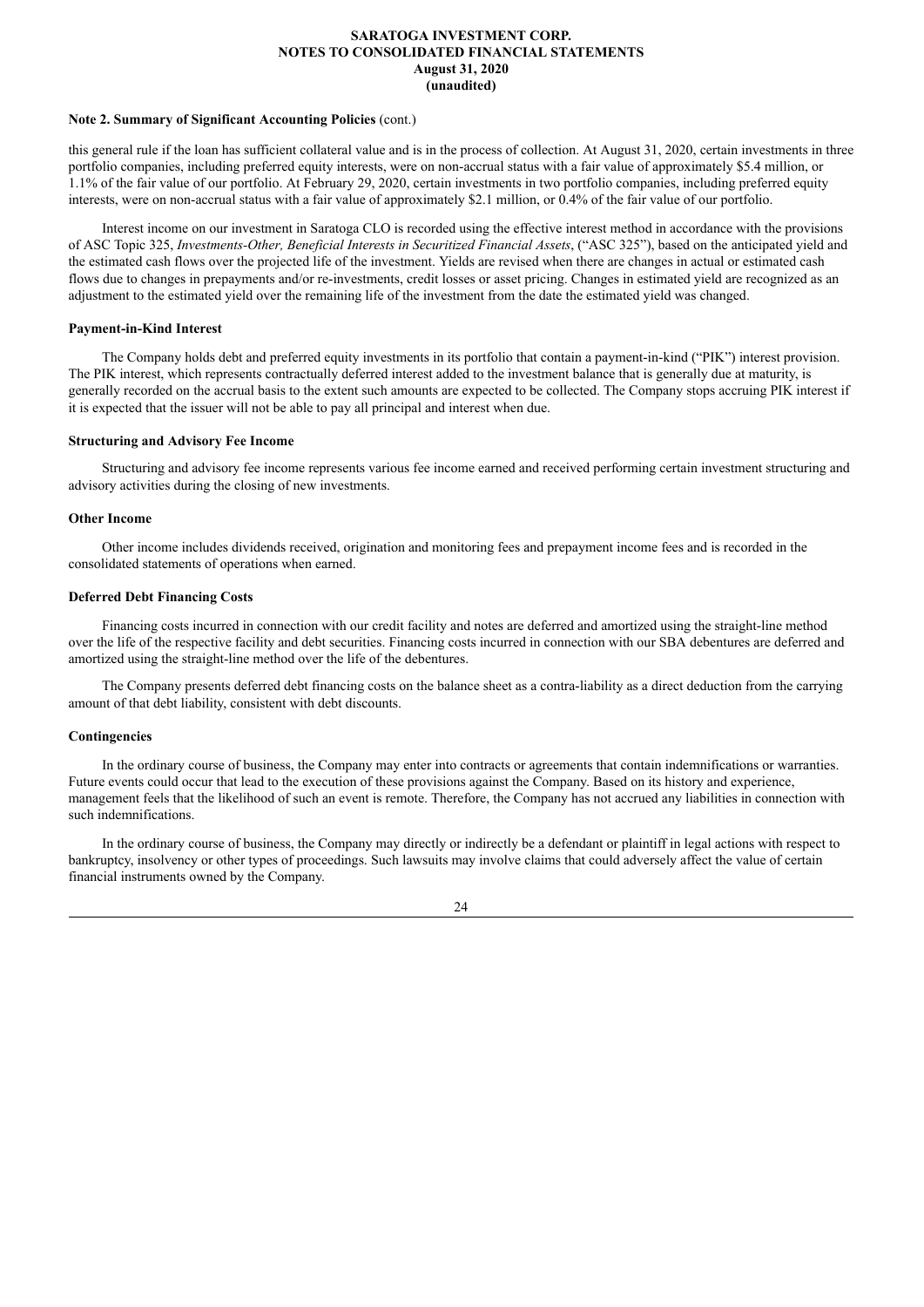#### **Note 2. Summary of Significant Accounting Policies** (cont.)

this general rule if the loan has sufficient collateral value and is in the process of collection. At August 31, 2020, certain investments in three portfolio companies, including preferred equity interests, were on non-accrual status with a fair value of approximately \$5.4 million, or 1.1% of the fair value of our portfolio. At February 29, 2020, certain investments in two portfolio companies, including preferred equity interests, were on non-accrual status with a fair value of approximately \$2.1 million, or 0.4% of the fair value of our portfolio.

Interest income on our investment in Saratoga CLO is recorded using the effective interest method in accordance with the provisions of ASC Topic 325, *Investments-Other, Beneficial Interests in Securitized Financial Assets*, ("ASC 325"), based on the anticipated yield and the estimated cash flows over the projected life of the investment. Yields are revised when there are changes in actual or estimated cash flows due to changes in prepayments and/or re-investments, credit losses or asset pricing. Changes in estimated yield are recognized as an adjustment to the estimated yield over the remaining life of the investment from the date the estimated yield was changed.

### **Payment-in-Kind Interest**

The Company holds debt and preferred equity investments in its portfolio that contain a payment-in-kind ("PIK") interest provision. The PIK interest, which represents contractually deferred interest added to the investment balance that is generally due at maturity, is generally recorded on the accrual basis to the extent such amounts are expected to be collected. The Company stops accruing PIK interest if it is expected that the issuer will not be able to pay all principal and interest when due.

## **Structuring and Advisory Fee Income**

Structuring and advisory fee income represents various fee income earned and received performing certain investment structuring and advisory activities during the closing of new investments.

## **Other Income**

Other income includes dividends received, origination and monitoring fees and prepayment income fees and is recorded in the consolidated statements of operations when earned.

### **Deferred Debt Financing Costs**

Financing costs incurred in connection with our credit facility and notes are deferred and amortized using the straight-line method over the life of the respective facility and debt securities. Financing costs incurred in connection with our SBA debentures are deferred and amortized using the straight-line method over the life of the debentures.

The Company presents deferred debt financing costs on the balance sheet as a contra-liability as a direct deduction from the carrying amount of that debt liability, consistent with debt discounts.

## **Contingencies**

In the ordinary course of business, the Company may enter into contracts or agreements that contain indemnifications or warranties. Future events could occur that lead to the execution of these provisions against the Company. Based on its history and experience, management feels that the likelihood of such an event is remote. Therefore, the Company has not accrued any liabilities in connection with such indemnifications.

In the ordinary course of business, the Company may directly or indirectly be a defendant or plaintiff in legal actions with respect to bankruptcy, insolvency or other types of proceedings. Such lawsuits may involve claims that could adversely affect the value of certain financial instruments owned by the Company.

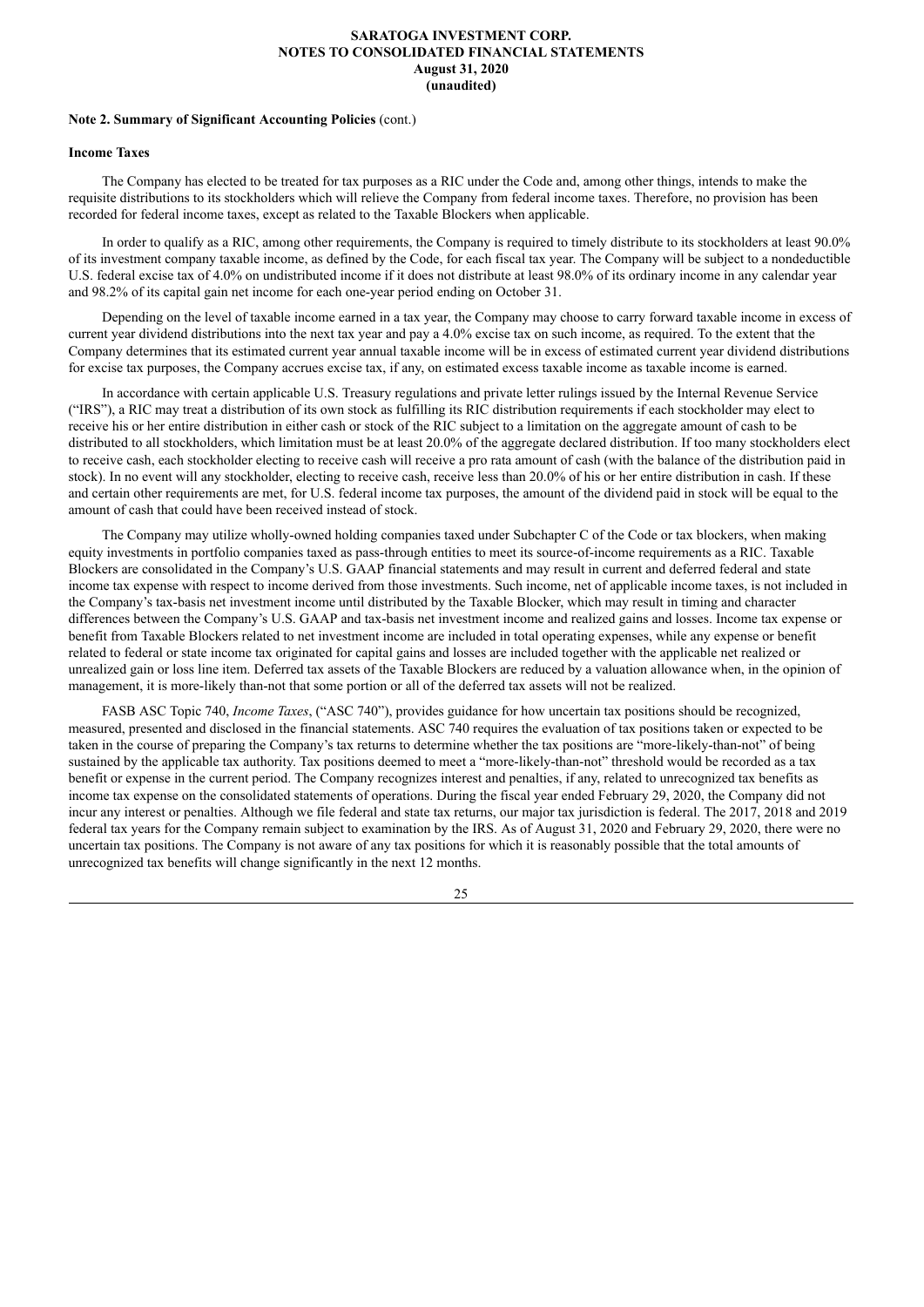#### **Note 2. Summary of Significant Accounting Policies** (cont.)

## **Income Taxes**

The Company has elected to be treated for tax purposes as a RIC under the Code and, among other things, intends to make the requisite distributions to its stockholders which will relieve the Company from federal income taxes. Therefore, no provision has been recorded for federal income taxes, except as related to the Taxable Blockers when applicable.

In order to qualify as a RIC, among other requirements, the Company is required to timely distribute to its stockholders at least 90.0% of its investment company taxable income, as defined by the Code, for each fiscal tax year. The Company will be subject to a nondeductible U.S. federal excise tax of 4.0% on undistributed income if it does not distribute at least 98.0% of its ordinary income in any calendar year and 98.2% of its capital gain net income for each one-year period ending on October 31.

Depending on the level of taxable income earned in a tax year, the Company may choose to carry forward taxable income in excess of current year dividend distributions into the next tax year and pay a 4.0% excise tax on such income, as required. To the extent that the Company determines that its estimated current year annual taxable income will be in excess of estimated current year dividend distributions for excise tax purposes, the Company accrues excise tax, if any, on estimated excess taxable income as taxable income is earned.

In accordance with certain applicable U.S. Treasury regulations and private letter rulings issued by the Internal Revenue Service ("IRS"), a RIC may treat a distribution of its own stock as fulfilling its RIC distribution requirements if each stockholder may elect to receive his or her entire distribution in either cash or stock of the RIC subject to a limitation on the aggregate amount of cash to be distributed to all stockholders, which limitation must be at least 20.0% of the aggregate declared distribution. If too many stockholders elect to receive cash, each stockholder electing to receive cash will receive a pro rata amount of cash (with the balance of the distribution paid in stock). In no event will any stockholder, electing to receive cash, receive less than 20.0% of his or her entire distribution in cash. If these and certain other requirements are met, for U.S. federal income tax purposes, the amount of the dividend paid in stock will be equal to the amount of cash that could have been received instead of stock.

The Company may utilize wholly-owned holding companies taxed under Subchapter C of the Code or tax blockers, when making equity investments in portfolio companies taxed as pass-through entities to meet its source-of-income requirements as a RIC. Taxable Blockers are consolidated in the Company's U.S. GAAP financial statements and may result in current and deferred federal and state income tax expense with respect to income derived from those investments. Such income, net of applicable income taxes, is not included in the Company's tax-basis net investment income until distributed by the Taxable Blocker, which may result in timing and character differences between the Company's U.S. GAAP and tax-basis net investment income and realized gains and losses. Income tax expense or benefit from Taxable Blockers related to net investment income are included in total operating expenses, while any expense or benefit related to federal or state income tax originated for capital gains and losses are included together with the applicable net realized or unrealized gain or loss line item. Deferred tax assets of the Taxable Blockers are reduced by a valuation allowance when, in the opinion of management, it is more-likely than-not that some portion or all of the deferred tax assets will not be realized.

FASB ASC Topic 740, *Income Taxes*, ("ASC 740"), provides guidance for how uncertain tax positions should be recognized, measured, presented and disclosed in the financial statements. ASC 740 requires the evaluation of tax positions taken or expected to be taken in the course of preparing the Company's tax returns to determine whether the tax positions are "more-likely-than-not" of being sustained by the applicable tax authority. Tax positions deemed to meet a "more-likely-than-not" threshold would be recorded as a tax benefit or expense in the current period. The Company recognizes interest and penalties, if any, related to unrecognized tax benefits as income tax expense on the consolidated statements of operations. During the fiscal year ended February 29, 2020, the Company did not incur any interest or penalties. Although we file federal and state tax returns, our major tax jurisdiction is federal. The 2017, 2018 and 2019 federal tax years for the Company remain subject to examination by the IRS. As of August 31, 2020 and February 29, 2020, there were no uncertain tax positions. The Company is not aware of any tax positions for which it is reasonably possible that the total amounts of unrecognized tax benefits will change significantly in the next 12 months.

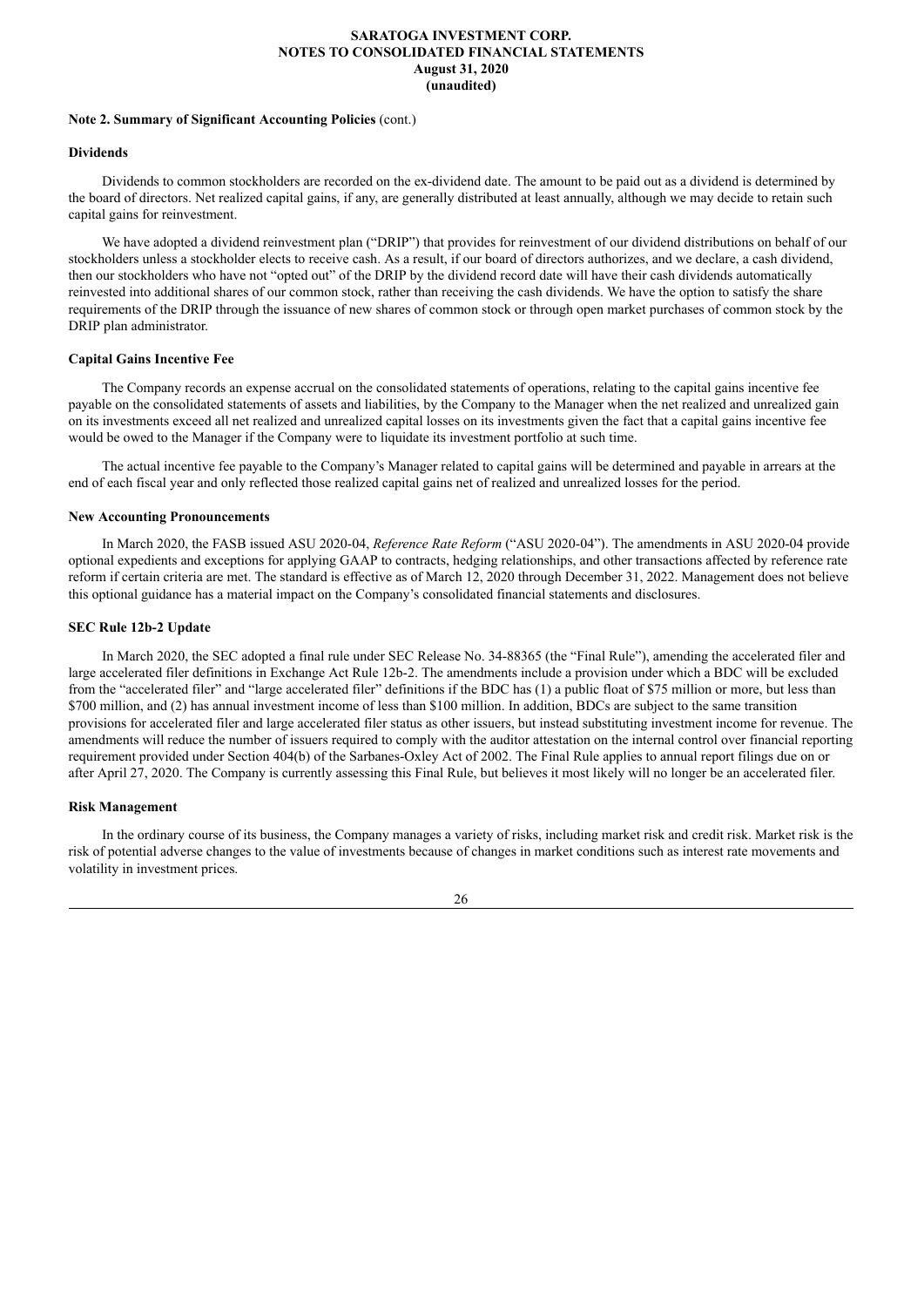#### **Note 2. Summary of Significant Accounting Policies** (cont.)

## **Dividends**

Dividends to common stockholders are recorded on the ex-dividend date. The amount to be paid out as a dividend is determined by the board of directors. Net realized capital gains, if any, are generally distributed at least annually, although we may decide to retain such capital gains for reinvestment.

We have adopted a dividend reinvestment plan ("DRIP") that provides for reinvestment of our dividend distributions on behalf of our stockholders unless a stockholder elects to receive cash. As a result, if our board of directors authorizes, and we declare, a cash dividend, then our stockholders who have not "opted out" of the DRIP by the dividend record date will have their cash dividends automatically reinvested into additional shares of our common stock, rather than receiving the cash dividends. We have the option to satisfy the share requirements of the DRIP through the issuance of new shares of common stock or through open market purchases of common stock by the DRIP plan administrator.

#### **Capital Gains Incentive Fee**

The Company records an expense accrual on the consolidated statements of operations, relating to the capital gains incentive fee payable on the consolidated statements of assets and liabilities, by the Company to the Manager when the net realized and unrealized gain on its investments exceed all net realized and unrealized capital losses on its investments given the fact that a capital gains incentive fee would be owed to the Manager if the Company were to liquidate its investment portfolio at such time.

The actual incentive fee payable to the Company's Manager related to capital gains will be determined and payable in arrears at the end of each fiscal year and only reflected those realized capital gains net of realized and unrealized losses for the period.

#### **New Accounting Pronouncements**

In March 2020, the FASB issued ASU 2020-04, *Reference Rate Reform* ("ASU 2020-04"). The amendments in ASU 2020-04 provide optional expedients and exceptions for applying GAAP to contracts, hedging relationships, and other transactions affected by reference rate reform if certain criteria are met. The standard is effective as of March 12, 2020 through December 31, 2022. Management does not believe this optional guidance has a material impact on the Company's consolidated financial statements and disclosures.

#### **SEC Rule 12b-2 Update**

In March 2020, the SEC adopted a final rule under SEC Release No. 34-88365 (the "Final Rule"), amending the accelerated filer and large accelerated filer definitions in Exchange Act Rule 12b-2. The amendments include a provision under which a BDC will be excluded from the "accelerated filer" and "large accelerated filer" definitions if the BDC has (1) a public float of \$75 million or more, but less than \$700 million, and (2) has annual investment income of less than \$100 million. In addition, BDCs are subject to the same transition provisions for accelerated filer and large accelerated filer status as other issuers, but instead substituting investment income for revenue. The amendments will reduce the number of issuers required to comply with the auditor attestation on the internal control over financial reporting requirement provided under Section 404(b) of the Sarbanes-Oxley Act of 2002. The Final Rule applies to annual report filings due on or after April 27, 2020. The Company is currently assessing this Final Rule, but believes it most likely will no longer be an accelerated filer.

### **Risk Management**

In the ordinary course of its business, the Company manages a variety of risks, including market risk and credit risk. Market risk is the risk of potential adverse changes to the value of investments because of changes in market conditions such as interest rate movements and volatility in investment prices.

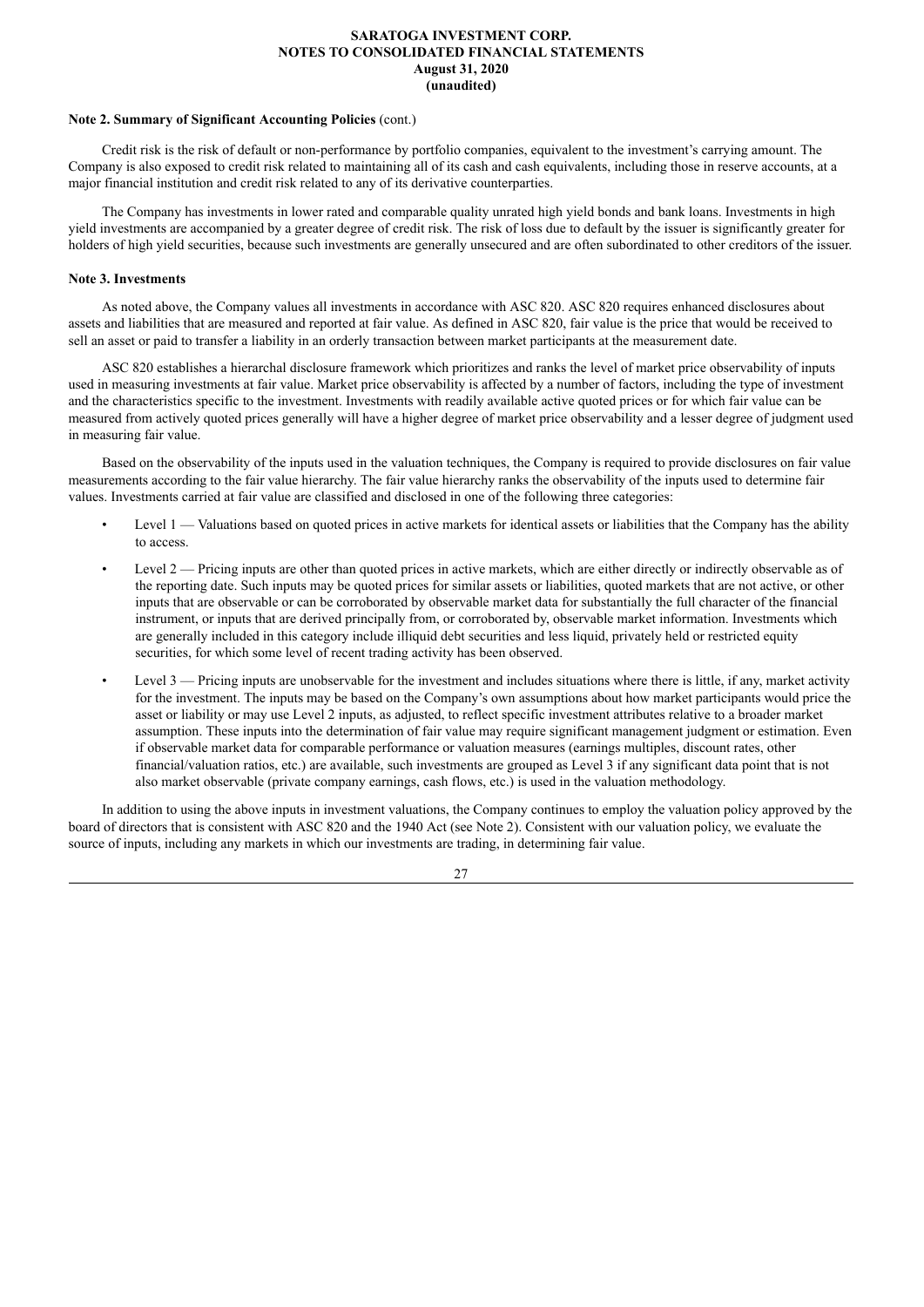#### **Note 2. Summary of Significant Accounting Policies** (cont.)

Credit risk is the risk of default or non-performance by portfolio companies, equivalent to the investment's carrying amount. The Company is also exposed to credit risk related to maintaining all of its cash and cash equivalents, including those in reserve accounts, at a major financial institution and credit risk related to any of its derivative counterparties.

The Company has investments in lower rated and comparable quality unrated high yield bonds and bank loans. Investments in high yield investments are accompanied by a greater degree of credit risk. The risk of loss due to default by the issuer is significantly greater for holders of high yield securities, because such investments are generally unsecured and are often subordinated to other creditors of the issuer.

#### **Note 3. Investments**

As noted above, the Company values all investments in accordance with ASC 820. ASC 820 requires enhanced disclosures about assets and liabilities that are measured and reported at fair value. As defined in ASC 820, fair value is the price that would be received to sell an asset or paid to transfer a liability in an orderly transaction between market participants at the measurement date.

ASC 820 establishes a hierarchal disclosure framework which prioritizes and ranks the level of market price observability of inputs used in measuring investments at fair value. Market price observability is affected by a number of factors, including the type of investment and the characteristics specific to the investment. Investments with readily available active quoted prices or for which fair value can be measured from actively quoted prices generally will have a higher degree of market price observability and a lesser degree of judgment used in measuring fair value.

Based on the observability of the inputs used in the valuation techniques, the Company is required to provide disclosures on fair value measurements according to the fair value hierarchy. The fair value hierarchy ranks the observability of the inputs used to determine fair values. Investments carried at fair value are classified and disclosed in one of the following three categories:

- Level 1 Valuations based on quoted prices in active markets for identical assets or liabilities that the Company has the ability to access.
- Level 2 Pricing inputs are other than quoted prices in active markets, which are either directly or indirectly observable as of the reporting date. Such inputs may be quoted prices for similar assets or liabilities, quoted markets that are not active, or other inputs that are observable or can be corroborated by observable market data for substantially the full character of the financial instrument, or inputs that are derived principally from, or corroborated by, observable market information. Investments which are generally included in this category include illiquid debt securities and less liquid, privately held or restricted equity securities, for which some level of recent trading activity has been observed.
- Level 3 Pricing inputs are unobservable for the investment and includes situations where there is little, if any, market activity for the investment. The inputs may be based on the Company's own assumptions about how market participants would price the asset or liability or may use Level 2 inputs, as adjusted, to reflect specific investment attributes relative to a broader market assumption. These inputs into the determination of fair value may require significant management judgment or estimation. Even if observable market data for comparable performance or valuation measures (earnings multiples, discount rates, other financial/valuation ratios, etc.) are available, such investments are grouped as Level 3 if any significant data point that is not also market observable (private company earnings, cash flows, etc.) is used in the valuation methodology.

In addition to using the above inputs in investment valuations, the Company continues to employ the valuation policy approved by the board of directors that is consistent with ASC 820 and the 1940 Act (see Note 2). Consistent with our valuation policy, we evaluate the source of inputs, including any markets in which our investments are trading, in determining fair value.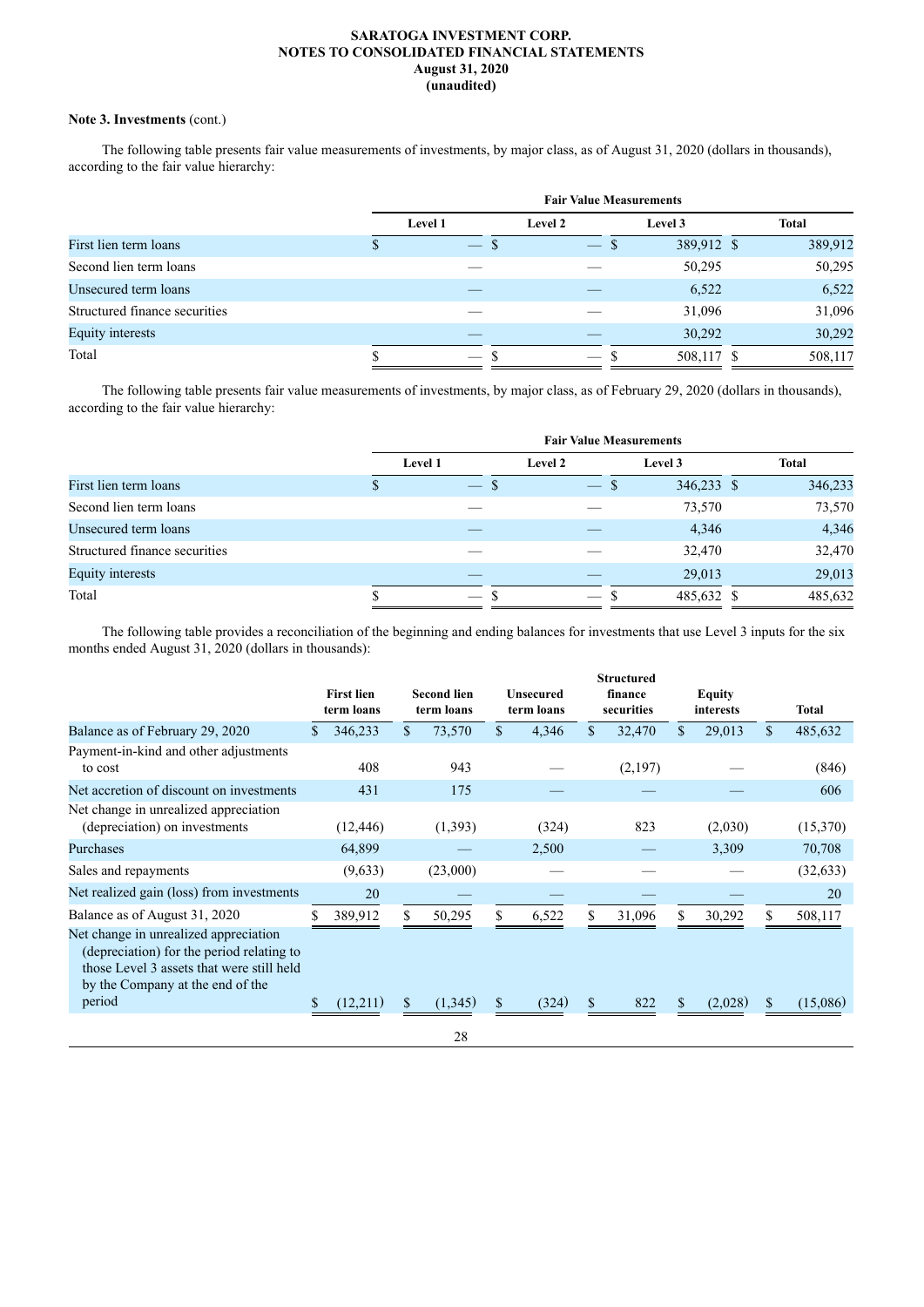## **Note 3. Investments** (cont.)

The following table presents fair value measurements of investments, by major class, as of August 31, 2020 (dollars in thousands), according to the fair value hierarchy:

|                               | <b>Fair Value Measurements</b> |                               |            |              |       |  |  |  |
|-------------------------------|--------------------------------|-------------------------------|------------|--------------|-------|--|--|--|
|                               | Level 1                        | Level 2                       | Level 3    | <b>Total</b> |       |  |  |  |
| First lien term loans         | -S<br>$\overline{\phantom{a}}$ | $\overline{\phantom{0}}$<br>D | 389,912 \$ | 389,912      |       |  |  |  |
| Second lien term loans        |                                |                               | 50,295     | 50,295       |       |  |  |  |
| Unsecured term loans          |                                |                               | 6,522      |              | 6,522 |  |  |  |
| Structured finance securities |                                |                               | 31,096     | 31,096       |       |  |  |  |
| <b>Equity interests</b>       |                                |                               | 30,292     | 30,292       |       |  |  |  |
| Total                         |                                |                               | 508,117 \$ | 508,117      |       |  |  |  |
|                               |                                |                               |            |              |       |  |  |  |

The following table presents fair value measurements of investments, by major class, as of February 29, 2020 (dollars in thousands), according to the fair value hierarchy:

|                               | <b>Fair Value Measurements</b> |                          |                                |            |              |  |  |  |
|-------------------------------|--------------------------------|--------------------------|--------------------------------|------------|--------------|--|--|--|
|                               | Level 1                        |                          | Level 2                        | Level 3    | <b>Total</b> |  |  |  |
| First lien term loans         |                                | -S<br><b>A</b>           | -8<br>$\overline{\phantom{m}}$ | 346,233 \$ | 346,233      |  |  |  |
| Second lien term loans        |                                |                          |                                | 73,570     | 73,570       |  |  |  |
| Unsecured term loans          |                                |                          |                                | 4,346      | 4,346        |  |  |  |
| Structured finance securities |                                |                          |                                | 32,470     | 32,470       |  |  |  |
| <b>Equity interests</b>       |                                |                          |                                | 29,013     | 29,013       |  |  |  |
| Total                         |                                | $\overline{\phantom{0}}$ |                                | 485,632 \$ | 485,632      |  |  |  |

The following table provides a reconciliation of the beginning and ending balances for investments that use Level 3 inputs for the six months ended August 31, 2020 (dollars in thousands):

|                                                                                                                                                                               | <b>First lien</b><br>term loans |              | <b>Second lien</b><br>term loans | <b>Unsecured</b><br>term loans | <b>Structured</b><br>finance<br>securities |               | <b>Equity</b><br>interests | Total         |
|-------------------------------------------------------------------------------------------------------------------------------------------------------------------------------|---------------------------------|--------------|----------------------------------|--------------------------------|--------------------------------------------|---------------|----------------------------|---------------|
| Balance as of February 29, 2020                                                                                                                                               | 346,233                         | $\mathbb{S}$ | 73,570                           | \$<br>4,346                    | \$<br>32,470                               | <sup>\$</sup> | 29,013                     | \$<br>485,632 |
| Payment-in-kind and other adjustments<br>to cost                                                                                                                              | 408                             |              | 943                              |                                | (2,197)                                    |               |                            | (846)         |
| Net accretion of discount on investments                                                                                                                                      | 431                             |              | 175                              |                                |                                            |               |                            | 606           |
| Net change in unrealized appreciation<br>(depreciation) on investments                                                                                                        | (12, 446)                       |              | (1,393)                          | (324)                          | 823                                        |               | (2,030)                    | (15,370)      |
| Purchases                                                                                                                                                                     | 64,899                          |              |                                  | 2,500                          |                                            |               | 3,309                      | 70,708        |
| Sales and repayments                                                                                                                                                          | (9,633)                         |              | (23,000)                         |                                |                                            |               |                            | (32, 633)     |
| Net realized gain (loss) from investments                                                                                                                                     | 20                              |              |                                  |                                |                                            |               |                            | 20            |
| Balance as of August 31, 2020                                                                                                                                                 | 389,912                         |              | 50,295                           | 6,522                          | 31,096                                     |               | 30,292                     | 508,117       |
| Net change in unrealized appreciation<br>(depreciation) for the period relating to<br>those Level 3 assets that were still held<br>by the Company at the end of the<br>period |                                 | \$           |                                  |                                | \$                                         |               |                            |               |
|                                                                                                                                                                               | (12,211)                        |              | (1,345)                          | (324)                          | 822                                        | \$            | (2,028)                    | (15,086)      |
|                                                                                                                                                                               |                                 |              | 28                               |                                |                                            |               |                            |               |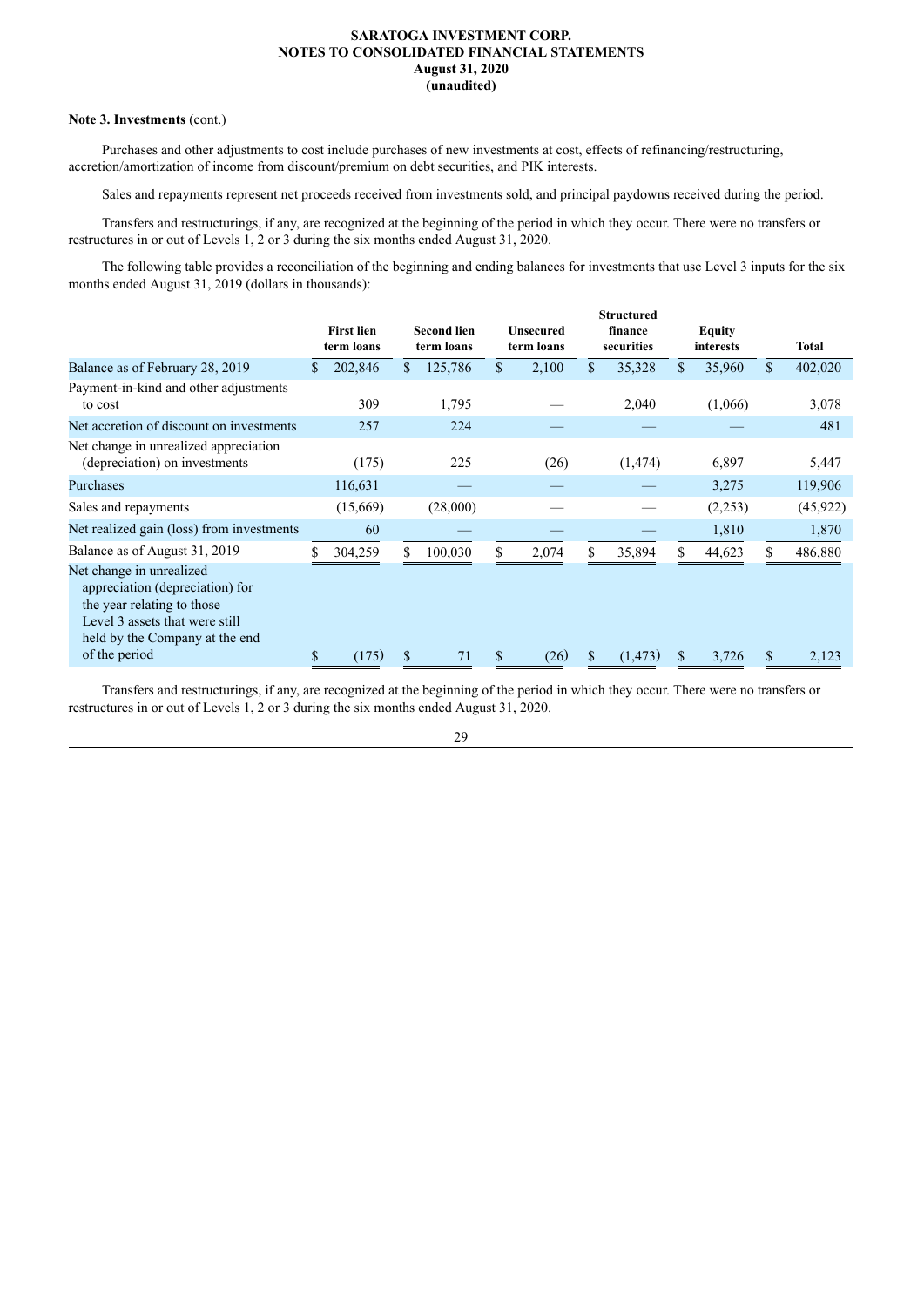## **Note 3. Investments** (cont.)

Purchases and other adjustments to cost include purchases of new investments at cost, effects of refinancing/restructuring, accretion/amortization of income from discount/premium on debt securities, and PIK interests.

Sales and repayments represent net proceeds received from investments sold, and principal paydowns received during the period.

Transfers and restructurings, if any, are recognized at the beginning of the period in which they occur. There were no transfers or restructures in or out of Levels 1, 2 or 3 during the six months ended August 31, 2020.

The following table provides a reconciliation of the beginning and ending balances for investments that use Level 3 inputs for the six months ended August 31, 2019 (dollars in thousands):

| <b>First lien</b> |            |          |                                  |       |                                | finance  |                                 | Equity  |           | <b>Total</b> |
|-------------------|------------|----------|----------------------------------|-------|--------------------------------|----------|---------------------------------|---------|-----------|--------------|
| \$<br>202,846     | \$         | 125,786  | \$                               | 2,100 | \$                             | 35,328   | <sup>\$</sup>                   | 35,960  | S.        | 402,020      |
| 309               |            | 1,795    |                                  |       |                                | 2,040    |                                 | (1,066) |           | 3,078        |
| 257               |            | 224      |                                  |       |                                |          |                                 |         |           | 481          |
| (175)             |            | 225      |                                  | (26)  |                                | (1, 474) |                                 | 6,897   |           | 5,447        |
| 116,631           |            |          |                                  |       |                                |          |                                 | 3,275   |           | 119,906      |
| (15,669)          |            | (28,000) |                                  |       |                                |          |                                 | (2,253) |           | (45, 922)    |
| 60                |            |          |                                  |       |                                |          |                                 | 1,810   |           | 1,870        |
| 304,259           | S          | 100,030  | S.                               | 2,074 | S                              | 35,894   | S.                              | 44,623  |           | 486,880      |
| (175)             | \$         | 71       | S                                | (26)  | \$                             | (1, 473) | \$                              | 3,726   | S         | 2,123        |
|                   | term loans |          | <b>Second lien</b><br>term loans |       | <b>Unsecured</b><br>term loans |          | <b>Structured</b><br>securities |         | interests |              |

Transfers and restructurings, if any, are recognized at the beginning of the period in which they occur. There were no transfers or restructures in or out of Levels 1, 2 or 3 during the six months ended August 31, 2020.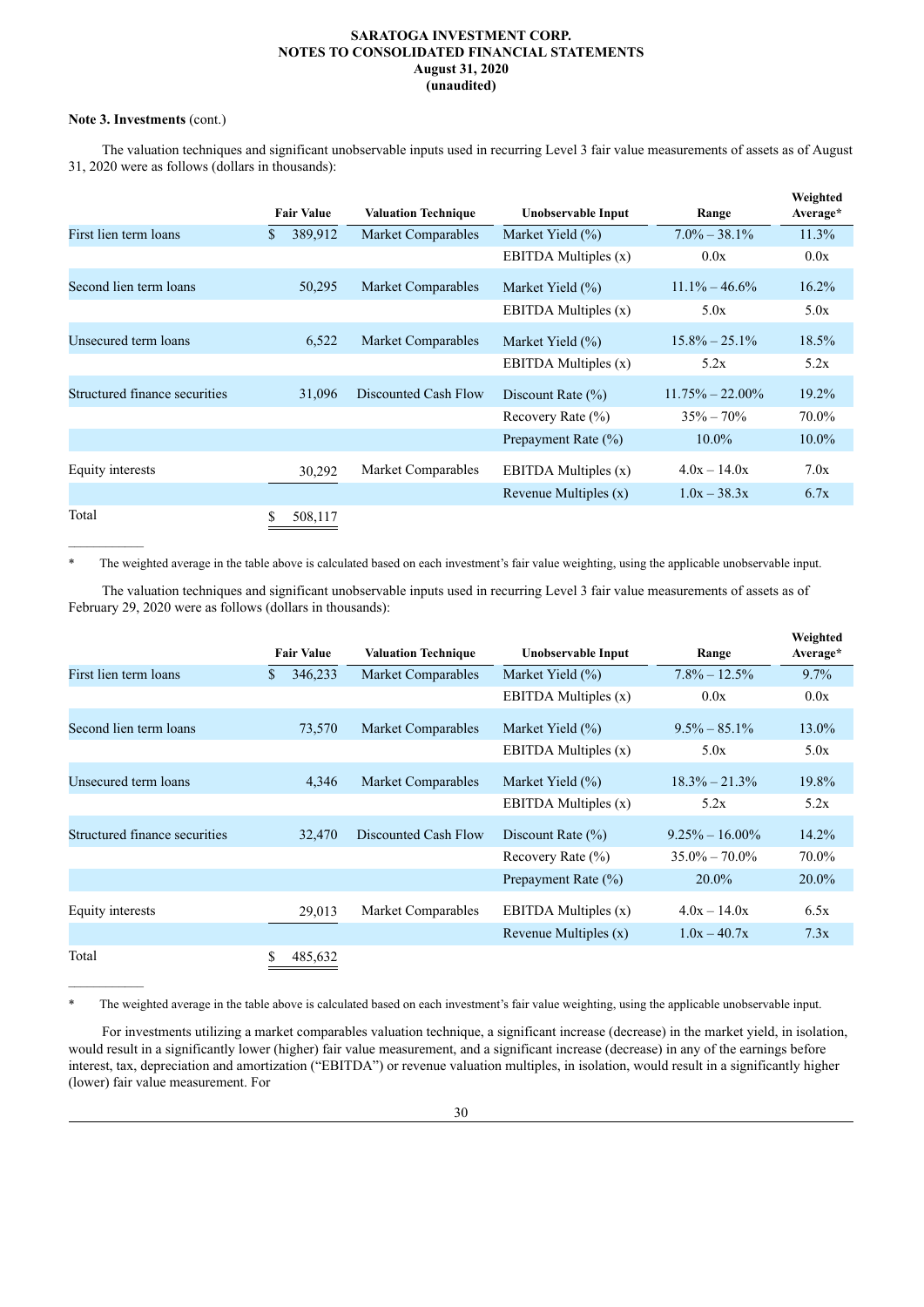## **Note 3. Investments** (cont.)

The valuation techniques and significant unobservable inputs used in recurring Level 3 fair value measurements of assets as of August 31, 2020 were as follows (dollars in thousands):

|                               | <b>Fair Value</b> | <b>Valuation Technique</b> | Unobservable Input      | Range               | Weighted<br>Average* |
|-------------------------------|-------------------|----------------------------|-------------------------|---------------------|----------------------|
| First lien term loans         | \$<br>389,912     | Market Comparables         | Market Yield $(\% )$    | $7.0\% - 38.1\%$    | 11.3%                |
|                               |                   |                            | EBITDA Multiples (x)    | 0.0x                | 0.0x                 |
| Second lien term loans        | 50,295            | <b>Market Comparables</b>  | Market Yield $(\% )$    | $11.1\% - 46.6\%$   | $16.2\%$             |
|                               |                   |                            | EBITDA Multiples (x)    | 5.0x                | 5.0x                 |
| Unsecured term loans          | 6,522             | <b>Market Comparables</b>  | Market Yield $(\% )$    | $15.8\% - 25.1\%$   | 18.5%                |
|                               |                   |                            | EBITDA Multiples $(x)$  | 5.2x                | 5.2x                 |
| Structured finance securities | 31,096            | Discounted Cash Flow       | Discount Rate $(\% )$   | $11.75\% - 22.00\%$ | 19.2%                |
|                               |                   |                            | Recovery Rate $(\% )$   | $35\% - 70\%$       | 70.0%                |
|                               |                   |                            | Prepayment Rate (%)     | $10.0\%$            | $10.0\%$             |
| Equity interests              | 30,292            | Market Comparables         | EBITDA Multiples (x)    | $4.0x - 14.0x$      | 7.0x                 |
|                               |                   |                            | Revenue Multiples $(x)$ | $1.0x - 38.3x$      | 6.7x                 |
| Total                         | \$<br>508,117     |                            |                         |                     |                      |

\* The weighted average in the table above is calculated based on each investment's fair value weighting, using the applicable unobservable input.

The valuation techniques and significant unobservable inputs used in recurring Level 3 fair value measurements of assets as of February 29, 2020 were as follows (dollars in thousands):

|                               |    | <b>Fair Value</b> | <b>Valuation Technique</b> | Unobservable Input      | Range              | Weighted<br>Average* |
|-------------------------------|----|-------------------|----------------------------|-------------------------|--------------------|----------------------|
| First lien term loans         | S  | 346,233           | Market Comparables         | Market Yield $(\% )$    | $7.8\% - 12.5\%$   | 9.7%                 |
|                               |    |                   |                            | EBITDA Multiples (x)    | 0.0x               | 0.0x                 |
| Second lien term loans        |    | 73,570            | Market Comparables         | Market Yield $(\% )$    | $9.5\% - 85.1\%$   | 13.0%                |
|                               |    |                   |                            | EBITDA Multiples (x)    | 5.0x               | 5.0x                 |
| Unsecured term loans          |    | 4,346             | Market Comparables         | Market Yield $(\% )$    | $18.3\% - 21.3\%$  | 19.8%                |
|                               |    |                   |                            | EBITDA Multiples $(x)$  | 5.2x               | 5.2x                 |
| Structured finance securities |    | 32,470            | Discounted Cash Flow       | Discount Rate $(\% )$   | $9.25\% - 16.00\%$ | 14.2%                |
|                               |    |                   |                            | Recovery Rate $(\% )$   | $35.0\% - 70.0\%$  | 70.0%                |
|                               |    |                   |                            | Prepayment Rate (%)     | $20.0\%$           | $20.0\%$             |
| Equity interests              |    | 29,013            | Market Comparables         | EBITDA Multiples $(x)$  | $4.0x - 14.0x$     | 6.5x                 |
|                               |    |                   |                            | Revenue Multiples $(x)$ | $1.0x - 40.7x$     | 7.3x                 |
| Total                         | \$ | 485,632           |                            |                         |                    |                      |

\* The weighted average in the table above is calculated based on each investment's fair value weighting, using the applicable unobservable input.

For investments utilizing a market comparables valuation technique, a significant increase (decrease) in the market yield, in isolation, would result in a significantly lower (higher) fair value measurement, and a significant increase (decrease) in any of the earnings before interest, tax, depreciation and amortization ("EBITDA") or revenue valuation multiples, in isolation, would result in a significantly higher (lower) fair value measurement. For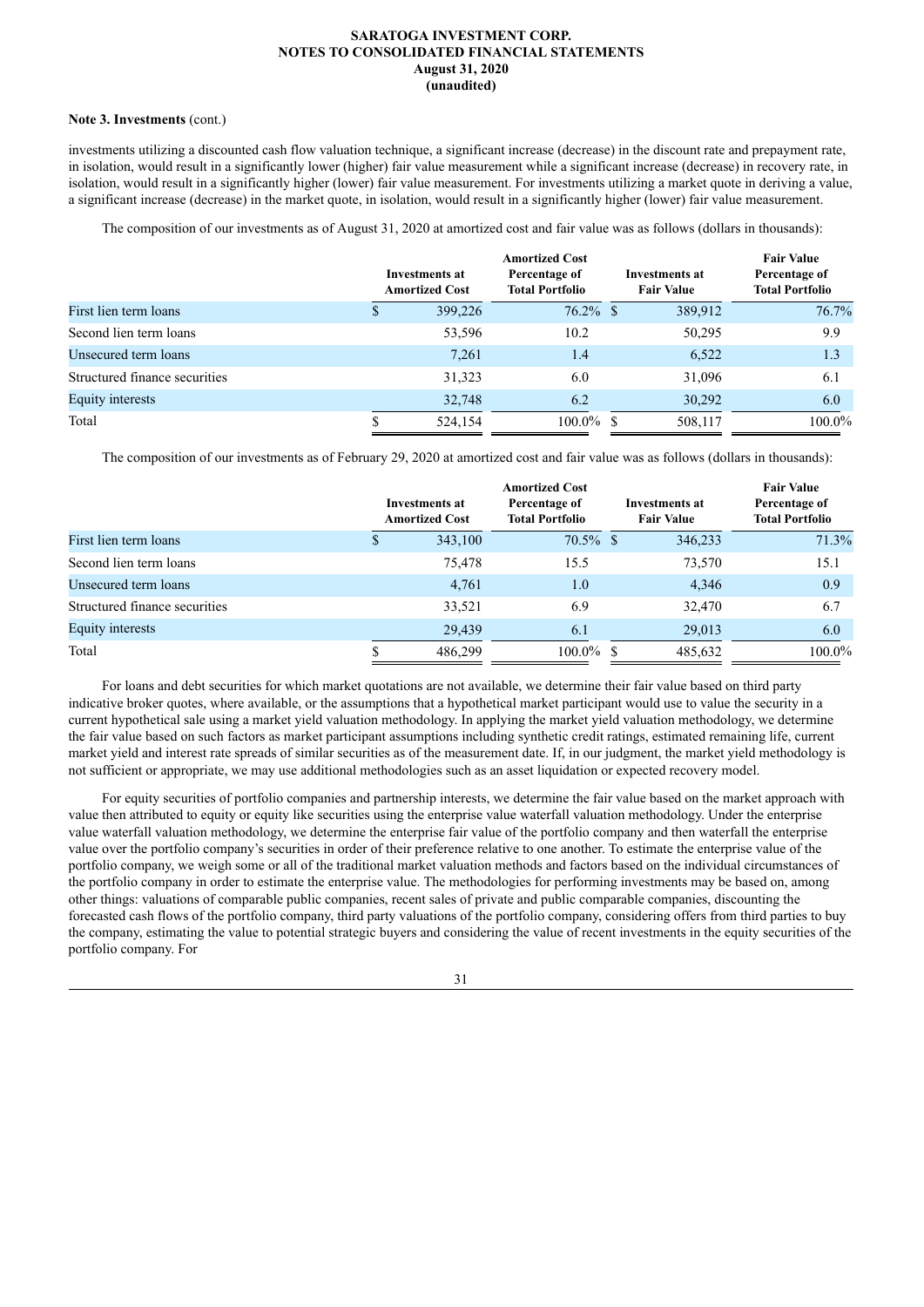#### **Note 3. Investments** (cont.)

investments utilizing a discounted cash flow valuation technique, a significant increase (decrease) in the discount rate and prepayment rate, in isolation, would result in a significantly lower (higher) fair value measurement while a significant increase (decrease) in recovery rate, in isolation, would result in a significantly higher (lower) fair value measurement. For investments utilizing a market quote in deriving a value, a significant increase (decrease) in the market quote, in isolation, would result in a significantly higher (lower) fair value measurement.

The composition of our investments as of August 31, 2020 at amortized cost and fair value was as follows (dollars in thousands):

|                               | <b>Investments at</b><br><b>Amortized Cost</b> | <b>Amortized Cost</b><br>Percentage of<br><b>Total Portfolio</b> | Investments at<br><b>Fair Value</b> | <b>Fair Value</b><br>Percentage of<br><b>Total Portfolio</b> |
|-------------------------------|------------------------------------------------|------------------------------------------------------------------|-------------------------------------|--------------------------------------------------------------|
| First lien term loans         | 399,226                                        | $76.2\%$ \$                                                      | 389,912                             | 76.7%                                                        |
| Second lien term loans        | 53,596                                         | 10.2                                                             | 50,295                              | 9.9                                                          |
| Unsecured term loans          | 7.261                                          | 1.4                                                              | 6,522                               | 1.3                                                          |
| Structured finance securities | 31,323                                         | 6.0                                                              | 31,096                              | 6.1                                                          |
| Equity interests              | 32,748                                         | 6.2                                                              | 30,292                              | 6.0                                                          |
| Total                         | 524,154                                        | $100.0\%$ \$                                                     | 508,117                             | 100.0%                                                       |

The composition of our investments as of February 29, 2020 at amortized cost and fair value was as follows (dollars in thousands):

|                               | Investments at<br><b>Amortized Cost</b> | <b>Amortized Cost</b><br>Percentage of<br><b>Total Portfolio</b> | Investments at<br><b>Fair Value</b> | <b>Fair Value</b><br>Percentage of<br><b>Total Portfolio</b> |
|-------------------------------|-----------------------------------------|------------------------------------------------------------------|-------------------------------------|--------------------------------------------------------------|
| First lien term loans         | 343,100                                 | $70.5\%$ \$                                                      |                                     | 71.3%<br>346,233                                             |
| Second lien term loans        | 75,478                                  | 15.5                                                             |                                     | 15.1<br>73,570                                               |
| Unsecured term loans          | 4,761                                   | 1.0                                                              |                                     | 0.9<br>4,346                                                 |
| Structured finance securities | 33,521                                  | 6.9                                                              |                                     | 6.7<br>32,470                                                |
| Equity interests              | 29,439                                  | 6.1                                                              |                                     | 29,013<br>6.0                                                |
| Total                         | 486.299                                 | $100.0\%$ \$                                                     |                                     | 100.0%<br>485,632                                            |

For loans and debt securities for which market quotations are not available, we determine their fair value based on third party indicative broker quotes, where available, or the assumptions that a hypothetical market participant would use to value the security in a current hypothetical sale using a market yield valuation methodology. In applying the market yield valuation methodology, we determine the fair value based on such factors as market participant assumptions including synthetic credit ratings, estimated remaining life, current market yield and interest rate spreads of similar securities as of the measurement date. If, in our judgment, the market yield methodology is not sufficient or appropriate, we may use additional methodologies such as an asset liquidation or expected recovery model.

For equity securities of portfolio companies and partnership interests, we determine the fair value based on the market approach with value then attributed to equity or equity like securities using the enterprise value waterfall valuation methodology. Under the enterprise value waterfall valuation methodology, we determine the enterprise fair value of the portfolio company and then waterfall the enterprise value over the portfolio company's securities in order of their preference relative to one another. To estimate the enterprise value of the portfolio company, we weigh some or all of the traditional market valuation methods and factors based on the individual circumstances of the portfolio company in order to estimate the enterprise value. The methodologies for performing investments may be based on, among other things: valuations of comparable public companies, recent sales of private and public comparable companies, discounting the forecasted cash flows of the portfolio company, third party valuations of the portfolio company, considering offers from third parties to buy the company, estimating the value to potential strategic buyers and considering the value of recent investments in the equity securities of the portfolio company. For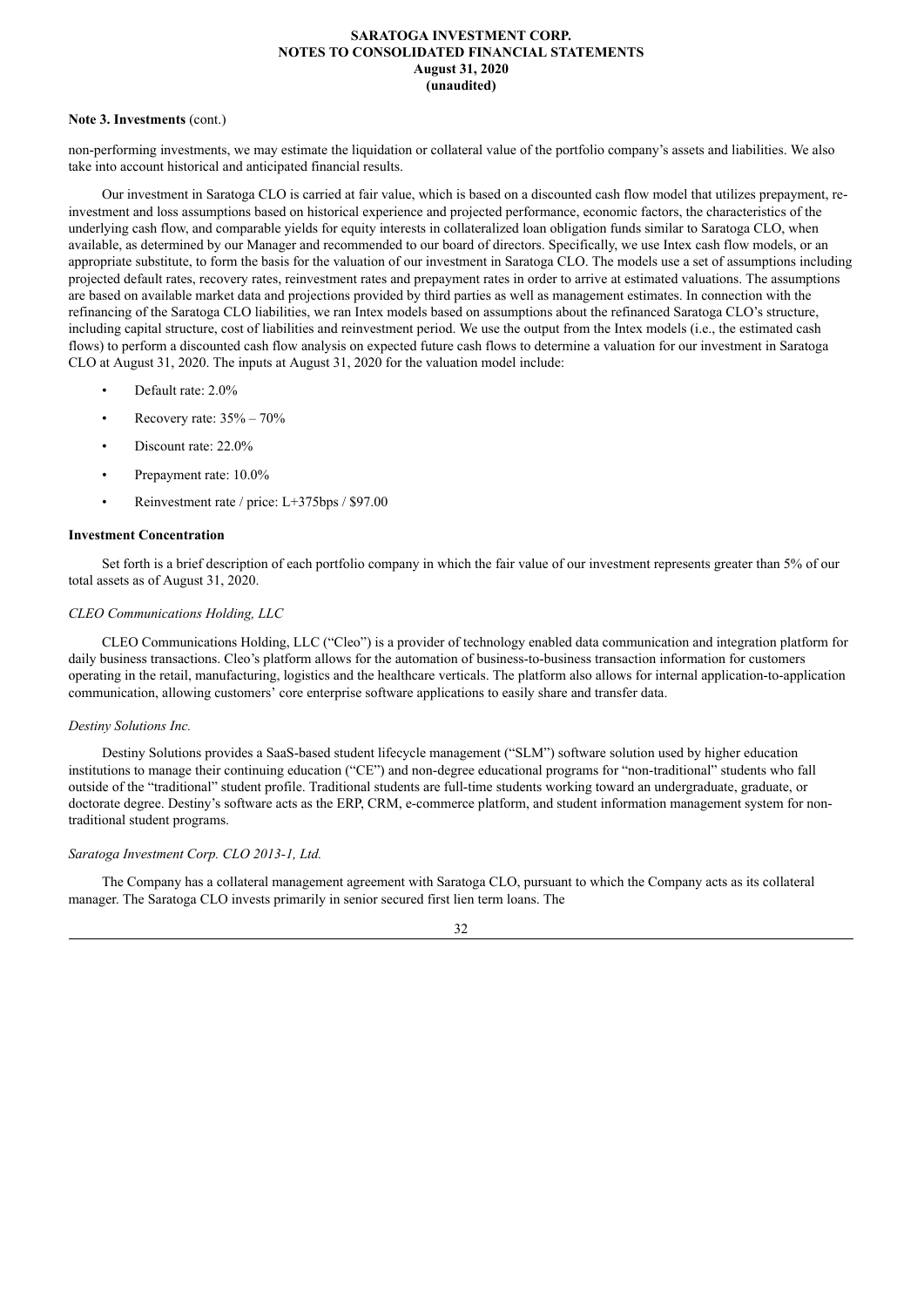## **Note 3. Investments** (cont.)

non-performing investments, we may estimate the liquidation or collateral value of the portfolio company's assets and liabilities. We also take into account historical and anticipated financial results.

Our investment in Saratoga CLO is carried at fair value, which is based on a discounted cash flow model that utilizes prepayment, reinvestment and loss assumptions based on historical experience and projected performance, economic factors, the characteristics of the underlying cash flow, and comparable yields for equity interests in collateralized loan obligation funds similar to Saratoga CLO, when available, as determined by our Manager and recommended to our board of directors. Specifically, we use Intex cash flow models, or an appropriate substitute, to form the basis for the valuation of our investment in Saratoga CLO. The models use a set of assumptions including projected default rates, recovery rates, reinvestment rates and prepayment rates in order to arrive at estimated valuations. The assumptions are based on available market data and projections provided by third parties as well as management estimates. In connection with the refinancing of the Saratoga CLO liabilities, we ran Intex models based on assumptions about the refinanced Saratoga CLO's structure, including capital structure, cost of liabilities and reinvestment period. We use the output from the Intex models (i.e., the estimated cash flows) to perform a discounted cash flow analysis on expected future cash flows to determine a valuation for our investment in Saratoga CLO at August 31, 2020. The inputs at August 31, 2020 for the valuation model include:

- Default rate: 2.0%
- Recovery rate:  $35% 70%$
- Discount rate: 22.0%
- Prepayment rate: 10.0%
- Reinvestment rate / price: L+375bps / \$97.00

### **Investment Concentration**

Set forth is a brief description of each portfolio company in which the fair value of our investment represents greater than 5% of our total assets as of August 31, 2020.

## *CLEO Communications Holding, LLC*

CLEO Communications Holding, LLC ("Cleo") is a provider of technology enabled data communication and integration platform for daily business transactions. Cleo's platform allows for the automation of business-to-business transaction information for customers operating in the retail, manufacturing, logistics and the healthcare verticals. The platform also allows for internal application-to-application communication, allowing customers' core enterprise software applications to easily share and transfer data.

## *Destiny Solutions Inc.*

Destiny Solutions provides a SaaS-based student lifecycle management ("SLM") software solution used by higher education institutions to manage their continuing education ("CE") and non-degree educational programs for "non-traditional" students who fall outside of the "traditional" student profile. Traditional students are full-time students working toward an undergraduate, graduate, or doctorate degree. Destiny's software acts as the ERP, CRM, e-commerce platform, and student information management system for nontraditional student programs.

## *Saratoga Investment Corp. CLO 2013-1, Ltd.*

The Company has a collateral management agreement with Saratoga CLO, pursuant to which the Company acts as its collateral manager. The Saratoga CLO invests primarily in senior secured first lien term loans. The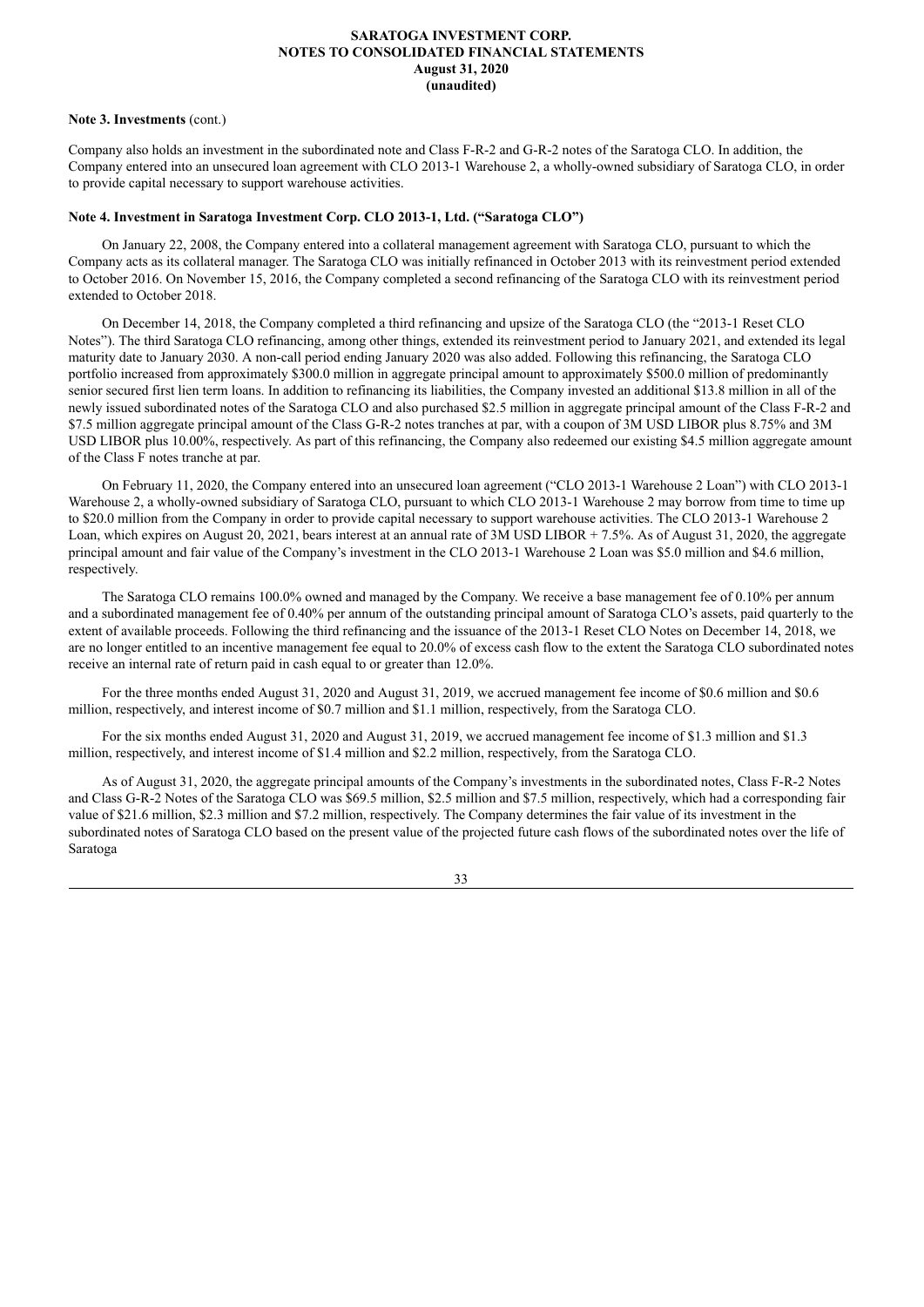#### **Note 3. Investments** (cont.)

Company also holds an investment in the subordinated note and Class F-R-2 and G-R-2 notes of the Saratoga CLO. In addition, the Company entered into an unsecured loan agreement with CLO 2013-1 Warehouse 2, a wholly-owned subsidiary of Saratoga CLO, in order to provide capital necessary to support warehouse activities.

## **Note 4. Investment in Saratoga Investment Corp. CLO 2013-1, Ltd. ("Saratoga CLO")**

On January 22, 2008, the Company entered into a collateral management agreement with Saratoga CLO, pursuant to which the Company acts as its collateral manager. The Saratoga CLO was initially refinanced in October 2013 with its reinvestment period extended to October 2016. On November 15, 2016, the Company completed a second refinancing of the Saratoga CLO with its reinvestment period extended to October 2018.

On December 14, 2018, the Company completed a third refinancing and upsize of the Saratoga CLO (the "2013-1 Reset CLO Notes"). The third Saratoga CLO refinancing, among other things, extended its reinvestment period to January 2021, and extended its legal maturity date to January 2030. A non-call period ending January 2020 was also added. Following this refinancing, the Saratoga CLO portfolio increased from approximately \$300.0 million in aggregate principal amount to approximately \$500.0 million of predominantly senior secured first lien term loans. In addition to refinancing its liabilities, the Company invested an additional \$13.8 million in all of the newly issued subordinated notes of the Saratoga CLO and also purchased \$2.5 million in aggregate principal amount of the Class F-R-2 and \$7.5 million aggregate principal amount of the Class G-R-2 notes tranches at par, with a coupon of 3M USD LIBOR plus 8.75% and 3M USD LIBOR plus 10.00%, respectively. As part of this refinancing, the Company also redeemed our existing \$4.5 million aggregate amount of the Class F notes tranche at par.

On February 11, 2020, the Company entered into an unsecured loan agreement ("CLO 2013-1 Warehouse 2 Loan") with CLO 2013-1 Warehouse 2, a wholly-owned subsidiary of Saratoga CLO, pursuant to which CLO 2013-1 Warehouse 2 may borrow from time to time up to \$20.0 million from the Company in order to provide capital necessary to support warehouse activities. The CLO 2013-1 Warehouse 2 Loan, which expires on August 20, 2021, bears interest at an annual rate of 3M USD LIBOR + 7.5%. As of August 31, 2020, the aggregate principal amount and fair value of the Company's investment in the CLO 2013-1 Warehouse 2 Loan was \$5.0 million and \$4.6 million, respectively.

The Saratoga CLO remains 100.0% owned and managed by the Company. We receive a base management fee of 0.10% per annum and a subordinated management fee of 0.40% per annum of the outstanding principal amount of Saratoga CLO's assets, paid quarterly to the extent of available proceeds. Following the third refinancing and the issuance of the 2013-1 Reset CLO Notes on December 14, 2018, we are no longer entitled to an incentive management fee equal to 20.0% of excess cash flow to the extent the Saratoga CLO subordinated notes receive an internal rate of return paid in cash equal to or greater than 12.0%.

For the three months ended August 31, 2020 and August 31, 2019, we accrued management fee income of \$0.6 million and \$0.6 million, respectively, and interest income of \$0.7 million and \$1.1 million, respectively, from the Saratoga CLO.

For the six months ended August 31, 2020 and August 31, 2019, we accrued management fee income of \$1.3 million and \$1.3 million, respectively, and interest income of \$1.4 million and \$2.2 million, respectively, from the Saratoga CLO.

As of August 31, 2020, the aggregate principal amounts of the Company's investments in the subordinated notes, Class F-R-2 Notes and Class G-R-2 Notes of the Saratoga CLO was \$69.5 million, \$2.5 million and \$7.5 million, respectively, which had a corresponding fair value of \$21.6 million, \$2.3 million and \$7.2 million, respectively. The Company determines the fair value of its investment in the subordinated notes of Saratoga CLO based on the present value of the projected future cash flows of the subordinated notes over the life of Saratoga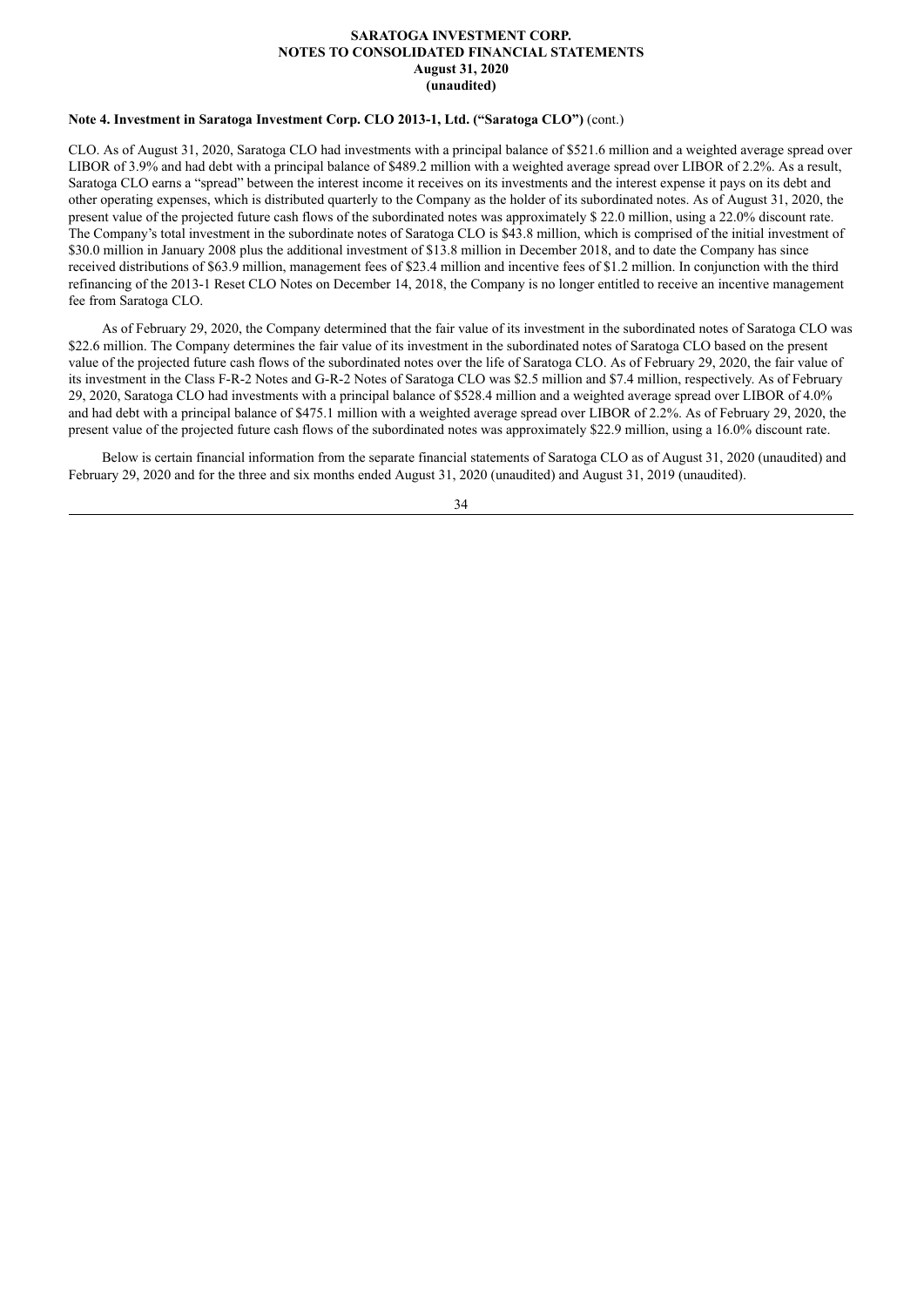## **Note 4. Investment in Saratoga Investment Corp. CLO 2013-1, Ltd. ("Saratoga CLO")** (cont.)

CLO. As of August 31, 2020, Saratoga CLO had investments with a principal balance of \$521.6 million and a weighted average spread over LIBOR of 3.9% and had debt with a principal balance of \$489.2 million with a weighted average spread over LIBOR of 2.2%. As a result, Saratoga CLO earns a "spread" between the interest income it receives on its investments and the interest expense it pays on its debt and other operating expenses, which is distributed quarterly to the Company as the holder of its subordinated notes. As of August 31, 2020, the present value of the projected future cash flows of the subordinated notes was approximately \$ 22.0 million, using a 22.0% discount rate. The Company's total investment in the subordinate notes of Saratoga CLO is \$43.8 million, which is comprised of the initial investment of \$30.0 million in January 2008 plus the additional investment of \$13.8 million in December 2018, and to date the Company has since received distributions of \$63.9 million, management fees of \$23.4 million and incentive fees of \$1.2 million. In conjunction with the third refinancing of the 2013-1 Reset CLO Notes on December 14, 2018, the Company is no longer entitled to receive an incentive management fee from Saratoga CLO.

As of February 29, 2020, the Company determined that the fair value of its investment in the subordinated notes of Saratoga CLO was \$22.6 million. The Company determines the fair value of its investment in the subordinated notes of Saratoga CLO based on the present value of the projected future cash flows of the subordinated notes over the life of Saratoga CLO. As of February 29, 2020, the fair value of its investment in the Class F-R-2 Notes and G-R-2 Notes of Saratoga CLO was \$2.5 million and \$7.4 million, respectively. As of February 29, 2020, Saratoga CLO had investments with a principal balance of \$528.4 million and a weighted average spread over LIBOR of 4.0% and had debt with a principal balance of \$475.1 million with a weighted average spread over LIBOR of 2.2%. As of February 29, 2020, the present value of the projected future cash flows of the subordinated notes was approximately \$22.9 million, using a 16.0% discount rate.

Below is certain financial information from the separate financial statements of Saratoga CLO as of August 31, 2020 (unaudited) and February 29, 2020 and for the three and six months ended August 31, 2020 (unaudited) and August 31, 2019 (unaudited).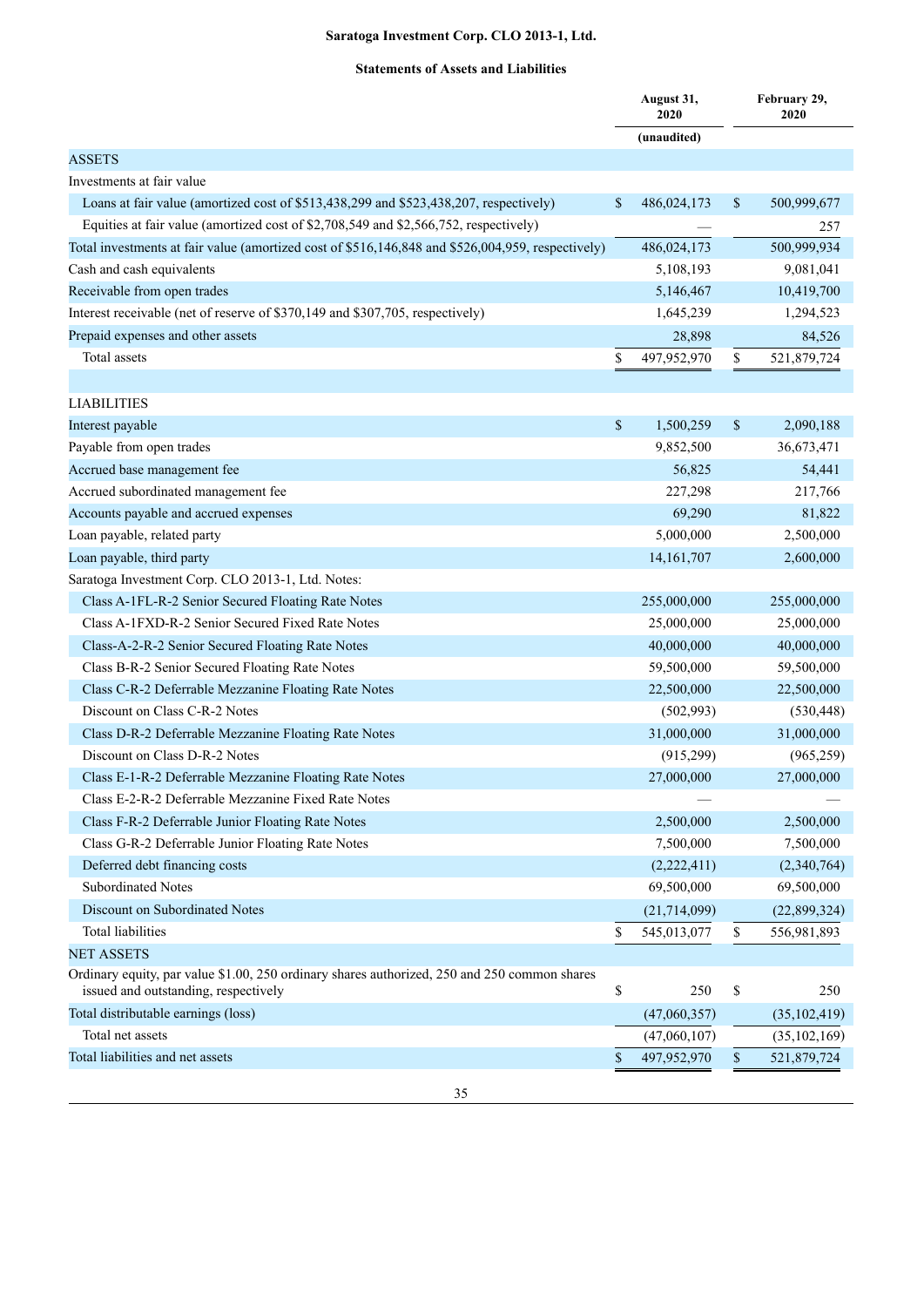## **Statements of Assets and Liabilities**

|                                                                                                                                      |      | August 31,<br>2020 |              | February 29,<br>2020 |
|--------------------------------------------------------------------------------------------------------------------------------------|------|--------------------|--------------|----------------------|
|                                                                                                                                      |      | (unaudited)        |              |                      |
| <b>ASSETS</b>                                                                                                                        |      |                    |              |                      |
| Investments at fair value                                                                                                            |      |                    |              |                      |
| Loans at fair value (amortized cost of \$513,438,299 and \$523,438,207, respectively)                                                | \$   | 486,024,173        | \$           | 500,999,677          |
| Equities at fair value (amortized cost of \$2,708,549 and \$2,566,752, respectively)                                                 |      |                    |              | 257                  |
| Total investments at fair value (amortized cost of \$516,146,848 and \$526,004,959, respectively)                                    |      | 486,024,173        |              | 500,999,934          |
| Cash and cash equivalents                                                                                                            |      | 5,108,193          |              | 9,081,041            |
| Receivable from open trades                                                                                                          |      | 5,146,467          |              | 10,419,700           |
| Interest receivable (net of reserve of \$370,149 and \$307,705, respectively)                                                        |      | 1,645,239          |              | 1,294,523            |
| Prepaid expenses and other assets                                                                                                    |      | 28,898             |              | 84,526               |
| Total assets                                                                                                                         | \$   | 497,952,970        | \$           | 521,879,724          |
|                                                                                                                                      |      |                    |              |                      |
| <b>LIABILITIES</b>                                                                                                                   |      |                    |              |                      |
| Interest payable                                                                                                                     | \$   | 1,500,259          | $\mathbb{S}$ | 2,090,188            |
| Payable from open trades                                                                                                             |      | 9,852,500          |              | 36,673,471           |
| Accrued base management fee                                                                                                          |      | 56,825             |              | 54,441               |
| Accrued subordinated management fee                                                                                                  |      | 227,298            |              | 217,766              |
| Accounts payable and accrued expenses                                                                                                |      | 69,290             |              | 81,822               |
| Loan payable, related party                                                                                                          |      | 5,000,000          |              | 2,500,000            |
| Loan payable, third party                                                                                                            |      | 14, 161, 707       |              | 2,600,000            |
| Saratoga Investment Corp. CLO 2013-1, Ltd. Notes:                                                                                    |      |                    |              |                      |
| Class A-1FL-R-2 Senior Secured Floating Rate Notes                                                                                   |      | 255,000,000        |              | 255,000,000          |
| Class A-1FXD-R-2 Senior Secured Fixed Rate Notes                                                                                     |      | 25,000,000         |              | 25,000,000           |
| Class-A-2-R-2 Senior Secured Floating Rate Notes                                                                                     |      | 40,000,000         |              | 40,000,000           |
| Class B-R-2 Senior Secured Floating Rate Notes                                                                                       |      | 59,500,000         |              | 59,500,000           |
| Class C-R-2 Deferrable Mezzanine Floating Rate Notes                                                                                 |      | 22,500,000         |              | 22,500,000           |
| Discount on Class C-R-2 Notes                                                                                                        |      | (502,993)          |              | (530, 448)           |
| Class D-R-2 Deferrable Mezzanine Floating Rate Notes                                                                                 |      | 31,000,000         |              | 31,000,000           |
| Discount on Class D-R-2 Notes                                                                                                        |      | (915, 299)         |              | (965, 259)           |
| Class E-1-R-2 Deferrable Mezzanine Floating Rate Notes                                                                               |      | 27,000,000         |              | 27,000,000           |
| Class E-2-R-2 Deferrable Mezzanine Fixed Rate Notes                                                                                  |      |                    |              |                      |
| Class F-R-2 Deferrable Junior Floating Rate Notes                                                                                    |      | 2,500,000          |              | 2,500,000            |
| Class G-R-2 Deferrable Junior Floating Rate Notes                                                                                    |      | 7,500,000          |              | 7,500,000            |
| Deferred debt financing costs                                                                                                        |      | (2,222,411)        |              | (2,340,764)          |
| <b>Subordinated Notes</b>                                                                                                            |      | 69,500,000         |              | 69,500,000           |
| Discount on Subordinated Notes                                                                                                       |      | (21, 714, 099)     |              | (22,899,324)         |
| <b>Total liabilities</b>                                                                                                             | \$   | 545,013,077        | \$           | 556,981,893          |
| <b>NET ASSETS</b>                                                                                                                    |      |                    |              |                      |
| Ordinary equity, par value \$1.00, 250 ordinary shares authorized, 250 and 250 common shares<br>issued and outstanding, respectively | \$   | 250                | \$           | 250                  |
| Total distributable earnings (loss)                                                                                                  |      | (47,060,357)       |              | (35, 102, 419)       |
| Total net assets                                                                                                                     |      | (47,060,107)       |              | (35, 102, 169)       |
| Total liabilities and net assets                                                                                                     | $\$$ | 497,952,970        | $\mathbb{S}$ | 521,879,724          |
|                                                                                                                                      |      |                    |              |                      |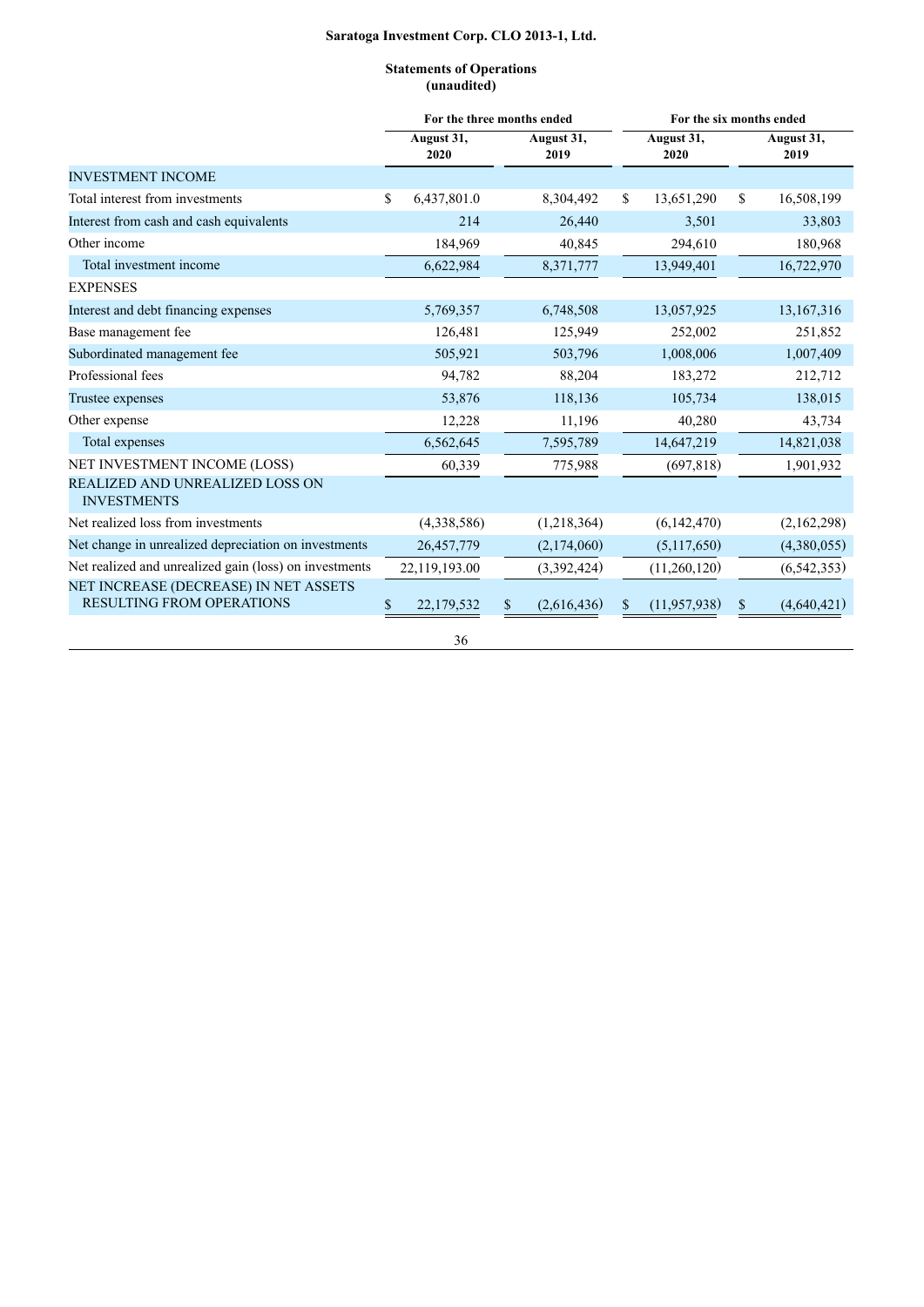## **Statements of Operations (unaudited)**

|                                                                    |                    | For the three months ended |                      | For the six months ended |
|--------------------------------------------------------------------|--------------------|----------------------------|----------------------|--------------------------|
|                                                                    | August 31,<br>2020 | August 31,<br>2019         | August 31,<br>2020   | August 31,<br>2019       |
| <b>INVESTMENT INCOME</b>                                           |                    |                            |                      |                          |
| Total interest from investments                                    | \$<br>6,437,801.0  | 8,304,492                  | 13,651,290<br>\$     | \$<br>16,508,199         |
| Interest from cash and cash equivalents                            | 214                | 26,440                     | 3,501                | 33,803                   |
| Other income                                                       | 184,969            | 40,845                     | 294,610              | 180,968                  |
| Total investment income                                            | 6,622,984          | 8,371,777                  | 13,949,401           | 16,722,970               |
| <b>EXPENSES</b>                                                    |                    |                            |                      |                          |
| Interest and debt financing expenses                               | 5,769,357          | 6,748,508                  | 13,057,925           | 13,167,316               |
| Base management fee                                                | 126,481            | 125,949                    | 252,002              | 251,852                  |
| Subordinated management fee                                        | 505,921            | 503,796                    | 1,008,006            | 1,007,409                |
| Professional fees                                                  | 94,782             | 88,204                     | 183,272              | 212,712                  |
| Trustee expenses                                                   | 53,876             | 118,136                    | 105,734              | 138,015                  |
| Other expense                                                      | 12,228             | 11,196                     | 40,280               | 43,734                   |
| Total expenses                                                     | 6,562,645          | 7,595,789                  | 14,647,219           | 14,821,038               |
| NET INVESTMENT INCOME (LOSS)                                       | 60,339             | 775,988                    | (697, 818)           | 1,901,932                |
| <b>REALIZED AND UNREALIZED LOSS ON</b><br><b>INVESTMENTS</b>       |                    |                            |                      |                          |
| Net realized loss from investments                                 | (4,338,586)        | (1,218,364)                | (6,142,470)          | (2,162,298)              |
| Net change in unrealized depreciation on investments               | 26,457,779         | (2,174,060)                | (5,117,650)          | (4,380,055)              |
| Net realized and unrealized gain (loss) on investments             | 22,119,193.00      | (3,392,424)                | (11,260,120)         | (6, 542, 353)            |
| NET INCREASE (DECREASE) IN NET ASSETS<br>RESULTING FROM OPERATIONS | 22,179,532<br>\$   | (2,616,436)<br>\$          | (11, 957, 938)<br>\$ | (4,640,421)<br>\$        |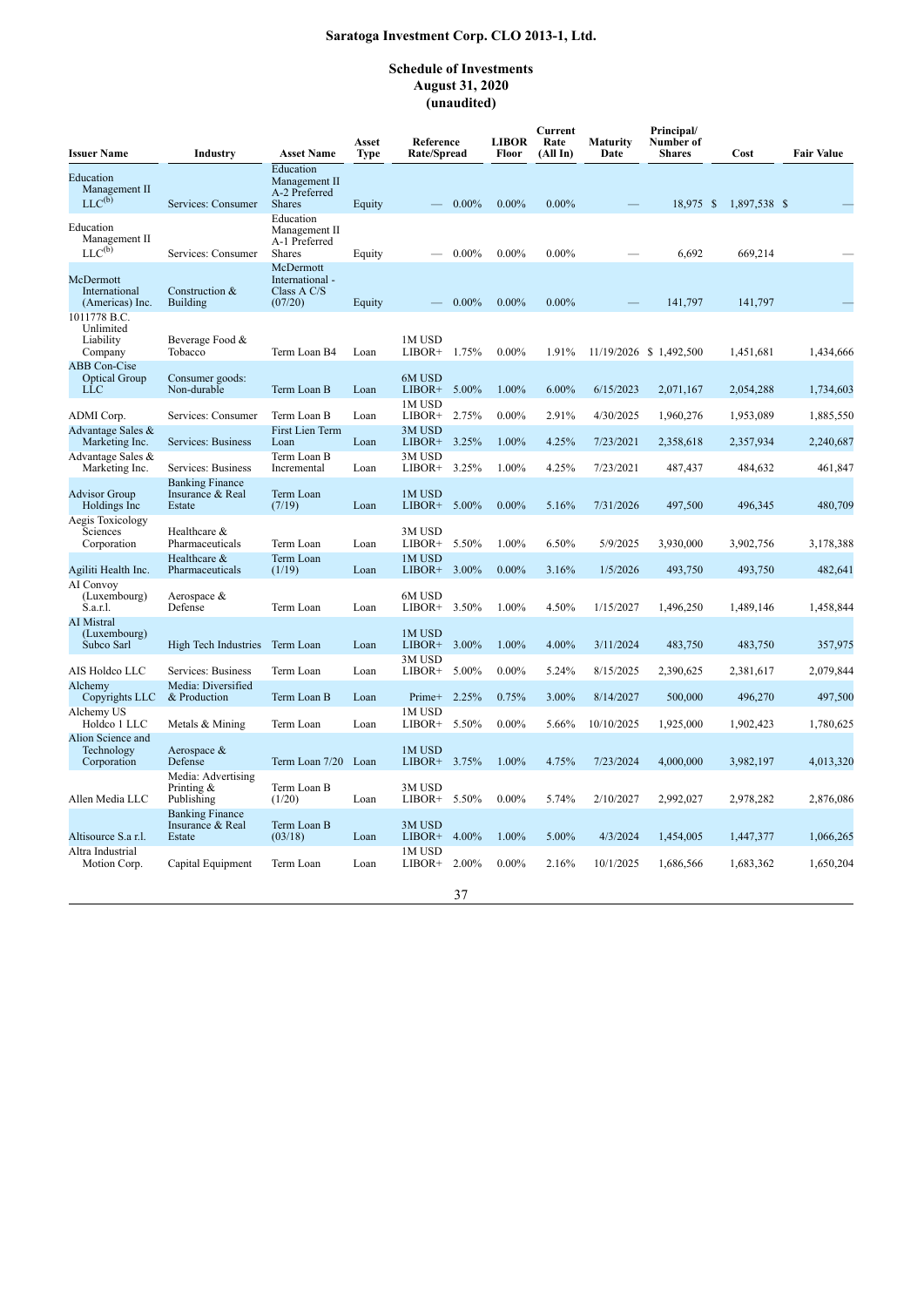## **Schedule of Investments August 31, 2020 (unaudited)**

| <b>Issuer Name</b>                                        | Industry                                             | <b>Asset Name</b>                                               | Asset<br>Type | Reference<br>Rate/Spread  |          | <b>LIBOR</b><br>Floor | Current<br>Rate<br>(All In) | <b>Maturity</b><br>Date | Principal/<br>Number of<br><b>Shares</b> | Cost |              | <b>Fair Value</b> |
|-----------------------------------------------------------|------------------------------------------------------|-----------------------------------------------------------------|---------------|---------------------------|----------|-----------------------|-----------------------------|-------------------------|------------------------------------------|------|--------------|-------------------|
| Education<br>Management II<br>$LLC^{(b)}$                 | Services: Consumer                                   | Education<br>Management II<br>A-2 Preferred<br><b>Shares</b>    | Equity        |                           | $0.00\%$ | $0.00\%$              | $0.00\%$                    |                         | 18,975 \$                                |      | 1,897,538 \$ |                   |
| Education<br>Management II<br>$LLC^{(b)}$                 | Services: Consumer                                   | Education<br>Management II<br>A-1 Preferred<br><b>Shares</b>    | Equity        |                           | $0.00\%$ | $0.00\%$              | $0.00\%$                    |                         | 6,692                                    |      | 669,214      |                   |
| McDermott<br>International<br>(Americas) Inc.             | Construction &<br><b>Building</b>                    | <b>McDermott</b><br>International -<br>Class $A C/S$<br>(07/20) | Equity        |                           | $0.00\%$ | $0.00\%$              | $0.00\%$                    |                         | 141,797                                  |      | 141,797      |                   |
| 1011778 B.C.<br>Unlimited<br>Liability<br>Company         | Beverage Food &<br>Tobacco                           | Term Loan B4                                                    | Loan          | 1M USD<br>LIBOR+          | 1.75%    | $0.00\%$              | 1.91%                       |                         | 11/19/2026 \$1,492,500                   |      | 1,451,681    | 1,434,666         |
| <b>ABB</b> Con-Cise<br><b>Optical Group</b><br><b>LLC</b> | Consumer goods:<br>Non-durable                       | Term Loan B                                                     | Loan          | 6M USD<br>LIBOR+ $5.00\%$ |          | 1.00%                 | 6.00%                       | 6/15/2023               | 2,071,167                                |      | 2,054,288    | 1,734,603         |
| ADMI Corp.                                                | Services: Consumer                                   | Term Loan B                                                     | Loan          | 1M USD<br>LIBOR+          | 2.75%    | $0.00\%$              | 2.91%                       | 4/30/2025               | 1,960,276                                |      | 1,953,089    | 1,885,550         |
| Advantage Sales &<br>Marketing Inc.                       | Services: Business                                   | <b>First Lien Term</b><br>Loan                                  | Loan          | 3M USD<br>$LIBOR+$ 3.25%  |          | 1.00%                 | 4.25%                       | 7/23/2021               | 2,358,618                                |      | 2,357,934    | 2,240,687         |
| Advantage Sales &<br>Marketing Inc.                       | Services: Business                                   | Term Loan B<br>Incremental                                      | Loan          | 3M USD<br>LIBOR+          | 3.25%    | 1.00%                 | 4.25%                       | 7/23/2021               | 487,437                                  |      | 484,632      | 461,847           |
| <b>Advisor Group</b><br>Holdings Inc.                     | <b>Banking Finance</b><br>Insurance & Real<br>Estate | Term Loan<br>(7/19)                                             | Loan          | 1M USD<br>LIBOR+          | 5.00%    | $0.00\%$              | 5.16%                       | 7/31/2026               | 497,500                                  |      | 496,345      | 480,709           |
| Aegis Toxicology<br>Sciences<br>Corporation               | Healthcare &<br>Pharmaceuticals                      | Term Loan                                                       | Loan          | 3M USD<br>LIBOR+ 5.50%    |          | 1.00%                 | 6.50%                       | 5/9/2025                | 3,930,000                                |      | 3,902,756    | 3,178,388         |
| Agiliti Health Inc.                                       | Healthcare &<br>Pharmaceuticals                      | Term Loan<br>(1/19)                                             | Loan          | 1M USD<br>LIBOR+          | 3.00%    | $0.00\%$              | 3.16%                       | 1/5/2026                | 493,750                                  |      | 493,750      | 482,641           |
| AI Convoy<br>(Luxembourg)<br>S.a.r.l.                     | Aerospace &<br>Defense                               | Term Loan                                                       | Loan          | 6M USD<br>LIBOR+          | 3.50%    | 1.00%                 | 4.50%                       | 1/15/2027               | 1,496,250                                |      | 1,489,146    | 1,458,844         |
| <b>AI</b> Mistral<br>(Luxembourg)<br>Subco Sarl           | High Tech Industries                                 | Term Loan                                                       | Loan          | 1M USD<br>LIBOR+          | 3.00%    | 1.00%                 | 4.00%                       | 3/11/2024               | 483,750                                  |      | 483,750      | 357,975           |
| AIS Holdco LLC                                            | Services: Business                                   | Term Loan                                                       | Loan          | 3M USD<br>LIBOR+          | 5.00%    | $0.00\%$              | 5.24%                       | 8/15/2025               | 2,390,625                                |      | 2,381,617    | 2,079,844         |
| Alchemy<br>Copyrights LLC                                 | Media: Diversified<br>& Production                   | Term Loan B                                                     | Loan          | Prime+ 2.25%              |          | 0.75%                 | 3.00%                       | 8/14/2027               | 500,000                                  |      | 496,270      | 497,500           |
| Alchemy US<br>Holdco 1 LLC                                | Metals & Mining                                      | Term Loan                                                       | Loan          | 1M USD<br>LIBOR+          | 5.50%    | $0.00\%$              | 5.66%                       | 10/10/2025              | 1,925,000                                |      | 1,902,423    | 1,780,625         |
| Alion Science and<br>Technology<br>Corporation            | Aerospace &<br>Defense                               | Term Loan 7/20 Loan                                             |               | 1M USD<br>LIBOR+ 3.75%    |          | 1.00%                 | 4.75%                       | 7/23/2024               | 4,000,000                                |      | 3,982,197    | 4,013,320         |
| Allen Media LLC                                           | Media: Advertising<br>Printing $\&$<br>Publishing    | Term Loan B<br>(1/20)                                           | Loan          | 3M USD<br>LIBOR+          | 5.50%    | $0.00\%$              | 5.74%                       | 2/10/2027               | 2,992,027                                |      | 2,978,282    | 2,876,086         |
| Altisource S.a r.l.                                       | <b>Banking Finance</b><br>Insurance & Real<br>Estate | Term Loan B<br>(03/18)                                          | Loan          | 3M USD<br>LIBOR+          | 4.00%    | 1.00%                 | 5.00%                       | 4/3/2024                | 1,454,005                                |      | 1,447,377    | 1,066,265         |
| Altra Industrial<br>Motion Corp.                          | Capital Equipment                                    | Term Loan                                                       | Loan          | 1M USD<br>LIBOR+          | 2.00%    | $0.00\%$              | 2.16%                       | 10/1/2025               | 1,686,566                                |      | 1,683,362    | 1,650,204         |
|                                                           |                                                      |                                                                 |               |                           | 37       |                       |                             |                         |                                          |      |              |                   |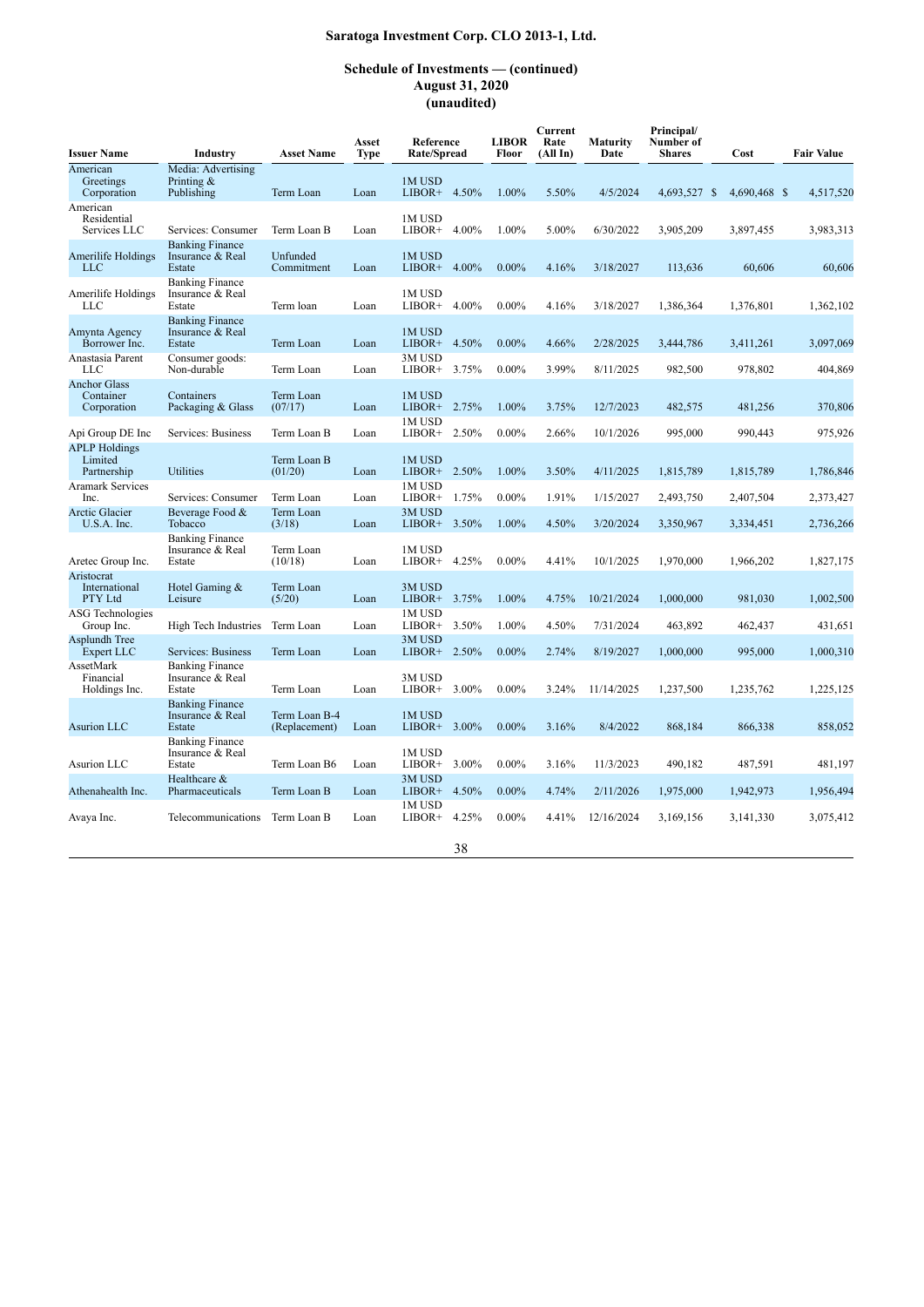### **Schedule of Investments — (continued) August 31, 2020 (unaudited)**

| <b>Issuer Name</b>                              | <b>Industry</b>                                      | <b>Asset Name</b>              | Asset<br><b>Type</b> | Reference<br>Rate/Spread    | <b>LIBOR</b><br>Floor | Current<br>Rate<br>(All In) | Maturity<br>Date | Principal/<br>Number of<br><b>Shares</b> | Cost         | <b>Fair Value</b> |
|-------------------------------------------------|------------------------------------------------------|--------------------------------|----------------------|-----------------------------|-----------------------|-----------------------------|------------------|------------------------------------------|--------------|-------------------|
| American<br>Greetings<br>Corporation            | Media: Advertising<br>Printing $\&$<br>Publishing    | Term Loan                      | Loan                 | 1M USD<br>LIBOR+ 4.50%      | 1.00%                 | 5.50%                       | 4/5/2024         | 4,693,527 \$                             | 4,690,468 \$ | 4,517,520         |
| American<br>Residential<br>Services LLC         | Services: Consumer                                   | Term Loan B                    | Loan                 | 1M USD<br>LIBOR+<br>4.00%   | 1.00%                 | 5.00%                       | 6/30/2022        | 3,905,209                                | 3,897,455    | 3,983,313         |
| Amerilife Holdings<br><b>LLC</b>                | <b>Banking Finance</b><br>Insurance & Real<br>Estate | Unfunded<br>Commitment         | Loan                 | 1M USD<br>$LIBOR+ 4.00\%$   | $0.00\%$              | 4.16%                       | 3/18/2027        | 113,636                                  | 60,606       | 60.606            |
| Amerilife Holdings<br>LLC                       | <b>Banking Finance</b><br>Insurance & Real<br>Estate | Term loan                      | Loan                 | 1M USD<br>4.00%<br>LIBOR+   | $0.00\%$              | 4.16%                       | 3/18/2027        | 1,386,364                                | 1,376,801    | 1,362,102         |
| Amynta Agency<br>Borrower Inc.                  | <b>Banking Finance</b><br>Insurance & Real<br>Estate | Term Loan                      | Loan                 | 1M USD<br>$LIBOR+$<br>4.50% | $0.00\%$              | 4.66%                       | 2/28/2025        | 3,444,786                                | 3,411,261    | 3,097,069         |
| Anastasia Parent<br><b>LLC</b>                  | Consumer goods:<br>Non-durable                       | Term Loan                      | Loan                 | 3M USD<br>3.75%<br>LIBOR+   | $0.00\%$              | 3.99%                       | 8/11/2025        | 982,500                                  | 978,802      | 404,869           |
| <b>Anchor Glass</b><br>Container<br>Corporation | Containers<br>Packaging & Glass                      | Term Loan<br>(07/17)           | Loan                 | 1M USD<br>LIBOR+ 2.75%      | 1.00%                 | 3.75%                       | 12/7/2023        | 482,575                                  | 481,256      | 370,806           |
| Api Group DE Inc                                | Services: Business                                   | Term Loan B                    | Loan                 | 1M USD<br>LIBOR+ 2.50%      | $0.00\%$              | 2.66%                       | 10/1/2026        | 995,000                                  | 990,443      | 975,926           |
| <b>APLP</b> Holdings<br>Limited<br>Partnership  | Utilities                                            | Term Loan B<br>(01/20)         | Loan                 | 1M USD<br>LIBOR+ 2.50%      | 1.00%                 | 3.50%                       | 4/11/2025        | 1,815,789                                | 1,815,789    | 1,786,846         |
| <b>Aramark Services</b><br>Inc.                 | Services: Consumer                                   | Term Loan                      | Loan                 | 1M USD<br>LIBOR+<br>1.75%   | $0.00\%$              | 1.91%                       | 1/15/2027        | 2,493,750                                | 2,407,504    | 2,373,427         |
| <b>Arctic Glacier</b><br>$U.S.A.$ Inc.          | Beverage Food &<br>Tobacco                           | Term Loan<br>(3/18)            | Loan                 | 3M USD<br>3.50%<br>LIBOR+   | 1.00%                 | 4.50%                       | 3/20/2024        | 3,350,967                                | 3,334,451    | 2,736,266         |
| Aretec Group Inc.                               | <b>Banking Finance</b><br>Insurance & Real<br>Estate | Term Loan<br>(10/18)           | Loan                 | 1M USD<br>4.25%<br>$LIBOR+$ | $0.00\%$              | 4.41%                       | 10/1/2025        | 1,970,000                                | 1,966,202    | 1,827,175         |
| Aristocrat<br>International<br>PTY Ltd          | Hotel Gaming &<br>Leisure                            | Term Loan<br>(5/20)            | Loan                 | 3M USD<br>3.75%<br>LIBOR+   | 1.00%                 | 4.75%                       | 10/21/2024       | 1,000,000                                | 981,030      | 1,002,500         |
| <b>ASG Technologies</b><br>Group Inc.           | High Tech Industries                                 | Term Loan                      | Loan                 | 1M USD<br>LIBOR+ $3.50\%$   | 1.00%                 | 4.50%                       | 7/31/2024        | 463,892                                  | 462,437      | 431,651           |
| Asplundh Tree<br><b>Expert LLC</b>              | Services: Business                                   | Term Loan                      | Loan                 | 3M USD<br>$LIBOR+ 2.50\%$   | $0.00\%$              | 2.74%                       | 8/19/2027        | 1,000,000                                | 995,000      | 1,000,310         |
| AssetMark<br>Financial<br>Holdings Inc.         | <b>Banking Finance</b><br>Insurance & Real<br>Estate | Term Loan                      | Loan                 | 3M USD<br>3.00%<br>LIBOR+   | $0.00\%$              | 3.24%                       | 11/14/2025       | 1,237,500                                | 1,235,762    | 1,225,125         |
| Asurion LLC                                     | <b>Banking Finance</b><br>Insurance & Real<br>Estate | Term Loan B-4<br>(Replacement) | Loan                 | 1M USD<br>LIBOR+ 3.00%      | $0.00\%$              | 3.16%                       | 8/4/2022         | 868,184                                  | 866,338      | 858,052           |
| Asurion LLC                                     | <b>Banking Finance</b><br>Insurance & Real<br>Estate | Term Loan B6                   | Loan                 | 1M USD<br>3.00%<br>LIBOR+   | $0.00\%$              | 3.16%                       | 11/3/2023        | 490,182                                  | 487,591      | 481,197           |
| Athenahealth Inc.                               | Healthcare &<br>Pharmaceuticals                      | Term Loan B                    | Loan                 | 3M USD<br>4.50%<br>LIBOR+   | $0.00\%$              | 4.74%                       | 2/11/2026        | 1,975,000                                | 1,942,973    | 1,956,494         |
| Avaya Inc.                                      | Telecommunications                                   | Term Loan B                    | Loan                 | 1M USD<br>4.25%<br>LIBOR+   | $0.00\%$              | 4.41%                       | 12/16/2024       | 3,169,156                                | 3,141,330    | 3,075,412         |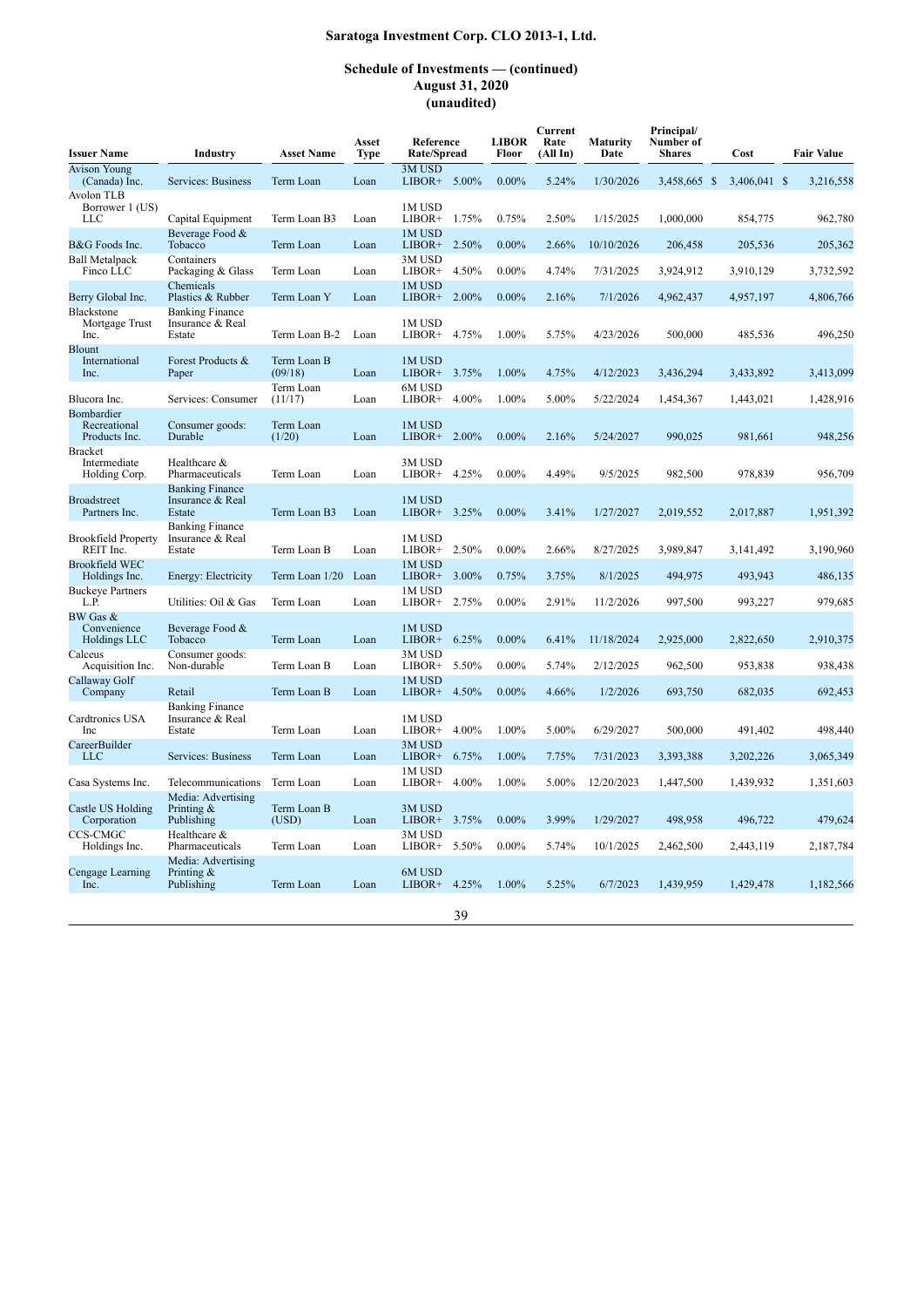| <b>Issuer Name</b>                              | Industry                                             | <b>Asset Name</b>      | Asset<br><b>Type</b> | Reference<br>Rate/Spread |       | <b>LIBOR</b><br>Floor | Current<br>Rate<br>(All In) | <b>Maturity</b><br>Date | Principal/<br>Number of<br><b>Shares</b> | Cost         | <b>Fair Value</b> |
|-------------------------------------------------|------------------------------------------------------|------------------------|----------------------|--------------------------|-------|-----------------------|-----------------------------|-------------------------|------------------------------------------|--------------|-------------------|
| <b>Avison Young</b><br>(Canada) Inc.            | Services: Business                                   | Term Loan              | Loan                 | 3M USD<br>LIBOR+ 5.00%   |       | $0.00\%$              | 5.24%                       | 1/30/2026               | 3,458,665 \$                             | 3,406,041 \$ | 3,216,558         |
| Avolon TLB<br>Borrower 1 (US)<br>LLC            | Capital Equipment                                    | Term Loan B3           | Loan                 | 1M USD<br>LIBOR+         | 1.75% | 0.75%                 | 2.50%                       | 1/15/2025               | 1,000,000                                | 854,775      | 962,780           |
| B&G Foods Inc.                                  | Beverage Food &<br>Tobacco                           | Term Loan              | Loan                 | 1M USD<br>$LIBOR+$       | 2.50% | $0.00\%$              | 2.66%                       | 10/10/2026              | 206,458                                  | 205,536      | 205,362           |
| <b>Ball Metalpack</b><br>Finco LLC              | Containers<br>Packaging & Glass                      | Term Loan              | Loan                 | 3M USD<br>LIBOR+         | 4.50% | $0.00\%$              | 4.74%                       | 7/31/2025               | 3,924,912                                | 3,910,129    | 3,732,592         |
| Berry Global Inc.                               | Chemicals<br>Plastics & Rubber                       | Term Loan Y            | Loan                 | 1M USD<br>LIBOR+ 2.00%   |       | $0.00\%$              | 2.16%                       | 7/1/2026                | 4,962,437                                | 4,957,197    | 4,806,766         |
| Blackstone<br>Mortgage Trust<br>Inc.            | <b>Banking Finance</b><br>Insurance & Real<br>Estate | Term Loan B-2          | Loan                 | 1M USD<br>LIBOR+         | 4.75% | 1.00%                 | 5.75%                       | 4/23/2026               | 500,000                                  | 485,536      | 496,250           |
| <b>Blount</b><br>International<br>Inc.          | Forest Products &<br>Paper                           | Term Loan B<br>(09/18) | Loan                 | 1M USD<br>LIBOR+ 3.75%   |       | 1.00%                 | 4.75%                       | 4/12/2023               | 3,436,294                                | 3,433,892    | 3,413,099         |
| Blucora Inc.                                    | Services: Consumer                                   | Term Loan<br>(11/17)   | Loan                 | 6M USD<br>LIBOR+         | 4.00% | 1.00%                 | 5.00%                       | 5/22/2024               | 1,454,367                                | 1,443,021    | 1,428,916         |
| Bombardier<br>Recreational<br>Products Inc.     | Consumer goods:<br>Durable                           | Term Loan<br>(1/20)    | Loan                 | 1M USD<br>LIBOR+ 2.00%   |       | $0.00\%$              | 2.16%                       | 5/24/2027               | 990.025                                  | 981,661      | 948,256           |
| <b>Bracket</b><br>Intermediate<br>Holding Corp. | Healthcare &<br>Pharmaceuticals                      | Term Loan              | Loan                 | 3M USD<br>$LIBOR+$       | 4.25% | $0.00\%$              | 4.49%                       | 9/5/2025                | 982,500                                  | 978,839      | 956,709           |
| <b>Broadstreet</b><br>Partners Inc.             | <b>Banking Finance</b><br>Insurance & Real<br>Estate | Term Loan B3           | Loan                 | 1M USD<br>LIBOR+ 3.25%   |       | $0.00\%$              | 3.41%                       | 1/27/2027               | 2,019,552                                | 2,017,887    | 1,951,392         |
| <b>Brookfield Property</b><br>REIT Inc.         | <b>Banking Finance</b><br>Insurance & Real<br>Estate | Term Loan B            | Loan                 | 1M USD<br>LIBOR+         | 2.50% | $0.00\%$              | 2.66%                       | 8/27/2025               | 3,989,847                                | 3,141,492    | 3,190,960         |
| <b>Brookfield WEC</b><br>Holdings Inc.          | Energy: Electricity                                  | Term Loan 1/20 Loan    |                      | 1M USD<br>LIBOR+         | 3.00% | 0.75%                 | 3.75%                       | 8/1/2025                | 494,975                                  | 493,943      | 486,135           |
| <b>Buckeye Partners</b><br>L.P.                 | Utilities: Oil & Gas                                 | Term Loan              | Loan                 | 1M USD<br>$LIBOR+$       | 2.75% | $0.00\%$              | 2.91%                       | 11/2/2026               | 997,500                                  | 993,227      | 979.685           |
| BW Gas &<br>Convenience<br>Holdings LLC         | Beverage Food &<br>Tobacco                           | Term Loan              | Loan                 | 1M USD<br>$LIBOR+$       | 6.25% | $0.00\%$              | 6.41%                       | 11/18/2024              | 2,925,000                                | 2,822,650    | 2,910,375         |
| Calceus<br>Acquisition Inc.                     | Consumer goods:<br>Non-durable                       | Term Loan B            | Loan                 | 3M USD<br>$LIBOR+$       | 5.50% | $0.00\%$              | 5.74%                       | 2/12/2025               | 962,500                                  | 953,838      | 938.438           |
| Callaway Golf<br>Company                        | Retail                                               | Term Loan B            | Loan                 | 1M USD<br>$LIBOR+$       | 4.50% | $0.00\%$              | 4.66%                       | 1/2/2026                | 693,750                                  | 682,035      | 692,453           |
| Cardtronics USA<br>Inc                          | <b>Banking Finance</b><br>Insurance & Real<br>Estate | Term Loan              | Loan                 | 1M USD<br>LIBOR+         | 4.00% | 1.00%                 | 5.00%                       | 6/29/2027               | 500,000                                  | 491,402      | 498,440           |
| CareerBuilder<br><b>LLC</b>                     | Services: Business                                   | Term Loan              | Loan                 | 3M USD<br>LIBOR+         | 6.75% | 1.00%                 | 7.75%                       | 7/31/2023               | 3,393,388                                | 3,202,226    | 3,065,349         |
| Casa Systems Inc.                               | Telecommunications                                   | Term Loan              | Loan                 | 1M USD<br>LIBOR+         | 4.00% | 1.00%                 | 5.00%                       | 12/20/2023              | 1,447,500                                | 1,439,932    | 1,351,603         |
| Castle US Holding<br>Corporation                | Media: Advertising<br>Printing $\&$<br>Publishing    | Term Loan B<br>(USD)   | Loan                 | 3M USD<br>LIBOR+         | 3.75% | $0.00\%$              | 3.99%                       | 1/29/2027               | 498,958                                  | 496,722      | 479,624           |
| CCS-CMGC<br>Holdings Inc.                       | Healthcare &<br>Pharmaceuticals                      | Term Loan              | Loan                 | 3M USD<br>LIBOR+         | 5.50% | $0.00\%$              | 5.74%                       | 10/1/2025               | 2,462,500                                | 2,443,119    | 2,187,784         |
| Cengage Learning<br>Inc.                        | Media: Advertising<br>Printing $\&$<br>Publishing    | Term Loan              | Loan                 | 6M USD<br>LIBOR+ 4.25%   |       | 1.00%                 | 5.25%                       | 6/7/2023                | 1,439,959                                | 1,429,478    | 1,182,566         |
|                                                 |                                                      |                        |                      |                          | 39    |                       |                             |                         |                                          |              |                   |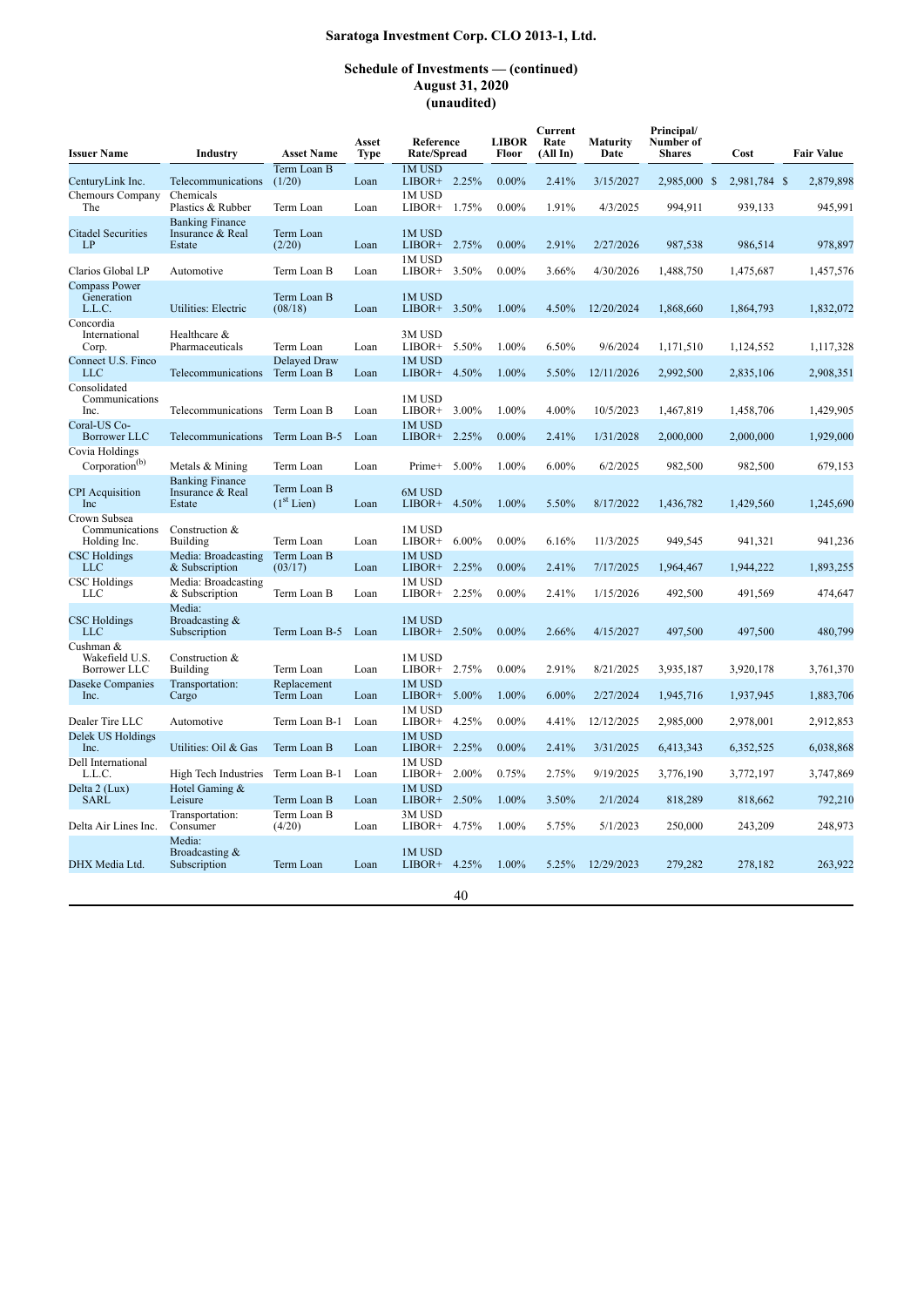| <b>Issuer Name</b>                             | Industry                                             | <b>Asset Name</b>           | Asset<br><b>Type</b> | Reference<br>Rate/Spread     | <b>LIBOR</b><br>Floor | Current<br>Rate<br>(AllIn) | Maturity<br>Date | Principal/<br>Number of<br><b>Shares</b> | Cost         | <b>Fair Value</b> |
|------------------------------------------------|------------------------------------------------------|-----------------------------|----------------------|------------------------------|-----------------------|----------------------------|------------------|------------------------------------------|--------------|-------------------|
| CenturyLink Inc.                               | Telecommunications                                   | Term Loan B<br>(1/20)       | Loan                 | 1M USD<br>LIBOR+ 2.25%       | $0.00\%$              | 2.41%                      | 3/15/2027        | 2,985,000 \$                             | 2,981,784 \$ | 2,879,898         |
| Chemours Company<br>The                        | Chemicals<br>Plastics & Rubber                       | Term Loan                   | Loan                 | 1M USD<br>$LIBOR+$<br>1.75%  | $0.00\%$              | 1.91%                      | 4/3/2025         | 994,911                                  | 939,133      | 945.991           |
| <b>Citadel Securities</b><br>LP                | <b>Banking Finance</b><br>Insurance & Real<br>Estate | Term Loan<br>(2/20)         | Loan                 | 1M USD<br>LIBOR+ 2.75%       | $0.00\%$              | 2.91%                      | 2/27/2026        | 987,538                                  | 986,514      | 978,897           |
| Clarios Global LP                              | Automotive                                           | Term Loan B                 | Loan                 | 1M USD<br>LIBOR+<br>3.50%    | $0.00\%$              | 3.66%                      | 4/30/2026        | 1,488,750                                | 1,475,687    | 1,457,576         |
| <b>Compass Power</b><br>Generation<br>L.L.C.   | Utilities: Electric                                  | Term Loan B<br>(08/18)      | Loan                 | 1M USD<br>3.50%<br>$LIBOR+$  | 1.00%                 | 4.50%                      | 12/20/2024       | 1,868,660                                | 1,864,793    | 1,832,072         |
| Concordia<br>International<br>Corp.            | Healthcare &<br>Pharmaceuticals                      | Term Loan                   | Loan                 | 3M USD<br>LIBOR+ 5.50%       | 1.00%                 | 6.50%                      | 9/6/2024         | 1,171,510                                | 1,124,552    | 1,117,328         |
| Connect U.S. Finco<br><b>LLC</b>               | Telecommunications                                   | Delayed Draw<br>Term Loan B | Loan                 | 1M USD<br>4.50%<br>$LIBOR+$  | 1.00%                 | 5.50%                      | 12/11/2026       | 2,992,500                                | 2,835,106    | 2,908,351         |
| Consolidated<br>Communications<br>Inc.         | Telecommunications                                   | Term Loan B                 | Loan                 | 1M USD<br>LIBOR+ 3.00%       | 1.00%                 | 4.00%                      | 10/5/2023        | 1,467,819                                | 1,458,706    | 1,429,905         |
| Coral-US Co-<br><b>Borrower LLC</b>            | Telecommunications                                   | Term Loan B-5               | Loan                 | 1M USD<br>LIBOR+<br>2.25%    | $0.00\%$              | 2.41%                      | 1/31/2028        | 2,000,000                                | 2,000,000    | 1,929,000         |
| Covia Holdings<br>Corporation <sup>(b)</sup>   | Metals & Mining                                      | Term Loan                   | Loan                 | 5.00%<br>Prime+              | 1.00%                 | 6.00%                      | 6/2/2025         | 982,500                                  | 982,500      | 679,153           |
| <b>CPI</b> Acquisition<br>Inc                  | <b>Banking Finance</b><br>Insurance & Real<br>Estate | Term Loan B<br>$(1st$ Lien) | Loan                 | 6M USD<br>$LIBOR+$<br>4.50%  | 1.00%                 | 5.50%                      | 8/17/2022        | 1,436,782                                | 1,429,560    | 1,245,690         |
| Crown Subsea<br>Communications<br>Holding Inc. | Construction &<br><b>Building</b>                    | Term Loan                   | Loan                 | 1M USD<br>LIBOR+<br>$6.00\%$ | $0.00\%$              | 6.16%                      | 11/3/2025        | 949,545                                  | 941,321      | 941,236           |
| <b>CSC Holdings</b><br><b>LLC</b>              | Media: Broadcasting<br>& Subscription                | Term Loan B<br>(03/17)      | Loan                 | 1M USD<br>LIBOR+ 2.25%       | $0.00\%$              | 2.41%                      | 7/17/2025        | 1,964,467                                | 1,944,222    | 1,893,255         |
| <b>CSC</b> Holdings<br><b>LLC</b>              | Media: Broadcasting<br>& Subscription                | Term Loan B                 | Loan                 | 1M USD<br>2.25%<br>LIBOR+    | $0.00\%$              | 2.41%                      | 1/15/2026        | 492,500                                  | 491,569      | 474,647           |
| <b>CSC</b> Holdings<br>LLC                     | Media:<br>Broadcasting &<br>Subscription             | Term Loan B-5               | Loan                 | 1M USD<br>$LIBOR+$<br>2.50%  | $0.00\%$              | 2.66%                      | 4/15/2027        | 497,500                                  | 497,500      | 480,799           |
| Cushman &<br>Wakefield U.S.<br>Borrower LLC    | Construction &<br>Building                           | Term Loan                   | Loan                 | 1M USD<br>LIBOR+ 2.75%       | $0.00\%$              | 2.91%                      | 8/21/2025        | 3,935,187                                | 3,920,178    | 3,761,370         |
| Daseke Companies<br>Inc.                       | Transportation:<br>Cargo                             | Replacement<br>Term Loan    | Loan                 | 1M USD<br>5.00%<br>LIBOR+    | 1.00%                 | 6.00%                      | 2/27/2024        | 1,945,716                                | 1,937,945    | 1,883,706         |
| Dealer Tire LLC                                | Automotive                                           | Term Loan B-1               | Loan                 | 1M USD<br>4.25%<br>LIBOR+    | $0.00\%$              | 4.41%                      | 12/12/2025       | 2,985,000                                | 2,978,001    | 2,912,853         |
| Delek US Holdings<br>Inc.                      | Utilities: Oil & Gas                                 | Term Loan B                 | Loan                 | 1M USD<br>2.25%<br>LIBOR+    | $0.00\%$              | 2.41%                      | 3/31/2025        | 6,413,343                                | 6,352,525    | 6,038,868         |
| Dell International<br>L.L.C.                   | High Tech Industries                                 | Term Loan B-1               | Loan                 | 1M USD<br>2.00%<br>LIBOR+    | 0.75%                 | 2.75%                      | 9/19/2025        | 3,776,190                                | 3,772,197    | 3,747,869         |
| Delta 2 (Lux)<br><b>SARL</b>                   | Hotel Gaming &<br>Leisure                            | Term Loan B                 | Loan                 | 1M USD<br>$LIBOR+$<br>2.50%  | 1.00%                 | 3.50%                      | 2/1/2024         | 818,289                                  | 818,662      | 792,210           |
| Delta Air Lines Inc.                           | Transportation:<br>Consumer                          | Term Loan B<br>(4/20)       | Loan                 | 3M USD<br>$LIBOR+$<br>4.75%  | 1.00%                 | 5.75%                      | 5/1/2023         | 250,000                                  | 243,209      | 248,973           |
| DHX Media Ltd.                                 | Media:<br>Broadcasting $&$<br>Subscription           | Term Loan                   | Loan                 | 1M USD<br>LIBOR+ 4.25%       | 1.00%                 | 5.25%                      | 12/29/2023       | 279,282                                  | 278,182      | 263,922           |
|                                                |                                                      |                             |                      |                              |                       |                            |                  |                                          |              |                   |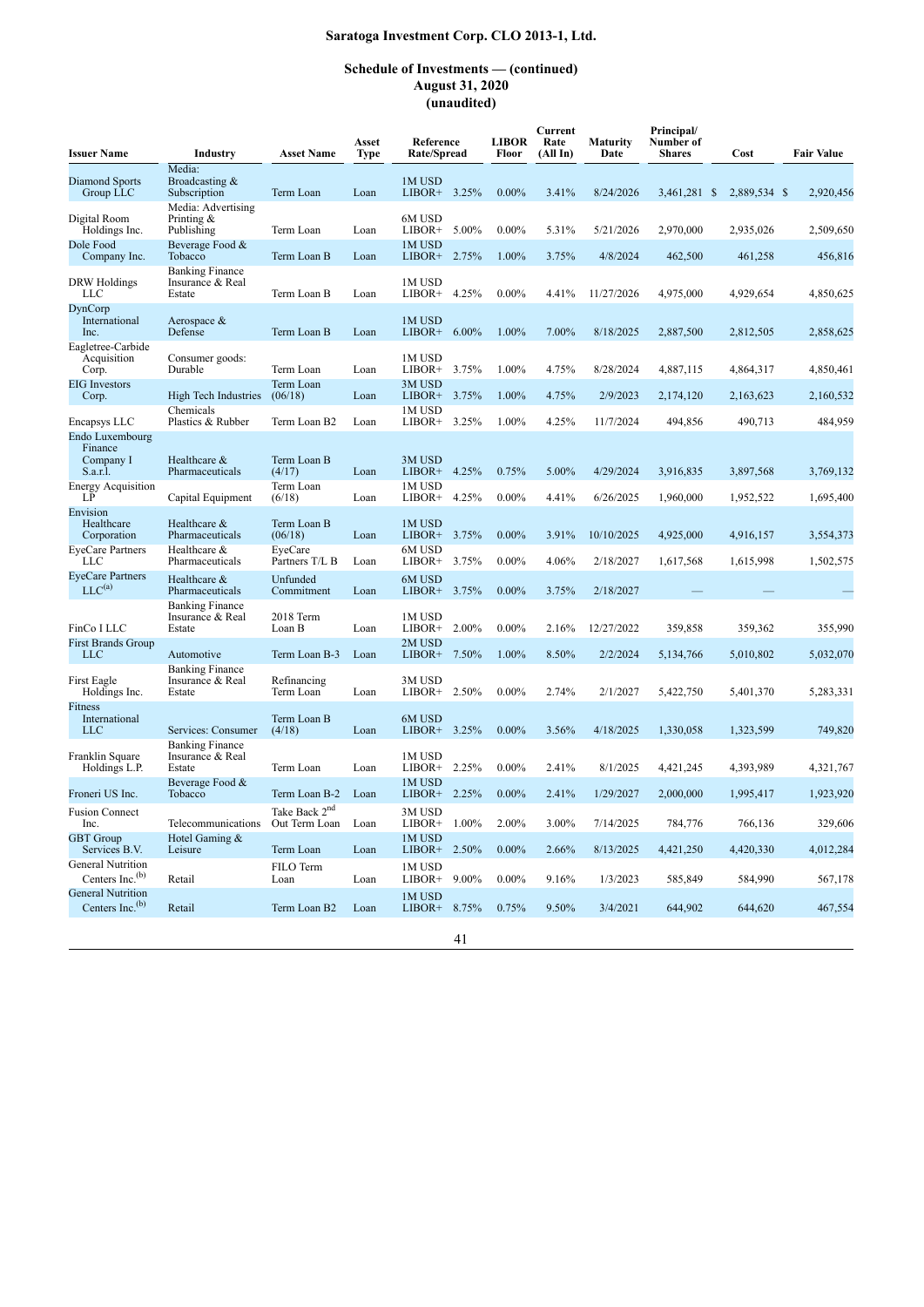| <b>Issuer Name</b>                                  | Industry                                             | <b>Asset Name</b>         | Asset<br>Type | Reference<br>Rate/Spread     |          | <b>LIBOR</b><br>Floor | Current<br>Rate<br>(AllIn) | Maturity<br>Date | Principal/<br>Number of<br><b>Shares</b> | Cost         | <b>Fair Value</b> |
|-----------------------------------------------------|------------------------------------------------------|---------------------------|---------------|------------------------------|----------|-----------------------|----------------------------|------------------|------------------------------------------|--------------|-------------------|
| Diamond Sports<br>Group LLC                         | Media:<br>Broadcasting &<br>Subscription             | Term Loan                 | Loan          | 1M USD<br>$LIBOR+$ 3.25%     |          | $0.00\%$              | 3.41%                      | 8/24/2026        | 3,461,281 \$                             | 2,889,534 \$ | 2,920,456         |
| Digital Room<br>Holdings Inc.                       | Media: Advertising<br>Printing $\&$<br>Publishing    | Term Loan                 | Loan          | 6M USD<br>LIBOR+ $5.00\%$    |          | $0.00\%$              | 5.31%                      | 5/21/2026        | 2,970,000                                | 2,935,026    | 2,509,650         |
| Dole Food<br>Company Inc.                           | Beverage Food &<br>Tobacco                           | Term Loan B               | Loan          | 1M USD<br>$LIBOR+ 2.75%$     |          | 1.00%                 | 3.75%                      | 4/8/2024         | 462,500                                  | 461,258      | 456,816           |
| DRW Holdings<br><b>LLC</b>                          | <b>Banking Finance</b><br>Insurance & Real<br>Estate | Term Loan B               | Loan          | 1M USD<br>LIBOR+ 4.25%       |          | $0.00\%$              | 4.41%                      | 11/27/2026       | 4,975,000                                | 4,929,654    | 4,850,625         |
| DynCorp<br>International<br>Inc.                    | Aerospace $&$<br>Defense                             | Term Loan B               | Loan          | 1M USD<br>$LIBOR+$           | $6.00\%$ | 1.00%                 | 7.00%                      | 8/18/2025        | 2,887,500                                | 2,812,505    | 2,858,625         |
| Eagletree-Carbide<br>Acquisition<br>Corp.           | Consumer goods:<br>Durable                           | Term Loan                 | Loan          | 1M USD<br>$LIBOR+ 3.75%$     |          | 1.00%                 | 4.75%                      | 8/28/2024        | 4,887,115                                | 4,864,317    | 4,850,461         |
| <b>EIG</b> Investors<br>Corp.                       | High Tech Industries                                 | Term Loan<br>(06/18)      | Loan          | 3M USD<br>$LIBOR+ 3.75%$     |          | 1.00%                 | 4.75%                      | 2/9/2023         | 2,174,120                                | 2,163,623    | 2,160,532         |
| Encapsys LLC                                        | Chemicals<br>Plastics & Rubber                       | Term Loan B <sub>2</sub>  | Loan          | 1M USD<br>LIBOR+             | 3.25%    | 1.00%                 | 4.25%                      | 11/7/2024        | 494,856                                  | 490,713      | 484,959           |
| Endo Luxembourg<br>Finance<br>Company I<br>S.a.r.l. | Healthcare &<br>Pharmaceuticals                      | Term Loan B<br>(4/17)     | Loan          | 3M USD<br>$LIBOR+ 4.25%$     |          | 0.75%                 | 5.00%                      | 4/29/2024        | 3,916,835                                | 3,897,568    | 3,769,132         |
| <b>Energy Acquisition</b><br>LP                     | Capital Equipment                                    | Term Loan<br>(6/18)       | Loan          | 1M USD<br>LIBOR+             | 4.25%    | $0.00\%$              | 4.41%                      | 6/26/2025        | 1,960,000                                | 1,952,522    | 1,695,400         |
| Envision<br>Healthcare<br>Corporation               | Healthcare &<br>Pharmaceuticals                      | Term Loan B<br>(06/18)    | Loan          | 1M USD<br>LIBOR+             | 3.75%    | $0.00\%$              | 3.91%                      | 10/10/2025       | 4,925,000                                | 4,916,157    | 3,554,373         |
| <b>EveCare Partners</b><br>LLC                      | Healthcare &<br>Pharmaceuticals                      | EveCare<br>Partners T/L B | Loan          | 6M USD<br>$LIBOR+ 3.75%$     |          | $0.00\%$              | 4.06%                      | 2/18/2027        | 1,617,568                                | 1,615,998    | 1,502,575         |
| <b>EyeCare Partners</b><br>$LLC^{(a)}$              | Healthcare &<br>Pharmaceuticals                      | Unfunded<br>Commitment    | Loan          | 6M USD<br>$LIBOR+ 3.75%$     |          | $0.00\%$              | 3.75%                      | 2/18/2027        |                                          |              |                   |
| FinCo I LLC                                         | <b>Banking Finance</b><br>Insurance & Real<br>Estate | 2018 Term<br>Loan B       | Loan          | 1M USD<br>$LIBOR+ 2.00\%$    |          | $0.00\%$              | 2.16%                      | 12/27/2022       | 359,858                                  | 359,362      | 355,990           |
| <b>First Brands Group</b><br>LLC                    | Automotive                                           | Term Loan B-3             | Loan          | 2M USD<br>LIBOR+ $7.50\%$    |          | 1.00%                 | 8.50%                      | 2/2/2024         | 5,134,766                                | 5,010,802    | 5,032,070         |
| First Eagle<br>Holdings Inc.                        | <b>Banking Finance</b><br>Insurance & Real<br>Estate | Refinancing<br>Term Loan  | Loan          | 3M USD<br>LIBOR+ $2.50\%$    |          | $0.00\%$              | 2.74%                      | 2/1/2027         | 5,422,750                                | 5,401,370    | 5,283,331         |
| Fitness<br>International<br>LLC                     | Services: Consumer                                   | Term Loan B<br>(4/18)     | Loan          | 6M USD<br>$LIBOR+$ 3.25%     |          | $0.00\%$              | 3.56%                      | 4/18/2025        | 1,330,058                                | 1,323,599    | 749.820           |
| Franklin Square<br>Holdings L.P.                    | <b>Banking Finance</b><br>Insurance & Real<br>Estate | Term Loan                 | Loan          | 1M USD<br>$LIBOR+ 2.25%$     |          | $0.00\%$              | 2.41%                      | 8/1/2025         | 4,421,245                                | 4,393,989    | 4,321,767         |
| Froneri US Inc.                                     | Beverage Food &<br>Tobacco                           | Term Loan B-2             | Loan          | 1M USD<br>$LIBOR+ 2.25%$     |          | $0.00\%$              | 2.41%                      | 1/29/2027        | 2,000,000                                | 1,995,417    | 1,923,920         |
| <b>Fusion Connect</b><br>Inc.                       | Telecommunications Out Term Loan                     | Take Back 2 <sup>nd</sup> | Loan          | 3M USD<br>LIBOR+ 1.00% 2.00% |          |                       | 3.00%                      | 7/14/2025        | 784,776                                  | 766,136      | 329,606           |
| <b>GBT</b> Group<br>Services B.V.                   | Hotel Gaming &<br>Leisure                            | Term Loan                 | Loan          | 1M USD<br>LIBOR+ 2.50%       |          | $0.00\%$              | 2.66%                      | 8/13/2025        | 4,421,250                                | 4,420,330    | 4,012,284         |
| General Nutrition<br>Centers Inc. $(b)$             | Retail                                               | FILO Term<br>Loan         | Loan          | 1M USD<br>$LIBOR+$           | $9.00\%$ | $0.00\%$              | 9.16%                      | 1/3/2023         | 585,849                                  | 584,990      | 567,178           |
| <b>General Nutrition</b><br>Centers Inc. $(b)$      | Retail                                               | Term Loan B2              | Loan          | 1M USD<br>LIBOR+ 8.75%       |          | 0.75%                 | 9.50%                      | 3/4/2021         | 644,902                                  | 644,620      | 467,554           |
|                                                     |                                                      |                           |               |                              | 41       |                       |                            |                  |                                          |              |                   |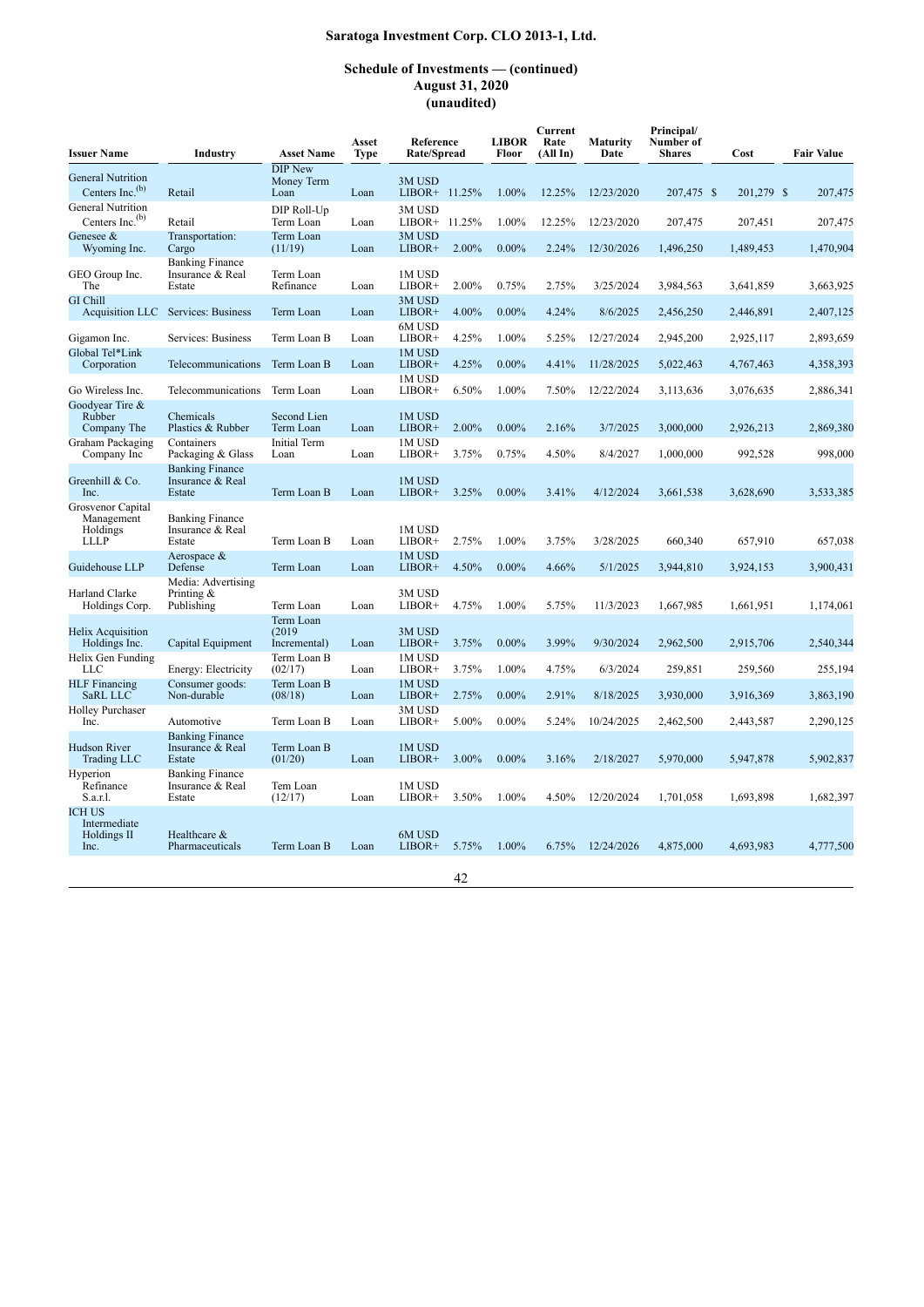| <b>Issuer Name</b>                                         | Industry                                             | <b>Asset Name</b>                    | Asset<br><b>Type</b> | Reference<br>Rate/Spread |       | <b>LIBOR</b><br>Floor | Current<br>Rate<br>(AllIn) | <b>Maturity</b><br>Date | Principal/<br>Number of<br><b>Shares</b> | Cost       | <b>Fair Value</b> |
|------------------------------------------------------------|------------------------------------------------------|--------------------------------------|----------------------|--------------------------|-------|-----------------------|----------------------------|-------------------------|------------------------------------------|------------|-------------------|
| <b>General Nutrition</b><br>Centers Inc. $(b)$             | Retail                                               | <b>DIP New</b><br>Money Term<br>Loan | Loan                 | 3M USD<br>LIBOR+ 11.25%  |       | 1.00%                 | 12.25%                     | 12/23/2020              | 207,475 \$                               | 201,279 \$ | 207,475           |
| <b>General Nutrition</b><br>Centers Inc. $(b)$             | Retail                                               | DIP Roll-Up<br>Term Loan             | Loan                 | 3M USD<br>LIBOR+ 11.25%  |       | 1.00%                 | 12.25%                     | 12/23/2020              | 207,475                                  | 207,451    | 207,475           |
| Genesee &<br>Wyoming Inc.                                  | Transportation:<br>Cargo                             | Term Loan<br>(11/19)                 | Loan                 | 3M USD<br>$LIBOR+$       | 2.00% | $0.00\%$              | 2.24%                      | 12/30/2026              | 1,496,250                                | 1,489,453  | 1,470,904         |
| GEO Group Inc.<br>The                                      | <b>Banking Finance</b><br>Insurance & Real<br>Estate | Term Loan<br>Refinance               | Loan                 | 1M USD<br>LIBOR+         | 2.00% | 0.75%                 | 2.75%                      | 3/25/2024               | 3,984,563                                | 3,641,859  | 3,663,925         |
| <b>GI</b> Chill<br>Acquisition LLC                         | Services: Business                                   | Term Loan                            | Loan                 | 3M USD<br>LIBOR+         | 4.00% | $0.00\%$              | 4.24%                      | 8/6/2025                | 2,456,250                                | 2,446,891  | 2,407,125         |
| Gigamon Inc.                                               | Services: Business                                   | Term Loan B                          | Loan                 | 6M USD<br>LIBOR+         | 4.25% | 1.00%                 | 5.25%                      | 12/27/2024              | 2,945,200                                | 2,925,117  | 2,893,659         |
| Global Tel*Link<br>Corporation                             | Telecommunications                                   | Term Loan B                          | Loan                 | 1M USD<br>LIBOR+         | 4.25% | $0.00\%$              | 4.41%                      | 11/28/2025              | 5,022,463                                | 4,767,463  | 4,358,393         |
| Go Wireless Inc.                                           | Telecommunications                                   | Term Loan                            | Loan                 | 1M USD<br>$LIBOR+$       | 6.50% | 1.00%                 | 7.50%                      | 12/22/2024              | 3.113.636                                | 3,076,635  | 2,886,341         |
| Goodyear Tire &<br>Rubber<br>Company The                   | Chemicals<br>Plastics & Rubber                       | Second Lien<br>Term Loan             | Loan                 | 1M USD<br>LIBOR+         | 2.00% | $0.00\%$              | 2.16%                      | 3/7/2025                | 3,000,000                                | 2,926,213  | 2,869,380         |
| Graham Packaging<br>Company Inc                            | Containers<br>Packaging & Glass                      | Initial Term<br>Loan                 | Loan                 | 1M USD<br>LIBOR+         | 3.75% | 0.75%                 | 4.50%                      | 8/4/2027                | 1,000,000                                | 992,528    | 998,000           |
| Greenhill & Co.<br>Inc.                                    | <b>Banking Finance</b><br>Insurance & Real<br>Estate | Term Loan B                          | Loan                 | 1M USD<br>$LIBOR+$       | 3.25% | $0.00\%$              | 3.41%                      | 4/12/2024               | 3,661,538                                | 3,628,690  | 3,533,385         |
| Grosvenor Capital<br>Management<br>Holdings<br><b>LLLP</b> | <b>Banking Finance</b><br>Insurance & Real<br>Estate | Term Loan B                          | Loan                 | 1M USD<br>LIBOR+         | 2.75% | 1.00%                 | 3.75%                      | 3/28/2025               | 660,340                                  | 657,910    | 657,038           |
| Guidehouse LLP                                             | Aerospace &<br>Defense                               | Term Loan                            | Loan                 | 1M USD<br>$LIBOR+$       | 4.50% | $0.00\%$              | 4.66%                      | 5/1/2025                | 3,944,810                                | 3,924,153  | 3,900,431         |
| Harland Clarke<br>Holdings Corp.                           | Media: Advertising<br>Printing $\&$<br>Publishing    | Term Loan                            | Loan                 | 3M USD<br>LIBOR+         | 4.75% | 1.00%                 | 5.75%                      | 11/3/2023               | 1,667,985                                | 1,661,951  | 1,174,061         |
| <b>Helix Acquisition</b><br>Holdings Inc.                  | Capital Equipment                                    | Term Loan<br>(2019)<br>Incremental)  | Loan                 | 3M USD<br>LIBOR+         | 3.75% | $0.00\%$              | 3.99%                      | 9/30/2024               | 2,962,500                                | 2,915,706  | 2,540,344         |
| Helix Gen Funding<br><b>LLC</b>                            | Energy: Electricity                                  | Term Loan B<br>(02/17)               | Loan                 | 1M USD<br>LIBOR+         | 3.75% | 1.00%                 | 4.75%                      | 6/3/2024                | 259,851                                  | 259,560    | 255,194           |
| <b>HLF</b> Financing<br>SaRL LLC                           | Consumer goods:<br>Non-durable                       | Term Loan B<br>(08/18)               | Loan                 | 1M USD<br>LIBOR+         | 2.75% | $0.00\%$              | 2.91%                      | 8/18/2025               | 3.930.000                                | 3,916,369  | 3,863,190         |
| <b>Holley Purchaser</b><br>Inc.                            | Automotive                                           | Term Loan B                          | Loan                 | 3M USD<br>LIBOR+         | 5.00% | $0.00\%$              | 5.24%                      | 10/24/2025              | 2,462,500                                | 2,443,587  | 2,290,125         |
| <b>Hudson River</b><br>Trading LLC                         | <b>Banking Finance</b><br>Insurance & Real<br>Estate | Term Loan B<br>(01/20)               | Loan                 | 1M USD<br>$LIBOR+$       | 3.00% | $0.00\%$              | 3.16%                      | 2/18/2027               | 5.970.000                                | 5,947,878  | 5,902,837         |
| Hyperion<br>Refinance<br>S.a.r.l.                          | <b>Banking Finance</b><br>Insurance & Real<br>Estate | Tem Loan<br>(12/17)                  | Loan                 | 1M USD<br>LIBOR+         | 3.50% | 1.00%                 | 4.50%                      | 12/20/2024              | 1,701,058                                | 1,693,898  | 1,682,397         |
| <b>ICH US</b><br>Intermediate<br>Holdings II<br>Inc.       | Healthcare &<br>Pharmaceuticals                      | Term Loan B                          | Loan                 | 6M USD<br>LIBOR+         | 5.75% | 1.00%                 | 6.75%                      | 12/24/2026              | 4,875,000                                | 4,693,983  | 4,777,500         |
|                                                            |                                                      |                                      |                      |                          | 42    |                       |                            |                         |                                          |            |                   |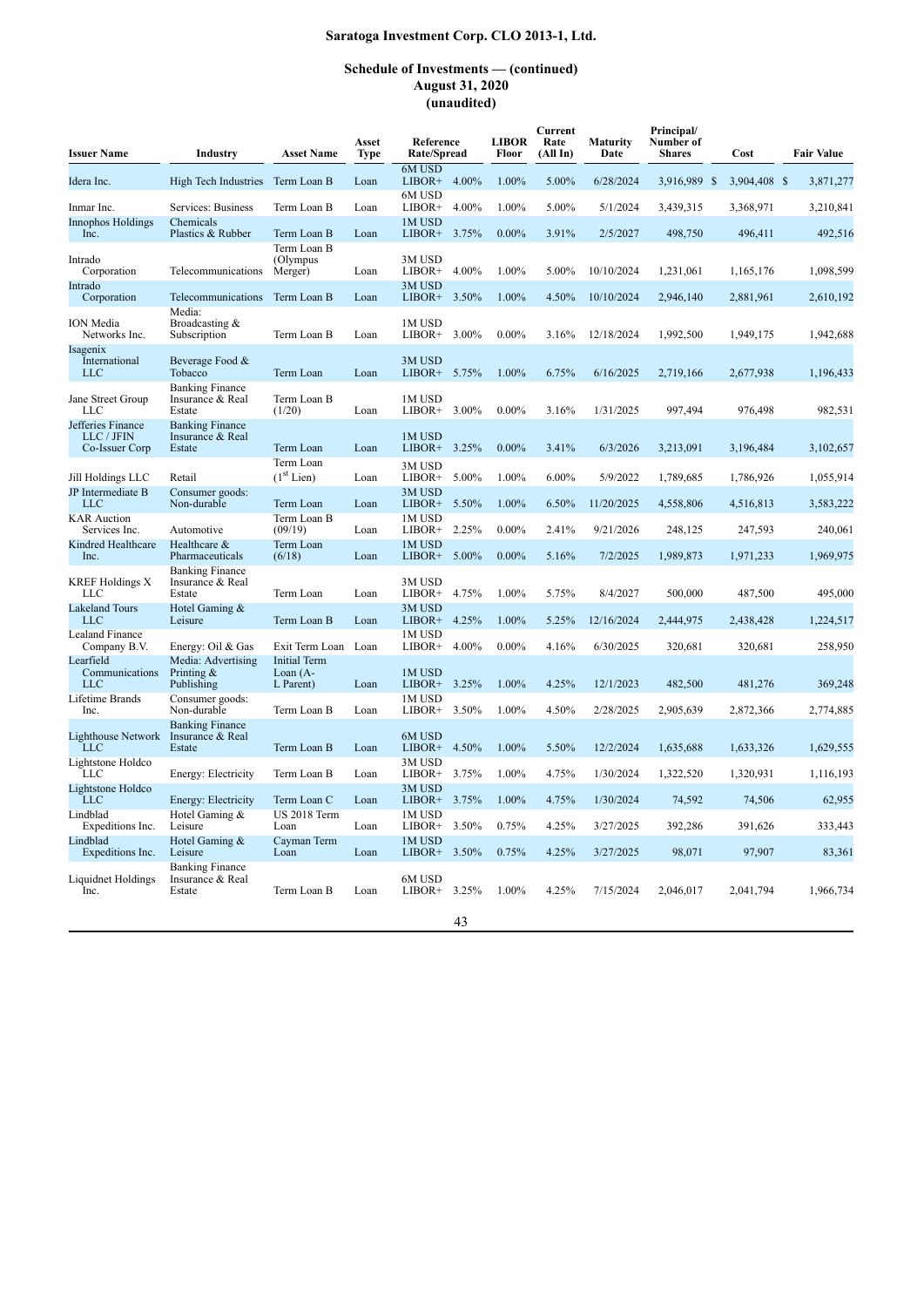| <b>Issuer Name</b>                                | Industry                                             | <b>Asset Name</b>                               | Asset<br><b>Type</b> | Reference<br>Rate/Spread  |       | <b>LIBOR</b><br>Floor | Current<br>Rate<br>(AllIn) | Maturity<br>Date | Principal/<br>Number of<br><b>Shares</b> | Cost         | <b>Fair Value</b> |
|---------------------------------------------------|------------------------------------------------------|-------------------------------------------------|----------------------|---------------------------|-------|-----------------------|----------------------------|------------------|------------------------------------------|--------------|-------------------|
| Idera Inc.                                        | High Tech Industries                                 | Term Loan B                                     | Loan                 | 6M USD<br>$LIBOR+ 4.00\%$ |       | 1.00%                 | 5.00%                      | 6/28/2024        | 3,916,989 \$                             | 3,904,408 \$ | 3,871,277         |
| Inmar Inc.                                        | Services: Business                                   | Term Loan B                                     | Loan                 | 6M USD<br>LIBOR+          | 4.00% | 1.00%                 | 5.00%                      | 5/1/2024         | 3,439,315                                | 3,368,971    | 3,210,841         |
| <b>Innophos Holdings</b>                          | Chemicals                                            |                                                 |                      | 1M USD                    |       |                       |                            |                  |                                          |              |                   |
| Inc.                                              | Plastics & Rubber                                    | Term Loan B<br>Term Loan B                      | Loan                 | $LIBOR+$                  | 3.75% | $0.00\%$              | 3.91%                      | 2/5/2027         | 498,750                                  | 496,411      | 492,516           |
| Intrado<br>Corporation                            | Telecommunications                                   | (Olympus<br>Merger)                             | Loan                 | 3M USD<br>LIBOR+          | 4.00% | 1.00%                 | 5.00%                      | 10/10/2024       | 1,231,061                                | 1,165,176    | 1,098,599         |
| Intrado<br>Corporation                            | Telecommunications                                   | Term Loan B                                     | Loan                 | 3M USD<br>LIBOR+          | 3.50% | 1.00%                 | 4.50%                      | 10/10/2024       | 2,946,140                                | 2,881,961    | 2,610,192         |
| <b>ION</b> Media<br>Networks Inc.                 | Media:<br>Broadcasting &<br>Subscription             | Term Loan B                                     | Loan                 | 1M USD<br>LIBOR+          | 3.00% | $0.00\%$              | 3.16%                      | 12/18/2024       | 1,992,500                                | 1,949,175    | 1,942,688         |
| Isagenix<br>International<br><b>LLC</b>           | Beverage Food &<br>Tobacco                           | Term Loan                                       | Loan                 | 3M USD<br>LIBOR+          | 5.75% | 1.00%                 | 6.75%                      | 6/16/2025        | 2,719,166                                | 2,677,938    | 1,196,433         |
| Jane Street Group<br><b>LLC</b>                   | <b>Banking Finance</b><br>Insurance & Real<br>Estate | Term Loan B<br>(1/20)                           | Loan                 | 1M USD<br>LIBOR+          | 3.00% | $0.00\%$              | 3.16%                      | 1/31/2025        | 997,494                                  | 976,498      | 982,531           |
| Jefferies Finance<br>LLC / JFIN<br>Co-Issuer Corp | <b>Banking Finance</b><br>Insurance & Real<br>Estate | Term Loan                                       | Loan                 | 1M USD<br>$LIBOR+$        | 3.25% | $0.00\%$              | 3.41%                      | 6/3/2026         | 3,213,091                                | 3,196,484    | 3,102,657         |
| Jill Holdings LLC                                 | Retail                                               | Term Loan<br>(1 <sup>st</sup> Lien)             | Loan                 | 3M USD<br>${\rm LIBOR+}$  | 5.00% | 1.00%                 | $6.00\%$                   | 5/9/2022         | 1,789,685                                | 1,786,926    | 1,055,914         |
| JP Intermediate B<br><b>LLC</b>                   | Consumer goods:<br>Non-durable                       | Term Loan                                       | Loan                 | 3M USD<br>LIBOR+          | 5.50% | 1.00%                 | 6.50%                      | 11/20/2025       | 4,558,806                                | 4,516,813    | 3,583,222         |
| <b>KAR</b> Auction<br>Services Inc.               | Automotive                                           | Term Loan B<br>(09/19)                          | Loan                 | 1M USD<br>LIBOR+          | 2.25% | $0.00\%$              | 2.41%                      | 9/21/2026        | 248,125                                  | 247,593      | 240,061           |
| Kindred Healthcare<br>Inc.                        | Healthcare &<br>Pharmaceuticals                      | Term Loan<br>(6/18)                             | Loan                 | 1M USD<br>LIBOR+          | 5.00% | $0.00\%$              | 5.16%                      | 7/2/2025         | 1,989,873                                | 1,971,233    | 1,969,975         |
| <b>KREF Holdings X</b><br>LLC                     | <b>Banking Finance</b><br>Insurance & Real<br>Estate | Term Loan                                       | Loan                 | 3M USD<br>LIBOR+          | 4.75% | 1.00%                 | 5.75%                      | 8/4/2027         | 500,000                                  | 487,500      | 495,000           |
| <b>Lakeland Tours</b><br><b>LLC</b>               | Hotel Gaming &<br>Leisure                            | Term Loan B                                     | Loan                 | 3M USD<br>LIBOR+          | 4.25% | 1.00%                 | 5.25%                      | 12/16/2024       | 2,444,975                                | 2,438,428    | 1,224,517         |
| Lealand Finance<br>Company B.V.                   | Energy: Oil & Gas                                    | Exit Term Loan Loan                             |                      | 1M USD<br>LIBOR+          | 4.00% | $0.00\%$              | 4.16%                      | 6/30/2025        | 320,681                                  | 320,681      | 258,950           |
| Learfield<br>Communications<br>LLC                | Media: Advertising<br>Printing $\&$<br>Publishing    | <b>Initial Term</b><br>Loan $(A -$<br>L Parent) | Loan                 | 1M USD<br>LIBOR+          | 3.25% | 1.00%                 | 4.25%                      | 12/1/2023        | 482,500                                  | 481,276      | 369,248           |
| Lifetime Brands<br>Inc.                           | Consumer goods:<br>Non-durable                       | Term Loan B                                     | Loan                 | 1M USD<br>LIBOR+          | 3.50% | 1.00%                 | 4.50%                      | 2/28/2025        | 2,905,639                                | 2,872,366    | 2,774,885         |
| <b>Lighthouse Network</b><br><b>LLC</b>           | <b>Banking Finance</b><br>Insurance & Real<br>Estate | Term Loan B                                     | Loan                 | 6M USD<br>LIBOR+          | 4.50% | 1.00%                 | 5.50%                      | 12/2/2024        | 1,635,688                                | 1,633,326    | 1,629,555         |
| Lightstone Holdco<br>LLC                          | Energy: Electricity                                  | Term Loan B                                     | Loan                 | 3M USD<br>LIBOR+          | 3.75% | 1.00%                 | 4.75%                      | 1/30/2024        | 1,322,520                                | 1,320,931    | 1,116,193         |
| Lightstone Holdco<br><b>LLC</b>                   | Energy: Electricity                                  | Term Loan C                                     | Loan                 | 3M USD<br>LIBOR+          | 3.75% | 1.00%                 | 4.75%                      | 1/30/2024        | 74,592                                   | 74,506       | 62,955            |
| Lindblad<br>Expeditions Inc.                      | Hotel Gaming &<br>Leisure                            | <b>US 2018 Term</b><br>Loan                     | Loan                 | 1M USD<br>LIBOR+          | 3.50% | 0.75%                 | 4.25%                      | 3/27/2025        | 392,286                                  | 391,626      | 333,443           |
| Lindblad<br>Expeditions Inc.                      | Hotel Gaming &<br>Leisure                            | Cayman Term<br>Loan                             | Loan                 | 1M USD<br>$LIBOR+$        | 3.50% | 0.75%                 | 4.25%                      | 3/27/2025        | 98,071                                   | 97,907       | 83.361            |
| Liquidnet Holdings<br>Inc.                        | <b>Banking Finance</b><br>Insurance & Real<br>Estate | Term Loan B                                     | Loan                 | 6M USD<br>$LIBOR+$        | 3.25% | 1.00%                 | 4.25%                      | 7/15/2024        | 2,046,017                                | 2,041,794    | 1,966,734         |
|                                                   |                                                      |                                                 |                      |                           | 43    |                       |                            |                  |                                          |              |                   |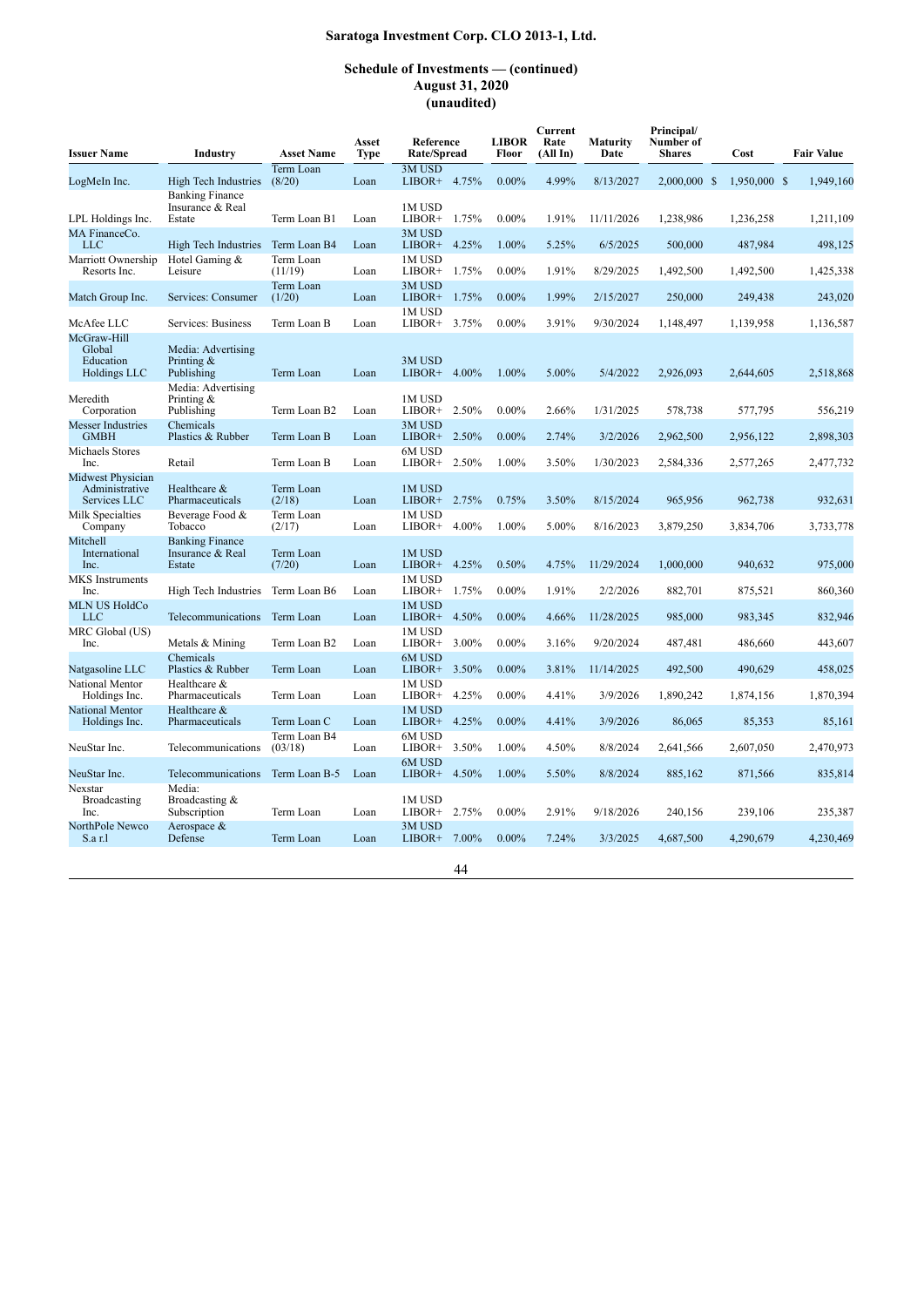| <b>Issuer Name</b>                                  | Industry                                             | <b>Asset Name</b>       | Asset<br>Type | Reference<br>Rate/Spread  |       | <b>LIBOR</b><br>Floor | Current<br>Rate<br>(AllIn) | Maturity<br>Date | Principal/<br>Number of<br><b>Shares</b> | Cost         | <b>Fair Value</b> |
|-----------------------------------------------------|------------------------------------------------------|-------------------------|---------------|---------------------------|-------|-----------------------|----------------------------|------------------|------------------------------------------|--------------|-------------------|
| LogMeIn Inc.                                        | High Tech Industries                                 | Term Loan<br>(8/20)     | Loan          | 3M USD<br>LIBOR+ 4.75%    |       | $0.00\%$              | 4.99%                      | 8/13/2027        | 2.000,000 \$                             | 1.950,000 \$ | 1.949.160         |
| LPL Holdings Inc.                                   | <b>Banking Finance</b><br>Insurance & Real<br>Estate | Term Loan B1            | Loan          | 1M USD<br>LIBOR+ 1.75%    |       | $0.00\%$              | 1.91%                      | 11/11/2026       | 1,238,986                                | 1,236,258    | 1,211,109         |
| MA FinanceCo.<br><b>LLC</b>                         | High Tech Industries                                 | Term Loan B4            | Loan          | 3M USD<br>LIBOR+          | 4.25% | 1.00%                 | 5.25%                      | 6/5/2025         | 500,000                                  | 487,984      | 498,125           |
| Marriott Ownership<br>Resorts Inc.                  | Hotel Gaming &<br>Leisure                            | Term Loan<br>(11/19)    | Loan          | 1M USD<br>LIBOR+          | 1.75% | $0.00\%$              | 1.91%                      | 8/29/2025        | 1,492,500                                | 1,492,500    | 1,425,338         |
| Match Group Inc.                                    | Services: Consumer                                   | Term Loan<br>(1/20)     | Loan          | 3M USD<br>$LIBOR+$        | 1.75% | $0.00\%$              | 1.99%                      | 2/15/2027        | 250,000                                  | 249,438      | 243,020           |
| McAfee LLC                                          | Services: Business                                   | Term Loan B             | Loan          | 1M USD<br>LIBOR+          | 3.75% | $0.00\%$              | 3.91%                      | 9/30/2024        | 1,148,497                                | 1,139,958    | 1,136,587         |
| McGraw-Hill<br>Global<br>Education<br>Holdings LLC  | Media: Advertising<br>Printing $\&$<br>Publishing    | Term Loan               | Loan          | 3M USD<br>$LIBOR+$        | 4.00% | 1.00%                 | 5.00%                      | 5/4/2022         | 2,926,093                                | 2,644,605    | 2,518,868         |
| Meredith<br>Corporation                             | Media: Advertising<br>Printing &<br>Publishing       | Term Loan B2            | Loan          | 1M USD<br>LIBOR+ $2.50\%$ |       | $0.00\%$              | 2.66%                      | 1/31/2025        | 578,738                                  | 577,795      | 556,219           |
| <b>Messer Industries</b><br><b>GMBH</b>             | Chemicals<br>Plastics & Rubber                       | Term Loan B             | Loan          | 3M USD<br>LIBOR+ 2.50%    |       | $0.00\%$              | 2.74%                      | 3/2/2026         | 2,962,500                                | 2,956,122    | 2,898,303         |
| Michaels Stores<br>Inc.                             | Retail                                               | Term Loan B             | Loan          | 6M USD<br>$LIBOR+$        | 2.50% | 1.00%                 | 3.50%                      | 1/30/2023        | 2,584,336                                | 2,577,265    | 2,477,732         |
| Midwest Physician<br>Administrative<br>Services LLC | Healthcare &<br>Pharmaceuticals                      | Term Loan<br>(2/18)     | Loan          | 1M USD<br>LIBOR+ 2.75%    |       | 0.75%                 | 3.50%                      | 8/15/2024        | 965,956                                  | 962,738      | 932,631           |
| Milk Specialties<br>Company                         | Beverage Food &<br>Tobacco                           | Term Loan<br>(2/17)     | Loan          | 1M USD<br>LIBOR+          | 4.00% | 1.00%                 | 5.00%                      | 8/16/2023        | 3,879,250                                | 3,834,706    | 3,733,778         |
| Mitchell<br>International<br>Inc.                   | <b>Banking Finance</b><br>Insurance & Real<br>Estate | Term Loan<br>(7/20)     | Loan          | 1M USD<br>LIBOR+          | 4.25% | 0.50%                 | 4.75%                      | 11/29/2024       | 1,000,000                                | 940,632      | 975,000           |
| MKS Instruments<br>Inc.                             | High Tech Industries                                 | Term Loan B6            | Loan          | 1M USD<br>LIBOR+          | 1.75% | $0.00\%$              | 1.91%                      | 2/2/2026         | 882,701                                  | 875,521      | 860,360           |
| <b>MLN US HoldCo</b><br><b>LLC</b>                  | Telecommunications                                   | Term Loan               | Loan          | 1M USD<br>LIBOR+          | 4.50% | $0.00\%$              | 4.66%                      | 11/28/2025       | 985,000                                  | 983,345      | 832,946           |
| MRC Global (US)<br>Inc.                             | Metals & Mining                                      | Term Loan B2            | Loan          | 1M USD<br>LIBOR+          | 3.00% | $0.00\%$              | 3.16%                      | 9/20/2024        | 487.481                                  | 486,660      | 443.607           |
| Natgasoline LLC                                     | Chemicals<br>Plastics & Rubber                       | Term Loan               | Loan          | 6M USD<br>LIBOR+ 3.50%    |       | $0.00\%$              | 3.81%                      | 11/14/2025       | 492,500                                  | 490,629      | 458,025           |
| National Mentor<br>Holdings Inc.                    | Healthcare &<br>Pharmaceuticals                      | Term Loan               | Loan          | 1M USD<br>LIBOR+          | 4.25% | $0.00\%$              | 4.41%                      | 3/9/2026         | 1,890,242                                | 1,874,156    | 1,870,394         |
| National Mentor<br>Holdings Inc.                    | Healthcare &<br>Pharmaceuticals                      | Term Loan C             | Loan          | 1M USD<br>$LIBOR+$        | 4.25% | $0.00\%$              | 4.41%                      | 3/9/2026         | 86,065                                   | 85,353       | 85,161            |
| NeuStar Inc.                                        | Telecommunications                                   | Term Loan B4<br>(03/18) | Loan          | 6M USD<br>LIBOR+          | 3.50% | 1.00%                 | 4.50%                      | 8/8/2024         | 2,641,566                                | 2,607,050    | 2,470,973         |
| NeuStar Inc.<br>Nexstar                             | Telecommunications<br>Media:                         | Term Loan B-5           | Loan          | 6M USD<br>$LIBOR+$        | 4.50% | 1.00%                 | 5.50%                      | 8/8/2024         | 885,162                                  | 871,566      | 835,814           |
| <b>Broadcasting</b><br>Inc.                         | Broadcasting &<br>Subscription                       | Term Loan               | Loan          | 1M USD<br>$LIBOR+ 2.75%$  |       | $0.00\%$              | 2.91%                      | 9/18/2026        | 240,156                                  | 239,106      | 235,387           |
| NorthPole Newco<br>S.a r.l                          | Aerospace $\&$<br>Defense                            | Term Loan               | Loan          | 3M USD<br>$LIBOR+$        | 7.00% | $0.00\%$              | 7.24%                      | 3/3/2025         | 4,687,500                                | 4,290,679    | 4,230,469         |
|                                                     |                                                      |                         |               |                           | 44    |                       |                            |                  |                                          |              |                   |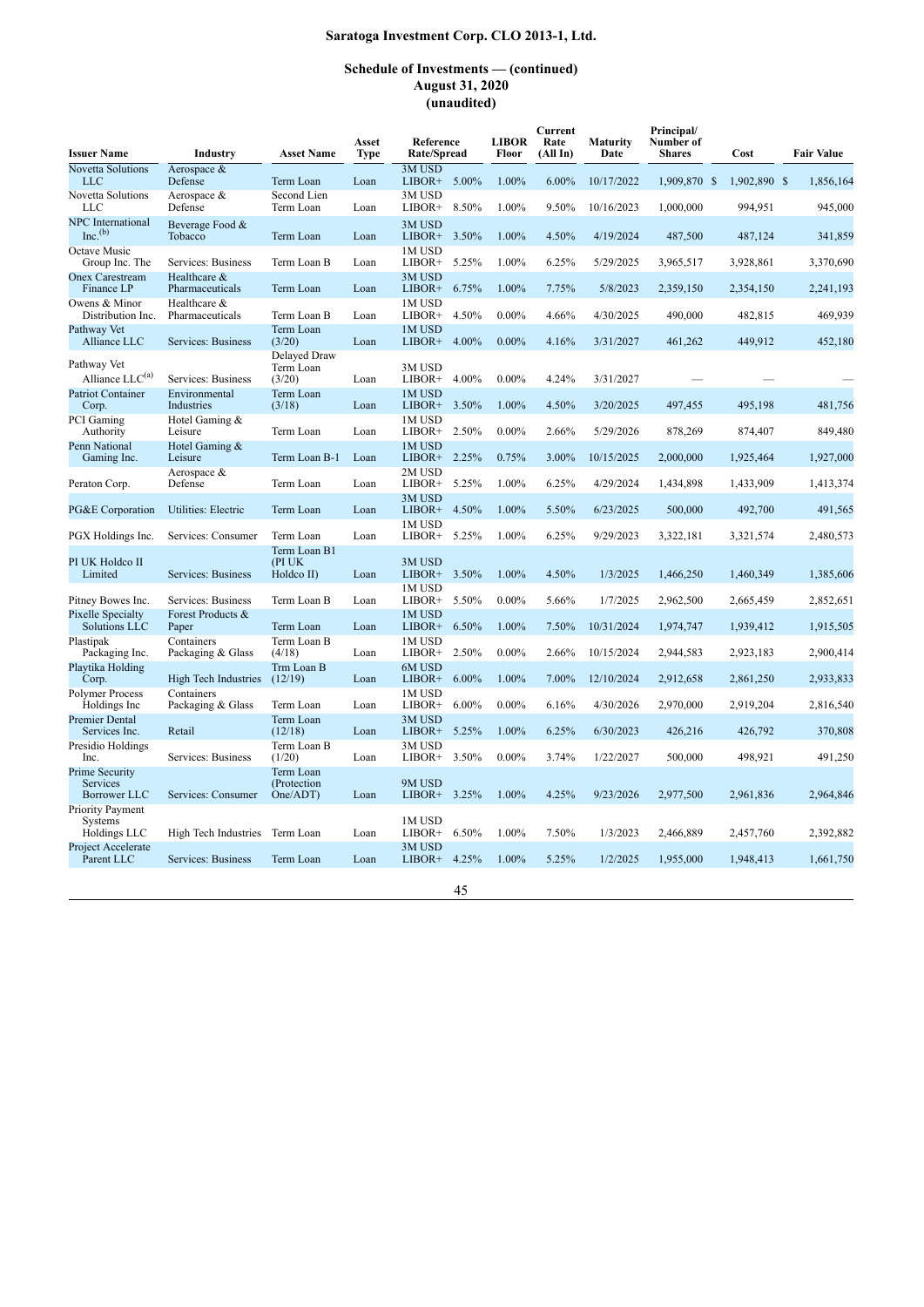### **Schedule of Investments — (continued) August 31, 2020 (unaudited)**

| <b>Issuer Name</b>                                       | Industry                        | <b>Asset Name</b>                    | Asset<br>Type | Reference<br>Rate/Spread     | <b>LIBOR</b><br>Floor | Current<br>Rate<br>(All In) | Maturity<br>Date | Principal/<br>Number of<br><b>Shares</b> | Cost         | <b>Fair Value</b> |
|----------------------------------------------------------|---------------------------------|--------------------------------------|---------------|------------------------------|-----------------------|-----------------------------|------------------|------------------------------------------|--------------|-------------------|
| <b>Novetta Solutions</b><br><b>LLC</b>                   | Aerospace &<br>Defense          | Term Loan                            | Loan          | 3M USD<br>LIBOR+ $5.00\%$    | 1.00%                 | $6.00\%$                    | 10/17/2022       | 1,909,870 \$                             | 1.902.890 \$ | 1.856.164         |
| Novetta Solutions<br>LLC                                 | Aerospace &<br>Defense          | Second Lien<br>Term Loan             | Loan          | 3M USD<br>LIBOR+<br>8.50%    | 1.00%                 | 9.50%                       | 10/16/2023       | 1,000,000                                | 994,951      | 945,000           |
| NPC International<br>$Inc.$ <sup>(b)</sup>               | Beverage Food &<br>Tobacco      | Term Loan                            | Loan          | 3M USD<br>LIBOR+ 3.50%       | 1.00%                 | 4.50%                       | 4/19/2024        | 487,500                                  | 487.124      | 341,859           |
| Octave Music<br>Group Inc. The                           | Services: Business              | Term Loan B                          | Loan          | 1M USD<br>LIBOR+<br>5.25%    | 1.00%                 | 6.25%                       | 5/29/2025        | 3,965,517                                | 3,928,861    | 3,370,690         |
| <b>Onex Carestream</b><br>Finance LP                     | Healthcare &<br>Pharmaceuticals | Term Loan                            | Loan          | 3M USD<br>6.75%<br>LIBOR+    | 1.00%                 | 7.75%                       | 5/8/2023         | 2,359,150                                | 2,354,150    | 2,241,193         |
| Owens & Minor<br>Distribution Inc.                       | Healthcare &<br>Pharmaceuticals | Term Loan B                          | Loan          | 1M USD<br>LIBOR+<br>4.50%    | $0.00\%$              | 4.66%                       | 4/30/2025        | 490,000                                  | 482,815      | 469.939           |
| Pathway Vet<br>Alliance LLC                              | Services: Business              | Term Loan<br>(3/20)                  | Loan          | 1M USD<br>4.00%<br>LIBOR+    | $0.00\%$              | 4.16%                       | 3/31/2027        | 461,262                                  | 449,912      | 452,180           |
| Pathway Vet<br>Alliance LLC <sup>(a)</sup>               | Services: Business              | Delayed Draw<br>Term Loan<br>(3/20)  | Loan          | 3M USD<br>LIBOR+ 4.00%       | $0.00\%$              | 4.24%                       | 3/31/2027        |                                          |              |                   |
| <b>Patriot Container</b><br>Corp.                        | Environmental<br>Industries     | Term Loan<br>(3/18)                  | Loan          | 1M USD<br>LIBOR+<br>3.50%    | 1.00%                 | 4.50%                       | 3/20/2025        | 497,455                                  | 495,198      | 481,756           |
| PCI Gaming<br>Authority                                  | Hotel Gaming &<br>Leisure       | Term Loan                            | Loan          | 1M USD<br>2.50%<br>LIBOR+    | $0.00\%$              | 2.66%                       | 5/29/2026        | 878,269                                  | 874,407      | 849,480           |
| Penn National<br>Gaming Inc.                             | Hotel Gaming &<br>Leisure       | Term Loan B-1                        | Loan          | 1M USD<br>LIBOR+ 2.25%       | 0.75%                 | 3.00%                       | 10/15/2025       | 2,000,000                                | 1,925,464    | 1,927,000         |
| Peraton Corp.                                            | Aerospace &<br>Defense          | Term Loan                            | Loan          | 2M USD<br>LIBOR+<br>5.25%    | 1.00%                 | 6.25%                       | 4/29/2024        | 1,434,898                                | 1,433,909    | 1,413,374         |
| PG&E Corporation                                         | Utilities: Electric             | Term Loan                            | Loan          | 3M USD<br>4.50%<br>$LIBOR+$  | 1.00%                 | 5.50%                       | 6/23/2025        | 500,000                                  | 492,700      | 491,565           |
| PGX Holdings Inc.                                        | Services: Consumer              | Term Loan                            | Loan          | 1M USD<br>5.25%<br>LIBOR+    | 1.00%                 | 6.25%                       | 9/29/2023        | 3,322,181                                | 3,321,574    | 2,480,573         |
| PI UK Holdco II<br>Limited                               | Services: Business              | Term Loan B1<br>(PIUK)<br>Holdco II) | Loan          | 3M USD<br>3.50%<br>LIBOR+    | 1.00%                 | 4.50%                       | 1/3/2025         | 1,466,250                                | 1,460,349    | 1,385,606         |
| Pitney Bowes Inc.                                        | Services: Business              | Term Loan B                          | Loan          | 1M USD<br>LIBOR+ $5.50\%$    | $0.00\%$              | 5.66%                       | 1/7/2025         | 2,962,500                                | 2,665,459    | 2,852,651         |
| Pixelle Specialty<br>Solutions LLC                       | Forest Products &<br>Paper      | Term Loan                            | Loan          | 1M USD<br>LIBOR+<br>6.50%    | 1.00%                 | 7.50%                       | 10/31/2024       | 1,974,747                                | 1,939,412    | 1,915,505         |
| Plastipak<br>Packaging Inc.                              | Containers<br>Packaging & Glass | Term Loan B<br>(4/18)                | Loan          | 1M USD<br>2.50%<br>LIBOR+    | $0.00\%$              | 2.66%                       | 10/15/2024       | 2,944,583                                | 2,923,183    | 2,900,414         |
| Playtika Holding<br>Corp.                                | High Tech Industries            | Trm Loan B<br>(12/19)                | Loan          | 6M USD<br>$6.00\%$<br>LIBOR+ | 1.00%                 | 7.00%                       | 12/10/2024       | 2,912,658                                | 2,861,250    | 2,933,833         |
| Polymer Process<br>Holdings Inc                          | Containers<br>Packaging & Glass | Term Loan                            | Loan          | 1M USD<br>LIBOR+<br>$6.00\%$ | $0.00\%$              | 6.16%                       | 4/30/2026        | 2,970,000                                | 2,919,204    | 2,816,540         |
| Premier Dental<br>Services Inc.                          | Retail                          | Term Loan<br>(12/18)                 | Loan          | 3M USD<br>$LIBOR+$<br>5.25%  | 1.00%                 | 6.25%                       | 6/30/2023        | 426,216                                  | 426,792      | 370,808           |
| Presidio Holdings<br>Inc.                                | Services: Business              | Term Loan B<br>(1/20)                | Loan          | 3M USD<br>3.50%<br>LIBOR+    | $0.00\%$              | 3.74%                       | 1/22/2027        | 500,000                                  | 498,921      | 491,250           |
| Prime Security<br><b>Services</b><br><b>Borrower LLC</b> | Services: Consumer              | Term Loan<br>(Protection<br>One/ADT) | Loan          | 9M USD<br>3.25%<br>LIBOR+    | 1.00%                 | 4.25%                       | 9/23/2026        | 2,977,500                                | 2,961,836    | 2,964,846         |
| Priority Payment<br><b>Systems</b><br>Holdings LLC       | High Tech Industries            | Term Loan                            | Loan          | 1M USD<br>6.50%<br>LIBOR+    | 1.00%                 | 7.50%                       | 1/3/2023         | 2,466,889                                | 2,457,760    | 2,392,882         |
| Project Accelerate<br>Parent LLC                         | Services: Business              | Term Loan                            | Loan          | 3M USD<br>$LIBOR+ 4.25%$     | 1.00%                 | 5.25%                       | 1/2/2025         | 1,955,000                                | 1,948,413    | 1,661,750         |
|                                                          |                                 |                                      |               |                              |                       |                             |                  |                                          |              |                   |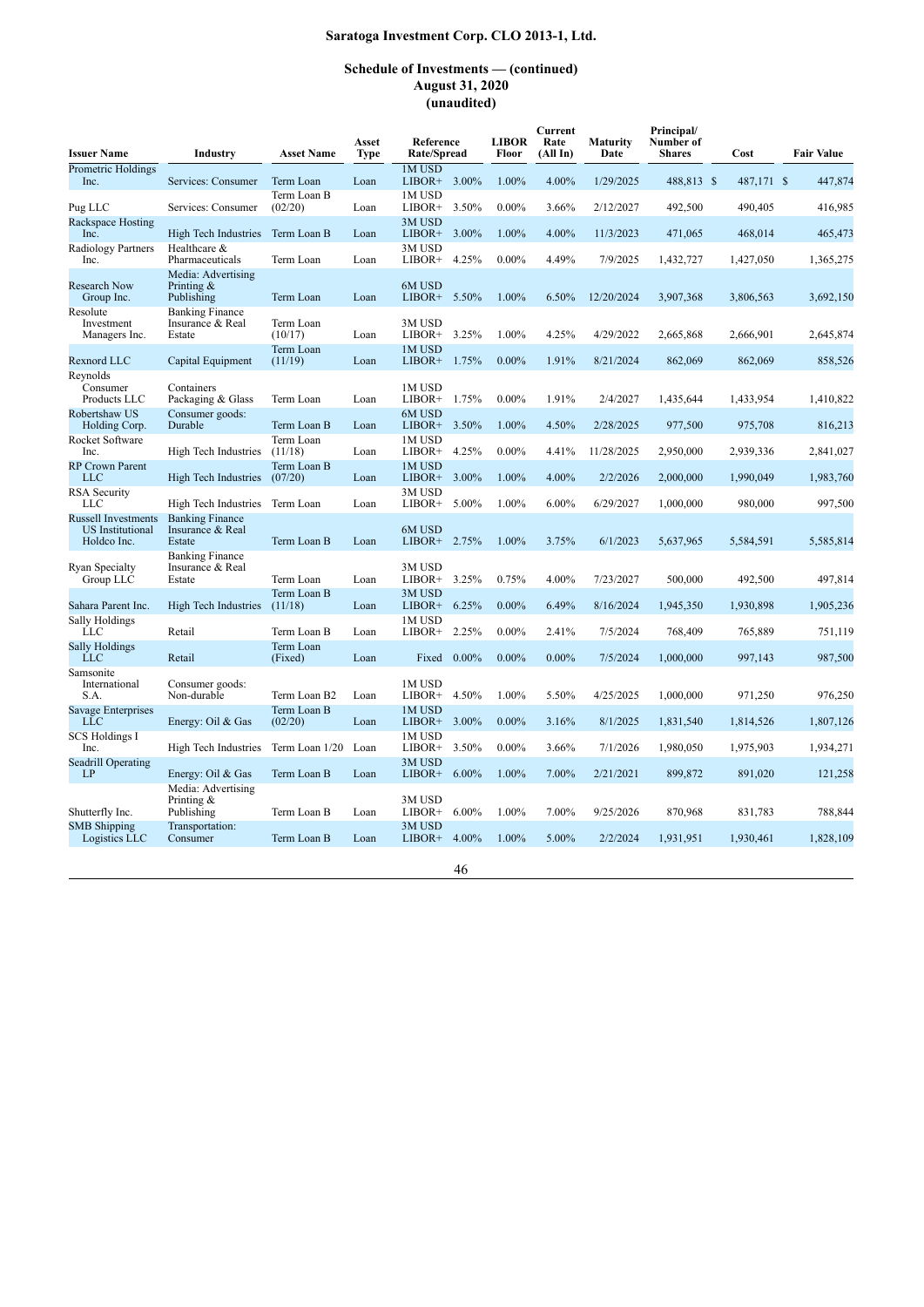| <b>Issuer Name</b>                                                   | Industry                                             | <b>Asset Name</b>      | Asset<br>Type | Reference<br>Rate/Spread     | <b>LIBOR</b><br>Floor | Current<br>Rate<br>(AllIn) | <b>Maturity</b><br>Date | Principal/<br>Number of<br><b>Shares</b> | Cost       | <b>Fair Value</b> |
|----------------------------------------------------------------------|------------------------------------------------------|------------------------|---------------|------------------------------|-----------------------|----------------------------|-------------------------|------------------------------------------|------------|-------------------|
| Prometric Holdings<br>Inc.                                           | Services: Consumer                                   | Term Loan              | Loan          | 1M USD<br>LIBOR+ 3.00%       | 1.00%                 | 4.00%                      | 1/29/2025               | 488,813 \$                               | 487,171 \$ | 447,874           |
| Pug LLC                                                              | Services: Consumer                                   | Term Loan B<br>(02/20) | Loan          | 1M USD<br>3.50%<br>LIBOR+    | $0.00\%$              | 3.66%                      | 2/12/2027               | 492,500                                  | 490,405    | 416,985           |
| Rackspace Hosting<br>Inc.                                            | High Tech Industries                                 | Term Loan B            | Loan          | 3M USD<br>3.00%<br>$LIBOR+$  | 1.00%                 | 4.00%                      | 11/3/2023               | 471,065                                  | 468,014    | 465,473           |
| Radiology Partners<br>Inc.                                           | Healthcare &<br>Pharmaceuticals                      | Term Loan              | Loan          | 3M USD<br>LIBOR+<br>4.25%    | $0.00\%$              | 4.49%                      | 7/9/2025                | 1,432,727                                | 1,427,050  | 1,365,275         |
| Research Now<br>Group Inc.                                           | Media: Advertising<br>Printing $&$<br>Publishing     | Term Loan              | Loan          | 6M USD<br>LIBOR+ 5.50%       | 1.00%                 | 6.50%                      | 12/20/2024              | 3,907,368                                | 3,806,563  | 3,692,150         |
| Resolute<br>Investment<br>Managers Inc.                              | <b>Banking Finance</b><br>Insurance & Real<br>Estate | Term Loan<br>(10/17)   | Loan          | 3M USD<br>LIBOR+<br>3.25%    | 1.00%                 | 4.25%                      | 4/29/2022               | 2,665,868                                | 2,666,901  | 2,645,874         |
| Rexnord LLC                                                          | Capital Equipment                                    | Term Loan<br>(11/19)   | Loan          | 1M USD<br>LIBOR+ 1.75%       | $0.00\%$              | 1.91%                      | 8/21/2024               | 862,069                                  | 862,069    | 858,526           |
| Revnolds<br>Consumer<br>Products LLC                                 | Containers<br>Packaging & Glass                      | Term Loan              | Loan          | 1M USD<br>LIBOR+ 1.75%       | $0.00\%$              | 1.91%                      | 2/4/2027                | 1,435,644                                | 1,433,954  | 1,410,822         |
| Robertshaw US<br>Holding Corp.                                       | Consumer goods:<br>Durable                           | Term Loan B            | Loan          | 6M USD<br>LIBOR+<br>3.50%    | 1.00%                 | 4.50%                      | 2/28/2025               | 977,500                                  | 975,708    | 816,213           |
| Rocket Software<br>Inc.                                              | High Tech Industries                                 | Term Loan<br>(11/18)   | Loan          | 1M USD<br>4.25%<br>LIBOR+    | $0.00\%$              | 4.41%                      | 11/28/2025              | 2,950,000                                | 2,939,336  | 2,841,027         |
| <b>RP</b> Crown Parent<br><b>LLC</b>                                 | High Tech Industries                                 | Term Loan B<br>(07/20) | Loan          | 1M USD<br>$LIBOR+$<br>3.00%  | 1.00%                 | 4.00%                      | 2/2/2026                | 2,000,000                                | 1,990,049  | 1,983,760         |
| <b>RSA Security</b><br>LLC                                           | High Tech Industries                                 | Term Loan              | Loan          | 3M USD<br>5.00%<br>$LIBOR+$  | 1.00%                 | 6.00%                      | 6/29/2027               | 1,000,000                                | 980,000    | 997,500           |
| <b>Russell Investments</b><br><b>US</b> Institutional<br>Holdco Inc. | <b>Banking Finance</b><br>Insurance & Real<br>Estate | Term Loan B            | Loan          | 6M USD<br>LIBOR+ 2.75%       | 1.00%                 | 3.75%                      | 6/1/2023                | 5,637,965                                | 5,584,591  | 5,585,814         |
| Ryan Specialty<br>Group LLC                                          | <b>Banking Finance</b><br>Insurance & Real<br>Estate | Term Loan              | Loan          | 3M USD<br>3.25%<br>LIBOR+    | 0.75%                 | 4.00%                      | 7/23/2027               | 500,000                                  | 492,500    | 497,814           |
| Sahara Parent Inc.                                                   | High Tech Industries                                 | Term Loan B<br>(11/18) | Loan          | 3M USD<br>LIBOR+<br>6.25%    | $0.00\%$              | 6.49%                      | 8/16/2024               | 1,945,350                                | 1,930,898  | 1,905,236         |
| Sally Holdings<br>LLC                                                | Retail                                               | Term Loan B            | Loan          | 1M USD<br>2.25%<br>LIBOR+    | $0.00\%$              | 2.41%                      | 7/5/2024                | 768,409                                  | 765,889    | 751,119           |
| <b>Sally Holdings</b><br><b>LLC</b>                                  | Retail                                               | Term Loan<br>(Fixed)   | Loan          | Fixed<br>$0.00\%$            | $0.00\%$              | $0.00\%$                   | 7/5/2024                | 1,000,000                                | 997,143    | 987,500           |
| Samsonite<br>International<br>S.A.                                   | Consumer goods:<br>Non-durable                       | Term Loan B2           | Loan          | 1M USD<br>4.50%<br>LIBOR+    | 1.00%                 | 5.50%                      | 4/25/2025               | 1,000,000                                | 971,250    | 976,250           |
| Savage Enterprises<br><b>LLC</b>                                     | Energy: Oil & Gas                                    | Term Loan B<br>(02/20) | Loan          | 1M USD<br>$LIBOR+$<br>3.00%  | $0.00\%$              | 3.16%                      | 8/1/2025                | 1,831,540                                | 1,814,526  | 1,807,126         |
| <b>SCS Holdings I</b><br>Inc.                                        | High Tech Industries                                 | Term Loan 1/20 Loan    |               | 1M USD<br>LIBOR+<br>3.50%    | $0.00\%$              | 3.66%                      | 7/1/2026                | 1,980,050                                | 1,975,903  | 1,934,271         |
| <b>Seadrill Operating</b><br>LP                                      | Energy: Oil & Gas                                    | Term Loan B            | Loan          | 3M USD<br>LIBOR+ 6.00%       | 1.00%                 | 7.00%                      | 2/21/2021               | 899,872                                  | 891,020    | 121,258           |
| Shutterfly Inc.                                                      | Media: Advertising<br>Printing $&$<br>Publishing     | Term Loan B            | Loan          | 3M USD<br>LIBOR+<br>$6.00\%$ | 1.00%                 | 7.00%                      | 9/25/2026               | 870,968                                  | 831,783    | 788,844           |
| <b>SMB</b> Shipping<br>Logistics LLC                                 | Transportation:<br>Consumer                          | Term Loan B            | Loan          | 3M USD<br>4.00%<br>$LIBOR+$  | 1.00%                 | 5.00%                      | 2/2/2024                | 1,931,951                                | 1,930,461  | 1,828,109         |
|                                                                      |                                                      |                        |               | 46                           |                       |                            |                         |                                          |            |                   |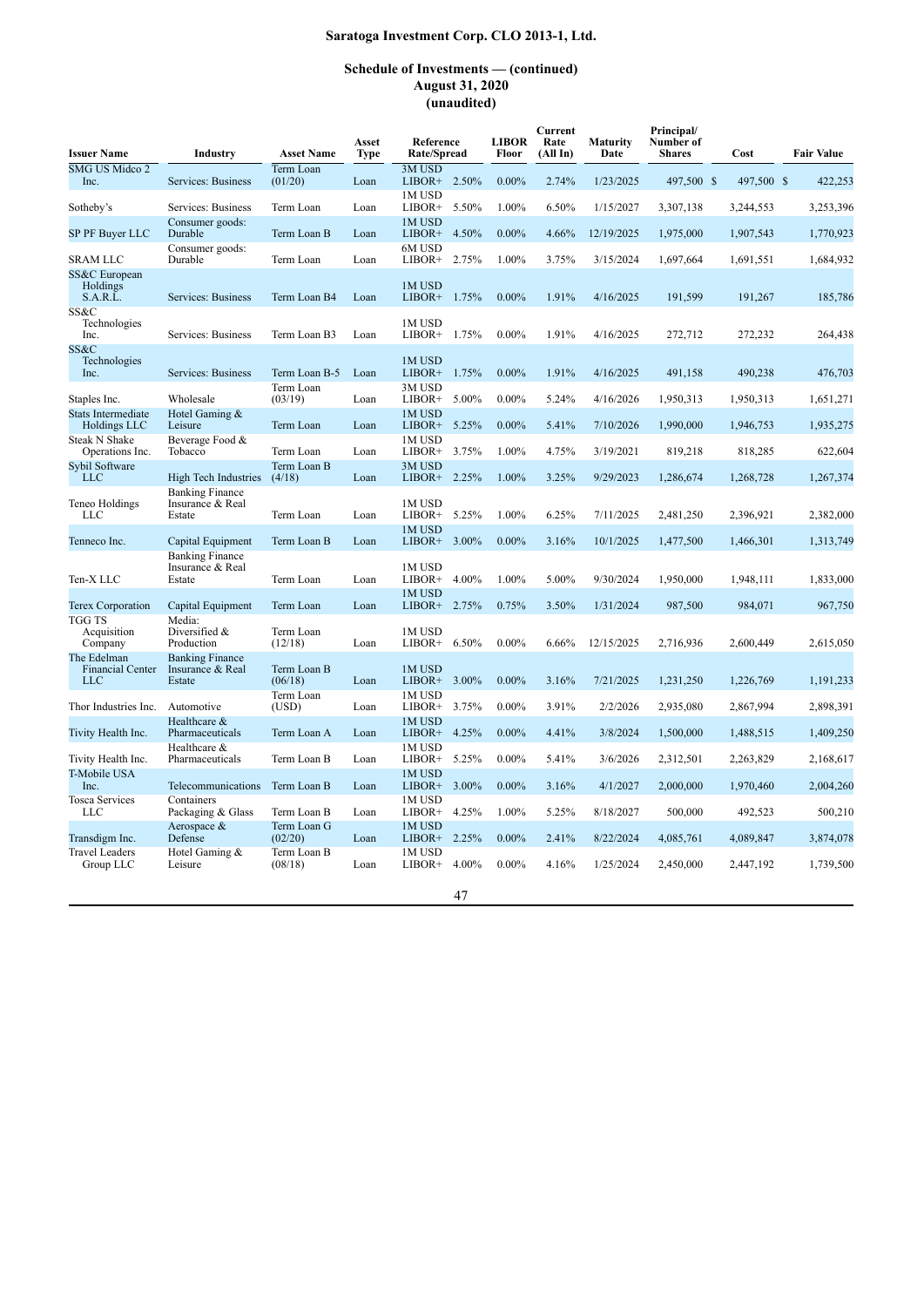### **Schedule of Investments — (continued) August 31, 2020 (unaudited)**

| <b>Issuer Name</b>                                   | Industry                                             | <b>Asset Name</b>      | Asset<br><b>Type</b> | Reference<br>Rate/Spread    | <b>LIBOR</b><br>Floor | Current<br>Rate<br>(AllIn) | Maturity<br>Date | Principal/<br>Number of<br><b>Shares</b> | Cost       | <b>Fair Value</b> |
|------------------------------------------------------|------------------------------------------------------|------------------------|----------------------|-----------------------------|-----------------------|----------------------------|------------------|------------------------------------------|------------|-------------------|
| SMG US Midco 2<br>Inc.                               | Services: Business                                   | Term Loan<br>(01/20)   | Loan                 | 3M USD<br>LIBOR+ 2.50%      | $0.00\%$              | 2.74%                      | 1/23/2025        | 497,500 \$                               | 497,500 \$ | 422,253           |
| Sotheby's                                            | Services: Business                                   | Term Loan              | Loan                 | 1M USD<br>5.50%<br>LIBOR+   | 1.00%                 | 6.50%                      | 1/15/2027        | 3,307,138                                | 3,244,553  | 3,253,396         |
| SP PF Buyer LLC                                      | Consumer goods:<br>Durable                           | Term Loan B            | Loan                 | 1M USD<br>4.50%<br>$LIBOR+$ | $0.00\%$              | 4.66%                      | 12/19/2025       | 1,975,000                                | 1,907,543  | 1,770,923         |
| SRAM LLC                                             | Consumer goods:<br>Durable                           | Term Loan              | Loan                 | 6M USD<br>$LIBOR+ 2.75%$    | 1.00%                 | 3.75%                      | 3/15/2024        | 1,697,664                                | 1,691,551  | 1,684,932         |
| SS&C European<br>Holdings<br>S.A.R.L.                | Services: Business                                   | Term Loan B4           | Loan                 | 1M USD<br>1.75%<br>LIBOR+   | $0.00\%$              | 1.91%                      | 4/16/2025        | 191,599                                  | 191,267    | 185,786           |
| SS&C<br>Technologies<br>Inc.                         | Services: Business                                   | Term Loan B3           | Loan                 | 1M USD<br>1.75%<br>LIBOR+   | $0.00\%$              | 1.91%                      | 4/16/2025        | 272,712                                  | 272,232    | 264,438           |
| SS&C<br>Technologies<br>Inc.                         | Services: Business                                   | Term Loan B-5          | Loan                 | 1M USD<br>1.75%<br>$LIBOR+$ | $0.00\%$              | 1.91%                      | 4/16/2025        | 491,158                                  | 490,238    | 476,703           |
| Staples Inc.                                         | Wholesale                                            | Term Loan<br>(03/19)   | Loan                 | 3M USD<br>5.00%<br>LIBOR+   | $0.00\%$              | 5.24%                      | 4/16/2026        | 1,950,313                                | 1,950,313  | 1,651,271         |
| <b>Stats Intermediate</b><br>Holdings LLC            | Hotel Gaming &<br>Leisure                            | Term Loan              | Loan                 | 1M USD<br>LIBOR+ 5.25%      | $0.00\%$              | 5.41%                      | 7/10/2026        | 1,990,000                                | 1,946,753  | 1,935,275         |
| <b>Steak N Shake</b><br>Operations Inc.              | Beverage Food &<br>Tobacco                           | Term Loan              | Loan                 | 1M USD<br>LIBOR+<br>3.75%   | 1.00%                 | 4.75%                      | 3/19/2021        | 819,218                                  | 818,285    | 622,604           |
| Sybil Software<br><b>LLC</b>                         | High Tech Industries                                 | Term Loan B<br>(4/18)  | Loan                 | 3M USD<br>LIBOR+ 2.25%      | 1.00%                 | 3.25%                      | 9/29/2023        | 1,286,674                                | 1,268,728  | 1,267,374         |
| Teneo Holdings<br><b>LLC</b>                         | <b>Banking Finance</b><br>Insurance & Real<br>Estate | Term Loan              | Loan                 | 1M USD<br>LIBOR+ 5.25%      | 1.00%                 | 6.25%                      | 7/11/2025        | 2,481,250                                | 2,396,921  | 2,382,000         |
| Tenneco Inc.                                         | Capital Equipment                                    | Term Loan B            | Loan                 | 1M USD<br>LIBOR+<br>3.00%   | $0.00\%$              | 3.16%                      | 10/1/2025        | 1,477,500                                | 1,466,301  | 1,313,749         |
| Ten-X LLC                                            | <b>Banking Finance</b><br>Insurance & Real<br>Estate | Term Loan              | Loan                 | 1M USD<br>4.00%<br>$LIBOR+$ | 1.00%                 | 5.00%                      | 9/30/2024        | 1,950,000                                | 1,948,111  | 1,833,000         |
| Terex Corporation                                    | Capital Equipment                                    | Term Loan              | Loan                 | 1M USD<br>$LIBOR+ 2.75%$    | 0.75%                 | 3.50%                      | 1/31/2024        | 987,500                                  | 984,071    | 967,750           |
| TGG TS<br>Acquisition<br>Company                     | Media:<br>Diversified &<br>Production                | Term Loan<br>(12/18)   | Loan                 | 1M USD<br>6.50%<br>LIBOR+   | $0.00\%$              | 6.66%                      | 12/15/2025       | 2,716,936                                | 2,600,449  | 2,615,050         |
| The Edelman<br><b>Financial Center</b><br><b>LLC</b> | <b>Banking Finance</b><br>Insurance & Real<br>Estate | Term Loan B<br>(06/18) | Loan                 | 1M USD<br>3.00%<br>LIBOR+   | $0.00\%$              | 3.16%                      | 7/21/2025        | 1,231,250                                | 1,226,769  | 1,191,233         |
| Thor Industries Inc.                                 | Automotive                                           | Term Loan<br>(USD)     | Loan                 | 1M USD<br>LIBOR+<br>3.75%   | $0.00\%$              | 3.91%                      | 2/2/2026         | 2,935,080                                | 2,867,994  | 2,898,391         |
| Tivity Health Inc.                                   | Healthcare &<br>Pharmaceuticals                      | Term Loan A            | Loan                 | 1M USD<br>LIBOR+<br>4.25%   | $0.00\%$              | 4.41%                      | 3/8/2024         | 1,500,000                                | 1,488,515  | 1,409,250         |
| Tivity Health Inc.                                   | Healthcare &<br>Pharmaceuticals                      | Term Loan B            | Loan                 | 1M USD<br>LIBOR+ 5.25%      | $0.00\%$              | 5.41%                      | 3/6/2026         | 2,312,501                                | 2,263,829  | 2,168,617         |
| T-Mobile USA<br>Inc.                                 | Telecommunications                                   | Term Loan B            | Loan                 | 1M USD<br>LIBOR+<br>3.00%   | $0.00\%$              | 3.16%                      | 4/1/2027         | 2,000,000                                | 1,970,460  | 2,004,260         |
| <b>Tosca Services</b><br>LLC                         | Containers<br>Packaging & Glass                      | Term Loan B            | Loan                 | 1M USD<br>4.25%<br>LIBOR+   | 1.00%                 | 5.25%                      | 8/18/2027        | 500,000                                  | 492,523    | 500,210           |
| Transdigm Inc.                                       | Aerospace &<br>Defense                               | Term Loan G<br>(02/20) | Loan                 | 1M USD<br>2.25%<br>$LIBOR+$ | $0.00\%$              | 2.41%                      | 8/22/2024        | 4,085,761                                | 4,089,847  | 3,874,078         |
| <b>Travel Leaders</b><br>Group LLC                   | Hotel Gaming &<br>Leisure                            | Term Loan B<br>(08/18) | Loan                 | 1M USD<br>4.00%<br>LIBOR+   | $0.00\%$              | 4.16%                      | 1/25/2024        | 2,450,000                                | 2,447,192  | 1,739,500         |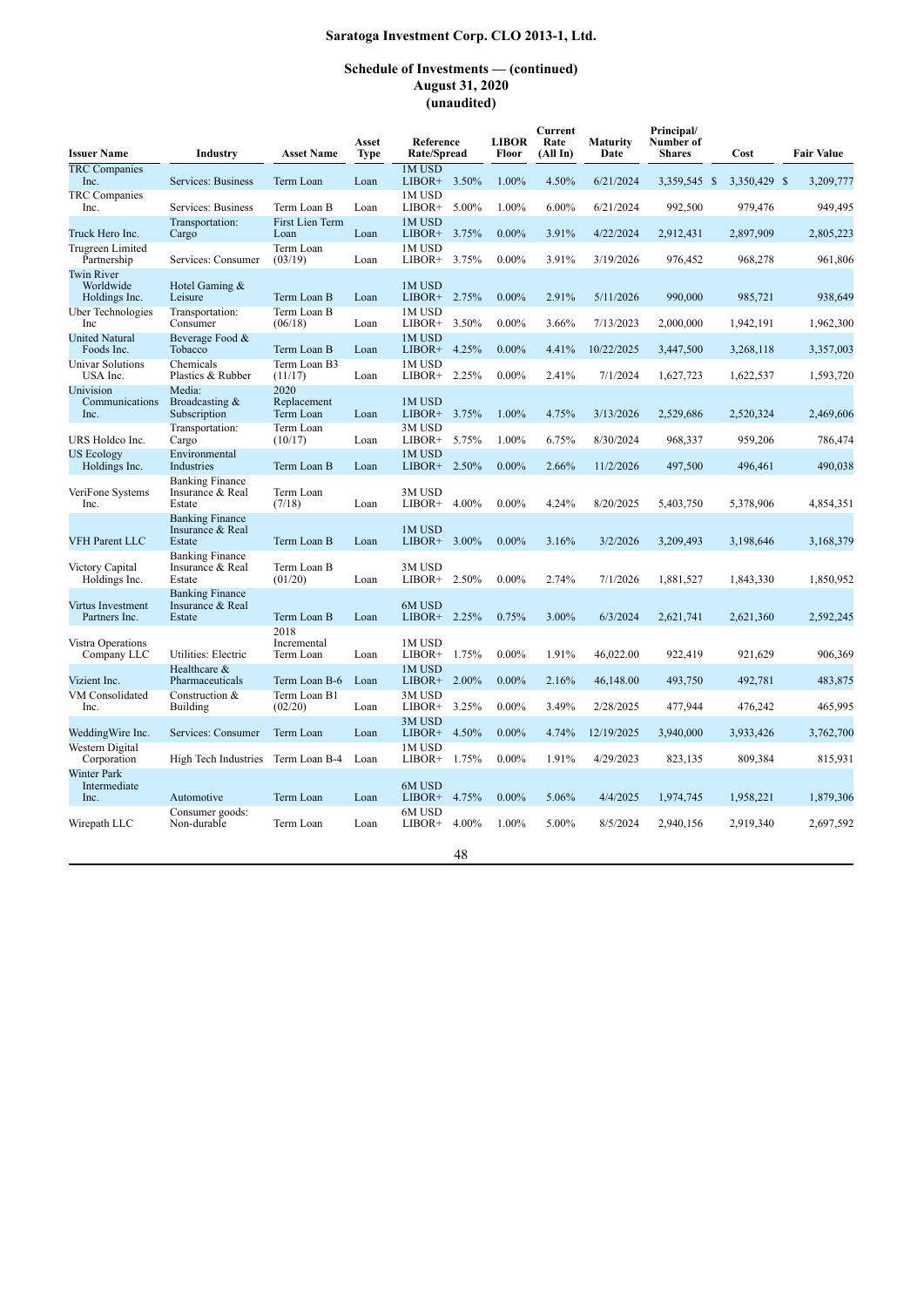| <b>Issuer Name</b>                              | Industry                                             | <b>Asset Name</b>                | Asset<br><b>Type</b> | Reference<br>Rate/Spread |       | <b>LIBOR</b><br>Floor | Current<br>Rate<br>(AllIn) | <b>Maturity</b><br>Date | Principal/<br>Number of<br><b>Shares</b> | Cost         | <b>Fair Value</b> |
|-------------------------------------------------|------------------------------------------------------|----------------------------------|----------------------|--------------------------|-------|-----------------------|----------------------------|-------------------------|------------------------------------------|--------------|-------------------|
| <b>TRC</b> Companies<br>Inc.                    | Services: Business                                   | Term Loan                        | Loan                 | 1M USD<br>$LIBOR+$       | 3.50% | 1.00%                 | 4.50%                      | 6/21/2024               | 3,359,545 \$                             | 3,350,429 \$ | 3,209,777         |
| <b>TRC</b> Companies<br>Inc.                    | Services: Business                                   | Term Loan B                      | Loan                 | 1M USD<br>LIBOR+         | 5.00% | 1.00%                 | 6.00%                      | 6/21/2024               | 992,500                                  | 979,476      | 949,495           |
| Truck Hero Inc.                                 | Transportation:<br>Cargo                             | First Lien Term<br>Loan          | Loan                 | 1M USD<br>$LIBOR+$       | 3.75% | $0.00\%$              | 3.91%                      | 4/22/2024               | 2,912,431                                | 2,897,909    | 2,805,223         |
| Trugreen Limited<br>Partnership                 | Services: Consumer                                   | Term Loan<br>(03/19)             | Loan                 | 1M USD<br>LIBOR+         | 3.75% | $0.00\%$              | 3.91%                      | 3/19/2026               | 976,452                                  | 968,278      | 961,806           |
| <b>Twin River</b><br>Worldwide<br>Holdings Inc. | Hotel Gaming &<br>Leisure                            | Term Loan B                      | Loan                 | 1M USD<br>LIBOR+ 2.75%   |       | $0.00\%$              | 2.91%                      | 5/11/2026               | 990,000                                  | 985,721      | 938,649           |
| Uber Technologies<br>Inc                        | Transportation:<br>Consumer                          | Term Loan B<br>(06/18)           | Loan                 | 1M USD<br>LIBOR+         | 3.50% | $0.00\%$              | 3.66%                      | 7/13/2023               | 2,000,000                                | 1,942,191    | 1,962,300         |
| <b>United Natural</b><br>Foods Inc.             | Beverage Food &<br>Tobacco                           | Term Loan B                      | Loan                 | 1M USD<br>$LIBOR+$       | 4.25% | $0.00\%$              | 4.41%                      | 10/22/2025              | 3,447,500                                | 3,268,118    | 3,357,003         |
| <b>Univar Solutions</b><br>USA Inc.             | Chemicals<br>Plastics & Rubber                       | Term Loan B3<br>(11/17)          | Loan                 | 1M USD<br>LIBOR+         | 2.25% | $0.00\%$              | 2.41%                      | 7/1/2024                | 1,627,723                                | 1,622,537    | 1,593,720         |
| Univision<br>Communications<br>Inc.             | Media:<br>Broadcasting &<br>Subscription             | 2020<br>Replacement<br>Term Loan | Loan                 | 1M USD<br>LIBOR+ 3.75%   |       | 1.00%                 | 4.75%                      | 3/13/2026               | 2,529,686                                | 2,520,324    | 2,469,606         |
| URS Holdco Inc.                                 | Transportation:<br>Cargo                             | Term Loan<br>(10/17)             | Loan                 | 3M USD<br>LIBOR+         | 5.75% | 1.00%                 | 6.75%                      | 8/30/2024               | 968,337                                  | 959,206      | 786,474           |
| <b>US Ecology</b><br>Holdings Inc.              | Environmental<br>Industries                          | Term Loan B                      | Loan                 | 1M USD<br>LIBOR+ 2.50%   |       | $0.00\%$              | 2.66%                      | 11/2/2026               | 497,500                                  | 496,461      | 490,038           |
| VeriFone Systems<br>Inc.                        | <b>Banking Finance</b><br>Insurance & Real<br>Estate | Term Loan<br>(7/18)              | Loan                 | 3M USD<br>$LIBOR+$       | 4.00% | $0.00\%$              | 4.24%                      | 8/20/2025               | 5,403,750                                | 5,378,906    | 4,854,351         |
| VFH Parent LLC                                  | <b>Banking Finance</b><br>Insurance & Real<br>Estate | Term Loan B                      | Loan                 | 1M USD<br>LIBOR+ 3.00%   |       | $0.00\%$              | 3.16%                      | 3/2/2026                | 3,209,493                                | 3,198,646    | 3,168,379         |
| <b>Victory Capital</b><br>Holdings Inc.         | <b>Banking Finance</b><br>Insurance & Real<br>Estate | Term Loan B<br>(01/20)           | Loan                 | 3M USD<br>LIBOR+         | 2.50% | $0.00\%$              | 2.74%                      | 7/1/2026                | 1,881,527                                | 1,843,330    | 1,850,952         |
| Virtus Investment<br>Partners Inc.              | <b>Banking Finance</b><br>Insurance & Real<br>Estate | Term Loan B                      | Loan                 | 6M USD<br>$LIBOR+$       | 2.25% | 0.75%                 | 3.00%                      | 6/3/2024                | 2,621,741                                | 2,621,360    | 2,592,245         |
| Vistra Operations<br>Company LLC                | Utilities: Electric                                  | 2018<br>Incremental<br>Term Loan | Loan                 | 1M USD<br>LIBOR+         | 1.75% | $0.00\%$              | 1.91%                      | 46,022.00               | 922,419                                  | 921,629      | 906,369           |
| Vizient Inc.                                    | Healthcare $\&$<br>Pharmaceuticals                   | Term Loan B-6                    | Loan                 | 1M USD<br>$LIBOR+$       | 2.00% | $0.00\%$              | 2.16%                      | 46,148.00               | 493,750                                  | 492,781      | 483,875           |
| VM Consolidated<br>Inc.                         | Construction &<br>Building                           | Term Loan B1<br>(02/20)          | Loan                 | 3M USD<br>LIBOR+         | 3.25% | $0.00\%$              | 3.49%                      | 2/28/2025               | 477,944                                  | 476,242      | 465,995           |
| WeddingWire Inc.                                | Services: Consumer                                   | Term Loan                        | Loan                 | 3M USD<br>$LIBOR+$       | 4.50% | $0.00\%$              | 4.74%                      | 12/19/2025              | 3,940,000                                | 3,933,426    | 3,762,700         |
| Western Digital<br>Corporation                  | High Tech Industries                                 | Term Loan B-4                    | Loan                 | 1M USD<br>LIBOR+         | 1.75% | $0.00\%$              | 1.91%                      | 4/29/2023               | 823,135                                  | 809,384      | 815,931           |
| Winter Park<br>Intermediate<br>Inc.             | Automotive                                           | Term Loan                        | Loan                 | 6M USD<br>LIBOR+         | 4.75% | $0.00\%$              | 5.06%                      | 4/4/2025                | 1,974,745                                | 1,958,221    | 1,879,306         |
| Wirepath LLC                                    | Consumer goods:<br>Non-durable                       | Term Loan                        | Loan                 | 6M USD<br>LIBOR+         | 4.00% | 1.00%                 | 5.00%                      | 8/5/2024                | 2,940,156                                | 2,919,340    | 2,697,592         |
|                                                 |                                                      |                                  |                      |                          | 48    |                       |                            |                         |                                          |              |                   |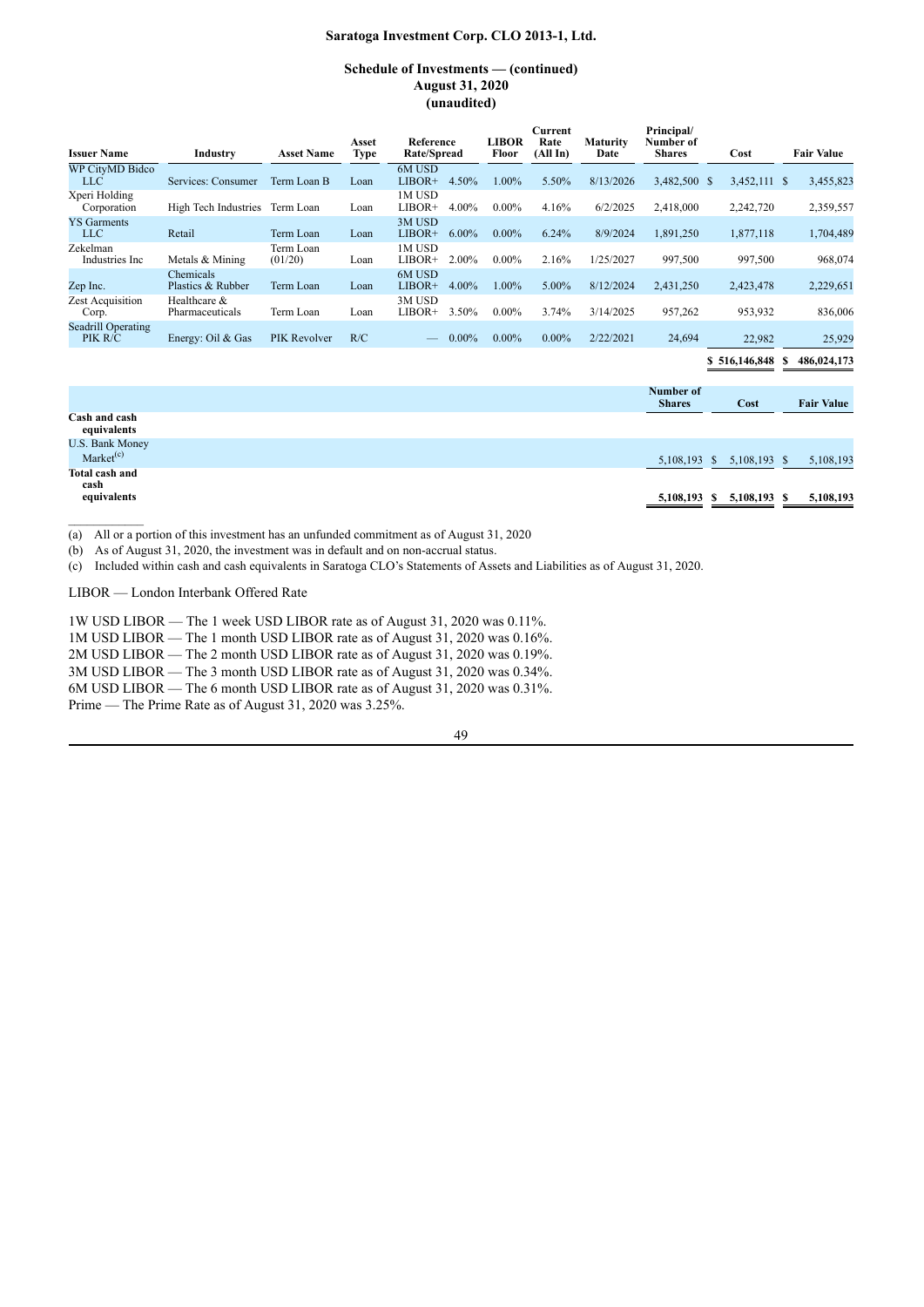### **Schedule of Investments — (continued) August 31, 2020 (unaudited)**

| <b>Issuer Name</b>                   | Industry                        | <b>Asset Name</b>    | Asset<br>Type | Reference<br>Rate/Spread |          | LIBOR<br>Floor | Current<br>Rate<br>(All In) | <b>Maturity</b><br>Date | Principal/<br>Number of<br><b>Shares</b> | Cost          | <b>Fair Value</b> |
|--------------------------------------|---------------------------------|----------------------|---------------|--------------------------|----------|----------------|-----------------------------|-------------------------|------------------------------------------|---------------|-------------------|
| <b>WP CityMD Bidco</b><br><b>LLC</b> | Services: Consumer              | Term Loan B          | Loan          | 6M USD<br>$LIBOR+$       | 4.50%    | 1.00%          | 5.50%                       | 8/13/2026               | 3,482,500 \$                             | 3,452,111 \$  | 3,455,823         |
| Xperi Holding<br>Corporation         | High Tech Industries            | Term Loan            | Loan          | 1M USD<br>LIBOR+         | 4.00%    | $0.00\%$       | 4.16%                       | 6/2/2025                | 2,418,000                                | 2,242,720     | 2,359,557         |
| <b>YS</b> Garments<br><b>LLC</b>     | Retail                          | Term Loan            | Loan          | 3M USD<br>$LIBOR+$       | $6.00\%$ | $0.00\%$       | 6.24%                       | 8/9/2024                | 1,891,250                                | 1,877,118     | 1,704,489         |
| Zekelman<br>Industries Inc           | Metals & Mining                 | Term Loan<br>(01/20) | Loan          | 1M USD<br>LIBOR+         | 2.00%    | $0.00\%$       | 2.16%                       | 1/25/2027               | 997,500                                  | 997,500       | 968,074           |
| Zep Inc.                             | Chemicals<br>Plastics & Rubber  | Term Loan            | Loan          | 6M USD<br>$LIBOR+$       | 4.00%    | 1.00%          | 5.00%                       | 8/12/2024               | 2,431,250                                | 2,423,478     | 2,229,651         |
| Zest Acquisition<br>Corp.            | Healthcare &<br>Pharmaceuticals | Term Loan            | Loan          | 3M USD<br>LIBOR+         | 3.50%    | $0.00\%$       | 3.74%                       | 3/14/2025               | 957,262                                  | 953,932       | 836,006           |
| <b>Seadrill Operating</b><br>PIK R/C | Energy: Oil & Gas               | PIK Revolver         | R/C           |                          | $0.00\%$ | $0.00\%$       | $0.00\%$                    | 2/22/2021               | 24,694                                   | 22,982        | 25,929            |
|                                      |                                 |                      |               |                          |          |                |                             |                         |                                          | \$516,146,848 | 486,024,173       |

**Number of Shares Cost Fair Value Cash and cash equivalents** U.S. Bank Money Market<sup>(c)</sup> (c) 5,108,193 \$ 5,108,193 \$ 5,108,193 \$ 5,108,193 \$ 5,108,193 \$ 5,108,193 \$ 5,108,193 \$ 5,108,193 \$ 5,108,193 \$ 5,108,193 \$ 5,108,193 \$ 5,108,193 \$ 5,108,193 \$ 5,108,193 \$ 5,108,193 \$ 5,108,193 \$ 5,108,193 \$ 5,108,193 \$ 5 **Total cash and cash equivalents 5,108,193 \$ 5,108,193 \$ 5,108,193**

(a) All or a portion of this investment has an unfunded commitment as of August 31, 2020<br>(b) As of August 31, 2020, the investment was in default and on non-accrual status.

As of August 31, 2020, the investment was in default and on non-accrual status.

(c) Included within cash and cash equivalents in Saratoga CLO's Statements of Assets and Liabilities as of August 31, 2020.

LIBOR — London Interbank Offered Rate

1W USD LIBOR — The 1 week USD LIBOR rate as of August 31, 2020 was 0.11%.

1M USD LIBOR — The 1 month USD LIBOR rate as of August 31, 2020 was 0.16%.

2M USD LIBOR — The 2 month USD LIBOR rate as of August 31, 2020 was 0.19%.

3M USD LIBOR — The 3 month USD LIBOR rate as of August 31, 2020 was 0.34%.

6M USD LIBOR — The 6 month USD LIBOR rate as of August 31, 2020 was 0.31%.

Prime — The Prime Rate as of August 31, 2020 was 3.25%.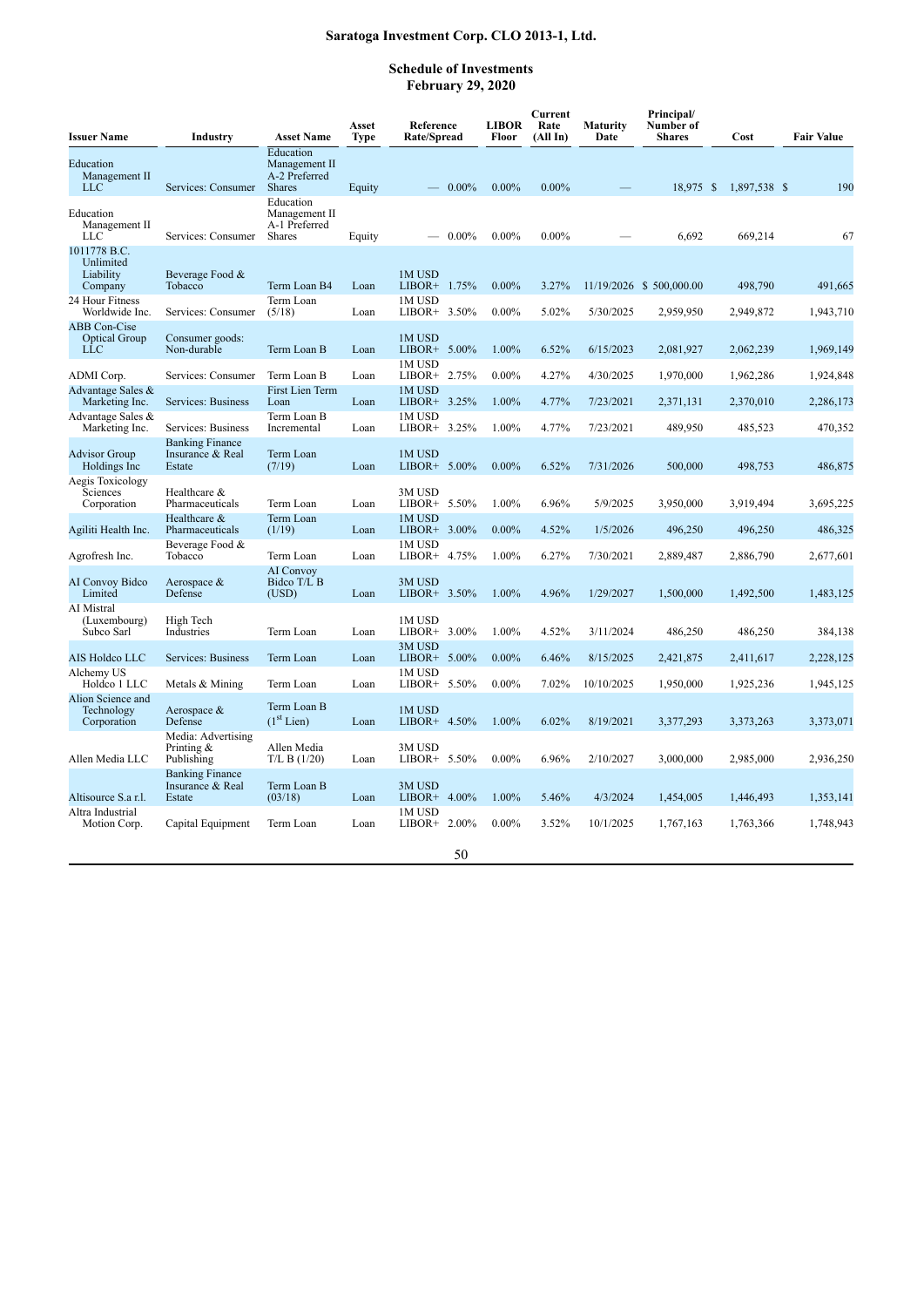## **Schedule of Investments February 29, 2020**

| <b>Issuer Name</b>                                 | Industry                                             | <b>Asset Name</b>                                            | Asset<br>Type | Reference<br>Rate/Spread  | <b>LIBOR</b><br>Floor | Current<br>Rate<br>(All In) | Maturity<br>Date | Principal/<br>Number of<br><b>Shares</b> | Cost         | <b>Fair Value</b> |
|----------------------------------------------------|------------------------------------------------------|--------------------------------------------------------------|---------------|---------------------------|-----------------------|-----------------------------|------------------|------------------------------------------|--------------|-------------------|
| Education<br>Management II<br><b>LLC</b>           | Services: Consumer                                   | Education<br>Management II<br>A-2 Preferred<br><b>Shares</b> | Equity        | $-0.00\%$                 | $0.00\%$              | $0.00\%$                    |                  | 18,975 \$                                | 1,897,538 \$ | 190               |
| Education<br>Management II<br><b>LLC</b>           | Services: Consumer                                   | Education<br>Management II<br>A-1 Preferred<br><b>Shares</b> | Equity        | $-0.00\%$                 | $0.00\%$              | $0.00\%$                    |                  | 6,692                                    | 669,214      | 67                |
| 1011778 B.C.<br>Unlimited<br>Liability<br>Company  | Beverage Food &<br>Tobacco                           | Term Loan B4                                                 | Loan          | 1M USD<br>LIBOR+ 1.75%    | $0.00\%$              | 3.27%                       |                  | 11/19/2026 \$500,000.00                  | 498,790      | 491,665           |
| 24 Hour Fitness<br>Worldwide Inc.                  | Services: Consumer                                   | Term Loan<br>(5/18)                                          | Loan          | 1M USD<br>LIBOR+ 3.50%    | $0.00\%$              | 5.02%                       | 5/30/2025        | 2,959,950                                | 2,949,872    | 1,943,710         |
| <b>ABB</b> Con-Cise<br><b>Optical Group</b><br>LLC | Consumer goods:<br>Non-durable                       | Term Loan B                                                  | Loan          | 1M USD<br>LIBOR+ 5.00%    | 1.00%                 | 6.52%                       | 6/15/2023        | 2,081,927                                | 2,062,239    | 1,969,149         |
| ADMI Corp.                                         | Services: Consumer                                   | Term Loan B                                                  | Loan          | 1M USD<br>LIBOR+ 2.75%    | $0.00\%$              | 4.27%                       | 4/30/2025        | 1,970,000                                | 1,962,286    | 1,924,848         |
| Advantage Sales &<br>Marketing Inc.                | Services: Business                                   | First Lien Term<br>Loan                                      | Loan          | 1M USD<br>LIBOR+ 3.25%    | 1.00%                 | 4.77%                       | 7/23/2021        | 2,371,131                                | 2,370,010    | 2,286,173         |
| Advantage Sales &<br>Marketing Inc.                | Services: Business                                   | Term Loan B<br>Incremental                                   | Loan          | 1M USD<br>LIBOR+ 3.25%    | 1.00%                 | 4.77%                       | 7/23/2021        | 489,950                                  | 485,523      | 470,352           |
| <b>Advisor Group</b><br>Holdings Inc               | <b>Banking Finance</b><br>Insurance & Real<br>Estate | Term Loan<br>(7/19)                                          | Loan          | 1M USD<br>LIBOR+ 5.00%    | $0.00\%$              | 6.52%                       | 7/31/2026        | 500,000                                  | 498,753      | 486,875           |
| Aegis Toxicology<br>Sciences<br>Corporation        | Healthcare &<br>Pharmaceuticals                      | Term Loan                                                    | Loan          | 3M USD<br>LIBOR+ 5.50%    | 1.00%                 | 6.96%                       | 5/9/2025         | 3,950,000                                | 3,919,494    | 3,695,225         |
| Agiliti Health Inc.                                | Healthcare &<br>Pharmaceuticals                      | Term Loan<br>(1/19)                                          | Loan          | 1M USD<br>LIBOR+ 3.00%    | $0.00\%$              | 4.52%                       | 1/5/2026         | 496,250                                  | 496,250      | 486,325           |
| Agrofresh Inc.                                     | Beverage Food &<br>Tobacco                           | Term Loan                                                    | Loan          | 1M USD<br>LIBOR+ 4.75%    | 1.00%                 | 6.27%                       | 7/30/2021        | 2,889,487                                | 2,886,790    | 2,677,601         |
| <b>AI Convoy Bidco</b><br>Limited                  | Aerospace &<br>Defense                               | AI Convoy<br>Bidco T/L B<br>(USD)                            | Loan          | 3M USD<br>LIBOR+ 3.50%    | 1.00%                 | 4.96%                       | 1/29/2027        | 1,500,000                                | 1,492,500    | 1,483,125         |
| AI Mistral<br>(Luxembourg)<br>Subco Sarl           | High Tech<br>Industries                              | Term Loan                                                    | Loan          | 1M USD<br>LIBOR+ $3.00\%$ | 1.00%                 | 4.52%                       | 3/11/2024        | 486,250                                  | 486,250      | 384,138           |
| AIS Holdco LLC                                     | Services: Business                                   | Term Loan                                                    | Loan          | 3M USD<br>LIBOR+ 5.00%    | $0.00\%$              | 6.46%                       | 8/15/2025        | 2,421,875                                | 2,411,617    | 2,228,125         |
| Alchemy US<br>Holdco 1 LLC                         | Metals & Mining                                      | Term Loan                                                    | Loan          | 1M USD<br>LIBOR+ 5.50%    | $0.00\%$              | 7.02%                       | 10/10/2025       | 1,950,000                                | 1,925,236    | 1,945,125         |
| Alion Science and<br>Technology<br>Corporation     | Aerospace &<br>Defense                               | Term Loan B<br>$(1st$ Lien)                                  | Loan          | 1M USD<br>LIBOR+ 4.50%    | 1.00%                 | 6.02%                       | 8/19/2021        | 3,377,293                                | 3,373,263    | 3,373,071         |
| Allen Media LLC                                    | Media: Advertising<br>Printing $&$<br>Publishing     | Allen Media<br>T/L B (1/20)                                  | Loan          | 3M USD<br>LIBOR+ 5.50%    | $0.00\%$              | 6.96%                       | 2/10/2027        | 3,000,000                                | 2,985,000    | 2,936,250         |
| Altisource S.a r.l.                                | <b>Banking Finance</b><br>Insurance & Real<br>Estate | Term Loan B<br>(03/18)                                       | Loan          | 3M USD<br>LIBOR+ 4.00%    | 1.00%                 | 5.46%                       | 4/3/2024         | 1,454,005                                | 1,446,493    | 1,353,141         |
| Altra Industrial<br>Motion Corp.                   | Capital Equipment                                    | Term Loan                                                    | Loan          | 1M USD<br>LIBOR+ $2.00\%$ | $0.00\%$              | 3.52%                       | 10/1/2025        | 1,767,163                                | 1,763,366    | 1,748,943         |
|                                                    |                                                      |                                                              |               | 50                        |                       |                             |                  |                                          |              |                   |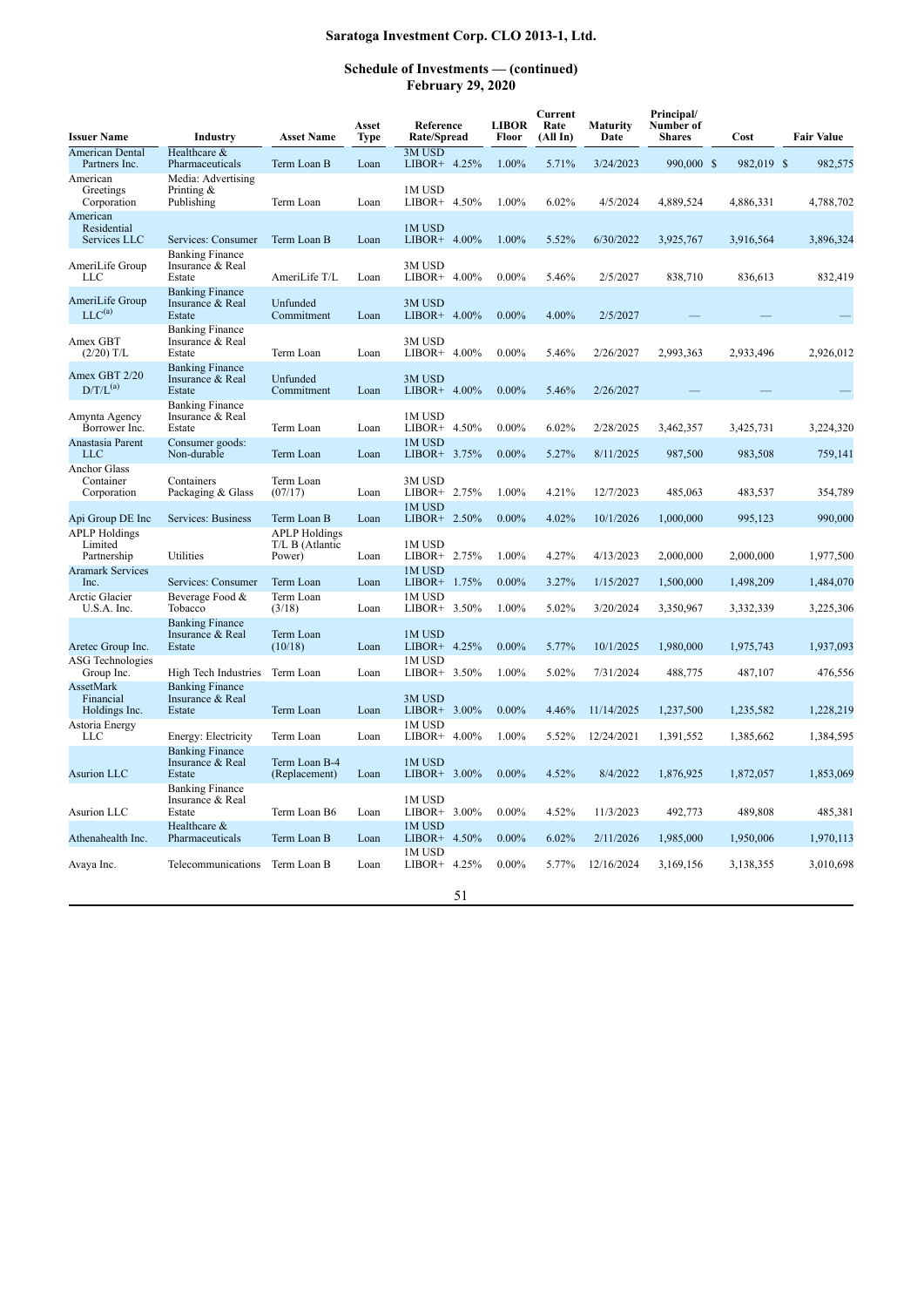| <b>Issuer Name</b>                              | <b>Industry</b>                                      | <b>Asset Name</b>                                 | Asset<br>Type | Reference<br>Rate/Spread  | <b>LIBOR</b><br>Floor | Current<br>Rate<br>(AllIn) | <b>Maturity</b><br>Date | Principal/<br>Number of<br><b>Shares</b> | Cost       | <b>Fair Value</b> |
|-------------------------------------------------|------------------------------------------------------|---------------------------------------------------|---------------|---------------------------|-----------------------|----------------------------|-------------------------|------------------------------------------|------------|-------------------|
| <b>American Dental</b><br>Partners Inc.         | Healthcare &<br>Pharmaceuticals                      | Term Loan B                                       | Loan          | 3M USD<br>LIBOR+ 4.25%    | 1.00%                 | 5.71%                      | 3/24/2023               | 990,000 \$                               | 982,019 \$ | 982,575           |
| American<br>Greetings<br>Corporation            | Media: Advertising<br>Printing $&$<br>Publishing     | Term Loan                                         | Loan          | 1M USD<br>LIBOR+ $4.50\%$ | 1.00%                 | 6.02%                      | 4/5/2024                | 4,889,524                                | 4,886,331  | 4,788,702         |
| American<br>Residential<br>Services LLC         | Services: Consumer                                   | Term Loan B                                       | Loan          | 1M USD<br>LIBOR+ $4.00\%$ | 1.00%                 | 5.52%                      | 6/30/2022               | 3,925,767                                | 3,916,564  | 3,896,324         |
| AmeriLife Group<br>LLC                          | <b>Banking Finance</b><br>Insurance & Real<br>Estate | AmeriLife T/L                                     | Loan          | 3M USD<br>LIBOR+ $4.00\%$ | $0.00\%$              | 5.46%                      | 2/5/2027                | 838,710                                  | 836,613    | 832,419           |
| AmeriLife Group<br>$LLC^{(a)}$                  | <b>Banking Finance</b><br>Insurance & Real<br>Estate | Unfunded<br>Commitment                            | Loan          | 3M USD<br>LIBOR+ $4.00\%$ | $0.00\%$              | 4.00%                      | 2/5/2027                |                                          |            |                   |
| Amex GBT<br>$(2/20)$ T/L                        | <b>Banking Finance</b><br>Insurance & Real<br>Estate | Term Loan                                         | Loan          | 3M USD<br>LIBOR+ $4.00\%$ | $0.00\%$              | 5.46%                      | 2/26/2027               | 2,993,363                                | 2,933,496  | 2,926,012         |
| Amex GBT 2/20<br>$D/T/L^{(a)}$                  | <b>Banking Finance</b><br>Insurance & Real<br>Estate | Unfunded<br>Commitment                            | Loan          | 3M USD<br>LIBOR+ $4.00\%$ | $0.00\%$              | 5.46%                      | 2/26/2027               |                                          |            |                   |
| Amynta Agency<br>Borrower Inc.                  | <b>Banking Finance</b><br>Insurance & Real<br>Estate | Term Loan                                         | Loan          | 1M USD<br>$LIBOR+ 4.50\%$ | $0.00\%$              | 6.02%                      | 2/28/2025               | 3,462,357                                | 3,425,731  | 3,224,320         |
| Anastasia Parent<br><b>LLC</b>                  | Consumer goods:<br>Non-durable                       | Term Loan                                         | Loan          | 1M USD<br>LIBOR+ 3.75%    | $0.00\%$              | 5.27%                      | 8/11/2025               | 987,500                                  | 983,508    | 759,141           |
| <b>Anchor Glass</b><br>Container<br>Corporation | Containers<br>Packaging & Glass                      | Term Loan<br>(07/17)                              | Loan          | 3M USD<br>LIBOR+ 2.75%    | 1.00%                 | 4.21%                      | 12/7/2023               | 485,063                                  | 483,537    | 354,789           |
| Api Group DE Inc                                | Services: Business                                   | Term Loan B                                       | Loan          | 1M USD<br>LIBOR+ 2.50%    | $0.00\%$              | 4.02%                      | 10/1/2026               | 1,000,000                                | 995,123    | 990,000           |
| <b>APLP</b> Holdings<br>Limited<br>Partnership  | Utilities                                            | <b>APLP</b> Holdings<br>T/L B (Atlantic<br>Power) | Loan          | 1M USD<br>LIBOR+ 2.75%    | 1.00%                 | 4.27%                      | 4/13/2023               | 2,000,000                                | 2,000,000  | 1,977,500         |
| <b>Aramark Services</b><br>Inc.                 | Services: Consumer                                   | Term Loan                                         | Loan          | 1M USD<br>LIBOR+ 1.75%    | $0.00\%$              | 3.27%                      | 1/15/2027               | 1,500,000                                | 1,498,209  | 1,484,070         |
| Arctic Glacier<br>U.S.A. Inc.                   | Beverage Food &<br>Tobacco                           | Term Loan<br>(3/18)                               | Loan          | 1M USD<br>LIBOR+ $3.50\%$ | 1.00%                 | 5.02%                      | 3/20/2024               | 3,350,967                                | 3,332,339  | 3,225,306         |
| Aretec Group Inc.                               | <b>Banking Finance</b><br>Insurance & Real<br>Estate | Term Loan<br>(10/18)                              | Loan          | 1M USD<br>LIBOR+ 4.25%    | $0.00\%$              | 5.77%                      | 10/1/2025               | 1,980,000                                | 1,975,743  | 1,937,093         |
| <b>ASG Technologies</b><br>Group Inc.           | High Tech Industries                                 | Term Loan                                         | Loan          | 1M USD<br>LIBOR+ $3.50\%$ | 1.00%                 | 5.02%                      | 7/31/2024               | 488,775                                  | 487,107    | 476,556           |
| AssetMark<br>Financial<br>Holdings Inc.         | <b>Banking Finance</b><br>Insurance & Real<br>Estate | Term Loan                                         | Loan          | 3M USD<br>LIBOR+ 3.00%    | $0.00\%$              | 4.46%                      | 11/14/2025              | 1.237.500                                | 1,235,582  | 1,228,219         |
| Astoria Energy<br><b>LLC</b>                    | Energy: Electricity                                  | Term Loan                                         | Loan          | 1M USD<br>LIBOR+ $4.00\%$ | 1.00%                 | 5.52%                      | 12/24/2021              | 1,391,552                                | 1,385,662  | 1,384,595         |
| <b>Asurion LLC</b>                              | <b>Banking Finance</b><br>Insurance & Real<br>Estate | Term Loan B-4<br>(Replacement)                    | Loan          | 1M USD<br>LIBOR+ 3.00%    | $0.00\%$              | 4.52%                      | 8/4/2022                | 1,876,925                                | 1,872,057  | 1,853,069         |
| <b>Asurion LLC</b>                              | <b>Banking Finance</b><br>Insurance & Real<br>Estate | Term Loan B6                                      | Loan          | 1M USD<br>LIBOR+ 3.00%    | $0.00\%$              | 4.52%                      | 11/3/2023               | 492,773                                  | 489,808    | 485,381           |
| Athenahealth Inc.                               | Healthcare &<br>Pharmaceuticals                      | Term Loan B                                       | Loan          | 1M USD<br>LIBOR+ 4.50%    | $0.00\%$              | 6.02%                      | 2/11/2026               | 1.985.000                                | 1,950,006  | 1,970,113         |
| Avaya Inc.                                      | Telecommunications                                   | Term Loan B                                       | Loan          | 1M USD<br>$LIBOR+ 4.25%$  | $0.00\%$              | 5.77%                      | 12/16/2024              | 3,169,156                                | 3,138,355  | 3,010,698         |
|                                                 |                                                      |                                                   |               | 51                        |                       |                            |                         |                                          |            |                   |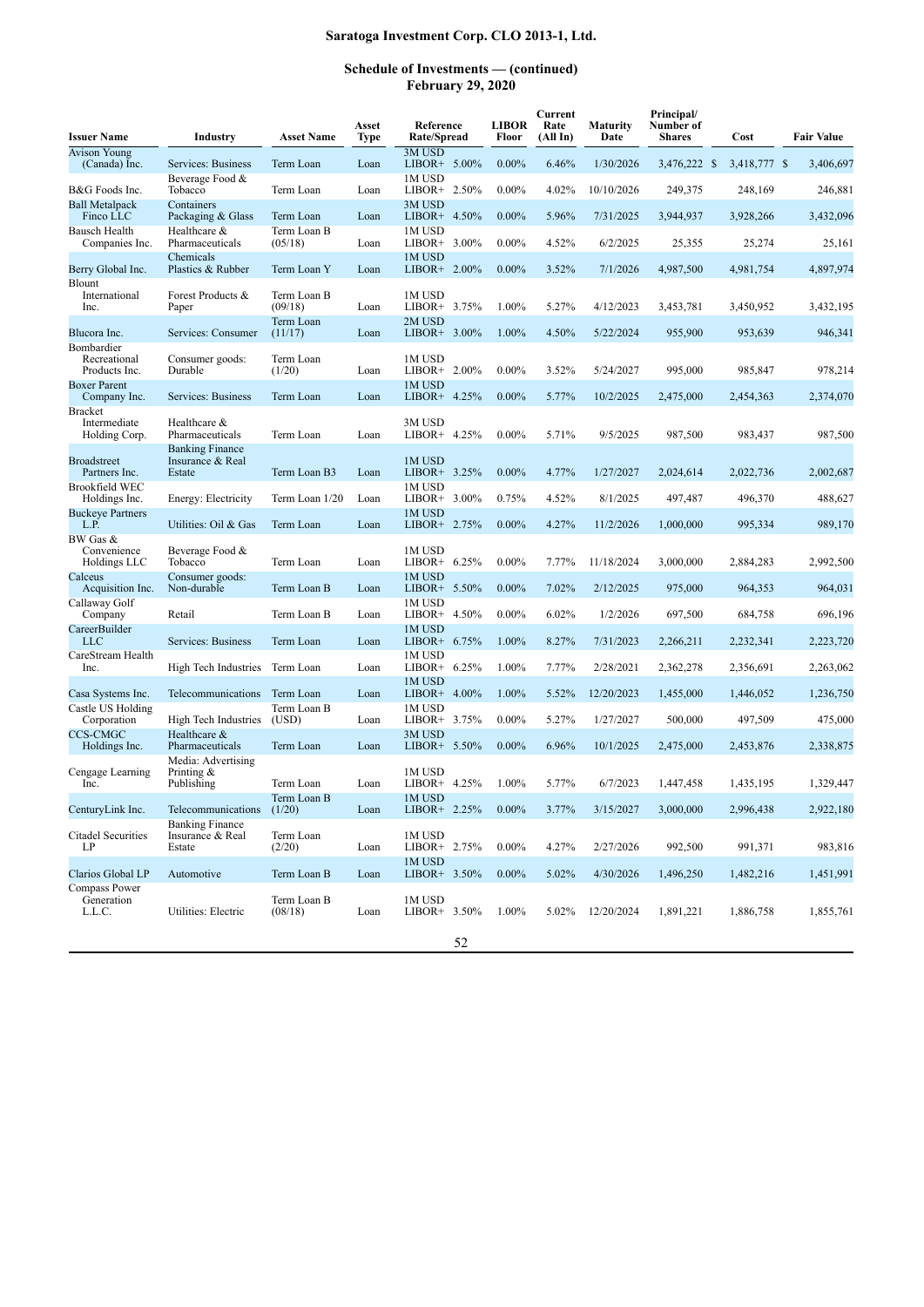| <b>Issuer Name</b>                              | <b>Industry</b>                                      | <b>Asset Name</b>      | Asset<br><b>Type</b> | Reference<br>Rate/Spread     | <b>LIBOR</b><br>Floor | Current<br>Rate<br>(AllIn) | <b>Maturity</b><br>Date | Principal/<br>Number of<br><b>Shares</b> | Cost         | <b>Fair Value</b> |
|-------------------------------------------------|------------------------------------------------------|------------------------|----------------------|------------------------------|-----------------------|----------------------------|-------------------------|------------------------------------------|--------------|-------------------|
| <b>Avison Young</b><br>(Canada) Inc.            | Services: Business                                   | Term Loan              | Loan                 | 3M USD<br>LIBOR+ $5.00\%$    | $0.00\%$              | 6.46%                      | 1/30/2026               | 3,476,222 \$                             | 3,418,777 \$ | 3,406,697         |
| B&G Foods Inc.                                  | Beverage Food &<br>Tobacco                           | Term Loan              | Loan                 | 1M USD<br>LIBOR+ $2.50\%$    | $0.00\%$              | 4.02%                      | 10/10/2026              | 249,375                                  | 248,169      | 246,881           |
| <b>Ball Metalpack</b><br>Finco LLC              | Containers<br>Packaging & Glass                      | Term Loan              | Loan                 | <b>3MUSD</b><br>LIBOR+ 4.50% | $0.00\%$              | 5.96%                      | 7/31/2025               | 3,944,937                                | 3,928,266    | 3.432.096         |
| Bausch Health<br>Companies Inc.                 | Healthcare &<br>Pharmaceuticals                      | Term Loan B<br>(05/18) | Loan                 | 1M USD<br>$LIBOR+ 3.00\%$    | $0.00\%$              | 4.52%                      | 6/2/2025                | 25,355                                   | 25,274       | 25,161            |
| Berry Global Inc.                               | Chemicals<br>Plastics & Rubber                       | Term Loan Y            | Loan                 | 1M USD<br>$LIBOR+ 2.00\%$    | $0.00\%$              | 3.52%                      | 7/1/2026                | 4,987,500                                | 4,981,754    | 4,897,974         |
| Blount<br>International<br>Inc.                 | Forest Products &<br>Paper                           | Term Loan B<br>(09/18) | Loan                 | 1M USD<br>$LIBOR+ 3.75%$     | 1.00%                 | 5.27%                      | 4/12/2023               | 3,453,781                                | 3,450,952    | 3,432,195         |
| Blucora Inc.                                    | Services: Consumer                                   | Term Loan<br>(11/17)   | Loan                 | 2M USD<br>$LIBOR+ 3.00\%$    | 1.00%                 | 4.50%                      | 5/22/2024               | 955,900                                  | 953,639      | 946,341           |
| Bombardier<br>Recreational<br>Products Inc.     | Consumer goods:<br>Durable                           | Term Loan<br>(1/20)    | Loan                 | 1M USD<br>LIBOR+ $2.00\%$    | $0.00\%$              | 3.52%                      | 5/24/2027               | 995,000                                  | 985,847      | 978,214           |
| <b>Boxer Parent</b><br>Company Inc.             | Services: Business                                   | Term Loan              | Loan                 | 1M USD<br>LIBOR+ 4.25%       | $0.00\%$              | 5.77%                      | 10/2/2025               | 2,475,000                                | 2,454,363    | 2,374,070         |
| <b>Bracket</b><br>Intermediate<br>Holding Corp. | Healthcare &<br>Pharmaceuticals                      | Term Loan              | Loan                 | 3M USD<br>LIBOR+ 4.25%       | $0.00\%$              | 5.71%                      | 9/5/2025                | 987,500                                  | 983,437      | 987,500           |
| <b>Broadstreet</b><br>Partners Inc.             | <b>Banking Finance</b><br>Insurance & Real<br>Estate | Term Loan B3           | Loan                 | 1M USD<br>LIBOR+ 3.25%       | $0.00\%$              | 4.77%                      | 1/27/2027               | 2,024,614                                | 2,022,736    | 2,002,687         |
| <b>Brookfield WEC</b><br>Holdings Inc.          | Energy: Electricity                                  | Term Loan 1/20         | Loan                 | 1M USD<br>3.00%<br>LIBOR+    | 0.75%                 | 4.52%                      | 8/1/2025                | 497,487                                  | 496,370      | 488,627           |
| <b>Buckeye Partners</b><br>L.P.                 | Utilities: Oil & Gas                                 | Term Loan              | Loan                 | 1M USD<br>LIBOR+ 2.75%       | $0.00\%$              | 4.27%                      | 11/2/2026               | 1,000,000                                | 995,334      | 989,170           |
| BW Gas &<br>Convenience<br>Holdings LLC         | Beverage Food &<br>Tobacco                           | Term Loan              | Loan                 | 1M USD<br>LIBOR+ $6.25\%$    | $0.00\%$              | 7.77%                      | 11/18/2024              | 3,000,000                                | 2,884,283    | 2,992,500         |
| Calceus<br>Acquisition Inc.                     | Consumer goods:<br>Non-durable                       | Term Loan B            | Loan                 | 1M USD<br>LIBOR+ 5.50%       | $0.00\%$              | 7.02%                      | 2/12/2025               | 975,000                                  | 964,353      | 964,031           |
| Callaway Golf<br>Company                        | Retail                                               | Term Loan B            | Loan                 | 1M USD<br>$LIBOR+ 4.50\%$    | $0.00\%$              | 6.02%                      | 1/2/2026                | 697,500                                  | 684,758      | 696,196           |
| CareerBuilder<br><b>LLC</b>                     | Services: Business                                   | Term Loan              | Loan                 | 1M USD<br>LIBOR+ $6.75\%$    | 1.00%                 | 8.27%                      | 7/31/2023               | 2,266,211                                | 2,232,341    | 2,223,720         |
| CareStream Health<br>Inc.                       | High Tech Industries                                 | Term Loan              | Loan                 | 1M USD<br>LIBOR+<br>6.25%    | 1.00%                 | 7.77%                      | 2/28/2021               | 2,362,278                                | 2,356,691    | 2,263,062         |
| Casa Systems Inc.                               | Telecommunications                                   | Term Loan              | Loan                 | 1M USD<br>LIBOR+ 4.00%       | 1.00%                 | 5.52%                      | 12/20/2023              | 1,455,000                                | 1,446,052    | 1,236,750         |
| Castle US Holding<br>Corporation                | High Tech Industries                                 | Term Loan B<br>(USD)   | Loan                 | 1M USD<br>LIBOR+ 3.75%       | $0.00\%$              | 5.27%                      | 1/27/2027               | 500,000                                  | 497,509      | 475,000           |
| <b>CCS-CMGC</b><br>Holdings Inc.                | Healthcare &<br>Pharmaceuticals                      | Term Loan              | Loan                 | 3M USD<br>LIBOR+ 5.50%       | $0.00\%$              | 6.96%                      | 10/1/2025               | 2,475,000                                | 2,453,876    | 2,338,875         |
| Cengage Learning<br>Inc.                        | Media: Advertising<br>Printing $\&$<br>Publishing    | Term Loan              | Loan                 | 1M USD<br>$LIBOR+ 4.25%$     | 1.00%                 | 5.77%                      | 6/7/2023                | 1,447,458                                | 1,435,195    | 1,329,447         |
| CenturyLink Inc.                                | Telecommunications                                   | Term Loan B<br>(1/20)  | Loan                 | 1M USD<br>LIBOR+ 2.25%       | $0.00\%$              | 3.77%                      | 3/15/2027               | 3,000,000                                | 2,996,438    | 2,922,180         |
| <b>Citadel Securities</b><br>LP                 | <b>Banking Finance</b><br>Insurance & Real<br>Estate | Term Loan<br>(2/20)    | Loan                 | 1M USD<br>LIBOR+ 2.75%       | $0.00\%$              | 4.27%                      | 2/27/2026               | 992,500                                  | 991,371      | 983,816           |
| Clarios Global LP                               | Automotive                                           | Term Loan B            | Loan                 | 1M USD<br>$LIBOR+ 3.50\%$    | $0.00\%$              | 5.02%                      | 4/30/2026               | 1,496,250                                | 1,482,216    | 1,451,991         |
| <b>Compass Power</b><br>Generation<br>L.L.C.    | Utilities: Electric                                  | Term Loan B<br>(08/18) | Loan                 | 1M USD<br>LIBOR+ 3.50%       | 1.00%                 | 5.02%                      | 12/20/2024              | 1,891,221                                | 1,886,758    | 1,855,761         |
|                                                 |                                                      |                        |                      | 52                           |                       |                            |                         |                                          |              |                   |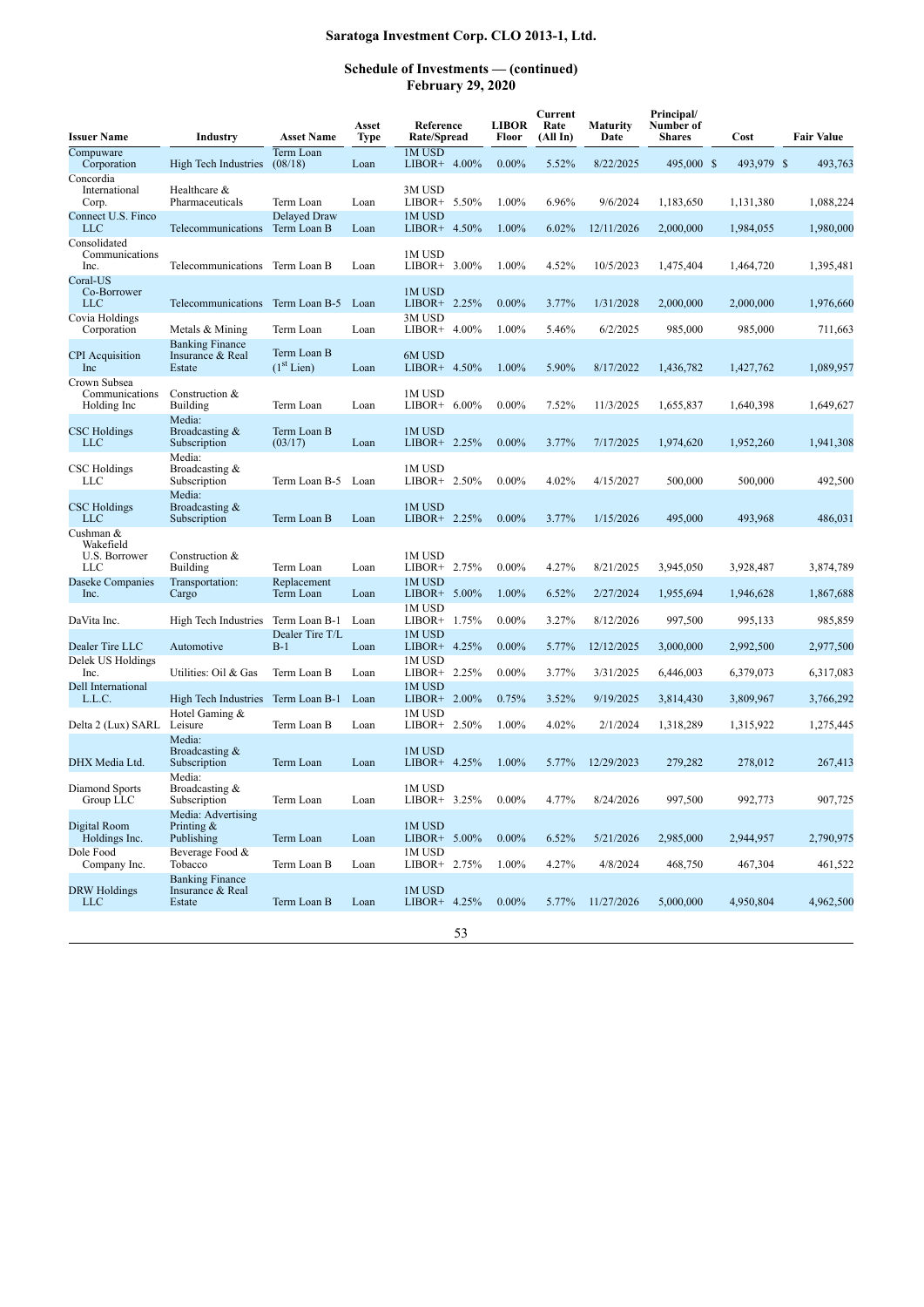| <b>Issuer Name</b>                             | Industry                                             | <b>Asset Name</b>                     | Asset<br>Type | Reference<br>Rate/Spread  | <b>LIBOR</b><br>Floor | Current<br>Rate<br>(All In) | Maturity<br>Date | Principal/<br>Number of<br>Shares | Cost       | <b>Fair Value</b> |
|------------------------------------------------|------------------------------------------------------|---------------------------------------|---------------|---------------------------|-----------------------|-----------------------------|------------------|-----------------------------------|------------|-------------------|
| Compuware<br>Corporation                       | High Tech Industries                                 | Term Loan<br>(08/18)                  | Loan          | 1M USD<br>$LIBOR+ 4.00\%$ | $0.00\%$              | 5.52%                       | 8/22/2025        | 495,000 \$                        | 493,979 \$ | 493,763           |
| Concordia<br>International<br>Corp.            | Healthcare &<br>Pharmaceuticals                      | Term Loan                             | Loan          | 3M USD<br>LIBOR+ $5.50\%$ | 1.00%                 | 6.96%                       | 9/6/2024         | 1,183,650                         | 1,131,380  | 1,088,224         |
| Connect U.S. Finco<br>LLC                      | Telecommunications                                   | Delayed Draw<br>Term Loan B           | Loan          | 1M USD<br>$LIBOR+ 4.50\%$ | 1.00%                 | 6.02%                       | 12/11/2026       | 2,000,000                         | 1,984,055  | 1,980,000         |
| Consolidated<br>Communications<br>Inc.         | Telecommunications                                   | Term Loan B                           | Loan          | 1M USD<br>3.00%<br>LIBOR+ | 1.00%                 | 4.52%                       | 10/5/2023        | 1,475,404                         | 1,464,720  | 1,395,481         |
| Coral-US<br>Co-Borrower<br>LLC                 | Telecommunications Term Loan B-5                     |                                       | Loan          | 1M USD<br>LIBOR+ 2.25%    | $0.00\%$              | 3.77%                       | 1/31/2028        | 2.000.000                         | 2,000,000  | 1,976,660         |
| Covia Holdings<br>Corporation                  | Metals & Mining                                      | Term Loan                             | Loan          | 3M USD<br>LIBOR+ 4.00%    | 1.00%                 | 5.46%                       | 6/2/2025         | 985,000                           | 985,000    | 711,663           |
| <b>CPI</b> Acquisition<br>Inc                  | <b>Banking Finance</b><br>Insurance & Real<br>Estate | Term Loan B<br>(1 <sup>st</sup> Lien) | Loan          | 6M USD<br>LIBOR+ 4.50%    | 1.00%                 | 5.90%                       | 8/17/2022        | 1,436,782                         | 1,427,762  | 1,089,957         |
| Crown Subsea<br>Communications<br>Holding Inc  | Construction &<br><b>Building</b>                    | Term Loan                             | Loan          | 1M USD<br>LIBOR+ 6.00%    | $0.00\%$              | 7.52%                       | 11/3/2025        | 1,655,837                         | 1,640,398  | 1,649,627         |
| CSC Holdings<br>LLC                            | Media:<br>Broadcasting $&$<br>Subscription           | Term Loan B<br>(03/17)                | Loan          | 1M USD<br>LIBOR+ 2.25%    | $0.00\%$              | 3.77%                       | 7/17/2025        | 1,974,620                         | 1,952,260  | 1,941,308         |
| CSC Holdings<br>LLC                            | Media:<br>Broadcasting &<br>Subscription             | Term Loan B-5                         | Loan          | 1M USD<br>LIBOR+ $2.50\%$ | $0.00\%$              | 4.02%                       | 4/15/2027        | 500,000                           | 500,000    | 492,500           |
| <b>CSC</b> Holdings<br><b>LLC</b>              | Media:<br>Broadcasting &<br>Subscription             | Term Loan B                           | Loan          | 1M USD<br>LIBOR+ $2.25%$  | $0.00\%$              | 3.77%                       | 1/15/2026        | 495,000                           | 493,968    | 486.031           |
| Cushman &<br>Wakefield<br>U.S. Borrower<br>LLC | Construction &<br>Building                           | Term Loan                             | Loan          | 1M USD<br>LIBOR+ 2.75%    | $0.00\%$              | 4.27%                       | 8/21/2025        | 3,945,050                         | 3,928,487  | 3,874,789         |
| Daseke Companies<br>Inc.                       | Transportation:<br>Cargo                             | Replacement<br>Term Loan              | Loan          | 1M USD<br>LIBOR+ $5.00\%$ | 1.00%                 | 6.52%                       | 2/27/2024        | 1,955,694                         | 1,946,628  | 1,867,688         |
| DaVita Inc.                                    | High Tech Industries                                 | Term Loan B-1                         | Loan          | 1M USD<br>LIBOR+ 1.75%    | $0.00\%$              | 3.27%                       | 8/12/2026        | 997,500                           | 995,133    | 985,859           |
| Dealer Tire LLC                                | Automotive                                           | Dealer Tire T/L<br>$B-1$              | Loan          | 1M USD<br>LIBOR+ 4.25%    | $0.00\%$              | 5.77%                       | 12/12/2025       | 3,000,000                         | 2,992,500  | 2,977,500         |
| Delek US Holdings<br>Inc.                      | Utilities: Oil & Gas                                 | Term Loan B                           | Loan          | 1M USD<br>LIBOR+ $2.25\%$ | $0.00\%$              | 3.77%                       | 3/31/2025        | 6,446,003                         | 6,379,073  | 6,317,083         |
| Dell International<br>L.L.C.                   | High Tech Industries Term Loan B-1                   |                                       | Loan          | 1M USD<br>LIBOR+ $2.00\%$ | 0.75%                 | 3.52%                       | 9/19/2025        | 3,814,430                         | 3,809,967  | 3,766,292         |
| Delta 2 (Lux) SARL                             | Hotel Gaming &<br>Leisure                            | Term Loan B                           | Loan          | 1M USD<br>LIBOR+ 2.50%    | 1.00%                 | 4.02%                       | 2/1/2024         | 1,318,289                         | 1,315,922  | 1,275,445         |
| DHX Media Ltd.                                 | Media:<br>Broadcasting $&$<br>Subscription           | Term Loan                             | Loan          | 1M USD<br>LIBOR+ 4.25%    | 1.00%                 | 5.77%                       | 12/29/2023       | 279,282                           | 278,012    | 267,413           |
| Diamond Sports<br>Group LLC                    | Media:<br>Broadcasting &<br>Subscription             | Term Loan                             | Loan          | 1M USD<br>$LIBOR+ 3.25%$  | $0.00\%$              | 4.77%                       | 8/24/2026        | 997,500                           | 992,773    | 907,725           |
| Digital Room<br>Holdings Inc.                  | Media: Advertising<br>Printing $&$<br>Publishing     | Term Loan                             | Loan          | 1M USD<br>$LIBOR+ 5.00\%$ | $0.00\%$              | 6.52%                       | 5/21/2026        | 2,985,000                         | 2,944,957  | 2,790,975         |
| Dole Food<br>Company Inc.                      | Beverage Food &<br>Tobacco                           | Term Loan B                           | Loan          | 1M USD<br>LIBOR+ 2.75%    | 1.00%                 | 4.27%                       | 4/8/2024         | 468,750                           | 467,304    | 461,522           |
| <b>DRW</b> Holdings<br><b>LLC</b>              | <b>Banking Finance</b><br>Insurance & Real<br>Estate | Term Loan B                           | Loan          | 1M USD<br>LIBOR+ 4.25%    | $0.00\%$              | 5.77%                       | 11/27/2026       | 5,000,000                         | 4,950,804  | 4,962,500         |
|                                                |                                                      |                                       |               | 53                        |                       |                             |                  |                                   |            |                   |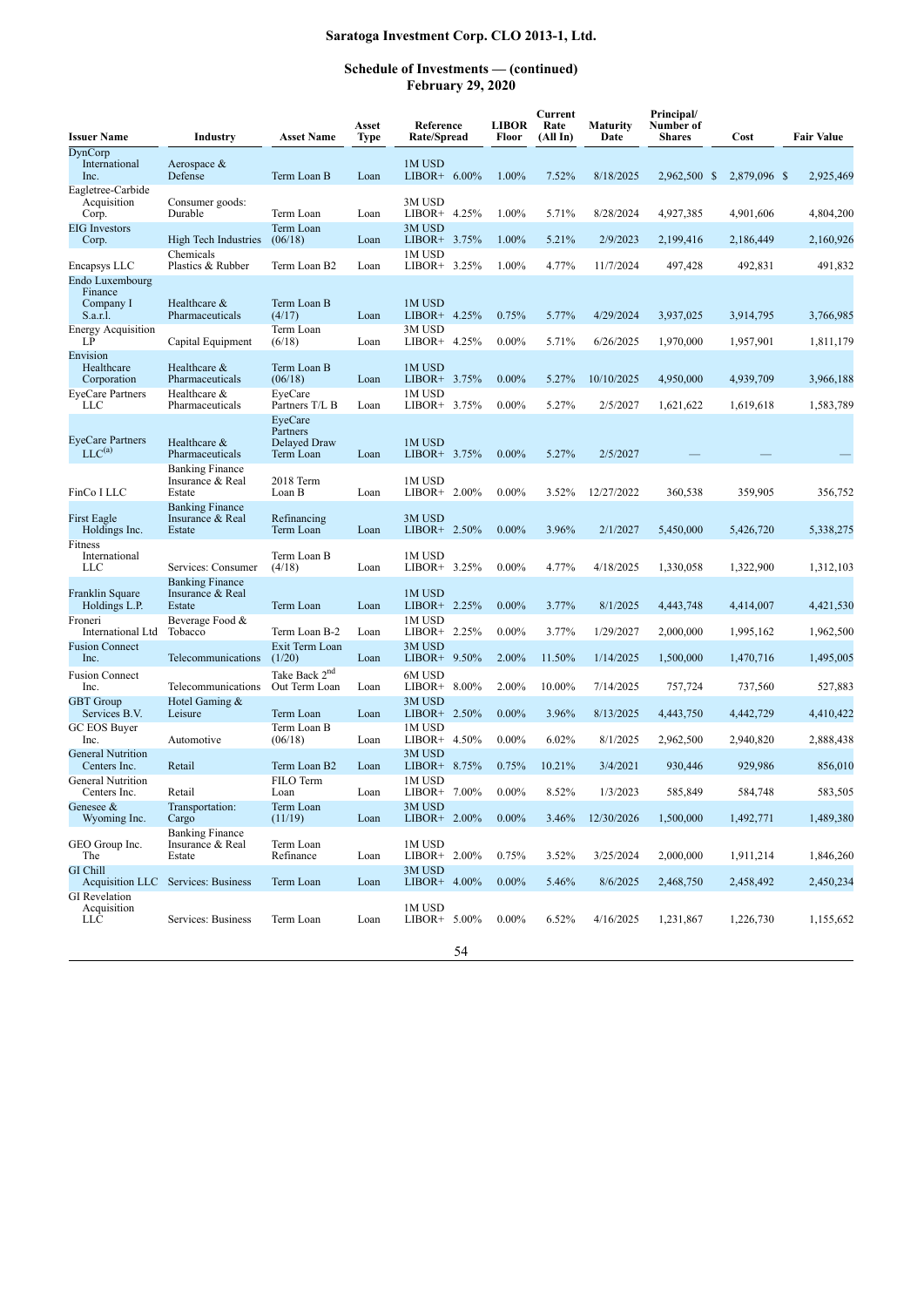| <b>Issuer Name</b>                                  | Industry                                             | <b>Asset Name</b>                                | Asset<br>Type | Reference<br>Rate/Spread  | <b>LIBOR</b><br>Floor | Current<br>Rate<br>(All In) | <b>Maturity</b><br>Date | Principal/<br>Number of<br><b>Shares</b> | Cost                 | <b>Fair Value</b> |
|-----------------------------------------------------|------------------------------------------------------|--------------------------------------------------|---------------|---------------------------|-----------------------|-----------------------------|-------------------------|------------------------------------------|----------------------|-------------------|
| DynCorp<br>International<br>Inc.                    | Aerospace &<br>Defense                               | Term Loan B                                      | Loan          | 1M USD<br>LIBOR+ 6.00%    | 1.00%                 | 7.52%                       | 8/18/2025               | 2,962,500 \$                             | 2,879,096 \$         | 2,925,469         |
| Eagletree-Carbide<br>Acquisition<br>Corp.           | Consumer goods:<br>Durable                           | Term Loan                                        | Loan          | 3M USD<br>LIBOR+ 4.25%    | 1.00%                 | 5.71%                       | 8/28/2024               | 4,927,385                                | 4,901,606            | 4,804,200         |
| <b>EIG</b> Investors<br>Corp.                       | High Tech Industries                                 | Term Loan<br>(06/18)                             | Loan          | 3M USD<br>LIBOR+ 3.75%    | 1.00%                 | 5.21%                       | 2/9/2023                | 2,199,416                                | 2,186,449            | 2,160,926         |
| Encapsys LLC                                        | Chemicals<br>Plastics & Rubber                       | Term Loan B2                                     | Loan          | 1M USD<br>LIBOR+ 3.25%    | 1.00%                 | 4.77%                       | 11/7/2024               | 497,428                                  | 492,831              | 491,832           |
| Endo Luxembourg<br>Finance<br>Company I<br>S.a.r.l. | Healthcare &<br>Pharmaceuticals                      | Term Loan B<br>(4/17)                            | Loan          | 1M USD<br>LIBOR+ 4.25%    | 0.75%                 | 5.77%                       | 4/29/2024               | 3,937,025                                | 3,914,795            | 3,766,985         |
| <b>Energy Acquisition</b><br>LP                     | Capital Equipment                                    | Term Loan<br>(6/18)                              | Loan          | 3M USD<br>LIBOR+ 4.25%    | $0.00\%$              | 5.71%                       | 6/26/2025               | 1,970,000                                | 1,957,901            | 1,811,179         |
| Envision<br>Healthcare<br>Corporation               | Healthcare &<br>Pharmaceuticals                      | Term Loan B<br>(06/18)                           | Loan          | 1M USD<br>LIBOR+ 3.75%    | $0.00\%$              | 5.27%                       | 10/10/2025              | 4,950,000                                | 4,939,709            | 3,966,188         |
| <b>EyeCare Partners</b><br>LLC                      | Healthcare &<br>Pharmaceuticals                      | EveCare<br>Partners T/L B                        | Loan          | 1M USD<br>$LIBOR+ 3.75%$  | $0.00\%$              | 5.27%                       | 2/5/2027                | 1,621,622                                | 1,619,618            | 1,583,789         |
| <b>EyeCare Partners</b><br>$LLC^{(a)}$              | Healthcare &<br>Pharmaceuticals                      | EveCare<br>Partners<br>Delayed Draw<br>Term Loan | Loan          | 1M USD<br>LIBOR+ 3.75%    | $0.00\%$              | 5.27%                       | 2/5/2027                |                                          |                      |                   |
| FinCo I LLC                                         | <b>Banking Finance</b><br>Insurance & Real<br>Estate | 2018 Term<br>Loan B                              | Loan          | 1M USD<br>LIBOR+ $2.00\%$ | $0.00\%$              | 3.52%                       | 12/27/2022              | 360,538                                  | 359,905              | 356,752           |
| First Eagle<br>Holdings Inc.                        | <b>Banking Finance</b><br>Insurance & Real<br>Estate | Refinancing<br>Term Loan                         | Loan          | 3M USD<br>LIBOR+ 2.50%    | $0.00\%$              | 3.96%                       | 2/1/2027                | 5,450,000                                | 5,426,720            | 5,338,275         |
| <b>Fitness</b><br>International<br>LLC              | Services: Consumer                                   | Term Loan B<br>(4/18)                            | Loan          | 1M USD<br>LIBOR+ 3.25%    | $0.00\%$              | 4.77%                       | 4/18/2025               | 1,330,058                                | 1,322,900            | 1,312,103         |
| Franklin Square<br>Holdings L.P.                    | <b>Banking Finance</b><br>Insurance & Real<br>Estate | Term Loan                                        | Loan          | 1M USD<br>$LIBOR+ 2.25%$  | $0.00\%$              | 3.77%                       | 8/1/2025                | 4,443,748                                | 4,414,007            | 4,421,530         |
| Froneri<br>International Ltd                        | Beverage Food &<br>Tobacco                           | Term Loan B-2                                    | Loan          | 1M USD<br>LIBOR+ 2.25%    | $0.00\%$              | 3.77%                       | 1/29/2027               | 2,000,000                                | 1,995,162            | 1,962,500         |
| <b>Fusion Connect</b><br>Inc.                       | Telecommunications                                   | Exit Term Loan<br>(1/20)                         | Loan          | 3M USD<br>LIBOR+ $9.50\%$ | 2.00%                 | 11.50%                      | 1/14/2025               | 1,500,000                                | 1,470,716            | 1,495,005         |
| <b>Fusion Connect</b><br>Inc.                       | Telecommunications                                   | Take Back 2 <sup>nd</sup><br>Out Term Loan       | Loan          | 6M USD<br>$LIBOR+ 8.00\%$ | 2.00%                 | 10.00%                      | 7/14/2025               | 757,724                                  | 737,560              | 527,883           |
| <b>GBT</b> Group<br>Services B.V.                   | Hotel Gaming &<br>Leisure                            | Term Loan                                        | Loan          | 3M USD<br>LIBOR+ 2.50%    | $0.00\%$              | 3.96%                       | 8/13/2025               | 4,443,750                                | 4,442,729            | 4,410,422         |
| GC EOS Buver<br>Inc.                                | Automotive                                           | Term Loan B<br>(06/18)                           | Loan          | 1M USD<br>LIBOR+ 4.50%    | $0.00\%$              | 6.02%                       | 8/1/2025                | 2,962,500                                | 2,940,820            | 2,888,438         |
| <b>General Nutrition</b><br>Centers Inc.            | Retail                                               | Term Loan B2                                     | Loan          | 3M USD<br>LIBOR+ 8.75%    | 0.75%                 | 10.21%                      | 3/4/2021                | 930,446                                  | 929,986              | 856,010           |
| <b>General Nutrition</b>                            | Retail                                               | FILO Term                                        |               | 1M USD<br>$LIBOR+ 7.00\%$ | $0.00\%$              | 8.52%                       | 1/3/2023                | 585,849                                  |                      | 583,505           |
| Centers Inc.<br>Genesee &<br>Wyoming Inc.           | Transportation:<br>Cargo                             | Loan<br>Term Loan<br>(11/19)                     | Loan<br>Loan  | 3M USD<br>$LIBOR+ 2.00\%$ | $0.00\%$              | 3.46%                       | 12/30/2026              | 1,500,000                                | 584,748<br>1,492,771 | 1,489,380         |
| GEO Group Inc.<br>The                               | <b>Banking Finance</b><br>Insurance & Real<br>Estate | Term Loan<br>Refinance                           | Loan          | 1M USD<br>$LIBOR+ 2.00\%$ | 0.75%                 | 3.52%                       | 3/25/2024               | 2,000,000                                | 1,911,214            | 1,846,260         |
| <b>GI</b> Chill                                     | Acquisition LLC Services: Business                   | Term Loan                                        | Loan          | 3M USD<br>LIBOR+ $4.00\%$ | $0.00\%$              | 5.46%                       | 8/6/2025                | 2,468,750                                | 2,458,492            | 2,450,234         |
| <b>GI</b> Revelation<br>Acquisition<br>LLC          | Services: Business                                   | Term Loan                                        | Loan          | 1M USD<br>LIBOR+ $5.00\%$ | $0.00\%$              | 6.52%                       | 4/16/2025               | 1,231,867                                | 1,226,730            | 1,155,652         |
|                                                     |                                                      |                                                  |               | 54                        |                       |                             |                         |                                          |                      |                   |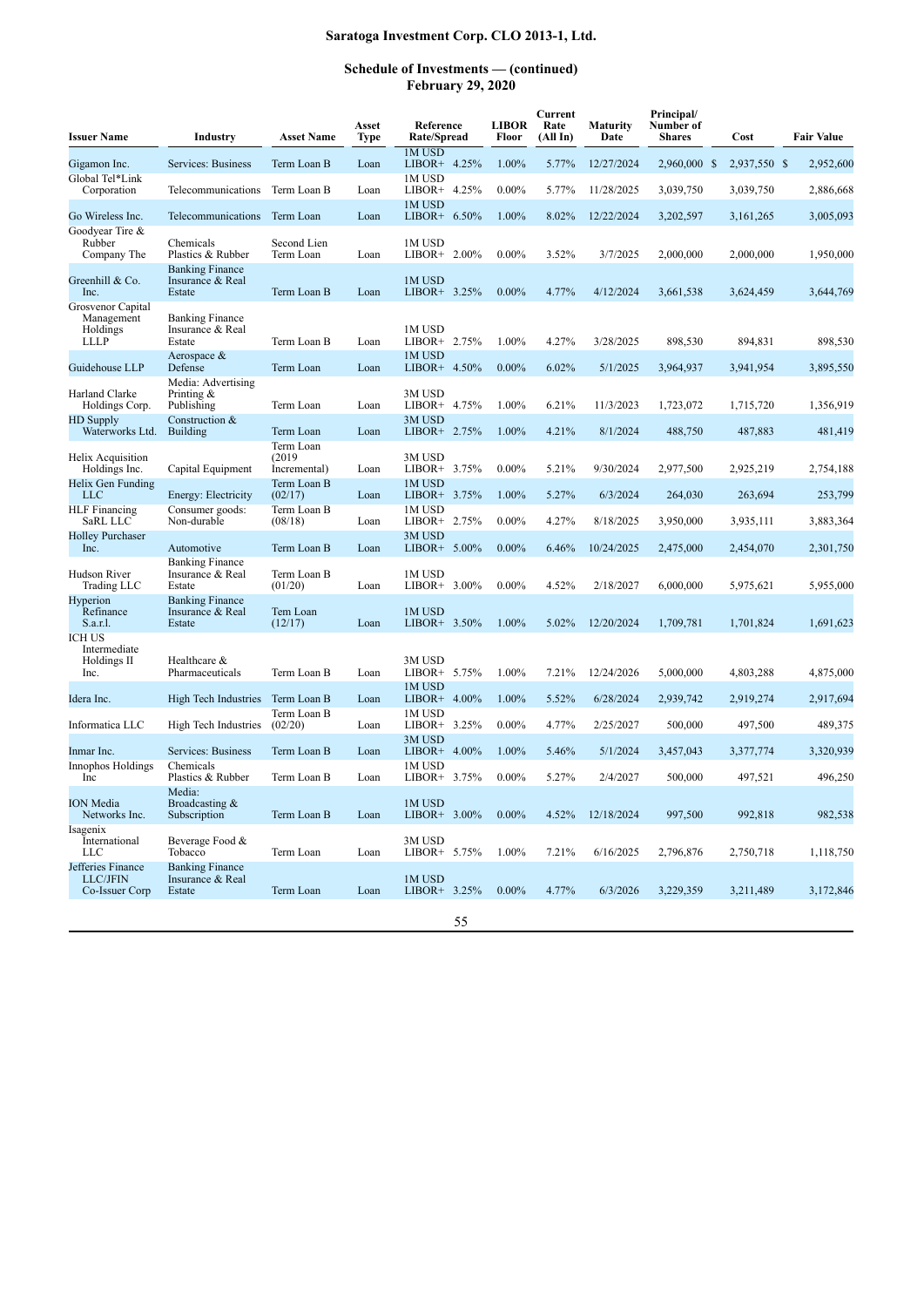| <b>Issuer Name</b>                                         | <b>Industry</b>                                      | <b>Asset Name</b>                   | Asset<br>Type | Reference<br>Rate/Spread  | <b>LIBOR</b><br>Floor | Current<br>Rate<br>(All In) | <b>Maturity</b><br>Date | Principal/<br>Number of<br><b>Shares</b> | Cost         | <b>Fair Value</b> |
|------------------------------------------------------------|------------------------------------------------------|-------------------------------------|---------------|---------------------------|-----------------------|-----------------------------|-------------------------|------------------------------------------|--------------|-------------------|
| Gigamon Inc.                                               | Services: Business                                   | Term Loan B                         | Loan          | 1M USD<br>LIBOR+ 4.25%    | 1.00%                 | 5.77%                       | 12/27/2024              | 2,960,000 \$                             | 2,937,550 \$ | 2,952,600         |
| Global Tel*Link<br>Corporation                             | Telecommunications                                   | Term Loan B                         | Loan          | 1M USD<br>LIBOR+ 4.25%    | $0.00\%$              | 5.77%                       | 11/28/2025              | 3,039,750                                | 3,039,750    | 2,886,668         |
| Go Wireless Inc.                                           | Telecommunications                                   | Term Loan                           | Loan          | 1M USD<br>LIBOR+ $6.50\%$ | 1.00%                 | 8.02%                       | 12/22/2024              | 3,202,597                                | 3,161,265    | 3,005,093         |
| Goodyear Tire &<br>Rubber<br>Company The                   | Chemicals<br>Plastics & Rubber                       | Second Lien<br>Term Loan            | Loan          | 1M USD<br>LIBOR+ 2.00%    | $0.00\%$              | 3.52%                       | 3/7/2025                | 2,000,000                                | 2,000,000    | 1,950,000         |
| Greenhill & Co.<br>Inc.                                    | <b>Banking Finance</b><br>Insurance & Real<br>Estate | Term Loan B                         | Loan          | 1M USD<br>LIBOR+ 3.25%    | $0.00\%$              | 4.77%                       | 4/12/2024               | 3,661,538                                | 3,624,459    | 3,644,769         |
| Grosvenor Capital<br>Management<br>Holdings<br><b>LLLP</b> | <b>Banking Finance</b><br>Insurance & Real<br>Estate | Term Loan B                         | Loan          | 1M USD<br>LIBOR+ 2.75%    | 1.00%                 | 4.27%                       | 3/28/2025               | 898,530                                  | 894,831      | 898,530           |
| Guidehouse LLP                                             | Aerospace $\&$<br>Defense                            | Term Loan                           | Loan          | 1M USD<br>LIBOR+ 4.50%    | $0.00\%$              | 6.02%                       | 5/1/2025                | 3,964,937                                | 3,941,954    | 3,895,550         |
| Harland Clarke<br>Holdings Corp.                           | Media: Advertising<br>Printing $\&$<br>Publishing    | Term Loan                           | Loan          | 3M USD<br>$LIBOR+ 4.75%$  | 1.00%                 | 6.21%                       | 11/3/2023               | 1,723,072                                | 1,715,720    | 1,356,919         |
| <b>HD</b> Supply<br>Waterworks Ltd.                        | Construction &<br><b>Building</b>                    | Term Loan                           | Loan          | 3M USD<br>LIBOR+ 2.75%    | 1.00%                 | 4.21%                       | 8/1/2024                | 488,750                                  | 487,883      | 481,419           |
| Helix Acquisition<br>Holdings Inc.                         | Capital Equipment                                    | Term Loan<br>(2019)<br>Incremental) | Loan          | 3M USD<br>LIBOR+ 3.75%    | $0.00\%$              | 5.21%                       | 9/30/2024               | 2,977,500                                | 2,925,219    | 2,754,188         |
| Helix Gen Funding<br><b>LLC</b>                            | Energy: Electricity                                  | Term Loan B<br>(02/17)              | Loan          | 1M USD<br>LIBOR+ 3.75%    | 1.00%                 | 5.27%                       | 6/3/2024                | 264,030                                  | 263,694      | 253,799           |
| <b>HLF</b> Financing<br>SaRL LLC                           | Consumer goods:<br>Non-durable                       | Term Loan B<br>(08/18)              | Loan          | 1M USD<br>$LIBOR+ 2.75%$  | $0.00\%$              | 4.27%                       | 8/18/2025               | 3,950,000                                | 3,935,111    | 3,883,364         |
| <b>Holley Purchaser</b><br>Inc.                            | Automotive                                           | Term Loan B                         | Loan          | 3M USD<br>LIBOR+ $5.00\%$ | $0.00\%$              | 6.46%                       | 10/24/2025              | 2,475,000                                | 2,454,070    | 2,301,750         |
| Hudson River<br>Trading LLC                                | <b>Banking Finance</b><br>Insurance & Real<br>Estate | Term Loan B<br>(01/20)              | Loan          | 1M USD<br>LIBOR+ 3.00%    | $0.00\%$              | 4.52%                       | 2/18/2027               | 6,000,000                                | 5,975,621    | 5,955,000         |
| Hyperion<br>Refinance<br>S.a.r.l.                          | <b>Banking Finance</b><br>Insurance & Real<br>Estate | Tem Loan<br>(12/17)                 | Loan          | 1M USD<br>LIBOR+ 3.50%    | 1.00%                 | 5.02%                       | 12/20/2024              | 1,709,781                                | 1,701,824    | 1,691,623         |
| <b>ICH US</b><br>Intermediate<br>Holdings II<br>Inc.       | Healthcare &<br>Pharmaceuticals                      | Term Loan B                         | Loan          | 3M USD<br>LIBOR+ 5.75%    | 1.00%                 | 7.21%                       | 12/24/2026              | 5,000,000                                | 4,803,288    | 4,875,000         |
| Idera Inc.                                                 | High Tech Industries Term Loan B                     |                                     | Loan          | 1M USD<br>$LIBOR+ 4.00\%$ | 1.00%                 | 5.52%                       | 6/28/2024               | 2,939,742                                | 2,919,274    | 2,917,694         |
| Informatica LLC                                            | High Tech Industries                                 | Term Loan B<br>(02/20)              | Loan          | 1M USD<br>LIBOR+ 3.25%    | $0.00\%$              | 4.77%                       | 2/25/2027               | 500,000                                  | 497,500      | 489,375           |
| Inmar Inc.                                                 | Services: Business                                   | Term Loan B                         | Loan          | 3M USD<br>LIBOR+ $4.00\%$ | 1.00%                 | 5.46%                       | 5/1/2024                | 3,457,043                                | 3,377,774    | 3,320,939         |
| Innophos Holdings<br>Inc                                   | Chemicals<br>Plastics & Rubber                       | Term Loan B                         | Loan          | 1M USD<br>LIBOR+ 3.75%    | $0.00\%$              | 5.27%                       | 2/4/2027                | 500,000                                  | 497,521      | 496,250           |
| <b>ION</b> Media<br>Networks Inc.                          | Media:<br>Broadcasting &<br>Subscription             | Term Loan B                         | Loan          | 1M USD<br>$LIBOR+ 3.00\%$ | $0.00\%$              | 4.52%                       | 12/18/2024              | 997,500                                  | 992,818      | 982,538           |
| Isagenix<br>International<br><b>LLC</b>                    | Beverage Food &<br>Tobacco                           | Term Loan                           | Loan          | 3M USD<br>LIBOR+ 5.75%    | 1.00%                 | 7.21%                       | 6/16/2025               | 2,796,876                                | 2,750,718    | 1,118,750         |
| Jefferies Finance<br>LLC/JFIN<br>Co-Issuer Corp            | <b>Banking Finance</b><br>Insurance & Real<br>Estate | Term Loan                           | Loan          | 1M USD<br>LIBOR+ 3.25%    | $0.00\%$              | 4.77%                       | 6/3/2026                | 3,229,359                                | 3,211,489    | 3,172,846         |
|                                                            |                                                      |                                     |               | 55                        |                       |                             |                         |                                          |              |                   |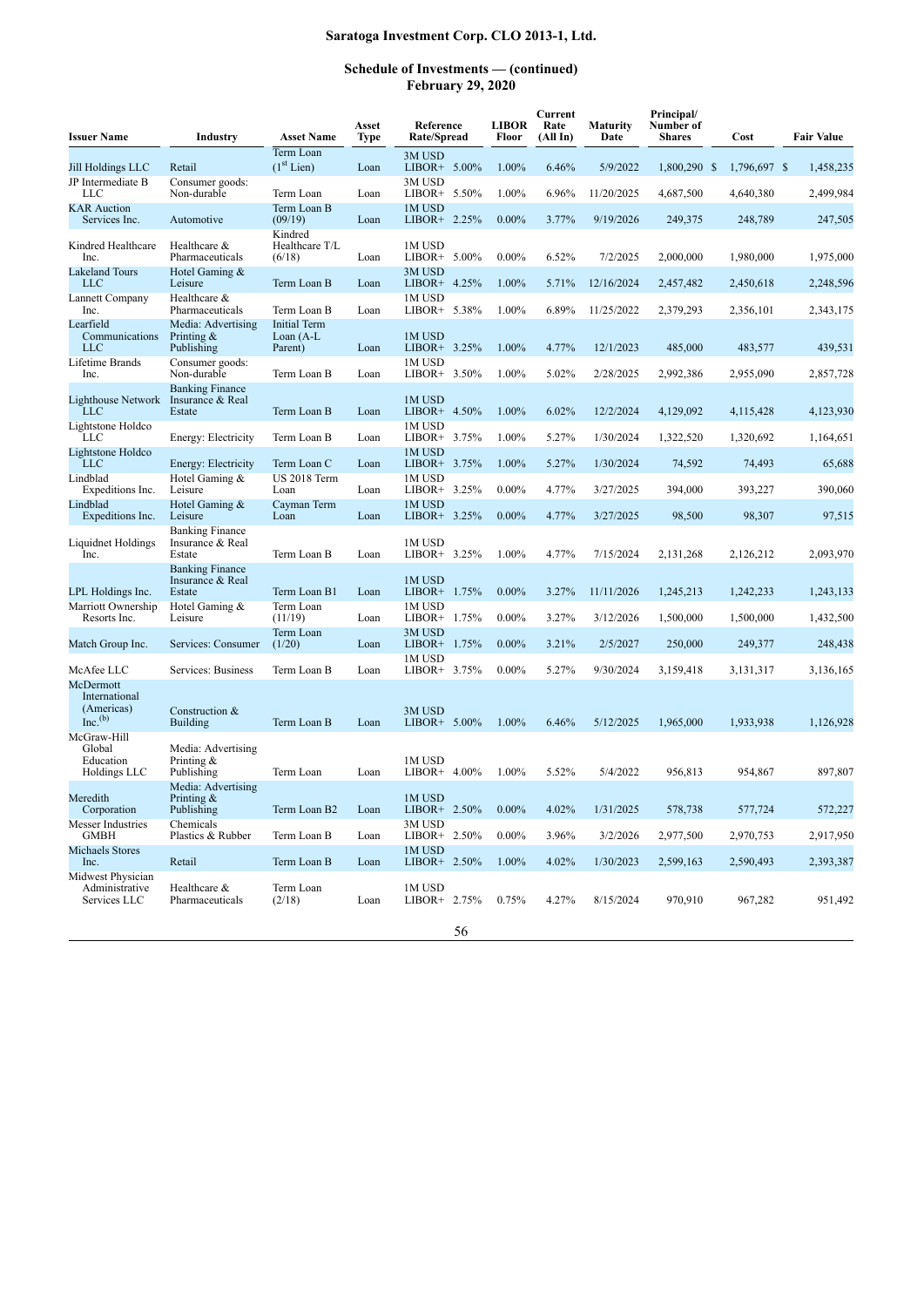| <b>Issuer Name</b>                                                | Industry                                             | <b>Asset Name</b>                              | Asset<br>Type | Reference<br><b>Rate/Spread</b>              | <b>LIBOR</b><br>Floor | Current<br>Rate<br>(All In) | <b>Maturity</b><br>Date | Principal/<br>Number of<br><b>Shares</b> | Cost                      | <b>Fair Value</b>      |
|-------------------------------------------------------------------|------------------------------------------------------|------------------------------------------------|---------------|----------------------------------------------|-----------------------|-----------------------------|-------------------------|------------------------------------------|---------------------------|------------------------|
|                                                                   |                                                      | Term Loan<br>(1 <sup>st</sup> Lin)             |               | 3M USD                                       | 1.00%                 | 6.46%                       | 5/9/2022                |                                          |                           |                        |
| Jill Holdings LLC<br>JP Intermediate B<br>LLC                     | Retail<br>Consumer goods:<br>Non-durable             | Term Loan                                      | Loan<br>Loan  | LIBOR+ $5.00\%$<br>3M USD<br>LIBOR+ $5.50\%$ | 1.00%                 | 6.96%                       | 11/20/2025              | 1,800,290 \$<br>4,687,500                | 1,796,697 \$<br>4.640.380 | 1,458,235<br>2,499,984 |
| <b>KAR</b> Auction<br>Services Inc.                               | Automotive                                           | Term Loan B<br>(09/19)                         | Loan          | 1M USD<br>LIBOR+ $2.25\%$                    | $0.00\%$              | 3.77%                       | 9/19/2026               | 249,375                                  | 248,789                   | 247,505                |
| Kindred Healthcare<br>Inc.                                        | Healthcare &<br>Pharmaceuticals                      | Kindred<br>Healthcare T/L<br>(6/18)            | Loan          | 1M USD<br>LIBOR+ $5.00\%$                    | $0.00\%$              | 6.52%                       | 7/2/2025                | 2,000,000                                | 1,980,000                 | 1,975,000              |
| <b>Lakeland Tours</b><br><b>LLC</b>                               | Hotel Gaming &<br>Leisure                            | Term Loan B                                    | Loan          | 3M USD<br>LIBOR+ 4.25%                       | 1.00%                 | 5.71%                       | 12/16/2024              | 2,457,482                                | 2,450,618                 | 2,248,596              |
| Lannett Company<br>Inc.                                           | Healthcare &<br>Pharmaceuticals                      | Term Loan B                                    | Loan          | 1M USD<br>LIBOR+ 5.38%                       | 1.00%                 | 6.89%                       | 11/25/2022              | 2,379,293                                | 2,356,101                 | 2,343,175              |
| Learfield<br>Communications<br><b>LLC</b>                         | Media: Advertising<br>Printing $\&$<br>Publishing    | <b>Initial Term</b><br>Loan $(A-L)$<br>Parent) | Loan          | 1M USD<br>LIBOR+ 3.25%                       | 1.00%                 | 4.77%                       | 12/1/2023               | 485,000                                  | 483,577                   | 439,531                |
| Lifetime Brands<br>Inc.                                           | Consumer goods:<br>Non-durable                       | Term Loan B                                    | Loan          | 1M USD<br>LIBOR+ 3.50%                       | 1.00%                 | 5.02%                       | 2/28/2025               | 2,992,386                                | 2,955,090                 | 2,857,728              |
| <b>Lighthouse Network</b><br><b>LLC</b>                           | <b>Banking Finance</b><br>Insurance & Real<br>Estate | Term Loan B                                    | Loan          | 1M USD<br>LIBOR+ 4.50%                       | 1.00%                 | 6.02%                       | 12/2/2024               | 4,129,092                                | 4,115,428                 | 4,123,930              |
| Lightstone Holdco<br><b>LLC</b>                                   | Energy: Electricity                                  | Term Loan B                                    | Loan          | 1M USD<br>$LIBOR+ 3.75%$                     | 1.00%                 | 5.27%                       | 1/30/2024               | 1,322,520                                | 1,320,692                 | 1,164,651              |
| Lightstone Holdco<br><b>LLC</b>                                   | Energy: Electricity                                  | Term Loan C                                    | Loan          | 1M USD<br>LIBOR+ 3.75%                       | 1.00%                 | 5.27%                       | 1/30/2024               | 74,592                                   | 74,493                    | 65,688                 |
| Lindblad<br>Expeditions Inc.                                      | Hotel Gaming &<br>Leisure                            | <b>US 2018 Term</b><br>Loan                    | Loan          | 1M USD<br>LIBOR+ 3.25%                       | $0.00\%$              | 4.77%                       | 3/27/2025               | 394,000                                  | 393,227                   | 390,060                |
| Lindblad<br>Expeditions Inc.                                      | Hotel Gaming &<br>Leisure                            | Cayman Term<br>Loan                            | Loan          | 1M USD<br>LIBOR+ 3.25%                       | $0.00\%$              | 4.77%                       | 3/27/2025               | 98,500                                   | 98,307                    | 97,515                 |
| Liquidnet Holdings<br>Inc.                                        | <b>Banking Finance</b><br>Insurance & Real<br>Estate | Term Loan B                                    | Loan          | 1M USD<br>$LIBOR+3.25%$                      | 1.00%                 | 4.77%                       | 7/15/2024               | 2,131,268                                | 2,126,212                 | 2,093,970              |
| LPL Holdings Inc.                                                 | <b>Banking Finance</b><br>Insurance & Real<br>Estate | Term Loan B1                                   | Loan          | 1M USD<br>1.75%<br>$LIBOR+$                  | $0.00\%$              | 3.27%                       | 11/11/2026              | 1,245,213                                | 1,242,233                 | 1,243,133              |
| Marriott Ownership<br>Resorts Inc.                                | Hotel Gaming &<br>Leisure                            | Term Loan<br>(11/19)                           | Loan          | 1M USD<br>LIBOR+ 1.75%                       | $0.00\%$              | 3.27%                       | 3/12/2026               | 1,500,000                                | 1,500,000                 | 1,432,500              |
| Match Group Inc.                                                  | Services: Consumer                                   | Term Loan<br>(1/20)                            | Loan          | 3M USD<br>LIBOR+ 1.75%                       | $0.00\%$              | 3.21%                       | 2/5/2027                | 250,000                                  | 249,377                   | 248,438                |
| McAfee LLC                                                        | Services: Business                                   | Term Loan B                                    | Loan          | 1M USD<br>LIBOR+ 3.75%                       | $0.00\%$              | 5.27%                       | 9/30/2024               | 3,159,418                                | 3,131,317                 | 3,136,165              |
| McDermott<br>International<br>(Americas)<br>$Inc.$ <sup>(b)</sup> | Construction &<br><b>Building</b>                    | Term Loan B                                    | Loan          | 3M USD<br>LIBOR+ $5.00\%$                    | 1.00%                 | 6.46%                       | 5/12/2025               | 1.965.000                                | 1,933,938                 | 1,126,928              |
| McGraw-Hill<br>Global<br>Education                                | Media: Advertising<br>Printing $\&$                  |                                                |               | 1M USD                                       |                       |                             |                         |                                          |                           |                        |
| Holdings LLC                                                      | Publishing<br>Media: Advertising                     | Term Loan                                      | Loan          | $LIBOR+ 4.00\%$                              | 1.00%                 | 5.52%                       | 5/4/2022                | 956.813                                  | 954,867                   | 897,807                |
| Meredith<br>Corporation                                           | Printing $\&$<br>Publishing                          | Term Loan B2                                   | Loan          | 1M USD<br>$LIBOR+ 2.50\%$                    | $0.00\%$              | 4.02%                       | 1/31/2025               | 578,738                                  | 577,724                   | 572,227                |
| <b>Messer Industries</b><br><b>GMBH</b>                           | Chemicals<br>Plastics & Rubber                       | Term Loan B                                    | Loan          | 3M USD<br>LIBOR+ 2.50%                       | $0.00\%$              | 3.96%                       | 3/2/2026                | 2,977,500                                | 2,970,753                 | 2,917,950              |
| <b>Michaels Stores</b><br>Inc.                                    | Retail                                               | Term Loan B                                    | Loan          | 1M USD<br>LIBOR+ $2.50\%$                    | 1.00%                 | 4.02%                       | 1/30/2023               | 2,599,163                                | 2,590,493                 | 2,393,387              |
| Midwest Physician<br>Administrative<br>Services LLC               | Healthcare &<br>Pharmaceuticals                      | Term Loan<br>(2/18)                            | Loan          | 1M USD<br>LIBOR+ 2.75%                       | 0.75%                 | 4.27%                       | 8/15/2024               | 970,910                                  | 967,282                   | 951,492                |
|                                                                   |                                                      |                                                |               | 56                                           |                       |                             |                         |                                          |                           |                        |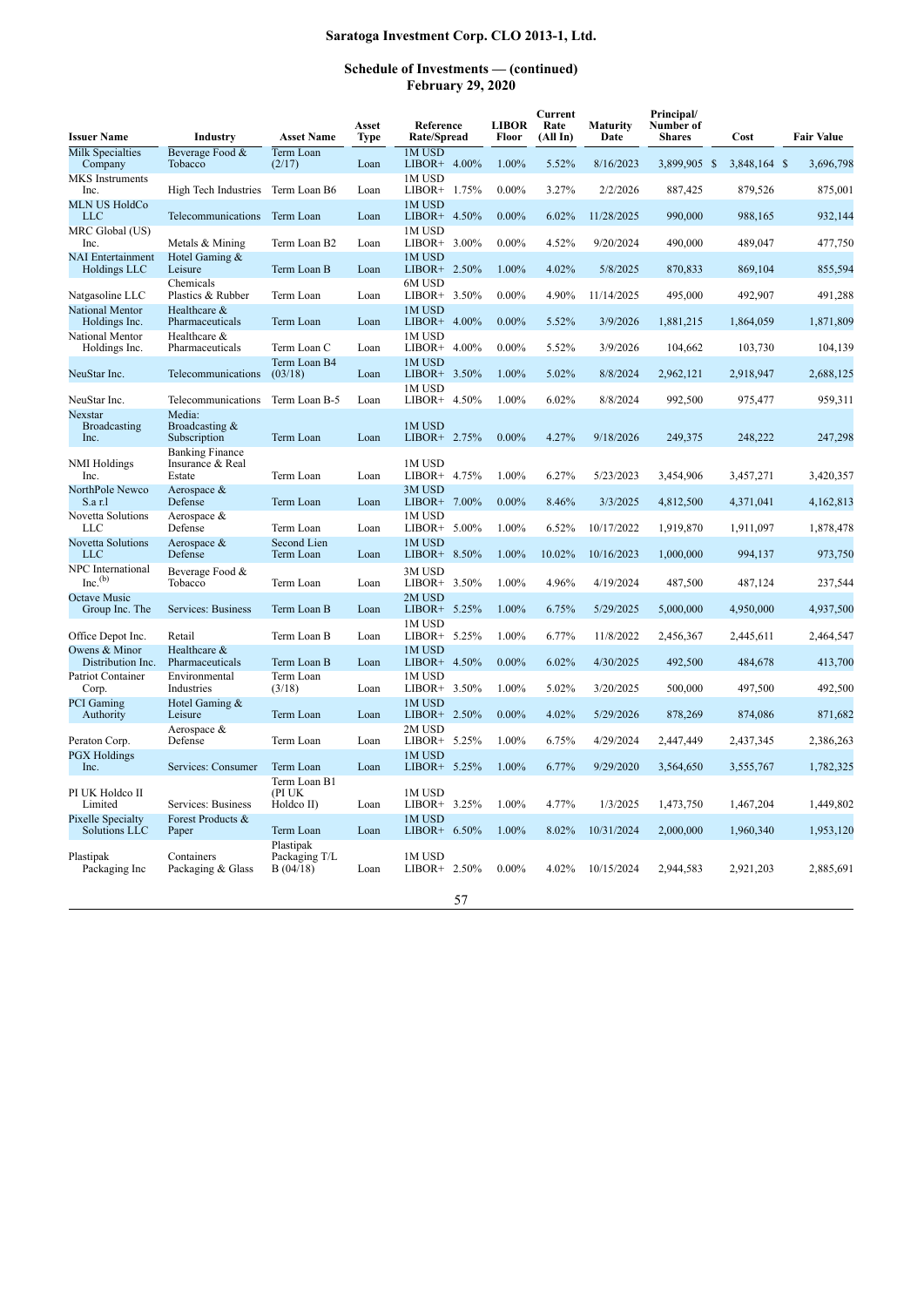| <b>Issuer Name</b>                         | Industry                                             | <b>Asset Name</b>                      | Asset<br>Type | Reference<br>Rate/Spread    | <b>LIBOR</b><br>Floor | Current<br>Rate<br>(AllIn) | Maturity<br>Date | Principal/<br>Number of<br><b>Shares</b> | Cost         | <b>Fair Value</b> |
|--------------------------------------------|------------------------------------------------------|----------------------------------------|---------------|-----------------------------|-----------------------|----------------------------|------------------|------------------------------------------|--------------|-------------------|
| <b>Milk Specialties</b><br>Company         | Beverage Food &<br>Tobacco                           | Term Loan<br>(2/17)                    | Loan          | 1M USD<br>LIBOR+ 4.00%      | 1.00%                 | 5.52%                      | 8/16/2023        | 3,899,905 \$                             | 3,848,164 \$ | 3,696,798         |
| MKS Instruments<br>Inc.                    | High Tech Industries                                 | Term Loan B6                           | Loan          | 1M USD<br>1.75%<br>LIBOR+   | $0.00\%$              | 3.27%                      | 2/2/2026         | 887,425                                  | 879,526      | 875,001           |
| <b>MLN US HoldCo</b><br><b>LLC</b>         | Telecommunications                                   | Term Loan                              | Loan          | 1M USD<br>LIBOR+ 4.50%      | $0.00\%$              | 6.02%                      | 11/28/2025       | 990,000                                  | 988,165      | 932,144           |
| MRC Global (US)<br>Inc.                    | Metals & Mining                                      | Term Loan B2                           | Loan          | 1M USD<br>LIBOR+ 3.00%      | $0.00\%$              | 4.52%                      | 9/20/2024        | 490,000                                  | 489,047      | 477,750           |
| <b>NAI</b> Entertainment<br>Holdings LLC   | Hotel Gaming &<br>Leisure                            | Term Loan B                            | Loan          | 1M USD<br>LIBOR+ 2.50%      | 1.00%                 | 4.02%                      | 5/8/2025         | 870,833                                  | 869,104      | 855,594           |
| Natgasoline LLC                            | Chemicals<br>Plastics & Rubber                       | Term Loan                              | Loan          | 6M USD<br>$LIBOR+ 3.50\%$   | $0.00\%$              | 4.90%                      | 11/14/2025       | 495,000                                  | 492,907      | 491,288           |
| National Mentor<br>Holdings Inc.           | Healthcare &<br>Pharmaceuticals                      | Term Loan                              | Loan          | 1M USD<br>4.00%<br>LIBOR+   | $0.00\%$              | 5.52%                      | 3/9/2026         | 1,881,215                                | 1,864,059    | 1,871,809         |
| National Mentor<br>Holdings Inc.           | Healthcare &<br>Pharmaceuticals                      | Term Loan C                            | Loan          | 1M USD<br>LIBOR+ 4.00%      | $0.00\%$              | 5.52%                      | 3/9/2026         | 104,662                                  | 103,730      | 104,139           |
| NeuStar Inc.                               | Telecommunications                                   | Term Loan B4<br>(03/18)                | Loan          | 1M USD<br>3.50%<br>LIBOR+   | 1.00%                 | 5.02%                      | 8/8/2024         | 2,962,121                                | 2,918,947    | 2,688,125         |
| NeuStar Inc.                               | Telecommunications                                   | Term Loan B-5                          | Loan          | 1M USD<br>LIBOR+ 4.50%      | 1.00%                 | 6.02%                      | 8/8/2024         | 992,500                                  | 975,477      | 959,311           |
| Nexstar<br>Broadcasting<br>Inc.            | Media:<br>Broadcasting &<br>Subscription             | Term Loan                              | Loan          | 1M USD<br>LIBOR+ 2.75%      | $0.00\%$              | 4.27%                      | 9/18/2026        | 249,375                                  | 248,222      | 247,298           |
| NMI Holdings<br>Inc.                       | <b>Banking Finance</b><br>Insurance & Real<br>Estate | Term Loan                              | Loan          | 1M USD<br>LIBOR+ 4.75%      | 1.00%                 | 6.27%                      | 5/23/2023        | 3,454,906                                | 3,457,271    | 3,420,357         |
| NorthPole Newco<br>S.a r.l                 | Aerospace &<br>Defense                               | Term Loan                              | Loan          | 3M USD<br>7.00%<br>$LIBOR+$ | $0.00\%$              | 8.46%                      | 3/3/2025         | 4,812,500                                | 4,371,041    | 4,162,813         |
| <b>Novetta Solutions</b><br>LLC            | Aerospace &<br>Defense                               | Term Loan                              | Loan          | 1M USD<br>LIBOR+ 5.00%      | 1.00%                 | 6.52%                      | 10/17/2022       | 1,919,870                                | 1,911,097    | 1,878,478         |
| <b>Novetta Solutions</b><br>LLC            | Aerospace &<br>Defense                               | Second Lien<br>Term Loan               | Loan          | 1M USD<br>LIBOR+ 8.50%      | 1.00%                 | 10.02%                     | 10/16/2023       | 1,000,000                                | 994,137      | 973,750           |
| NPC International<br>$Inc.$ <sup>(b)</sup> | Beverage Food &<br>Tobacco                           | Term Loan                              | Loan          | 3M USD<br>LIBOR+ 3.50%      | 1.00%                 | 4.96%                      | 4/19/2024        | 487,500                                  | 487,124      | 237,544           |
| Octave Music<br>Group Inc. The             | Services: Business                                   | Term Loan B                            | Loan          | 2M USD<br>LIBOR+<br>5.25%   | 1.00%                 | 6.75%                      | 5/29/2025        | 5,000,000                                | 4,950,000    | 4,937,500         |
| Office Depot Inc.                          | Retail                                               | Term Loan B                            | Loan          | 1M USD<br>LIBOR+ 5.25%      | 1.00%                 | 6.77%                      | 11/8/2022        | 2,456,367                                | 2,445,611    | 2,464,547         |
| Owens & Minor<br>Distribution Inc.         | Healthcare &<br>Pharmaceuticals                      | Term Loan B                            | Loan          | 1M USD<br>4.50%<br>LIBOR+   | $0.00\%$              | 6.02%                      | 4/30/2025        | 492,500                                  | 484,678      | 413,700           |
| <b>Patriot Container</b><br>Corp.          | Environmental<br>Industries                          | Term Loan<br>(3/18)                    | Loan          | 1M USD<br>LIBOR+ 3.50%      | 1.00%                 | 5.02%                      | 3/20/2025        | 500,000                                  | 497,500      | 492,500           |
| <b>PCI</b> Gaming<br>Authority             | Hotel Gaming &<br>Leisure                            | Term Loan                              | Loan          | 1M USD<br>LIBOR+ 2.50%      | $0.00\%$              | 4.02%                      | 5/29/2026        | 878,269                                  | 874,086      | 871,682           |
| Peraton Corp.                              | Aerospace &<br>Defense                               | Term Loan                              | Loan          | 2M USD<br>LIBOR+ 5.25%      | 1.00%                 | 6.75%                      | 4/29/2024        | 2,447,449                                | 2,437,345    | 2,386,263         |
| <b>PGX</b> Holdings<br>Inc.                | Services: Consumer                                   | Term Loan                              | Loan          | 1M USD<br>LIBOR+ 5.25%      | 1.00%                 | 6.77%                      | 9/29/2020        | 3,564,650                                | 3,555,767    | 1,782,325         |
| PI UK Holdco II<br>Limited                 | Services: Business                                   | Term Loan B1<br>(PI UK<br>Holdco II)   | Loan          | 1M USD<br>LIBOR+ 3.25%      | 1.00%                 | 4.77%                      | 1/3/2025         | 1,473,750                                | 1,467,204    | 1,449,802         |
| Pixelle Specialty<br>Solutions LLC         | Forest Products &<br>Paper                           | Term Loan                              | Loan          | 1M USD<br>LIBOR+ 6.50%      | 1.00%                 | 8.02%                      | 10/31/2024       | 2,000,000                                | 1,960,340    | 1,953,120         |
| Plastipak<br>Packaging Inc                 | Containers<br>Packaging & Glass                      | Plastipak<br>Packaging T/L<br>B(04/18) | Loan          | 1M USD<br>LIBOR+ 2.50%      | $0.00\%$              | 4.02%                      | 10/15/2024       | 2,944,583                                | 2,921,203    | 2,885,691         |
|                                            |                                                      |                                        |               | 57                          |                       |                            |                  |                                          |              |                   |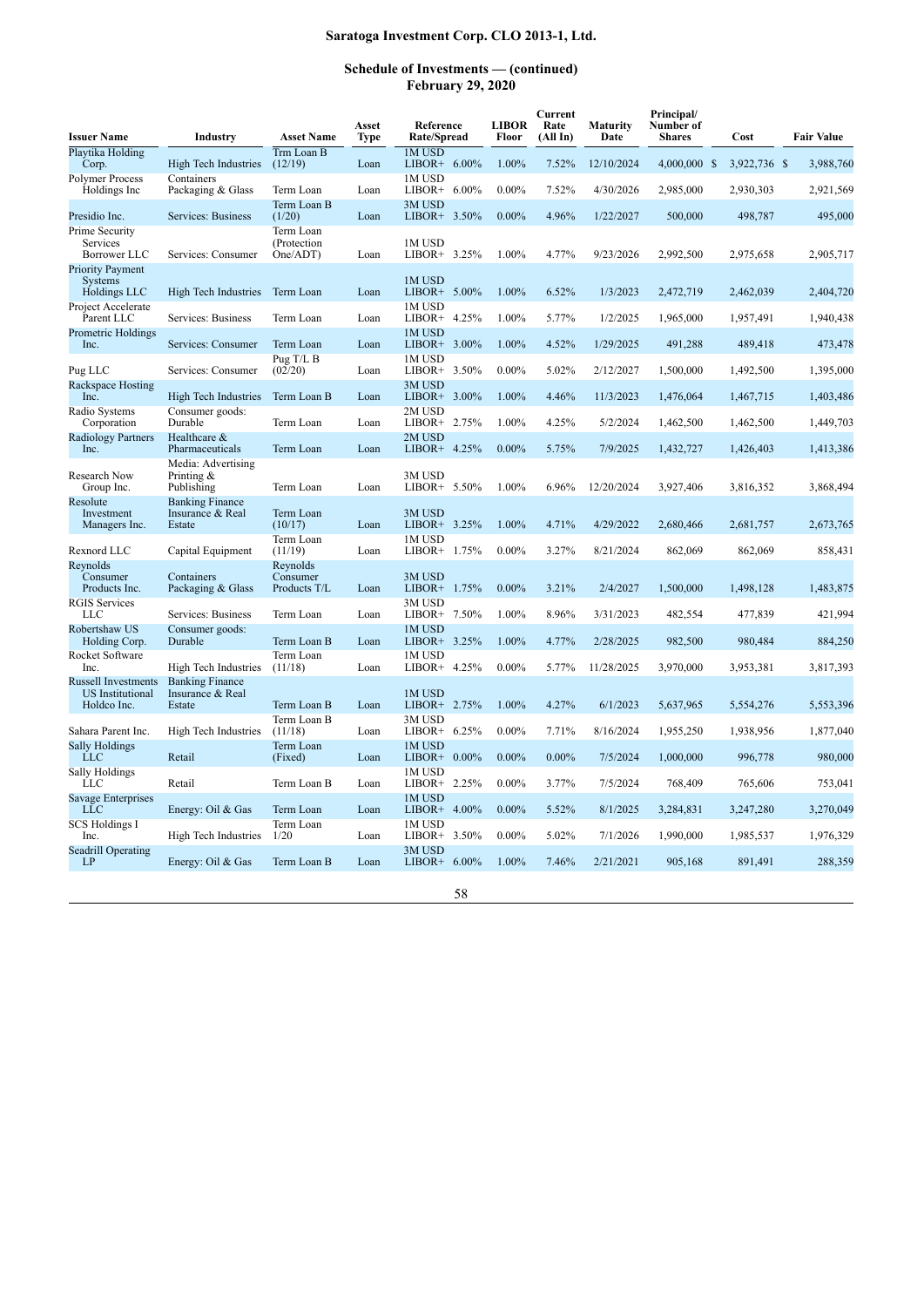| <b>Issuer Name</b>                                                   | Industry                                             | <b>Asset Name</b>                    | Asset<br><b>Type</b> | Reference<br>Rate/Spread  | <b>LIBOR</b><br>Floor | Current<br>Rate<br>(All In) | <b>Maturity</b><br>Date | Principal/<br>Number of<br><b>Shares</b> | Cost         | <b>Fair Value</b> |
|----------------------------------------------------------------------|------------------------------------------------------|--------------------------------------|----------------------|---------------------------|-----------------------|-----------------------------|-------------------------|------------------------------------------|--------------|-------------------|
| Playtika Holding<br>Corp.                                            | High Tech Industries                                 | Trm Loan B<br>(12/19)                | Loan                 | 1M USD<br>LIBOR+ $6.00\%$ | 1.00%                 | 7.52%                       | 12/10/2024              | 4,000,000 \$                             | 3,922,736 \$ | 3,988,760         |
| Polymer Process<br>Holdings Inc                                      | Containers<br>Packaging & Glass                      | Term Loan                            | Loan                 | 1M USD<br>LIBOR+ $6.00\%$ | $0.00\%$              | 7.52%                       | 4/30/2026               | 2,985,000                                | 2,930,303    | 2,921,569         |
| Presidio Inc.                                                        | Services: Business                                   | Term Loan B<br>(1/20)                | Loan                 | 3M USD<br>LIBOR+ $3.50\%$ | $0.00\%$              | 4.96%                       | 1/22/2027               | 500,000                                  | 498,787      | 495,000           |
| Prime Security<br>Services<br>Borrower LLC                           | Services: Consumer                                   | Term Loan<br>(Protection<br>One/ADT) | Loan                 | 1M USD<br>LIBOR+ 3.25%    | 1.00%                 | 4.77%                       | 9/23/2026               | 2,992,500                                | 2,975,658    | 2,905,717         |
| <b>Priority Payment</b><br>Systems<br>Holdings LLC                   | High Tech Industries                                 | Term Loan                            | Loan                 | 1M USD<br>LIBOR+ $5.00\%$ | 1.00%                 | 6.52%                       | 1/3/2023                | 2,472,719                                | 2,462,039    | 2,404,720         |
| Project Accelerate<br>Parent LLC                                     | Services: Business                                   | Term Loan                            | Loan                 | 1M USD<br>LIBOR+ 4.25%    | 1.00%                 | 5.77%                       | 1/2/2025                | 1,965,000                                | 1,957,491    | 1,940,438         |
| Prometric Holdings<br>Inc.                                           | Services: Consumer                                   | Term Loan                            | Loan                 | 1M USD<br>LIBOR+ 3.00%    | 1.00%                 | 4.52%                       | 1/29/2025               | 491,288                                  | 489,418      | 473,478           |
| Pug LLC                                                              | Services: Consumer                                   | Pug T/L B<br>(02/20)                 | Loan                 | 1M USD<br>3.50%<br>LIBOR+ | $0.00\%$              | 5.02%                       | 2/12/2027               | 1,500,000                                | 1,492,500    | 1,395,000         |
| Rackspace Hosting<br>Inc.                                            | High Tech Industries                                 | Term Loan B                          | Loan                 | 3M USD<br>LIBOR+ $3.00\%$ | 1.00%                 | 4.46%                       | 11/3/2023               | 1,476,064                                | 1,467,715    | 1,403,486         |
| Radio Systems<br>Corporation                                         | Consumer goods:<br>Durable                           | Term Loan                            | Loan                 | 2M USD<br>LIBOR+ $2.75\%$ | 1.00%                 | 4.25%                       | 5/2/2024                | 1,462,500                                | 1,462,500    | 1,449,703         |
| Radiology Partners<br>Inc.                                           | Healthcare &<br>Pharmaceuticals                      | Term Loan                            | Loan                 | 2M USD<br>LIBOR+ $4.25%$  | $0.00\%$              | 5.75%                       | 7/9/2025                | 1,432,727                                | 1,426,403    | 1,413,386         |
| Research Now<br>Group Inc.                                           | Media: Advertising<br>Printing $\&$<br>Publishing    | Term Loan                            | Loan                 | 3M USD<br>LIBOR+ 5.50%    | 1.00%                 | 6.96%                       | 12/20/2024              | 3,927,406                                | 3,816,352    | 3,868,494         |
| Resolute<br>Investment<br>Managers Inc.                              | <b>Banking Finance</b><br>Insurance & Real<br>Estate | Term Loan<br>(10/17)                 | Loan                 | 3M USD<br>LIBOR+ 3.25%    | 1.00%                 | 4.71%                       | 4/29/2022               | 2,680,466                                | 2,681,757    | 2,673,765         |
| Rexnord LLC                                                          | Capital Equipment                                    | Term Loan<br>(11/19)                 | Loan                 | 1M USD<br>LIBOR+ 1.75%    | $0.00\%$              | 3.27%                       | 8/21/2024               | 862,069                                  | 862,069      | 858,431           |
| Revnolds<br>Consumer<br>Products Inc.                                | Containers<br>Packaging & Glass                      | Reynolds<br>Consumer<br>Products T/L | Loan                 | 3M USD<br>LIBOR+ 1.75%    | $0.00\%$              | 3.21%                       | 2/4/2027                | 1,500,000                                | 1,498,128    | 1,483,875         |
| <b>RGIS Services</b><br><b>LLC</b>                                   | Services: Business                                   | Term Loan                            | Loan                 | 3M USD<br>LIBOR+<br>7.50% | 1.00%                 | 8.96%                       | 3/31/2023               | 482,554                                  | 477,839      | 421,994           |
| Robertshaw US<br>Holding Corp.                                       | Consumer goods:<br>Durable                           | Term Loan B                          | Loan                 | 1M USD<br>LIBOR+ $3.25\%$ | 1.00%                 | 4.77%                       | 2/28/2025               | 982,500                                  | 980,484      | 884,250           |
| Rocket Software<br>Inc.                                              | High Tech Industries                                 | Term Loan<br>(11/18)                 | Loan                 | 1M USD<br>LIBOR+ 4.25%    | $0.00\%$              | 5.77%                       | 11/28/2025              | 3,970,000                                | 3,953,381    | 3,817,393         |
| <b>Russell Investments</b><br><b>US</b> Institutional<br>Holdco Inc. | <b>Banking Finance</b><br>Insurance & Real<br>Estate | Term Loan B                          | Loan                 | 1M USD<br>LIBOR+ 2.75%    | 1.00%                 | 4.27%                       | 6/1/2023                | 5,637,965                                | 5,554,276    | 5,553,396         |
| Sahara Parent Inc.                                                   | High Tech Industries                                 | Term Loan B<br>(11/18)               | Loan                 | 3M USD<br>LIBOR+<br>6.25% | $0.00\%$              | 7.71%                       | 8/16/2024               | 1,955,250                                | 1,938,956    | 1,877,040         |
| <b>Sally Holdings</b><br><b>LLC</b>                                  | Retail                                               | Term Loan<br>(Fixed)                 | Loan                 | 1M USD<br>LIBOR+ 0.00%    | $0.00\%$              | $0.00\%$                    | 7/5/2024                | 1,000,000                                | 996,778      | 980,000           |
| Sally Holdings<br>LLC                                                | Retail                                               | Term Loan B                          | Loan                 | 1M USD<br>LIBOR+ 2.25%    | $0.00\%$              | 3.77%                       | 7/5/2024                | 768,409                                  | 765,606      | 753,041           |
| Savage Enterprises<br>LLC                                            | Energy: Oil & Gas                                    | Term Loan                            | Loan                 | 1M USD<br>LIBOR+ $4.00\%$ | $0.00\%$              | 5.52%                       | 8/1/2025                | 3,284,831                                | 3,247,280    | 3,270,049         |
| <b>SCS Holdings I</b><br>Inc.                                        | High Tech Industries                                 | Term Loan<br>1/20                    | Loan                 | 1M USD<br>LIBOR+<br>3.50% | $0.00\%$              | 5.02%                       | 7/1/2026                | 1,990,000                                | 1,985,537    | 1,976,329         |
| <b>Seadrill Operating</b><br>LP                                      | Energy: Oil & Gas                                    | Term Loan B                          | Loan                 | 3M USD<br>LIBOR+ $6.00\%$ | 1.00%                 | 7.46%                       | 2/21/2021               | 905,168                                  | 891,491      | 288,359           |
|                                                                      |                                                      |                                      |                      | 58                        |                       |                             |                         |                                          |              |                   |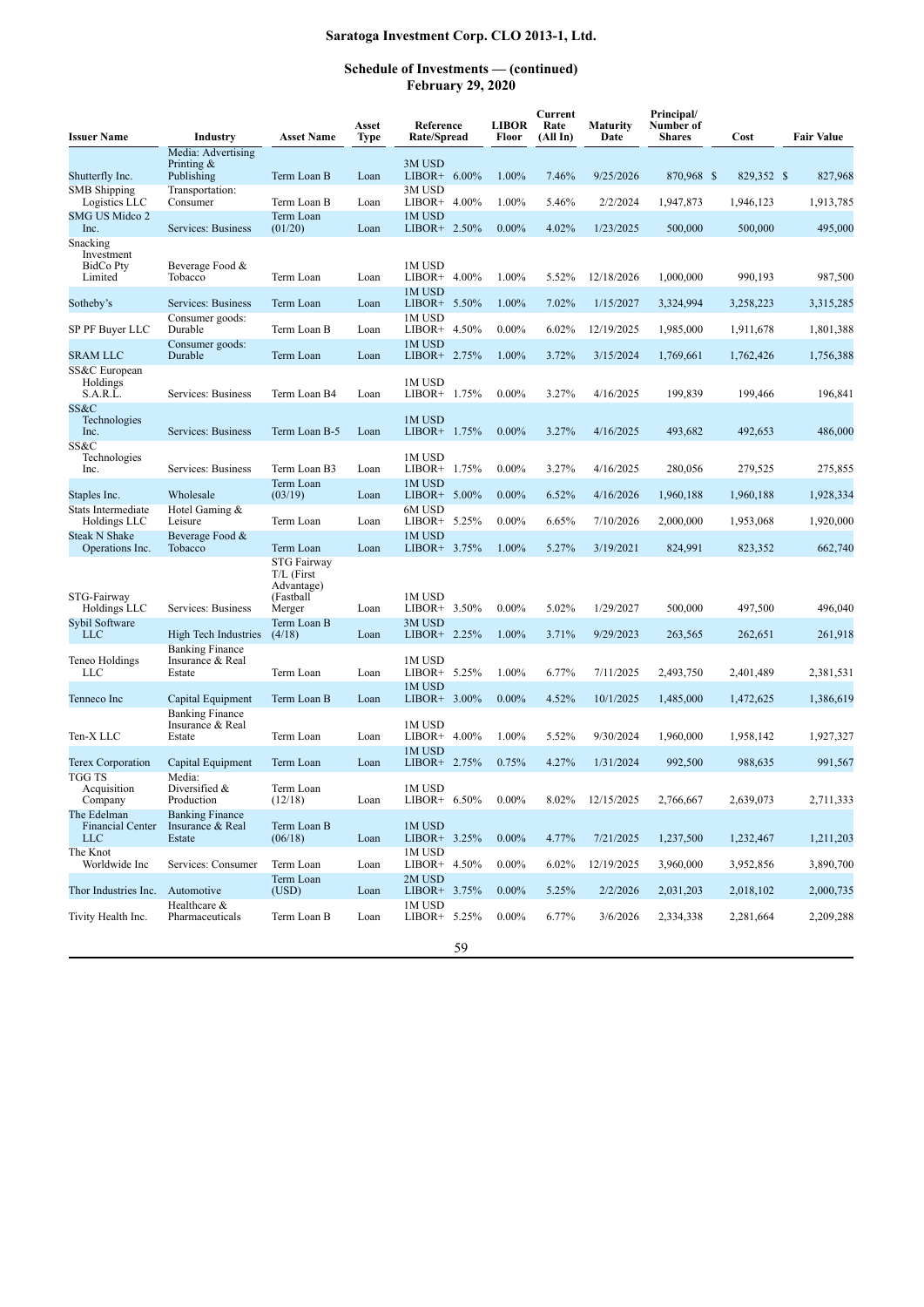| <b>Issuer Name</b>                                   | Industry                                             | <b>Asset Name</b>                                                 | Asset<br>Type | Reference<br>Rate/Spread  | <b>LIBOR</b><br>Floor | Current<br>Rate<br>(All In) | <b>Maturity</b><br>Date | Principal/<br>Number of<br><b>Shares</b> | Cost       | <b>Fair Value</b> |
|------------------------------------------------------|------------------------------------------------------|-------------------------------------------------------------------|---------------|---------------------------|-----------------------|-----------------------------|-------------------------|------------------------------------------|------------|-------------------|
| Shutterfly Inc.                                      | Media: Advertising<br>Printing $&$<br>Publishing     | Term Loan B                                                       | Loan          | 3M USD<br>LIBOR+ $6.00\%$ | 1.00%                 | 7.46%                       | 9/25/2026               | 870,968 \$                               | 829,352 \$ | 827,968           |
| <b>SMB</b> Shipping<br>Logistics LLC                 | Transportation:<br>Consumer                          | Term Loan B                                                       | Loan          | 3M USD<br>LIBOR+ 4.00%    | 1.00%                 | 5.46%                       | 2/2/2024                | 1,947,873                                | 1,946,123  | 1,913,785         |
| SMG US Midco 2<br>Inc.                               | Services: Business                                   | Term Loan<br>(01/20)                                              | Loan          | 1M USD<br>LIBOR+ 2.50%    | $0.00\%$              | 4.02%                       | 1/23/2025               | 500,000                                  | 500,000    | 495,000           |
| Snacking<br>Investment<br>BidCo Pty<br>Limited       | Beverage Food &<br>Tobacco                           | Term Loan                                                         | Loan          | 1M USD<br>LIBOR+ 4.00%    | 1.00%                 | 5.52%                       | 12/18/2026              | 1.000.000                                | 990,193    | 987,500           |
| Sotheby's                                            | Services: Business                                   | Term Loan                                                         | Loan          | 1M USD<br>LIBOR+ $5.50\%$ | 1.00%                 | 7.02%                       | 1/15/2027               | 3,324,994                                | 3,258,223  | 3,315,285         |
| SP PF Buyer LLC                                      | Consumer goods:<br>Durable                           | Term Loan B                                                       | Loan          | 1M USD<br>LIBOR+ 4.50%    | $0.00\%$              | 6.02%                       | 12/19/2025              | 1,985,000                                | 1,911,678  | 1,801,388         |
| <b>SRAM LLC</b>                                      | Consumer goods:<br>Durable                           | Term Loan                                                         | Loan          | 1M USD<br>LIBOR+ 2.75%    | 1.00%                 | 3.72%                       | 3/15/2024               | 1,769,661                                | 1,762,426  | 1,756,388         |
| SS&C European<br>Holdings<br>S.A.R.L.                | Services: Business                                   | Term Loan B4                                                      | Loan          | 1M USD<br>LIBOR+ 1.75%    | $0.00\%$              | 3.27%                       | 4/16/2025               | 199,839                                  | 199,466    | 196,841           |
| SS&C<br>Technologies<br>Inc.                         | Services: Business                                   | Term Loan B-5                                                     | Loan          | 1M USD<br>LIBOR+ 1.75%    | $0.00\%$              | 3.27%                       | 4/16/2025               | 493.682                                  | 492,653    | 486,000           |
| SS&C<br>Technologies<br>Inc.                         | Services: Business                                   | Term Loan B3                                                      | Loan          | 1M USD<br>LIBOR+ 1.75%    | $0.00\%$              | 3.27%                       | 4/16/2025               | 280,056                                  | 279,525    | 275,855           |
| Staples Inc.                                         | Wholesale                                            | Term Loan<br>(03/19)                                              | Loan          | 1M USD<br>LIBOR+ $5.00\%$ | $0.00\%$              | 6.52%                       | 4/16/2026               | 1,960,188                                | 1,960,188  | 1,928,334         |
| Stats Intermediate<br>Holdings LLC                   | Hotel Gaming &<br>Leisure                            | Term Loan                                                         | Loan          | 6M USD<br>LIBOR+ $5.25\%$ | $0.00\%$              | 6.65%                       | 7/10/2026               | 2,000,000                                | 1,953,068  | 1,920,000         |
| <b>Steak N Shake</b><br>Operations Inc.              | Beverage Food &<br>Tobacco                           | Term Loan                                                         | Loan          | 1M USD<br>LIBOR+ 3.75%    | 1.00%                 | 5.27%                       | 3/19/2021               | 824,991                                  | 823,352    | 662,740           |
| STG-Fairway<br>Holdings LLC                          | Services: Business                                   | STG Fairway<br>$T/L$ (First<br>Advantage)<br>(Fastball)<br>Merger | Loan          | 1M USD<br>LIBOR+ 3.50%    | $0.00\%$              | 5.02%                       | 1/29/2027               | 500,000                                  | 497,500    | 496,040           |
| Sybil Software<br>LLC                                | High Tech Industries                                 | Term Loan B<br>(4/18)                                             | Loan          | 3M USD<br>LIBOR+ 2.25%    | 1.00%                 | 3.71%                       | 9/29/2023               | 263,565                                  | 262,651    | 261,918           |
| Teneo Holdings<br><b>LLC</b>                         | <b>Banking Finance</b><br>Insurance & Real<br>Estate | Term Loan                                                         | Loan          | 1M USD<br>LIBOR+ 5.25%    | 1.00%                 | 6.77%                       | 7/11/2025               | 2,493,750                                | 2,401,489  | 2,381,531         |
| Tenneco Inc                                          | Capital Equipment                                    | Term Loan B                                                       | Loan          | 1M USD<br>LIBOR+ $3.00\%$ | $0.00\%$              | 4.52%                       | 10/1/2025               | 1,485,000                                | 1,472,625  | 1,386,619         |
| Ten-X LLC                                            | <b>Banking Finance</b><br>Insurance & Real<br>Estate | Term Loan                                                         | Loan          | 1M USD<br>$LIBOR+ 4.00\%$ | 1.00%                 | 5.52%                       | 9/30/2024               | 1,960,000                                | 1,958,142  | 1,927,327         |
| Terex Corporation                                    | Capital Equipment                                    | Term Loan                                                         | Loan          | 1M USD<br>LIBOR+ 2.75%    | 0.75%                 | 4.27%                       | 1/31/2024               | 992,500                                  | 988,635    | 991,567           |
| <b>TGG TS</b><br>Acquisition<br>Company              | Media:<br>Diversified $&$<br>Production              | Term Loan<br>(12/18)                                              | Loan          | 1M USD<br>LIBOR+ 6.50%    | $0.00\%$              | 8.02%                       | 12/15/2025              | 2,766,667                                | 2,639,073  | 2,711,333         |
| The Edelman<br><b>Financial Center</b><br><b>LLC</b> | <b>Banking Finance</b><br>Insurance & Real<br>Estate | Term Loan B<br>(06/18)                                            | Loan          | 1M USD<br>LIBOR+ 3.25%    | $0.00\%$              | 4.77%                       | 7/21/2025               | 1,237,500                                | 1,232,467  | 1,211,203         |
| The Knot<br>Worldwide Inc                            | Services: Consumer                                   | Term Loan                                                         | Loan          | 1M USD<br>LIBOR+ 4.50%    | $0.00\%$              | 6.02%                       | 12/19/2025              | 3,960,000                                | 3,952,856  | 3,890,700         |
| Thor Industries Inc.                                 | Automotive                                           | Term Loan<br>(USD)                                                | Loan          | 2M USD<br>LIBOR+ 3.75%    | $0.00\%$              | 5.25%                       | 2/2/2026                | 2,031,203                                | 2,018,102  | 2,000,735         |
| Tivity Health Inc.                                   | Healthcare &<br>Pharmaceuticals                      | Term Loan B                                                       | Loan          | 1M USD<br>LIBOR+ $5.25\%$ | $0.00\%$              | 6.77%                       | 3/6/2026                | 2,334,338                                | 2,281,664  | 2,209,288         |
|                                                      |                                                      |                                                                   |               | 59                        |                       |                             |                         |                                          |            |                   |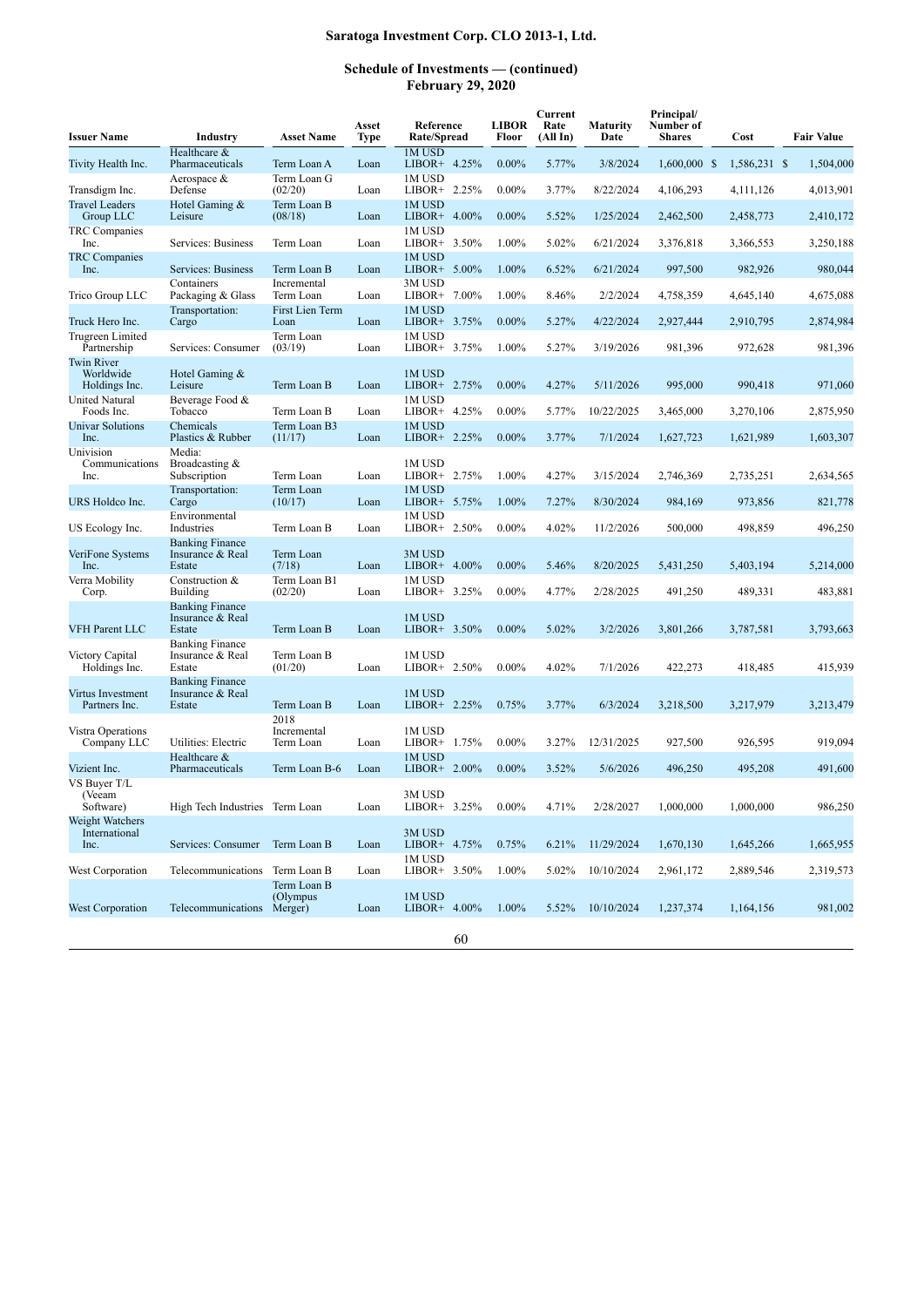| <b>Issuer Name</b>                       | Industry                                             | <b>Asset Name</b>                  | Asset<br>Type | Reference<br>Rate/Spread  | <b>LIBOR</b><br>Floor | Current<br>Rate<br>(All In) | <b>Maturity</b><br>Date | Principal/<br>Number of<br><b>Shares</b> | Cost         | <b>Fair Value</b> |
|------------------------------------------|------------------------------------------------------|------------------------------------|---------------|---------------------------|-----------------------|-----------------------------|-------------------------|------------------------------------------|--------------|-------------------|
| Tivity Health Inc.                       | Healthcare &<br>Pharmaceuticals                      | Term Loan A                        | Loan          | 1M USD<br>LIBOR+ 4.25%    | $0.00\%$              | 5.77%                       | 3/8/2024                | $1,600,000$ \$                           | 1,586,231 \$ | 1,504,000         |
| Transdigm Inc.                           | Aerospace $&$<br>Defense                             | Term Loan G<br>(02/20)             | Loan          | 1M USD<br>LIBOR+ 2.25%    | $0.00\%$              | 3.77%                       | 8/22/2024               | 4,106,293                                | 4,111,126    | 4,013,901         |
| <b>Travel Leaders</b><br>Group LLC       | Hotel Gaming &<br>Leisure                            | Term Loan B<br>(08/18)             | Loan          | 1M USD<br>$LIBOR+ 4.00\%$ | $0.00\%$              | 5.52%                       | 1/25/2024               | 2,462,500                                | 2,458,773    | 2,410,172         |
| TRC Companies<br>Inc.                    | Services: Business                                   | Term Loan                          | Loan          | 1M USD<br>LIBOR+ $3.50\%$ | 1.00%                 | 5.02%                       | 6/21/2024               | 3,376,818                                | 3,366,553    | 3,250,188         |
| <b>TRC</b> Companies<br>Inc.             | Services: Business                                   | Term Loan B                        | Loan          | 1M USD<br>LIBOR+ 5.00%    | 1.00%                 | 6.52%                       | 6/21/2024               | 997,500                                  | 982,926      | 980,044           |
| Trico Group LLC                          | Containers<br>Packaging & Glass                      | Incremental<br>Term Loan           | Loan          | 3M USD<br>LIBOR+<br>7.00% | 1.00%                 | 8.46%                       | 2/2/2024                | 4,758,359                                | 4,645,140    | 4,675,088         |
| Truck Hero Inc.                          | Transportation:<br>Cargo                             | First Lien Term<br>Loan            | Loan          | 1M USD<br>LIBOR+ 3.75%    | $0.00\%$              | 5.27%                       | 4/22/2024               | 2,927,444                                | 2,910,795    | 2,874,984         |
| Trugreen Limited<br>Partnership          | Services: Consumer                                   | Term Loan<br>(03/19)               | Loan          | 1M USD<br>LIBOR+ 3.75%    | 1.00%                 | 5.27%                       | 3/19/2026               | 981,396                                  | 972,628      | 981,396           |
| Twin River<br>Worldwide<br>Holdings Inc. | Hotel Gaming &<br>Leisure                            | Term Loan B                        | Loan          | 1M USD<br>LIBOR+ 2.75%    | $0.00\%$              | 4.27%                       | 5/11/2026               | 995,000                                  | 990,418      | 971,060           |
| United Natural<br>Foods Inc.             | Beverage Food &<br>Tobacco                           | Term Loan B                        | Loan          | 1M USD<br>LIBOR+ 4.25%    | $0.00\%$              | 5.77%                       | 10/22/2025              | 3,465,000                                | 3,270,106    | 2,875,950         |
| <b>Univar Solutions</b><br>Inc.          | Chemicals<br>Plastics & Rubber                       | Term Loan B3<br>(11/17)            | Loan          | 1M USD<br>LIBOR+ 2.25%    | $0.00\%$              | 3.77%                       | 7/1/2024                | 1,627,723                                | 1,621,989    | 1,603,307         |
| Univision<br>Communications<br>Inc.      | Media:<br>Broadcasting &<br>Subscription             | Term Loan                          | Loan          | 1M USD<br>$LIBOR+ 2.75%$  | 1.00%                 | 4.27%                       | 3/15/2024               | 2,746,369                                | 2,735,251    | 2,634,565         |
| URS Holdco Inc.                          | Transportation:<br>Cargo                             | Term Loan<br>(10/17)               | Loan          | 1M USD<br>LIBOR+ 5.75%    | 1.00%                 | 7.27%                       | 8/30/2024               | 984,169                                  | 973,856      | 821,778           |
| US Ecology Inc.                          | Environmental<br>Industries                          | Term Loan B                        | Loan          | 1M USD<br>LIBOR+ 2.50%    | $0.00\%$              | 4.02%                       | 11/2/2026               | 500,000                                  | 498,859      | 496,250           |
| VeriFone Systems<br>Inc.                 | <b>Banking Finance</b><br>Insurance & Real<br>Estate | Term Loan<br>(7/18)                | Loan          | 3M USD<br>LIBOR+ 4.00%    | $0.00\%$              | 5.46%                       | 8/20/2025               | 5,431,250                                | 5,403,194    | 5,214,000         |
| Verra Mobility<br>Corp.                  | Construction &<br><b>Building</b>                    | Term Loan B1<br>(02/20)            | Loan          | 1M USD<br>$LIBOR+ 3.25%$  | $0.00\%$              | 4.77%                       | 2/28/2025               | 491,250                                  | 489,331      | 483,881           |
| <b>VFH Parent LLC</b>                    | <b>Banking Finance</b><br>Insurance & Real<br>Estate | Term Loan B                        | Loan          | 1M USD<br>$LIBOR+ 3.50\%$ | $0.00\%$              | 5.02%                       | 3/2/2026                | 3,801,266                                | 3,787,581    | 3,793,663         |
| Victory Capital<br>Holdings Inc.         | <b>Banking Finance</b><br>Insurance & Real<br>Estate | Term Loan B<br>(01/20)             | Loan          | 1M USD<br>$LIBOR+ 2.50\%$ | $0.00\%$              | 4.02%                       | 7/1/2026                | 422,273                                  | 418,485      | 415,939           |
| Virtus Investment<br>Partners Inc.       | <b>Banking Finance</b><br>Insurance & Real<br>Estate | Term Loan B                        | Loan          | 1M USD<br>$LIBOR+ 2.25%$  | 0.75%                 | 3.77%                       | 6/3/2024                | 3,218,500                                | 3,217,979    | 3,213,479         |
| Vistra Operations<br>Company LLC         | Utilities: Electric                                  | 2018<br>Incremental<br>Term Loan   | Loan          | 1M USD<br>LIBOR+ 1.75%    | $0.00\%$              | 3.27%                       | 12/31/2025              | 927,500                                  | 926,595      | 919,094           |
| Vizient Inc.                             | Healthcare &<br>Pharmaceuticals                      | Term Loan B-6                      | Loan          | 1M USD<br>$LIBOR+ 2.00\%$ | $0.00\%$              | 3.52%                       | 5/6/2026                | 496,250                                  | 495,208      | 491,600           |
| VS Buver T/L<br>(Veeam<br>Software)      | High Tech Industries Term Loan                       |                                    | Loan          | 3M USD<br>LIBOR+ 3.25%    | $0.00\%$              | 4.71%                       | 2/28/2027               | 1,000,000                                | 1,000,000    | 986,250           |
| Weight Watchers<br>International<br>Inc. | Services: Consumer Term Loan B                       |                                    | Loan          | 3M USD<br>LIBOR+ 4.75%    | 0.75%                 | 6.21%                       | 11/29/2024              | 1,670,130                                | 1,645,266    | 1,665,955         |
| West Corporation                         | Telecommunications                                   | Term Loan B                        | Loan          | 1M USD<br>$LIBOR+ 3.50\%$ | 1.00%                 | 5.02%                       | 10/10/2024              | 2,961,172                                | 2,889,546    | 2,319,573         |
| West Corporation                         | Telecommunications                                   | Term Loan B<br>(Olympus<br>Merger) | Loan          | 1M USD<br>$LIBOR+ 4.00\%$ | 1.00%                 | 5.52%                       | 10/10/2024              | 1,237,374                                | 1,164,156    | 981,002           |
|                                          |                                                      |                                    |               | 60                        |                       |                             |                         |                                          |              |                   |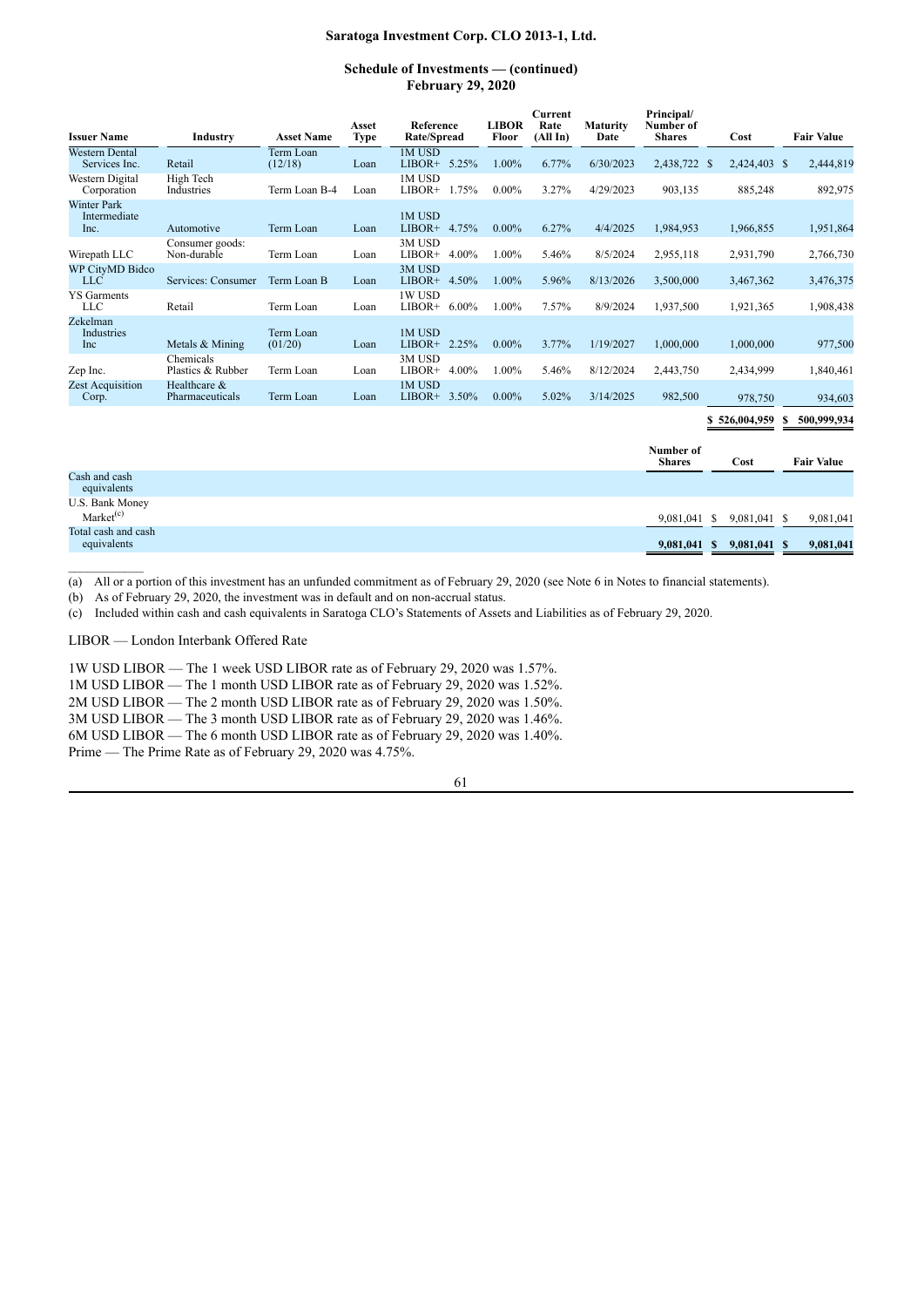### **Schedule of Investments — (continued) February 29, 2020**

| <b>Issuer Name</b>                              | Industry                        | <b>Asset Name</b>    | Asset<br><b>Type</b> | Reference<br><b>Rate/Spread</b> | <b>LIBOR</b><br>Floor | Current<br>Rate<br>(All In) | <b>Maturity</b><br>Date | Principal/<br>Number of<br><b>Shares</b> | Cost              | <b>Fair Value</b> |
|-------------------------------------------------|---------------------------------|----------------------|----------------------|---------------------------------|-----------------------|-----------------------------|-------------------------|------------------------------------------|-------------------|-------------------|
| <b>Western Dental</b><br>Services Inc.          | Retail                          | Term Loan<br>(12/18) | Loan                 | 1M USD<br>$LIBOR+ 5.25%$        | 1.00%                 | 6.77%                       | 6/30/2023               | 2,438,722 \$                             | 2,424,403 \$      | 2,444,819         |
| Western Digital<br>Corporation                  | High Tech<br>Industries         | Term Loan B-4        | Loan                 | 1M USD<br>$LIBOR+$              | 1.75%<br>$0.00\%$     | 3.27%                       | 4/29/2023               | 903,135                                  | 885,248           | 892,975           |
| <b>Winter Park</b><br>Intermediate<br>Inc.      | Automotive                      | Term Loan            | Loan                 | 1M USD<br>LIBOR+ 4.75%          | $0.00\%$              | 6.27%                       | 4/4/2025                | 1,984,953                                | 1,966,855         | 1,951,864         |
| Wirepath LLC                                    | Consumer goods:<br>Non-durable  | Term Loan            | Loan                 | 3M USD<br>$LIBOR+ 4.00\%$       | 1.00%                 | 5.46%                       | 8/5/2024                | 2,955,118                                | 2,931,790         | 2,766,730         |
| <b>WP CityMD Bidco</b><br><b>LLC</b>            | Services: Consumer              | Term Loan B          | Loan                 | 3M USD<br>$LIBOR+ 4.50\%$       | 1.00%                 | 5.96%                       | 8/13/2026               | 3,500,000                                | 3,467,362         | 3,476,375         |
| <b>YS</b> Garments<br><b>LLC</b>                | Retail                          | Term Loan            | Loan                 | 1W USD<br>LIBOR+ $6.00\%$       | 1.00%                 | 7.57%                       | 8/9/2024                | 1,937,500                                | 1,921,365         | 1,908,438         |
| Zekelman<br>Industries<br>Inc                   | Metals & Mining                 | Term Loan<br>(01/20) | Loan                 | 1M USD<br>$LIBOR+ 2.25%$        | $0.00\%$              | 3.77%                       | 1/19/2027               | 1,000,000                                | 1,000,000         | 977,500           |
| Zep Inc.                                        | Chemicals<br>Plastics & Rubber  | Term Loan            | Loan                 | 3M USD<br>$LIBOR+ 4.00\%$       | 1.00%                 | 5.46%                       | 8/12/2024               | 2,443,750                                | 2,434,999         | 1,840,461         |
| <b>Zest Acquisition</b><br>Corp.                | Healthcare &<br>Pharmaceuticals | Term Loan            | Loan                 | 1M USD<br>$LIBOR+ 3.50\%$       | $0.00\%$              | 5.02%                       | 3/14/2025               | 982,500                                  | 978,750           | 934,603           |
|                                                 |                                 |                      |                      |                                 |                       |                             |                         |                                          | \$526,004,959     | 500,999,934<br>S  |
|                                                 |                                 |                      |                      |                                 |                       |                             |                         | Number of<br><b>Shares</b>               | Cost              | <b>Fair Value</b> |
| Cash and cash<br>equivalents                    |                                 |                      |                      |                                 |                       |                             |                         |                                          |                   |                   |
| <b>U.S. Bank Money</b><br>Market <sup>(c)</sup> |                                 |                      |                      |                                 |                       |                             |                         | 9,081,041                                | 9,081,041 \$<br>S | 9,081,041         |

equivalents **9,081,041 \$ 9,081,041 \$ 9,081,041**

Total cash and cash

(a) All or a portion of this investment has an unfunded commitment as of February 29, 2020 (see Note 6 in Notes to financial statements).

(b) As of February 29, 2020, the investment was in default and on non-accrual status.

(c) Included within cash and cash equivalents in Saratoga CLO's Statements of Assets and Liabilities as of February 29, 2020.

LIBOR — London Interbank Offered Rate

1W USD LIBOR — The 1 week USD LIBOR rate as of February 29, 2020 was 1.57%.

1M USD LIBOR — The 1 month USD LIBOR rate as of February 29, 2020 was 1.52%.

2M USD LIBOR — The 2 month USD LIBOR rate as of February 29, 2020 was 1.50%.

3M USD LIBOR — The 3 month USD LIBOR rate as of February 29, 2020 was 1.46%.

6M USD LIBOR — The 6 month USD LIBOR rate as of February 29, 2020 was 1.40%.

Prime — The Prime Rate as of February 29, 2020 was 4.75%.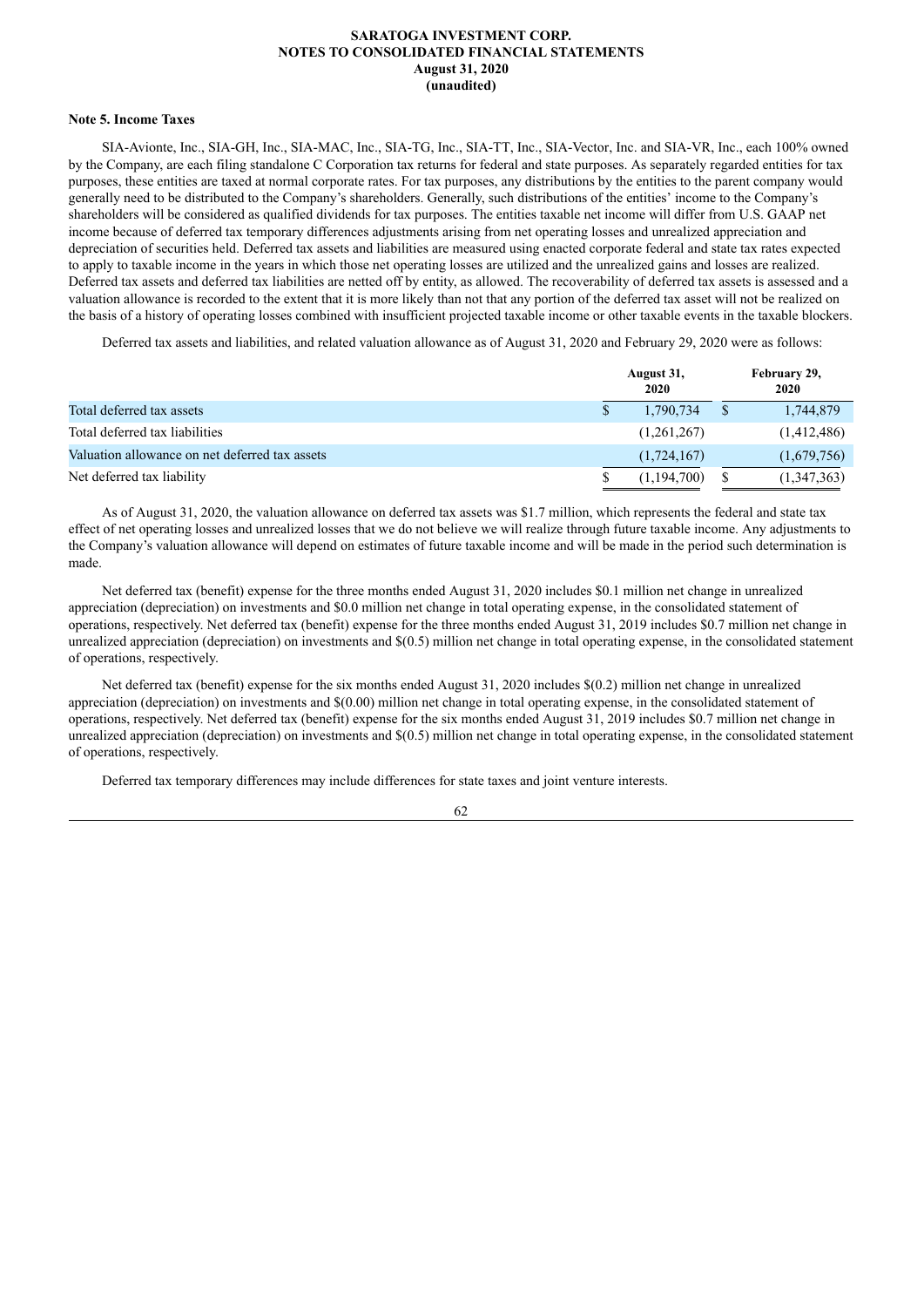#### **Note 5. Income Taxes**

SIA-Avionte, Inc., SIA-GH, Inc., SIA-MAC, Inc., SIA-TG, Inc., SIA-TT, Inc., SIA-Vector, Inc. and SIA-VR, Inc., each 100% owned by the Company, are each filing standalone C Corporation tax returns for federal and state purposes. As separately regarded entities for tax purposes, these entities are taxed at normal corporate rates. For tax purposes, any distributions by the entities to the parent company would generally need to be distributed to the Company's shareholders. Generally, such distributions of the entities' income to the Company's shareholders will be considered as qualified dividends for tax purposes. The entities taxable net income will differ from U.S. GAAP net income because of deferred tax temporary differences adjustments arising from net operating losses and unrealized appreciation and depreciation of securities held. Deferred tax assets and liabilities are measured using enacted corporate federal and state tax rates expected to apply to taxable income in the years in which those net operating losses are utilized and the unrealized gains and losses are realized. Deferred tax assets and deferred tax liabilities are netted off by entity, as allowed. The recoverability of deferred tax assets is assessed and a valuation allowance is recorded to the extent that it is more likely than not that any portion of the deferred tax asset will not be realized on the basis of a history of operating losses combined with insufficient projected taxable income or other taxable events in the taxable blockers.

Deferred tax assets and liabilities, and related valuation allowance as of August 31, 2020 and February 29, 2020 were as follows:

|                                                | August 31,<br>2020 | February 29,<br>2020 |
|------------------------------------------------|--------------------|----------------------|
| Total deferred tax assets                      | 1,790,734          | 1,744,879            |
| Total deferred tax liabilities                 | (1,261,267)        | (1,412,486)          |
| Valuation allowance on net deferred tax assets | (1,724,167)        | (1,679,756)          |
| Net deferred tax liability                     | (1, 194, 700)      | (1,347,363)          |

As of August 31, 2020, the valuation allowance on deferred tax assets was \$1.7 million, which represents the federal and state tax effect of net operating losses and unrealized losses that we do not believe we will realize through future taxable income. Any adjustments to the Company's valuation allowance will depend on estimates of future taxable income and will be made in the period such determination is made.

Net deferred tax (benefit) expense for the three months ended August 31, 2020 includes \$0.1 million net change in unrealized appreciation (depreciation) on investments and \$0.0 million net change in total operating expense, in the consolidated statement of operations, respectively. Net deferred tax (benefit) expense for the three months ended August 31, 2019 includes \$0.7 million net change in unrealized appreciation (depreciation) on investments and \$(0.5) million net change in total operating expense, in the consolidated statement of operations, respectively.

Net deferred tax (benefit) expense for the six months ended August 31, 2020 includes \$(0.2) million net change in unrealized appreciation (depreciation) on investments and \$(0.00) million net change in total operating expense, in the consolidated statement of operations, respectively. Net deferred tax (benefit) expense for the six months ended August 31, 2019 includes \$0.7 million net change in unrealized appreciation (depreciation) on investments and \$(0.5) million net change in total operating expense, in the consolidated statement of operations, respectively.

Deferred tax temporary differences may include differences for state taxes and joint venture interests.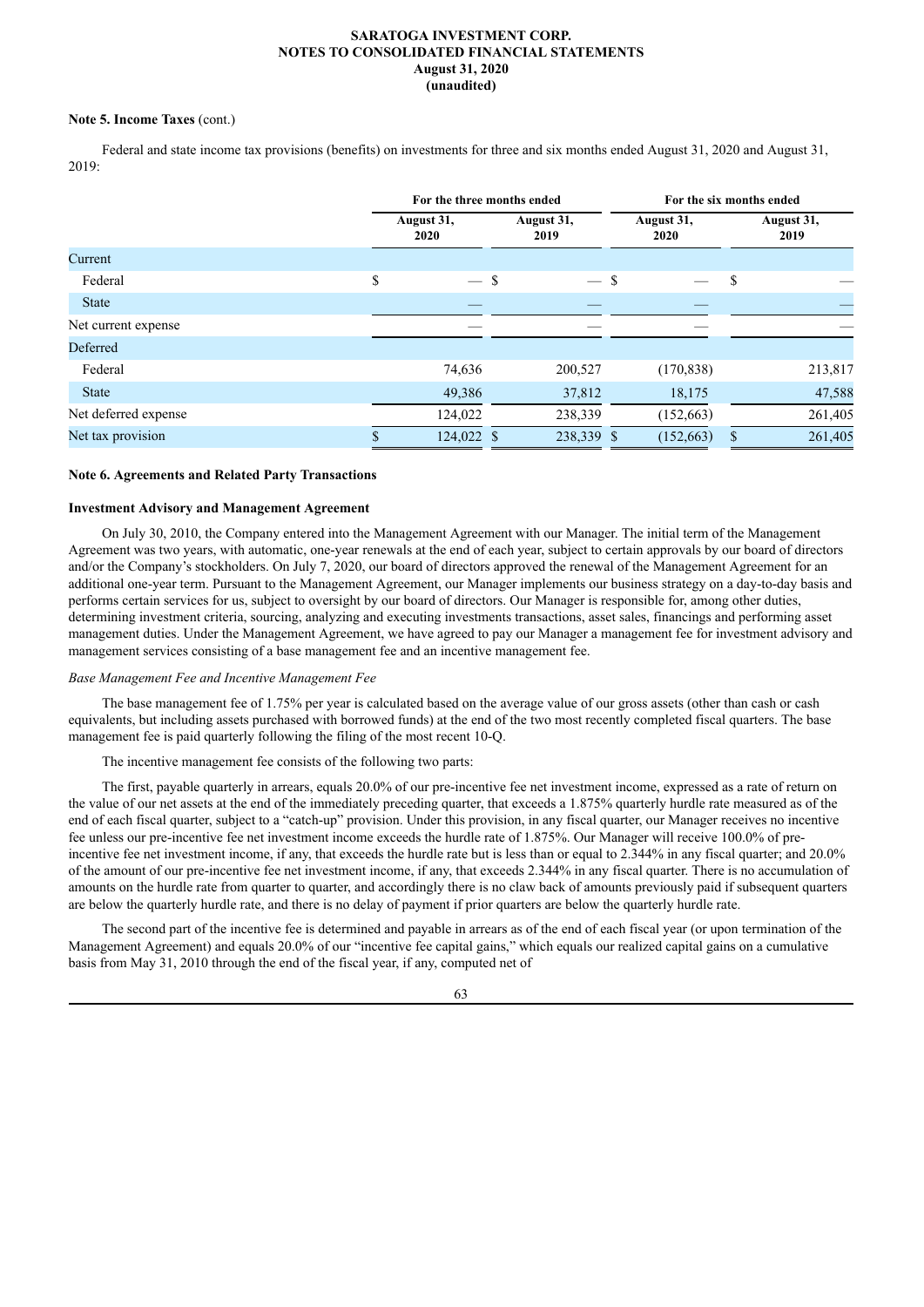### **Note 5. Income Taxes** (cont.)

Federal and state income tax provisions (benefits) on investments for three and six months ended August 31, 2020 and August 31, 2019:

|                      |                    | For the three months ended | For the six months ended |                    |  |  |
|----------------------|--------------------|----------------------------|--------------------------|--------------------|--|--|
|                      | August 31,<br>2020 | August 31,<br>2019         | August 31,<br>2020       | August 31,<br>2019 |  |  |
| Current              |                    |                            |                          |                    |  |  |
| Federal              | $-$ \$<br>\$       | $-$ \$                     |                          | S                  |  |  |
| <b>State</b>         |                    |                            |                          |                    |  |  |
| Net current expense  |                    |                            |                          |                    |  |  |
| Deferred             |                    |                            |                          |                    |  |  |
| Federal              | 74,636             | 200,527                    | (170, 838)               | 213,817            |  |  |
| <b>State</b>         | 49,386             | 37,812                     | 18,175                   | 47,588             |  |  |
| Net deferred expense | 124,022            | 238,339                    | (152, 663)               | 261,405            |  |  |
| Net tax provision    | 124,022 \$         | 238,339 \$                 | (152, 663)               | 261,405<br>\$      |  |  |

### **Note 6. Agreements and Related Party Transactions**

#### **Investment Advisory and Management Agreement**

On July 30, 2010, the Company entered into the Management Agreement with our Manager. The initial term of the Management Agreement was two years, with automatic, one-year renewals at the end of each year, subject to certain approvals by our board of directors and/or the Company's stockholders. On July 7, 2020, our board of directors approved the renewal of the Management Agreement for an additional one-year term. Pursuant to the Management Agreement, our Manager implements our business strategy on a day-to-day basis and performs certain services for us, subject to oversight by our board of directors. Our Manager is responsible for, among other duties, determining investment criteria, sourcing, analyzing and executing investments transactions, asset sales, financings and performing asset management duties. Under the Management Agreement, we have agreed to pay our Manager a management fee for investment advisory and management services consisting of a base management fee and an incentive management fee.

#### *Base Management Fee and Incentive Management Fee*

The base management fee of 1.75% per year is calculated based on the average value of our gross assets (other than cash or cash equivalents, but including assets purchased with borrowed funds) at the end of the two most recently completed fiscal quarters. The base management fee is paid quarterly following the filing of the most recent 10-Q.

The incentive management fee consists of the following two parts:

The first, payable quarterly in arrears, equals 20.0% of our pre-incentive fee net investment income, expressed as a rate of return on the value of our net assets at the end of the immediately preceding quarter, that exceeds a 1.875% quarterly hurdle rate measured as of the end of each fiscal quarter, subject to a "catch-up" provision. Under this provision, in any fiscal quarter, our Manager receives no incentive fee unless our pre-incentive fee net investment income exceeds the hurdle rate of 1.875%. Our Manager will receive 100.0% of preincentive fee net investment income, if any, that exceeds the hurdle rate but is less than or equal to 2.344% in any fiscal quarter; and 20.0% of the amount of our pre-incentive fee net investment income, if any, that exceeds 2.344% in any fiscal quarter. There is no accumulation of amounts on the hurdle rate from quarter to quarter, and accordingly there is no claw back of amounts previously paid if subsequent quarters are below the quarterly hurdle rate, and there is no delay of payment if prior quarters are below the quarterly hurdle rate.

The second part of the incentive fee is determined and payable in arrears as of the end of each fiscal year (or upon termination of the Management Agreement) and equals 20.0% of our "incentive fee capital gains," which equals our realized capital gains on a cumulative basis from May 31, 2010 through the end of the fiscal year, if any, computed net of

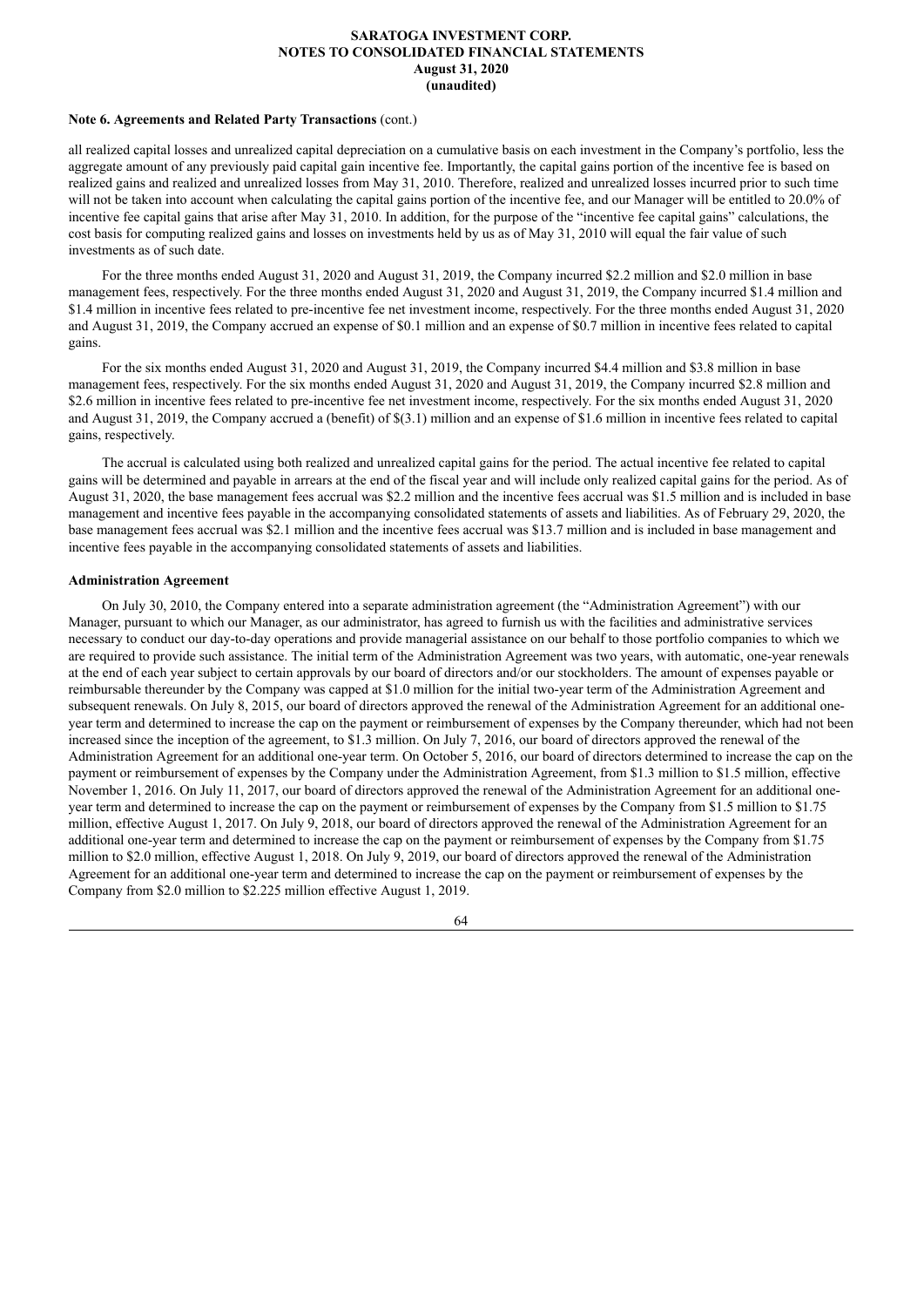#### **Note 6. Agreements and Related Party Transactions** (cont.)

all realized capital losses and unrealized capital depreciation on a cumulative basis on each investment in the Company's portfolio, less the aggregate amount of any previously paid capital gain incentive fee. Importantly, the capital gains portion of the incentive fee is based on realized gains and realized and unrealized losses from May 31, 2010. Therefore, realized and unrealized losses incurred prior to such time will not be taken into account when calculating the capital gains portion of the incentive fee, and our Manager will be entitled to 20.0% of incentive fee capital gains that arise after May 31, 2010. In addition, for the purpose of the "incentive fee capital gains" calculations, the cost basis for computing realized gains and losses on investments held by us as of May 31, 2010 will equal the fair value of such investments as of such date.

For the three months ended August 31, 2020 and August 31, 2019, the Company incurred \$2.2 million and \$2.0 million in base management fees, respectively. For the three months ended August 31, 2020 and August 31, 2019, the Company incurred \$1.4 million and \$1.4 million in incentive fees related to pre-incentive fee net investment income, respectively. For the three months ended August 31, 2020 and August 31, 2019, the Company accrued an expense of \$0.1 million and an expense of \$0.7 million in incentive fees related to capital gains.

For the six months ended August 31, 2020 and August 31, 2019, the Company incurred \$4.4 million and \$3.8 million in base management fees, respectively. For the six months ended August 31, 2020 and August 31, 2019, the Company incurred \$2.8 million and \$2.6 million in incentive fees related to pre-incentive fee net investment income, respectively. For the six months ended August 31, 2020 and August 31, 2019, the Company accrued a (benefit) of \$(3.1) million and an expense of \$1.6 million in incentive fees related to capital gains, respectively.

The accrual is calculated using both realized and unrealized capital gains for the period. The actual incentive fee related to capital gains will be determined and payable in arrears at the end of the fiscal year and will include only realized capital gains for the period. As of August 31, 2020, the base management fees accrual was \$2.2 million and the incentive fees accrual was \$1.5 million and is included in base management and incentive fees payable in the accompanying consolidated statements of assets and liabilities. As of February 29, 2020, the base management fees accrual was \$2.1 million and the incentive fees accrual was \$13.7 million and is included in base management and incentive fees payable in the accompanying consolidated statements of assets and liabilities.

#### **Administration Agreement**

On July 30, 2010, the Company entered into a separate administration agreement (the "Administration Agreement") with our Manager, pursuant to which our Manager, as our administrator, has agreed to furnish us with the facilities and administrative services necessary to conduct our day-to-day operations and provide managerial assistance on our behalf to those portfolio companies to which we are required to provide such assistance. The initial term of the Administration Agreement was two years, with automatic, one-year renewals at the end of each year subject to certain approvals by our board of directors and/or our stockholders. The amount of expenses payable or reimbursable thereunder by the Company was capped at \$1.0 million for the initial two-year term of the Administration Agreement and subsequent renewals. On July 8, 2015, our board of directors approved the renewal of the Administration Agreement for an additional oneyear term and determined to increase the cap on the payment or reimbursement of expenses by the Company thereunder, which had not been increased since the inception of the agreement, to \$1.3 million. On July 7, 2016, our board of directors approved the renewal of the Administration Agreement for an additional one-year term. On October 5, 2016, our board of directors determined to increase the cap on the payment or reimbursement of expenses by the Company under the Administration Agreement, from \$1.3 million to \$1.5 million, effective November 1, 2016. On July 11, 2017, our board of directors approved the renewal of the Administration Agreement for an additional oneyear term and determined to increase the cap on the payment or reimbursement of expenses by the Company from \$1.5 million to \$1.75 million, effective August 1, 2017. On July 9, 2018, our board of directors approved the renewal of the Administration Agreement for an additional one-year term and determined to increase the cap on the payment or reimbursement of expenses by the Company from \$1.75 million to \$2.0 million, effective August 1, 2018. On July 9, 2019, our board of directors approved the renewal of the Administration Agreement for an additional one-year term and determined to increase the cap on the payment or reimbursement of expenses by the Company from \$2.0 million to \$2.225 million effective August 1, 2019.

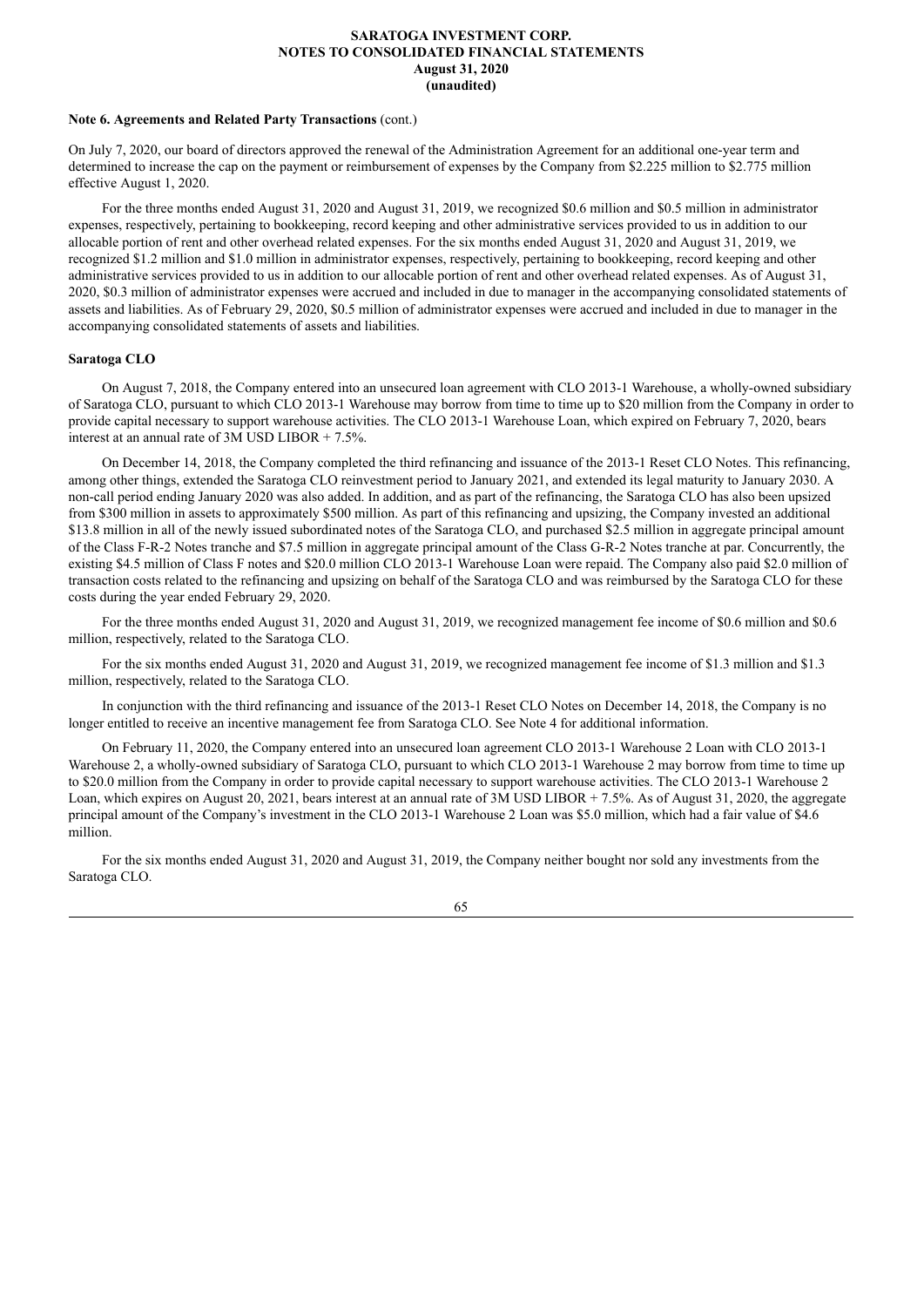#### **Note 6. Agreements and Related Party Transactions** (cont.)

On July 7, 2020, our board of directors approved the renewal of the Administration Agreement for an additional one-year term and determined to increase the cap on the payment or reimbursement of expenses by the Company from \$2.225 million to \$2.775 million effective August 1, 2020.

For the three months ended August 31, 2020 and August 31, 2019, we recognized \$0.6 million and \$0.5 million in administrator expenses, respectively, pertaining to bookkeeping, record keeping and other administrative services provided to us in addition to our allocable portion of rent and other overhead related expenses. For the six months ended August 31, 2020 and August 31, 2019, we recognized \$1.2 million and \$1.0 million in administrator expenses, respectively, pertaining to bookkeeping, record keeping and other administrative services provided to us in addition to our allocable portion of rent and other overhead related expenses. As of August 31, 2020, \$0.3 million of administrator expenses were accrued and included in due to manager in the accompanying consolidated statements of assets and liabilities. As of February 29, 2020, \$0.5 million of administrator expenses were accrued and included in due to manager in the accompanying consolidated statements of assets and liabilities.

### **Saratoga CLO**

On August 7, 2018, the Company entered into an unsecured loan agreement with CLO 2013-1 Warehouse, a wholly-owned subsidiary of Saratoga CLO, pursuant to which CLO 2013-1 Warehouse may borrow from time to time up to \$20 million from the Company in order to provide capital necessary to support warehouse activities. The CLO 2013-1 Warehouse Loan, which expired on February 7, 2020, bears interest at an annual rate of  $3\overline{\rm M}$  USD LIBOR + 7.5%.

On December 14, 2018, the Company completed the third refinancing and issuance of the 2013-1 Reset CLO Notes. This refinancing, among other things, extended the Saratoga CLO reinvestment period to January 2021, and extended its legal maturity to January 2030. A non-call period ending January 2020 was also added. In addition, and as part of the refinancing, the Saratoga CLO has also been upsized from \$300 million in assets to approximately \$500 million. As part of this refinancing and upsizing, the Company invested an additional \$13.8 million in all of the newly issued subordinated notes of the Saratoga CLO, and purchased \$2.5 million in aggregate principal amount of the Class F-R-2 Notes tranche and \$7.5 million in aggregate principal amount of the Class G-R-2 Notes tranche at par. Concurrently, the existing \$4.5 million of Class F notes and \$20.0 million CLO 2013-1 Warehouse Loan were repaid. The Company also paid \$2.0 million of transaction costs related to the refinancing and upsizing on behalf of the Saratoga CLO and was reimbursed by the Saratoga CLO for these costs during the year ended February 29, 2020.

For the three months ended August 31, 2020 and August 31, 2019, we recognized management fee income of \$0.6 million and \$0.6 million, respectively, related to the Saratoga CLO.

For the six months ended August 31, 2020 and August 31, 2019, we recognized management fee income of \$1.3 million and \$1.3 million, respectively, related to the Saratoga CLO.

In conjunction with the third refinancing and issuance of the 2013-1 Reset CLO Notes on December 14, 2018, the Company is no longer entitled to receive an incentive management fee from Saratoga CLO. See Note 4 for additional information.

On February 11, 2020, the Company entered into an unsecured loan agreement CLO 2013-1 Warehouse 2 Loan with CLO 2013-1 Warehouse 2, a wholly-owned subsidiary of Saratoga CLO, pursuant to which CLO 2013-1 Warehouse 2 may borrow from time to time up to \$20.0 million from the Company in order to provide capital necessary to support warehouse activities. The CLO 2013-1 Warehouse 2 Loan, which expires on August 20, 2021, bears interest at an annual rate of 3M USD LIBOR + 7.5%. As of August 31, 2020, the aggregate principal amount of the Company's investment in the CLO 2013-1 Warehouse 2 Loan was \$5.0 million, which had a fair value of \$4.6 million.

For the six months ended August 31, 2020 and August 31, 2019, the Company neither bought nor sold any investments from the Saratoga CLO.

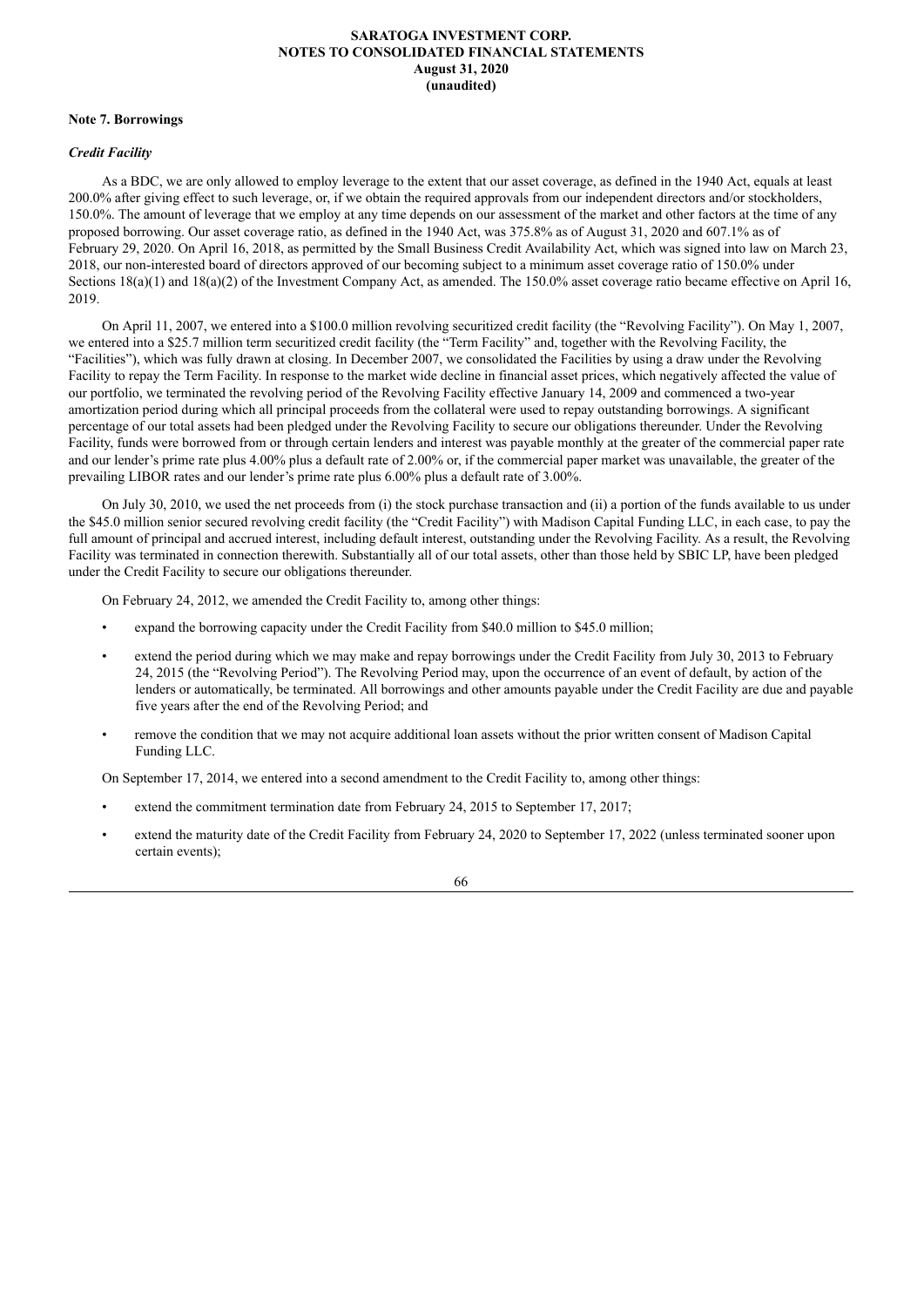#### **Note 7. Borrowings**

## *Credit Facility*

As a BDC, we are only allowed to employ leverage to the extent that our asset coverage, as defined in the 1940 Act, equals at least 200.0% after giving effect to such leverage, or, if we obtain the required approvals from our independent directors and/or stockholders, 150.0%. The amount of leverage that we employ at any time depends on our assessment of the market and other factors at the time of any proposed borrowing. Our asset coverage ratio, as defined in the 1940 Act, was 375.8% as of August 31, 2020 and 607.1% as of February 29, 2020. On April 16, 2018, as permitted by the Small Business Credit Availability Act, which was signed into law on March 23, 2018, our non-interested board of directors approved of our becoming subject to a minimum asset coverage ratio of 150.0% under Sections  $18(a)(1)$  and  $18(a)(2)$  of the Investment Company Act, as amended. The 150.0% asset coverage ratio became effective on April 16, 2019.

On April 11, 2007, we entered into a \$100.0 million revolving securitized credit facility (the "Revolving Facility"). On May 1, 2007, we entered into a \$25.7 million term securitized credit facility (the "Term Facility" and, together with the Revolving Facility, the "Facilities"), which was fully drawn at closing. In December 2007, we consolidated the Facilities by using a draw under the Revolving Facility to repay the Term Facility. In response to the market wide decline in financial asset prices, which negatively affected the value of our portfolio, we terminated the revolving period of the Revolving Facility effective January 14, 2009 and commenced a two-year amortization period during which all principal proceeds from the collateral were used to repay outstanding borrowings. A significant percentage of our total assets had been pledged under the Revolving Facility to secure our obligations thereunder. Under the Revolving Facility, funds were borrowed from or through certain lenders and interest was payable monthly at the greater of the commercial paper rate and our lender's prime rate plus 4.00% plus a default rate of 2.00% or, if the commercial paper market was unavailable, the greater of the prevailing LIBOR rates and our lender's prime rate plus 6.00% plus a default rate of 3.00%.

On July 30, 2010, we used the net proceeds from (i) the stock purchase transaction and (ii) a portion of the funds available to us under the \$45.0 million senior secured revolving credit facility (the "Credit Facility") with Madison Capital Funding LLC, in each case, to pay the full amount of principal and accrued interest, including default interest, outstanding under the Revolving Facility. As a result, the Revolving Facility was terminated in connection therewith. Substantially all of our total assets, other than those held by SBIC LP, have been pledged under the Credit Facility to secure our obligations thereunder.

On February 24, 2012, we amended the Credit Facility to, among other things:

- expand the borrowing capacity under the Credit Facility from \$40.0 million to \$45.0 million;
- extend the period during which we may make and repay borrowings under the Credit Facility from July 30, 2013 to February 24, 2015 (the "Revolving Period"). The Revolving Period may, upon the occurrence of an event of default, by action of the lenders or automatically, be terminated. All borrowings and other amounts payable under the Credit Facility are due and payable five years after the end of the Revolving Period; and
- remove the condition that we may not acquire additional loan assets without the prior written consent of Madison Capital Funding LLC.

On September 17, 2014, we entered into a second amendment to the Credit Facility to, among other things:

- extend the commitment termination date from February 24, 2015 to September 17, 2017;
- extend the maturity date of the Credit Facility from February 24, 2020 to September 17, 2022 (unless terminated sooner upon certain events);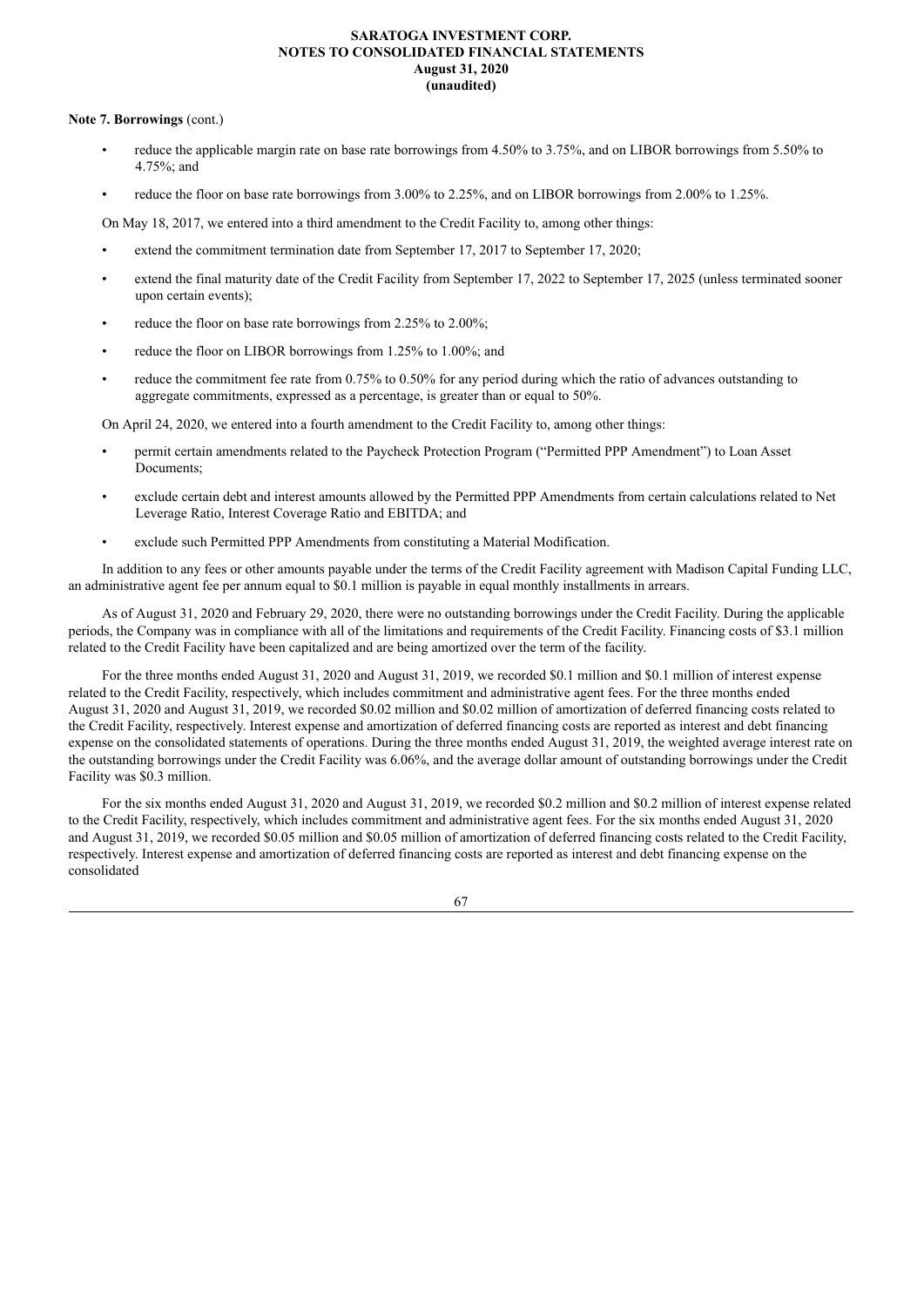### **Note 7. Borrowings** (cont.)

- reduce the applicable margin rate on base rate borrowings from 4.50% to 3.75%, and on LIBOR borrowings from 5.50% to 4.75%; and
- reduce the floor on base rate borrowings from 3.00% to 2.25%, and on LIBOR borrowings from 2.00% to 1.25%.

On May 18, 2017, we entered into a third amendment to the Credit Facility to, among other things:

- extend the commitment termination date from September 17, 2017 to September 17, 2020;
- extend the final maturity date of the Credit Facility from September 17, 2022 to September 17, 2025 (unless terminated sooner upon certain events);
- reduce the floor on base rate borrowings from 2.25% to 2.00%;
- reduce the floor on LIBOR borrowings from 1.25% to 1.00%; and
- reduce the commitment fee rate from 0.75% to 0.50% for any period during which the ratio of advances outstanding to aggregate commitments, expressed as a percentage, is greater than or equal to 50%.

On April 24, 2020, we entered into a fourth amendment to the Credit Facility to, among other things:

- permit certain amendments related to the Paycheck Protection Program ("Permitted PPP Amendment") to Loan Asset Documents;
- exclude certain debt and interest amounts allowed by the Permitted PPP Amendments from certain calculations related to Net Leverage Ratio, Interest Coverage Ratio and EBITDA; and
- exclude such Permitted PPP Amendments from constituting a Material Modification.

In addition to any fees or other amounts payable under the terms of the Credit Facility agreement with Madison Capital Funding LLC, an administrative agent fee per annum equal to \$0.1 million is payable in equal monthly installments in arrears.

As of August 31, 2020 and February 29, 2020, there were no outstanding borrowings under the Credit Facility. During the applicable periods, the Company was in compliance with all of the limitations and requirements of the Credit Facility. Financing costs of \$3.1 million related to the Credit Facility have been capitalized and are being amortized over the term of the facility.

For the three months ended August 31, 2020 and August 31, 2019, we recorded \$0.1 million and \$0.1 million of interest expense related to the Credit Facility, respectively, which includes commitment and administrative agent fees. For the three months ended August 31, 2020 and August 31, 2019, we recorded \$0.02 million and \$0.02 million of amortization of deferred financing costs related to the Credit Facility, respectively. Interest expense and amortization of deferred financing costs are reported as interest and debt financing expense on the consolidated statements of operations. During the three months ended August 31, 2019, the weighted average interest rate on the outstanding borrowings under the Credit Facility was 6.06%, and the average dollar amount of outstanding borrowings under the Credit Facility was \$0.3 million.

For the six months ended August 31, 2020 and August 31, 2019, we recorded \$0.2 million and \$0.2 million of interest expense related to the Credit Facility, respectively, which includes commitment and administrative agent fees. For the six months ended August 31, 2020 and August 31, 2019, we recorded \$0.05 million and \$0.05 million of amortization of deferred financing costs related to the Credit Facility, respectively. Interest expense and amortization of deferred financing costs are reported as interest and debt financing expense on the consolidated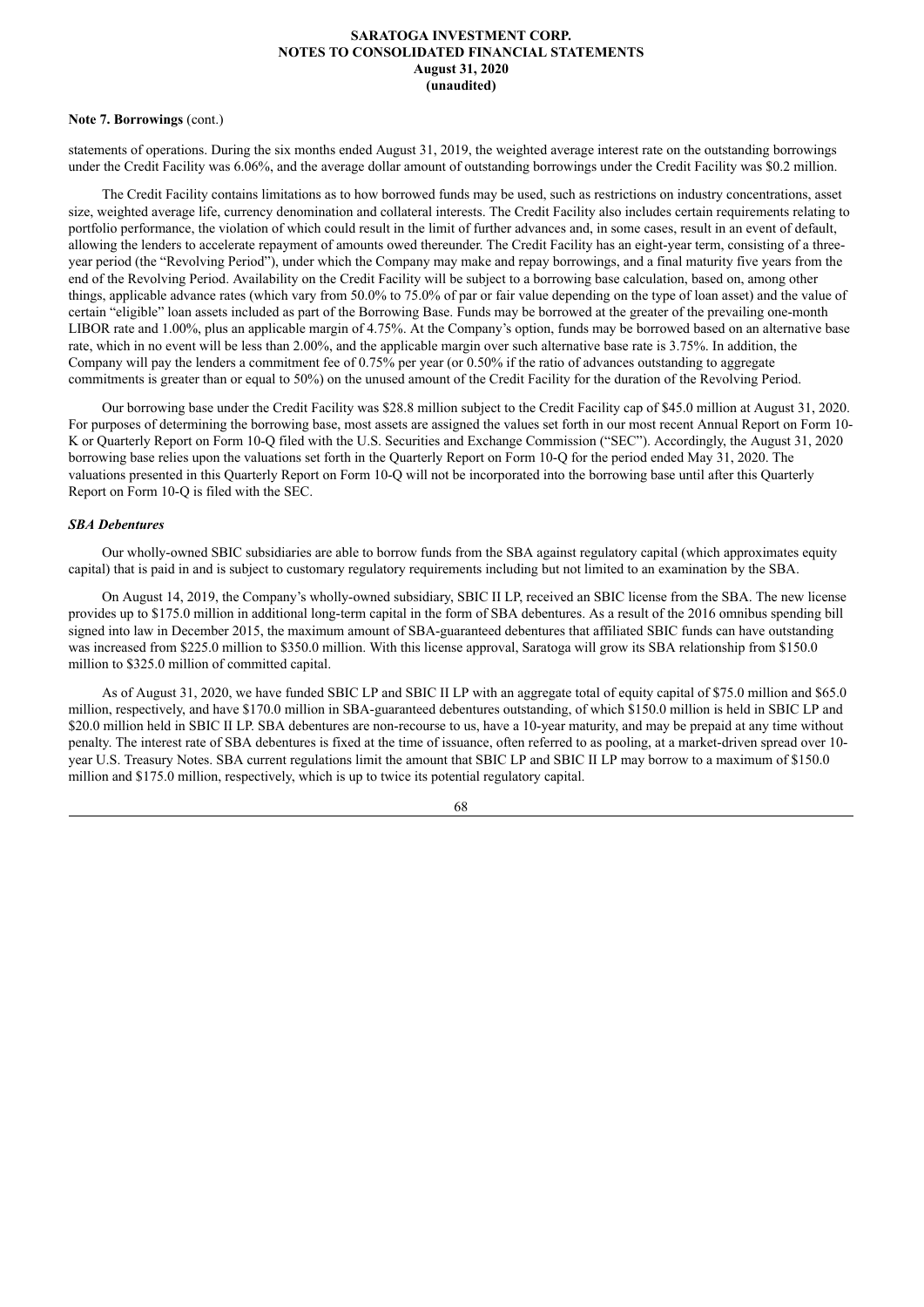#### **Note 7. Borrowings** (cont.)

statements of operations. During the six months ended August 31, 2019, the weighted average interest rate on the outstanding borrowings under the Credit Facility was 6.06%, and the average dollar amount of outstanding borrowings under the Credit Facility was \$0.2 million.

The Credit Facility contains limitations as to how borrowed funds may be used, such as restrictions on industry concentrations, asset size, weighted average life, currency denomination and collateral interests. The Credit Facility also includes certain requirements relating to portfolio performance, the violation of which could result in the limit of further advances and, in some cases, result in an event of default, allowing the lenders to accelerate repayment of amounts owed thereunder. The Credit Facility has an eight-year term, consisting of a threeyear period (the "Revolving Period"), under which the Company may make and repay borrowings, and a final maturity five years from the end of the Revolving Period. Availability on the Credit Facility will be subject to a borrowing base calculation, based on, among other things, applicable advance rates (which vary from 50.0% to 75.0% of par or fair value depending on the type of loan asset) and the value of certain "eligible" loan assets included as part of the Borrowing Base. Funds may be borrowed at the greater of the prevailing one-month LIBOR rate and 1.00%, plus an applicable margin of 4.75%. At the Company's option, funds may be borrowed based on an alternative base rate, which in no event will be less than 2.00%, and the applicable margin over such alternative base rate is 3.75%. In addition, the Company will pay the lenders a commitment fee of 0.75% per year (or 0.50% if the ratio of advances outstanding to aggregate commitments is greater than or equal to 50%) on the unused amount of the Credit Facility for the duration of the Revolving Period.

Our borrowing base under the Credit Facility was \$28.8 million subject to the Credit Facility cap of \$45.0 million at August 31, 2020. For purposes of determining the borrowing base, most assets are assigned the values set forth in our most recent Annual Report on Form 10- K or Quarterly Report on Form 10-Q filed with the U.S. Securities and Exchange Commission ("SEC"). Accordingly, the August 31, 2020 borrowing base relies upon the valuations set forth in the Quarterly Report on Form 10-Q for the period ended May 31, 2020. The valuations presented in this Quarterly Report on Form 10-Q will not be incorporated into the borrowing base until after this Quarterly Report on Form 10-Q is filed with the SEC.

#### *SBA Debentures*

Our wholly-owned SBIC subsidiaries are able to borrow funds from the SBA against regulatory capital (which approximates equity capital) that is paid in and is subject to customary regulatory requirements including but not limited to an examination by the SBA.

On August 14, 2019, the Company's wholly-owned subsidiary, SBIC II LP, received an SBIC license from the SBA. The new license provides up to \$175.0 million in additional long-term capital in the form of SBA debentures. As a result of the 2016 omnibus spending bill signed into law in December 2015, the maximum amount of SBA-guaranteed debentures that affiliated SBIC funds can have outstanding was increased from \$225.0 million to \$350.0 million. With this license approval, Saratoga will grow its SBA relationship from \$150.0 million to \$325.0 million of committed capital.

As of August 31, 2020, we have funded SBIC LP and SBIC II LP with an aggregate total of equity capital of \$75.0 million and \$65.0 million, respectively, and have \$170.0 million in SBA-guaranteed debentures outstanding, of which \$150.0 million is held in SBIC LP and \$20.0 million held in SBIC II LP. SBA debentures are non-recourse to us, have a 10-year maturity, and may be prepaid at any time without penalty. The interest rate of SBA debentures is fixed at the time of issuance, often referred to as pooling, at a market-driven spread over 10 year U.S. Treasury Notes. SBA current regulations limit the amount that SBIC LP and SBIC II LP may borrow to a maximum of \$150.0 million and \$175.0 million, respectively, which is up to twice its potential regulatory capital.

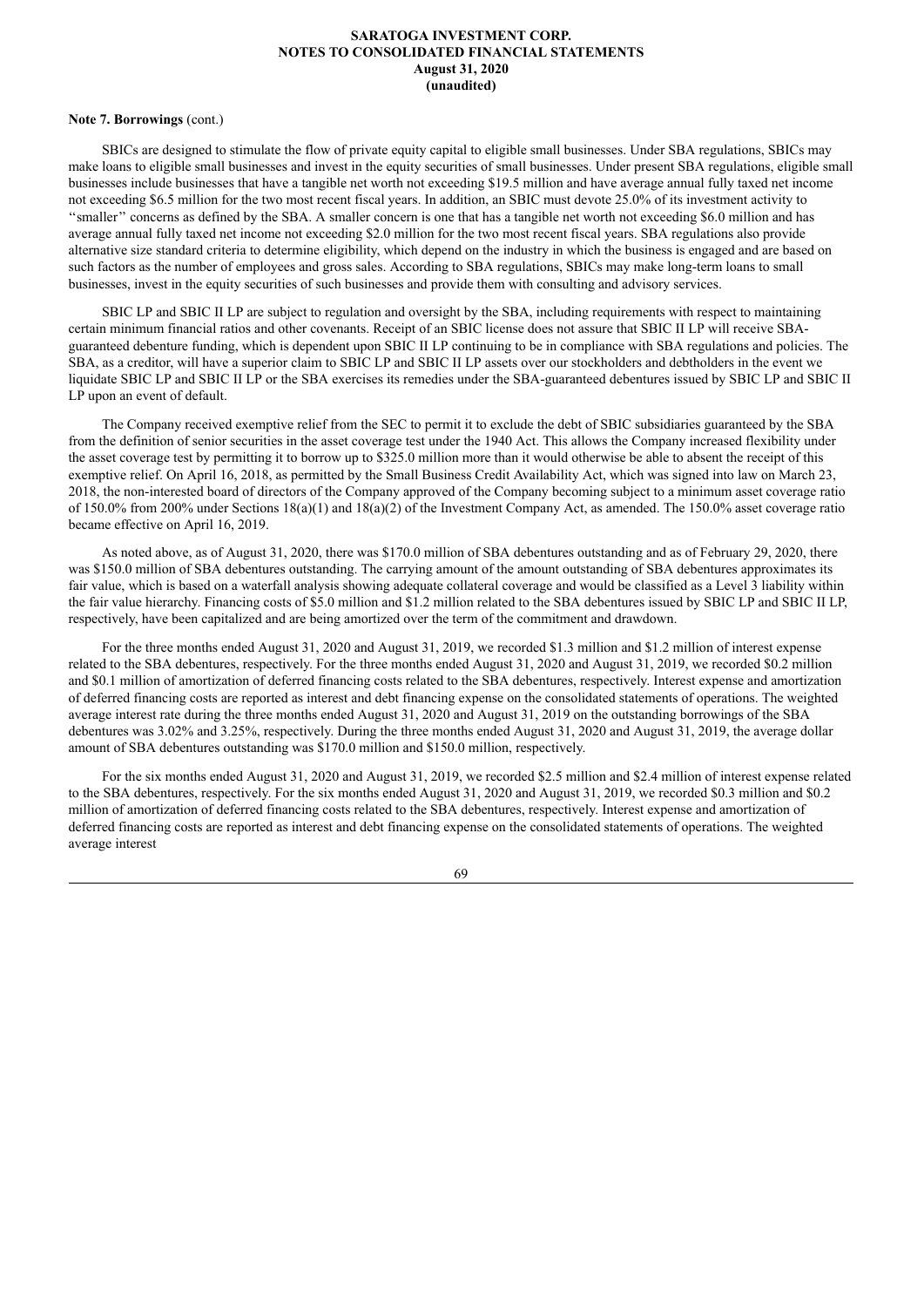#### **Note 7. Borrowings** (cont.)

SBICs are designed to stimulate the flow of private equity capital to eligible small businesses. Under SBA regulations, SBICs may make loans to eligible small businesses and invest in the equity securities of small businesses. Under present SBA regulations, eligible small businesses include businesses that have a tangible net worth not exceeding \$19.5 million and have average annual fully taxed net income not exceeding \$6.5 million for the two most recent fiscal years. In addition, an SBIC must devote 25.0% of its investment activity to ''smaller'' concerns as defined by the SBA. A smaller concern is one that has a tangible net worth not exceeding \$6.0 million and has average annual fully taxed net income not exceeding \$2.0 million for the two most recent fiscal years. SBA regulations also provide alternative size standard criteria to determine eligibility, which depend on the industry in which the business is engaged and are based on such factors as the number of employees and gross sales. According to SBA regulations, SBICs may make long-term loans to small businesses, invest in the equity securities of such businesses and provide them with consulting and advisory services.

SBIC LP and SBIC II LP are subject to regulation and oversight by the SBA, including requirements with respect to maintaining certain minimum financial ratios and other covenants. Receipt of an SBIC license does not assure that SBIC II LP will receive SBAguaranteed debenture funding, which is dependent upon SBIC II LP continuing to be in compliance with SBA regulations and policies. The SBA, as a creditor, will have a superior claim to SBIC LP and SBIC II LP assets over our stockholders and debtholders in the event we liquidate SBIC LP and SBIC II LP or the SBA exercises its remedies under the SBA-guaranteed debentures issued by SBIC LP and SBIC II LP upon an event of default.

The Company received exemptive relief from the SEC to permit it to exclude the debt of SBIC subsidiaries guaranteed by the SBA from the definition of senior securities in the asset coverage test under the 1940 Act. This allows the Company increased flexibility under the asset coverage test by permitting it to borrow up to \$325.0 million more than it would otherwise be able to absent the receipt of this exemptive relief. On April 16, 2018, as permitted by the Small Business Credit Availability Act, which was signed into law on March 23, 2018, the non-interested board of directors of the Company approved of the Company becoming subject to a minimum asset coverage ratio of 150.0% from 200% under Sections 18(a)(1) and 18(a)(2) of the Investment Company Act, as amended. The 150.0% asset coverage ratio became effective on April 16, 2019.

As noted above, as of August 31, 2020, there was \$170.0 million of SBA debentures outstanding and as of February 29, 2020, there was \$150.0 million of SBA debentures outstanding. The carrying amount of the amount outstanding of SBA debentures approximates its fair value, which is based on a waterfall analysis showing adequate collateral coverage and would be classified as a Level 3 liability within the fair value hierarchy. Financing costs of \$5.0 million and \$1.2 million related to the SBA debentures issued by SBIC LP and SBIC II LP, respectively, have been capitalized and are being amortized over the term of the commitment and drawdown.

For the three months ended August 31, 2020 and August 31, 2019, we recorded \$1.3 million and \$1.2 million of interest expense related to the SBA debentures, respectively. For the three months ended August 31, 2020 and August 31, 2019, we recorded \$0.2 million and \$0.1 million of amortization of deferred financing costs related to the SBA debentures, respectively. Interest expense and amortization of deferred financing costs are reported as interest and debt financing expense on the consolidated statements of operations. The weighted average interest rate during the three months ended August 31, 2020 and August 31, 2019 on the outstanding borrowings of the SBA debentures was 3.02% and 3.25%, respectively. During the three months ended August 31, 2020 and August 31, 2019, the average dollar amount of SBA debentures outstanding was \$170.0 million and \$150.0 million, respectively.

For the six months ended August 31, 2020 and August 31, 2019, we recorded \$2.5 million and \$2.4 million of interest expense related to the SBA debentures, respectively. For the six months ended August 31, 2020 and August 31, 2019, we recorded \$0.3 million and \$0.2 million of amortization of deferred financing costs related to the SBA debentures, respectively. Interest expense and amortization of deferred financing costs are reported as interest and debt financing expense on the consolidated statements of operations. The weighted average interest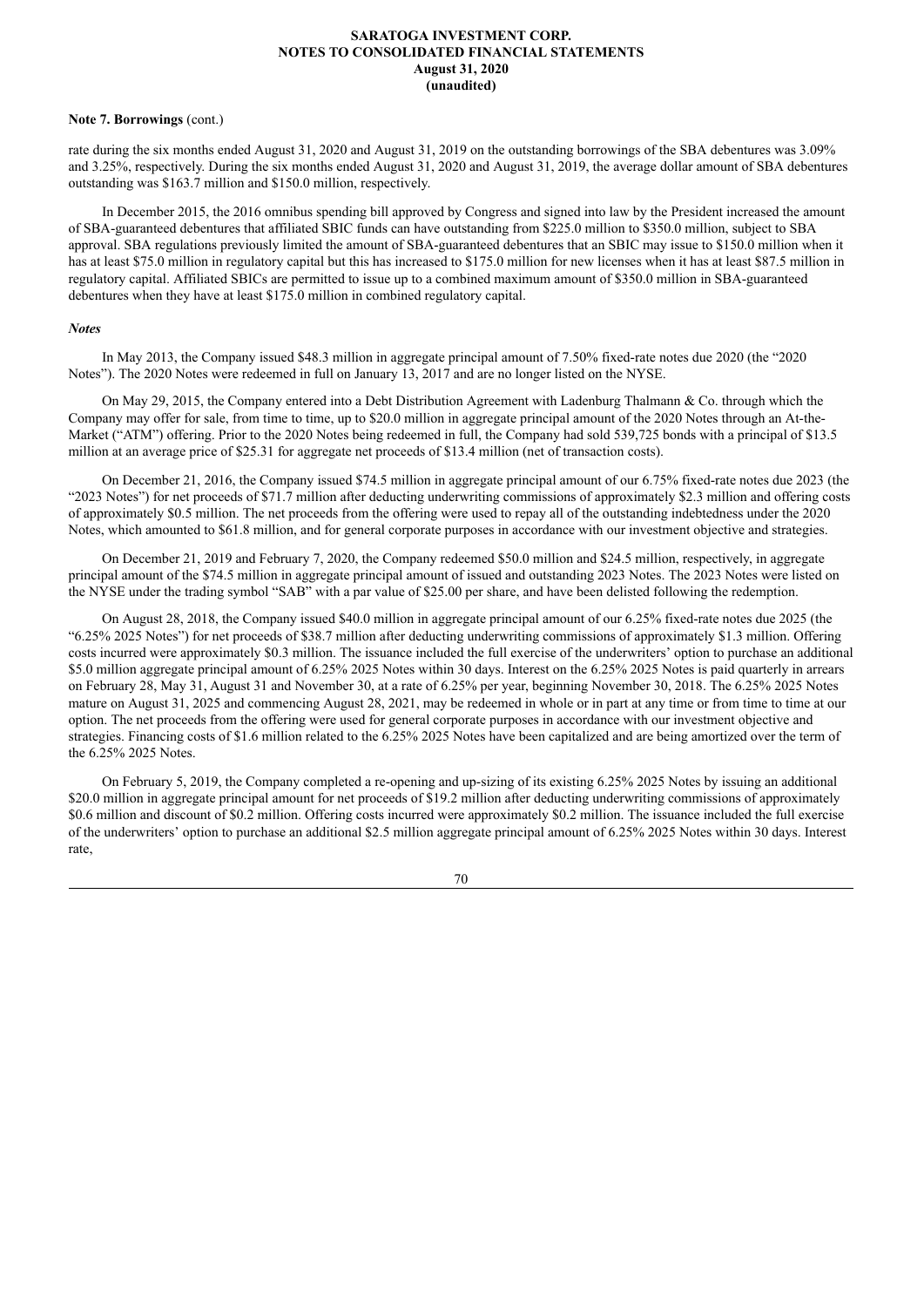#### **Note 7. Borrowings** (cont.)

rate during the six months ended August 31, 2020 and August 31, 2019 on the outstanding borrowings of the SBA debentures was 3.09% and 3.25%, respectively. During the six months ended August 31, 2020 and August 31, 2019, the average dollar amount of SBA debentures outstanding was \$163.7 million and \$150.0 million, respectively.

In December 2015, the 2016 omnibus spending bill approved by Congress and signed into law by the President increased the amount of SBA-guaranteed debentures that affiliated SBIC funds can have outstanding from \$225.0 million to \$350.0 million, subject to SBA approval. SBA regulations previously limited the amount of SBA-guaranteed debentures that an SBIC may issue to \$150.0 million when it has at least \$75.0 million in regulatory capital but this has increased to \$175.0 million for new licenses when it has at least \$87.5 million in regulatory capital. Affiliated SBICs are permitted to issue up to a combined maximum amount of \$350.0 million in SBA-guaranteed debentures when they have at least \$175.0 million in combined regulatory capital.

### *Notes*

In May 2013, the Company issued \$48.3 million in aggregate principal amount of 7.50% fixed-rate notes due 2020 (the "2020 Notes"). The 2020 Notes were redeemed in full on January 13, 2017 and are no longer listed on the NYSE.

On May 29, 2015, the Company entered into a Debt Distribution Agreement with Ladenburg Thalmann & Co. through which the Company may offer for sale, from time to time, up to \$20.0 million in aggregate principal amount of the 2020 Notes through an At-the-Market ("ATM") offering. Prior to the 2020 Notes being redeemed in full, the Company had sold 539,725 bonds with a principal of \$13.5 million at an average price of \$25.31 for aggregate net proceeds of \$13.4 million (net of transaction costs).

On December 21, 2016, the Company issued \$74.5 million in aggregate principal amount of our 6.75% fixed-rate notes due 2023 (the "2023 Notes") for net proceeds of \$71.7 million after deducting underwriting commissions of approximately \$2.3 million and offering costs of approximately \$0.5 million. The net proceeds from the offering were used to repay all of the outstanding indebtedness under the 2020 Notes, which amounted to \$61.8 million, and for general corporate purposes in accordance with our investment objective and strategies.

On December 21, 2019 and February 7, 2020, the Company redeemed \$50.0 million and \$24.5 million, respectively, in aggregate principal amount of the \$74.5 million in aggregate principal amount of issued and outstanding 2023 Notes. The 2023 Notes were listed on the NYSE under the trading symbol "SAB" with a par value of \$25.00 per share, and have been delisted following the redemption.

On August 28, 2018, the Company issued \$40.0 million in aggregate principal amount of our 6.25% fixed-rate notes due 2025 (the "6.25% 2025 Notes") for net proceeds of \$38.7 million after deducting underwriting commissions of approximately \$1.3 million. Offering costs incurred were approximately \$0.3 million. The issuance included the full exercise of the underwriters' option to purchase an additional \$5.0 million aggregate principal amount of 6.25% 2025 Notes within 30 days. Interest on the 6.25% 2025 Notes is paid quarterly in arrears on February 28, May 31, August 31 and November 30, at a rate of 6.25% per year, beginning November 30, 2018. The 6.25% 2025 Notes mature on August 31, 2025 and commencing August 28, 2021, may be redeemed in whole or in part at any time or from time to time at our option. The net proceeds from the offering were used for general corporate purposes in accordance with our investment objective and strategies. Financing costs of \$1.6 million related to the 6.25% 2025 Notes have been capitalized and are being amortized over the term of the 6.25% 2025 Notes.

On February 5, 2019, the Company completed a re-opening and up-sizing of its existing 6.25% 2025 Notes by issuing an additional \$20.0 million in aggregate principal amount for net proceeds of \$19.2 million after deducting underwriting commissions of approximately \$0.6 million and discount of \$0.2 million. Offering costs incurred were approximately \$0.2 million. The issuance included the full exercise of the underwriters' option to purchase an additional \$2.5 million aggregate principal amount of 6.25% 2025 Notes within 30 days. Interest rate,

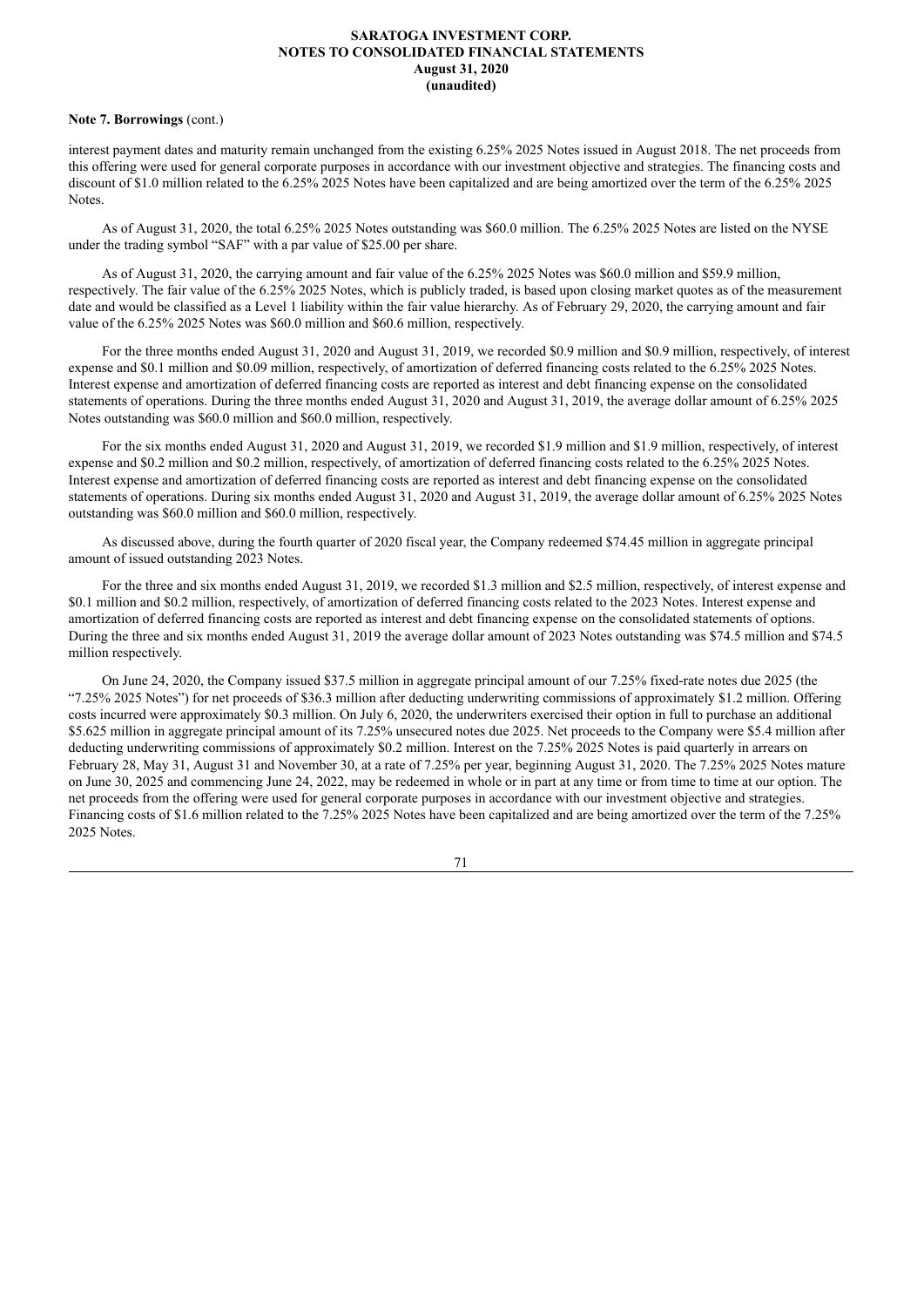#### **Note 7. Borrowings** (cont.)

interest payment dates and maturity remain unchanged from the existing 6.25% 2025 Notes issued in August 2018. The net proceeds from this offering were used for general corporate purposes in accordance with our investment objective and strategies. The financing costs and discount of \$1.0 million related to the 6.25% 2025 Notes have been capitalized and are being amortized over the term of the 6.25% 2025 Notes.

As of August 31, 2020, the total 6.25% 2025 Notes outstanding was \$60.0 million. The 6.25% 2025 Notes are listed on the NYSE under the trading symbol "SAF" with a par value of \$25.00 per share.

As of August 31, 2020, the carrying amount and fair value of the 6.25% 2025 Notes was \$60.0 million and \$59.9 million, respectively. The fair value of the 6.25% 2025 Notes, which is publicly traded, is based upon closing market quotes as of the measurement date and would be classified as a Level 1 liability within the fair value hierarchy. As of February 29, 2020, the carrying amount and fair value of the 6.25% 2025 Notes was \$60.0 million and \$60.6 million, respectively.

For the three months ended August 31, 2020 and August 31, 2019, we recorded \$0.9 million and \$0.9 million, respectively, of interest expense and \$0.1 million and \$0.09 million, respectively, of amortization of deferred financing costs related to the 6.25% 2025 Notes. Interest expense and amortization of deferred financing costs are reported as interest and debt financing expense on the consolidated statements of operations. During the three months ended August 31, 2020 and August 31, 2019, the average dollar amount of 6.25% 2025 Notes outstanding was \$60.0 million and \$60.0 million, respectively.

For the six months ended August 31, 2020 and August 31, 2019, we recorded \$1.9 million and \$1.9 million, respectively, of interest expense and \$0.2 million and \$0.2 million, respectively, of amortization of deferred financing costs related to the 6.25% 2025 Notes. Interest expense and amortization of deferred financing costs are reported as interest and debt financing expense on the consolidated statements of operations. During six months ended August 31, 2020 and August 31, 2019, the average dollar amount of 6.25% 2025 Notes outstanding was \$60.0 million and \$60.0 million, respectively.

As discussed above, during the fourth quarter of 2020 fiscal year, the Company redeemed \$74.45 million in aggregate principal amount of issued outstanding 2023 Notes.

For the three and six months ended August 31, 2019, we recorded \$1.3 million and \$2.5 million, respectively, of interest expense and \$0.1 million and \$0.2 million, respectively, of amortization of deferred financing costs related to the 2023 Notes. Interest expense and amortization of deferred financing costs are reported as interest and debt financing expense on the consolidated statements of options. During the three and six months ended August 31, 2019 the average dollar amount of 2023 Notes outstanding was \$74.5 million and \$74.5 million respectively.

On June 24, 2020, the Company issued \$37.5 million in aggregate principal amount of our 7.25% fixed-rate notes due 2025 (the "7.25% 2025 Notes") for net proceeds of \$36.3 million after deducting underwriting commissions of approximately \$1.2 million. Offering costs incurred were approximately \$0.3 million. On July 6, 2020, the underwriters exercised their option in full to purchase an additional \$5.625 million in aggregate principal amount of its 7.25% unsecured notes due 2025. Net proceeds to the Company were \$5.4 million after deducting underwriting commissions of approximately \$0.2 million. Interest on the 7.25% 2025 Notes is paid quarterly in arrears on February 28, May 31, August 31 and November 30, at a rate of 7.25% per year, beginning August 31, 2020. The 7.25% 2025 Notes mature on June 30, 2025 and commencing June 24, 2022, may be redeemed in whole or in part at any time or from time to time at our option. The net proceeds from the offering were used for general corporate purposes in accordance with our investment objective and strategies. Financing costs of \$1.6 million related to the 7.25% 2025 Notes have been capitalized and are being amortized over the term of the 7.25% 2025 Notes.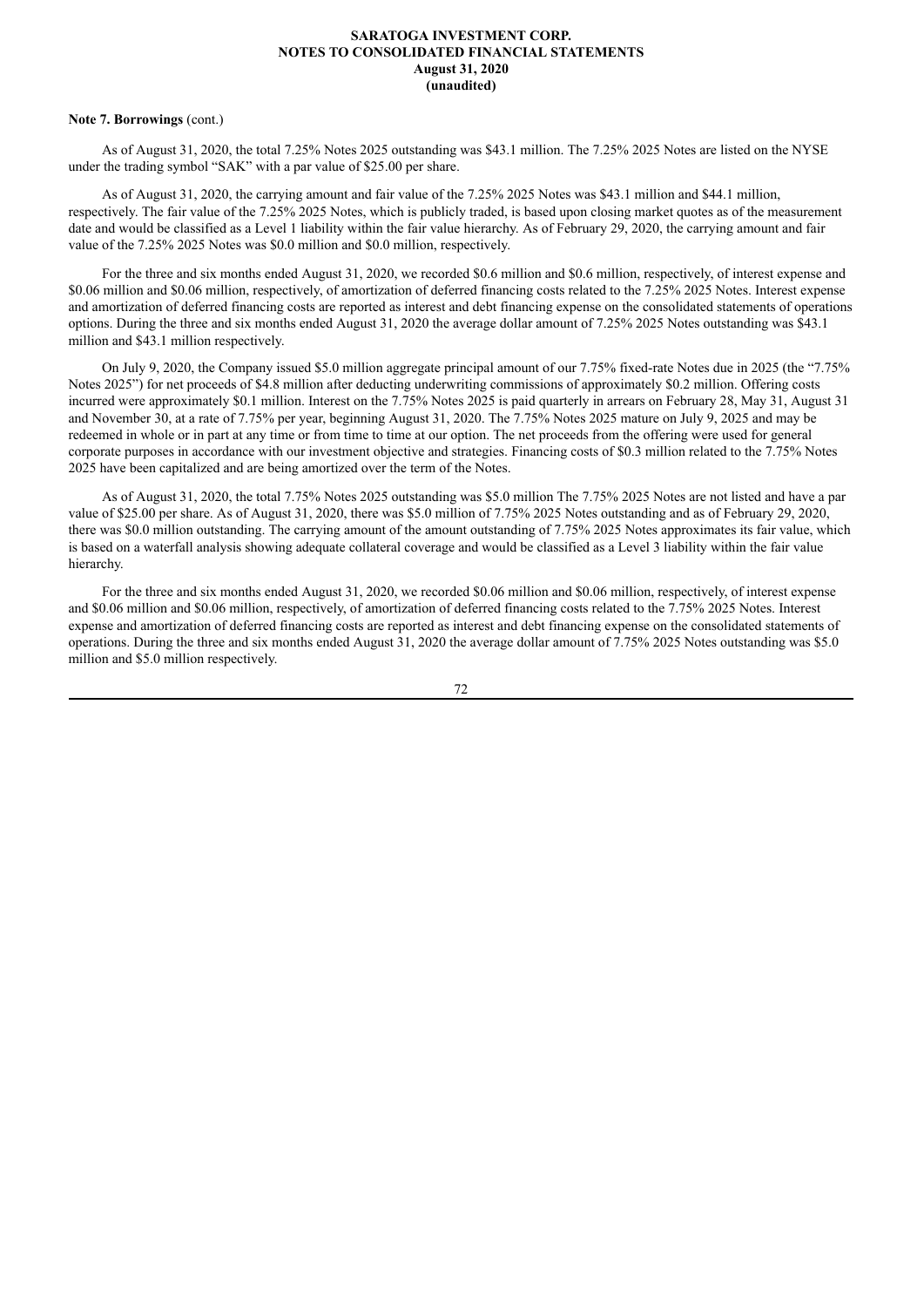### **Note 7. Borrowings** (cont.)

As of August 31, 2020, the total 7.25% Notes 2025 outstanding was \$43.1 million. The 7.25% 2025 Notes are listed on the NYSE under the trading symbol "SAK" with a par value of \$25.00 per share.

As of August 31, 2020, the carrying amount and fair value of the 7.25% 2025 Notes was \$43.1 million and \$44.1 million, respectively. The fair value of the 7.25% 2025 Notes, which is publicly traded, is based upon closing market quotes as of the measurement date and would be classified as a Level 1 liability within the fair value hierarchy. As of February 29, 2020, the carrying amount and fair value of the 7.25% 2025 Notes was \$0.0 million and \$0.0 million, respectively.

For the three and six months ended August 31, 2020, we recorded \$0.6 million and \$0.6 million, respectively, of interest expense and \$0.06 million and \$0.06 million, respectively, of amortization of deferred financing costs related to the 7.25% 2025 Notes. Interest expense and amortization of deferred financing costs are reported as interest and debt financing expense on the consolidated statements of operations options. During the three and six months ended August 31, 2020 the average dollar amount of 7.25% 2025 Notes outstanding was \$43.1 million and \$43.1 million respectively.

On July 9, 2020, the Company issued \$5.0 million aggregate principal amount of our 7.75% fixed-rate Notes due in 2025 (the "7.75% Notes 2025") for net proceeds of \$4.8 million after deducting underwriting commissions of approximately \$0.2 million. Offering costs incurred were approximately \$0.1 million. Interest on the 7.75% Notes 2025 is paid quarterly in arrears on February 28, May 31, August 31 and November 30, at a rate of 7.75% per year, beginning August 31, 2020. The 7.75% Notes 2025 mature on July 9, 2025 and may be redeemed in whole or in part at any time or from time to time at our option. The net proceeds from the offering were used for general corporate purposes in accordance with our investment objective and strategies. Financing costs of \$0.3 million related to the 7.75% Notes 2025 have been capitalized and are being amortized over the term of the Notes.

As of August 31, 2020, the total 7.75% Notes 2025 outstanding was \$5.0 million The 7.75% 2025 Notes are not listed and have a par value of \$25.00 per share. As of August 31, 2020, there was \$5.0 million of 7.75% 2025 Notes outstanding and as of February 29, 2020, there was \$0.0 million outstanding. The carrying amount of the amount outstanding of 7.75% 2025 Notes approximates its fair value, which is based on a waterfall analysis showing adequate collateral coverage and would be classified as a Level 3 liability within the fair value hierarchy.

For the three and six months ended August 31, 2020, we recorded \$0.06 million and \$0.06 million, respectively, of interest expense and \$0.06 million and \$0.06 million, respectively, of amortization of deferred financing costs related to the 7.75% 2025 Notes. Interest expense and amortization of deferred financing costs are reported as interest and debt financing expense on the consolidated statements of operations. During the three and six months ended August 31, 2020 the average dollar amount of 7.75% 2025 Notes outstanding was \$5.0 million and \$5.0 million respectively.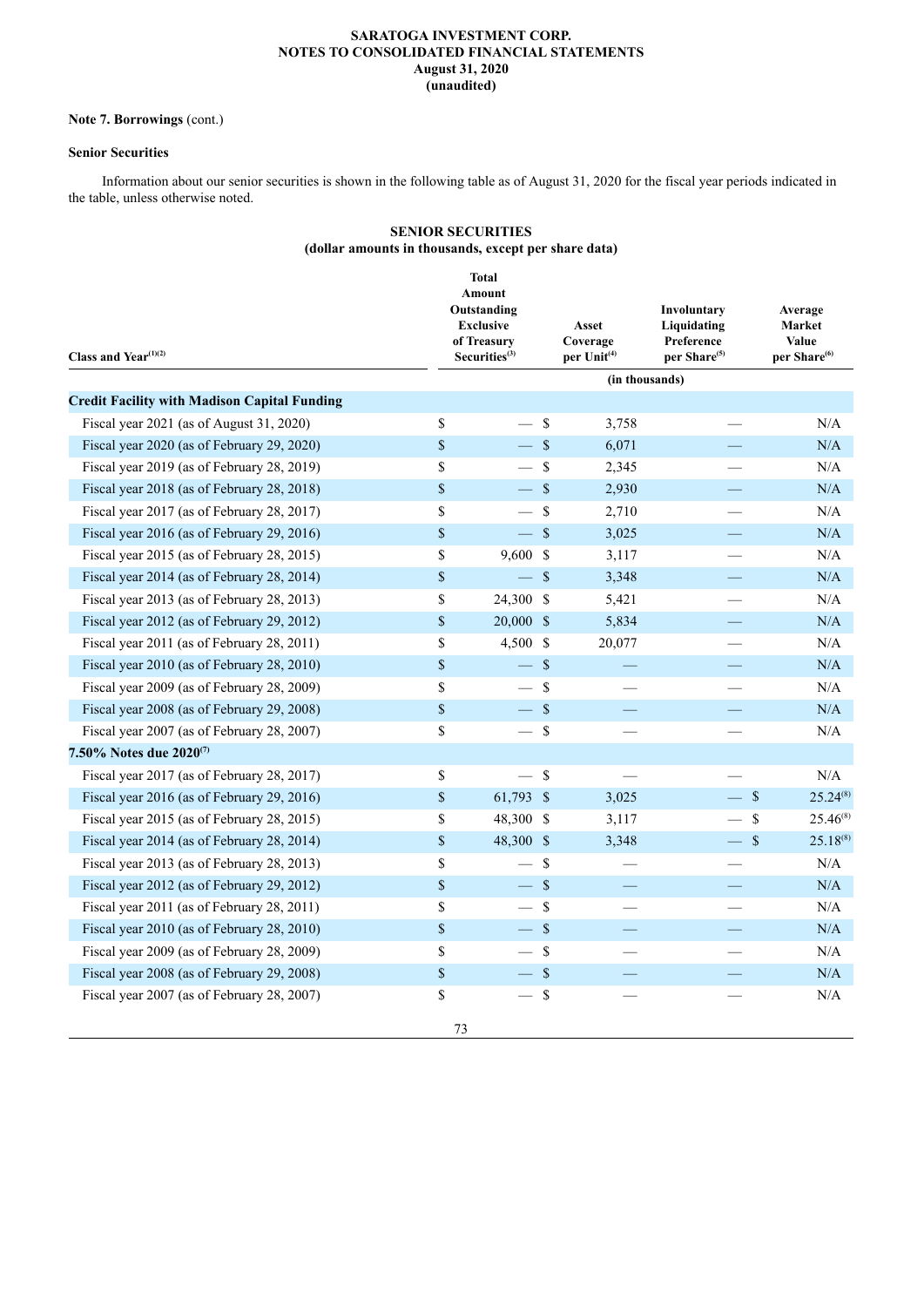# **Note 7. Borrowings** (cont.)

# **Senior Securities**

Information about our senior securities is shown in the following table as of August 31, 2020 for the fiscal year periods indicated in the table, unless otherwise noted.

# **SENIOR SECURITIES (dollar amounts in thousands, except per share data)**

| Class and Year <sup>(1)(2)</sup>                    |                           | <b>Total</b><br>Amount<br>Outstanding<br><b>Exclusive</b><br>of Treasury<br>Securities <sup>(3)</sup> |                    | Asset<br>Coverage<br>per Unit <sup>(4)</sup> | Involuntary<br>Liquidating<br>Preference<br>per Share <sup>(5)</sup> | Average<br>Market<br><b>Value</b><br>per Share <sup>(6)</sup> |  |
|-----------------------------------------------------|---------------------------|-------------------------------------------------------------------------------------------------------|--------------------|----------------------------------------------|----------------------------------------------------------------------|---------------------------------------------------------------|--|
|                                                     |                           |                                                                                                       |                    | (in thousands)                               |                                                                      |                                                               |  |
| <b>Credit Facility with Madison Capital Funding</b> |                           |                                                                                                       |                    |                                              |                                                                      |                                                               |  |
| Fiscal year 2021 (as of August 31, 2020)            | \$                        |                                                                                                       | $\mathcal{S}$      | 3,758                                        |                                                                      | N/A                                                           |  |
| Fiscal year 2020 (as of February 29, 2020)          | \$                        | $-$ \$                                                                                                |                    | 6,071                                        |                                                                      | N/A                                                           |  |
| Fiscal year 2019 (as of February 28, 2019)          | \$                        | $\overline{\phantom{0}}$                                                                              | -S                 | 2,345                                        |                                                                      | $\rm N/A$                                                     |  |
| Fiscal year 2018 (as of February 28, 2018)          | $\$$                      | $\equiv$                                                                                              | $\mathbf{\hat{s}}$ | 2,930                                        |                                                                      | $\rm N/A$                                                     |  |
| Fiscal year 2017 (as of February 28, 2017)          | \$                        |                                                                                                       | $\mathcal{S}$      | 2,710                                        |                                                                      | N/A                                                           |  |
| Fiscal year 2016 (as of February 29, 2016)          | $\$$                      | $\equiv$                                                                                              | $\mathcal{S}$      | 3,025                                        |                                                                      | N/A                                                           |  |
| Fiscal year 2015 (as of February 28, 2015)          | \$                        | $9,600$ \$                                                                                            |                    | 3,117                                        | $\overline{\phantom{0}}$                                             | N/A                                                           |  |
| Fiscal year 2014 (as of February 28, 2014)          | $\,$                      | $-$ \$                                                                                                |                    | 3,348                                        |                                                                      | N/A                                                           |  |
| Fiscal year 2013 (as of February 28, 2013)          | \$                        | 24,300 \$                                                                                             |                    | 5,421                                        |                                                                      | N/A                                                           |  |
| Fiscal year 2012 (as of February 29, 2012)          | $\,$                      | $20,000$ \$                                                                                           |                    | 5,834                                        |                                                                      | N/A                                                           |  |
| Fiscal year 2011 (as of February 28, 2011)          | \$                        | 4,500 \$                                                                                              |                    | 20,077                                       |                                                                      | N/A                                                           |  |
| Fiscal year 2010 (as of February 28, 2010)          | $\boldsymbol{\mathsf{S}}$ | $\qquad \qquad -$                                                                                     | $\mathcal{S}$      |                                              |                                                                      | N/A                                                           |  |
| Fiscal year 2009 (as of February 28, 2009)          | \$                        |                                                                                                       | $\sqrt{S}$         |                                              |                                                                      | N/A                                                           |  |
| Fiscal year 2008 (as of February 29, 2008)          | $\,$                      | $-$ \$                                                                                                |                    |                                              | $\overline{\phantom{0}}$                                             | N/A                                                           |  |
| Fiscal year 2007 (as of February 28, 2007)          | \$                        | $\overline{\phantom{0}}$                                                                              | $\mathcal{S}$      |                                              |                                                                      | $\rm N/A$                                                     |  |
| 7.50% Notes due 2020 <sup>(7)</sup>                 |                           |                                                                                                       |                    |                                              |                                                                      |                                                               |  |
| Fiscal year 2017 (as of February 28, 2017)          | \$                        |                                                                                                       | $\mathbf{\hat{S}}$ |                                              |                                                                      | N/A                                                           |  |
| Fiscal year 2016 (as of February 29, 2016)          | $\$$                      | 61,793 \$                                                                                             |                    | 3,025                                        | $-$ \$                                                               | $25.24^{(8)}$                                                 |  |
| Fiscal year 2015 (as of February 28, 2015)          | \$                        | 48,300 \$                                                                                             |                    | 3,117                                        |                                                                      | \$<br>$25.46^{(8)}$                                           |  |
| Fiscal year 2014 (as of February 28, 2014)          | $\$$                      | 48,300 \$                                                                                             |                    | 3,348                                        | $-$ \$                                                               | $25.18^{(8)}$                                                 |  |
| Fiscal year 2013 (as of February 28, 2013)          | \$                        | $\qquad \qquad$                                                                                       | $\mathcal{S}$      |                                              |                                                                      | N/A                                                           |  |
| Fiscal year 2012 (as of February 29, 2012)          | $\$$                      | $-$ \$                                                                                                |                    | $\overline{\phantom{0}}$                     | $\overline{\phantom{0}}$                                             | $\rm N/A$                                                     |  |
| Fiscal year 2011 (as of February 28, 2011)          | \$                        | $\overline{\phantom{0}}$                                                                              | $\mathcal{S}$      |                                              |                                                                      | N/A                                                           |  |
| Fiscal year 2010 (as of February 28, 2010)          | $\$$                      | $-$ \$                                                                                                |                    |                                              |                                                                      | N/A                                                           |  |
| Fiscal year 2009 (as of February 28, 2009)          | \$                        |                                                                                                       | <sup>\$</sup>      |                                              |                                                                      | N/A                                                           |  |
| Fiscal year 2008 (as of February 29, 2008)          | $\boldsymbol{\mathsf{S}}$ | $-$ \$                                                                                                |                    |                                              |                                                                      | N/A                                                           |  |
| Fiscal year 2007 (as of February 28, 2007)          | \$                        |                                                                                                       | $\sqrt{3}$         |                                              |                                                                      | $\rm N/A$                                                     |  |
|                                                     | 73                        |                                                                                                       |                    |                                              |                                                                      |                                                               |  |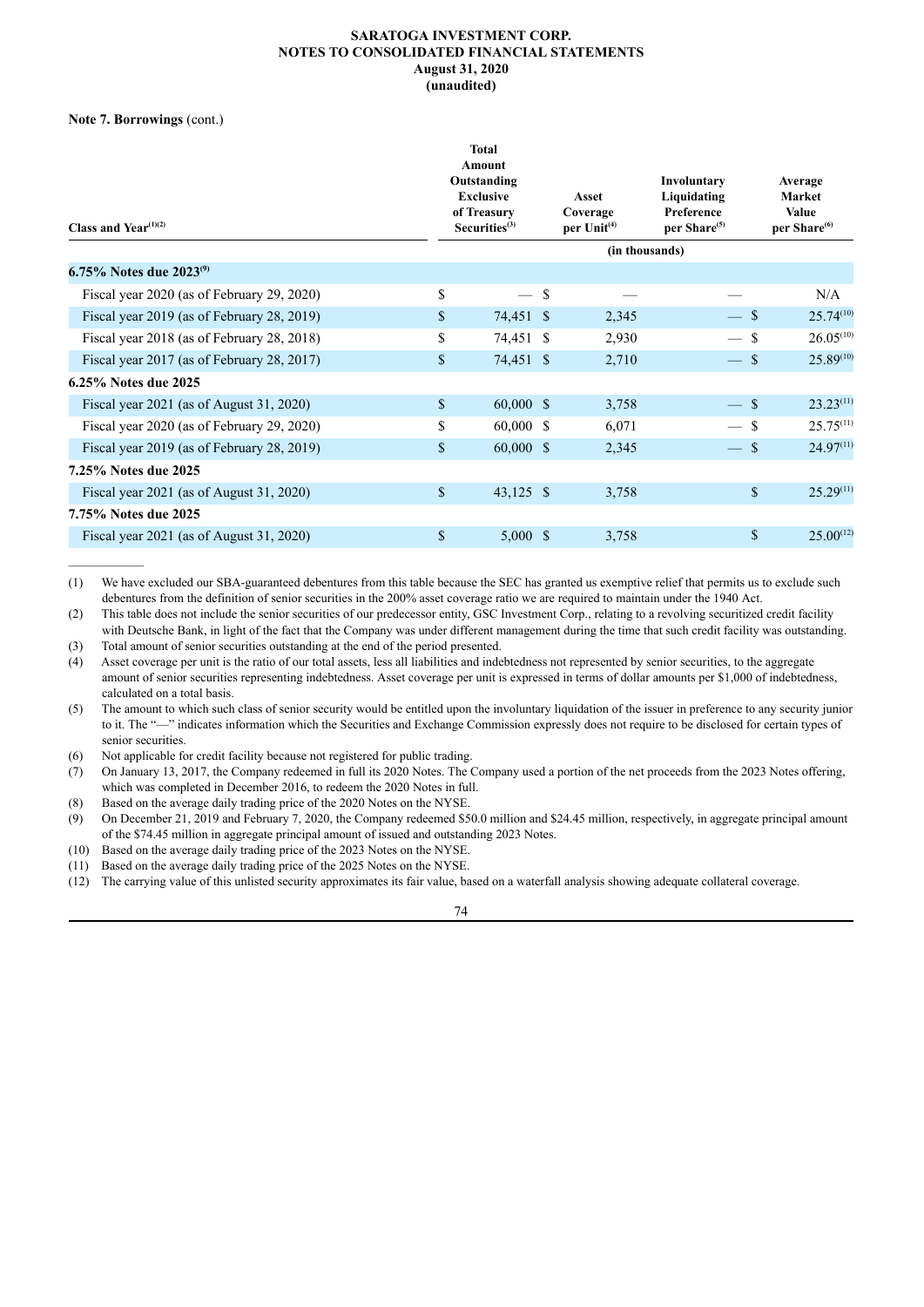**Note 7. Borrowings** (cont.)

| Class and Year <sup><math>(1)(2)</math></sup> | <b>Total</b><br>Amount<br>Outstanding<br><b>Exclusive</b><br>of Treasury<br>Securities <sup>(3)</sup> |    | Asset<br>Coverage<br>per $Unit(4)$ | Involuntary<br>Liquidating<br>Preference<br>per Share <sup>(5)</sup> | Average<br><b>Market</b><br><b>Value</b><br>per Share <sup>(6)</sup> |
|-----------------------------------------------|-------------------------------------------------------------------------------------------------------|----|------------------------------------|----------------------------------------------------------------------|----------------------------------------------------------------------|
|                                               |                                                                                                       |    | (in thousands)                     |                                                                      |                                                                      |
| 6.75% Notes due $2023^{(9)}$                  |                                                                                                       |    |                                    |                                                                      |                                                                      |
| Fiscal year 2020 (as of February 29, 2020)    | \$                                                                                                    | -S |                                    |                                                                      | N/A                                                                  |
| Fiscal year 2019 (as of February 28, 2019)    | \$<br>74,451 \$                                                                                       |    | 2,345                              | $-$ \$                                                               | $25.74^{(10)}$                                                       |
| Fiscal year 2018 (as of February 28, 2018)    | \$<br>74,451 \$                                                                                       |    | 2,930                              |                                                                      | $26.05^{(10)}$<br><sup>\$</sup>                                      |
| Fiscal year 2017 (as of February 28, 2017)    | \$<br>74,451 \$                                                                                       |    | 2,710                              | $\overline{\phantom{0}}$                                             | $25.89^{(10)}$<br>$\mathcal{S}$                                      |
| 6.25% Notes due 2025                          |                                                                                                       |    |                                    |                                                                      |                                                                      |
| Fiscal year $2021$ (as of August 31, 2020)    | \$<br>$60,000 \text{ }$ \$                                                                            |    | 3,758                              | $\qquad \qquad -$                                                    | $23.23^{(11)}$<br>$\mathcal{S}$                                      |
| Fiscal year 2020 (as of February 29, 2020)    | \$<br>$60,000 \text{ }$ \$                                                                            |    | 6,071                              |                                                                      | $25.75^{(11)}$<br><sup>\$</sup>                                      |
| Fiscal year 2019 (as of February 28, 2019)    | \$<br>$60,000 \text{ }$ \$                                                                            |    | 2,345                              | $\frac{1}{2}$                                                        | $24.97^{(11)}$<br><sup>S</sup>                                       |
| 7.25% Notes due 2025                          |                                                                                                       |    |                                    |                                                                      |                                                                      |
| Fiscal year 2021 (as of August 31, 2020)      | \$<br>$43,125$ \$                                                                                     |    | 3,758                              |                                                                      | $\mathbb{S}$<br>$25.29^{(11)}$                                       |
| 7.75% Notes due 2025                          |                                                                                                       |    |                                    |                                                                      |                                                                      |
| Fiscal year $2021$ (as of August 31, 2020)    | \$<br>$5,000 \text{ }$ \$                                                                             |    | 3,758                              |                                                                      | \$<br>$25.00^{(12)}$                                                 |

(1) We have excluded our SBA-guaranteed debentures from this table because the SEC has granted us exemptive relief that permits us to exclude such debentures from the definition of senior securities in the 200% asset coverage ratio we are required to maintain under the 1940 Act.

(2) This table does not include the senior securities of our predecessor entity, GSC Investment Corp., relating to a revolving securitized credit facility with Deutsche Bank, in light of the fact that the Company was under different management during the time that such credit facility was outstanding.

(3) Total amount of senior securities outstanding at the end of the period presented.

(4) Asset coverage per unit is the ratio of our total assets, less all liabilities and indebtedness not represented by senior securities, to the aggregate amount of senior securities representing indebtedness. Asset coverage per unit is expressed in terms of dollar amounts per \$1,000 of indebtedness, calculated on a total basis.

(5) The amount to which such class of senior security would be entitled upon the involuntary liquidation of the issuer in preference to any security junior to it. The "—" indicates information which the Securities and Exchange Commission expressly does not require to be disclosed for certain types of senior securities.

- (6) Not applicable for credit facility because not registered for public trading.
- (7) On January 13, 2017, the Company redeemed in full its 2020 Notes. The Company used a portion of the net proceeds from the 2023 Notes offering, which was completed in December 2016, to redeem the 2020 Notes in full.
- (8) Based on the average daily trading price of the 2020 Notes on the NYSE.

(9) On December 21, 2019 and February 7, 2020, the Company redeemed \$50.0 million and \$24.45 million, respectively, in aggregate principal amount of the \$74.45 million in aggregate principal amount of issued and outstanding 2023 Notes.

(10) Based on the average daily trading price of the 2023 Notes on the NYSE.

(11) Based on the average daily trading price of the 2025 Notes on the NYSE.

(12) The carrying value of this unlisted security approximates its fair value, based on a waterfall analysis showing adequate collateral coverage.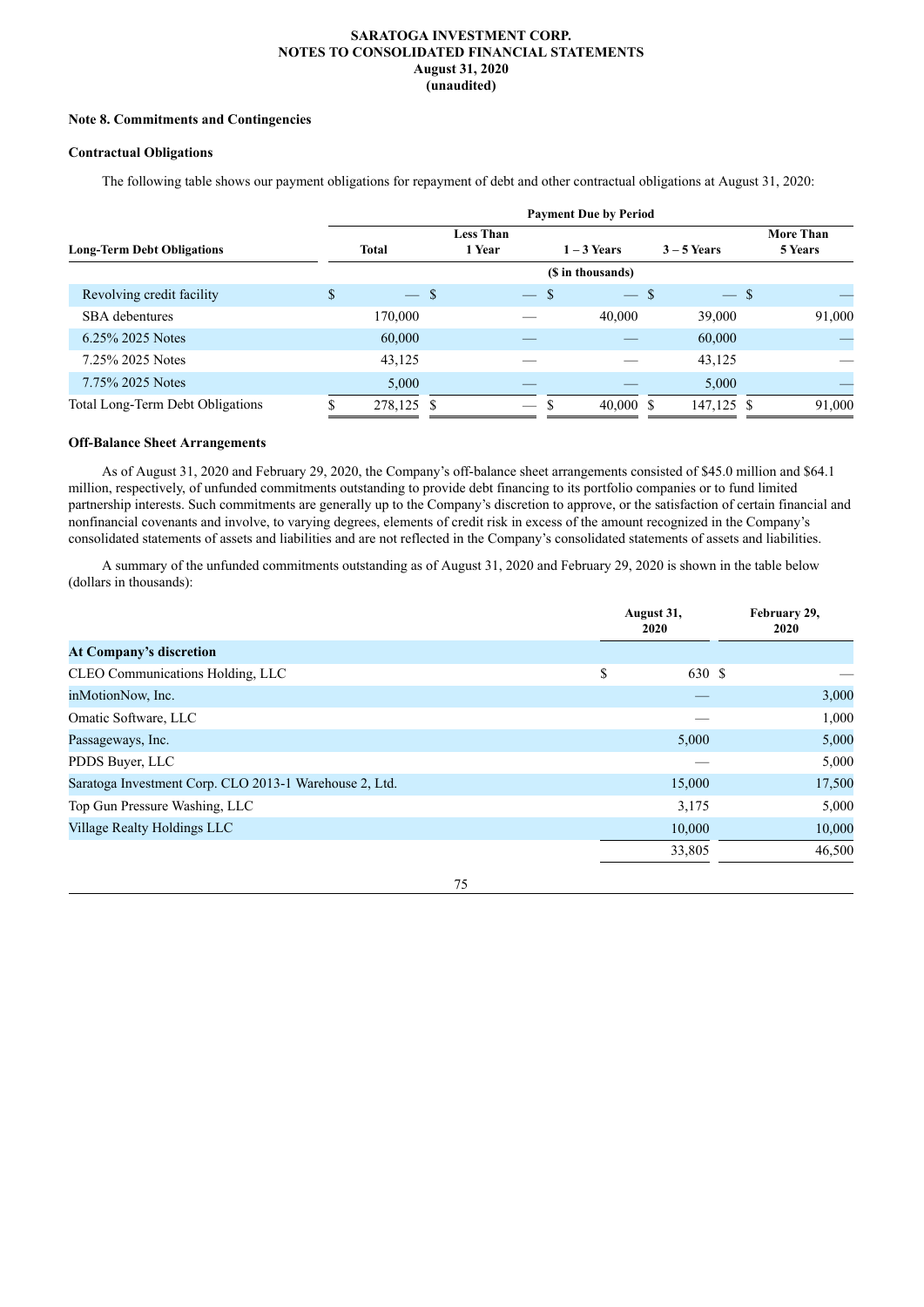## **Note 8. Commitments and Contingencies**

## **Contractual Obligations**

The following table shows our payment obligations for repayment of debt and other contractual obligations at August 31, 2020:

|                                   |              |                          |    | <b>Payment Due by Period</b> |               |                  |
|-----------------------------------|--------------|--------------------------|----|------------------------------|---------------|------------------|
|                                   |              | <b>Less Than</b>         |    |                              |               | <b>More Than</b> |
| <b>Long-Term Debt Obligations</b> | <b>Total</b> | 1 Year                   |    | $1 - 3$ Years                | $3 - 5$ Years | 5 Years          |
|                                   |              |                          |    | (\$ in thousands)            |               |                  |
| Revolving credit facility         | \$<br>$-$ \$ | $\overline{\phantom{0}}$ | -S | $-$ \$                       | $-$ \$        |                  |
| SBA debentures                    | 170,000      |                          |    | 40,000                       | 39,000        | 91,000           |
| 6.25% 2025 Notes                  | 60,000       |                          |    |                              | 60,000        |                  |
| 7.25% 2025 Notes                  | 43,125       |                          |    |                              | 43,125        |                  |
| 7.75% 2025 Notes                  | 5,000        |                          |    |                              | 5,000         |                  |
| Total Long-Term Debt Obligations  | 278,125 \$   |                          |    | $40,000$ \$                  | 147,125 \$    | 91,000           |

# **Off-Balance Sheet Arrangements**

As of August 31, 2020 and February 29, 2020, the Company's off-balance sheet arrangements consisted of \$45.0 million and \$64.1 million, respectively, of unfunded commitments outstanding to provide debt financing to its portfolio companies or to fund limited partnership interests. Such commitments are generally up to the Company's discretion to approve, or the satisfaction of certain financial and nonfinancial covenants and involve, to varying degrees, elements of credit risk in excess of the amount recognized in the Company's consolidated statements of assets and liabilities and are not reflected in the Company's consolidated statements of assets and liabilities.

A summary of the unfunded commitments outstanding as of August 31, 2020 and February 29, 2020 is shown in the table below (dollars in thousands):

|                                                        |    | August 31,<br>2020 | February 29,<br>2020 |  |  |
|--------------------------------------------------------|----|--------------------|----------------------|--|--|
| <b>At Company's discretion</b>                         |    |                    |                      |  |  |
| CLEO Communications Holding, LLC                       | \$ | 630 \$             |                      |  |  |
| inMotionNow, Inc.                                      |    |                    | 3,000                |  |  |
| Omatic Software, LLC                                   |    |                    | 1,000                |  |  |
| Passageways, Inc.                                      |    | 5,000              | 5,000                |  |  |
| PDDS Buyer, LLC                                        |    |                    | 5,000                |  |  |
| Saratoga Investment Corp. CLO 2013-1 Warehouse 2, Ltd. |    | 15,000             | 17,500               |  |  |
| Top Gun Pressure Washing, LLC                          |    | 3,175              | 5,000                |  |  |
| Village Realty Holdings LLC                            |    | 10,000             | 10,000               |  |  |
|                                                        |    | 33,805             | 46,500               |  |  |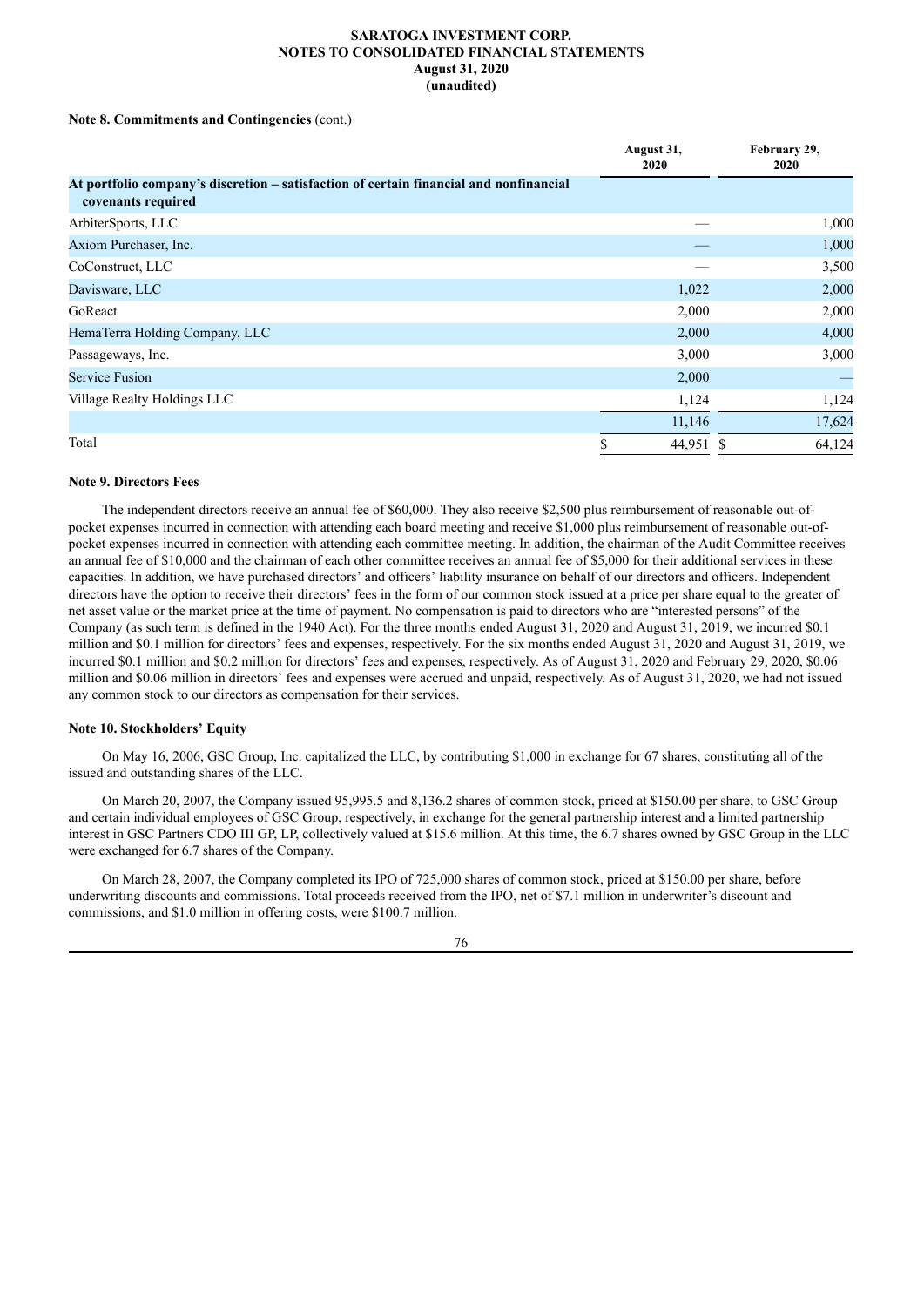## **Note 8. Commitments and Contingencies** (cont.)

|                                                                                                              | August 31,<br><b>2020</b> | February 29,<br>2020 |
|--------------------------------------------------------------------------------------------------------------|---------------------------|----------------------|
| At portfolio company's discretion – satisfaction of certain financial and nonfinancial<br>covenants required |                           |                      |
| ArbiterSports, LLC                                                                                           |                           | 1,000                |
| Axiom Purchaser, Inc.                                                                                        |                           | 1,000                |
| CoConstruct, LLC                                                                                             |                           | 3,500                |
| Davisware, LLC                                                                                               | 1,022                     | 2,000                |
| GoReact                                                                                                      | 2,000                     | 2,000                |
| HemaTerra Holding Company, LLC                                                                               | 2,000                     | 4,000                |
| Passageways, Inc.                                                                                            | 3,000                     | 3,000                |
| <b>Service Fusion</b>                                                                                        | 2,000                     |                      |
| Village Realty Holdings LLC                                                                                  | 1,124                     | 1,124                |
|                                                                                                              | 11,146                    | 17,624               |
| Total                                                                                                        | 44,951 \$                 | 64,124               |

## **Note 9. Directors Fees**

The independent directors receive an annual fee of \$60,000. They also receive \$2,500 plus reimbursement of reasonable out-ofpocket expenses incurred in connection with attending each board meeting and receive \$1,000 plus reimbursement of reasonable out-ofpocket expenses incurred in connection with attending each committee meeting. In addition, the chairman of the Audit Committee receives an annual fee of \$10,000 and the chairman of each other committee receives an annual fee of \$5,000 for their additional services in these capacities. In addition, we have purchased directors' and officers' liability insurance on behalf of our directors and officers. Independent directors have the option to receive their directors' fees in the form of our common stock issued at a price per share equal to the greater of net asset value or the market price at the time of payment. No compensation is paid to directors who are "interested persons" of the Company (as such term is defined in the 1940 Act). For the three months ended August 31, 2020 and August 31, 2019, we incurred \$0.1 million and \$0.1 million for directors' fees and expenses, respectively. For the six months ended August 31, 2020 and August 31, 2019, we incurred \$0.1 million and \$0.2 million for directors' fees and expenses, respectively. As of August 31, 2020 and February 29, 2020, \$0.06 million and \$0.06 million in directors' fees and expenses were accrued and unpaid, respectively. As of August 31, 2020, we had not issued any common stock to our directors as compensation for their services.

## **Note 10. Stockholders' Equity**

On May 16, 2006, GSC Group, Inc. capitalized the LLC, by contributing \$1,000 in exchange for 67 shares, constituting all of the issued and outstanding shares of the LLC.

On March 20, 2007, the Company issued 95,995.5 and 8,136.2 shares of common stock, priced at \$150.00 per share, to GSC Group and certain individual employees of GSC Group, respectively, in exchange for the general partnership interest and a limited partnership interest in GSC Partners CDO III GP, LP, collectively valued at \$15.6 million. At this time, the 6.7 shares owned by GSC Group in the LLC were exchanged for 6.7 shares of the Company.

On March 28, 2007, the Company completed its IPO of 725,000 shares of common stock, priced at \$150.00 per share, before underwriting discounts and commissions. Total proceeds received from the IPO, net of \$7.1 million in underwriter's discount and commissions, and \$1.0 million in offering costs, were \$100.7 million.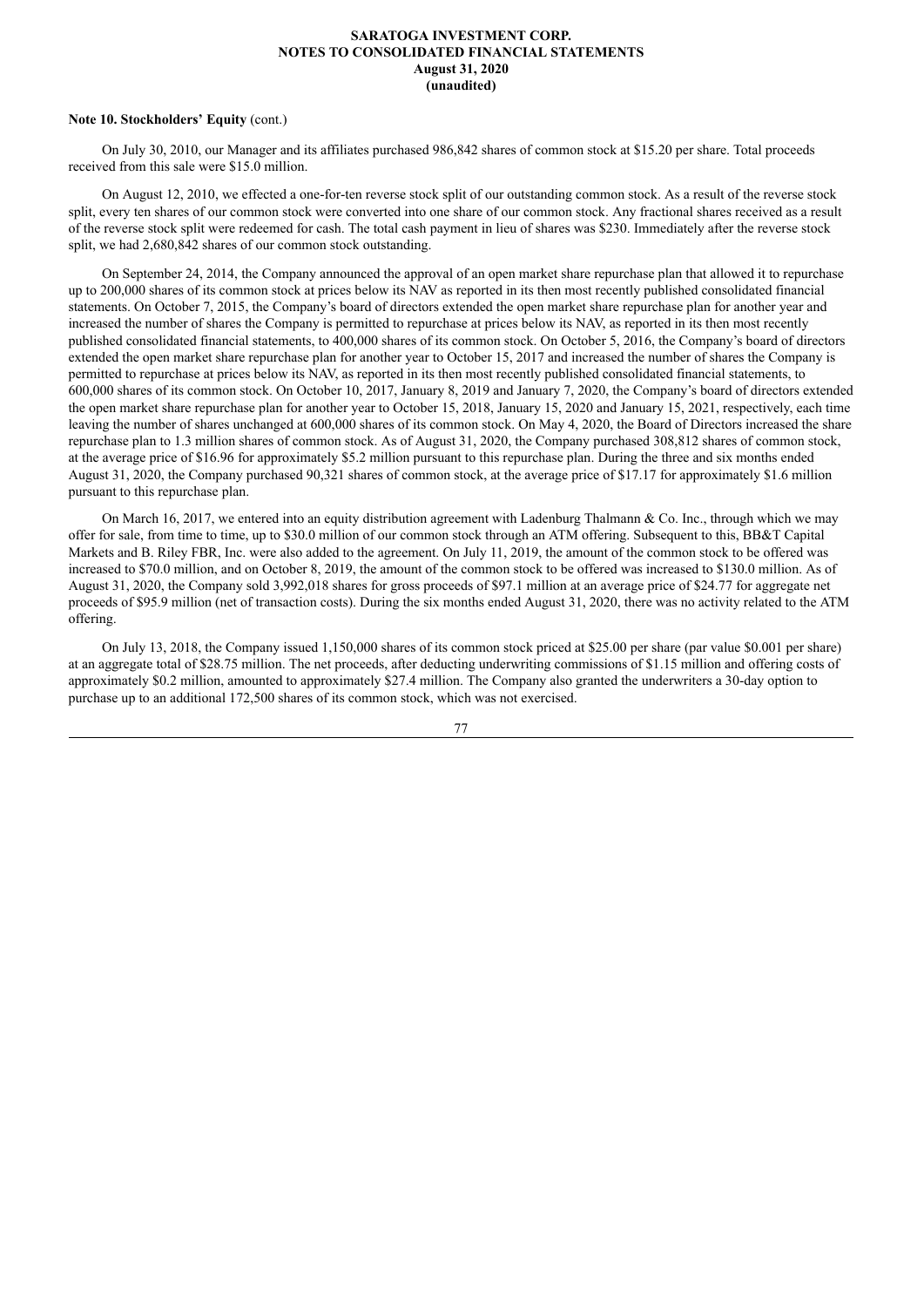### **Note 10. Stockholders' Equity** (cont.)

On July 30, 2010, our Manager and its affiliates purchased 986,842 shares of common stock at \$15.20 per share. Total proceeds received from this sale were \$15.0 million.

On August 12, 2010, we effected a one-for-ten reverse stock split of our outstanding common stock. As a result of the reverse stock split, every ten shares of our common stock were converted into one share of our common stock. Any fractional shares received as a result of the reverse stock split were redeemed for cash. The total cash payment in lieu of shares was \$230. Immediately after the reverse stock split, we had 2,680,842 shares of our common stock outstanding.

On September 24, 2014, the Company announced the approval of an open market share repurchase plan that allowed it to repurchase up to 200,000 shares of its common stock at prices below its NAV as reported in its then most recently published consolidated financial statements. On October 7, 2015, the Company's board of directors extended the open market share repurchase plan for another year and increased the number of shares the Company is permitted to repurchase at prices below its NAV, as reported in its then most recently published consolidated financial statements, to 400,000 shares of its common stock. On October 5, 2016, the Company's board of directors extended the open market share repurchase plan for another year to October 15, 2017 and increased the number of shares the Company is permitted to repurchase at prices below its NAV, as reported in its then most recently published consolidated financial statements, to 600,000 shares of its common stock. On October 10, 2017, January 8, 2019 and January 7, 2020, the Company's board of directors extended the open market share repurchase plan for another year to October 15, 2018, January 15, 2020 and January 15, 2021, respectively, each time leaving the number of shares unchanged at 600,000 shares of its common stock. On May 4, 2020, the Board of Directors increased the share repurchase plan to 1.3 million shares of common stock. As of August 31, 2020, the Company purchased 308,812 shares of common stock, at the average price of \$16.96 for approximately \$5.2 million pursuant to this repurchase plan. During the three and six months ended August 31, 2020, the Company purchased 90,321 shares of common stock, at the average price of \$17.17 for approximately \$1.6 million pursuant to this repurchase plan.

On March 16, 2017, we entered into an equity distribution agreement with Ladenburg Thalmann  $\&$  Co. Inc., through which we may offer for sale, from time to time, up to \$30.0 million of our common stock through an ATM offering. Subsequent to this, BB&T Capital Markets and B. Riley FBR, Inc. were also added to the agreement. On July 11, 2019, the amount of the common stock to be offered was increased to \$70.0 million, and on October 8, 2019, the amount of the common stock to be offered was increased to \$130.0 million. As of August 31, 2020, the Company sold 3,992,018 shares for gross proceeds of \$97.1 million at an average price of \$24.77 for aggregate net proceeds of \$95.9 million (net of transaction costs). During the six months ended August 31, 2020, there was no activity related to the ATM offering.

On July 13, 2018, the Company issued 1,150,000 shares of its common stock priced at \$25.00 per share (par value \$0.001 per share) at an aggregate total of \$28.75 million. The net proceeds, after deducting underwriting commissions of \$1.15 million and offering costs of approximately \$0.2 million, amounted to approximately \$27.4 million. The Company also granted the underwriters a 30-day option to purchase up to an additional 172,500 shares of its common stock, which was not exercised.

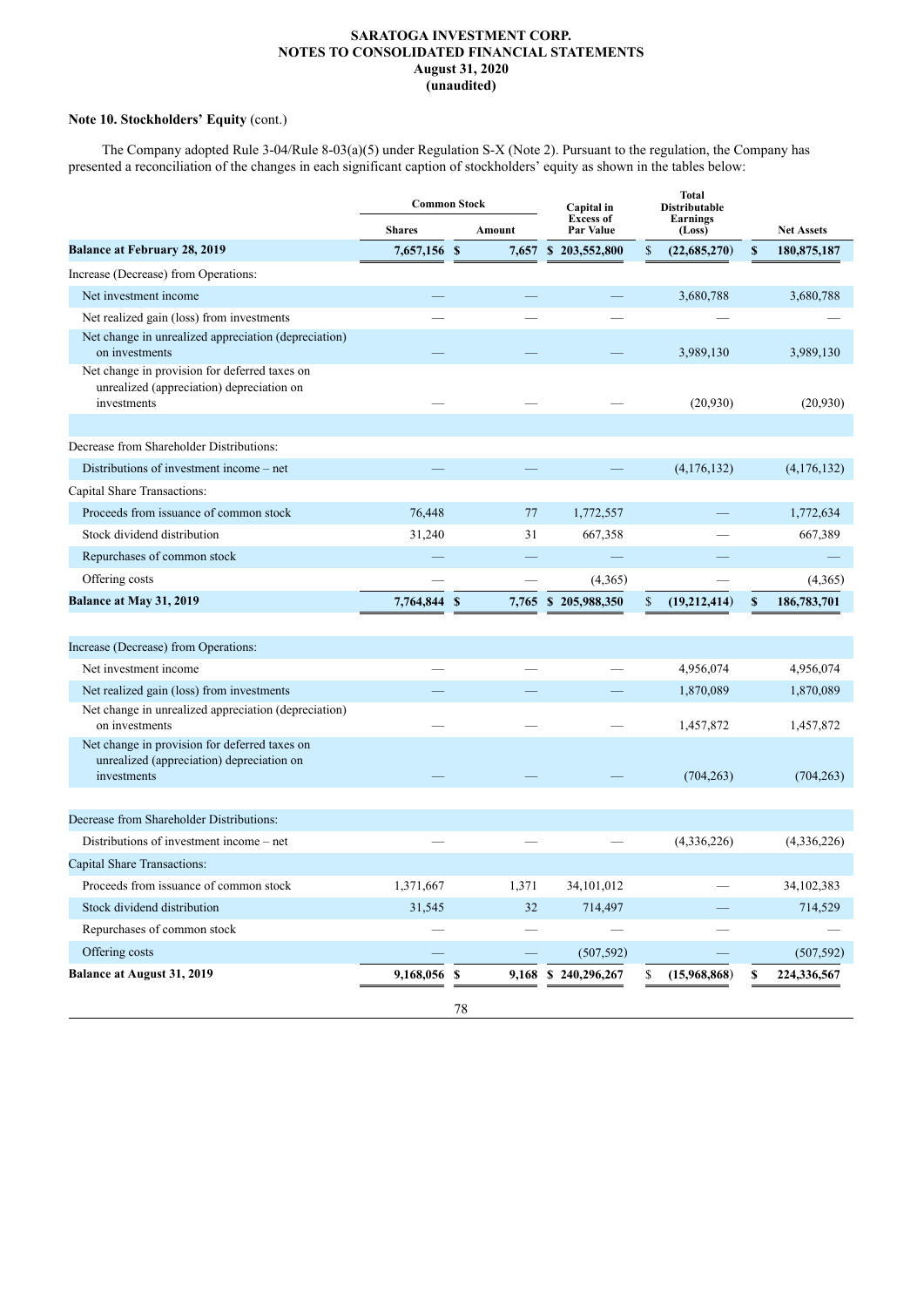# **Note 10. Stockholders' Equity** (cont.)

The Company adopted Rule 3-04/Rule 8-03(a)(5) under Regulation S-X (Note 2). Pursuant to the regulation, the Company has presented a reconciliation of the changes in each significant caption of stockholders' equity as shown in the tables below:

|                                                                                                           |               | <b>Common Stock</b> | Capital in<br><b>Excess of</b> | <b>Total</b><br>Distributable |              |                   |
|-----------------------------------------------------------------------------------------------------------|---------------|---------------------|--------------------------------|-------------------------------|--------------|-------------------|
|                                                                                                           | <b>Shares</b> | Amount              | Par Value                      | Earnings<br>(Loss)            |              | <b>Net Assets</b> |
| <b>Balance at February 28, 2019</b>                                                                       | 7,657,156 \$  |                     | 7,657 \$ 203,552,800           | \$<br>(22, 685, 270)          | $\mathbf{s}$ | 180,875,187       |
| Increase (Decrease) from Operations:                                                                      |               |                     |                                |                               |              |                   |
| Net investment income                                                                                     |               |                     |                                | 3,680,788                     |              | 3,680,788         |
| Net realized gain (loss) from investments                                                                 |               |                     |                                |                               |              |                   |
| Net change in unrealized appreciation (depreciation)<br>on investments                                    |               |                     |                                | 3,989,130                     |              | 3,989,130         |
| Net change in provision for deferred taxes on<br>unrealized (appreciation) depreciation on<br>investments |               |                     |                                | (20,930)                      |              | (20,930)          |
|                                                                                                           |               |                     |                                |                               |              |                   |
| Decrease from Shareholder Distributions:                                                                  |               |                     |                                |                               |              |                   |
| Distributions of investment income – net                                                                  |               |                     |                                | (4,176,132)                   |              | (4,176,132)       |
| Capital Share Transactions:                                                                               |               |                     |                                |                               |              |                   |
| Proceeds from issuance of common stock                                                                    | 76,448        | 77                  | 1,772,557                      |                               |              | 1,772,634         |
| Stock dividend distribution                                                                               | 31,240        | 31                  | 667,358                        |                               |              | 667,389           |
| Repurchases of common stock                                                                               |               |                     |                                |                               |              |                   |
| Offering costs                                                                                            |               |                     | (4,365)                        |                               |              | (4,365)           |
| Balance at May 31, 2019                                                                                   | 7,764,844 \$  | 7,765               | \$205,988,350                  | \$<br>(19,212,414)            | \$           | 186,783,701       |
|                                                                                                           |               |                     |                                |                               |              |                   |
| Increase (Decrease) from Operations:                                                                      |               |                     |                                |                               |              |                   |
| Net investment income                                                                                     |               |                     |                                | 4,956,074                     |              | 4,956,074         |
| Net realized gain (loss) from investments                                                                 |               |                     |                                | 1,870,089                     |              | 1,870,089         |
| Net change in unrealized appreciation (depreciation)<br>on investments                                    |               |                     |                                | 1,457,872                     |              | 1,457,872         |
| Net change in provision for deferred taxes on<br>unrealized (appreciation) depreciation on<br>investments |               |                     |                                | (704, 263)                    |              | (704, 263)        |
|                                                                                                           |               |                     |                                |                               |              |                   |
| Decrease from Shareholder Distributions:                                                                  |               |                     |                                |                               |              |                   |
| Distributions of investment income – net                                                                  |               |                     |                                | (4,336,226)                   |              | (4,336,226)       |
| <b>Capital Share Transactions:</b>                                                                        |               |                     |                                |                               |              |                   |
| Proceeds from issuance of common stock                                                                    | 1,371,667     | 1,371               | 34,101,012                     |                               |              | 34,102,383        |
| Stock dividend distribution                                                                               | 31,545        | 32                  | 714,497                        |                               |              | 714,529           |
| Repurchases of common stock                                                                               |               |                     |                                |                               |              |                   |
| Offering costs                                                                                            |               |                     | (507, 592)                     |                               |              | (507, 592)        |
| <b>Balance at August 31, 2019</b>                                                                         | 9,168,056 \$  | 9,168               | \$240,296,267                  | (15,968,868)<br>S             | \$           | 224,336,567       |
|                                                                                                           |               | $78\,$              |                                |                               |              |                   |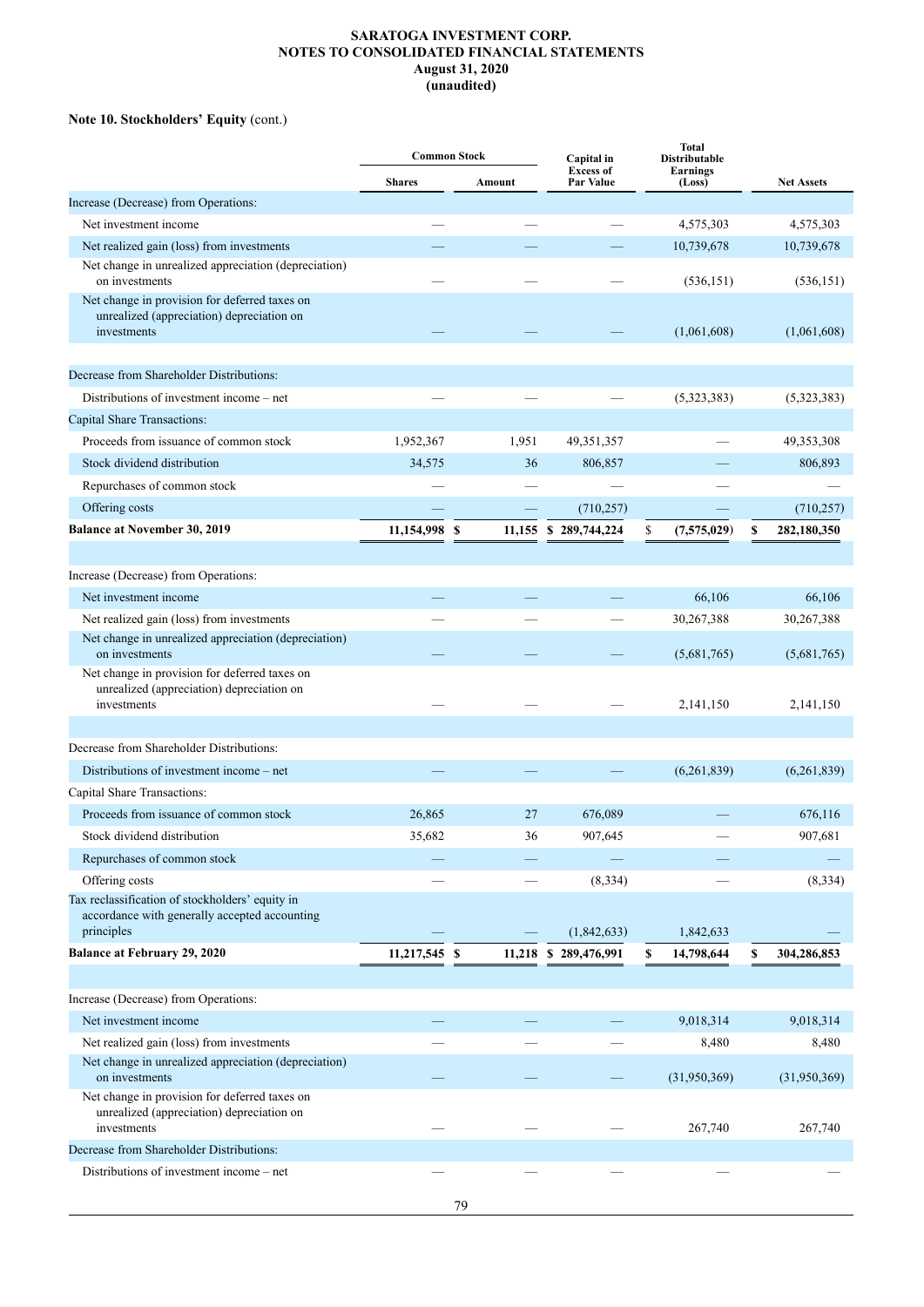# **Note 10. Stockholders' Equity** (cont.)

|                                                                                                                     | <b>Common Stock</b> |        | Capital in                    | <b>Total</b><br>Distributable |                       |
|---------------------------------------------------------------------------------------------------------------------|---------------------|--------|-------------------------------|-------------------------------|-----------------------|
|                                                                                                                     | <b>Shares</b>       | Amount | <b>Excess of</b><br>Par Value | Earnings<br>(Loss)            | <b>Net Assets</b>     |
| Increase (Decrease) from Operations:                                                                                |                     |        |                               |                               |                       |
| Net investment income                                                                                               |                     |        |                               | 4,575,303                     | 4,575,303             |
| Net realized gain (loss) from investments                                                                           |                     |        |                               | 10,739,678                    | 10,739,678            |
| Net change in unrealized appreciation (depreciation)<br>on investments                                              |                     |        |                               | (536, 151)                    | (536, 151)            |
| Net change in provision for deferred taxes on<br>unrealized (appreciation) depreciation on<br>investments           |                     |        |                               | (1,061,608)                   | (1,061,608)           |
| Decrease from Shareholder Distributions:                                                                            |                     |        |                               |                               |                       |
| Distributions of investment income – net                                                                            |                     |        |                               | (5,323,383)                   | (5,323,383)           |
| <b>Capital Share Transactions:</b>                                                                                  |                     |        |                               |                               |                       |
| Proceeds from issuance of common stock                                                                              | 1,952,367           | 1,951  | 49,351,357                    |                               | 49,353,308            |
| Stock dividend distribution                                                                                         | 34,575              | 36     | 806,857                       |                               | 806,893               |
| Repurchases of common stock                                                                                         |                     |        |                               |                               |                       |
| Offering costs                                                                                                      |                     |        | (710, 257)                    |                               | (710, 257)            |
| <b>Balance at November 30, 2019</b>                                                                                 | 11,154,998          | \$     | 11,155 \$ 289,744,224         | \$<br>(7,575,029)             | \$<br>282,180,350     |
|                                                                                                                     |                     |        |                               |                               |                       |
| Increase (Decrease) from Operations:                                                                                |                     |        |                               |                               |                       |
| Net investment income                                                                                               |                     |        |                               | 66,106                        | 66,106                |
| Net realized gain (loss) from investments                                                                           |                     |        |                               | 30,267,388                    | 30,267,388            |
| Net change in unrealized appreciation (depreciation)<br>on investments                                              |                     |        |                               | (5,681,765)                   | (5,681,765)           |
| Net change in provision for deferred taxes on<br>unrealized (appreciation) depreciation on<br>investments           |                     |        |                               | 2,141,150                     | 2,141,150             |
|                                                                                                                     |                     |        |                               |                               |                       |
| Decrease from Shareholder Distributions:                                                                            |                     |        |                               |                               |                       |
| Distributions of investment income – net                                                                            |                     |        |                               | (6,261,839)                   | (6,261,839)           |
| Capital Share Transactions:                                                                                         |                     |        |                               |                               |                       |
| Proceeds from issuance of common stock                                                                              | 26,865              | 27     | 676,089                       |                               | 676,116               |
| Stock dividend distribution                                                                                         | 35,682              | 36     | 907,645                       |                               | 907,681               |
| Repurchases of common stock                                                                                         |                     |        |                               |                               |                       |
| Offering costs                                                                                                      |                     |        | (8, 334)                      |                               | (8, 334)              |
| Tax reclassification of stockholders' equity in<br>accordance with generally accepted accounting<br>principles      |                     |        |                               |                               |                       |
| <b>Balance at February 29, 2020</b>                                                                                 |                     |        | (1,842,633)                   | 1,842,633                     |                       |
|                                                                                                                     | 11,217,545 \$       |        | 11,218 \$ 289,476,991         | 14,798,644<br>\$              | \$<br>304,286,853     |
|                                                                                                                     |                     |        |                               |                               |                       |
| Increase (Decrease) from Operations:<br>Net investment income                                                       |                     |        |                               |                               |                       |
|                                                                                                                     |                     |        |                               | 9,018,314                     | 9,018,314             |
| Net realized gain (loss) from investments<br>Net change in unrealized appreciation (depreciation)<br>on investments |                     |        |                               | 8,480<br>(31,950,369)         | 8,480<br>(31,950,369) |
| Net change in provision for deferred taxes on<br>unrealized (appreciation) depreciation on<br>investments           |                     |        |                               | 267,740                       | 267,740               |
| Decrease from Shareholder Distributions:                                                                            |                     |        |                               |                               |                       |
| Distributions of investment income - net                                                                            |                     |        |                               |                               |                       |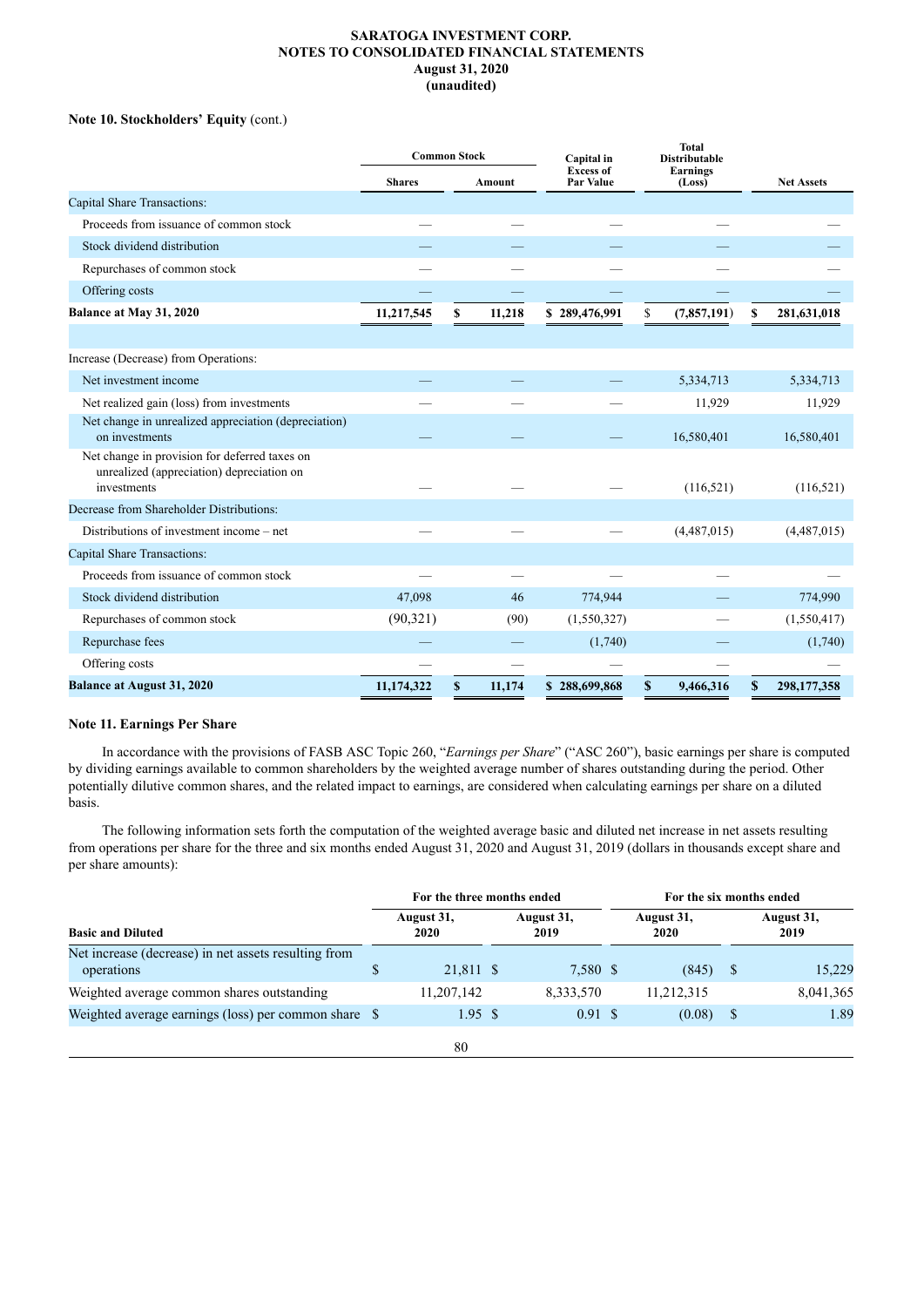# **Note 10. Stockholders' Equity** (cont.)

|                                                                                                           | <b>Common Stock</b> |    | Capital in | <b>Total</b><br><b>Distributable</b> |                           |    |                   |
|-----------------------------------------------------------------------------------------------------------|---------------------|----|------------|--------------------------------------|---------------------------|----|-------------------|
|                                                                                                           | <b>Shares</b>       |    | Amount     | <b>Excess of</b><br>Par Value        | <b>Earnings</b><br>(Loss) |    | <b>Net Assets</b> |
| <b>Capital Share Transactions:</b>                                                                        |                     |    |            |                                      |                           |    |                   |
| Proceeds from issuance of common stock                                                                    |                     |    |            |                                      |                           |    |                   |
| Stock dividend distribution                                                                               |                     |    |            |                                      |                           |    |                   |
| Repurchases of common stock                                                                               |                     |    |            |                                      |                           |    |                   |
| Offering costs                                                                                            |                     |    |            |                                      |                           |    |                   |
| Balance at May 31, 2020                                                                                   | 11,217,545          | \$ | 11,218     | \$289,476,991                        | \$<br>(7,857,191)         | \$ | 281,631,018       |
|                                                                                                           |                     |    |            |                                      |                           |    |                   |
| Increase (Decrease) from Operations:                                                                      |                     |    |            |                                      |                           |    |                   |
| Net investment income                                                                                     |                     |    |            |                                      | 5,334,713                 |    | 5,334,713         |
| Net realized gain (loss) from investments                                                                 |                     |    |            |                                      | 11,929                    |    | 11,929            |
| Net change in unrealized appreciation (depreciation)<br>on investments                                    |                     |    |            |                                      | 16,580,401                |    | 16,580,401        |
| Net change in provision for deferred taxes on<br>unrealized (appreciation) depreciation on<br>investments |                     |    |            |                                      | (116, 521)                |    | (116, 521)        |
| Decrease from Shareholder Distributions:                                                                  |                     |    |            |                                      |                           |    |                   |
| Distributions of investment income – net                                                                  |                     |    |            |                                      | (4,487,015)               |    | (4,487,015)       |
| Capital Share Transactions:                                                                               |                     |    |            |                                      |                           |    |                   |
| Proceeds from issuance of common stock                                                                    |                     |    |            |                                      |                           |    |                   |
| Stock dividend distribution                                                                               | 47,098              |    | 46         | 774,944                              |                           |    | 774,990           |
| Repurchases of common stock                                                                               | (90, 321)           |    | (90)       | (1,550,327)                          |                           |    | (1,550,417)       |
| Repurchase fees                                                                                           |                     |    |            | (1,740)                              |                           |    | (1,740)           |
| Offering costs                                                                                            |                     |    |            |                                      |                           |    |                   |
| <b>Balance at August 31, 2020</b>                                                                         | 11,174,322          | \$ | 11,174     | \$288,699,868                        | \$<br>9,466,316           | \$ | 298,177,358       |

# **Note 11. Earnings Per Share**

In accordance with the provisions of FASB ASC Topic 260, "*Earnings per Share*" ("ASC 260"), basic earnings per share is computed by dividing earnings available to common shareholders by the weighted average number of shares outstanding during the period. Other potentially dilutive common shares, and the related impact to earnings, are considered when calculating earnings per share on a diluted basis.

The following information sets forth the computation of the weighted average basic and diluted net increase in net assets resulting from operations per share for the three and six months ended August 31, 2020 and August 31, 2019 (dollars in thousands except share and per share amounts):

| <b>Basic and Diluted</b>                                           |    |                    |                    | For the three months ended  |                    |            |                    | For the six months ended |  |  |
|--------------------------------------------------------------------|----|--------------------|--------------------|-----------------------------|--------------------|------------|--------------------|--------------------------|--|--|
|                                                                    |    | August 31,<br>2020 | August 31,<br>2019 |                             | August 31,<br>2020 |            | August 31,<br>2019 |                          |  |  |
| Net increase (decrease) in net assets resulting from<br>operations | \$ | 21,811 \$          |                    | 7,580 \$                    |                    | (845)      |                    | 15,229                   |  |  |
| Weighted average common shares outstanding                         |    | 11,207,142         |                    | 8,333,570                   |                    | 11,212,315 |                    | 8,041,365                |  |  |
| Weighted average earnings (loss) per common share \$               |    | 1.95S              |                    | $0.91 \text{ \textdegree }$ |                    | (0.08)     |                    | 1.89                     |  |  |
|                                                                    |    | 80                 |                    |                             |                    |            |                    |                          |  |  |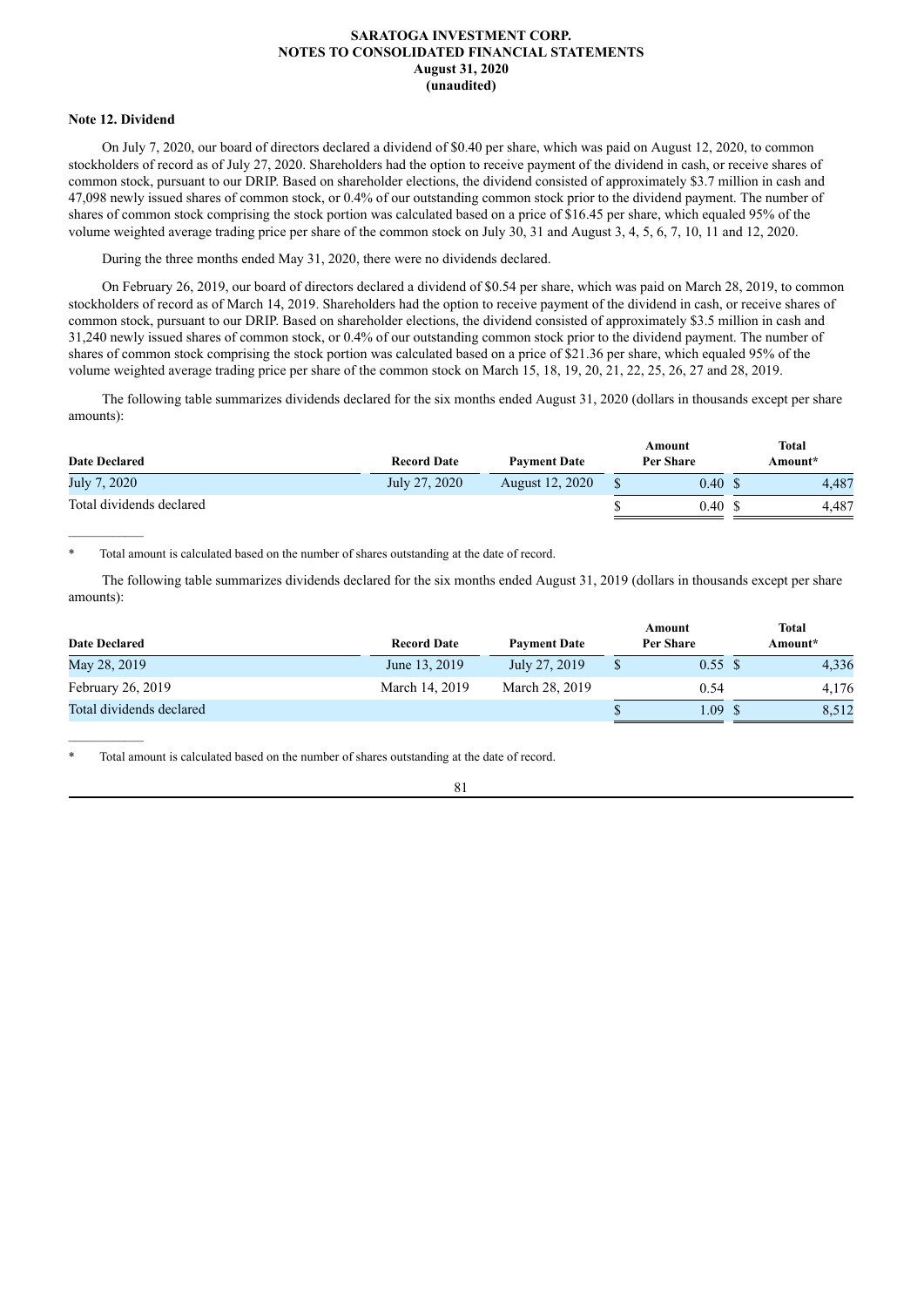## **Note 12. Dividend**

On July 7, 2020, our board of directors declared a dividend of \$0.40 per share, which was paid on August 12, 2020, to common stockholders of record as of July 27, 2020. Shareholders had the option to receive payment of the dividend in cash, or receive shares of common stock, pursuant to our DRIP. Based on shareholder elections, the dividend consisted of approximately \$3.7 million in cash and 47,098 newly issued shares of common stock, or 0.4% of our outstanding common stock prior to the dividend payment. The number of shares of common stock comprising the stock portion was calculated based on a price of \$16.45 per share, which equaled 95% of the volume weighted average trading price per share of the common stock on July 30, 31 and August 3, 4, 5, 6, 7, 10, 11 and 12, 2020.

During the three months ended May 31, 2020, there were no dividends declared.

On February 26, 2019, our board of directors declared a dividend of \$0.54 per share, which was paid on March 28, 2019, to common stockholders of record as of March 14, 2019. Shareholders had the option to receive payment of the dividend in cash, or receive shares of common stock, pursuant to our DRIP. Based on shareholder elections, the dividend consisted of approximately \$3.5 million in cash and 31,240 newly issued shares of common stock, or 0.4% of our outstanding common stock prior to the dividend payment. The number of shares of common stock comprising the stock portion was calculated based on a price of \$21.36 per share, which equaled 95% of the volume weighted average trading price per share of the common stock on March 15, 18, 19, 20, 21, 22, 25, 26, 27 and 28, 2019.

The following table summarizes dividends declared for the six months ended August 31, 2020 (dollars in thousands except per share amounts):

| <b>Date Declared</b>     | <b>Record Date</b> | <b>Payment Date</b> | Amount<br>Per Share | Total<br>Amount* |
|--------------------------|--------------------|---------------------|---------------------|------------------|
| July 7, 2020             | July 27, 2020      | August 12, 2020     | 0.40 S              | 4.487            |
| Total dividends declared |                    |                     | 0.40S               | 4.487            |

Total amount is calculated based on the number of shares outstanding at the date of record.

The following table summarizes dividends declared for the six months ended August 31, 2019 (dollars in thousands except per share amounts):

| <b>Date Declared</b>     | <b>Record Date</b> | <b>Payment Date</b> | Amount<br>Per Share | <b>Total</b><br>Amount* |
|--------------------------|--------------------|---------------------|---------------------|-------------------------|
| May 28, 2019             | June 13, 2019      | July 27, 2019       | 0.55 S              | 4,336                   |
| February 26, 2019        | March 14, 2019     | March 28, 2019      | 0.54                | 4.176                   |
| Total dividends declared |                    |                     | . 09                | 8,512                   |

Total amount is calculated based on the number of shares outstanding at the date of record.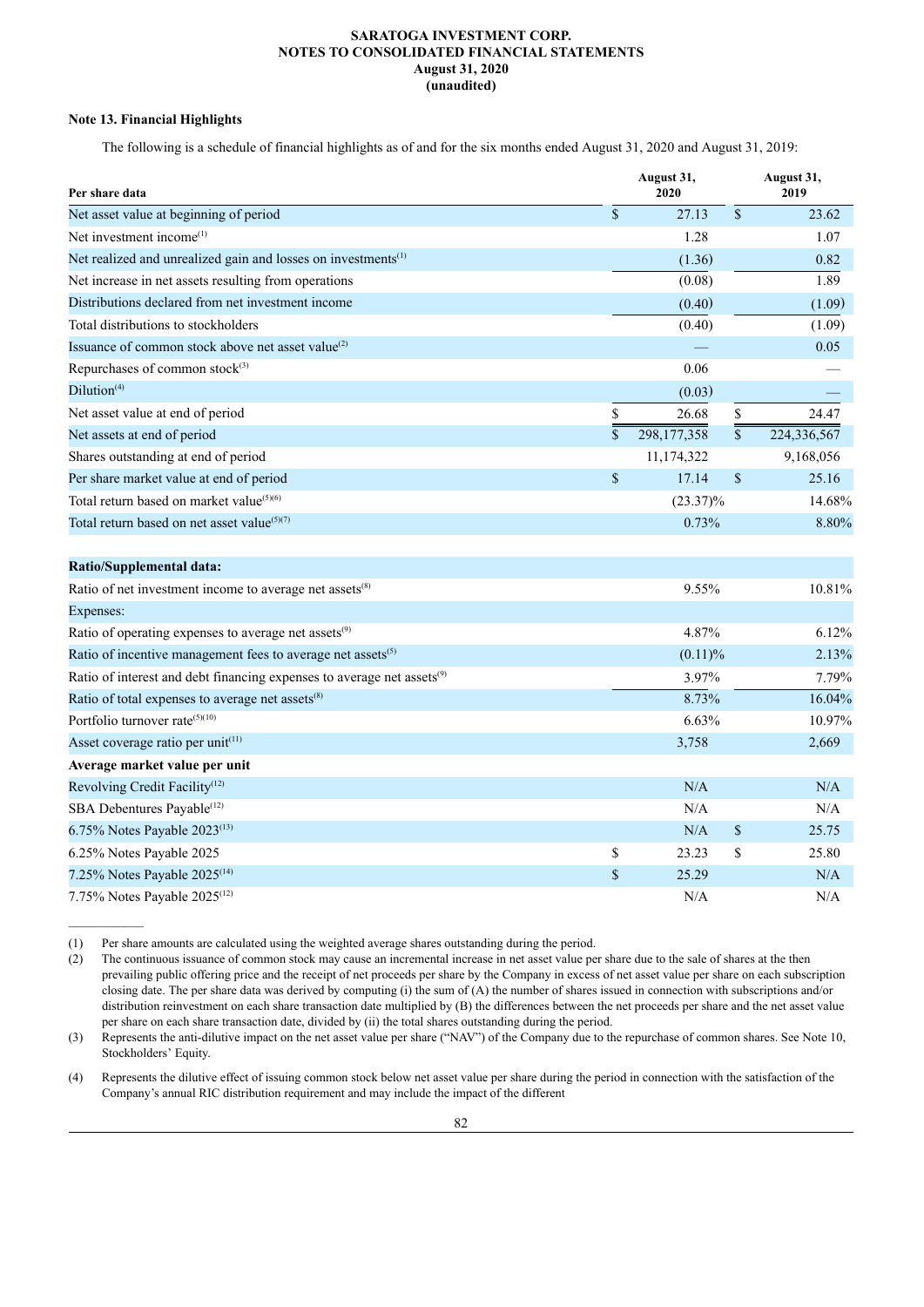# **Note 13. Financial Highlights**

 $\mathcal{L}=\mathcal{L}^{\mathcal{L}}$ 

The following is a schedule of financial highlights as of and for the six months ended August 31, 2020 and August 31, 2019:

| Per share data                                                                     | August 31,<br>2020  |                 | August 31,<br>2019 |
|------------------------------------------------------------------------------------|---------------------|-----------------|--------------------|
| Net asset value at beginning of period                                             | \$<br>27.13         | $\mathcal{S}$   | 23.62              |
| Net investment income <sup>(1)</sup>                                               | 1.28                |                 | 1.07               |
| Net realized and unrealized gain and losses on investments <sup>(1)</sup>          | (1.36)              |                 | 0.82               |
| Net increase in net assets resulting from operations                               | (0.08)              |                 | 1.89               |
| Distributions declared from net investment income                                  | (0.40)              |                 | (1.09)             |
| Total distributions to stockholders                                                | (0.40)              |                 | (1.09)             |
| Issuance of common stock above net asset value <sup>(2)</sup>                      |                     |                 | 0.05               |
| Repurchases of common stock <sup>(3)</sup>                                         | 0.06                |                 |                    |
| Dilution <sup>(4)</sup>                                                            | (0.03)              |                 |                    |
| Net asset value at end of period                                                   | \$<br>26.68         | $\mathbb{S}$    | 24.47              |
| Net assets at end of period                                                        | \$<br>298, 177, 358 | $\overline{\$}$ | 224,336,567        |
| Shares outstanding at end of period                                                | 11,174,322          |                 | 9,168,056          |
| Per share market value at end of period                                            | \$<br>17.14         | \$              | 25.16              |
| Total return based on market value <sup>(5)(6)</sup>                               | $(23.37)\%$         |                 | 14.68%             |
| Total return based on net asset value <sup>(5)(7)</sup>                            | 0.73%               |                 | 8.80%              |
| <b>Ratio/Supplemental data:</b>                                                    |                     |                 |                    |
| Ratio of net investment income to average net assets <sup>(8)</sup>                | 9.55%               |                 | 10.81%             |
| Expenses:                                                                          |                     |                 |                    |
| Ratio of operating expenses to average net assets <sup>(9)</sup>                   | 4.87%               |                 | 6.12%              |
| Ratio of incentive management fees to average net assets <sup>(5)</sup>            | $(0.11)\%$          |                 | 2.13%              |
| Ratio of interest and debt financing expenses to average net assets <sup>(9)</sup> | 3.97%               |                 | 7.79%              |
| Ratio of total expenses to average net assets <sup>(8)</sup>                       | 8.73%               |                 | 16.04%             |
| Portfolio turnover rate <sup>(5)(10)</sup>                                         | 6.63%               |                 | 10.97%             |
| Asset coverage ratio per unit <sup>(11)</sup>                                      | 3,758               |                 | 2,669              |
| Average market value per unit                                                      |                     |                 |                    |
| Revolving Credit Facility <sup>(12)</sup>                                          | N/A                 |                 | N/A                |
| SBA Debentures Payable <sup>(12)</sup>                                             | N/A                 |                 | N/A                |
| 6.75% Notes Payable $2023^{(13)}$                                                  | N/A                 | \$              | 25.75              |
| 6.25% Notes Payable 2025                                                           | \$<br>23.23         | \$              | 25.80              |
| 7.25% Notes Payable 2025 <sup>(14)</sup>                                           | \$<br>25.29         |                 | N/A                |
| 7.75% Notes Payable $2025^{(12)}$                                                  | N/A                 |                 | N/A                |

(1) Per share amounts are calculated using the weighted average shares outstanding during the period.

(2) The continuous issuance of common stock may cause an incremental increase in net asset value per share due to the sale of shares at the then prevailing public offering price and the receipt of net proceeds per share by the Company in excess of net asset value per share on each subscription closing date. The per share data was derived by computing (i) the sum of (A) the number of shares issued in connection with subscriptions and/or distribution reinvestment on each share transaction date multiplied by (B) the differences between the net proceeds per share and the net asset value per share on each share transaction date, divided by (ii) the total shares outstanding during the period.

(3) Represents the anti-dilutive impact on the net asset value per share ("NAV") of the Company due to the repurchase of common shares. See Note 10, Stockholders' Equity.

(4) Represents the dilutive effect of issuing common stock below net asset value per share during the period in connection with the satisfaction of the Company's annual RIC distribution requirement and may include the impact of the different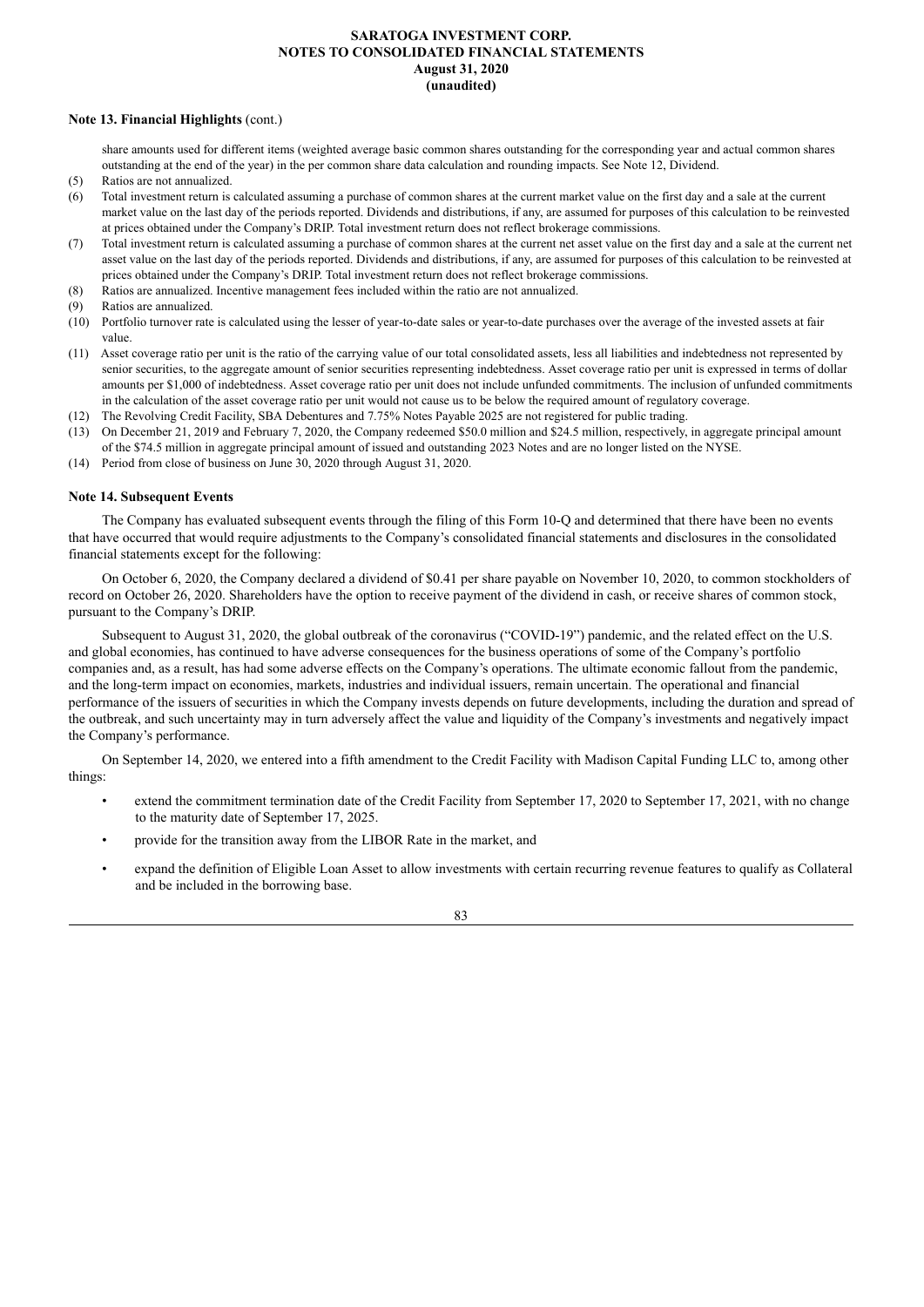## **Note 13. Financial Highlights** (cont.)

share amounts used for different items (weighted average basic common shares outstanding for the corresponding year and actual common shares outstanding at the end of the year) in the per common share data calculation and rounding impacts. See Note 12, Dividend.

- (5) Ratios are not annualized.
- (6) Total investment return is calculated assuming a purchase of common shares at the current market value on the first day and a sale at the current market value on the last day of the periods reported. Dividends and distributions, if any, are assumed for purposes of this calculation to be reinvested at prices obtained under the Company's DRIP. Total investment return does not reflect brokerage commissions.
- (7) Total investment return is calculated assuming a purchase of common shares at the current net asset value on the first day and a sale at the current net asset value on the last day of the periods reported. Dividends and distributions, if any, are assumed for purposes of this calculation to be reinvested at prices obtained under the Company's DRIP. Total investment return does not reflect brokerage commissions.
- (8) Ratios are annualized. Incentive management fees included within the ratio are not annualized.
- (9) Ratios are annualized.
- (10) Portfolio turnover rate is calculated using the lesser of year-to-date sales or year-to-date purchases over the average of the invested assets at fair value.
- (11) Asset coverage ratio per unit is the ratio of the carrying value of our total consolidated assets, less all liabilities and indebtedness not represented by senior securities, to the aggregate amount of senior securities representing indebtedness. Asset coverage ratio per unit is expressed in terms of dollar amounts per \$1,000 of indebtedness. Asset coverage ratio per unit does not include unfunded commitments. The inclusion of unfunded commitments in the calculation of the asset coverage ratio per unit would not cause us to be below the required amount of regulatory coverage.
- (12) The Revolving Credit Facility, SBA Debentures and 7.75% Notes Payable 2025 are not registered for public trading.
- (13) On December 21, 2019 and February 7, 2020, the Company redeemed \$50.0 million and \$24.5 million, respectively, in aggregate principal amount of the \$74.5 million in aggregate principal amount of issued and outstanding 2023 Notes and are no longer listed on the NYSE.
- (14) Period from close of business on June 30, 2020 through August 31, 2020.

## **Note 14. Subsequent Events**

The Company has evaluated subsequent events through the filing of this Form 10-Q and determined that there have been no events that have occurred that would require adjustments to the Company's consolidated financial statements and disclosures in the consolidated financial statements except for the following:

On October 6, 2020, the Company declared a dividend of \$0.41 per share payable on November 10, 2020, to common stockholders of record on October 26, 2020. Shareholders have the option to receive payment of the dividend in cash, or receive shares of common stock, pursuant to the Company's DRIP.

Subsequent to August 31, 2020, the global outbreak of the coronavirus ("COVID-19") pandemic, and the related effect on the U.S. and global economies, has continued to have adverse consequences for the business operations of some of the Company's portfolio companies and, as a result, has had some adverse effects on the Company's operations. The ultimate economic fallout from the pandemic, and the long-term impact on economies, markets, industries and individual issuers, remain uncertain. The operational and financial performance of the issuers of securities in which the Company invests depends on future developments, including the duration and spread of the outbreak, and such uncertainty may in turn adversely affect the value and liquidity of the Company's investments and negatively impact the Company's performance.

On September 14, 2020, we entered into a fifth amendment to the Credit Facility with Madison Capital Funding LLC to, among other things:

- extend the commitment termination date of the Credit Facility from September 17, 2020 to September 17, 2021, with no change to the maturity date of September 17, 2025.
- provide for the transition away from the LIBOR Rate in the market, and
- expand the definition of Eligible Loan Asset to allow investments with certain recurring revenue features to qualify as Collateral and be included in the borrowing base.

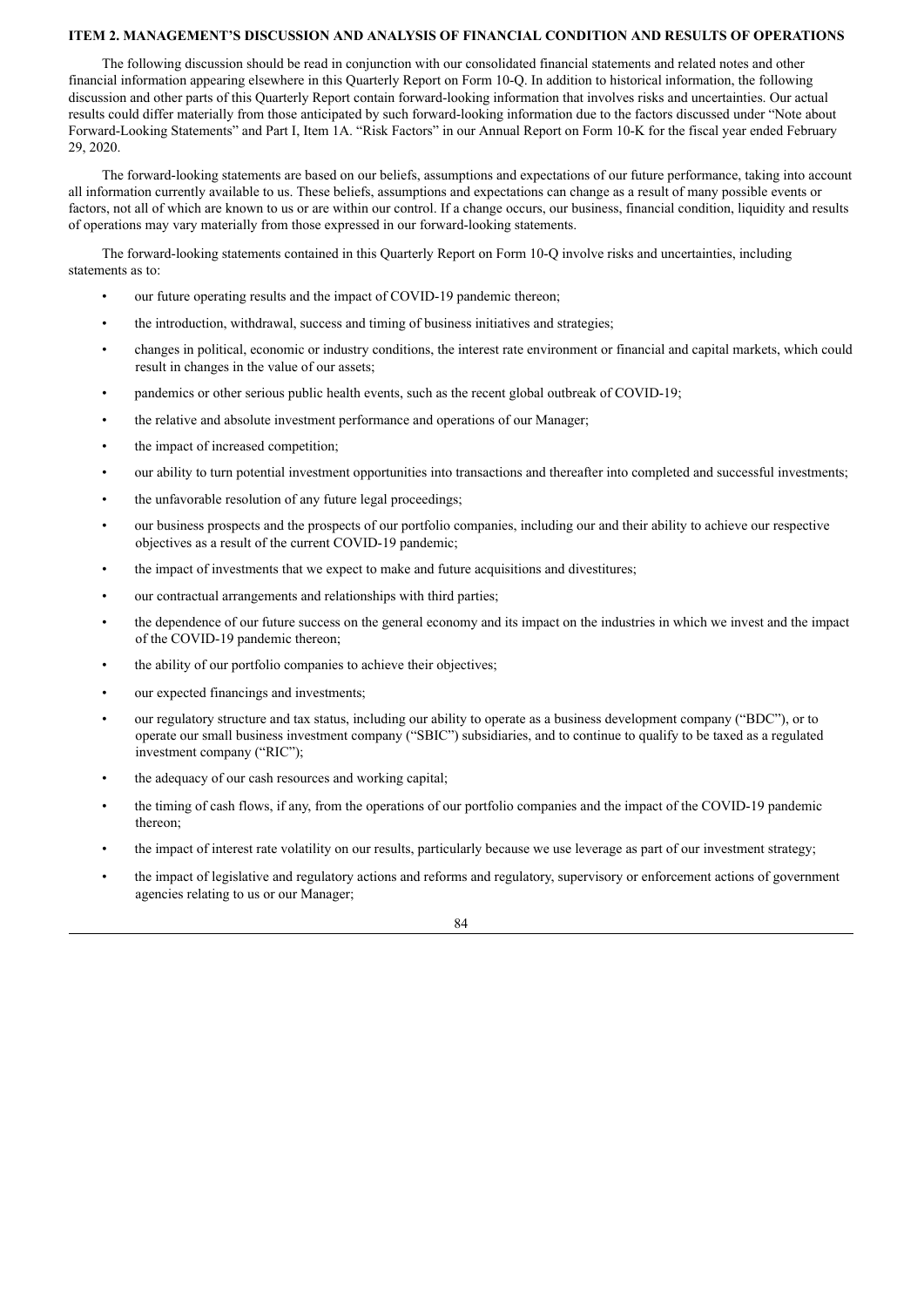## **ITEM 2. MANAGEMENT'S DISCUSSION AND ANALYSIS OF FINANCIAL CONDITION AND RESULTS OF OPERATIONS**

The following discussion should be read in conjunction with our consolidated financial statements and related notes and other financial information appearing elsewhere in this Quarterly Report on Form 10-Q. In addition to historical information, the following discussion and other parts of this Quarterly Report contain forward-looking information that involves risks and uncertainties. Our actual results could differ materially from those anticipated by such forward-looking information due to the factors discussed under "Note about Forward-Looking Statements" and Part I, Item 1A. "Risk Factors" in our Annual Report on Form 10-K for the fiscal year ended February 29, 2020.

The forward-looking statements are based on our beliefs, assumptions and expectations of our future performance, taking into account all information currently available to us. These beliefs, assumptions and expectations can change as a result of many possible events or factors, not all of which are known to us or are within our control. If a change occurs, our business, financial condition, liquidity and results of operations may vary materially from those expressed in our forward-looking statements.

The forward-looking statements contained in this Quarterly Report on Form 10-Q involve risks and uncertainties, including statements as to:

- our future operating results and the impact of COVID-19 pandemic thereon;
- the introduction, withdrawal, success and timing of business initiatives and strategies;
- changes in political, economic or industry conditions, the interest rate environment or financial and capital markets, which could result in changes in the value of our assets;
- pandemics or other serious public health events, such as the recent global outbreak of COVID-19;
- the relative and absolute investment performance and operations of our Manager;
- the impact of increased competition;
- our ability to turn potential investment opportunities into transactions and thereafter into completed and successful investments;
- the unfavorable resolution of any future legal proceedings;
- our business prospects and the prospects of our portfolio companies, including our and their ability to achieve our respective objectives as a result of the current COVID-19 pandemic;
- the impact of investments that we expect to make and future acquisitions and divestitures;
- our contractual arrangements and relationships with third parties;
- the dependence of our future success on the general economy and its impact on the industries in which we invest and the impact of the COVID-19 pandemic thereon;
- the ability of our portfolio companies to achieve their objectives;
- our expected financings and investments;
- our regulatory structure and tax status, including our ability to operate as a business development company ("BDC"), or to operate our small business investment company ("SBIC") subsidiaries, and to continue to qualify to be taxed as a regulated investment company ("RIC");
- the adequacy of our cash resources and working capital;
- the timing of cash flows, if any, from the operations of our portfolio companies and the impact of the COVID-19 pandemic thereon;
- the impact of interest rate volatility on our results, particularly because we use leverage as part of our investment strategy;
- the impact of legislative and regulatory actions and reforms and regulatory, supervisory or enforcement actions of government agencies relating to us or our Manager;

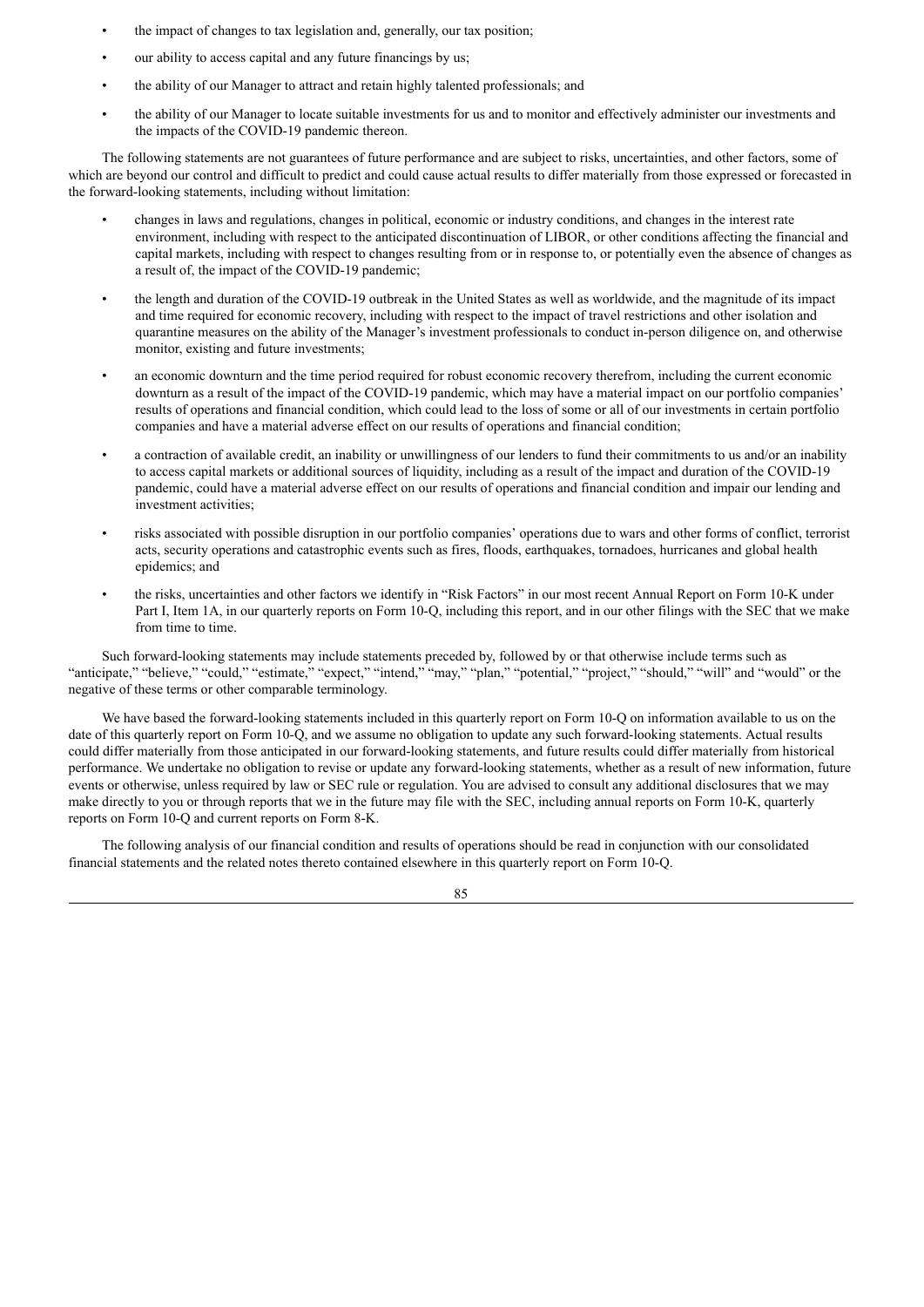- the impact of changes to tax legislation and, generally, our tax position;
- our ability to access capital and any future financings by us;
- the ability of our Manager to attract and retain highly talented professionals; and
- the ability of our Manager to locate suitable investments for us and to monitor and effectively administer our investments and the impacts of the COVID-19 pandemic thereon.

The following statements are not guarantees of future performance and are subject to risks, uncertainties, and other factors, some of which are beyond our control and difficult to predict and could cause actual results to differ materially from those expressed or forecasted in the forward-looking statements, including without limitation:

- changes in laws and regulations, changes in political, economic or industry conditions, and changes in the interest rate environment, including with respect to the anticipated discontinuation of LIBOR, or other conditions affecting the financial and capital markets, including with respect to changes resulting from or in response to, or potentially even the absence of changes as a result of, the impact of the COVID-19 pandemic;
- the length and duration of the COVID-19 outbreak in the United States as well as worldwide, and the magnitude of its impact and time required for economic recovery, including with respect to the impact of travel restrictions and other isolation and quarantine measures on the ability of the Manager's investment professionals to conduct in-person diligence on, and otherwise monitor, existing and future investments;
- an economic downturn and the time period required for robust economic recovery therefrom, including the current economic downturn as a result of the impact of the COVID-19 pandemic, which may have a material impact on our portfolio companies' results of operations and financial condition, which could lead to the loss of some or all of our investments in certain portfolio companies and have a material adverse effect on our results of operations and financial condition;
- a contraction of available credit, an inability or unwillingness of our lenders to fund their commitments to us and/or an inability to access capital markets or additional sources of liquidity, including as a result of the impact and duration of the COVID-19 pandemic, could have a material adverse effect on our results of operations and financial condition and impair our lending and investment activities;
- risks associated with possible disruption in our portfolio companies' operations due to wars and other forms of conflict, terrorist acts, security operations and catastrophic events such as fires, floods, earthquakes, tornadoes, hurricanes and global health epidemics; and
- the risks, uncertainties and other factors we identify in "Risk Factors" in our most recent Annual Report on Form 10-K under Part I, Item 1A, in our quarterly reports on Form 10-Q, including this report, and in our other filings with the SEC that we make from time to time.

Such forward-looking statements may include statements preceded by, followed by or that otherwise include terms such as "anticipate," "believe," "could," "estimate," "expect," "intend," "may," "plan," "potential," "project," "should," "will" and "would" or the negative of these terms or other comparable terminology.

We have based the forward-looking statements included in this quarterly report on Form 10-Q on information available to us on the date of this quarterly report on Form 10-Q, and we assume no obligation to update any such forward-looking statements. Actual results could differ materially from those anticipated in our forward-looking statements, and future results could differ materially from historical performance. We undertake no obligation to revise or update any forward-looking statements, whether as a result of new information, future events or otherwise, unless required by law or SEC rule or regulation. You are advised to consult any additional disclosures that we may make directly to you or through reports that we in the future may file with the SEC, including annual reports on Form 10-K, quarterly reports on Form 10-Q and current reports on Form 8-K.

The following analysis of our financial condition and results of operations should be read in conjunction with our consolidated financial statements and the related notes thereto contained elsewhere in this quarterly report on Form 10-Q.

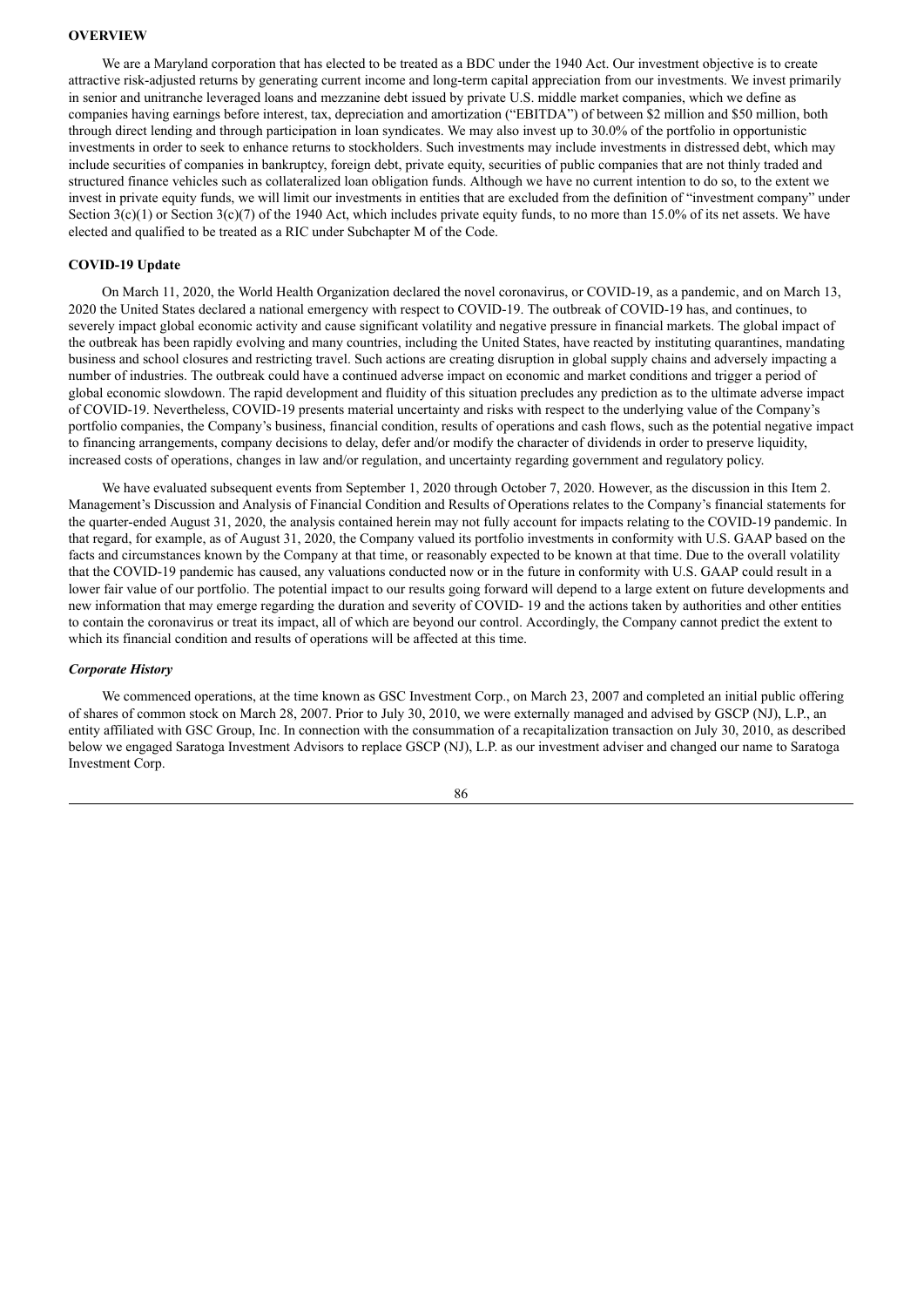## **OVERVIEW**

We are a Maryland corporation that has elected to be treated as a BDC under the 1940 Act. Our investment objective is to create attractive risk-adjusted returns by generating current income and long-term capital appreciation from our investments. We invest primarily in senior and unitranche leveraged loans and mezzanine debt issued by private U.S. middle market companies, which we define as companies having earnings before interest, tax, depreciation and amortization ("EBITDA") of between \$2 million and \$50 million, both through direct lending and through participation in loan syndicates. We may also invest up to 30.0% of the portfolio in opportunistic investments in order to seek to enhance returns to stockholders. Such investments may include investments in distressed debt, which may include securities of companies in bankruptcy, foreign debt, private equity, securities of public companies that are not thinly traded and structured finance vehicles such as collateralized loan obligation funds. Although we have no current intention to do so, to the extent we invest in private equity funds, we will limit our investments in entities that are excluded from the definition of "investment company" under Section  $3(c)(1)$  or Section  $3(c)(7)$  of the 1940 Act, which includes private equity funds, to no more than 15.0% of its net assets. We have elected and qualified to be treated as a RIC under Subchapter M of the Code.

## **COVID-19 Update**

On March 11, 2020, the World Health Organization declared the novel coronavirus, or COVID-19, as a pandemic, and on March 13, 2020 the United States declared a national emergency with respect to COVID-19. The outbreak of COVID-19 has, and continues, to severely impact global economic activity and cause significant volatility and negative pressure in financial markets. The global impact of the outbreak has been rapidly evolving and many countries, including the United States, have reacted by instituting quarantines, mandating business and school closures and restricting travel. Such actions are creating disruption in global supply chains and adversely impacting a number of industries. The outbreak could have a continued adverse impact on economic and market conditions and trigger a period of global economic slowdown. The rapid development and fluidity of this situation precludes any prediction as to the ultimate adverse impact of COVID-19. Nevertheless, COVID-19 presents material uncertainty and risks with respect to the underlying value of the Company's portfolio companies, the Company's business, financial condition, results of operations and cash flows, such as the potential negative impact to financing arrangements, company decisions to delay, defer and/or modify the character of dividends in order to preserve liquidity, increased costs of operations, changes in law and/or regulation, and uncertainty regarding government and regulatory policy.

We have evaluated subsequent events from September 1, 2020 through October 7, 2020. However, as the discussion in this Item 2. Management's Discussion and Analysis of Financial Condition and Results of Operations relates to the Company's financial statements for the quarter-ended August 31, 2020, the analysis contained herein may not fully account for impacts relating to the COVID-19 pandemic. In that regard, for example, as of August 31, 2020, the Company valued its portfolio investments in conformity with U.S. GAAP based on the facts and circumstances known by the Company at that time, or reasonably expected to be known at that time. Due to the overall volatility that the COVID-19 pandemic has caused, any valuations conducted now or in the future in conformity with U.S. GAAP could result in a lower fair value of our portfolio. The potential impact to our results going forward will depend to a large extent on future developments and new information that may emerge regarding the duration and severity of COVID- 19 and the actions taken by authorities and other entities to contain the coronavirus or treat its impact, all of which are beyond our control. Accordingly, the Company cannot predict the extent to which its financial condition and results of operations will be affected at this time.

#### *Corporate History*

We commenced operations, at the time known as GSC Investment Corp., on March 23, 2007 and completed an initial public offering of shares of common stock on March 28, 2007. Prior to July 30, 2010, we were externally managed and advised by GSCP (NJ), L.P., an entity affiliated with GSC Group, Inc. In connection with the consummation of a recapitalization transaction on July 30, 2010, as described below we engaged Saratoga Investment Advisors to replace GSCP (NJ), L.P. as our investment adviser and changed our name to Saratoga Investment Corp.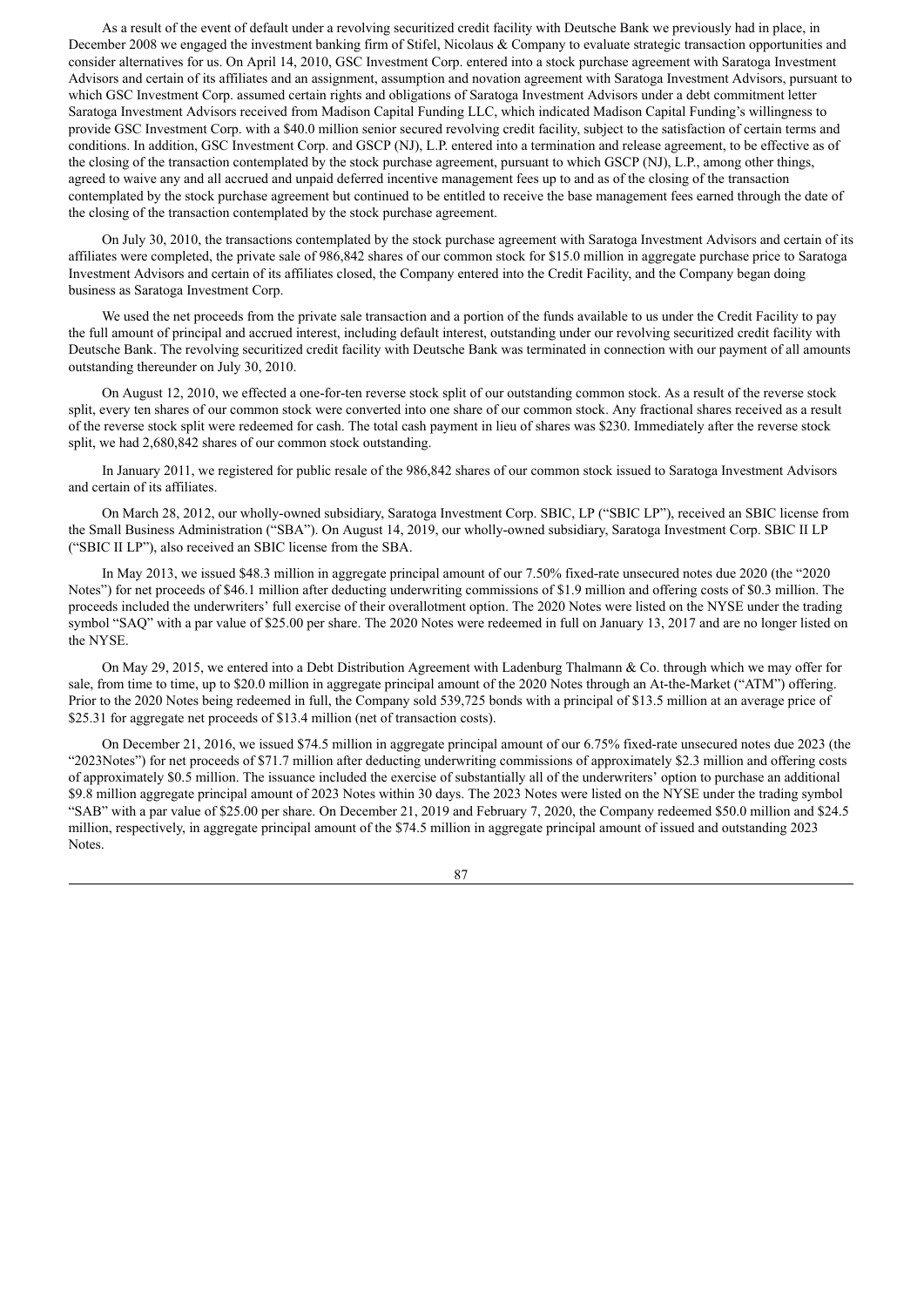As a result of the event of default under a revolving securitized credit facility with Deutsche Bank we previously had in place, in December 2008 we engaged the investment banking firm of Stifel, Nicolaus & Company to evaluate strategic transaction opportunities and consider alternatives for us. On April 14, 2010, GSC Investment Corp. entered into a stock purchase agreement with Saratoga Investment Advisors and certain of its affiliates and an assignment, assumption and novation agreement with Saratoga Investment Advisors, pursuant to which GSC Investment Corp. assumed certain rights and obligations of Saratoga Investment Advisors under a debt commitment letter Saratoga Investment Advisors received from Madison Capital Funding LLC, which indicated Madison Capital Funding's willingness to provide GSC Investment Corp. with a \$40.0 million senior secured revolving credit facility, subject to the satisfaction of certain terms and conditions. In addition, GSC Investment Corp. and GSCP (NJ), L.P. entered into a termination and release agreement, to be effective as of the closing of the transaction contemplated by the stock purchase agreement, pursuant to which GSCP (NJ), L.P., among other things, agreed to waive any and all accrued and unpaid deferred incentive management fees up to and as of the closing of the transaction contemplated by the stock purchase agreement but continued to be entitled to receive the base management fees earned through the date of the closing of the transaction contemplated by the stock purchase agreement.

On July 30, 2010, the transactions contemplated by the stock purchase agreement with Saratoga Investment Advisors and certain of its affiliates were completed, the private sale of 986,842 shares of our common stock for \$15.0 million in aggregate purchase price to Saratoga Investment Advisors and certain of its affiliates closed, the Company entered into the Credit Facility, and the Company began doing business as Saratoga Investment Corp.

We used the net proceeds from the private sale transaction and a portion of the funds available to us under the Credit Facility to pay the full amount of principal and accrued interest, including default interest, outstanding under our revolving securitized credit facility with Deutsche Bank. The revolving securitized credit facility with Deutsche Bank was terminated in connection with our payment of all amounts outstanding thereunder on July 30, 2010.

On August 12, 2010, we effected a one-for-ten reverse stock split of our outstanding common stock. As a result of the reverse stock split, every ten shares of our common stock were converted into one share of our common stock. Any fractional shares received as a result of the reverse stock split were redeemed for cash. The total cash payment in lieu of shares was \$230. Immediately after the reverse stock split, we had 2,680,842 shares of our common stock outstanding.

In January 2011, we registered for public resale of the 986,842 shares of our common stock issued to Saratoga Investment Advisors and certain of its affiliates.

On March 28, 2012, our wholly-owned subsidiary, Saratoga Investment Corp. SBIC, LP ("SBIC LP"), received an SBIC license from the Small Business Administration ("SBA"). On August 14, 2019, our wholly-owned subsidiary, Saratoga Investment Corp. SBIC II LP ("SBIC II LP"), also received an SBIC license from the SBA.

In May 2013, we issued \$48.3 million in aggregate principal amount of our 7.50% fixed-rate unsecured notes due 2020 (the "2020 Notes") for net proceeds of \$46.1 million after deducting underwriting commissions of \$1.9 million and offering costs of \$0.3 million. The proceeds included the underwriters' full exercise of their overallotment option. The 2020 Notes were listed on the NYSE under the trading symbol "SAQ" with a par value of \$25.00 per share. The 2020 Notes were redeemed in full on January 13, 2017 and are no longer listed on the NYSE.

On May 29, 2015, we entered into a Debt Distribution Agreement with Ladenburg Thalmann & Co. through which we may offer for sale, from time to time, up to \$20.0 million in aggregate principal amount of the 2020 Notes through an At-the-Market ("ATM") offering. Prior to the 2020 Notes being redeemed in full, the Company sold 539,725 bonds with a principal of \$13.5 million at an average price of \$25.31 for aggregate net proceeds of \$13.4 million (net of transaction costs).

On December 21, 2016, we issued \$74.5 million in aggregate principal amount of our 6.75% fixed-rate unsecured notes due 2023 (the "2023Notes") for net proceeds of \$71.7 million after deducting underwriting commissions of approximately \$2.3 million and offering costs of approximately \$0.5 million. The issuance included the exercise of substantially all of the underwriters' option to purchase an additional \$9.8 million aggregate principal amount of 2023 Notes within 30 days. The 2023 Notes were listed on the NYSE under the trading symbol "SAB" with a par value of \$25.00 per share. On December 21, 2019 and February 7, 2020, the Company redeemed \$50.0 million and \$24.5 million, respectively, in aggregate principal amount of the \$74.5 million in aggregate principal amount of issued and outstanding 2023 Notes.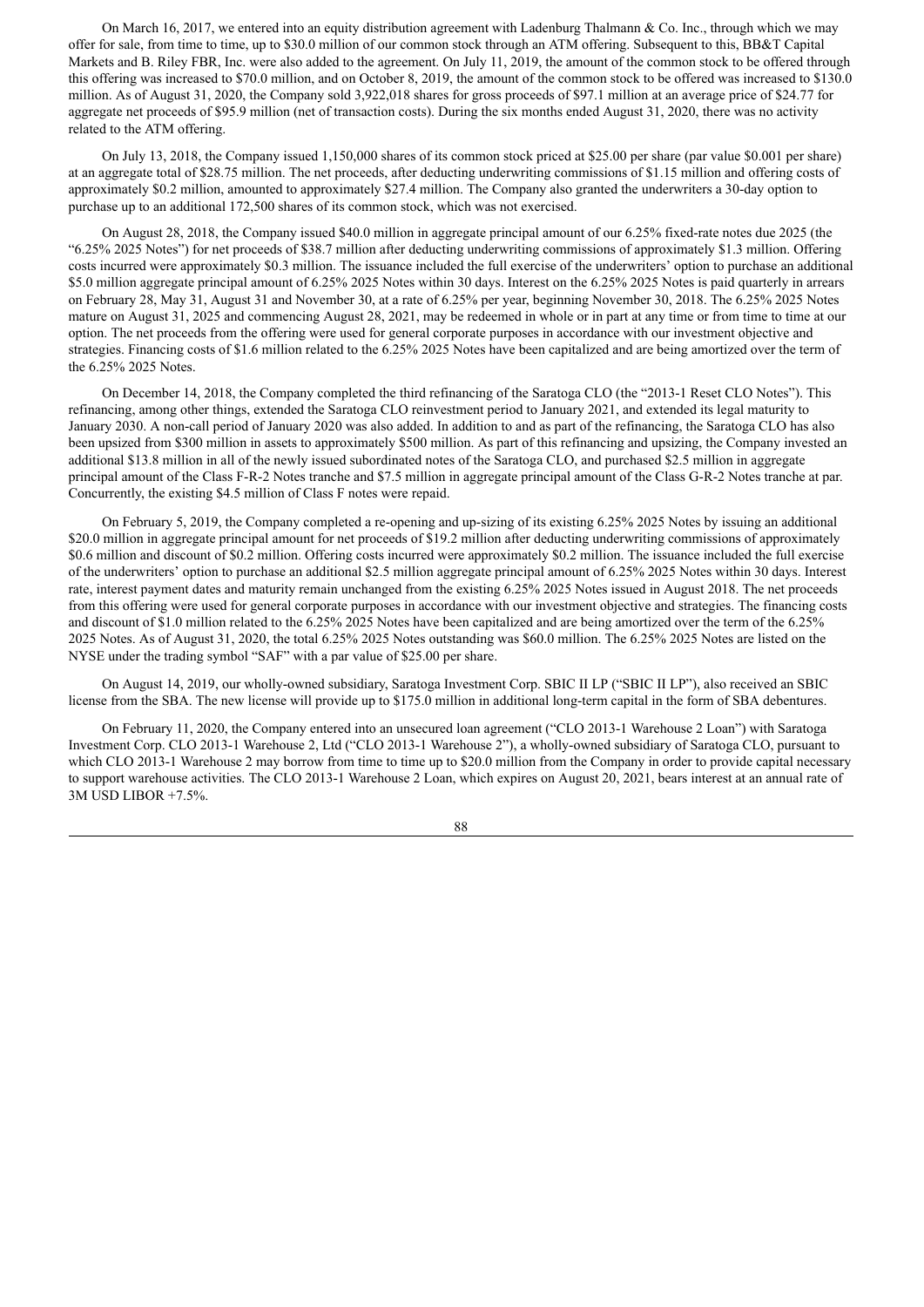On March 16, 2017, we entered into an equity distribution agreement with Ladenburg Thalmann  $\&$  Co. Inc., through which we may offer for sale, from time to time, up to \$30.0 million of our common stock through an ATM offering. Subsequent to this, BB&T Capital Markets and B. Riley FBR, Inc. were also added to the agreement. On July 11, 2019, the amount of the common stock to be offered through this offering was increased to \$70.0 million, and on October 8, 2019, the amount of the common stock to be offered was increased to \$130.0 million. As of August 31, 2020, the Company sold 3,922,018 shares for gross proceeds of \$97.1 million at an average price of \$24.77 for aggregate net proceeds of \$95.9 million (net of transaction costs). During the six months ended August 31, 2020, there was no activity related to the ATM offering.

On July 13, 2018, the Company issued 1,150,000 shares of its common stock priced at \$25.00 per share (par value \$0.001 per share) at an aggregate total of \$28.75 million. The net proceeds, after deducting underwriting commissions of \$1.15 million and offering costs of approximately \$0.2 million, amounted to approximately \$27.4 million. The Company also granted the underwriters a 30-day option to purchase up to an additional 172,500 shares of its common stock, which was not exercised.

On August 28, 2018, the Company issued \$40.0 million in aggregate principal amount of our 6.25% fixed-rate notes due 2025 (the "6.25% 2025 Notes") for net proceeds of \$38.7 million after deducting underwriting commissions of approximately \$1.3 million. Offering costs incurred were approximately \$0.3 million. The issuance included the full exercise of the underwriters' option to purchase an additional \$5.0 million aggregate principal amount of 6.25% 2025 Notes within 30 days. Interest on the 6.25% 2025 Notes is paid quarterly in arrears on February 28, May 31, August 31 and November 30, at a rate of 6.25% per year, beginning November 30, 2018. The 6.25% 2025 Notes mature on August 31, 2025 and commencing August 28, 2021, may be redeemed in whole or in part at any time or from time to time at our option. The net proceeds from the offering were used for general corporate purposes in accordance with our investment objective and strategies. Financing costs of \$1.6 million related to the 6.25% 2025 Notes have been capitalized and are being amortized over the term of the 6.25% 2025 Notes.

On December 14, 2018, the Company completed the third refinancing of the Saratoga CLO (the "2013-1 Reset CLO Notes"). This refinancing, among other things, extended the Saratoga CLO reinvestment period to January 2021, and extended its legal maturity to January 2030. A non-call period of January 2020 was also added. In addition to and as part of the refinancing, the Saratoga CLO has also been upsized from \$300 million in assets to approximately \$500 million. As part of this refinancing and upsizing, the Company invested an additional \$13.8 million in all of the newly issued subordinated notes of the Saratoga CLO, and purchased \$2.5 million in aggregate principal amount of the Class F-R-2 Notes tranche and \$7.5 million in aggregate principal amount of the Class G-R-2 Notes tranche at par. Concurrently, the existing \$4.5 million of Class F notes were repaid.

On February 5, 2019, the Company completed a re-opening and up-sizing of its existing 6.25% 2025 Notes by issuing an additional \$20.0 million in aggregate principal amount for net proceeds of \$19.2 million after deducting underwriting commissions of approximately \$0.6 million and discount of \$0.2 million. Offering costs incurred were approximately \$0.2 million. The issuance included the full exercise of the underwriters' option to purchase an additional \$2.5 million aggregate principal amount of 6.25% 2025 Notes within 30 days. Interest rate, interest payment dates and maturity remain unchanged from the existing 6.25% 2025 Notes issued in August 2018. The net proceeds from this offering were used for general corporate purposes in accordance with our investment objective and strategies. The financing costs and discount of \$1.0 million related to the 6.25% 2025 Notes have been capitalized and are being amortized over the term of the 6.25% 2025 Notes. As of August 31, 2020, the total 6.25% 2025 Notes outstanding was \$60.0 million. The 6.25% 2025 Notes are listed on the NYSE under the trading symbol "SAF" with a par value of \$25.00 per share.

On August 14, 2019, our wholly-owned subsidiary, Saratoga Investment Corp. SBIC II LP ("SBIC II LP"), also received an SBIC license from the SBA. The new license will provide up to \$175.0 million in additional long-term capital in the form of SBA debentures.

On February 11, 2020, the Company entered into an unsecured loan agreement ("CLO 2013-1 Warehouse 2 Loan") with Saratoga Investment Corp. CLO 2013-1 Warehouse 2, Ltd ("CLO 2013-1 Warehouse 2"), a wholly-owned subsidiary of Saratoga CLO, pursuant to which CLO 2013-1 Warehouse 2 may borrow from time to time up to \$20.0 million from the Company in order to provide capital necessary to support warehouse activities. The CLO 2013-1 Warehouse 2 Loan, which expires on August 20, 2021, bears interest at an annual rate of 3M USD LIBOR +7.5%.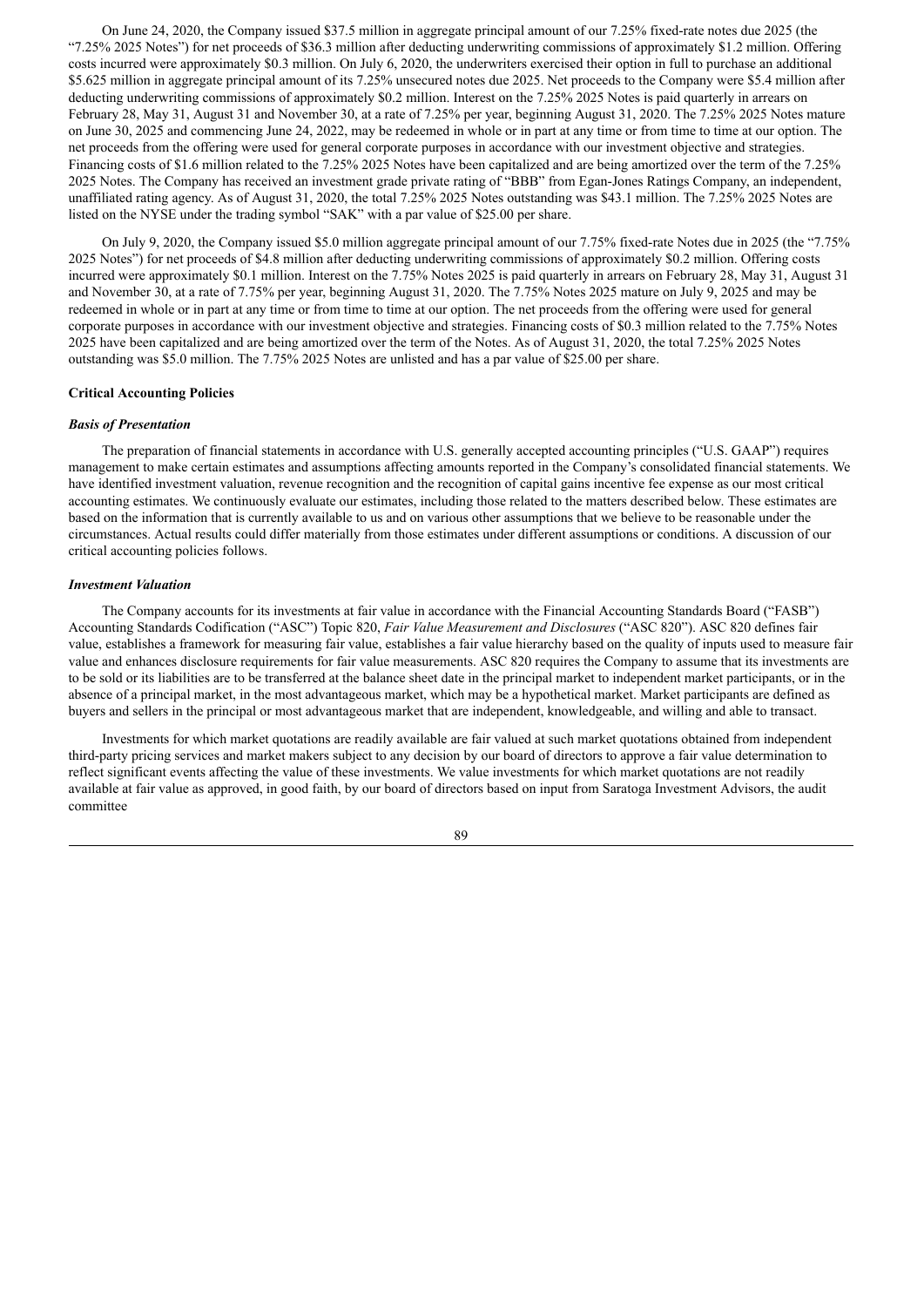On June 24, 2020, the Company issued \$37.5 million in aggregate principal amount of our 7.25% fixed-rate notes due 2025 (the "7.25% 2025 Notes") for net proceeds of \$36.3 million after deducting underwriting commissions of approximately \$1.2 million. Offering costs incurred were approximately \$0.3 million. On July 6, 2020, the underwriters exercised their option in full to purchase an additional \$5.625 million in aggregate principal amount of its 7.25% unsecured notes due 2025. Net proceeds to the Company were \$5.4 million after deducting underwriting commissions of approximately \$0.2 million. Interest on the 7.25% 2025 Notes is paid quarterly in arrears on February 28, May 31, August 31 and November 30, at a rate of 7.25% per year, beginning August 31, 2020. The 7.25% 2025 Notes mature on June 30, 2025 and commencing June 24, 2022, may be redeemed in whole or in part at any time or from time to time at our option. The net proceeds from the offering were used for general corporate purposes in accordance with our investment objective and strategies. Financing costs of \$1.6 million related to the 7.25% 2025 Notes have been capitalized and are being amortized over the term of the 7.25% 2025 Notes. The Company has received an investment grade private rating of "BBB" from Egan-Jones Ratings Company, an independent, unaffiliated rating agency. As of August 31, 2020, the total 7.25% 2025 Notes outstanding was \$43.1 million. The 7.25% 2025 Notes are listed on the NYSE under the trading symbol "SAK" with a par value of \$25.00 per share.

On July 9, 2020, the Company issued \$5.0 million aggregate principal amount of our 7.75% fixed-rate Notes due in 2025 (the "7.75% 2025 Notes") for net proceeds of \$4.8 million after deducting underwriting commissions of approximately \$0.2 million. Offering costs incurred were approximately \$0.1 million. Interest on the 7.75% Notes 2025 is paid quarterly in arrears on February 28, May 31, August 31 and November 30, at a rate of 7.75% per year, beginning August 31, 2020. The 7.75% Notes 2025 mature on July 9, 2025 and may be redeemed in whole or in part at any time or from time to time at our option. The net proceeds from the offering were used for general corporate purposes in accordance with our investment objective and strategies. Financing costs of \$0.3 million related to the 7.75% Notes 2025 have been capitalized and are being amortized over the term of the Notes. As of August 31, 2020, the total 7.25% 2025 Notes outstanding was \$5.0 million. The 7.75% 2025 Notes are unlisted and has a par value of \$25.00 per share.

#### **Critical Accounting Policies**

#### *Basis of Presentation*

The preparation of financial statements in accordance with U.S. generally accepted accounting principles ("U.S. GAAP") requires management to make certain estimates and assumptions affecting amounts reported in the Company's consolidated financial statements. We have identified investment valuation, revenue recognition and the recognition of capital gains incentive fee expense as our most critical accounting estimates. We continuously evaluate our estimates, including those related to the matters described below. These estimates are based on the information that is currently available to us and on various other assumptions that we believe to be reasonable under the circumstances. Actual results could differ materially from those estimates under different assumptions or conditions. A discussion of our critical accounting policies follows.

## *Investment Valuation*

The Company accounts for its investments at fair value in accordance with the Financial Accounting Standards Board ("FASB") Accounting Standards Codification ("ASC") Topic 820, *Fair Value Measurement and Disclosures* ("ASC 820"). ASC 820 defines fair value, establishes a framework for measuring fair value, establishes a fair value hierarchy based on the quality of inputs used to measure fair value and enhances disclosure requirements for fair value measurements. ASC 820 requires the Company to assume that its investments are to be sold or its liabilities are to be transferred at the balance sheet date in the principal market to independent market participants, or in the absence of a principal market, in the most advantageous market, which may be a hypothetical market. Market participants are defined as buyers and sellers in the principal or most advantageous market that are independent, knowledgeable, and willing and able to transact.

Investments for which market quotations are readily available are fair valued at such market quotations obtained from independent third-party pricing services and market makers subject to any decision by our board of directors to approve a fair value determination to reflect significant events affecting the value of these investments. We value investments for which market quotations are not readily available at fair value as approved, in good faith, by our board of directors based on input from Saratoga Investment Advisors, the audit committee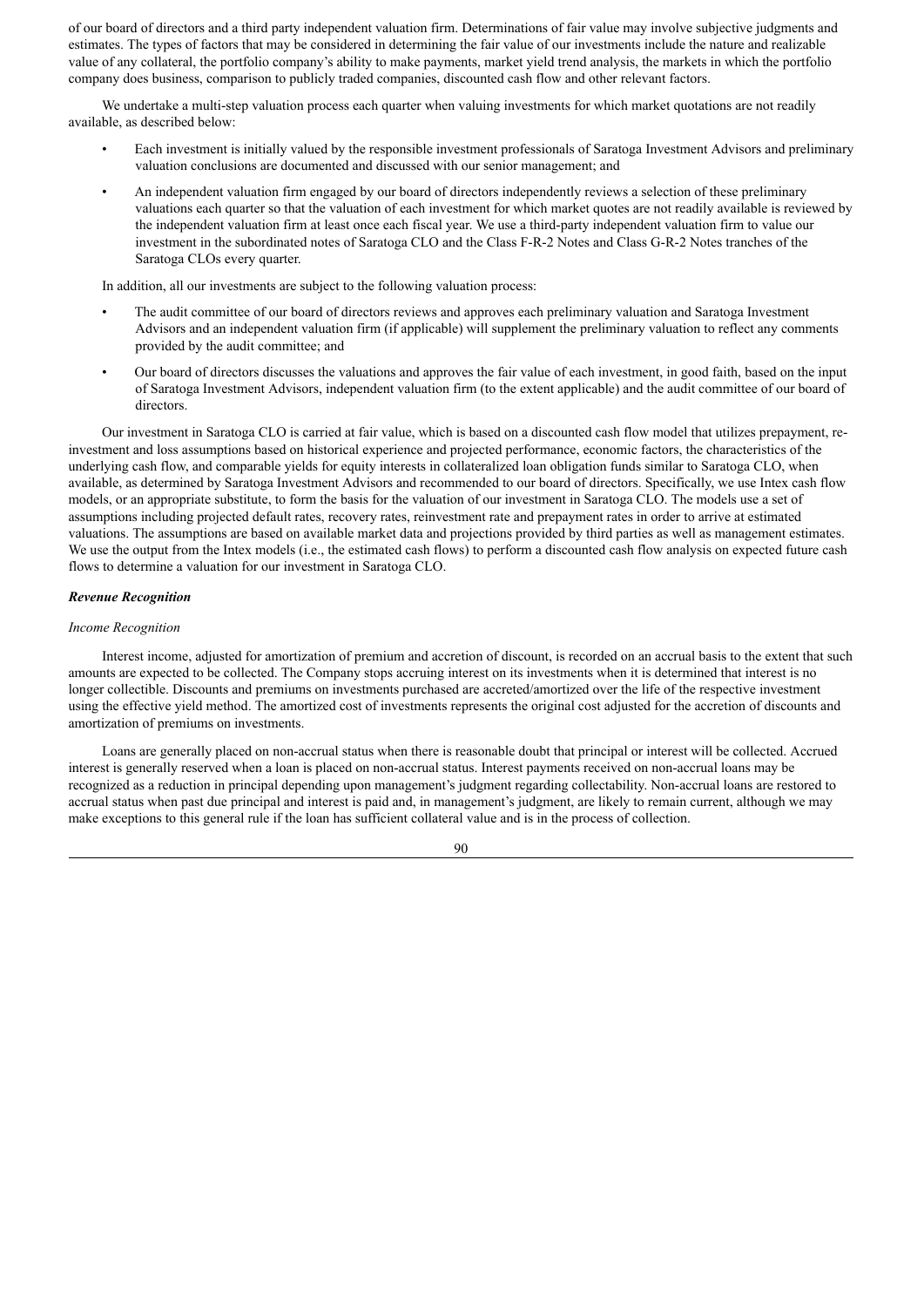of our board of directors and a third party independent valuation firm. Determinations of fair value may involve subjective judgments and estimates. The types of factors that may be considered in determining the fair value of our investments include the nature and realizable value of any collateral, the portfolio company's ability to make payments, market yield trend analysis, the markets in which the portfolio company does business, comparison to publicly traded companies, discounted cash flow and other relevant factors.

We undertake a multi-step valuation process each quarter when valuing investments for which market quotations are not readily available, as described below:

- Each investment is initially valued by the responsible investment professionals of Saratoga Investment Advisors and preliminary valuation conclusions are documented and discussed with our senior management; and
- An independent valuation firm engaged by our board of directors independently reviews a selection of these preliminary valuations each quarter so that the valuation of each investment for which market quotes are not readily available is reviewed by the independent valuation firm at least once each fiscal year. We use a third-party independent valuation firm to value our investment in the subordinated notes of Saratoga CLO and the Class F-R-2 Notes and Class G-R-2 Notes tranches of the Saratoga CLOs every quarter.

In addition, all our investments are subject to the following valuation process:

- The audit committee of our board of directors reviews and approves each preliminary valuation and Saratoga Investment Advisors and an independent valuation firm (if applicable) will supplement the preliminary valuation to reflect any comments provided by the audit committee; and
- Our board of directors discusses the valuations and approves the fair value of each investment, in good faith, based on the input of Saratoga Investment Advisors, independent valuation firm (to the extent applicable) and the audit committee of our board of directors.

Our investment in Saratoga CLO is carried at fair value, which is based on a discounted cash flow model that utilizes prepayment, reinvestment and loss assumptions based on historical experience and projected performance, economic factors, the characteristics of the underlying cash flow, and comparable yields for equity interests in collateralized loan obligation funds similar to Saratoga CLO, when available, as determined by Saratoga Investment Advisors and recommended to our board of directors. Specifically, we use Intex cash flow models, or an appropriate substitute, to form the basis for the valuation of our investment in Saratoga CLO. The models use a set of assumptions including projected default rates, recovery rates, reinvestment rate and prepayment rates in order to arrive at estimated valuations. The assumptions are based on available market data and projections provided by third parties as well as management estimates. We use the output from the Intex models (i.e., the estimated cash flows) to perform a discounted cash flow analysis on expected future cash flows to determine a valuation for our investment in Saratoga CLO.

## *Revenue Recognition*

### *Income Recognition*

Interest income, adjusted for amortization of premium and accretion of discount, is recorded on an accrual basis to the extent that such amounts are expected to be collected. The Company stops accruing interest on its investments when it is determined that interest is no longer collectible. Discounts and premiums on investments purchased are accreted/amortized over the life of the respective investment using the effective yield method. The amortized cost of investments represents the original cost adjusted for the accretion of discounts and amortization of premiums on investments.

Loans are generally placed on non-accrual status when there is reasonable doubt that principal or interest will be collected. Accrued interest is generally reserved when a loan is placed on non-accrual status. Interest payments received on non-accrual loans may be recognized as a reduction in principal depending upon management's judgment regarding collectability. Non-accrual loans are restored to accrual status when past due principal and interest is paid and, in management's judgment, are likely to remain current, although we may make exceptions to this general rule if the loan has sufficient collateral value and is in the process of collection.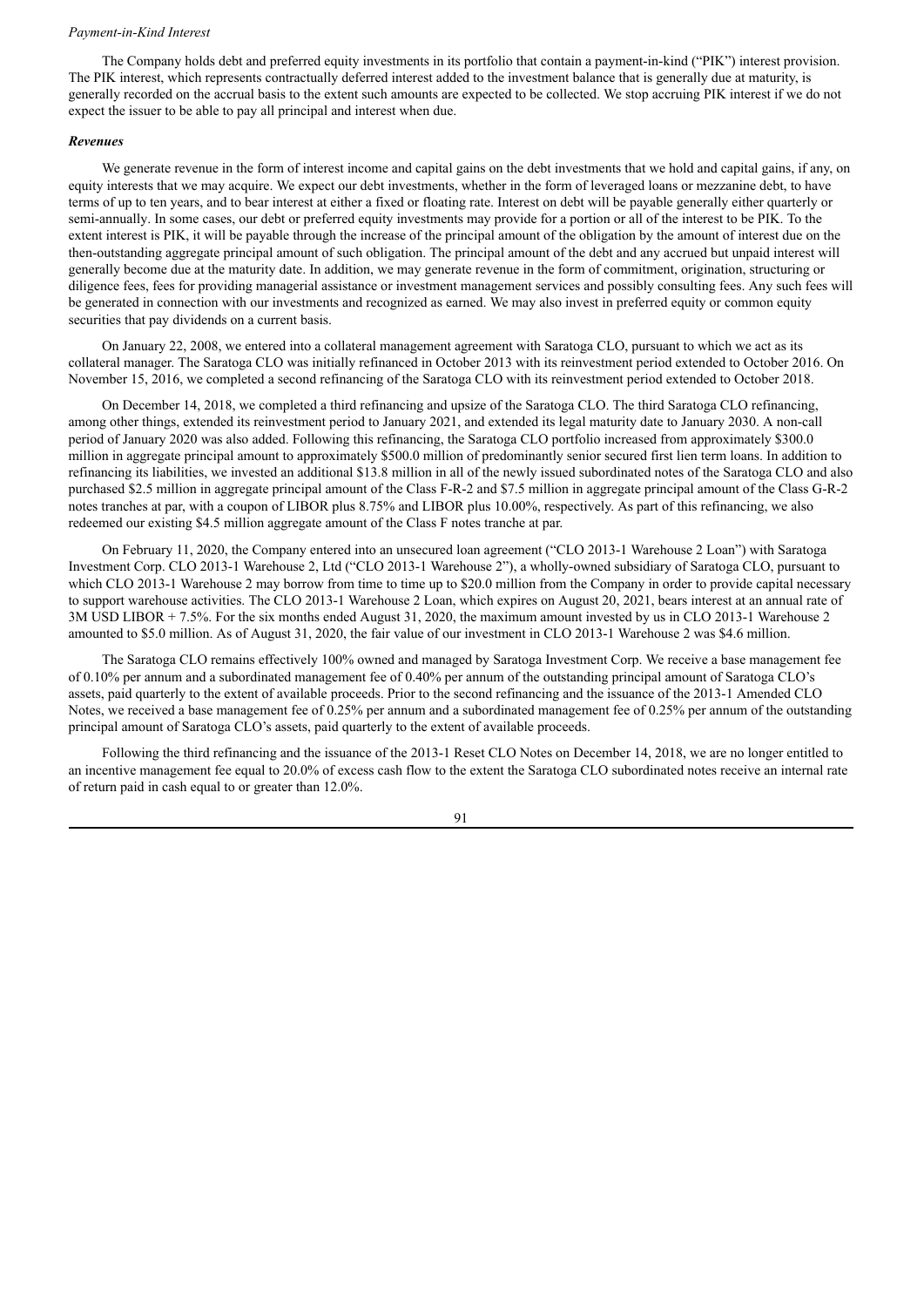#### *Payment-in-Kind Interest*

The Company holds debt and preferred equity investments in its portfolio that contain a payment-in-kind ("PIK") interest provision. The PIK interest, which represents contractually deferred interest added to the investment balance that is generally due at maturity, is generally recorded on the accrual basis to the extent such amounts are expected to be collected. We stop accruing PIK interest if we do not expect the issuer to be able to pay all principal and interest when due.

#### *Revenues*

We generate revenue in the form of interest income and capital gains on the debt investments that we hold and capital gains, if any, on equity interests that we may acquire. We expect our debt investments, whether in the form of leveraged loans or mezzanine debt, to have terms of up to ten years, and to bear interest at either a fixed or floating rate. Interest on debt will be payable generally either quarterly or semi-annually. In some cases, our debt or preferred equity investments may provide for a portion or all of the interest to be PIK. To the extent interest is PIK, it will be payable through the increase of the principal amount of the obligation by the amount of interest due on the then-outstanding aggregate principal amount of such obligation. The principal amount of the debt and any accrued but unpaid interest will generally become due at the maturity date. In addition, we may generate revenue in the form of commitment, origination, structuring or diligence fees, fees for providing managerial assistance or investment management services and possibly consulting fees. Any such fees will be generated in connection with our investments and recognized as earned. We may also invest in preferred equity or common equity securities that pay dividends on a current basis.

On January 22, 2008, we entered into a collateral management agreement with Saratoga CLO, pursuant to which we act as its collateral manager. The Saratoga CLO was initially refinanced in October 2013 with its reinvestment period extended to October 2016. On November 15, 2016, we completed a second refinancing of the Saratoga CLO with its reinvestment period extended to October 2018.

On December 14, 2018, we completed a third refinancing and upsize of the Saratoga CLO. The third Saratoga CLO refinancing, among other things, extended its reinvestment period to January 2021, and extended its legal maturity date to January 2030. A non-call period of January 2020 was also added. Following this refinancing, the Saratoga CLO portfolio increased from approximately \$300.0 million in aggregate principal amount to approximately \$500.0 million of predominantly senior secured first lien term loans. In addition to refinancing its liabilities, we invested an additional \$13.8 million in all of the newly issued subordinated notes of the Saratoga CLO and also purchased \$2.5 million in aggregate principal amount of the Class F-R-2 and \$7.5 million in aggregate principal amount of the Class G-R-2 notes tranches at par, with a coupon of LIBOR plus 8.75% and LIBOR plus 10.00%, respectively. As part of this refinancing, we also redeemed our existing \$4.5 million aggregate amount of the Class F notes tranche at par.

On February 11, 2020, the Company entered into an unsecured loan agreement ("CLO 2013-1 Warehouse 2 Loan") with Saratoga Investment Corp. CLO 2013-1 Warehouse 2, Ltd ("CLO 2013-1 Warehouse 2"), a wholly-owned subsidiary of Saratoga CLO, pursuant to which CLO 2013-1 Warehouse 2 may borrow from time to time up to \$20.0 million from the Company in order to provide capital necessary to support warehouse activities. The CLO 2013-1 Warehouse 2 Loan, which expires on August 20, 2021, bears interest at an annual rate of 3M USD LIBOR + 7.5%. For the six months ended August 31, 2020, the maximum amount invested by us in CLO 2013-1 Warehouse 2 amounted to \$5.0 million. As of August 31, 2020, the fair value of our investment in CLO 2013-1 Warehouse 2 was \$4.6 million.

The Saratoga CLO remains effectively 100% owned and managed by Saratoga Investment Corp. We receive a base management fee of 0.10% per annum and a subordinated management fee of 0.40% per annum of the outstanding principal amount of Saratoga CLO's assets, paid quarterly to the extent of available proceeds. Prior to the second refinancing and the issuance of the 2013-1 Amended CLO Notes, we received a base management fee of 0.25% per annum and a subordinated management fee of 0.25% per annum of the outstanding principal amount of Saratoga CLO's assets, paid quarterly to the extent of available proceeds.

Following the third refinancing and the issuance of the 2013-1 Reset CLO Notes on December 14, 2018, we are no longer entitled to an incentive management fee equal to 20.0% of excess cash flow to the extent the Saratoga CLO subordinated notes receive an internal rate of return paid in cash equal to or greater than 12.0%.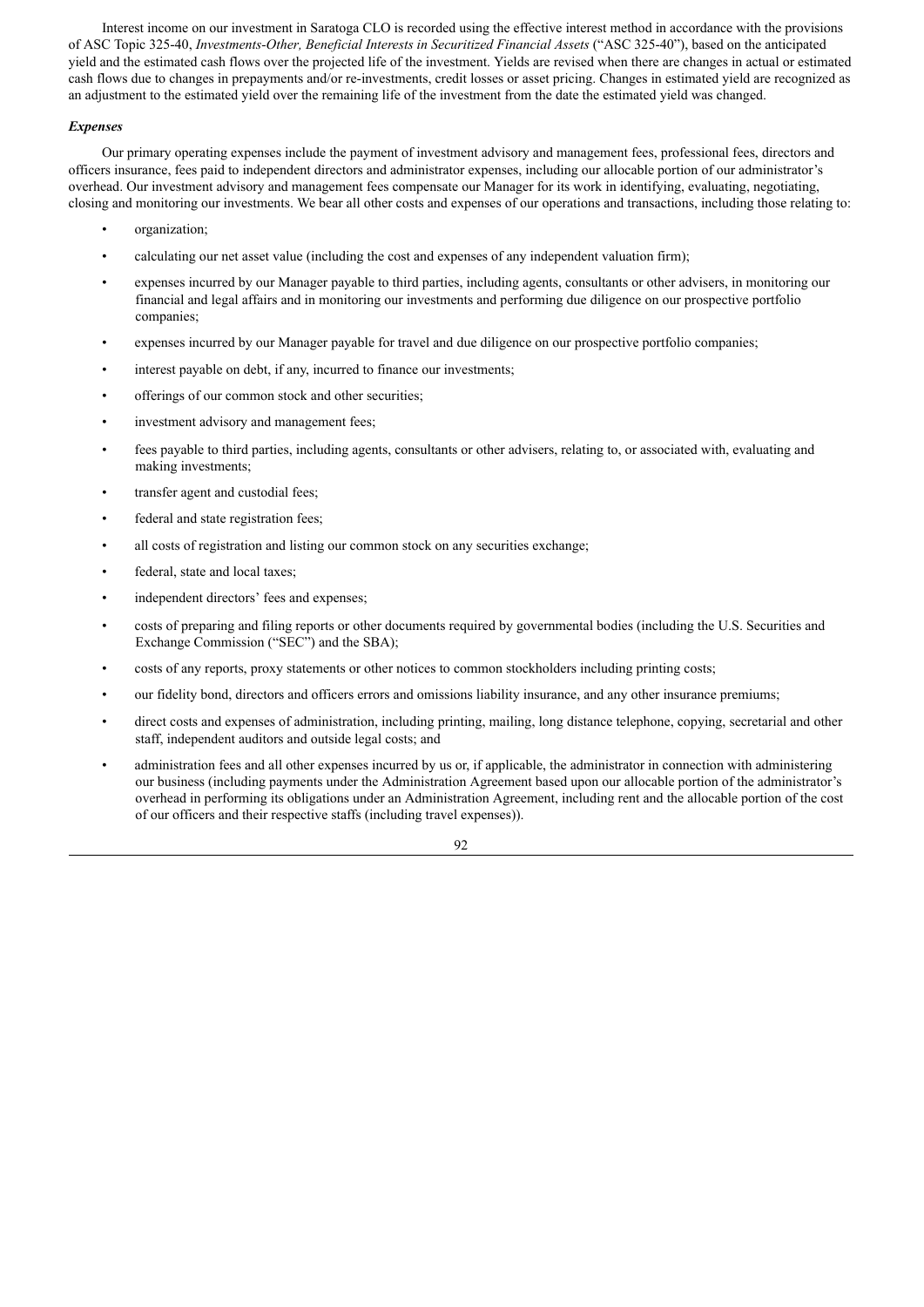Interest income on our investment in Saratoga CLO is recorded using the effective interest method in accordance with the provisions of ASC Topic 325-40, *Investments-Other, Beneficial Interests in Securitized Financial Assets* ("ASC 325-40"), based on the anticipated yield and the estimated cash flows over the projected life of the investment. Yields are revised when there are changes in actual or estimated cash flows due to changes in prepayments and/or re-investments, credit losses or asset pricing. Changes in estimated yield are recognized as an adjustment to the estimated yield over the remaining life of the investment from the date the estimated yield was changed.

# *Expenses*

Our primary operating expenses include the payment of investment advisory and management fees, professional fees, directors and officers insurance, fees paid to independent directors and administrator expenses, including our allocable portion of our administrator's overhead. Our investment advisory and management fees compensate our Manager for its work in identifying, evaluating, negotiating, closing and monitoring our investments. We bear all other costs and expenses of our operations and transactions, including those relating to:

- organization;
- calculating our net asset value (including the cost and expenses of any independent valuation firm);
- expenses incurred by our Manager payable to third parties, including agents, consultants or other advisers, in monitoring our financial and legal affairs and in monitoring our investments and performing due diligence on our prospective portfolio companies;
- expenses incurred by our Manager payable for travel and due diligence on our prospective portfolio companies;
- interest payable on debt, if any, incurred to finance our investments;
- offerings of our common stock and other securities;
- investment advisory and management fees;
- fees payable to third parties, including agents, consultants or other advisers, relating to, or associated with, evaluating and making investments;
- transfer agent and custodial fees;
- federal and state registration fees;
- all costs of registration and listing our common stock on any securities exchange;
- federal, state and local taxes;
- independent directors' fees and expenses;
- costs of preparing and filing reports or other documents required by governmental bodies (including the U.S. Securities and Exchange Commission ("SEC") and the SBA);
- costs of any reports, proxy statements or other notices to common stockholders including printing costs;
- our fidelity bond, directors and officers errors and omissions liability insurance, and any other insurance premiums;
- direct costs and expenses of administration, including printing, mailing, long distance telephone, copying, secretarial and other staff, independent auditors and outside legal costs; and
- administration fees and all other expenses incurred by us or, if applicable, the administrator in connection with administering our business (including payments under the Administration Agreement based upon our allocable portion of the administrator's overhead in performing its obligations under an Administration Agreement, including rent and the allocable portion of the cost of our officers and their respective staffs (including travel expenses)).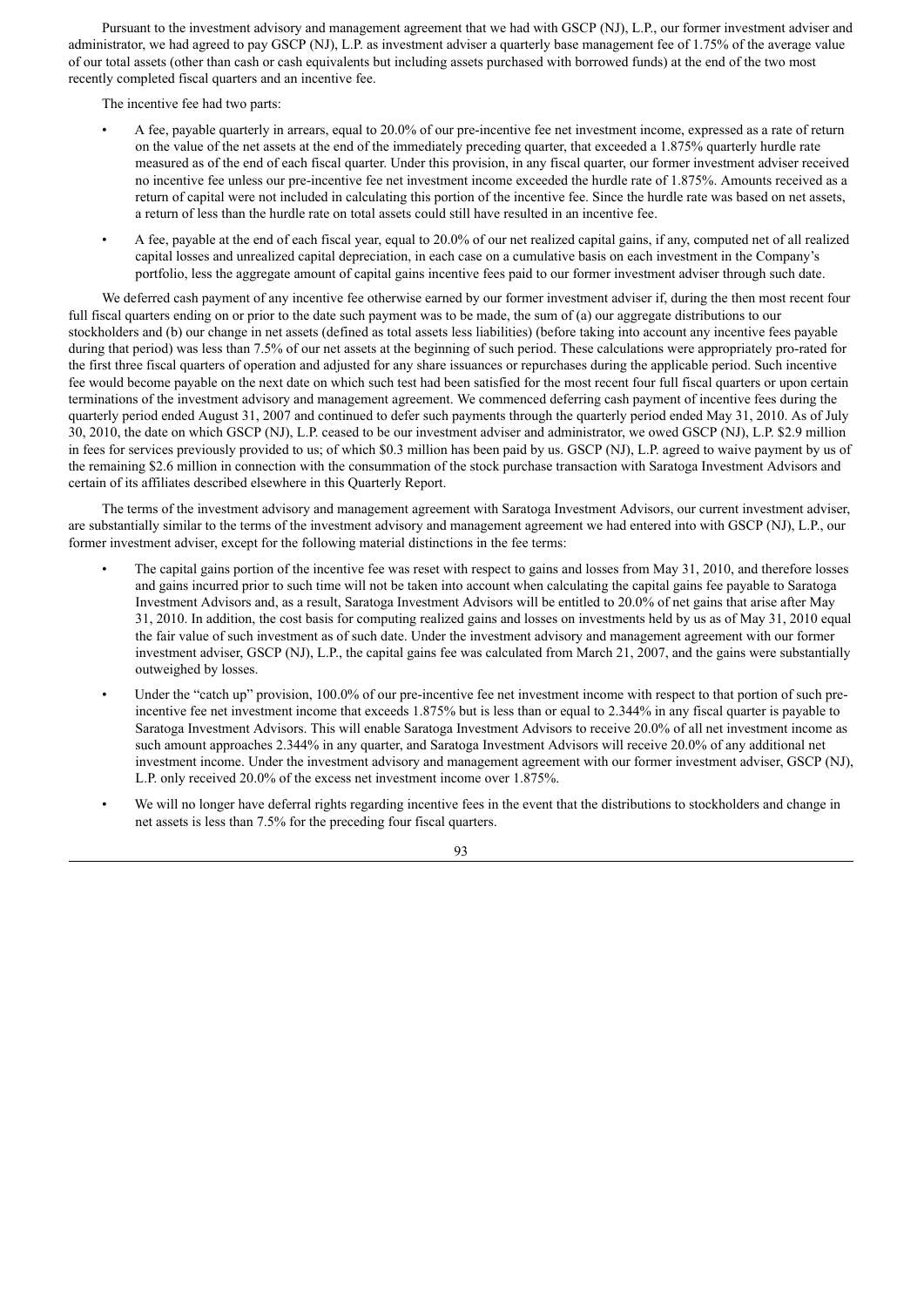Pursuant to the investment advisory and management agreement that we had with GSCP (NJ), L.P., our former investment adviser and administrator, we had agreed to pay GSCP (NJ), L.P. as investment adviser a quarterly base management fee of 1.75% of the average value of our total assets (other than cash or cash equivalents but including assets purchased with borrowed funds) at the end of the two most recently completed fiscal quarters and an incentive fee.

The incentive fee had two parts:

- A fee, payable quarterly in arrears, equal to 20.0% of our pre-incentive fee net investment income, expressed as a rate of return on the value of the net assets at the end of the immediately preceding quarter, that exceeded a 1.875% quarterly hurdle rate measured as of the end of each fiscal quarter. Under this provision, in any fiscal quarter, our former investment adviser received no incentive fee unless our pre-incentive fee net investment income exceeded the hurdle rate of 1.875%. Amounts received as a return of capital were not included in calculating this portion of the incentive fee. Since the hurdle rate was based on net assets, a return of less than the hurdle rate on total assets could still have resulted in an incentive fee.
- A fee, payable at the end of each fiscal year, equal to 20.0% of our net realized capital gains, if any, computed net of all realized capital losses and unrealized capital depreciation, in each case on a cumulative basis on each investment in the Company's portfolio, less the aggregate amount of capital gains incentive fees paid to our former investment adviser through such date.

We deferred cash payment of any incentive fee otherwise earned by our former investment adviser if, during the then most recent four full fiscal quarters ending on or prior to the date such payment was to be made, the sum of (a) our aggregate distributions to our stockholders and (b) our change in net assets (defined as total assets less liabilities) (before taking into account any incentive fees payable during that period) was less than 7.5% of our net assets at the beginning of such period. These calculations were appropriately pro-rated for the first three fiscal quarters of operation and adjusted for any share issuances or repurchases during the applicable period. Such incentive fee would become payable on the next date on which such test had been satisfied for the most recent four full fiscal quarters or upon certain terminations of the investment advisory and management agreement. We commenced deferring cash payment of incentive fees during the quarterly period ended August 31, 2007 and continued to defer such payments through the quarterly period ended May 31, 2010. As of July 30, 2010, the date on which GSCP (NJ), L.P. ceased to be our investment adviser and administrator, we owed GSCP (NJ), L.P. \$2.9 million in fees for services previously provided to us; of which \$0.3 million has been paid by us. GSCP (NJ), L.P. agreed to waive payment by us of the remaining \$2.6 million in connection with the consummation of the stock purchase transaction with Saratoga Investment Advisors and certain of its affiliates described elsewhere in this Quarterly Report.

The terms of the investment advisory and management agreement with Saratoga Investment Advisors, our current investment adviser, are substantially similar to the terms of the investment advisory and management agreement we had entered into with GSCP (NJ), L.P., our former investment adviser, except for the following material distinctions in the fee terms:

- The capital gains portion of the incentive fee was reset with respect to gains and losses from May 31, 2010, and therefore losses and gains incurred prior to such time will not be taken into account when calculating the capital gains fee payable to Saratoga Investment Advisors and, as a result, Saratoga Investment Advisors will be entitled to 20.0% of net gains that arise after May 31, 2010. In addition, the cost basis for computing realized gains and losses on investments held by us as of May 31, 2010 equal the fair value of such investment as of such date. Under the investment advisory and management agreement with our former investment adviser, GSCP (NJ), L.P., the capital gains fee was calculated from March 21, 2007, and the gains were substantially outweighed by losses.
- Under the "catch up" provision, 100.0% of our pre-incentive fee net investment income with respect to that portion of such preincentive fee net investment income that exceeds 1.875% but is less than or equal to 2.344% in any fiscal quarter is payable to Saratoga Investment Advisors. This will enable Saratoga Investment Advisors to receive 20.0% of all net investment income as such amount approaches 2.344% in any quarter, and Saratoga Investment Advisors will receive 20.0% of any additional net investment income. Under the investment advisory and management agreement with our former investment adviser, GSCP (NJ), L.P. only received 20.0% of the excess net investment income over 1.875%.
- We will no longer have deferral rights regarding incentive fees in the event that the distributions to stockholders and change in net assets is less than 7.5% for the preceding four fiscal quarters.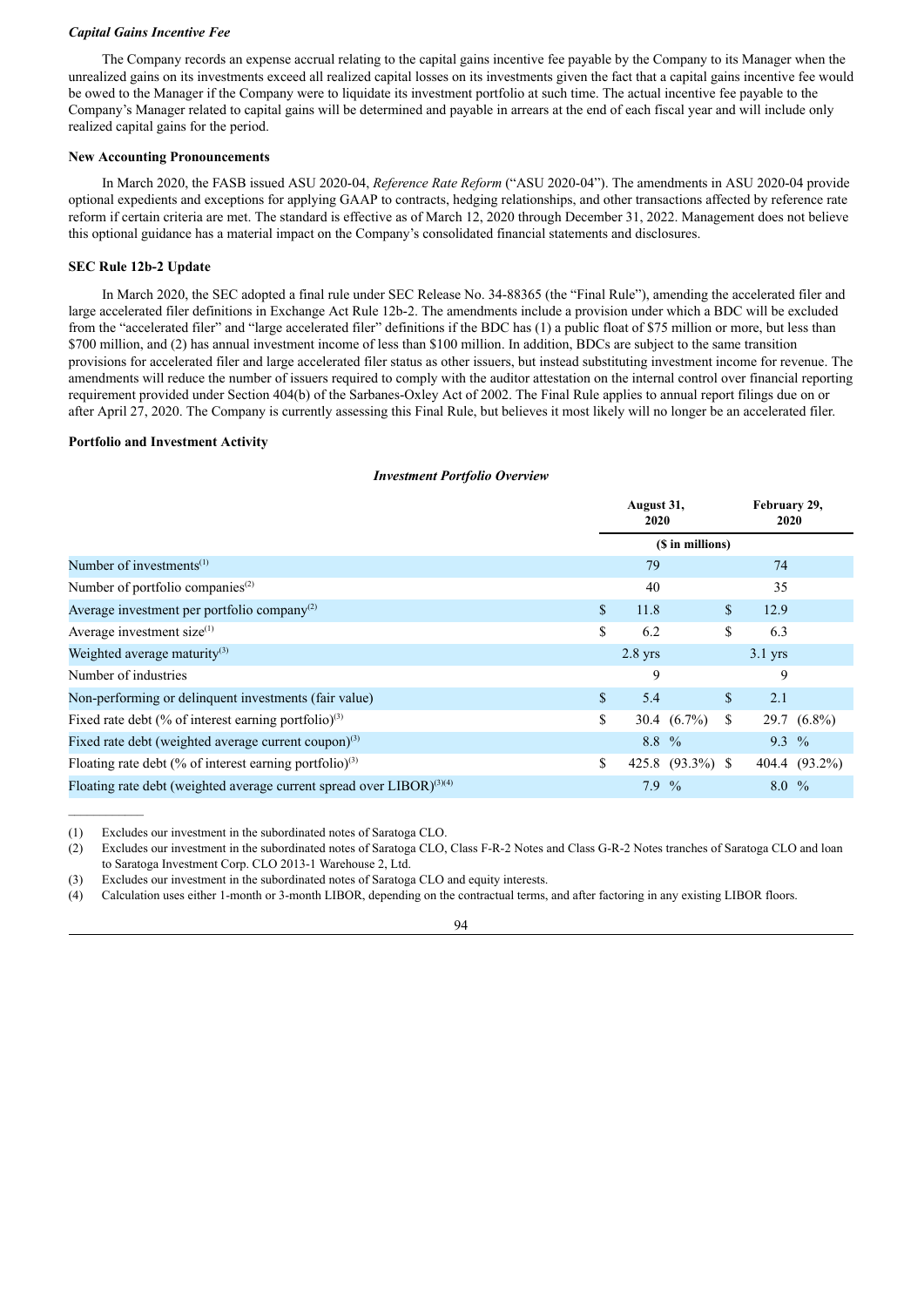## *Capital Gains Incentive Fee*

The Company records an expense accrual relating to the capital gains incentive fee payable by the Company to its Manager when the unrealized gains on its investments exceed all realized capital losses on its investments given the fact that a capital gains incentive fee would be owed to the Manager if the Company were to liquidate its investment portfolio at such time. The actual incentive fee payable to the Company's Manager related to capital gains will be determined and payable in arrears at the end of each fiscal year and will include only realized capital gains for the period.

## **New Accounting Pronouncements**

In March 2020, the FASB issued ASU 2020-04, *Reference Rate Reform* ("ASU 2020-04"). The amendments in ASU 2020-04 provide optional expedients and exceptions for applying GAAP to contracts, hedging relationships, and other transactions affected by reference rate reform if certain criteria are met. The standard is effective as of March 12, 2020 through December 31, 2022. Management does not believe this optional guidance has a material impact on the Company's consolidated financial statements and disclosures.

# **SEC Rule 12b-2 Update**

In March 2020, the SEC adopted a final rule under SEC Release No. 34-88365 (the "Final Rule"), amending the accelerated filer and large accelerated filer definitions in Exchange Act Rule 12b-2. The amendments include a provision under which a BDC will be excluded from the "accelerated filer" and "large accelerated filer" definitions if the BDC has (1) a public float of \$75 million or more, but less than \$700 million, and (2) has annual investment income of less than \$100 million. In addition, BDCs are subject to the same transition provisions for accelerated filer and large accelerated filer status as other issuers, but instead substituting investment income for revenue. The amendments will reduce the number of issuers required to comply with the auditor attestation on the internal control over financial reporting requirement provided under Section 404(b) of the Sarbanes-Oxley Act of 2002. The Final Rule applies to annual report filings due on or after April 27, 2020. The Company is currently assessing this Final Rule, but believes it most likely will no longer be an accelerated filer.

## **Portfolio and Investment Activity**

## *Investment Portfolio Overview*

|                                                                                   | August 31,<br>2020 |           |                  |               | February 29,<br>2020 |               |  |
|-----------------------------------------------------------------------------------|--------------------|-----------|------------------|---------------|----------------------|---------------|--|
|                                                                                   |                    |           | (\$ in millions) |               |                      |               |  |
| Number of investments <sup><math>(1)</math></sup>                                 |                    | 79        |                  |               | 74                   |               |  |
| Number of portfolio companies <sup>(2)</sup>                                      |                    | 40        |                  |               | 35                   |               |  |
| Average investment per portfolio company <sup>(2)</sup>                           | $\mathbb{S}$       | 11.8      |                  | \$            | 12.9                 |               |  |
| Average investment size $^{(1)}$                                                  | \$                 | 6.2       |                  | S             | 6.3                  |               |  |
| Weighted average maturity <sup>(3)</sup>                                          |                    | $2.8$ yrs |                  |               | $3.1$ yrs            |               |  |
| Number of industries                                                              |                    | 9         |                  |               | 9                    |               |  |
| Non-performing or delinquent investments (fair value)                             | \$                 | 5.4       |                  | <sup>\$</sup> | 2.1                  |               |  |
| Fixed rate debt (% of interest earning portfolio) <sup>(3)</sup>                  | \$                 |           | 30.4 $(6.7\%)$   | \$.           |                      | 29.7 (6.8%)   |  |
| Fixed rate debt (weighted average current coupon) $(3)$                           |                    | $8.8\%$   |                  |               | $9.3\%$              |               |  |
| Floating rate debt (% of interest earning portfolio) $(3)$                        | \$                 |           | 425.8 (93.3%) \$ |               |                      | 404.4 (93.2%) |  |
| Floating rate debt (weighted average current spread over LIBOR) <sup>(3)(4)</sup> |                    | 7.9       | $\frac{0}{0}$    |               | $8.0\%$              |               |  |

(1) Excludes our investment in the subordinated notes of Saratoga CLO.

(2) Excludes our investment in the subordinated notes of Saratoga CLO, Class F-R-2 Notes and Class G-R-2 Notes tranches of Saratoga CLO and loan to Saratoga Investment Corp. CLO 2013-1 Warehouse 2, Ltd.

(3) Excludes our investment in the subordinated notes of Saratoga CLO and equity interests.

(4) Calculation uses either 1-month or 3-month LIBOR, depending on the contractual terms, and after factoring in any existing LIBOR floors.

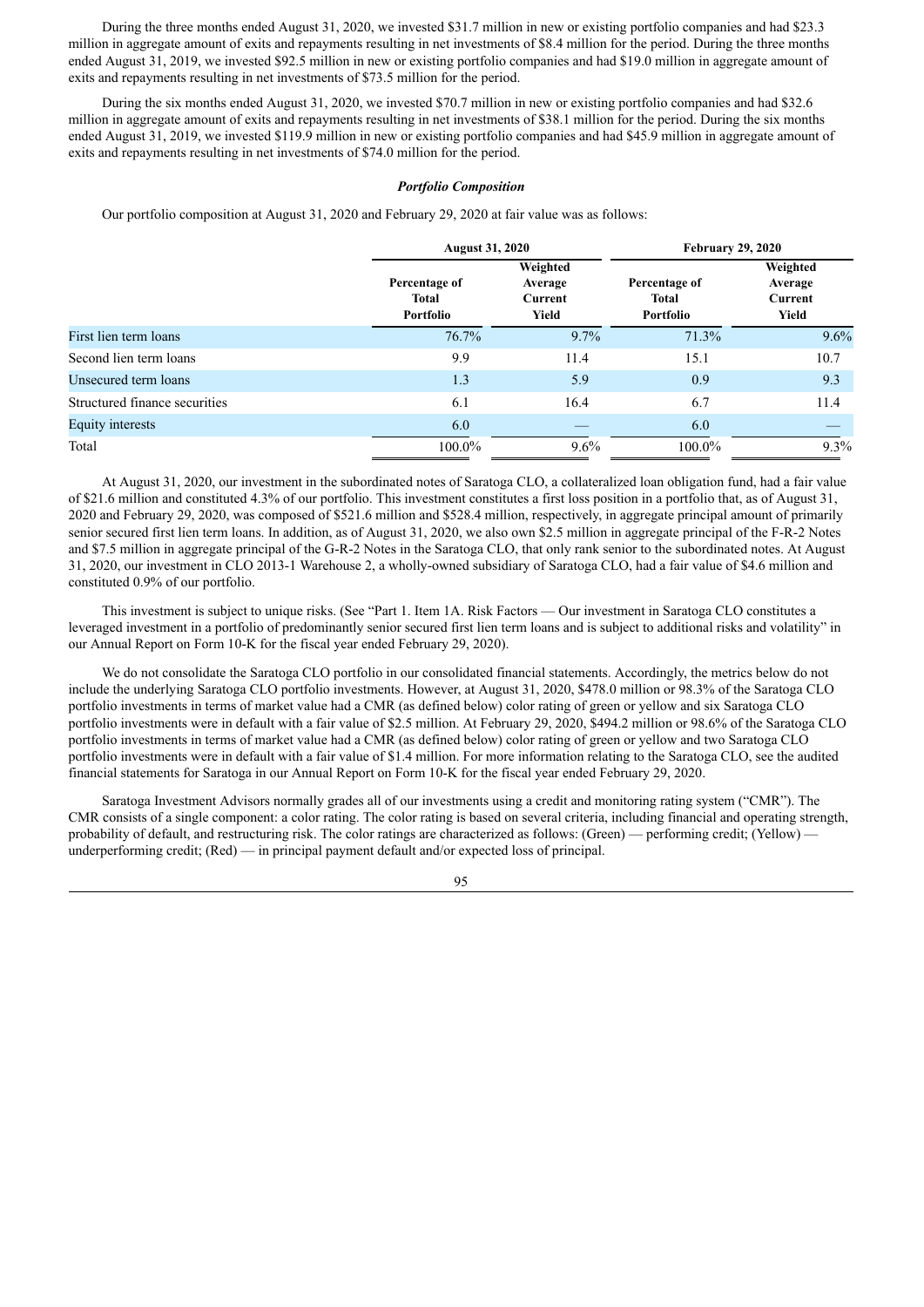During the three months ended August 31, 2020, we invested \$31.7 million in new or existing portfolio companies and had \$23.3 million in aggregate amount of exits and repayments resulting in net investments of \$8.4 million for the period. During the three months ended August 31, 2019, we invested \$92.5 million in new or existing portfolio companies and had \$19.0 million in aggregate amount of exits and repayments resulting in net investments of \$73.5 million for the period.

During the six months ended August 31, 2020, we invested \$70.7 million in new or existing portfolio companies and had \$32.6 million in aggregate amount of exits and repayments resulting in net investments of \$38.1 million for the period. During the six months ended August 31, 2019, we invested \$119.9 million in new or existing portfolio companies and had \$45.9 million in aggregate amount of exits and repayments resulting in net investments of \$74.0 million for the period.

#### *Portfolio Composition*

Our portfolio composition at August 31, 2020 and February 29, 2020 at fair value was as follows:

|                               | <b>August 31, 2020</b>              |                                         | <b>February 29, 2020</b>                   |                                         |  |  |  |
|-------------------------------|-------------------------------------|-----------------------------------------|--------------------------------------------|-----------------------------------------|--|--|--|
|                               | Percentage of<br>Total<br>Portfolio | Weighted<br>Average<br>Current<br>Yield | Percentage of<br><b>Total</b><br>Portfolio | Weighted<br>Average<br>Current<br>Yield |  |  |  |
| First lien term loans         | 76.7%                               | 9.7%                                    | 71.3%                                      | 9.6%                                    |  |  |  |
| Second lien term loans        | 9.9                                 | 11.4                                    | 15.1                                       | 10.7                                    |  |  |  |
| Unsecured term loans          | 1.3                                 | 5.9                                     | 0.9                                        | 9.3                                     |  |  |  |
| Structured finance securities | 6.1                                 | 16.4                                    | 6.7                                        | 11.4                                    |  |  |  |
| Equity interests              | 6.0                                 |                                         | 6.0                                        |                                         |  |  |  |
| Total                         | 100.0%                              | $9.6\%$                                 | $100.0\%$                                  | $9.3\%$                                 |  |  |  |

At August 31, 2020, our investment in the subordinated notes of Saratoga CLO, a collateralized loan obligation fund, had a fair value of \$21.6 million and constituted 4.3% of our portfolio. This investment constitutes a first loss position in a portfolio that, as of August 31, 2020 and February 29, 2020, was composed of \$521.6 million and \$528.4 million, respectively, in aggregate principal amount of primarily senior secured first lien term loans. In addition, as of August 31, 2020, we also own \$2.5 million in aggregate principal of the F-R-2 Notes and \$7.5 million in aggregate principal of the G-R-2 Notes in the Saratoga CLO, that only rank senior to the subordinated notes. At August 31, 2020, our investment in CLO 2013-1 Warehouse 2, a wholly-owned subsidiary of Saratoga CLO, had a fair value of \$4.6 million and constituted 0.9% of our portfolio.

This investment is subject to unique risks. (See "Part 1. Item 1A. Risk Factors — Our investment in Saratoga CLO constitutes a leveraged investment in a portfolio of predominantly senior secured first lien term loans and is subject to additional risks and volatility" in our Annual Report on Form 10-K for the fiscal year ended February 29, 2020).

We do not consolidate the Saratoga CLO portfolio in our consolidated financial statements. Accordingly, the metrics below do not include the underlying Saratoga CLO portfolio investments. However, at August 31, 2020, \$478.0 million or 98.3% of the Saratoga CLO portfolio investments in terms of market value had a CMR (as defined below) color rating of green or yellow and six Saratoga CLO portfolio investments were in default with a fair value of \$2.5 million. At February 29, 2020, \$494.2 million or 98.6% of the Saratoga CLO portfolio investments in terms of market value had a CMR (as defined below) color rating of green or yellow and two Saratoga CLO portfolio investments were in default with a fair value of \$1.4 million. For more information relating to the Saratoga CLO, see the audited financial statements for Saratoga in our Annual Report on Form 10-K for the fiscal year ended February 29, 2020.

Saratoga Investment Advisors normally grades all of our investments using a credit and monitoring rating system ("CMR"). The CMR consists of a single component: a color rating. The color rating is based on several criteria, including financial and operating strength, probability of default, and restructuring risk. The color ratings are characterized as follows: (Green) — performing credit; (Yellow) underperforming credit; (Red) — in principal payment default and/or expected loss of principal.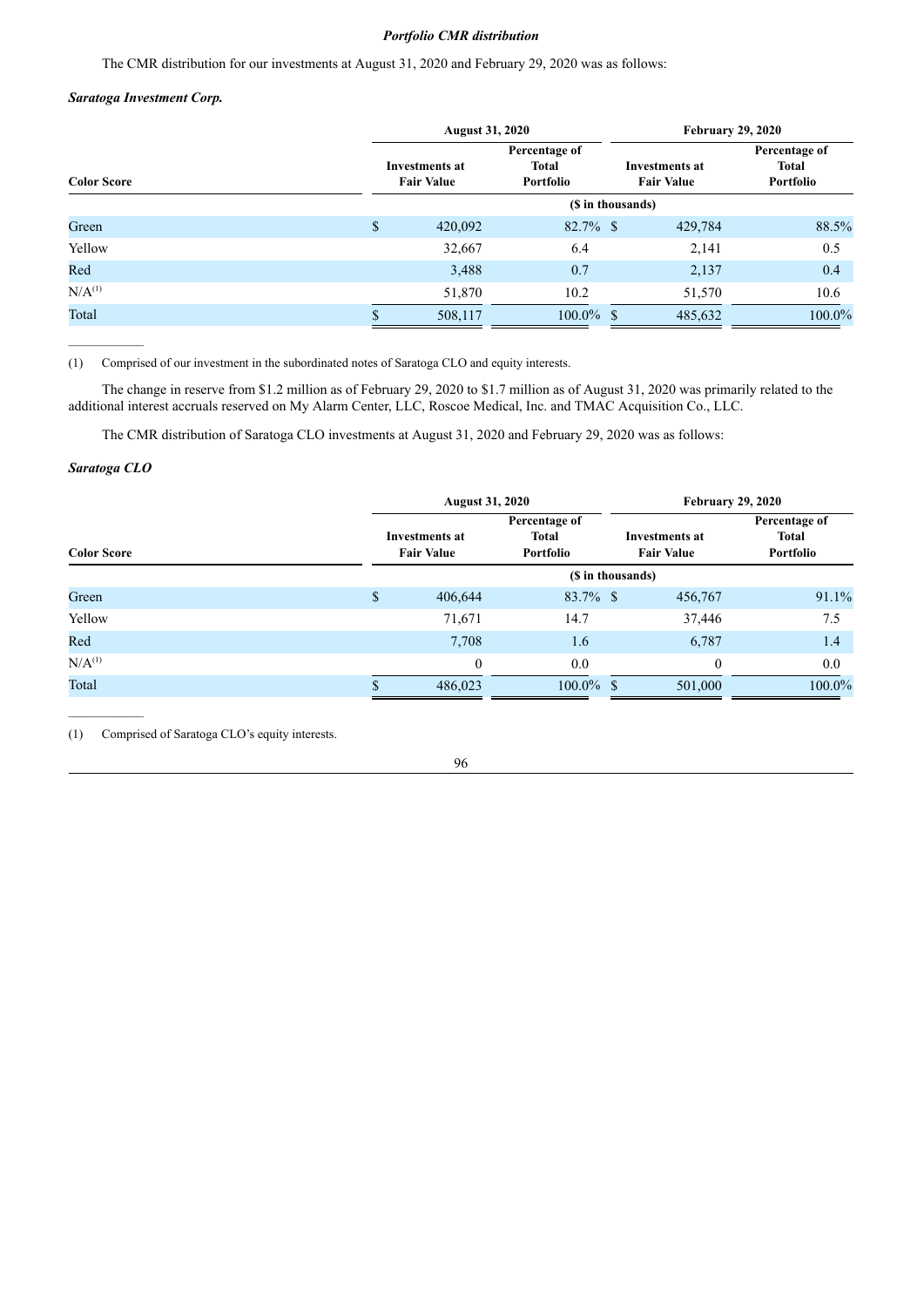# *Portfolio CMR distribution*

The CMR distribution for our investments at August 31, 2020 and February 29, 2020 was as follows:

# *Saratoga Investment Corp.*

|                    | <b>August 31, 2020</b>                     |                                            | <b>February 29, 2020</b>            |                                            |  |  |  |
|--------------------|--------------------------------------------|--------------------------------------------|-------------------------------------|--------------------------------------------|--|--|--|
| <b>Color Score</b> | <b>Investments at</b><br><b>Fair Value</b> | Percentage of<br><b>Total</b><br>Portfolio | Investments at<br><b>Fair Value</b> | Percentage of<br><b>Total</b><br>Portfolio |  |  |  |
|                    |                                            |                                            | (\$ in thousands)                   |                                            |  |  |  |
| Green              | \$<br>420,092                              | $82.7\%$ \$                                | 429,784                             | 88.5%                                      |  |  |  |
| Yellow             | 32,667                                     | 6.4                                        | 2,141                               | 0.5                                        |  |  |  |
| Red                | 3,488                                      | 0.7                                        | 2,137                               | 0.4                                        |  |  |  |
| $N/A^{(1)}$        | 51,870                                     | 10.2                                       | 51,570                              | 10.6                                       |  |  |  |
| Total              | 508,117                                    | $100.0\%$ \$                               | 485,632                             | 100.0%                                     |  |  |  |

(1) Comprised of our investment in the subordinated notes of Saratoga CLO and equity interests.

The change in reserve from \$1.2 million as of February 29, 2020 to \$1.7 million as of August 31, 2020 was primarily related to the additional interest accruals reserved on My Alarm Center, LLC, Roscoe Medical, Inc. and TMAC Acquisition Co., LLC.

The CMR distribution of Saratoga CLO investments at August 31, 2020 and February 29, 2020 was as follows:

# *Saratoga CLO*

 $\mathcal{L}=\mathcal{L}^{\mathcal{L}}$ 

|                    | <b>August 31, 2020</b>                     |                                            | <b>February 29, 2020</b> |                                            |                                            |  |  |
|--------------------|--------------------------------------------|--------------------------------------------|--------------------------|--------------------------------------------|--------------------------------------------|--|--|
| <b>Color Score</b> | <b>Investments at</b><br><b>Fair Value</b> | Percentage of<br><b>Total</b><br>Portfolio |                          | <b>Investments at</b><br><b>Fair Value</b> | Percentage of<br><b>Total</b><br>Portfolio |  |  |
|                    |                                            | (\$ in thousands)                          |                          |                                            |                                            |  |  |
| Green              | \$<br>406,644                              | $83.7\%$ \$                                |                          | 456,767                                    | 91.1%                                      |  |  |
| Yellow             | 71,671                                     | 14.7                                       |                          | 37,446                                     | 7.5                                        |  |  |
| Red                | 7,708                                      | 1.6                                        |                          | 6,787                                      | 1.4                                        |  |  |
| N/A <sup>(1)</sup> | $\theta$                                   | 0.0                                        |                          | $\theta$                                   | 0.0                                        |  |  |
| Total              | 486,023                                    | $100.0\%$ \$                               |                          | 501,000                                    | 100.0%                                     |  |  |

(1) Comprised of Saratoga CLO's equity interests.

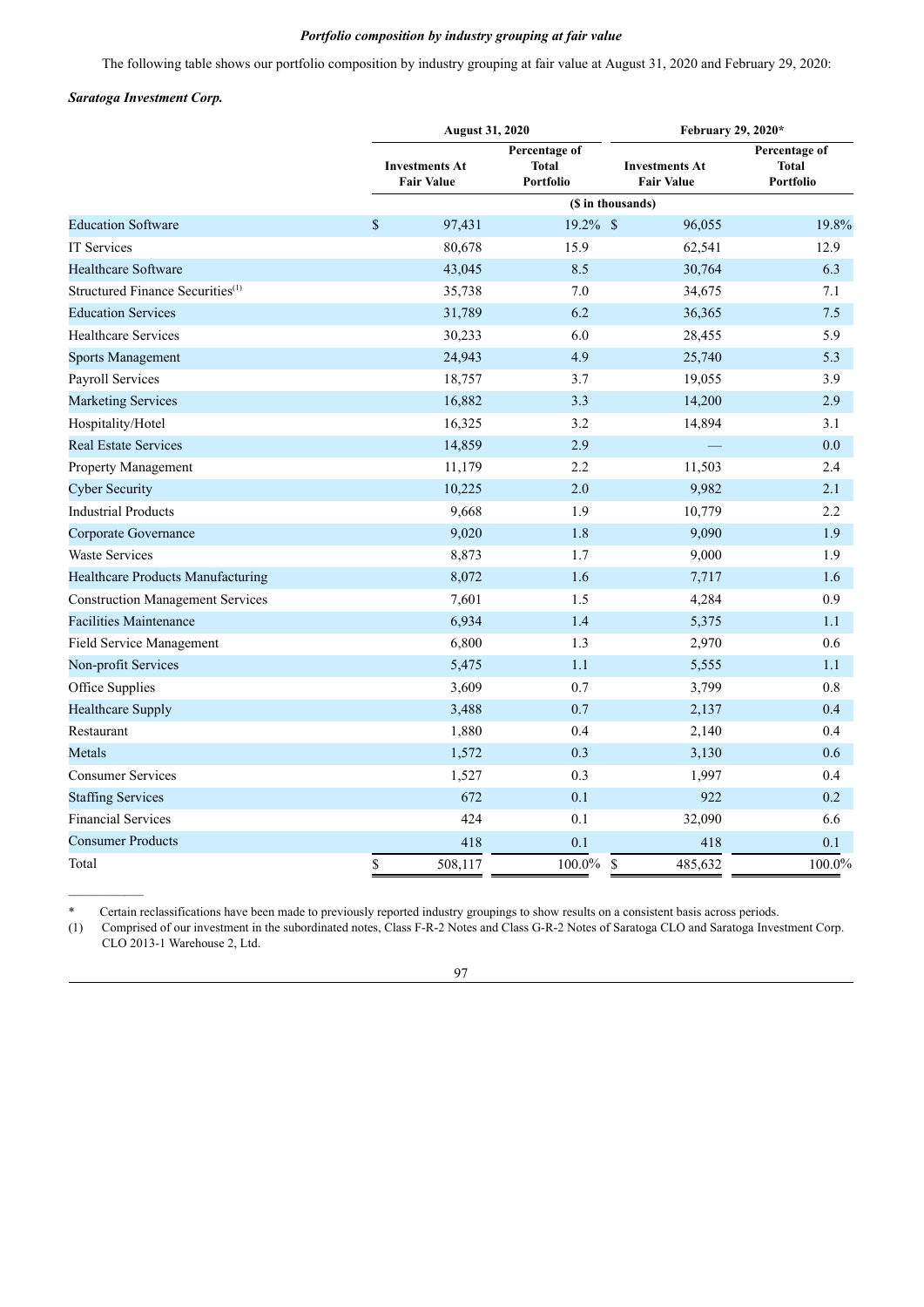# *Portfolio composition by industry grouping at fair value*

The following table shows our portfolio composition by industry grouping at fair value at August 31, 2020 and February 29, 2020:

# *Saratoga Investment Corp.*

|                                              |      | <b>August 31, 2020</b>                     |                                                   | February 29, 2020*                         |                                                   |  |  |  |  |  |  |
|----------------------------------------------|------|--------------------------------------------|---------------------------------------------------|--------------------------------------------|---------------------------------------------------|--|--|--|--|--|--|
|                                              |      | <b>Investments At</b><br><b>Fair Value</b> | Percentage of<br><b>Total</b><br><b>Portfolio</b> | <b>Investments At</b><br><b>Fair Value</b> | Percentage of<br><b>Total</b><br><b>Portfolio</b> |  |  |  |  |  |  |
|                                              |      | (\$ in thousands)                          |                                                   |                                            |                                                   |  |  |  |  |  |  |
| <b>Education Software</b>                    | $\$$ | 97,431                                     | 19.2% \$                                          | 96,055                                     | 19.8%                                             |  |  |  |  |  |  |
| <b>IT Services</b>                           |      | 80,678                                     | 15.9                                              | 62,541                                     | 12.9                                              |  |  |  |  |  |  |
| <b>Healthcare Software</b>                   |      | 43,045                                     | 8.5                                               | 30,764                                     | 6.3                                               |  |  |  |  |  |  |
| Structured Finance Securities <sup>(1)</sup> |      | 35,738                                     | 7.0                                               | 34,675                                     | 7.1                                               |  |  |  |  |  |  |
| <b>Education Services</b>                    |      | 31,789                                     | 6.2                                               | 36,365                                     | 7.5                                               |  |  |  |  |  |  |
| <b>Healthcare Services</b>                   |      | 30,233                                     | 6.0                                               | 28,455                                     | 5.9                                               |  |  |  |  |  |  |
| <b>Sports Management</b>                     |      | 24,943                                     | 4.9                                               | 25,740                                     | 5.3                                               |  |  |  |  |  |  |
| Payroll Services                             |      | 18,757                                     | 3.7                                               | 19,055                                     | 3.9                                               |  |  |  |  |  |  |
| <b>Marketing Services</b>                    |      | 16,882                                     | 3.3                                               | 14,200                                     | 2.9                                               |  |  |  |  |  |  |
| Hospitality/Hotel                            |      | 16,325                                     | 3.2                                               | 14,894                                     | 3.1                                               |  |  |  |  |  |  |
| <b>Real Estate Services</b>                  |      | 14,859                                     | 2.9                                               |                                            | 0.0                                               |  |  |  |  |  |  |
| Property Management                          |      | 11,179                                     | 2.2                                               | 11,503                                     | 2.4                                               |  |  |  |  |  |  |
| <b>Cyber Security</b>                        |      | 10,225                                     | 2.0                                               | 9,982                                      | 2.1                                               |  |  |  |  |  |  |
| <b>Industrial Products</b>                   |      | 9,668                                      | 1.9                                               | 10,779                                     | 2.2                                               |  |  |  |  |  |  |
| Corporate Governance                         |      | 9,020                                      | 1.8                                               | 9,090                                      | 1.9                                               |  |  |  |  |  |  |
| <b>Waste Services</b>                        |      | 8,873                                      | 1.7                                               | 9,000                                      | 1.9                                               |  |  |  |  |  |  |
| Healthcare Products Manufacturing            |      | 8,072                                      | 1.6                                               | 7,717                                      | 1.6                                               |  |  |  |  |  |  |
| <b>Construction Management Services</b>      |      | 7,601                                      | 1.5                                               | 4,284                                      | 0.9                                               |  |  |  |  |  |  |
| <b>Facilities Maintenance</b>                |      | 6,934                                      | 1.4                                               | 5,375                                      | 1.1                                               |  |  |  |  |  |  |
| Field Service Management                     |      | 6,800                                      | 1.3                                               | 2,970                                      | 0.6                                               |  |  |  |  |  |  |
| Non-profit Services                          |      | 5,475                                      | 1.1                                               | 5,555                                      | 1.1                                               |  |  |  |  |  |  |
| Office Supplies                              |      | 3,609                                      | 0.7                                               | 3,799                                      | 0.8                                               |  |  |  |  |  |  |
| <b>Healthcare Supply</b>                     |      | 3,488                                      | 0.7                                               | 2,137                                      | 0.4                                               |  |  |  |  |  |  |
| Restaurant                                   |      | 1,880                                      | 0.4                                               | 2,140                                      | 0.4                                               |  |  |  |  |  |  |
| Metals                                       |      | 1,572                                      | 0.3                                               | 3,130                                      | 0.6                                               |  |  |  |  |  |  |
| <b>Consumer Services</b>                     |      | 1,527                                      | 0.3                                               | 1,997                                      | 0.4                                               |  |  |  |  |  |  |
| <b>Staffing Services</b>                     |      | 672                                        | 0.1                                               | 922                                        | 0.2                                               |  |  |  |  |  |  |
| <b>Financial Services</b>                    |      | 424                                        | 0.1                                               | 32,090                                     | 6.6                                               |  |  |  |  |  |  |
| <b>Consumer Products</b>                     |      | 418                                        | 0.1                                               | 418                                        | 0.1                                               |  |  |  |  |  |  |
| Total                                        | \$   | 508,117                                    | 100.0%<br><sup>\$</sup>                           | 485,632                                    | 100.0%                                            |  |  |  |  |  |  |

\* Certain reclassifications have been made to previously reported industry groupings to show results on a consistent basis across periods.

(1) Comprised of our investment in the subordinated notes, Class F-R-2 Notes and Class G-R-2 Notes of Saratoga CLO and Saratoga Investment Corp. CLO 2013-1 Warehouse 2, Ltd.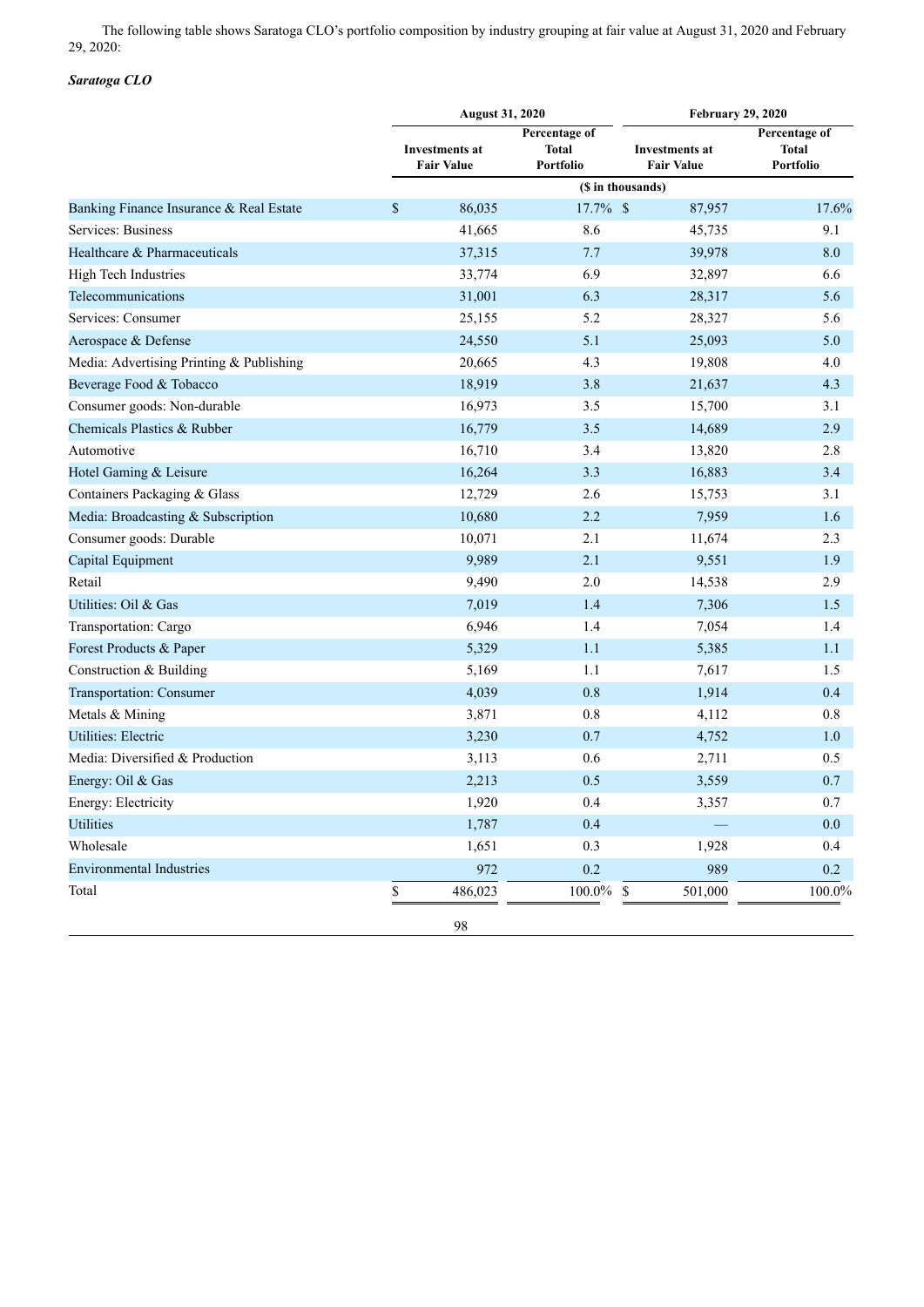The following table shows Saratoga CLO's portfolio composition by industry grouping at fair value at August 31, 2020 and February 29, 2020:

# *Saratoga CLO*

|                                          |    | <b>August 31, 2020</b>                     |                                            | <b>February 29, 2020</b>                   |                                            |  |  |  |
|------------------------------------------|----|--------------------------------------------|--------------------------------------------|--------------------------------------------|--------------------------------------------|--|--|--|
|                                          |    | <b>Investments at</b><br><b>Fair Value</b> | Percentage of<br><b>Total</b><br>Portfolio | <b>Investments at</b><br><b>Fair Value</b> | Percentage of<br><b>Total</b><br>Portfolio |  |  |  |
|                                          |    |                                            |                                            |                                            |                                            |  |  |  |
| Banking Finance Insurance & Real Estate  | \$ | 86,035                                     | 17.7% \$                                   | 87,957                                     | 17.6%                                      |  |  |  |
| Services: Business                       |    | 41,665                                     | 8.6                                        | 45,735                                     | 9.1                                        |  |  |  |
| Healthcare & Pharmaceuticals             |    | 37,315                                     | 7.7                                        | 39,978                                     | 8.0                                        |  |  |  |
| High Tech Industries                     |    | 33,774                                     | 6.9                                        | 32,897                                     | 6.6                                        |  |  |  |
| Telecommunications                       |    | 31,001                                     | 6.3                                        | 28,317                                     | 5.6                                        |  |  |  |
| Services: Consumer                       |    | 25,155                                     | 5.2                                        | 28,327                                     | 5.6                                        |  |  |  |
| Aerospace & Defense                      |    | 24,550                                     | 5.1                                        | 25,093                                     | 5.0                                        |  |  |  |
| Media: Advertising Printing & Publishing |    | 20,665                                     | 4.3                                        | 19,808                                     | 4.0                                        |  |  |  |
| Beverage Food & Tobacco                  |    | 18,919                                     | 3.8                                        | 21,637                                     | 4.3                                        |  |  |  |
| Consumer goods: Non-durable              |    | 16,973                                     | 3.5                                        | 15,700                                     | 3.1                                        |  |  |  |
| Chemicals Plastics & Rubber              |    | 16,779                                     | 3.5                                        | 14,689                                     | 2.9                                        |  |  |  |
| Automotive                               |    | 16,710                                     | 3.4                                        | 13,820                                     | 2.8                                        |  |  |  |
| Hotel Gaming & Leisure                   |    | 16,264                                     | 3.3                                        | 16,883                                     | 3.4                                        |  |  |  |
| Containers Packaging & Glass             |    | 12,729                                     | 2.6                                        | 15,753                                     | 3.1                                        |  |  |  |
| Media: Broadcasting & Subscription       |    | 10,680                                     | 2.2                                        | 7,959                                      | 1.6                                        |  |  |  |
| Consumer goods: Durable                  |    | 10,071                                     | 2.1                                        | 11,674                                     | 2.3                                        |  |  |  |
| Capital Equipment                        |    | 9,989                                      | 2.1                                        | 9,551                                      | 1.9                                        |  |  |  |
| Retail                                   |    | 9,490                                      | 2.0                                        | 14,538                                     | 2.9                                        |  |  |  |
| Utilities: Oil & Gas                     |    | 7,019                                      | 1.4                                        | 7,306                                      | 1.5                                        |  |  |  |
| Transportation: Cargo                    |    | 6,946                                      | 1.4                                        | 7,054                                      | 1.4                                        |  |  |  |
| Forest Products & Paper                  |    | 5,329                                      | 1.1                                        | 5,385                                      | 1.1                                        |  |  |  |
| Construction & Building                  |    | 5,169                                      | 1.1                                        | 7,617                                      | 1.5                                        |  |  |  |
| Transportation: Consumer                 |    | 4,039                                      | 0.8                                        | 1,914                                      | 0.4                                        |  |  |  |
| Metals & Mining                          |    | 3,871                                      | $0.8\,$                                    | 4,112                                      | 0.8                                        |  |  |  |
| <b>Utilities: Electric</b>               |    | 3,230                                      | 0.7                                        | 4,752                                      | 1.0                                        |  |  |  |
| Media: Diversified & Production          |    | 3,113                                      | 0.6                                        | 2,711                                      | 0.5                                        |  |  |  |
| Energy: Oil & Gas                        |    | 2,213                                      | 0.5                                        | 3,559                                      | 0.7                                        |  |  |  |
| Energy: Electricity                      |    | 1,920                                      | 0.4                                        | 3,357                                      | $0.7\,$                                    |  |  |  |
| <b>Utilities</b>                         |    | 1,787                                      | 0.4                                        |                                            | 0.0                                        |  |  |  |
| Wholesale                                |    | 1,651                                      | 0.3                                        | 1,928                                      | 0.4                                        |  |  |  |
| <b>Environmental Industries</b>          |    | 972                                        | 0.2                                        | 989                                        | 0.2                                        |  |  |  |
| Total                                    | \$ | 486,023                                    | $100.0\%$                                  | 501,000<br>\$                              | 100.0%                                     |  |  |  |
|                                          |    | 98                                         |                                            |                                            |                                            |  |  |  |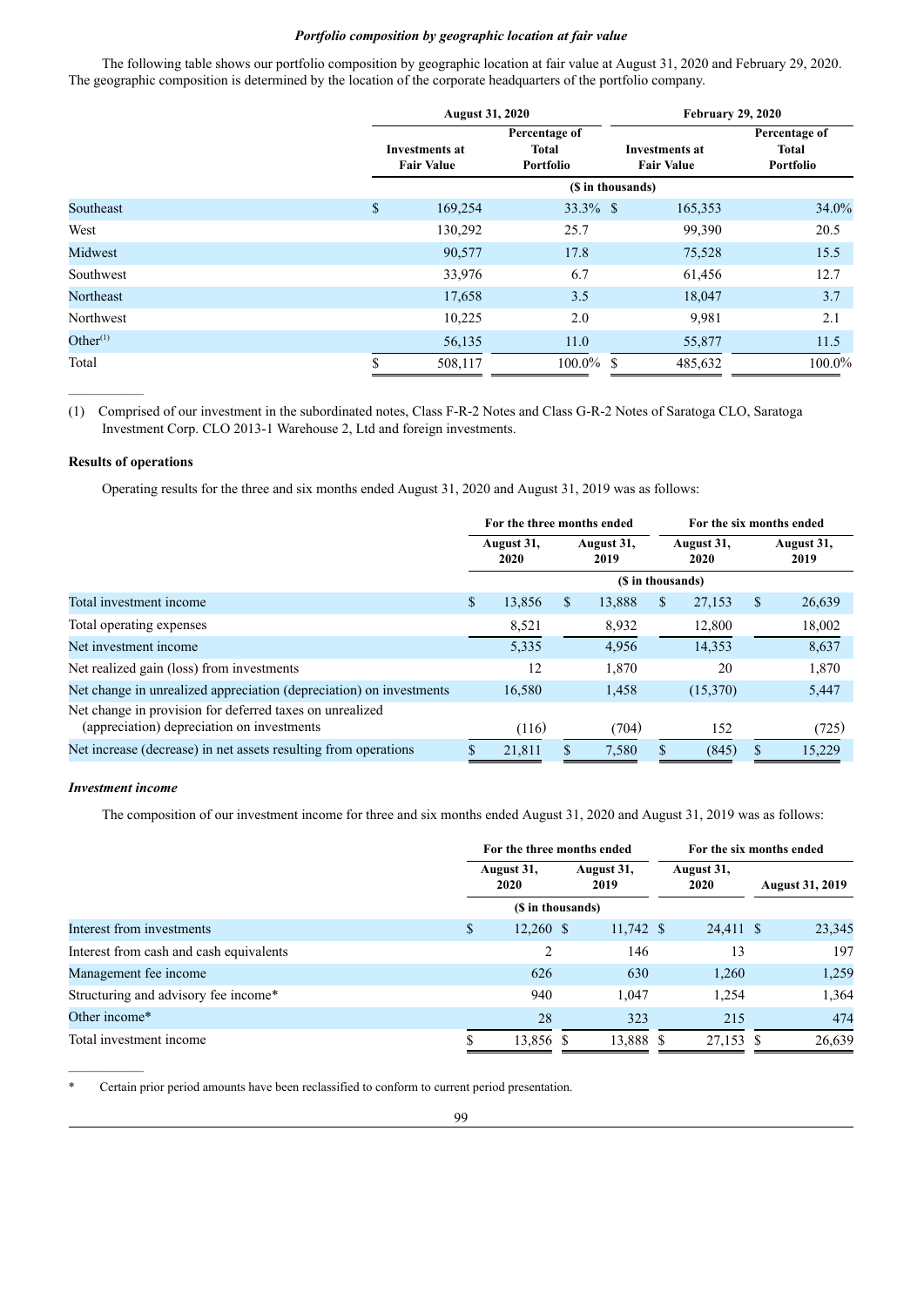# *Portfolio composition by geographic location at fair value*

The following table shows our portfolio composition by geographic location at fair value at August 31, 2020 and February 29, 2020. The geographic composition is determined by the location of the corporate headquarters of the portfolio company.

|             |                                            | <b>August 31, 2020</b> |                                            | <b>February 29, 2020</b>                   |                                            |  |  |  |  |  |  |
|-------------|--------------------------------------------|------------------------|--------------------------------------------|--------------------------------------------|--------------------------------------------|--|--|--|--|--|--|
|             | <b>Investments at</b><br><b>Fair Value</b> |                        | Percentage of<br><b>Total</b><br>Portfolio | <b>Investments at</b><br><b>Fair Value</b> | Percentage of<br><b>Total</b><br>Portfolio |  |  |  |  |  |  |
|             | (\$ in thousands)                          |                        |                                            |                                            |                                            |  |  |  |  |  |  |
| Southeast   | $\mathcal{S}$                              | 169,254                | $33.3\%$ \$                                | 165,353                                    | 34.0%                                      |  |  |  |  |  |  |
| West        |                                            | 130,292                | 25.7                                       | 99,390                                     | 20.5                                       |  |  |  |  |  |  |
| Midwest     |                                            | 90,577                 | 17.8                                       | 75,528                                     | 15.5                                       |  |  |  |  |  |  |
| Southwest   |                                            | 33,976                 | 6.7                                        | 61,456                                     | 12.7                                       |  |  |  |  |  |  |
| Northeast   |                                            | 17,658                 | 3.5                                        | 18,047                                     | 3.7                                        |  |  |  |  |  |  |
| Northwest   |                                            | 10,225                 | 2.0                                        | 9.981                                      | 2.1                                        |  |  |  |  |  |  |
| Other $(1)$ |                                            | 56,135                 | 11.0                                       | 55,877                                     | 11.5                                       |  |  |  |  |  |  |
| Total       |                                            | 508,117                | $100.0\%$ \$                               | 485,632                                    | 100.0%                                     |  |  |  |  |  |  |

(1) Comprised of our investment in the subordinated notes, Class F-R-2 Notes and Class G-R-2 Notes of Saratoga CLO, Saratoga Investment Corp. CLO 2013-1 Warehouse 2, Ltd and foreign investments.

## **Results of operations**

Operating results for the three and six months ended August 31, 2020 and August 31, 2019 was as follows:

|                                                                                                        |                    | For the three months ended |                    |                   |                    | For the six months ended |    |                    |  |
|--------------------------------------------------------------------------------------------------------|--------------------|----------------------------|--------------------|-------------------|--------------------|--------------------------|----|--------------------|--|
|                                                                                                        | August 31,<br>2020 |                            | August 31,<br>2019 |                   | August 31,<br>2020 |                          |    | August 31,<br>2019 |  |
|                                                                                                        |                    |                            |                    | (\$ in thousands) |                    |                          |    |                    |  |
| Total investment income                                                                                | \$                 | 13,856                     | \$                 | 13,888            | S                  | 27,153                   | \$ | 26,639             |  |
| Total operating expenses                                                                               |                    | 8,521                      |                    | 8,932             |                    | 12,800                   |    | 18,002             |  |
| Net investment income                                                                                  |                    | 5,335                      |                    | 4,956             |                    | 14,353                   |    | 8,637              |  |
| Net realized gain (loss) from investments                                                              |                    | 12                         |                    | 1,870             |                    | 20                       |    | 1,870              |  |
| Net change in unrealized appreciation (depreciation) on investments                                    |                    | 16,580                     |                    | 1,458             |                    | (15,370)                 |    | 5,447              |  |
| Net change in provision for deferred taxes on unrealized<br>(appreciation) depreciation on investments |                    | (116)                      |                    | (704)             |                    | 152                      |    | (725)              |  |
| Net increase (decrease) in net assets resulting from operations                                        | S                  | 21,811                     | \$                 | 7,580             |                    | (845)                    | \$ | 15,229             |  |

## *Investment income*

The composition of our investment income for three and six months ended August 31, 2020 and August 31, 2019 was as follows:

|                                         | For the three months ended |                   |                    |                   | For the six months ended |           |  |                        |
|-----------------------------------------|----------------------------|-------------------|--------------------|-------------------|--------------------------|-----------|--|------------------------|
|                                         | August 31,<br>2020         |                   | August 31,<br>2019 |                   | August 31,<br>2020       |           |  | <b>August 31, 2019</b> |
|                                         |                            | (\$ in thousands) |                    |                   |                          |           |  |                        |
| Interest from investments               | \$                         | $12,260$ \$       |                    | $11,742 \text{ }$ |                          | 24,411 \$ |  | 23,345                 |
| Interest from cash and cash equivalents |                            | 2                 |                    | 146               |                          | 13        |  | 197                    |
| Management fee income                   |                            | 626               |                    | 630               |                          | 1,260     |  | 1,259                  |
| Structuring and advisory fee income*    |                            | 940               |                    | 1.047             |                          | 1,254     |  | 1,364                  |
| Other income*                           |                            | 28                |                    | 323               |                          | 215       |  | 474                    |
| Total investment income                 | ۰D.                        | 13,856 \$         |                    | 13,888 \$         |                          | 27,153 \$ |  | 26,639                 |

Certain prior period amounts have been reclassified to conform to current period presentation.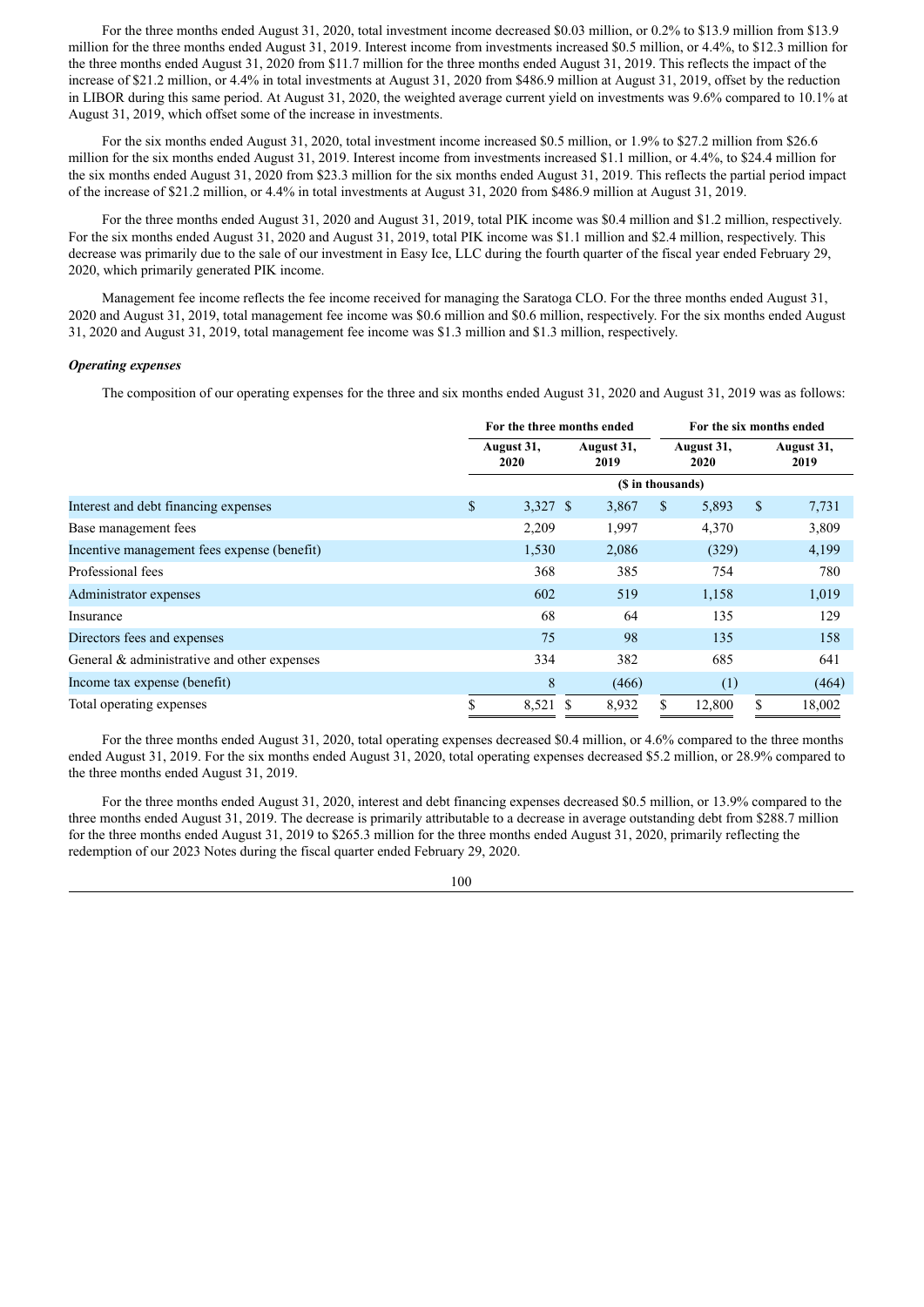For the three months ended August 31, 2020, total investment income decreased \$0.03 million, or 0.2% to \$13.9 million from \$13.9 million for the three months ended August 31, 2019. Interest income from investments increased \$0.5 million, or 4.4%, to \$12.3 million for the three months ended August 31, 2020 from \$11.7 million for the three months ended August 31, 2019. This reflects the impact of the increase of \$21.2 million, or 4.4% in total investments at August 31, 2020 from \$486.9 million at August 31, 2019, offset by the reduction in LIBOR during this same period. At August 31, 2020, the weighted average current yield on investments was 9.6% compared to 10.1% at August 31, 2019, which offset some of the increase in investments.

For the six months ended August 31, 2020, total investment income increased \$0.5 million, or 1.9% to \$27.2 million from \$26.6 million for the six months ended August 31, 2019. Interest income from investments increased \$1.1 million, or 4.4%, to \$24.4 million for the six months ended August 31, 2020 from \$23.3 million for the six months ended August 31, 2019. This reflects the partial period impact of the increase of \$21.2 million, or 4.4% in total investments at August 31, 2020 from \$486.9 million at August 31, 2019.

For the three months ended August 31, 2020 and August 31, 2019, total PIK income was \$0.4 million and \$1.2 million, respectively. For the six months ended August 31, 2020 and August 31, 2019, total PIK income was \$1.1 million and \$2.4 million, respectively. This decrease was primarily due to the sale of our investment in Easy Ice, LLC during the fourth quarter of the fiscal year ended February 29, 2020, which primarily generated PIK income.

Management fee income reflects the fee income received for managing the Saratoga CLO. For the three months ended August 31, 2020 and August 31, 2019, total management fee income was \$0.6 million and \$0.6 million, respectively. For the six months ended August 31, 2020 and August 31, 2019, total management fee income was \$1.3 million and \$1.3 million, respectively.

# *Operating expenses*

The composition of our operating expenses for the three and six months ended August 31, 2020 and August 31, 2019 was as follows:

|                                             |                    | For the three months ended |  |                    |                    | For the six months ended |               |                    |  |  |
|---------------------------------------------|--------------------|----------------------------|--|--------------------|--------------------|--------------------------|---------------|--------------------|--|--|
|                                             | August 31,<br>2020 |                            |  | August 31,<br>2019 | August 31,<br>2020 |                          |               | August 31,<br>2019 |  |  |
|                                             |                    | (\$ in thousands)          |  |                    |                    |                          |               |                    |  |  |
| Interest and debt financing expenses        | \$                 | 3,327 \$                   |  | 3,867              | <sup>S</sup>       | 5,893                    | $\mathcal{S}$ | 7,731              |  |  |
| Base management fees                        |                    | 2,209                      |  | 1,997              |                    | 4,370                    |               | 3,809              |  |  |
| Incentive management fees expense (benefit) |                    | 1,530                      |  | 2,086              |                    | (329)                    |               | 4,199              |  |  |
| Professional fees                           |                    | 368                        |  | 385                |                    | 754                      |               | 780                |  |  |
| Administrator expenses                      |                    | 602                        |  | 519                |                    | 1,158                    |               | 1,019              |  |  |
| Insurance                                   |                    | 68                         |  | 64                 |                    | 135                      |               | 129                |  |  |
| Directors fees and expenses                 |                    | 75                         |  | 98                 |                    | 135                      |               | 158                |  |  |
| General & administrative and other expenses |                    | 334                        |  | 382                |                    | 685                      |               | 641                |  |  |
| Income tax expense (benefit)                |                    | 8                          |  | (466)              |                    | (1)                      |               | (464)              |  |  |
| Total operating expenses                    |                    | 8,521 \$                   |  | 8,932              |                    | 12,800                   | \$            | 18,002             |  |  |

For the three months ended August 31, 2020, total operating expenses decreased \$0.4 million, or 4.6% compared to the three months ended August 31, 2019. For the six months ended August 31, 2020, total operating expenses decreased \$5.2 million, or 28.9% compared to the three months ended August 31, 2019.

For the three months ended August 31, 2020, interest and debt financing expenses decreased \$0.5 million, or 13.9% compared to the three months ended August 31, 2019. The decrease is primarily attributable to a decrease in average outstanding debt from \$288.7 million for the three months ended August 31, 2019 to \$265.3 million for the three months ended August 31, 2020, primarily reflecting the redemption of our 2023 Notes during the fiscal quarter ended February 29, 2020.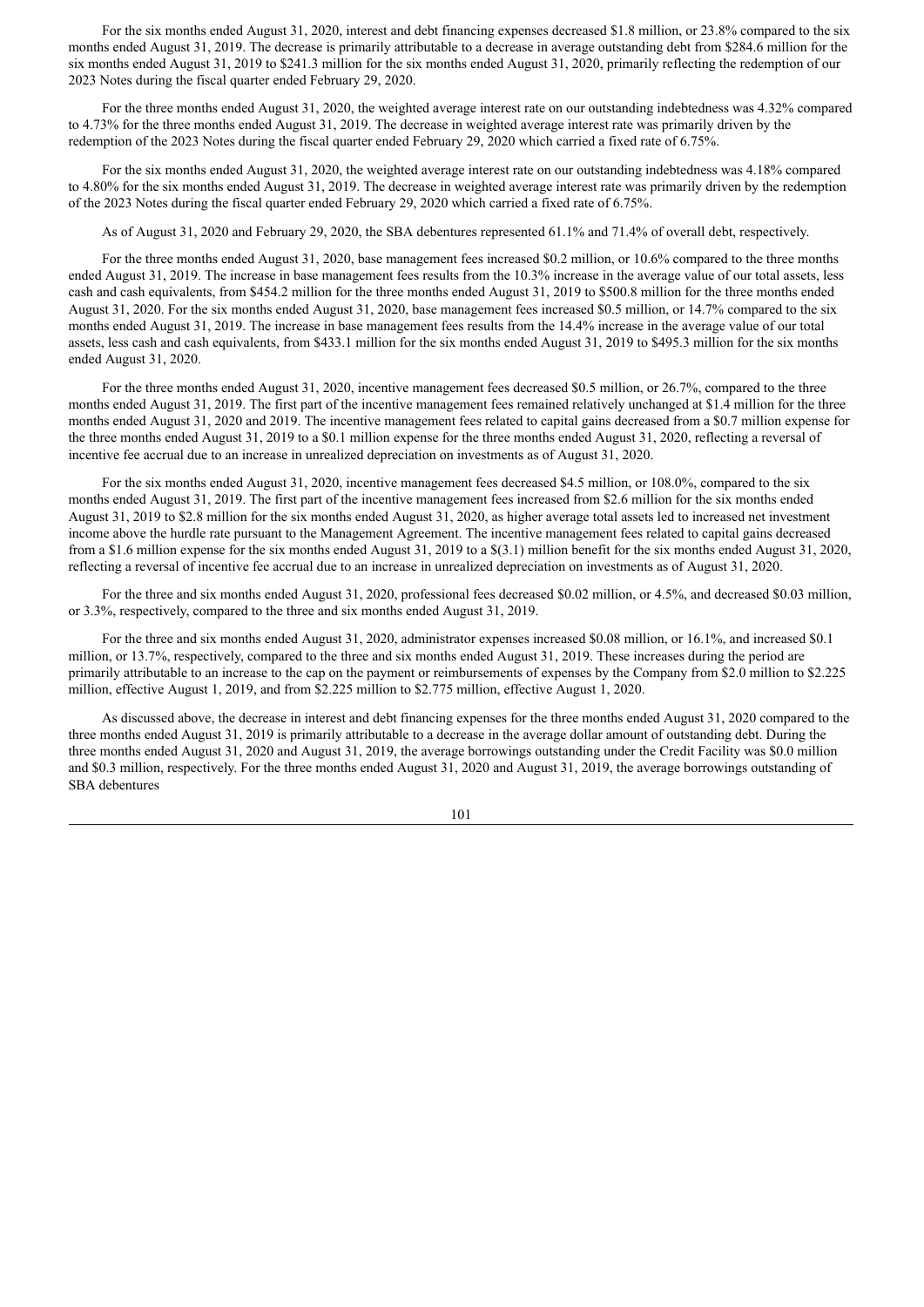For the six months ended August 31, 2020, interest and debt financing expenses decreased \$1.8 million, or 23.8% compared to the six months ended August 31, 2019. The decrease is primarily attributable to a decrease in average outstanding debt from \$284.6 million for the six months ended August 31, 2019 to \$241.3 million for the six months ended August 31, 2020, primarily reflecting the redemption of our 2023 Notes during the fiscal quarter ended February 29, 2020.

For the three months ended August 31, 2020, the weighted average interest rate on our outstanding indebtedness was 4.32% compared to 4.73% for the three months ended August 31, 2019. The decrease in weighted average interest rate was primarily driven by the redemption of the 2023 Notes during the fiscal quarter ended February 29, 2020 which carried a fixed rate of 6.75%.

For the six months ended August 31, 2020, the weighted average interest rate on our outstanding indebtedness was 4.18% compared to 4.80% for the six months ended August 31, 2019. The decrease in weighted average interest rate was primarily driven by the redemption of the 2023 Notes during the fiscal quarter ended February 29, 2020 which carried a fixed rate of 6.75%.

As of August 31, 2020 and February 29, 2020, the SBA debentures represented 61.1% and 71.4% of overall debt, respectively.

For the three months ended August 31, 2020, base management fees increased \$0.2 million, or 10.6% compared to the three months ended August 31, 2019. The increase in base management fees results from the 10.3% increase in the average value of our total assets, less cash and cash equivalents, from \$454.2 million for the three months ended August 31, 2019 to \$500.8 million for the three months ended August 31, 2020. For the six months ended August 31, 2020, base management fees increased \$0.5 million, or 14.7% compared to the six months ended August 31, 2019. The increase in base management fees results from the 14.4% increase in the average value of our total assets, less cash and cash equivalents, from \$433.1 million for the six months ended August 31, 2019 to \$495.3 million for the six months ended August 31, 2020.

For the three months ended August 31, 2020, incentive management fees decreased \$0.5 million, or 26.7%, compared to the three months ended August 31, 2019. The first part of the incentive management fees remained relatively unchanged at \$1.4 million for the three months ended August 31, 2020 and 2019. The incentive management fees related to capital gains decreased from a \$0.7 million expense for the three months ended August 31, 2019 to a \$0.1 million expense for the three months ended August 31, 2020, reflecting a reversal of incentive fee accrual due to an increase in unrealized depreciation on investments as of August 31, 2020.

For the six months ended August 31, 2020, incentive management fees decreased \$4.5 million, or 108.0%, compared to the six months ended August 31, 2019. The first part of the incentive management fees increased from \$2.6 million for the six months ended August 31, 2019 to \$2.8 million for the six months ended August 31, 2020, as higher average total assets led to increased net investment income above the hurdle rate pursuant to the Management Agreement. The incentive management fees related to capital gains decreased from a \$1.6 million expense for the six months ended August 31, 2019 to a \$(3.1) million benefit for the six months ended August 31, 2020, reflecting a reversal of incentive fee accrual due to an increase in unrealized depreciation on investments as of August 31, 2020.

For the three and six months ended August 31, 2020, professional fees decreased \$0.02 million, or 4.5%, and decreased \$0.03 million, or 3.3%, respectively, compared to the three and six months ended August 31, 2019.

For the three and six months ended August 31, 2020, administrator expenses increased \$0.08 million, or 16.1%, and increased \$0.1 million, or 13.7%, respectively, compared to the three and six months ended August 31, 2019. These increases during the period are primarily attributable to an increase to the cap on the payment or reimbursements of expenses by the Company from \$2.0 million to \$2.225 million, effective August 1, 2019, and from \$2.225 million to \$2.775 million, effective August 1, 2020.

As discussed above, the decrease in interest and debt financing expenses for the three months ended August 31, 2020 compared to the three months ended August 31, 2019 is primarily attributable to a decrease in the average dollar amount of outstanding debt. During the three months ended August 31, 2020 and August 31, 2019, the average borrowings outstanding under the Credit Facility was \$0.0 million and \$0.3 million, respectively. For the three months ended August 31, 2020 and August 31, 2019, the average borrowings outstanding of SBA debentures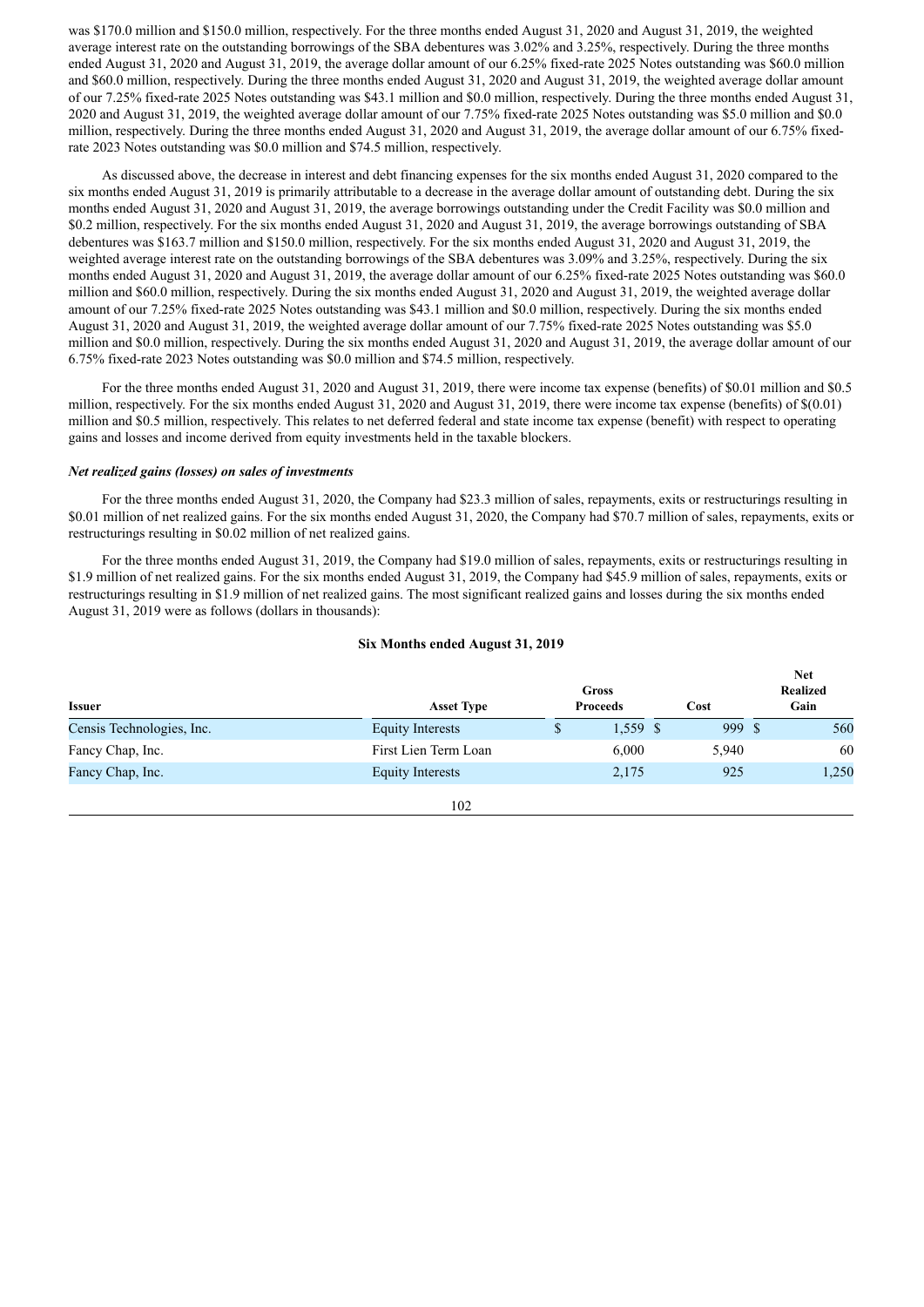was \$170.0 million and \$150.0 million, respectively. For the three months ended August 31, 2020 and August 31, 2019, the weighted average interest rate on the outstanding borrowings of the SBA debentures was 3.02% and 3.25%, respectively. During the three months ended August 31, 2020 and August 31, 2019, the average dollar amount of our 6.25% fixed-rate 2025 Notes outstanding was \$60.0 million and \$60.0 million, respectively. During the three months ended August 31, 2020 and August 31, 2019, the weighted average dollar amount of our 7.25% fixed-rate 2025 Notes outstanding was \$43.1 million and \$0.0 million, respectively. During the three months ended August 31, 2020 and August 31, 2019, the weighted average dollar amount of our 7.75% fixed-rate 2025 Notes outstanding was \$5.0 million and \$0.0 million, respectively. During the three months ended August 31, 2020 and August 31, 2019, the average dollar amount of our 6.75% fixedrate 2023 Notes outstanding was \$0.0 million and \$74.5 million, respectively.

As discussed above, the decrease in interest and debt financing expenses for the six months ended August 31, 2020 compared to the six months ended August 31, 2019 is primarily attributable to a decrease in the average dollar amount of outstanding debt. During the six months ended August 31, 2020 and August 31, 2019, the average borrowings outstanding under the Credit Facility was \$0.0 million and \$0.2 million, respectively. For the six months ended August 31, 2020 and August 31, 2019, the average borrowings outstanding of SBA debentures was \$163.7 million and \$150.0 million, respectively. For the six months ended August 31, 2020 and August 31, 2019, the weighted average interest rate on the outstanding borrowings of the SBA debentures was 3.09% and 3.25%, respectively. During the six months ended August 31, 2020 and August 31, 2019, the average dollar amount of our 6.25% fixed-rate 2025 Notes outstanding was \$60.0 million and \$60.0 million, respectively. During the six months ended August 31, 2020 and August 31, 2019, the weighted average dollar amount of our 7.25% fixed-rate 2025 Notes outstanding was \$43.1 million and \$0.0 million, respectively. During the six months ended August 31, 2020 and August 31, 2019, the weighted average dollar amount of our 7.75% fixed-rate 2025 Notes outstanding was \$5.0 million and \$0.0 million, respectively. During the six months ended August 31, 2020 and August 31, 2019, the average dollar amount of our 6.75% fixed-rate 2023 Notes outstanding was \$0.0 million and \$74.5 million, respectively.

For the three months ended August 31, 2020 and August 31, 2019, there were income tax expense (benefits) of \$0.01 million and \$0.5 million, respectively. For the six months ended August 31, 2020 and August 31, 2019, there were income tax expense (benefits) of \$(0.01) million and \$0.5 million, respectively. This relates to net deferred federal and state income tax expense (benefit) with respect to operating gains and losses and income derived from equity investments held in the taxable blockers.

## *Net realized gains (losses) on sales of investments*

For the three months ended August 31, 2020, the Company had \$23.3 million of sales, repayments, exits or restructurings resulting in \$0.01 million of net realized gains. For the six months ended August 31, 2020, the Company had \$70.7 million of sales, repayments, exits or restructurings resulting in \$0.02 million of net realized gains.

For the three months ended August 31, 2019, the Company had \$19.0 million of sales, repayments, exits or restructurings resulting in \$1.9 million of net realized gains. For the six months ended August 31, 2019, the Company had \$45.9 million of sales, repayments, exits or restructurings resulting in \$1.9 million of net realized gains. The most significant realized gains and losses during the six months ended August 31, 2019 were as follows (dollars in thousands):

#### **Six Months ended August 31, 2019**

| Issuer                    | <b>Asset Type</b>       | Gross<br><b>Proceeds</b> | Cost   | <b>Net</b><br><b>Realized</b><br>Gain |
|---------------------------|-------------------------|--------------------------|--------|---------------------------------------|
| Censis Technologies, Inc. | <b>Equity Interests</b> | \$<br>1,559 \$           | 999 \$ | 560                                   |
| Fancy Chap, Inc.          | First Lien Term Loan    | 6,000                    | 5,940  | 60                                    |
| Fancy Chap, Inc.          | <b>Equity Interests</b> | 2,175                    | 925    | 1,250                                 |
|                           | 102                     |                          |        |                                       |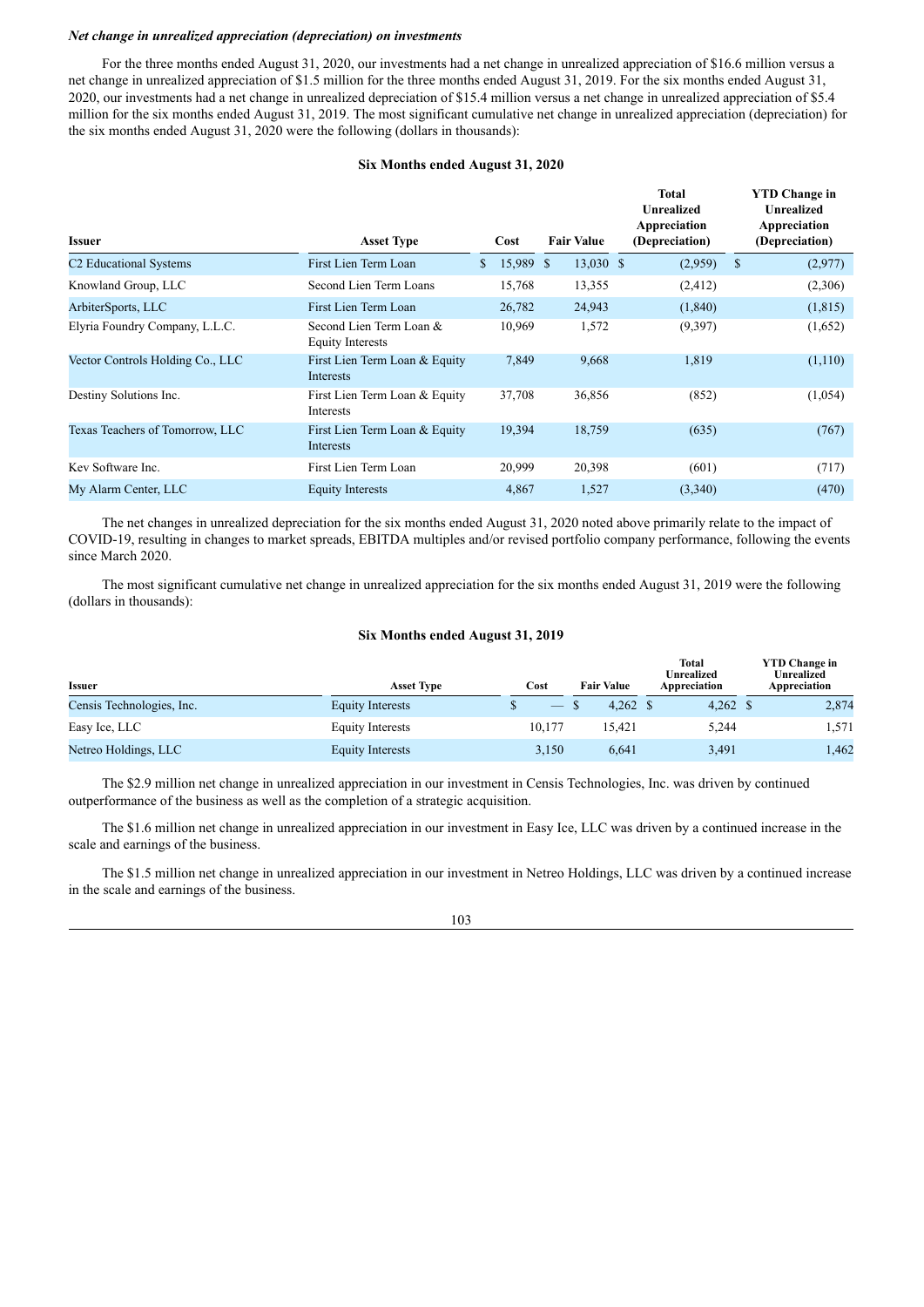## *Net change in unrealized appreciation (depreciation) on investments*

For the three months ended August 31, 2020, our investments had a net change in unrealized appreciation of \$16.6 million versus a net change in unrealized appreciation of \$1.5 million for the three months ended August 31, 2019. For the six months ended August 31, 2020, our investments had a net change in unrealized depreciation of \$15.4 million versus a net change in unrealized appreciation of \$5.4 million for the six months ended August 31, 2019. The most significant cumulative net change in unrealized appreciation (depreciation) for the six months ended August 31, 2020 were the following (dollars in thousands):

#### **Six Months ended August 31, 2020**

| <b>Issuer</b>                      | <b>Asset Type</b>                                  | Cost            | <b>Fair Value</b> | Total<br><b>Unrealized</b><br>Appreciation<br>(Depreciation) |               | <b>YTD Change in</b><br><b>Unrealized</b><br>Appreciation<br>(Depreciation) |
|------------------------------------|----------------------------------------------------|-----------------|-------------------|--------------------------------------------------------------|---------------|-----------------------------------------------------------------------------|
| C <sub>2</sub> Educational Systems | First Lien Term Loan                               | \$<br>15,989 \$ | 13,030 \$         | (2,959)                                                      | <sup>\$</sup> | (2,977)                                                                     |
| Knowland Group, LLC                | Second Lien Term Loans                             | 15,768          | 13,355            | (2, 412)                                                     |               | (2,306)                                                                     |
| ArbiterSports, LLC                 | First Lien Term Loan                               | 26,782          | 24,943            | (1, 840)                                                     |               | (1, 815)                                                                    |
| Elyria Foundry Company, L.L.C.     | Second Lien Term Loan &<br><b>Equity Interests</b> | 10,969          | 1,572             | (9,397)                                                      |               | (1,652)                                                                     |
| Vector Controls Holding Co., LLC   | First Lien Term Loan & Equity<br>Interests         | 7,849           | 9,668             | 1,819                                                        |               | (1,110)                                                                     |
| Destiny Solutions Inc.             | First Lien Term Loan & Equity<br>Interests         | 37,708          | 36,856            | (852)                                                        |               | (1,054)                                                                     |
| Texas Teachers of Tomorrow, LLC    | First Lien Term Loan & Equity<br>Interests         | 19,394          | 18,759            | (635)                                                        |               | (767)                                                                       |
| Key Software Inc.                  | First Lien Term Loan                               | 20,999          | 20,398            | (601)                                                        |               | (717)                                                                       |
| My Alarm Center, LLC               | <b>Equity Interests</b>                            | 4,867           | 1,527             | (3,340)                                                      |               | (470)                                                                       |

The net changes in unrealized depreciation for the six months ended August 31, 2020 noted above primarily relate to the impact of COVID-19, resulting in changes to market spreads, EBITDA multiples and/or revised portfolio company performance, following the events since March 2020.

The most significant cumulative net change in unrealized appreciation for the six months ended August 31, 2019 were the following (dollars in thousands):

## **Six Months ended August 31, 2019**

| <b>Issuer</b>             | <b>Asset Type</b>       | Cost              | <b>Fair Value</b>   | <b>Total</b><br>Unrealized<br>Appreciation | <b>YTD Change in</b><br><b>Unrealized</b><br>Appreciation |
|---------------------------|-------------------------|-------------------|---------------------|--------------------------------------------|-----------------------------------------------------------|
| Censis Technologies, Inc. | <b>Equity Interests</b> | $\hspace{0.05cm}$ | $4.262 \text{ } $s$ | $4,262$ \$                                 | 2,874                                                     |
| Easy Ice, LLC             | <b>Equity Interests</b> | 10,177            | 15.421              | 5,244                                      | 1.571                                                     |
| Netreo Holdings, LLC      | <b>Equity Interests</b> | 3,150             | 6,641               | 3,491                                      | 1,462                                                     |

The \$2.9 million net change in unrealized appreciation in our investment in Censis Technologies, Inc. was driven by continued outperformance of the business as well as the completion of a strategic acquisition.

The \$1.6 million net change in unrealized appreciation in our investment in Easy Ice, LLC was driven by a continued increase in the scale and earnings of the business.

The \$1.5 million net change in unrealized appreciation in our investment in Netreo Holdings, LLC was driven by a continued increase in the scale and earnings of the business.

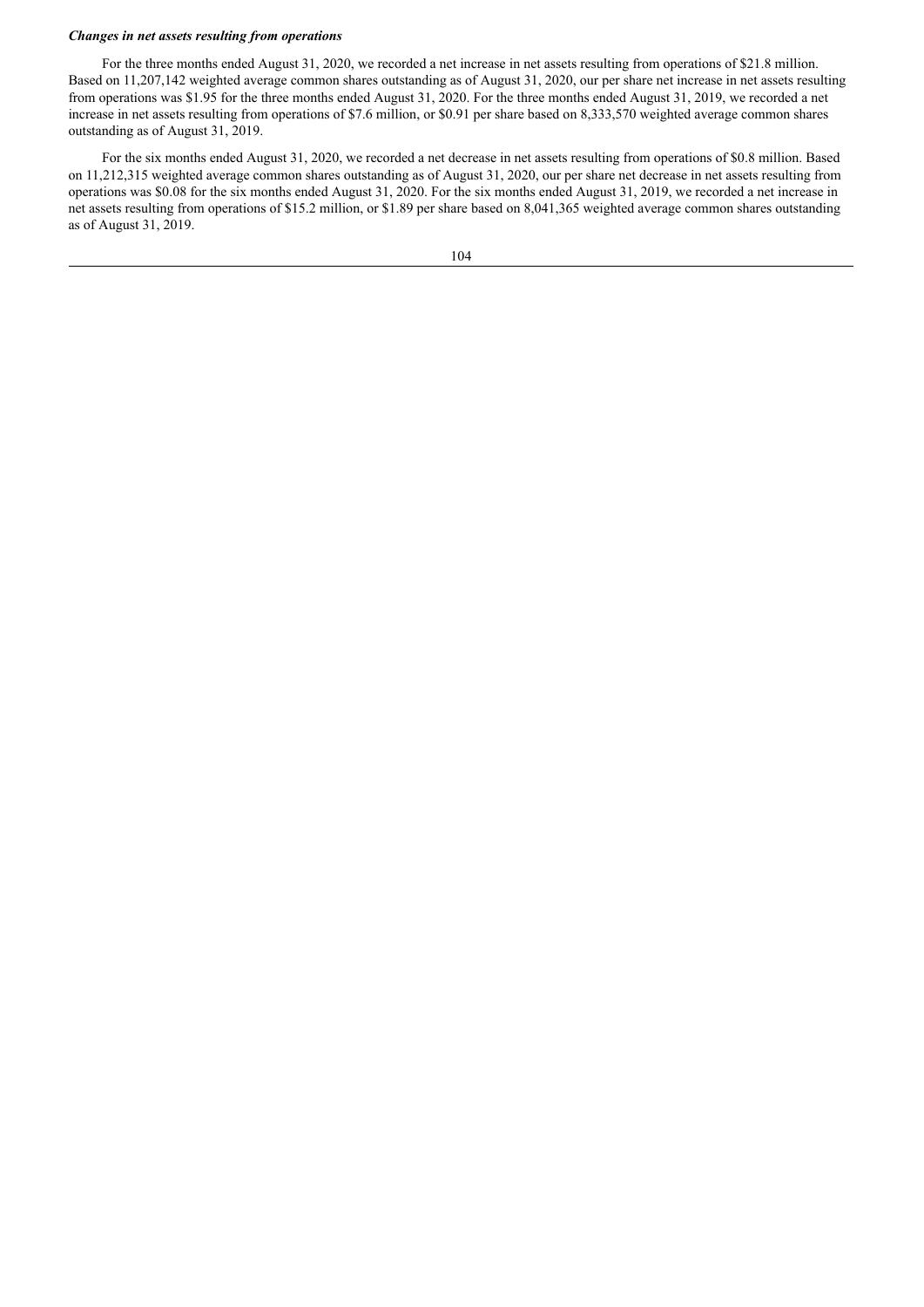## *Changes in net assets resulting from operations*

For the three months ended August 31, 2020, we recorded a net increase in net assets resulting from operations of \$21.8 million. Based on 11,207,142 weighted average common shares outstanding as of August 31, 2020, our per share net increase in net assets resulting from operations was \$1.95 for the three months ended August 31, 2020. For the three months ended August 31, 2019, we recorded a net increase in net assets resulting from operations of \$7.6 million, or \$0.91 per share based on 8,333,570 weighted average common shares outstanding as of August 31, 2019.

For the six months ended August 31, 2020, we recorded a net decrease in net assets resulting from operations of \$0.8 million. Based on 11,212,315 weighted average common shares outstanding as of August 31, 2020, our per share net decrease in net assets resulting from operations was \$0.08 for the six months ended August 31, 2020. For the six months ended August 31, 2019, we recorded a net increase in net assets resulting from operations of \$15.2 million, or \$1.89 per share based on 8,041,365 weighted average common shares outstanding as of August 31, 2019.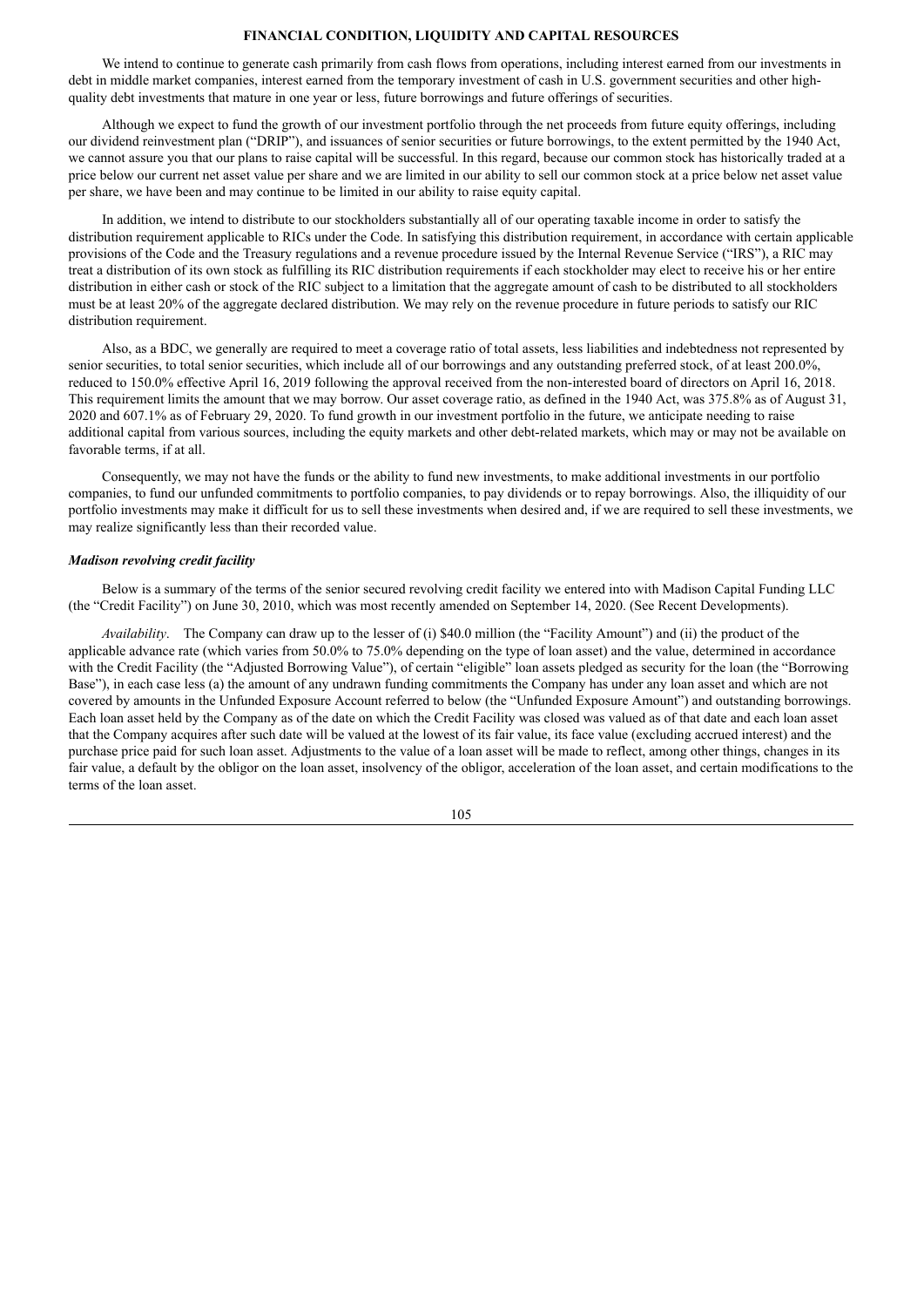# **FINANCIAL CONDITION, LIQUIDITY AND CAPITAL RESOURCES**

We intend to continue to generate cash primarily from cash flows from operations, including interest earned from our investments in debt in middle market companies, interest earned from the temporary investment of cash in U.S. government securities and other highquality debt investments that mature in one year or less, future borrowings and future offerings of securities.

Although we expect to fund the growth of our investment portfolio through the net proceeds from future equity offerings, including our dividend reinvestment plan ("DRIP"), and issuances of senior securities or future borrowings, to the extent permitted by the 1940 Act, we cannot assure you that our plans to raise capital will be successful. In this regard, because our common stock has historically traded at a price below our current net asset value per share and we are limited in our ability to sell our common stock at a price below net asset value per share, we have been and may continue to be limited in our ability to raise equity capital.

In addition, we intend to distribute to our stockholders substantially all of our operating taxable income in order to satisfy the distribution requirement applicable to RICs under the Code. In satisfying this distribution requirement, in accordance with certain applicable provisions of the Code and the Treasury regulations and a revenue procedure issued by the Internal Revenue Service ("IRS"), a RIC may treat a distribution of its own stock as fulfilling its RIC distribution requirements if each stockholder may elect to receive his or her entire distribution in either cash or stock of the RIC subject to a limitation that the aggregate amount of cash to be distributed to all stockholders must be at least 20% of the aggregate declared distribution. We may rely on the revenue procedure in future periods to satisfy our RIC distribution requirement.

Also, as a BDC, we generally are required to meet a coverage ratio of total assets, less liabilities and indebtedness not represented by senior securities, to total senior securities, which include all of our borrowings and any outstanding preferred stock, of at least 200.0%, reduced to 150.0% effective April 16, 2019 following the approval received from the non-interested board of directors on April 16, 2018. This requirement limits the amount that we may borrow. Our asset coverage ratio, as defined in the 1940 Act, was 375.8% as of August 31, 2020 and 607.1% as of February 29, 2020. To fund growth in our investment portfolio in the future, we anticipate needing to raise additional capital from various sources, including the equity markets and other debt-related markets, which may or may not be available on favorable terms, if at all.

Consequently, we may not have the funds or the ability to fund new investments, to make additional investments in our portfolio companies, to fund our unfunded commitments to portfolio companies, to pay dividends or to repay borrowings. Also, the illiquidity of our portfolio investments may make it difficult for us to sell these investments when desired and, if we are required to sell these investments, we may realize significantly less than their recorded value.

## *Madison revolving credit facility*

Below is a summary of the terms of the senior secured revolving credit facility we entered into with Madison Capital Funding LLC (the "Credit Facility") on June 30, 2010, which was most recently amended on September 14, 2020. (See Recent Developments).

*Availability*. The Company can draw up to the lesser of (i) \$40.0 million (the "Facility Amount") and (ii) the product of the applicable advance rate (which varies from 50.0% to 75.0% depending on the type of loan asset) and the value, determined in accordance with the Credit Facility (the "Adjusted Borrowing Value"), of certain "eligible" loan assets pledged as security for the loan (the "Borrowing Base"), in each case less (a) the amount of any undrawn funding commitments the Company has under any loan asset and which are not covered by amounts in the Unfunded Exposure Account referred to below (the "Unfunded Exposure Amount") and outstanding borrowings. Each loan asset held by the Company as of the date on which the Credit Facility was closed was valued as of that date and each loan asset that the Company acquires after such date will be valued at the lowest of its fair value, its face value (excluding accrued interest) and the purchase price paid for such loan asset. Adjustments to the value of a loan asset will be made to reflect, among other things, changes in its fair value, a default by the obligor on the loan asset, insolvency of the obligor, acceleration of the loan asset, and certain modifications to the terms of the loan asset.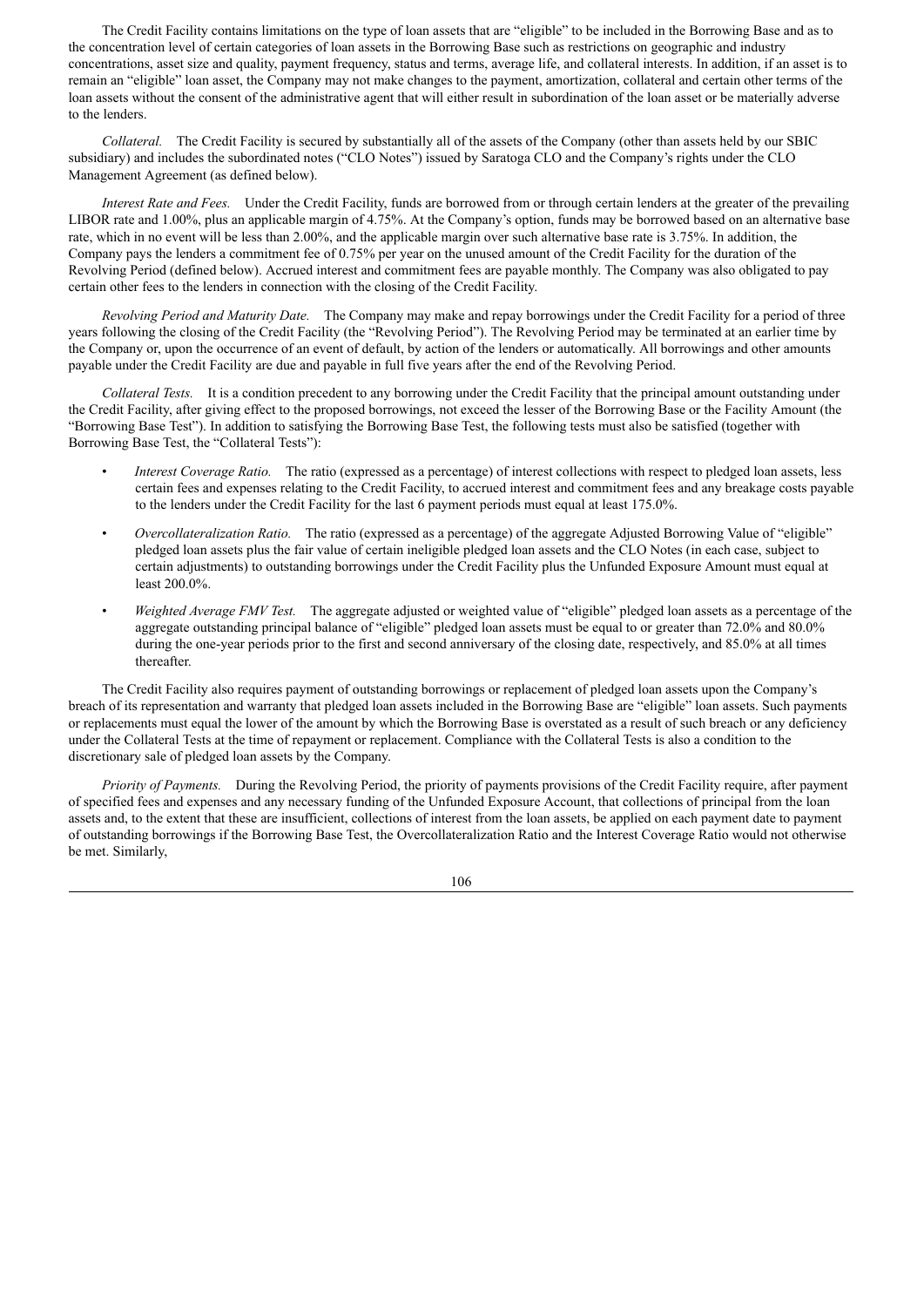The Credit Facility contains limitations on the type of loan assets that are "eligible" to be included in the Borrowing Base and as to the concentration level of certain categories of loan assets in the Borrowing Base such as restrictions on geographic and industry concentrations, asset size and quality, payment frequency, status and terms, average life, and collateral interests. In addition, if an asset is to remain an "eligible" loan asset, the Company may not make changes to the payment, amortization, collateral and certain other terms of the loan assets without the consent of the administrative agent that will either result in subordination of the loan asset or be materially adverse to the lenders.

*Collateral.* The Credit Facility is secured by substantially all of the assets of the Company (other than assets held by our SBIC subsidiary) and includes the subordinated notes ("CLO Notes") issued by Saratoga CLO and the Company's rights under the CLO Management Agreement (as defined below).

*Interest Rate and Fees.* Under the Credit Facility, funds are borrowed from or through certain lenders at the greater of the prevailing LIBOR rate and 1.00%, plus an applicable margin of 4.75%. At the Company's option, funds may be borrowed based on an alternative base rate, which in no event will be less than 2.00%, and the applicable margin over such alternative base rate is 3.75%. In addition, the Company pays the lenders a commitment fee of 0.75% per year on the unused amount of the Credit Facility for the duration of the Revolving Period (defined below). Accrued interest and commitment fees are payable monthly. The Company was also obligated to pay certain other fees to the lenders in connection with the closing of the Credit Facility.

*Revolving Period and Maturity Date.* The Company may make and repay borrowings under the Credit Facility for a period of three years following the closing of the Credit Facility (the "Revolving Period"). The Revolving Period may be terminated at an earlier time by the Company or, upon the occurrence of an event of default, by action of the lenders or automatically. All borrowings and other amounts payable under the Credit Facility are due and payable in full five years after the end of the Revolving Period.

*Collateral Tests.* It is a condition precedent to any borrowing under the Credit Facility that the principal amount outstanding under the Credit Facility, after giving effect to the proposed borrowings, not exceed the lesser of the Borrowing Base or the Facility Amount (the "Borrowing Base Test"). In addition to satisfying the Borrowing Base Test, the following tests must also be satisfied (together with Borrowing Base Test, the "Collateral Tests"):

- *Interest Coverage Ratio.* The ratio (expressed as a percentage) of interest collections with respect to pledged loan assets, less certain fees and expenses relating to the Credit Facility, to accrued interest and commitment fees and any breakage costs payable to the lenders under the Credit Facility for the last 6 payment periods must equal at least 175.0%.
- *Overcollateralization Ratio.* The ratio (expressed as a percentage) of the aggregate Adjusted Borrowing Value of "eligible" pledged loan assets plus the fair value of certain ineligible pledged loan assets and the CLO Notes (in each case, subject to certain adjustments) to outstanding borrowings under the Credit Facility plus the Unfunded Exposure Amount must equal at least 200.0%.
- *Weighted Average FMV Test.* The aggregate adjusted or weighted value of "eligible" pledged loan assets as a percentage of the aggregate outstanding principal balance of "eligible" pledged loan assets must be equal to or greater than 72.0% and 80.0% during the one-year periods prior to the first and second anniversary of the closing date, respectively, and 85.0% at all times thereafter.

The Credit Facility also requires payment of outstanding borrowings or replacement of pledged loan assets upon the Company's breach of its representation and warranty that pledged loan assets included in the Borrowing Base are "eligible" loan assets. Such payments or replacements must equal the lower of the amount by which the Borrowing Base is overstated as a result of such breach or any deficiency under the Collateral Tests at the time of repayment or replacement. Compliance with the Collateral Tests is also a condition to the discretionary sale of pledged loan assets by the Company.

*Priority of Payments.* During the Revolving Period, the priority of payments provisions of the Credit Facility require, after payment of specified fees and expenses and any necessary funding of the Unfunded Exposure Account, that collections of principal from the loan assets and, to the extent that these are insufficient, collections of interest from the loan assets, be applied on each payment date to payment of outstanding borrowings if the Borrowing Base Test, the Overcollateralization Ratio and the Interest Coverage Ratio would not otherwise be met. Similarly,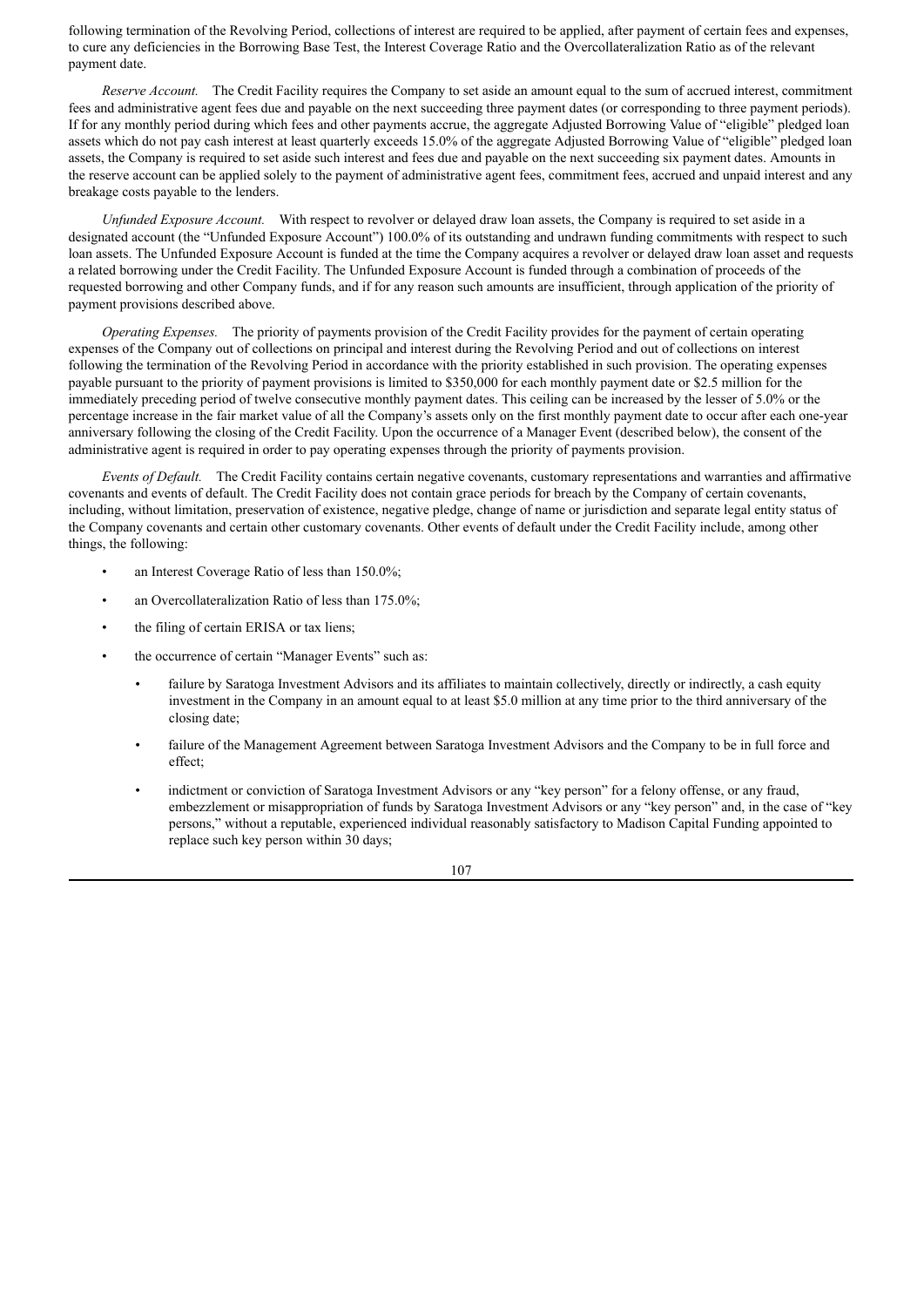following termination of the Revolving Period, collections of interest are required to be applied, after payment of certain fees and expenses, to cure any deficiencies in the Borrowing Base Test, the Interest Coverage Ratio and the Overcollateralization Ratio as of the relevant payment date.

*Reserve Account.* The Credit Facility requires the Company to set aside an amount equal to the sum of accrued interest, commitment fees and administrative agent fees due and payable on the next succeeding three payment dates (or corresponding to three payment periods). If for any monthly period during which fees and other payments accrue, the aggregate Adjusted Borrowing Value of "eligible" pledged loan assets which do not pay cash interest at least quarterly exceeds 15.0% of the aggregate Adjusted Borrowing Value of "eligible" pledged loan assets, the Company is required to set aside such interest and fees due and payable on the next succeeding six payment dates. Amounts in the reserve account can be applied solely to the payment of administrative agent fees, commitment fees, accrued and unpaid interest and any breakage costs payable to the lenders.

*Unfunded Exposure Account.* With respect to revolver or delayed draw loan assets, the Company is required to set aside in a designated account (the "Unfunded Exposure Account") 100.0% of its outstanding and undrawn funding commitments with respect to such loan assets. The Unfunded Exposure Account is funded at the time the Company acquires a revolver or delayed draw loan asset and requests a related borrowing under the Credit Facility. The Unfunded Exposure Account is funded through a combination of proceeds of the requested borrowing and other Company funds, and if for any reason such amounts are insufficient, through application of the priority of payment provisions described above.

*Operating Expenses.* The priority of payments provision of the Credit Facility provides for the payment of certain operating expenses of the Company out of collections on principal and interest during the Revolving Period and out of collections on interest following the termination of the Revolving Period in accordance with the priority established in such provision. The operating expenses payable pursuant to the priority of payment provisions is limited to \$350,000 for each monthly payment date or \$2.5 million for the immediately preceding period of twelve consecutive monthly payment dates. This ceiling can be increased by the lesser of 5.0% or the percentage increase in the fair market value of all the Company's assets only on the first monthly payment date to occur after each one-year anniversary following the closing of the Credit Facility. Upon the occurrence of a Manager Event (described below), the consent of the administrative agent is required in order to pay operating expenses through the priority of payments provision.

*Events of Default.* The Credit Facility contains certain negative covenants, customary representations and warranties and affirmative covenants and events of default. The Credit Facility does not contain grace periods for breach by the Company of certain covenants, including, without limitation, preservation of existence, negative pledge, change of name or jurisdiction and separate legal entity status of the Company covenants and certain other customary covenants. Other events of default under the Credit Facility include, among other things, the following:

- an Interest Coverage Ratio of less than 150.0%;
- an Overcollateralization Ratio of less than 175.0%;
- the filing of certain ERISA or tax liens;
- the occurrence of certain "Manager Events" such as:
	- failure by Saratoga Investment Advisors and its affiliates to maintain collectively, directly or indirectly, a cash equity investment in the Company in an amount equal to at least \$5.0 million at any time prior to the third anniversary of the closing date;
	- failure of the Management Agreement between Saratoga Investment Advisors and the Company to be in full force and effect;
	- indictment or conviction of Saratoga Investment Advisors or any "key person" for a felony offense, or any fraud, embezzlement or misappropriation of funds by Saratoga Investment Advisors or any "key person" and, in the case of "key persons," without a reputable, experienced individual reasonably satisfactory to Madison Capital Funding appointed to replace such key person within 30 days;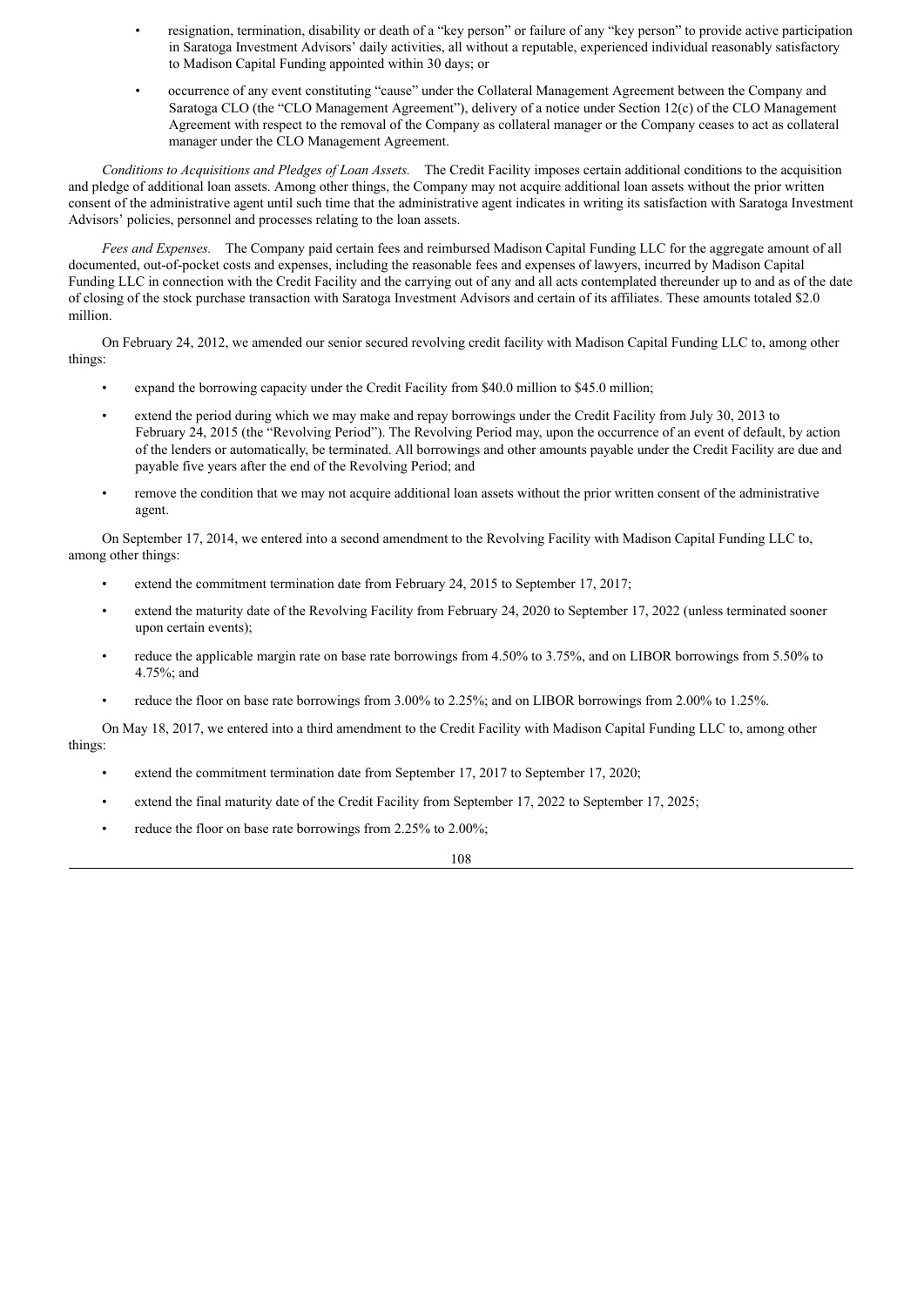- resignation, termination, disability or death of a "key person" or failure of any "key person" to provide active participation in Saratoga Investment Advisors' daily activities, all without a reputable, experienced individual reasonably satisfactory to Madison Capital Funding appointed within 30 days; or
- occurrence of any event constituting "cause" under the Collateral Management Agreement between the Company and Saratoga CLO (the "CLO Management Agreement"), delivery of a notice under Section 12(c) of the CLO Management Agreement with respect to the removal of the Company as collateral manager or the Company ceases to act as collateral manager under the CLO Management Agreement.

*Conditions to Acquisitions and Pledges of Loan Assets.* The Credit Facility imposes certain additional conditions to the acquisition and pledge of additional loan assets. Among other things, the Company may not acquire additional loan assets without the prior written consent of the administrative agent until such time that the administrative agent indicates in writing its satisfaction with Saratoga Investment Advisors' policies, personnel and processes relating to the loan assets.

*Fees and Expenses.* The Company paid certain fees and reimbursed Madison Capital Funding LLC for the aggregate amount of all documented, out-of-pocket costs and expenses, including the reasonable fees and expenses of lawyers, incurred by Madison Capital Funding LLC in connection with the Credit Facility and the carrying out of any and all acts contemplated thereunder up to and as of the date of closing of the stock purchase transaction with Saratoga Investment Advisors and certain of its affiliates. These amounts totaled \$2.0 million.

On February 24, 2012, we amended our senior secured revolving credit facility with Madison Capital Funding LLC to, among other things:

- expand the borrowing capacity under the Credit Facility from \$40.0 million to \$45.0 million;
- extend the period during which we may make and repay borrowings under the Credit Facility from July 30, 2013 to February 24, 2015 (the "Revolving Period"). The Revolving Period may, upon the occurrence of an event of default, by action of the lenders or automatically, be terminated. All borrowings and other amounts payable under the Credit Facility are due and payable five years after the end of the Revolving Period; and
- remove the condition that we may not acquire additional loan assets without the prior written consent of the administrative agent.

On September 17, 2014, we entered into a second amendment to the Revolving Facility with Madison Capital Funding LLC to, among other things:

- extend the commitment termination date from February 24, 2015 to September 17, 2017;
- extend the maturity date of the Revolving Facility from February 24, 2020 to September 17, 2022 (unless terminated sooner upon certain events);
- reduce the applicable margin rate on base rate borrowings from 4.50% to 3.75%, and on LIBOR borrowings from 5.50% to 4.75%; and
- reduce the floor on base rate borrowings from 3.00% to 2.25%; and on LIBOR borrowings from 2.00% to 1.25%.

On May 18, 2017, we entered into a third amendment to the Credit Facility with Madison Capital Funding LLC to, among other things:

- extend the commitment termination date from September 17, 2017 to September 17, 2020;
- extend the final maturity date of the Credit Facility from September 17, 2022 to September 17, 2025;
- reduce the floor on base rate borrowings from 2.25% to 2.00%;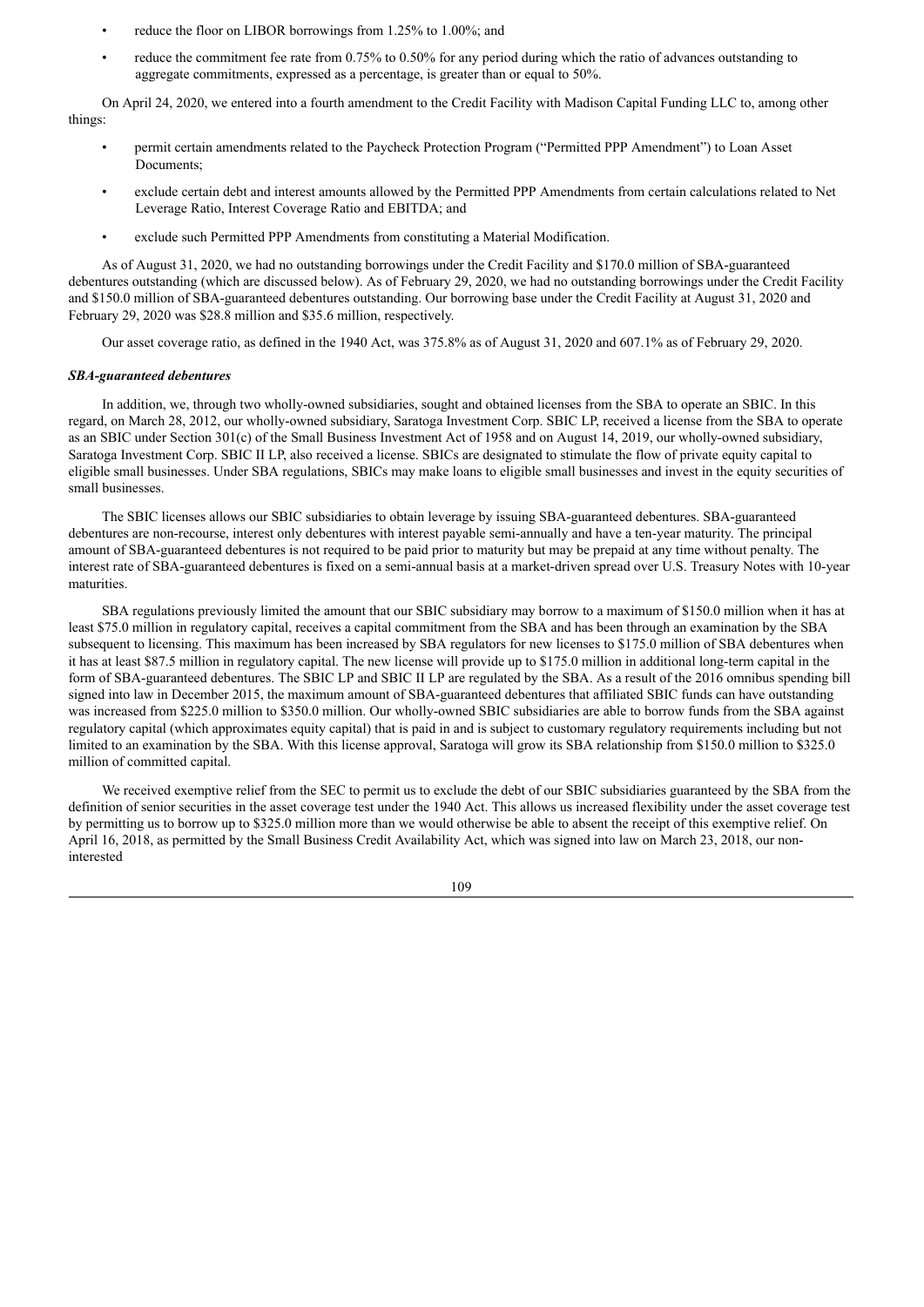- reduce the floor on LIBOR borrowings from 1.25% to 1.00%; and
- reduce the commitment fee rate from 0.75% to 0.50% for any period during which the ratio of advances outstanding to aggregate commitments, expressed as a percentage, is greater than or equal to 50%.

On April 24, 2020, we entered into a fourth amendment to the Credit Facility with Madison Capital Funding LLC to, among other things:

- permit certain amendments related to the Paycheck Protection Program ("Permitted PPP Amendment") to Loan Asset Documents;
- exclude certain debt and interest amounts allowed by the Permitted PPP Amendments from certain calculations related to Net Leverage Ratio, Interest Coverage Ratio and EBITDA; and
- exclude such Permitted PPP Amendments from constituting a Material Modification.

As of August 31, 2020, we had no outstanding borrowings under the Credit Facility and \$170.0 million of SBA-guaranteed debentures outstanding (which are discussed below). As of February 29, 2020, we had no outstanding borrowings under the Credit Facility and \$150.0 million of SBA-guaranteed debentures outstanding. Our borrowing base under the Credit Facility at August 31, 2020 and February 29, 2020 was \$28.8 million and \$35.6 million, respectively.

Our asset coverage ratio, as defined in the 1940 Act, was 375.8% as of August 31, 2020 and 607.1% as of February 29, 2020.

#### *SBA-guaranteed debentures*

In addition, we, through two wholly-owned subsidiaries, sought and obtained licenses from the SBA to operate an SBIC. In this regard, on March 28, 2012, our wholly-owned subsidiary, Saratoga Investment Corp. SBIC LP, received a license from the SBA to operate as an SBIC under Section 301(c) of the Small Business Investment Act of 1958 and on August 14, 2019, our wholly-owned subsidiary, Saratoga Investment Corp. SBIC II LP, also received a license. SBICs are designated to stimulate the flow of private equity capital to eligible small businesses. Under SBA regulations, SBICs may make loans to eligible small businesses and invest in the equity securities of small businesses.

The SBIC licenses allows our SBIC subsidiaries to obtain leverage by issuing SBA-guaranteed debentures. SBA-guaranteed debentures are non-recourse, interest only debentures with interest payable semi-annually and have a ten-year maturity. The principal amount of SBA-guaranteed debentures is not required to be paid prior to maturity but may be prepaid at any time without penalty. The interest rate of SBA-guaranteed debentures is fixed on a semi-annual basis at a market-driven spread over U.S. Treasury Notes with 10-year maturities.

SBA regulations previously limited the amount that our SBIC subsidiary may borrow to a maximum of \$150.0 million when it has at least \$75.0 million in regulatory capital, receives a capital commitment from the SBA and has been through an examination by the SBA subsequent to licensing. This maximum has been increased by SBA regulators for new licenses to \$175.0 million of SBA debentures when it has at least \$87.5 million in regulatory capital. The new license will provide up to \$175.0 million in additional long-term capital in the form of SBA-guaranteed debentures. The SBIC LP and SBIC II LP are regulated by the SBA. As a result of the 2016 omnibus spending bill signed into law in December 2015, the maximum amount of SBA-guaranteed debentures that affiliated SBIC funds can have outstanding was increased from \$225.0 million to \$350.0 million. Our wholly-owned SBIC subsidiaries are able to borrow funds from the SBA against regulatory capital (which approximates equity capital) that is paid in and is subject to customary regulatory requirements including but not limited to an examination by the SBA. With this license approval, Saratoga will grow its SBA relationship from \$150.0 million to \$325.0 million of committed capital.

We received exemptive relief from the SEC to permit us to exclude the debt of our SBIC subsidiaries guaranteed by the SBA from the definition of senior securities in the asset coverage test under the 1940 Act. This allows us increased flexibility under the asset coverage test by permitting us to borrow up to \$325.0 million more than we would otherwise be able to absent the receipt of this exemptive relief. On April 16, 2018, as permitted by the Small Business Credit Availability Act, which was signed into law on March 23, 2018, our noninterested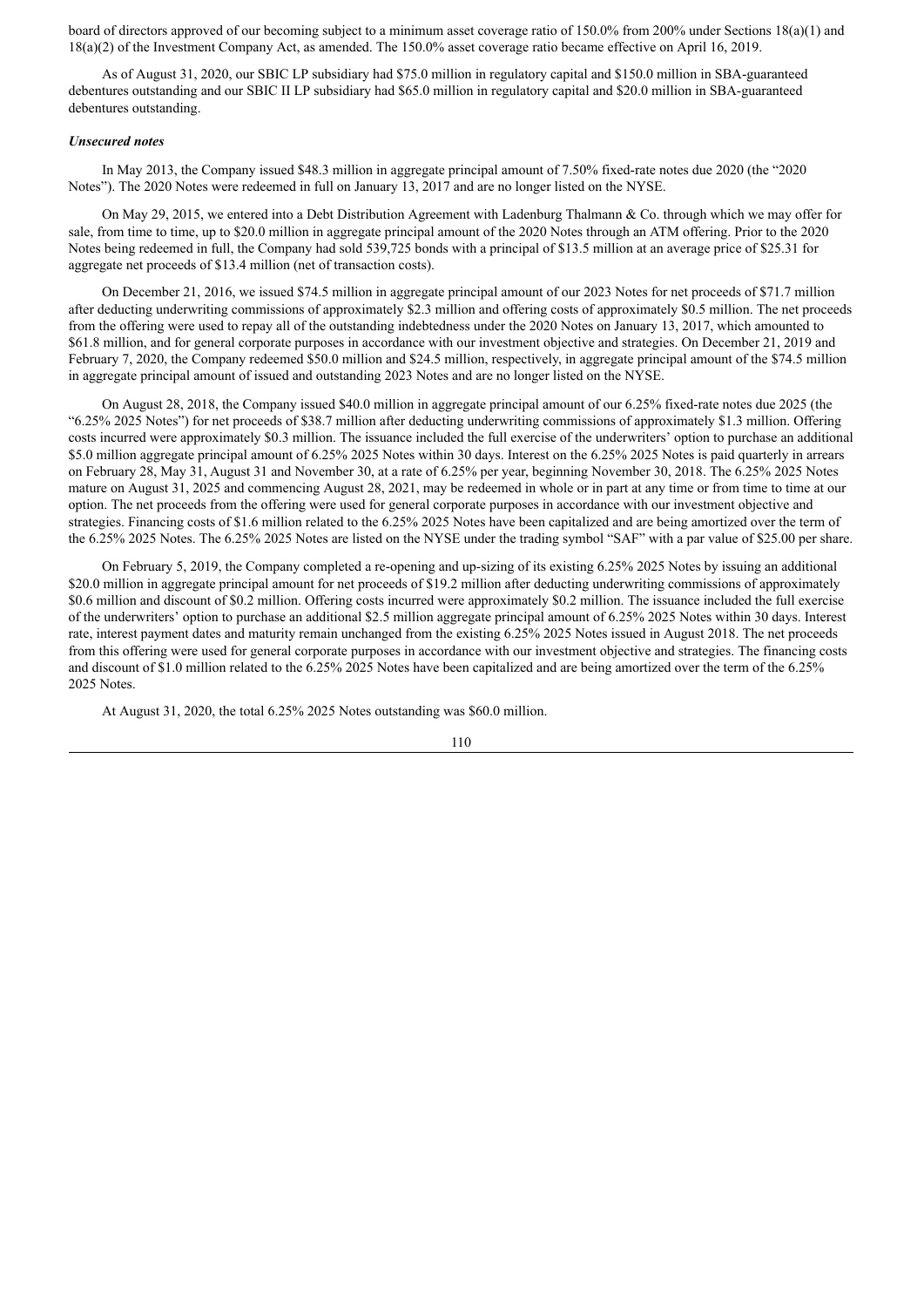board of directors approved of our becoming subject to a minimum asset coverage ratio of 150.0% from 200% under Sections 18(a)(1) and 18(a)(2) of the Investment Company Act, as amended. The 150.0% asset coverage ratio became effective on April 16, 2019.

As of August 31, 2020, our SBIC LP subsidiary had \$75.0 million in regulatory capital and \$150.0 million in SBA-guaranteed debentures outstanding and our SBIC II LP subsidiary had \$65.0 million in regulatory capital and \$20.0 million in SBA-guaranteed debentures outstanding.

#### *Unsecured notes*

In May 2013, the Company issued \$48.3 million in aggregate principal amount of 7.50% fixed-rate notes due 2020 (the "2020 Notes"). The 2020 Notes were redeemed in full on January 13, 2017 and are no longer listed on the NYSE.

On May 29, 2015, we entered into a Debt Distribution Agreement with Ladenburg Thalmann & Co. through which we may offer for sale, from time to time, up to \$20.0 million in aggregate principal amount of the 2020 Notes through an ATM offering. Prior to the 2020 Notes being redeemed in full, the Company had sold 539,725 bonds with a principal of \$13.5 million at an average price of \$25.31 for aggregate net proceeds of \$13.4 million (net of transaction costs).

On December 21, 2016, we issued \$74.5 million in aggregate principal amount of our 2023 Notes for net proceeds of \$71.7 million after deducting underwriting commissions of approximately \$2.3 million and offering costs of approximately \$0.5 million. The net proceeds from the offering were used to repay all of the outstanding indebtedness under the 2020 Notes on January 13, 2017, which amounted to \$61.8 million, and for general corporate purposes in accordance with our investment objective and strategies. On December 21, 2019 and February 7, 2020, the Company redeemed \$50.0 million and \$24.5 million, respectively, in aggregate principal amount of the \$74.5 million in aggregate principal amount of issued and outstanding 2023 Notes and are no longer listed on the NYSE.

On August 28, 2018, the Company issued \$40.0 million in aggregate principal amount of our 6.25% fixed-rate notes due 2025 (the "6.25% 2025 Notes") for net proceeds of \$38.7 million after deducting underwriting commissions of approximately \$1.3 million. Offering costs incurred were approximately \$0.3 million. The issuance included the full exercise of the underwriters' option to purchase an additional \$5.0 million aggregate principal amount of 6.25% 2025 Notes within 30 days. Interest on the 6.25% 2025 Notes is paid quarterly in arrears on February 28, May 31, August 31 and November 30, at a rate of 6.25% per year, beginning November 30, 2018. The 6.25% 2025 Notes mature on August 31, 2025 and commencing August 28, 2021, may be redeemed in whole or in part at any time or from time to time at our option. The net proceeds from the offering were used for general corporate purposes in accordance with our investment objective and strategies. Financing costs of \$1.6 million related to the 6.25% 2025 Notes have been capitalized and are being amortized over the term of the 6.25% 2025 Notes. The 6.25% 2025 Notes are listed on the NYSE under the trading symbol "SAF" with a par value of \$25.00 per share.

On February 5, 2019, the Company completed a re-opening and up-sizing of its existing 6.25% 2025 Notes by issuing an additional \$20.0 million in aggregate principal amount for net proceeds of \$19.2 million after deducting underwriting commissions of approximately \$0.6 million and discount of \$0.2 million. Offering costs incurred were approximately \$0.2 million. The issuance included the full exercise of the underwriters' option to purchase an additional \$2.5 million aggregate principal amount of 6.25% 2025 Notes within 30 days. Interest rate, interest payment dates and maturity remain unchanged from the existing 6.25% 2025 Notes issued in August 2018. The net proceeds from this offering were used for general corporate purposes in accordance with our investment objective and strategies. The financing costs and discount of \$1.0 million related to the 6.25% 2025 Notes have been capitalized and are being amortized over the term of the 6.25% 2025 Notes.

At August 31, 2020, the total 6.25% 2025 Notes outstanding was \$60.0 million.

$$
110 \\
$$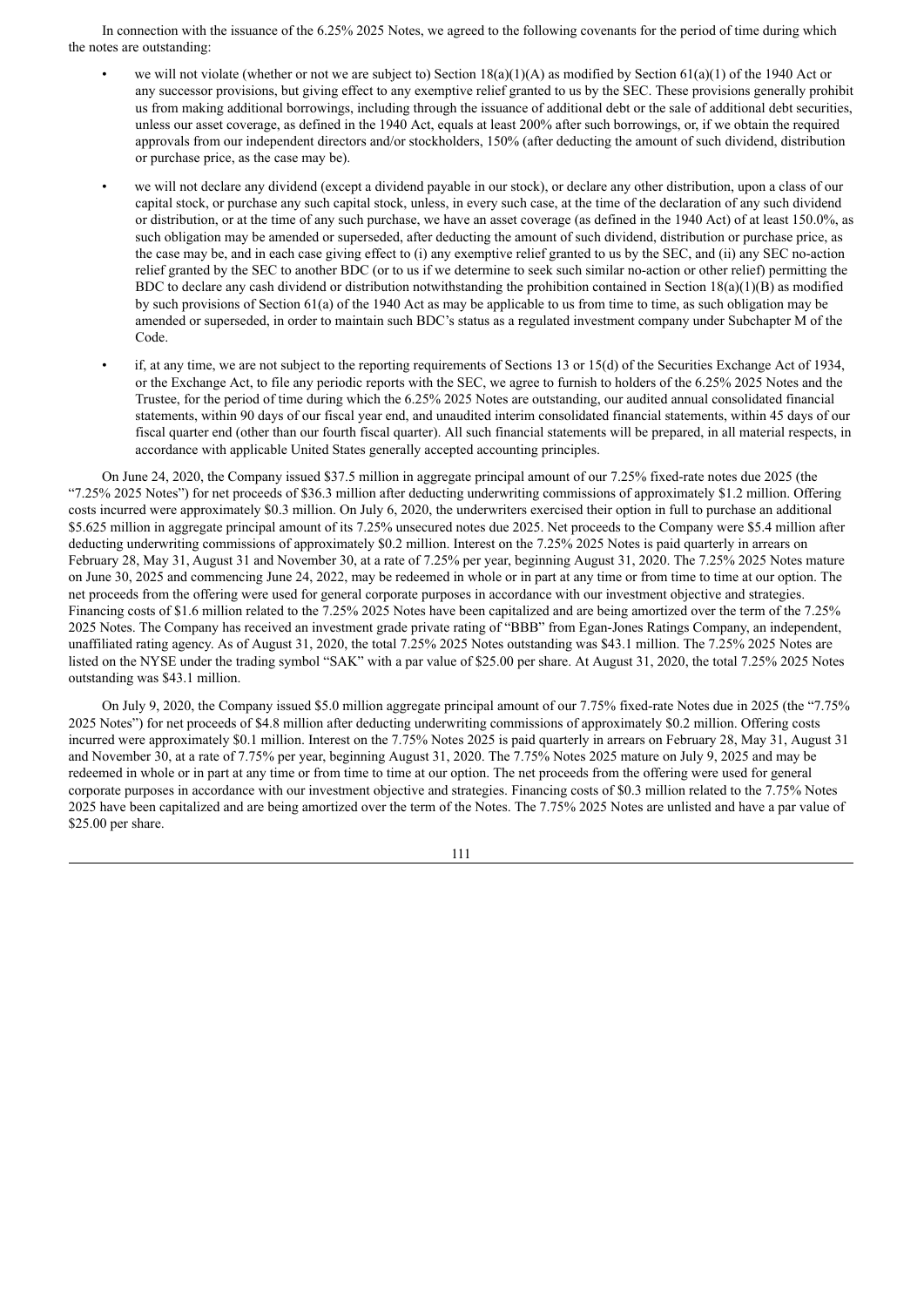In connection with the issuance of the 6.25% 2025 Notes, we agreed to the following covenants for the period of time during which the notes are outstanding:

- we will not violate (whether or not we are subject to) Section  $18(a)(1)(A)$  as modified by Section  $61(a)(1)$  of the 1940 Act or any successor provisions, but giving effect to any exemptive relief granted to us by the SEC. These provisions generally prohibit us from making additional borrowings, including through the issuance of additional debt or the sale of additional debt securities, unless our asset coverage, as defined in the 1940 Act, equals at least 200% after such borrowings, or, if we obtain the required approvals from our independent directors and/or stockholders, 150% (after deducting the amount of such dividend, distribution or purchase price, as the case may be).
- we will not declare any dividend (except a dividend payable in our stock), or declare any other distribution, upon a class of our capital stock, or purchase any such capital stock, unless, in every such case, at the time of the declaration of any such dividend or distribution, or at the time of any such purchase, we have an asset coverage (as defined in the 1940 Act) of at least 150.0%, as such obligation may be amended or superseded, after deducting the amount of such dividend, distribution or purchase price, as the case may be, and in each case giving effect to (i) any exemptive relief granted to us by the SEC, and (ii) any SEC no-action relief granted by the SEC to another BDC (or to us if we determine to seek such similar no-action or other relief) permitting the BDC to declare any cash dividend or distribution notwithstanding the prohibition contained in Section  $18(a)(1)(B)$  as modified by such provisions of Section 61(a) of the 1940 Act as may be applicable to us from time to time, as such obligation may be amended or superseded, in order to maintain such BDC's status as a regulated investment company under Subchapter M of the Code.
- if, at any time, we are not subject to the reporting requirements of Sections 13 or 15(d) of the Securities Exchange Act of 1934, or the Exchange Act, to file any periodic reports with the SEC, we agree to furnish to holders of the 6.25% 2025 Notes and the Trustee, for the period of time during which the 6.25% 2025 Notes are outstanding, our audited annual consolidated financial statements, within 90 days of our fiscal year end, and unaudited interim consolidated financial statements, within 45 days of our fiscal quarter end (other than our fourth fiscal quarter). All such financial statements will be prepared, in all material respects, in accordance with applicable United States generally accepted accounting principles.

On June 24, 2020, the Company issued \$37.5 million in aggregate principal amount of our 7.25% fixed-rate notes due 2025 (the "7.25% 2025 Notes") for net proceeds of \$36.3 million after deducting underwriting commissions of approximately \$1.2 million. Offering costs incurred were approximately \$0.3 million. On July 6, 2020, the underwriters exercised their option in full to purchase an additional \$5.625 million in aggregate principal amount of its 7.25% unsecured notes due 2025. Net proceeds to the Company were \$5.4 million after deducting underwriting commissions of approximately \$0.2 million. Interest on the 7.25% 2025 Notes is paid quarterly in arrears on February 28, May 31, August 31 and November 30, at a rate of 7.25% per year, beginning August 31, 2020. The 7.25% 2025 Notes mature on June 30, 2025 and commencing June 24, 2022, may be redeemed in whole or in part at any time or from time to time at our option. The net proceeds from the offering were used for general corporate purposes in accordance with our investment objective and strategies. Financing costs of \$1.6 million related to the 7.25% 2025 Notes have been capitalized and are being amortized over the term of the 7.25% 2025 Notes. The Company has received an investment grade private rating of "BBB" from Egan-Jones Ratings Company, an independent, unaffiliated rating agency. As of August 31, 2020, the total 7.25% 2025 Notes outstanding was \$43.1 million. The 7.25% 2025 Notes are listed on the NYSE under the trading symbol "SAK" with a par value of \$25.00 per share. At August 31, 2020, the total 7.25% 2025 Notes outstanding was \$43.1 million.

On July 9, 2020, the Company issued \$5.0 million aggregate principal amount of our 7.75% fixed-rate Notes due in 2025 (the "7.75% 2025 Notes") for net proceeds of \$4.8 million after deducting underwriting commissions of approximately \$0.2 million. Offering costs incurred were approximately \$0.1 million. Interest on the 7.75% Notes 2025 is paid quarterly in arrears on February 28, May 31, August 31 and November 30, at a rate of 7.75% per year, beginning August 31, 2020. The 7.75% Notes 2025 mature on July 9, 2025 and may be redeemed in whole or in part at any time or from time to time at our option. The net proceeds from the offering were used for general corporate purposes in accordance with our investment objective and strategies. Financing costs of \$0.3 million related to the 7.75% Notes 2025 have been capitalized and are being amortized over the term of the Notes. The 7.75% 2025 Notes are unlisted and have a par value of \$25.00 per share.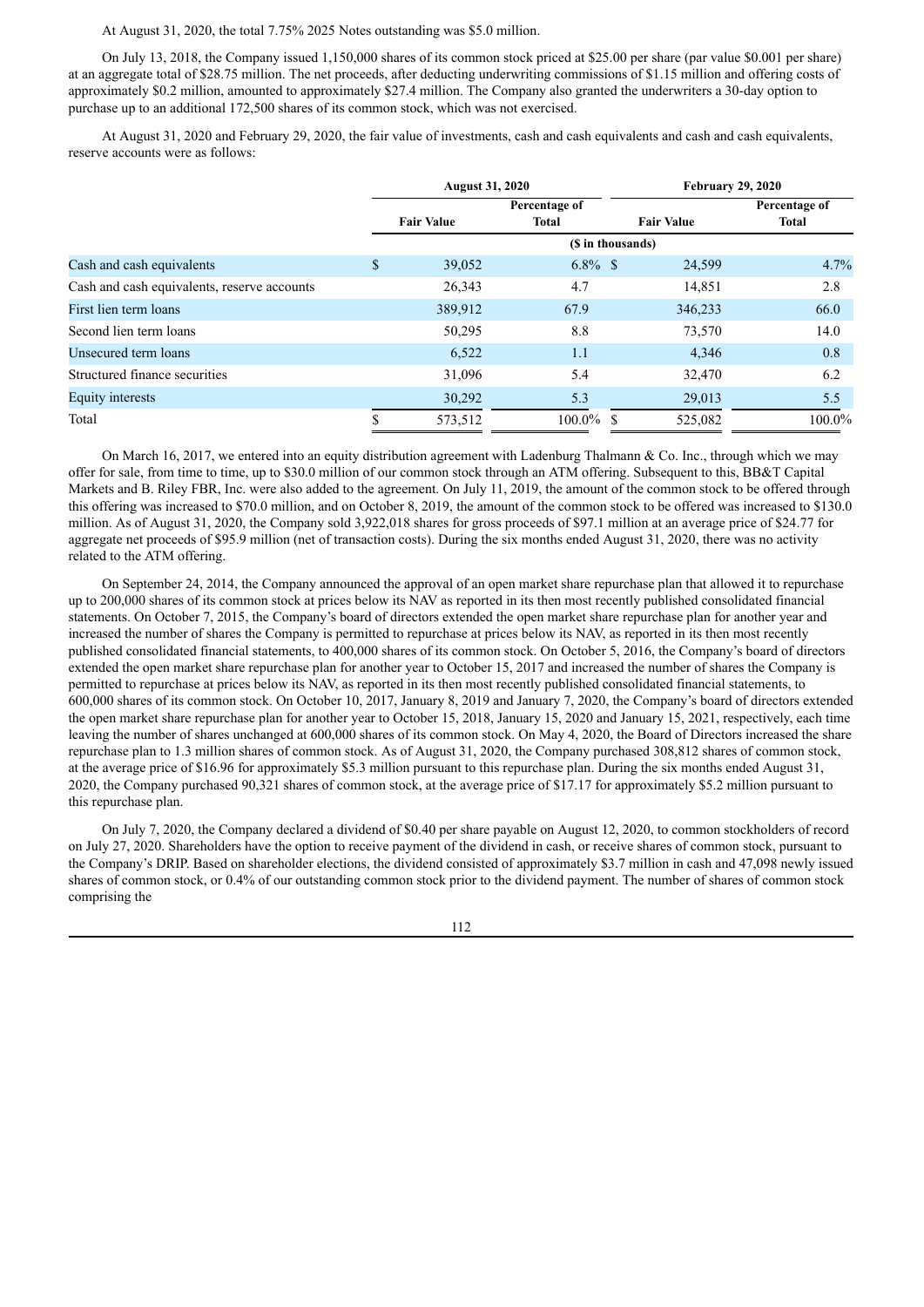# At August 31, 2020, the total 7.75% 2025 Notes outstanding was \$5.0 million.

On July 13, 2018, the Company issued 1,150,000 shares of its common stock priced at \$25.00 per share (par value \$0.001 per share) at an aggregate total of \$28.75 million. The net proceeds, after deducting underwriting commissions of \$1.15 million and offering costs of approximately \$0.2 million, amounted to approximately \$27.4 million. The Company also granted the underwriters a 30-day option to purchase up to an additional 172,500 shares of its common stock, which was not exercised.

At August 31, 2020 and February 29, 2020, the fair value of investments, cash and cash equivalents and cash and cash equivalents, reserve accounts were as follows:

|                                             | <b>August 31, 2020</b><br>Percentage of |                   |                   |                   | <b>February 29, 2020</b> |
|---------------------------------------------|-----------------------------------------|-------------------|-------------------|-------------------|--------------------------|
|                                             |                                         |                   |                   |                   | Percentage of            |
|                                             |                                         | <b>Fair Value</b> | <b>Total</b>      | <b>Fair Value</b> | Total                    |
|                                             |                                         |                   | (\$ in thousands) |                   |                          |
| Cash and cash equivalents                   | \$                                      | 39,052            | $6.8\%$ \$        | 24,599            | 4.7%                     |
| Cash and cash equivalents, reserve accounts |                                         | 26,343            | 4.7               | 14,851            | 2.8                      |
| First lien term loans                       |                                         | 389,912           | 67.9              | 346,233           | 66.0                     |
| Second lien term loans                      |                                         | 50,295            | 8.8               | 73,570            | 14.0                     |
| Unsecured term loans                        |                                         | 6,522             | 1.1               | 4,346             | 0.8                      |
| Structured finance securities               |                                         | 31,096            | 5.4               | 32,470            | 6.2                      |
| Equity interests                            |                                         | 30,292            | 5.3               | 29,013            | 5.5                      |
| Total                                       |                                         | 573,512           | $100.0\%$ \$      | 525,082           | 100.0%                   |

On March 16, 2017, we entered into an equity distribution agreement with Ladenburg Thalmann & Co. Inc., through which we may offer for sale, from time to time, up to \$30.0 million of our common stock through an ATM offering. Subsequent to this, BB&T Capital Markets and B. Riley FBR, Inc. were also added to the agreement. On July 11, 2019, the amount of the common stock to be offered through this offering was increased to \$70.0 million, and on October 8, 2019, the amount of the common stock to be offered was increased to \$130.0 million. As of August 31, 2020, the Company sold 3,922,018 shares for gross proceeds of \$97.1 million at an average price of \$24.77 for aggregate net proceeds of \$95.9 million (net of transaction costs). During the six months ended August 31, 2020, there was no activity related to the ATM offering.

On September 24, 2014, the Company announced the approval of an open market share repurchase plan that allowed it to repurchase up to 200,000 shares of its common stock at prices below its NAV as reported in its then most recently published consolidated financial statements. On October 7, 2015, the Company's board of directors extended the open market share repurchase plan for another year and increased the number of shares the Company is permitted to repurchase at prices below its NAV, as reported in its then most recently published consolidated financial statements, to 400,000 shares of its common stock. On October 5, 2016, the Company's board of directors extended the open market share repurchase plan for another year to October 15, 2017 and increased the number of shares the Company is permitted to repurchase at prices below its NAV, as reported in its then most recently published consolidated financial statements, to 600,000 shares of its common stock. On October 10, 2017, January 8, 2019 and January 7, 2020, the Company's board of directors extended the open market share repurchase plan for another year to October 15, 2018, January 15, 2020 and January 15, 2021, respectively, each time leaving the number of shares unchanged at 600,000 shares of its common stock. On May 4, 2020, the Board of Directors increased the share repurchase plan to 1.3 million shares of common stock. As of August 31, 2020, the Company purchased 308,812 shares of common stock, at the average price of \$16.96 for approximately \$5.3 million pursuant to this repurchase plan. During the six months ended August 31, 2020, the Company purchased 90,321 shares of common stock, at the average price of \$17.17 for approximately \$5.2 million pursuant to this repurchase plan.

On July 7, 2020, the Company declared a dividend of \$0.40 per share payable on August 12, 2020, to common stockholders of record on July 27, 2020. Shareholders have the option to receive payment of the dividend in cash, or receive shares of common stock, pursuant to the Company's DRIP. Based on shareholder elections, the dividend consisted of approximately \$3.7 million in cash and 47,098 newly issued shares of common stock, or 0.4% of our outstanding common stock prior to the dividend payment. The number of shares of common stock comprising the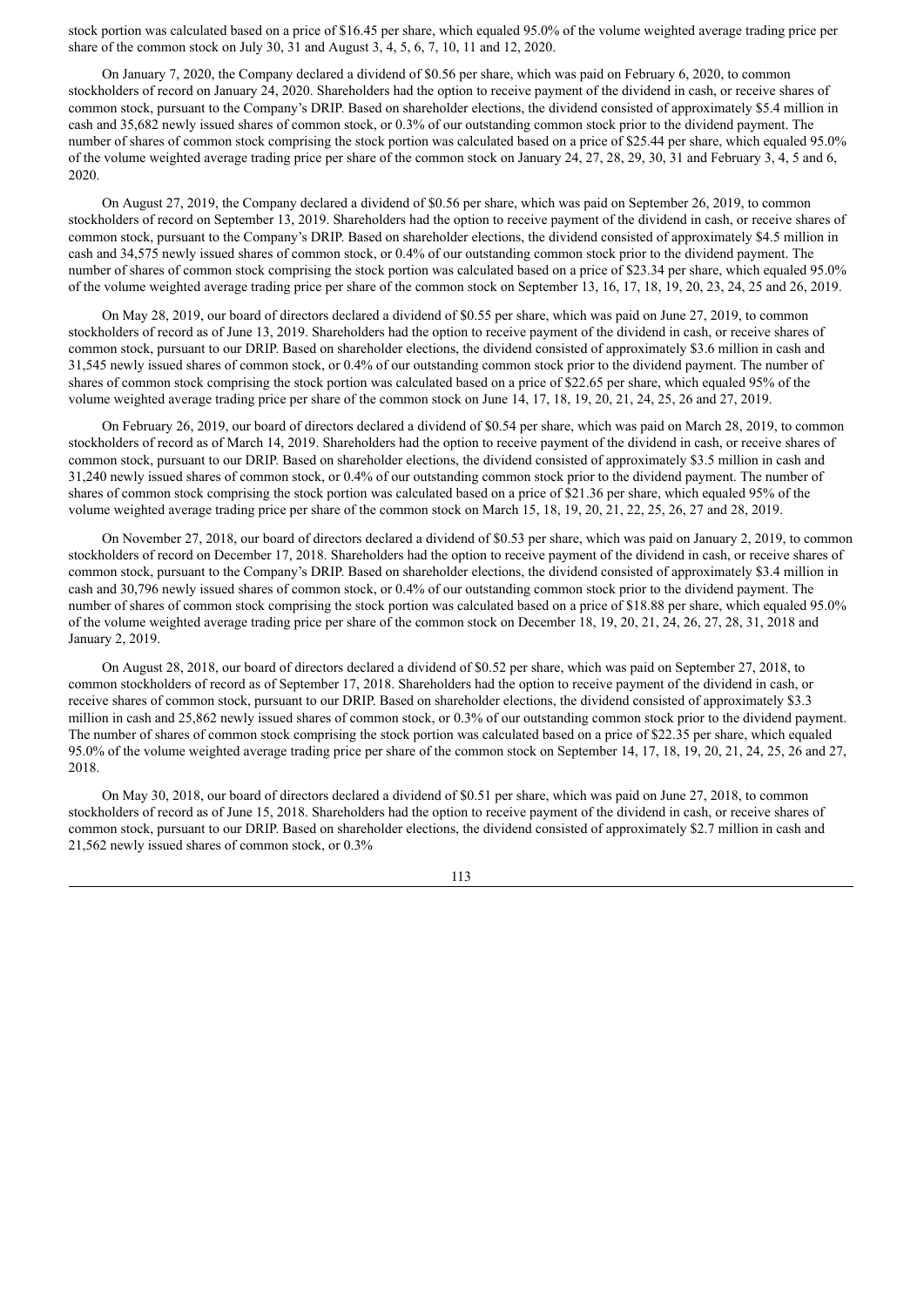stock portion was calculated based on a price of \$16.45 per share, which equaled 95.0% of the volume weighted average trading price per share of the common stock on July 30, 31 and August 3, 4, 5, 6, 7, 10, 11 and 12, 2020.

On January 7, 2020, the Company declared a dividend of \$0.56 per share, which was paid on February 6, 2020, to common stockholders of record on January 24, 2020. Shareholders had the option to receive payment of the dividend in cash, or receive shares of common stock, pursuant to the Company's DRIP. Based on shareholder elections, the dividend consisted of approximately \$5.4 million in cash and 35,682 newly issued shares of common stock, or 0.3% of our outstanding common stock prior to the dividend payment. The number of shares of common stock comprising the stock portion was calculated based on a price of \$25.44 per share, which equaled 95.0% of the volume weighted average trading price per share of the common stock on January 24, 27, 28, 29, 30, 31 and February 3, 4, 5 and 6, 2020.

On August 27, 2019, the Company declared a dividend of \$0.56 per share, which was paid on September 26, 2019, to common stockholders of record on September 13, 2019. Shareholders had the option to receive payment of the dividend in cash, or receive shares of common stock, pursuant to the Company's DRIP. Based on shareholder elections, the dividend consisted of approximately \$4.5 million in cash and 34,575 newly issued shares of common stock, or 0.4% of our outstanding common stock prior to the dividend payment. The number of shares of common stock comprising the stock portion was calculated based on a price of \$23.34 per share, which equaled 95.0% of the volume weighted average trading price per share of the common stock on September 13, 16, 17, 18, 19, 20, 23, 24, 25 and 26, 2019.

On May 28, 2019, our board of directors declared a dividend of \$0.55 per share, which was paid on June 27, 2019, to common stockholders of record as of June 13, 2019. Shareholders had the option to receive payment of the dividend in cash, or receive shares of common stock, pursuant to our DRIP. Based on shareholder elections, the dividend consisted of approximately \$3.6 million in cash and 31,545 newly issued shares of common stock, or 0.4% of our outstanding common stock prior to the dividend payment. The number of shares of common stock comprising the stock portion was calculated based on a price of \$22.65 per share, which equaled 95% of the volume weighted average trading price per share of the common stock on June 14, 17, 18, 19, 20, 21, 24, 25, 26 and 27, 2019.

On February 26, 2019, our board of directors declared a dividend of \$0.54 per share, which was paid on March 28, 2019, to common stockholders of record as of March 14, 2019. Shareholders had the option to receive payment of the dividend in cash, or receive shares of common stock, pursuant to our DRIP. Based on shareholder elections, the dividend consisted of approximately \$3.5 million in cash and 31,240 newly issued shares of common stock, or 0.4% of our outstanding common stock prior to the dividend payment. The number of shares of common stock comprising the stock portion was calculated based on a price of \$21.36 per share, which equaled 95% of the volume weighted average trading price per share of the common stock on March 15, 18, 19, 20, 21, 22, 25, 26, 27 and 28, 2019.

On November 27, 2018, our board of directors declared a dividend of \$0.53 per share, which was paid on January 2, 2019, to common stockholders of record on December 17, 2018. Shareholders had the option to receive payment of the dividend in cash, or receive shares of common stock, pursuant to the Company's DRIP. Based on shareholder elections, the dividend consisted of approximately \$3.4 million in cash and 30,796 newly issued shares of common stock, or 0.4% of our outstanding common stock prior to the dividend payment. The number of shares of common stock comprising the stock portion was calculated based on a price of \$18.88 per share, which equaled 95.0% of the volume weighted average trading price per share of the common stock on December 18, 19, 20, 21, 24, 26, 27, 28, 31, 2018 and January 2, 2019.

On August 28, 2018, our board of directors declared a dividend of \$0.52 per share, which was paid on September 27, 2018, to common stockholders of record as of September 17, 2018. Shareholders had the option to receive payment of the dividend in cash, or receive shares of common stock, pursuant to our DRIP. Based on shareholder elections, the dividend consisted of approximately \$3.3 million in cash and 25,862 newly issued shares of common stock, or 0.3% of our outstanding common stock prior to the dividend payment. The number of shares of common stock comprising the stock portion was calculated based on a price of \$22.35 per share, which equaled 95.0% of the volume weighted average trading price per share of the common stock on September 14, 17, 18, 19, 20, 21, 24, 25, 26 and 27, 2018.

On May 30, 2018, our board of directors declared a dividend of \$0.51 per share, which was paid on June 27, 2018, to common stockholders of record as of June 15, 2018. Shareholders had the option to receive payment of the dividend in cash, or receive shares of common stock, pursuant to our DRIP. Based on shareholder elections, the dividend consisted of approximately \$2.7 million in cash and 21,562 newly issued shares of common stock, or 0.3%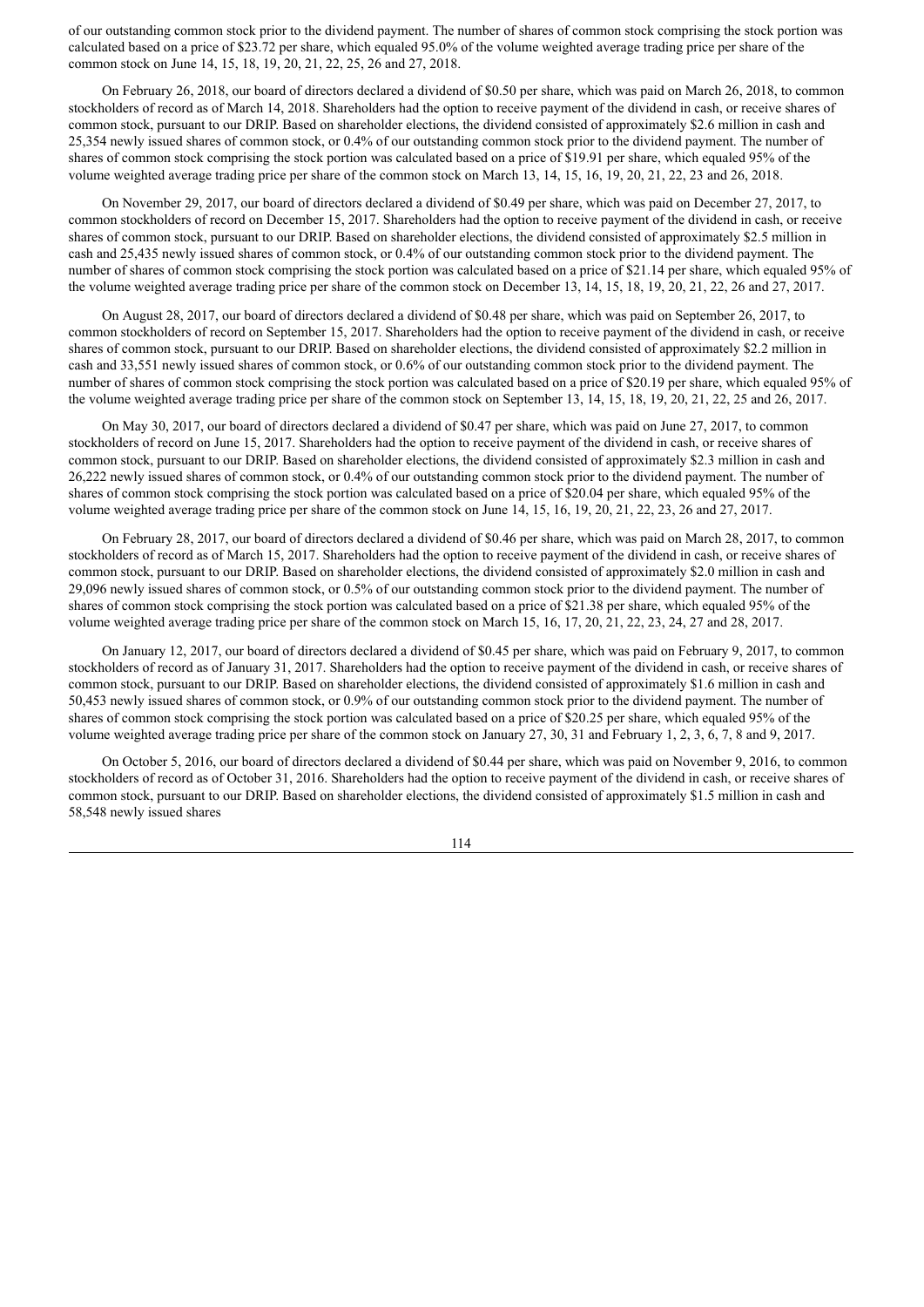of our outstanding common stock prior to the dividend payment. The number of shares of common stock comprising the stock portion was calculated based on a price of \$23.72 per share, which equaled 95.0% of the volume weighted average trading price per share of the common stock on June 14, 15, 18, 19, 20, 21, 22, 25, 26 and 27, 2018.

On February 26, 2018, our board of directors declared a dividend of \$0.50 per share, which was paid on March 26, 2018, to common stockholders of record as of March 14, 2018. Shareholders had the option to receive payment of the dividend in cash, or receive shares of common stock, pursuant to our DRIP. Based on shareholder elections, the dividend consisted of approximately \$2.6 million in cash and 25,354 newly issued shares of common stock, or 0.4% of our outstanding common stock prior to the dividend payment. The number of shares of common stock comprising the stock portion was calculated based on a price of \$19.91 per share, which equaled 95% of the volume weighted average trading price per share of the common stock on March 13, 14, 15, 16, 19, 20, 21, 22, 23 and 26, 2018.

On November 29, 2017, our board of directors declared a dividend of \$0.49 per share, which was paid on December 27, 2017, to common stockholders of record on December 15, 2017. Shareholders had the option to receive payment of the dividend in cash, or receive shares of common stock, pursuant to our DRIP. Based on shareholder elections, the dividend consisted of approximately \$2.5 million in cash and 25,435 newly issued shares of common stock, or 0.4% of our outstanding common stock prior to the dividend payment. The number of shares of common stock comprising the stock portion was calculated based on a price of \$21.14 per share, which equaled 95% of the volume weighted average trading price per share of the common stock on December 13, 14, 15, 18, 19, 20, 21, 22, 26 and 27, 2017.

On August 28, 2017, our board of directors declared a dividend of \$0.48 per share, which was paid on September 26, 2017, to common stockholders of record on September 15, 2017. Shareholders had the option to receive payment of the dividend in cash, or receive shares of common stock, pursuant to our DRIP. Based on shareholder elections, the dividend consisted of approximately \$2.2 million in cash and 33,551 newly issued shares of common stock, or 0.6% of our outstanding common stock prior to the dividend payment. The number of shares of common stock comprising the stock portion was calculated based on a price of \$20.19 per share, which equaled 95% of the volume weighted average trading price per share of the common stock on September 13, 14, 15, 18, 19, 20, 21, 22, 25 and 26, 2017.

On May 30, 2017, our board of directors declared a dividend of \$0.47 per share, which was paid on June 27, 2017, to common stockholders of record on June 15, 2017. Shareholders had the option to receive payment of the dividend in cash, or receive shares of common stock, pursuant to our DRIP. Based on shareholder elections, the dividend consisted of approximately \$2.3 million in cash and 26,222 newly issued shares of common stock, or 0.4% of our outstanding common stock prior to the dividend payment. The number of shares of common stock comprising the stock portion was calculated based on a price of \$20.04 per share, which equaled 95% of the volume weighted average trading price per share of the common stock on June 14, 15, 16, 19, 20, 21, 22, 23, 26 and 27, 2017.

On February 28, 2017, our board of directors declared a dividend of \$0.46 per share, which was paid on March 28, 2017, to common stockholders of record as of March 15, 2017. Shareholders had the option to receive payment of the dividend in cash, or receive shares of common stock, pursuant to our DRIP. Based on shareholder elections, the dividend consisted of approximately \$2.0 million in cash and 29,096 newly issued shares of common stock, or 0.5% of our outstanding common stock prior to the dividend payment. The number of shares of common stock comprising the stock portion was calculated based on a price of \$21.38 per share, which equaled 95% of the volume weighted average trading price per share of the common stock on March 15, 16, 17, 20, 21, 22, 23, 24, 27 and 28, 2017.

On January 12, 2017, our board of directors declared a dividend of \$0.45 per share, which was paid on February 9, 2017, to common stockholders of record as of January 31, 2017. Shareholders had the option to receive payment of the dividend in cash, or receive shares of common stock, pursuant to our DRIP. Based on shareholder elections, the dividend consisted of approximately \$1.6 million in cash and 50,453 newly issued shares of common stock, or 0.9% of our outstanding common stock prior to the dividend payment. The number of shares of common stock comprising the stock portion was calculated based on a price of \$20.25 per share, which equaled 95% of the volume weighted average trading price per share of the common stock on January 27, 30, 31 and February 1, 2, 3, 6, 7, 8 and 9, 2017.

On October 5, 2016, our board of directors declared a dividend of \$0.44 per share, which was paid on November 9, 2016, to common stockholders of record as of October 31, 2016. Shareholders had the option to receive payment of the dividend in cash, or receive shares of common stock, pursuant to our DRIP. Based on shareholder elections, the dividend consisted of approximately \$1.5 million in cash and 58,548 newly issued shares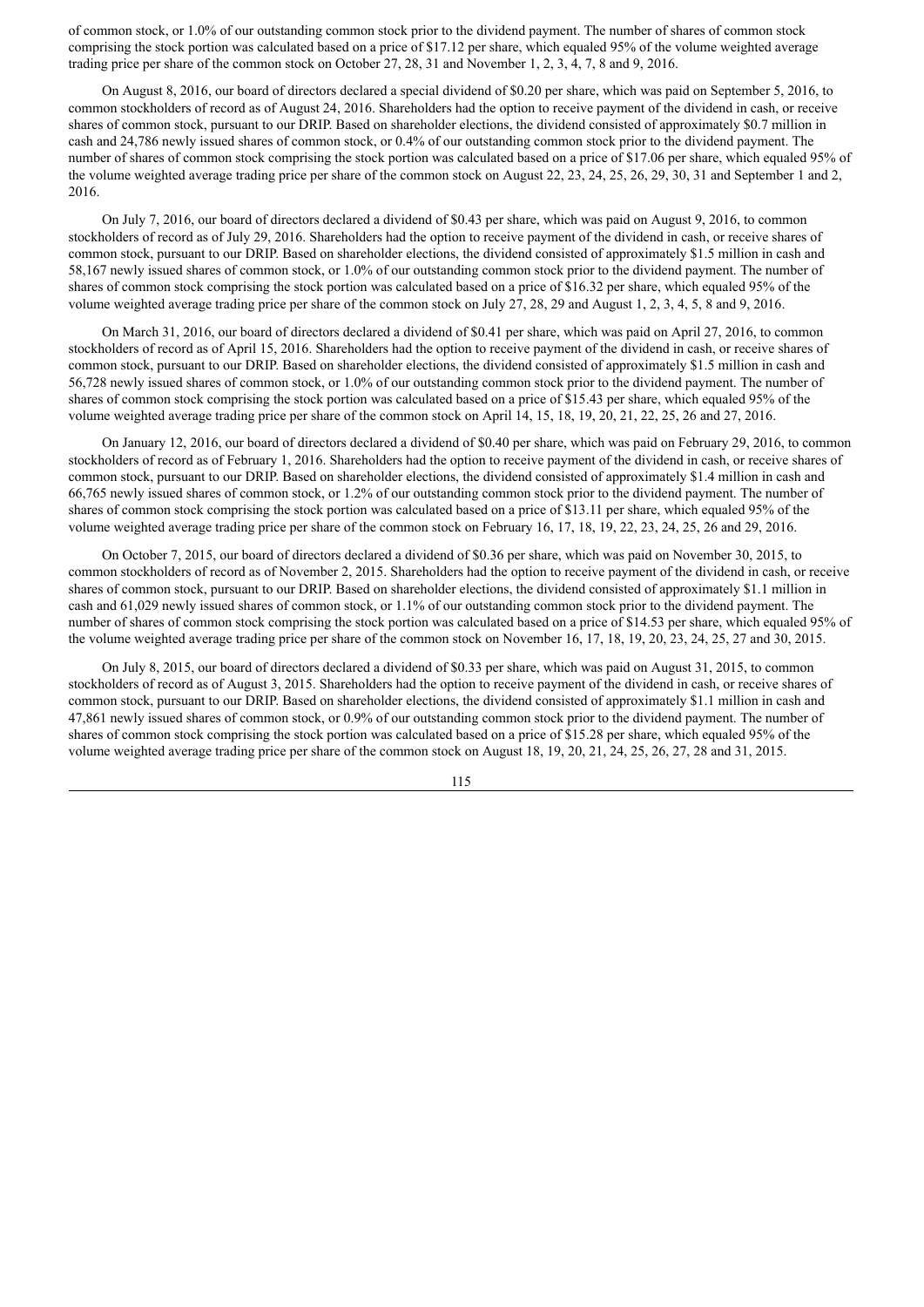of common stock, or 1.0% of our outstanding common stock prior to the dividend payment. The number of shares of common stock comprising the stock portion was calculated based on a price of \$17.12 per share, which equaled 95% of the volume weighted average trading price per share of the common stock on October 27, 28, 31 and November 1, 2, 3, 4, 7, 8 and 9, 2016.

On August 8, 2016, our board of directors declared a special dividend of \$0.20 per share, which was paid on September 5, 2016, to common stockholders of record as of August 24, 2016. Shareholders had the option to receive payment of the dividend in cash, or receive shares of common stock, pursuant to our DRIP. Based on shareholder elections, the dividend consisted of approximately \$0.7 million in cash and 24,786 newly issued shares of common stock, or 0.4% of our outstanding common stock prior to the dividend payment. The number of shares of common stock comprising the stock portion was calculated based on a price of \$17.06 per share, which equaled 95% of the volume weighted average trading price per share of the common stock on August 22, 23, 24, 25, 26, 29, 30, 31 and September 1 and 2, 2016.

On July 7, 2016, our board of directors declared a dividend of \$0.43 per share, which was paid on August 9, 2016, to common stockholders of record as of July 29, 2016. Shareholders had the option to receive payment of the dividend in cash, or receive shares of common stock, pursuant to our DRIP. Based on shareholder elections, the dividend consisted of approximately \$1.5 million in cash and 58,167 newly issued shares of common stock, or 1.0% of our outstanding common stock prior to the dividend payment. The number of shares of common stock comprising the stock portion was calculated based on a price of \$16.32 per share, which equaled 95% of the volume weighted average trading price per share of the common stock on July 27, 28, 29 and August 1, 2, 3, 4, 5, 8 and 9, 2016.

On March 31, 2016, our board of directors declared a dividend of \$0.41 per share, which was paid on April 27, 2016, to common stockholders of record as of April 15, 2016. Shareholders had the option to receive payment of the dividend in cash, or receive shares of common stock, pursuant to our DRIP. Based on shareholder elections, the dividend consisted of approximately \$1.5 million in cash and 56,728 newly issued shares of common stock, or 1.0% of our outstanding common stock prior to the dividend payment. The number of shares of common stock comprising the stock portion was calculated based on a price of \$15.43 per share, which equaled 95% of the volume weighted average trading price per share of the common stock on April 14, 15, 18, 19, 20, 21, 22, 25, 26 and 27, 2016.

On January 12, 2016, our board of directors declared a dividend of \$0.40 per share, which was paid on February 29, 2016, to common stockholders of record as of February 1, 2016. Shareholders had the option to receive payment of the dividend in cash, or receive shares of common stock, pursuant to our DRIP. Based on shareholder elections, the dividend consisted of approximately \$1.4 million in cash and 66,765 newly issued shares of common stock, or 1.2% of our outstanding common stock prior to the dividend payment. The number of shares of common stock comprising the stock portion was calculated based on a price of \$13.11 per share, which equaled 95% of the volume weighted average trading price per share of the common stock on February 16, 17, 18, 19, 22, 23, 24, 25, 26 and 29, 2016.

On October 7, 2015, our board of directors declared a dividend of \$0.36 per share, which was paid on November 30, 2015, to common stockholders of record as of November 2, 2015. Shareholders had the option to receive payment of the dividend in cash, or receive shares of common stock, pursuant to our DRIP. Based on shareholder elections, the dividend consisted of approximately \$1.1 million in cash and 61,029 newly issued shares of common stock, or 1.1% of our outstanding common stock prior to the dividend payment. The number of shares of common stock comprising the stock portion was calculated based on a price of \$14.53 per share, which equaled 95% of the volume weighted average trading price per share of the common stock on November 16, 17, 18, 19, 20, 23, 24, 25, 27 and 30, 2015.

On July 8, 2015, our board of directors declared a dividend of \$0.33 per share, which was paid on August 31, 2015, to common stockholders of record as of August 3, 2015. Shareholders had the option to receive payment of the dividend in cash, or receive shares of common stock, pursuant to our DRIP. Based on shareholder elections, the dividend consisted of approximately \$1.1 million in cash and 47,861 newly issued shares of common stock, or 0.9% of our outstanding common stock prior to the dividend payment. The number of shares of common stock comprising the stock portion was calculated based on a price of \$15.28 per share, which equaled 95% of the volume weighted average trading price per share of the common stock on August 18, 19, 20, 21, 24, 25, 26, 27, 28 and 31, 2015.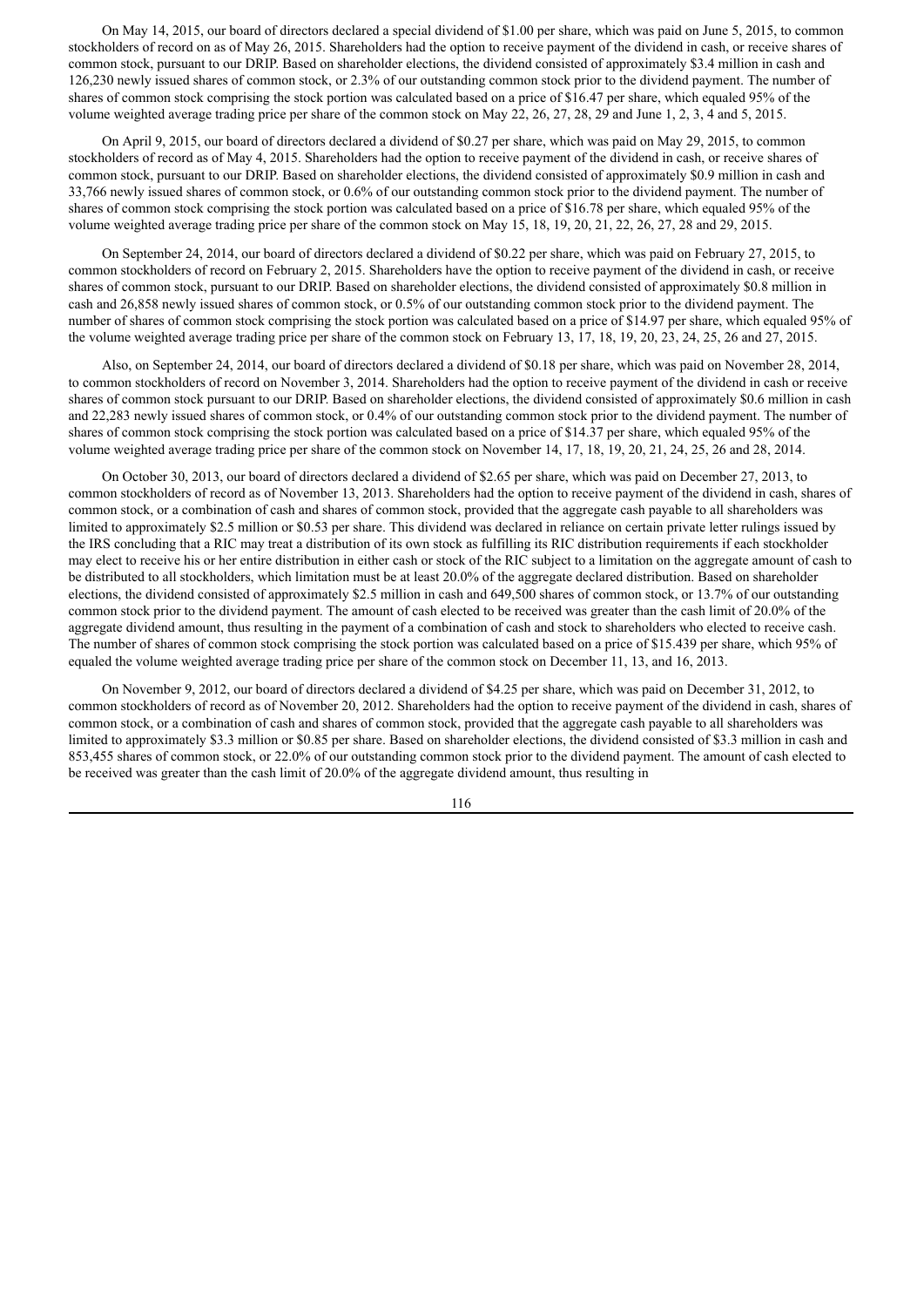On May 14, 2015, our board of directors declared a special dividend of \$1.00 per share, which was paid on June 5, 2015, to common stockholders of record on as of May 26, 2015. Shareholders had the option to receive payment of the dividend in cash, or receive shares of common stock, pursuant to our DRIP. Based on shareholder elections, the dividend consisted of approximately \$3.4 million in cash and 126,230 newly issued shares of common stock, or 2.3% of our outstanding common stock prior to the dividend payment. The number of shares of common stock comprising the stock portion was calculated based on a price of \$16.47 per share, which equaled 95% of the volume weighted average trading price per share of the common stock on May 22, 26, 27, 28, 29 and June 1, 2, 3, 4 and 5, 2015.

On April 9, 2015, our board of directors declared a dividend of \$0.27 per share, which was paid on May 29, 2015, to common stockholders of record as of May 4, 2015. Shareholders had the option to receive payment of the dividend in cash, or receive shares of common stock, pursuant to our DRIP. Based on shareholder elections, the dividend consisted of approximately \$0.9 million in cash and 33,766 newly issued shares of common stock, or 0.6% of our outstanding common stock prior to the dividend payment. The number of shares of common stock comprising the stock portion was calculated based on a price of \$16.78 per share, which equaled 95% of the volume weighted average trading price per share of the common stock on May 15, 18, 19, 20, 21, 22, 26, 27, 28 and 29, 2015.

On September 24, 2014, our board of directors declared a dividend of \$0.22 per share, which was paid on February 27, 2015, to common stockholders of record on February 2, 2015. Shareholders have the option to receive payment of the dividend in cash, or receive shares of common stock, pursuant to our DRIP. Based on shareholder elections, the dividend consisted of approximately \$0.8 million in cash and 26,858 newly issued shares of common stock, or 0.5% of our outstanding common stock prior to the dividend payment. The number of shares of common stock comprising the stock portion was calculated based on a price of \$14.97 per share, which equaled 95% of the volume weighted average trading price per share of the common stock on February 13, 17, 18, 19, 20, 23, 24, 25, 26 and 27, 2015.

Also, on September 24, 2014, our board of directors declared a dividend of \$0.18 per share, which was paid on November 28, 2014, to common stockholders of record on November 3, 2014. Shareholders had the option to receive payment of the dividend in cash or receive shares of common stock pursuant to our DRIP. Based on shareholder elections, the dividend consisted of approximately \$0.6 million in cash and 22,283 newly issued shares of common stock, or 0.4% of our outstanding common stock prior to the dividend payment. The number of shares of common stock comprising the stock portion was calculated based on a price of \$14.37 per share, which equaled 95% of the volume weighted average trading price per share of the common stock on November 14, 17, 18, 19, 20, 21, 24, 25, 26 and 28, 2014.

On October 30, 2013, our board of directors declared a dividend of \$2.65 per share, which was paid on December 27, 2013, to common stockholders of record as of November 13, 2013. Shareholders had the option to receive payment of the dividend in cash, shares of common stock, or a combination of cash and shares of common stock, provided that the aggregate cash payable to all shareholders was limited to approximately \$2.5 million or \$0.53 per share. This dividend was declared in reliance on certain private letter rulings issued by the IRS concluding that a RIC may treat a distribution of its own stock as fulfilling its RIC distribution requirements if each stockholder may elect to receive his or her entire distribution in either cash or stock of the RIC subject to a limitation on the aggregate amount of cash to be distributed to all stockholders, which limitation must be at least 20.0% of the aggregate declared distribution. Based on shareholder elections, the dividend consisted of approximately \$2.5 million in cash and 649,500 shares of common stock, or 13.7% of our outstanding common stock prior to the dividend payment. The amount of cash elected to be received was greater than the cash limit of 20.0% of the aggregate dividend amount, thus resulting in the payment of a combination of cash and stock to shareholders who elected to receive cash. The number of shares of common stock comprising the stock portion was calculated based on a price of \$15.439 per share, which 95% of equaled the volume weighted average trading price per share of the common stock on December 11, 13, and 16, 2013.

On November 9, 2012, our board of directors declared a dividend of \$4.25 per share, which was paid on December 31, 2012, to common stockholders of record as of November 20, 2012. Shareholders had the option to receive payment of the dividend in cash, shares of common stock, or a combination of cash and shares of common stock, provided that the aggregate cash payable to all shareholders was limited to approximately \$3.3 million or \$0.85 per share. Based on shareholder elections, the dividend consisted of \$3.3 million in cash and 853,455 shares of common stock, or 22.0% of our outstanding common stock prior to the dividend payment. The amount of cash elected to be received was greater than the cash limit of 20.0% of the aggregate dividend amount, thus resulting in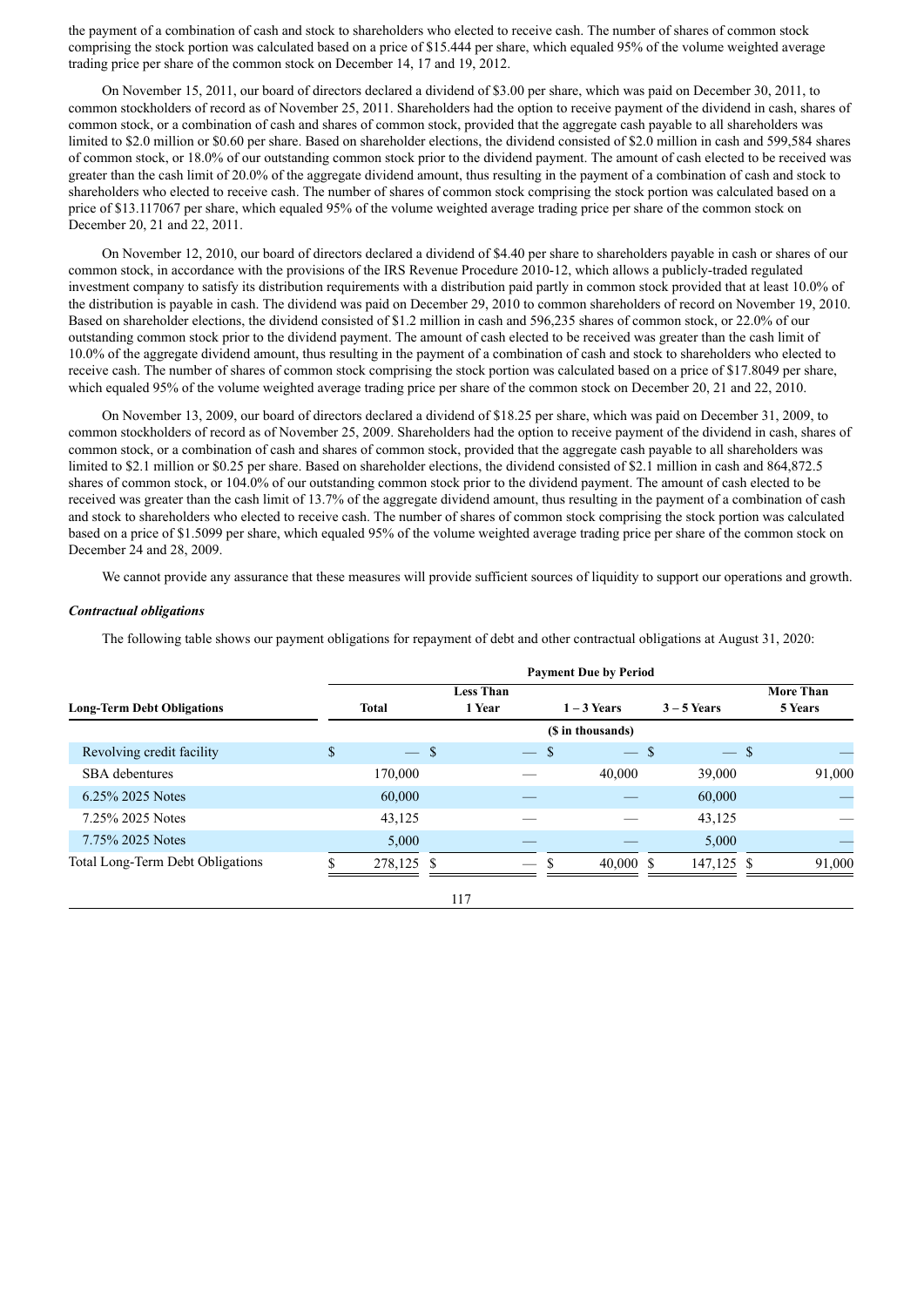the payment of a combination of cash and stock to shareholders who elected to receive cash. The number of shares of common stock comprising the stock portion was calculated based on a price of \$15.444 per share, which equaled 95% of the volume weighted average trading price per share of the common stock on December 14, 17 and 19, 2012.

On November 15, 2011, our board of directors declared a dividend of \$3.00 per share, which was paid on December 30, 2011, to common stockholders of record as of November 25, 2011. Shareholders had the option to receive payment of the dividend in cash, shares of common stock, or a combination of cash and shares of common stock, provided that the aggregate cash payable to all shareholders was limited to \$2.0 million or \$0.60 per share. Based on shareholder elections, the dividend consisted of \$2.0 million in cash and 599,584 shares of common stock, or 18.0% of our outstanding common stock prior to the dividend payment. The amount of cash elected to be received was greater than the cash limit of 20.0% of the aggregate dividend amount, thus resulting in the payment of a combination of cash and stock to shareholders who elected to receive cash. The number of shares of common stock comprising the stock portion was calculated based on a price of \$13.117067 per share, which equaled 95% of the volume weighted average trading price per share of the common stock on December 20, 21 and 22, 2011.

On November 12, 2010, our board of directors declared a dividend of \$4.40 per share to shareholders payable in cash or shares of our common stock, in accordance with the provisions of the IRS Revenue Procedure 2010-12, which allows a publicly-traded regulated investment company to satisfy its distribution requirements with a distribution paid partly in common stock provided that at least 10.0% of the distribution is payable in cash. The dividend was paid on December 29, 2010 to common shareholders of record on November 19, 2010. Based on shareholder elections, the dividend consisted of \$1.2 million in cash and 596,235 shares of common stock, or 22.0% of our outstanding common stock prior to the dividend payment. The amount of cash elected to be received was greater than the cash limit of 10.0% of the aggregate dividend amount, thus resulting in the payment of a combination of cash and stock to shareholders who elected to receive cash. The number of shares of common stock comprising the stock portion was calculated based on a price of \$17.8049 per share, which equaled 95% of the volume weighted average trading price per share of the common stock on December 20, 21 and 22, 2010.

On November 13, 2009, our board of directors declared a dividend of \$18.25 per share, which was paid on December 31, 2009, to common stockholders of record as of November 25, 2009. Shareholders had the option to receive payment of the dividend in cash, shares of common stock, or a combination of cash and shares of common stock, provided that the aggregate cash payable to all shareholders was limited to \$2.1 million or \$0.25 per share. Based on shareholder elections, the dividend consisted of \$2.1 million in cash and 864,872.5 shares of common stock, or 104.0% of our outstanding common stock prior to the dividend payment. The amount of cash elected to be received was greater than the cash limit of 13.7% of the aggregate dividend amount, thus resulting in the payment of a combination of cash and stock to shareholders who elected to receive cash. The number of shares of common stock comprising the stock portion was calculated based on a price of \$1.5099 per share, which equaled 95% of the volume weighted average trading price per share of the common stock on December 24 and 28, 2009.

We cannot provide any assurance that these measures will provide sufficient sources of liquidity to support our operations and growth.

### *Contractual obligations*

The following table shows our payment obligations for repayment of debt and other contractual obligations at August 31, 2020:

|                                   |   |              |                            |        | <b>Payment Due by Period</b> |               |                             |
|-----------------------------------|---|--------------|----------------------------|--------|------------------------------|---------------|-----------------------------|
| <b>Long-Term Debt Obligations</b> |   | <b>Total</b> | <b>Less Than</b><br>1 Year |        | $1 - 3$ Years                | $3 - 5$ Years | <b>More Than</b><br>5 Years |
|                                   |   |              |                            |        | (\$ in thousands)            |               |                             |
| Revolving credit facility         | S | $-$ \$       |                            | $-$ \$ | $-$ \$                       | $-$ \$        |                             |
| <b>SBA</b> debentures             |   | 170,000      |                            |        | 40,000                       | 39,000        | 91,000                      |
| 6.25% 2025 Notes                  |   | 60,000       |                            |        |                              | 60,000        |                             |
| 7.25% 2025 Notes                  |   | 43,125       |                            |        |                              | 43,125        |                             |
| 7.75% 2025 Notes                  |   | 5,000        |                            |        |                              | 5,000         |                             |
| Total Long-Term Debt Obligations  |   | 278,125 \$   |                            | \$.    | $40,000$ \$                  | 147,125 \$    | 91,000                      |
|                                   |   |              | 117                        |        |                              |               |                             |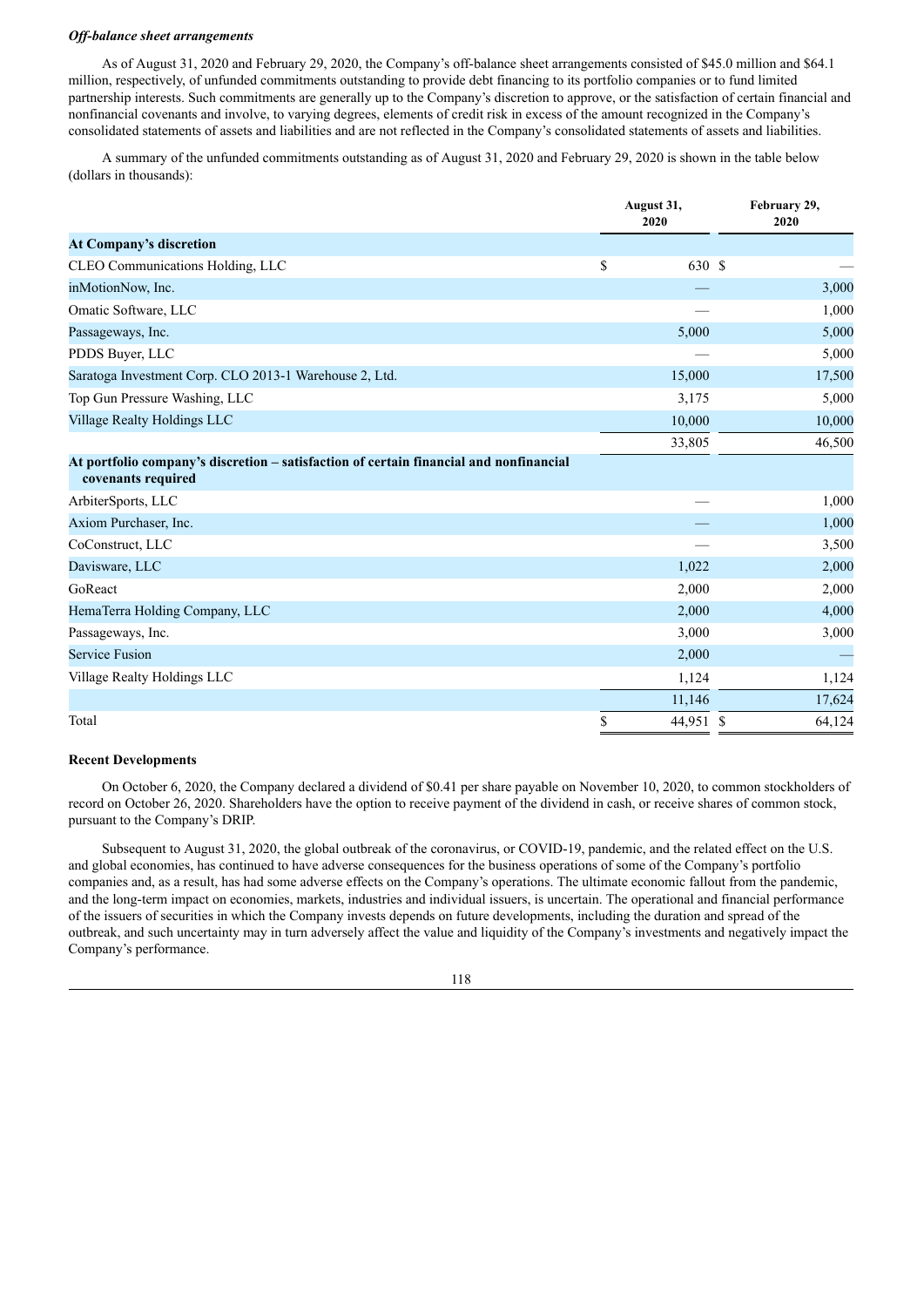#### *Of -balance sheet arrangements*

As of August 31, 2020 and February 29, 2020, the Company's off-balance sheet arrangements consisted of \$45.0 million and \$64.1 million, respectively, of unfunded commitments outstanding to provide debt financing to its portfolio companies or to fund limited partnership interests. Such commitments are generally up to the Company's discretion to approve, or the satisfaction of certain financial and nonfinancial covenants and involve, to varying degrees, elements of credit risk in excess of the amount recognized in the Company's consolidated statements of assets and liabilities and are not reflected in the Company's consolidated statements of assets and liabilities.

A summary of the unfunded commitments outstanding as of August 31, 2020 and February 29, 2020 is shown in the table below (dollars in thousands):

|                                                                                                              | August 31,<br>2020 | February 29,<br>2020 |
|--------------------------------------------------------------------------------------------------------------|--------------------|----------------------|
| <b>At Company's discretion</b>                                                                               |                    |                      |
| CLEO Communications Holding, LLC                                                                             | \$<br>630 \$       |                      |
| inMotionNow, Inc.                                                                                            |                    | 3,000                |
| Omatic Software, LLC                                                                                         |                    | 1,000                |
| Passageways, Inc.                                                                                            | 5,000              | 5,000                |
| PDDS Buyer, LLC                                                                                              |                    | 5,000                |
| Saratoga Investment Corp. CLO 2013-1 Warehouse 2, Ltd.                                                       | 15,000             | 17,500               |
| Top Gun Pressure Washing, LLC                                                                                | 3,175              | 5,000                |
| Village Realty Holdings LLC                                                                                  | 10,000             | 10,000               |
|                                                                                                              | 33,805             | 46,500               |
| At portfolio company's discretion – satisfaction of certain financial and nonfinancial<br>covenants required |                    |                      |
| ArbiterSports, LLC                                                                                           |                    | 1,000                |
| Axiom Purchaser, Inc.                                                                                        |                    | 1,000                |
| CoConstruct, LLC                                                                                             |                    | 3,500                |
| Davisware, LLC                                                                                               | 1,022              | 2,000                |
| GoReact                                                                                                      | 2,000              | 2,000                |
| HemaTerra Holding Company, LLC                                                                               | 2,000              | 4,000                |
| Passageways, Inc.                                                                                            | 3,000              | 3,000                |
| <b>Service Fusion</b>                                                                                        | 2,000              |                      |
| Village Realty Holdings LLC                                                                                  | 1,124              | 1,124                |
|                                                                                                              | 11,146             | 17,624               |
| Total                                                                                                        | \$<br>44,951 \$    | 64,124               |

### **Recent Developments**

On October 6, 2020, the Company declared a dividend of \$0.41 per share payable on November 10, 2020, to common stockholders of record on October 26, 2020. Shareholders have the option to receive payment of the dividend in cash, or receive shares of common stock, pursuant to the Company's DRIP.

Subsequent to August 31, 2020, the global outbreak of the coronavirus, or COVID-19, pandemic, and the related effect on the U.S. and global economies, has continued to have adverse consequences for the business operations of some of the Company's portfolio companies and, as a result, has had some adverse effects on the Company's operations. The ultimate economic fallout from the pandemic, and the long-term impact on economies, markets, industries and individual issuers, is uncertain. The operational and financial performance of the issuers of securities in which the Company invests depends on future developments, including the duration and spread of the outbreak, and such uncertainty may in turn adversely affect the value and liquidity of the Company's investments and negatively impact the Company's performance.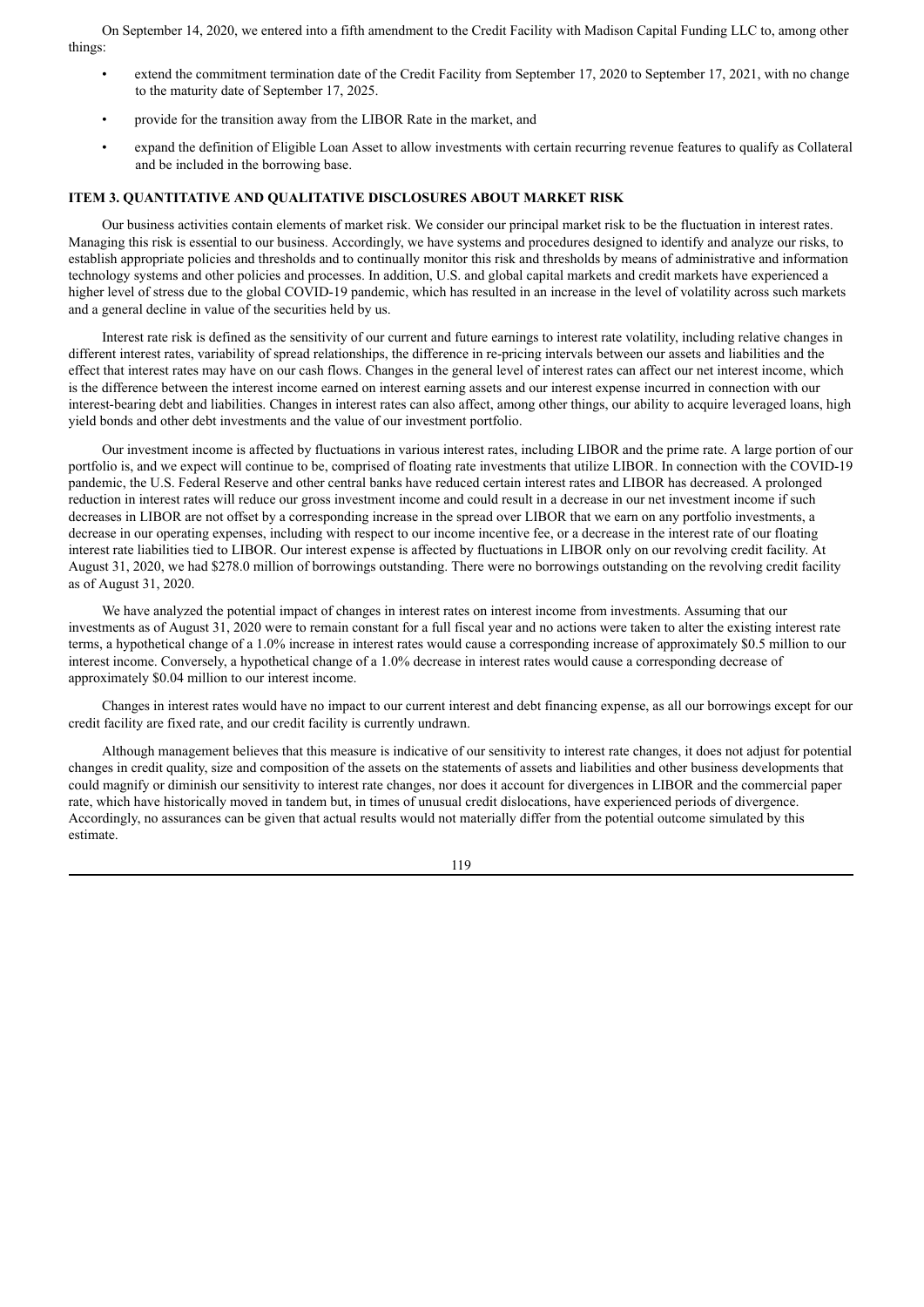On September 14, 2020, we entered into a fifth amendment to the Credit Facility with Madison Capital Funding LLC to, among other things:

- extend the commitment termination date of the Credit Facility from September 17, 2020 to September 17, 2021, with no change to the maturity date of September 17, 2025.
- provide for the transition away from the LIBOR Rate in the market, and
- expand the definition of Eligible Loan Asset to allow investments with certain recurring revenue features to qualify as Collateral and be included in the borrowing base.

# **ITEM 3. QUANTITATIVE AND QUALITATIVE DISCLOSURES ABOUT MARKET RISK**

Our business activities contain elements of market risk. We consider our principal market risk to be the fluctuation in interest rates. Managing this risk is essential to our business. Accordingly, we have systems and procedures designed to identify and analyze our risks, to establish appropriate policies and thresholds and to continually monitor this risk and thresholds by means of administrative and information technology systems and other policies and processes. In addition, U.S. and global capital markets and credit markets have experienced a higher level of stress due to the global COVID-19 pandemic, which has resulted in an increase in the level of volatility across such markets and a general decline in value of the securities held by us.

Interest rate risk is defined as the sensitivity of our current and future earnings to interest rate volatility, including relative changes in different interest rates, variability of spread relationships, the difference in re-pricing intervals between our assets and liabilities and the effect that interest rates may have on our cash flows. Changes in the general level of interest rates can affect our net interest income, which is the difference between the interest income earned on interest earning assets and our interest expense incurred in connection with our interest-bearing debt and liabilities. Changes in interest rates can also affect, among other things, our ability to acquire leveraged loans, high yield bonds and other debt investments and the value of our investment portfolio.

Our investment income is affected by fluctuations in various interest rates, including LIBOR and the prime rate. A large portion of our portfolio is, and we expect will continue to be, comprised of floating rate investments that utilize LIBOR. In connection with the COVID-19 pandemic, the U.S. Federal Reserve and other central banks have reduced certain interest rates and LIBOR has decreased. A prolonged reduction in interest rates will reduce our gross investment income and could result in a decrease in our net investment income if such decreases in LIBOR are not offset by a corresponding increase in the spread over LIBOR that we earn on any portfolio investments, a decrease in our operating expenses, including with respect to our income incentive fee, or a decrease in the interest rate of our floating interest rate liabilities tied to LIBOR. Our interest expense is affected by fluctuations in LIBOR only on our revolving credit facility. At August 31, 2020, we had \$278.0 million of borrowings outstanding. There were no borrowings outstanding on the revolving credit facility as of August 31, 2020.

We have analyzed the potential impact of changes in interest rates on interest income from investments. Assuming that our investments as of August 31, 2020 were to remain constant for a full fiscal year and no actions were taken to alter the existing interest rate terms, a hypothetical change of a 1.0% increase in interest rates would cause a corresponding increase of approximately \$0.5 million to our interest income. Conversely, a hypothetical change of a 1.0% decrease in interest rates would cause a corresponding decrease of approximately \$0.04 million to our interest income.

Changes in interest rates would have no impact to our current interest and debt financing expense, as all our borrowings except for our credit facility are fixed rate, and our credit facility is currently undrawn.

Although management believes that this measure is indicative of our sensitivity to interest rate changes, it does not adjust for potential changes in credit quality, size and composition of the assets on the statements of assets and liabilities and other business developments that could magnify or diminish our sensitivity to interest rate changes, nor does it account for divergences in LIBOR and the commercial paper rate, which have historically moved in tandem but, in times of unusual credit dislocations, have experienced periods of divergence. Accordingly, no assurances can be given that actual results would not materially differ from the potential outcome simulated by this estimate.

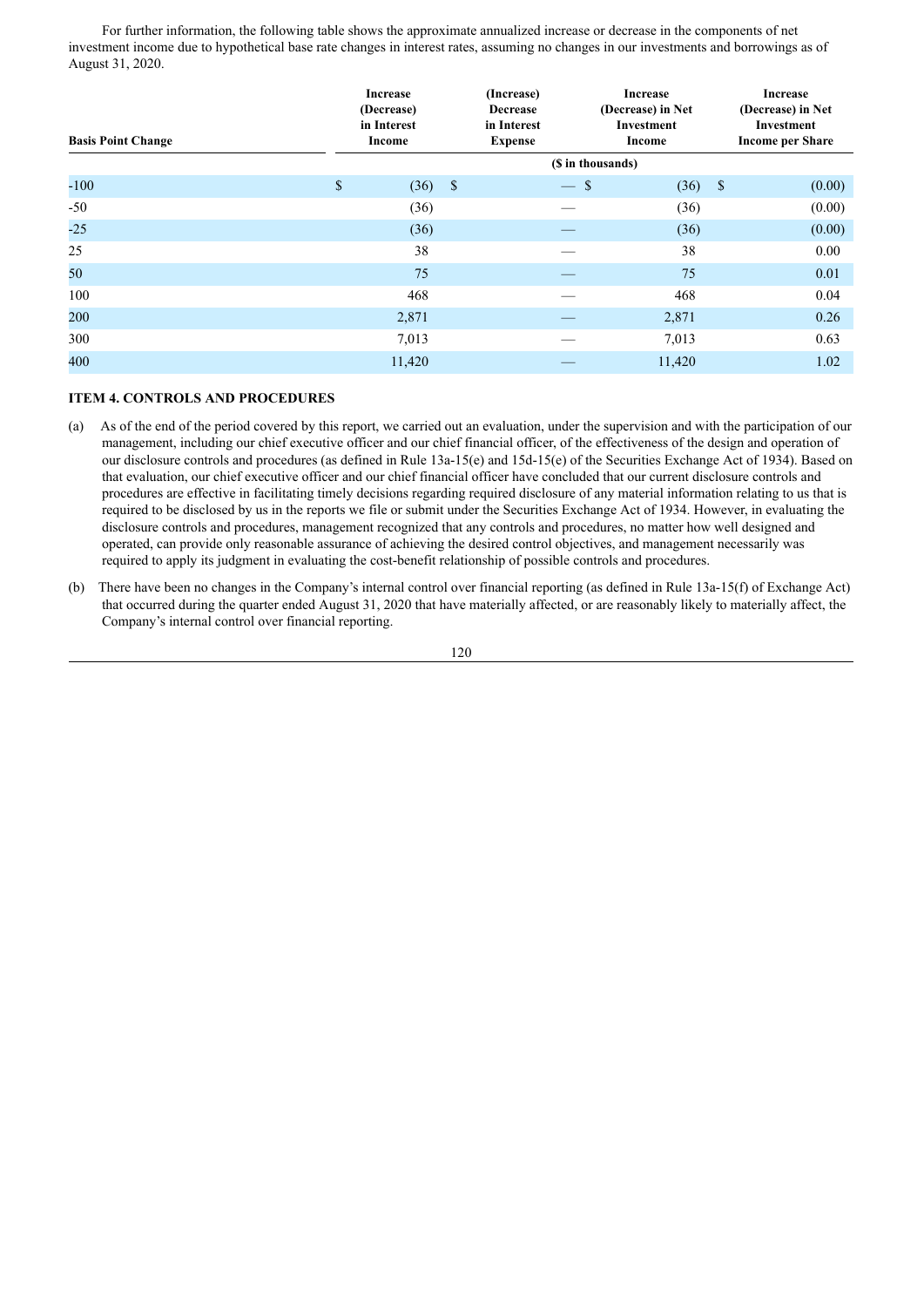For further information, the following table shows the approximate annualized increase or decrease in the components of net investment income due to hypothetical base rate changes in interest rates, assuming no changes in our investments and borrowings as of August 31, 2020.

| <b>Basis Point Change</b> |    | <b>Increase</b><br>(Decrease)<br>in Interest<br>Income |         | (Increase)<br><b>Decrease</b><br>in Interest<br><b>Expense</b> | <b>Increase</b><br>(Decrease) in Net<br><b>Investment</b><br>Income |                    | <b>Increase</b><br>(Decrease) in Net<br>Investment<br><b>Income per Share</b> |  |
|---------------------------|----|--------------------------------------------------------|---------|----------------------------------------------------------------|---------------------------------------------------------------------|--------------------|-------------------------------------------------------------------------------|--|
|                           |    |                                                        |         | (\$ in thousands)                                              |                                                                     |                    |                                                                               |  |
| $-100$                    | \$ | (36)                                                   | $\sqrt$ | <sup>\$</sup>                                                  | (36)                                                                | $\mathbf{\hat{s}}$ | (0.00)                                                                        |  |
| $-50$                     |    | (36)                                                   |         |                                                                | (36)                                                                |                    | (0.00)                                                                        |  |
| $-25$                     |    | (36)                                                   |         |                                                                | (36)                                                                |                    | (0.00)                                                                        |  |
| 25                        |    | 38                                                     |         |                                                                | 38                                                                  |                    | 0.00                                                                          |  |
| 50                        |    | 75                                                     |         |                                                                | 75                                                                  |                    | 0.01                                                                          |  |
| 100                       |    | 468                                                    |         |                                                                | 468                                                                 |                    | 0.04                                                                          |  |
| 200                       |    | 2,871                                                  |         |                                                                | 2,871                                                               |                    | 0.26                                                                          |  |
| 300                       |    | 7,013                                                  |         |                                                                | 7,013                                                               |                    | 0.63                                                                          |  |
| 400                       |    | 11,420                                                 |         |                                                                | 11,420                                                              |                    | 1.02                                                                          |  |

# **ITEM 4. CONTROLS AND PROCEDURES**

- (a) As of the end of the period covered by this report, we carried out an evaluation, under the supervision and with the participation of our management, including our chief executive officer and our chief financial officer, of the effectiveness of the design and operation of our disclosure controls and procedures (as defined in Rule 13a-15(e) and 15d-15(e) of the Securities Exchange Act of 1934). Based on that evaluation, our chief executive officer and our chief financial officer have concluded that our current disclosure controls and procedures are effective in facilitating timely decisions regarding required disclosure of any material information relating to us that is required to be disclosed by us in the reports we file or submit under the Securities Exchange Act of 1934. However, in evaluating the disclosure controls and procedures, management recognized that any controls and procedures, no matter how well designed and operated, can provide only reasonable assurance of achieving the desired control objectives, and management necessarily was required to apply its judgment in evaluating the cost-benefit relationship of possible controls and procedures.
- (b) There have been no changes in the Company's internal control over financial reporting (as defined in Rule 13a-15(f) of Exchange Act) that occurred during the quarter ended August 31, 2020 that have materially affected, or are reasonably likely to materially affect, the Company's internal control over financial reporting.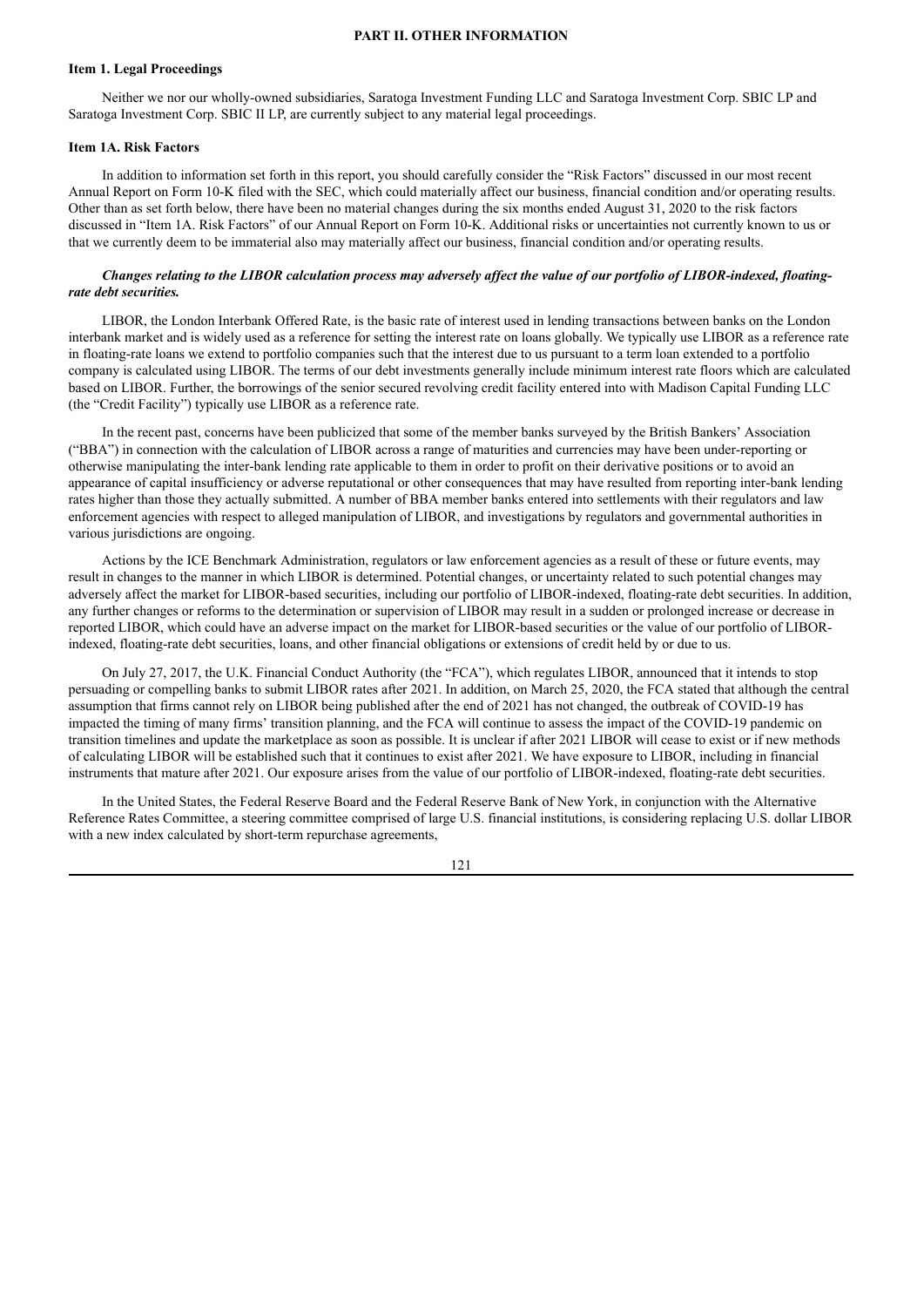### **PART II. OTHER INFORMATION**

### **Item 1. Legal Proceedings**

Neither we nor our wholly-owned subsidiaries, Saratoga Investment Funding LLC and Saratoga Investment Corp. SBIC LP and Saratoga Investment Corp. SBIC II LP, are currently subject to any material legal proceedings.

# **Item 1A. Risk Factors**

In addition to information set forth in this report, you should carefully consider the "Risk Factors" discussed in our most recent Annual Report on Form 10-K filed with the SEC, which could materially affect our business, financial condition and/or operating results. Other than as set forth below, there have been no material changes during the six months ended August 31, 2020 to the risk factors discussed in "Item 1A. Risk Factors" of our Annual Report on Form 10-K. Additional risks or uncertainties not currently known to us or that we currently deem to be immaterial also may materially affect our business, financial condition and/or operating results.

# Changes relating to the LIBOR calculation process may adversely affect the value of our portfolio of LIBOR-indexed, floating*rate debt securities.*

LIBOR, the London Interbank Offered Rate, is the basic rate of interest used in lending transactions between banks on the London interbank market and is widely used as a reference for setting the interest rate on loans globally. We typically use LIBOR as a reference rate in floating-rate loans we extend to portfolio companies such that the interest due to us pursuant to a term loan extended to a portfolio company is calculated using LIBOR. The terms of our debt investments generally include minimum interest rate floors which are calculated based on LIBOR. Further, the borrowings of the senior secured revolving credit facility entered into with Madison Capital Funding LLC (the "Credit Facility") typically use LIBOR as a reference rate.

In the recent past, concerns have been publicized that some of the member banks surveyed by the British Bankers' Association ("BBA") in connection with the calculation of LIBOR across a range of maturities and currencies may have been under-reporting or otherwise manipulating the inter-bank lending rate applicable to them in order to profit on their derivative positions or to avoid an appearance of capital insufficiency or adverse reputational or other consequences that may have resulted from reporting inter-bank lending rates higher than those they actually submitted. A number of BBA member banks entered into settlements with their regulators and law enforcement agencies with respect to alleged manipulation of LIBOR, and investigations by regulators and governmental authorities in various jurisdictions are ongoing.

Actions by the ICE Benchmark Administration, regulators or law enforcement agencies as a result of these or future events, may result in changes to the manner in which LIBOR is determined. Potential changes, or uncertainty related to such potential changes may adversely affect the market for LIBOR-based securities, including our portfolio of LIBOR-indexed, floating-rate debt securities. In addition, any further changes or reforms to the determination or supervision of LIBOR may result in a sudden or prolonged increase or decrease in reported LIBOR, which could have an adverse impact on the market for LIBOR-based securities or the value of our portfolio of LIBORindexed, floating-rate debt securities, loans, and other financial obligations or extensions of credit held by or due to us.

On July 27, 2017, the U.K. Financial Conduct Authority (the "FCA"), which regulates LIBOR, announced that it intends to stop persuading or compelling banks to submit LIBOR rates after 2021. In addition, on March 25, 2020, the FCA stated that although the central assumption that firms cannot rely on LIBOR being published after the end of 2021 has not changed, the outbreak of COVID-19 has impacted the timing of many firms' transition planning, and the FCA will continue to assess the impact of the COVID-19 pandemic on transition timelines and update the marketplace as soon as possible. It is unclear if after 2021 LIBOR will cease to exist or if new methods of calculating LIBOR will be established such that it continues to exist after 2021. We have exposure to LIBOR, including in financial instruments that mature after 2021. Our exposure arises from the value of our portfolio of LIBOR-indexed, floating-rate debt securities.

In the United States, the Federal Reserve Board and the Federal Reserve Bank of New York, in conjunction with the Alternative Reference Rates Committee, a steering committee comprised of large U.S. financial institutions, is considering replacing U.S. dollar LIBOR with a new index calculated by short-term repurchase agreements,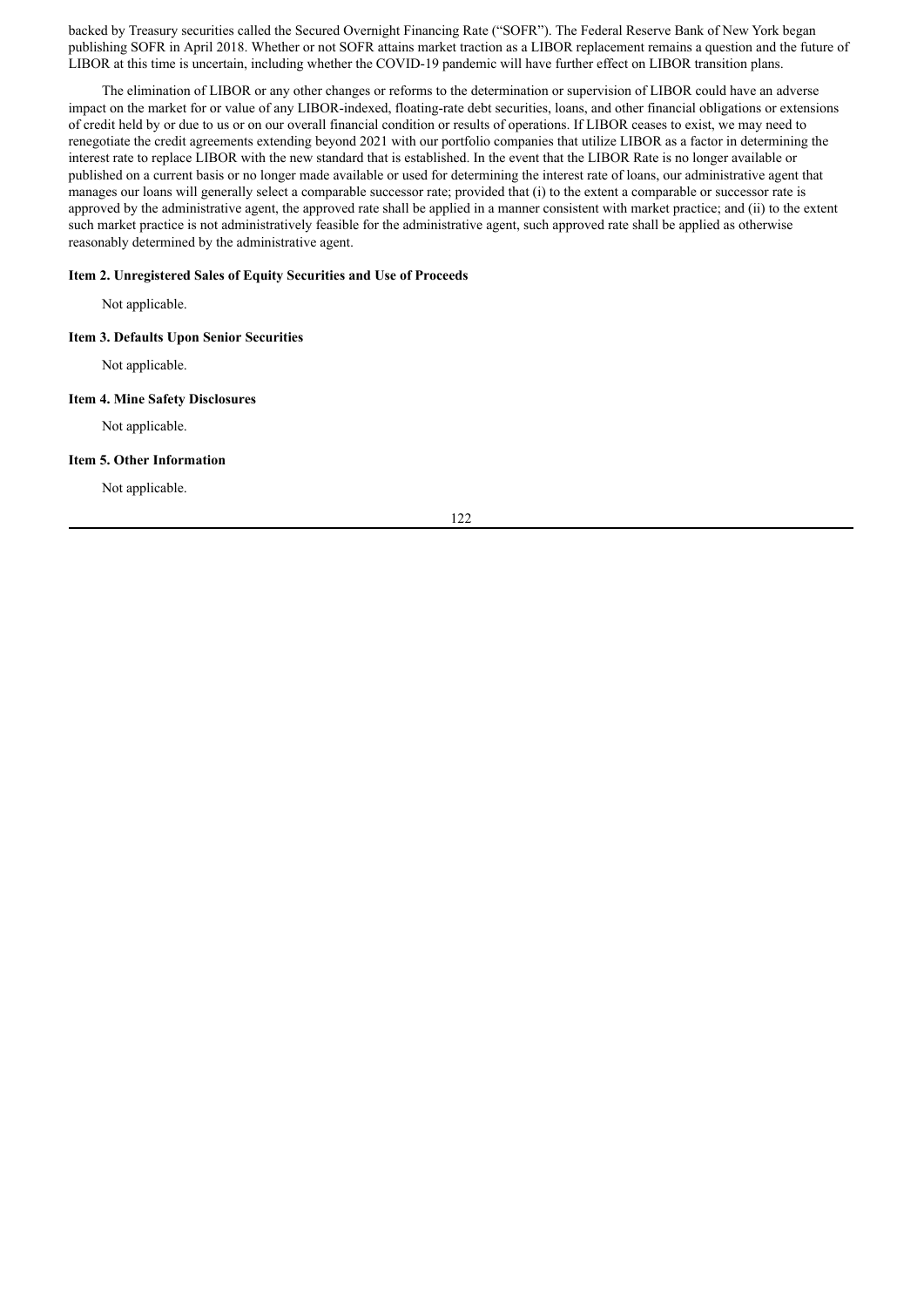backed by Treasury securities called the Secured Overnight Financing Rate ("SOFR"). The Federal Reserve Bank of New York began publishing SOFR in April 2018. Whether or not SOFR attains market traction as a LIBOR replacement remains a question and the future of LIBOR at this time is uncertain, including whether the COVID-19 pandemic will have further effect on LIBOR transition plans.

The elimination of LIBOR or any other changes or reforms to the determination or supervision of LIBOR could have an adverse impact on the market for or value of any LIBOR-indexed, floating-rate debt securities, loans, and other financial obligations or extensions of credit held by or due to us or on our overall financial condition or results of operations. If LIBOR ceases to exist, we may need to renegotiate the credit agreements extending beyond 2021 with our portfolio companies that utilize LIBOR as a factor in determining the interest rate to replace LIBOR with the new standard that is established. In the event that the LIBOR Rate is no longer available or published on a current basis or no longer made available or used for determining the interest rate of loans, our administrative agent that manages our loans will generally select a comparable successor rate; provided that (i) to the extent a comparable or successor rate is approved by the administrative agent, the approved rate shall be applied in a manner consistent with market practice; and (ii) to the extent such market practice is not administratively feasible for the administrative agent, such approved rate shall be applied as otherwise reasonably determined by the administrative agent.

## **Item 2. Unregistered Sales of Equity Securities and Use of Proceeds**

Not applicable.

### **Item 3. Defaults Upon Senior Securities**

Not applicable.

# **Item 4. Mine Safety Disclosures**

Not applicable.

#### **Item 5. Other Information**

Not applicable.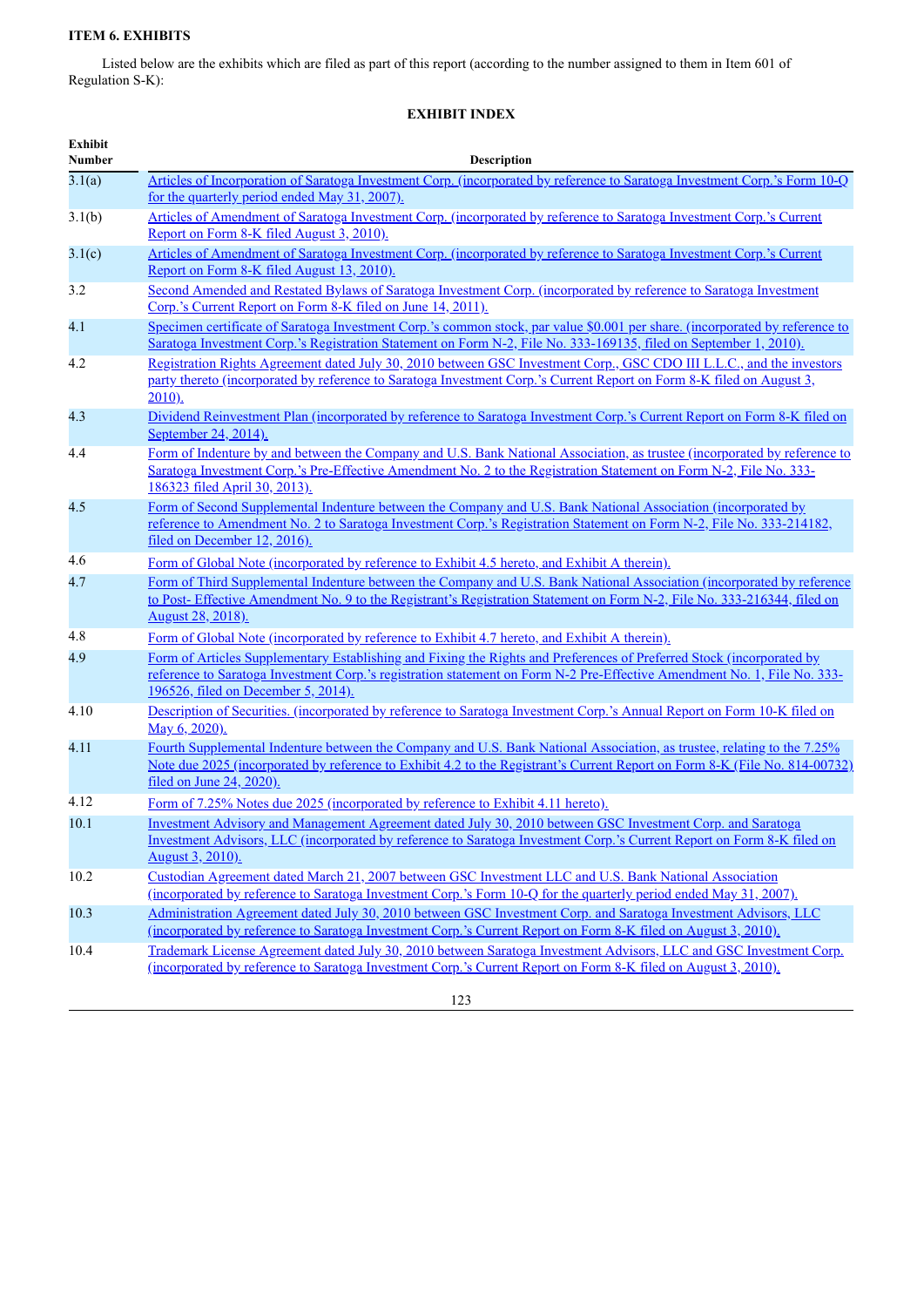# **ITEM 6. EXHIBITS**

Listed below are the exhibits which are filed as part of this report (according to the number assigned to them in Item 601 of Regulation S-K):

# **EXHIBIT INDEX**

| <b>Exhibit</b><br><b>Number</b> | Description                                                                                                                                                                                                                                                                               |
|---------------------------------|-------------------------------------------------------------------------------------------------------------------------------------------------------------------------------------------------------------------------------------------------------------------------------------------|
| 3.1(a)                          | Articles of Incorporation of Saratoga Investment Corp. (incorporated by reference to Saratoga Investment Corp.'s Form 10-Q                                                                                                                                                                |
|                                 | for the quarterly period ended May 31, 2007).                                                                                                                                                                                                                                             |
| 3.1(b)                          | Articles of Amendment of Saratoga Investment Corp. (incorporated by reference to Saratoga Investment Corp.'s Current<br>Report on Form 8-K filed August 3, 2010).                                                                                                                         |
| 3.1(c)                          | Articles of Amendment of Saratoga Investment Corp. (incorporated by reference to Saratoga Investment Corp.'s Current<br>Report on Form 8-K filed August 13, 2010).                                                                                                                        |
| 3.2                             | Second Amended and Restated Bylaws of Saratoga Investment Corp. (incorporated by reference to Saratoga Investment<br>Corp.'s Current Report on Form 8-K filed on June 14, 2011).                                                                                                          |
| 4.1                             | Specimen certificate of Saratoga Investment Corp.'s common stock, par value \$0.001 per share. (incorporated by reference to<br>Saratoga Investment Corp.'s Registration Statement on Form N-2, File No. 333-169135, filed on September 1, 2010).                                         |
| 4.2                             | Registration Rights Agreement dated July 30, 2010 between GSC Investment Corp., GSC CDO III L.L.C., and the investors<br>party thereto (incorporated by reference to Saratoga Investment Corp.'s Current Report on Form 8-K filed on August 3,<br>$2010$ ).                               |
| 4.3                             | Dividend Reinvestment Plan (incorporated by reference to Saratoga Investment Corp.'s Current Report on Form 8-K filed on<br>September 24, 2014).                                                                                                                                          |
| 4.4                             | Form of Indenture by and between the Company and U.S. Bank National Association, as trustee (incorporated by reference to<br>Saratoga Investment Corp.'s Pre-Effective Amendment No. 2 to the Registration Statement on Form N-2, File No. 333-<br>186323 filed April 30, 2013).          |
| 4.5                             | Form of Second Supplemental Indenture between the Company and U.S. Bank National Association (incorporated by<br>reference to Amendment No. 2 to Saratoga Investment Corp.'s Registration Statement on Form N-2, File No. 333-214182.<br>filed on December 12, 2016).                     |
| 4.6                             | Form of Global Note (incorporated by reference to Exhibit 4.5 hereto, and Exhibit A therein).                                                                                                                                                                                             |
| 4.7                             | Form of Third Supplemental Indenture between the Company and U.S. Bank National Association (incorporated by reference<br>to Post-Effective Amendment No. 9 to the Registrant's Registration Statement on Form N-2, File No. 333-216344, filed on<br>August 28, 2018).                    |
| 4.8                             | Form of Global Note (incorporated by reference to Exhibit 4.7 hereto, and Exhibit A therein).                                                                                                                                                                                             |
| 4.9                             | Form of Articles Supplementary Establishing and Fixing the Rights and Preferences of Preferred Stock (incorporated by<br>reference to Saratoga Investment Corp.'s registration statement on Form N-2 Pre-Effective Amendment No. 1, File No. 333-<br>196526, filed on December 5, 2014).  |
| 4.10                            | Description of Securities. (incorporated by reference to Saratoga Investment Corp.'s Annual Report on Form 10-K filed on<br>May 6, 2020).                                                                                                                                                 |
| 4.11                            | Fourth Supplemental Indenture between the Company and U.S. Bank National Association, as trustee, relating to the 7.25%<br>Note due 2025 (incorporated by reference to Exhibit 4.2 to the Registrant's Current Report on Form 8-K (File No. 814-00732)<br><u>filed on June 24, 2020).</u> |
| 4.12                            | Form of 7.25% Notes due 2025 (incorporated by reference to Exhibit 4.11 hereto).                                                                                                                                                                                                          |
| 10.1                            | Investment Advisory and Management Agreement dated July 30, 2010 between GSC Investment Corp. and Saratoga<br>Investment Advisors, LLC (incorporated by reference to Saratoga Investment Corp.'s Current Report on Form 8-K filed on<br><u>August 3, 2010).</u>                           |
| 10.2                            | Custodian Agreement dated March 21, 2007 between GSC Investment LLC and U.S. Bank National Association<br>(incorporated by reference to Saratoga Investment Corp.'s Form 10-Q for the quarterly period ended May 31, 2007).                                                               |
| 10.3                            | Administration Agreement dated July 30, 2010 between GSC Investment Corp. and Saratoga Investment Advisors, LLC<br>(incorporated by reference to Saratoga Investment Corp.'s Current Report on Form 8-K filed on August 3, 2010).                                                         |
| 10.4                            | Trademark License Agreement dated July 30, 2010 between Saratoga Investment Advisors, LLC and GSC Investment Corp.<br>(incorporated by reference to Saratoga Investment Corp.'s Current Report on Form 8-K filed on August 3, 2010).                                                      |
|                                 | 123                                                                                                                                                                                                                                                                                       |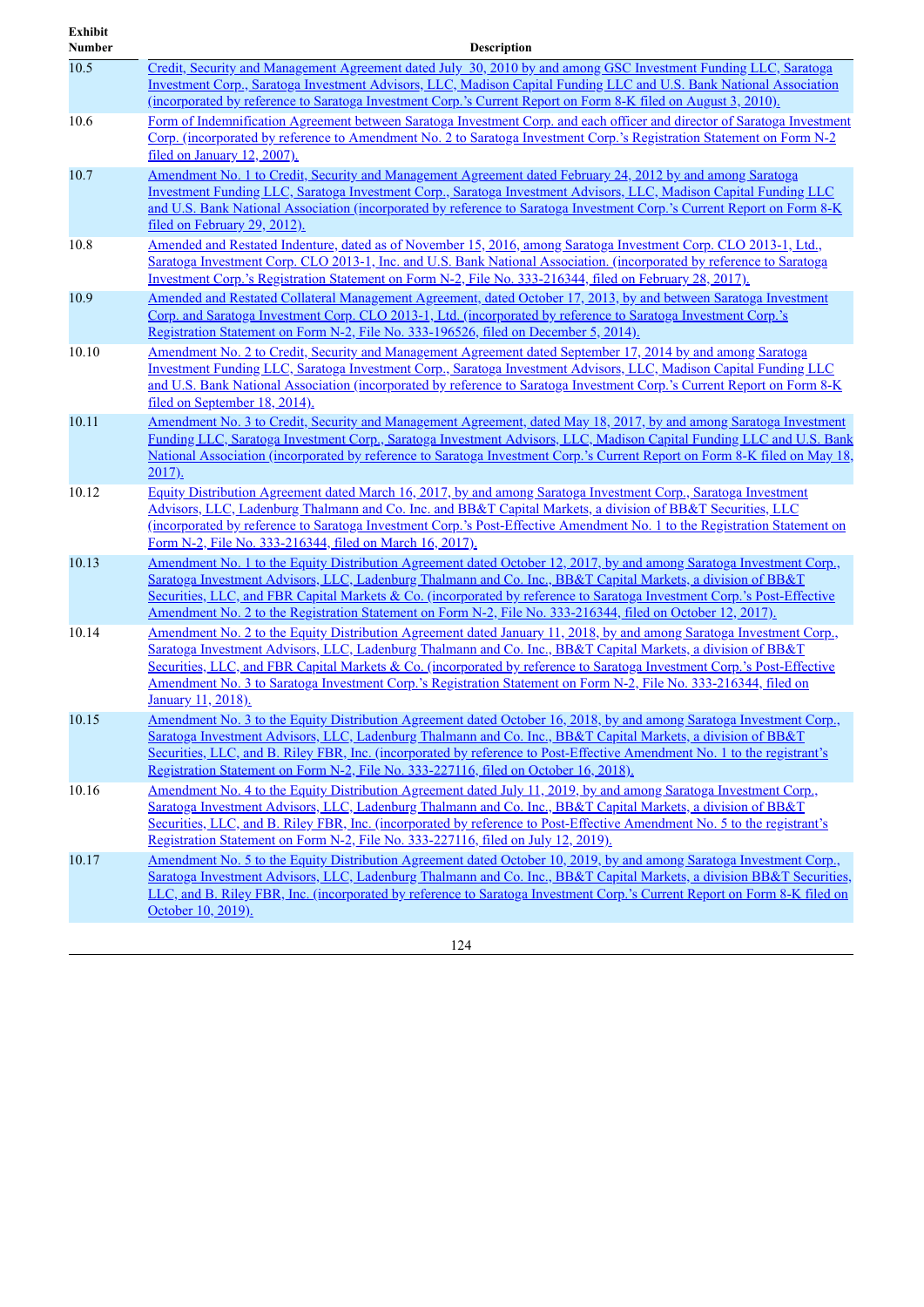| <b>Exhibit</b><br><b>Number</b> | <b>Description</b>                                                                                                                                                                                                                                                                                                                                                                                                                                                                                               |
|---------------------------------|------------------------------------------------------------------------------------------------------------------------------------------------------------------------------------------------------------------------------------------------------------------------------------------------------------------------------------------------------------------------------------------------------------------------------------------------------------------------------------------------------------------|
| 10.5                            | Credit, Security and Management Agreement dated July 30, 2010 by and among GSC Investment Funding LLC, Saratoga<br>Investment Corp., Saratoga Investment Advisors, LLC, Madison Capital Funding LLC and U.S. Bank National Association<br><u>(incorporated by reference to Saratoga Investment Corp.'s Current Report on Form 8-K filed on August 3, 2010).</u>                                                                                                                                                  |
| 10.6                            | Form of Indemnification Agreement between Saratoga Investment Corp. and each officer and director of Saratoga Investment<br>Corp. (incorporated by reference to Amendment No. 2 to Saratoga Investment Corp.'s Registration Statement on Form N-2<br>filed on January 12, 2007).                                                                                                                                                                                                                                 |
| 10.7                            | <u>Amendment No. 1 to Credit, Security and Management Agreement dated February 24, 2012 by and among Saratoga</u><br>Investment Funding LLC, Saratoga Investment Corp., Saratoga Investment Advisors, LLC, Madison Capital Funding LLC<br>and U.S. Bank National Association (incorporated by reference to Saratoga Investment Corp.'s Current Report on Form 8-K<br>filed on February 29, 2012).                                                                                                                |
| 10.8                            | Amended and Restated Indenture, dated as of November 15, 2016, among Saratoga Investment Corp. CLO 2013-1, Ltd.,<br>Saratoga Investment Corp. CLO 2013-1, Inc. and U.S. Bank National Association. (incorporated by reference to Saratoga<br>Investment Corp.'s Registration Statement on Form N-2, File No. 333-216344, filed on February 28, 2017).                                                                                                                                                            |
| 10.9                            | Amended and Restated Collateral Management Agreement, dated October 17, 2013, by and between Saratoga Investment<br>Corp. and Saratoga Investment Corp. CLO 2013-1, Ltd. (incorporated by reference to Saratoga Investment Corp.'s<br>Registration Statement on Form N-2, File No. 333-196526, filed on December 5, 2014).                                                                                                                                                                                       |
| 10.10                           | Amendment No. 2 to Credit, Security and Management Agreement dated September 17, 2014 by and among Saratoga<br>Investment Funding LLC, Saratoga Investment Corp., Saratoga Investment Advisors, LLC, Madison Capital Funding LLC<br>and U.S. Bank National Association (incorporated by reference to Saratoga Investment Corp.'s Current Report on Form 8-K<br>filed on September 18, 2014).                                                                                                                     |
| 10.11                           | Amendment No. 3 to Credit, Security and Management Agreement, dated May 18, 2017, by and among Saratoga Investment<br>Funding LLC, Saratoga Investment Corp., Saratoga Investment Advisors, LLC, Madison Capital Funding LLC and U.S. Bank<br>National Association (incorporated by reference to Saratoga Investment Corp.'s Current Report on Form 8-K filed on May 18,<br>$2017)$ .                                                                                                                            |
| 10.12                           | Equity Distribution Agreement dated March 16, 2017, by and among Saratoga Investment Corp., Saratoga Investment<br>Advisors, LLC, Ladenburg Thalmann and Co. Inc. and BB&T Capital Markets, a division of BB&T Securities, LLC<br>(incorporated by reference to Saratoga Investment Corp.'s Post-Effective Amendment No. 1 to the Registration Statement on<br>Form N-2, File No. 333-216344, filed on March 16, 2017).                                                                                          |
| 10.13                           | Amendment No. 1 to the Equity Distribution Agreement dated October 12, 2017, by and among Saratoga Investment Corp.,<br>Saratoga Investment Advisors, LLC, Ladenburg Thalmann and Co. Inc., BB&T Capital Markets, a division of BB&T<br>Securities, LLC, and FBR Capital Markets & Co. (incorporated by reference to Saratoga Investment Corp.'s Post-Effective<br>Amendment No. 2 to the Registration Statement on Form N-2, File No. 333-216344, filed on October 12, 2017).                                   |
| 10.14                           | Amendment No. 2 to the Equity Distribution Agreement dated January 11, 2018, by and among Saratoga Investment Corp.,<br>Saratoga Investment Advisors, LLC, Ladenburg Thalmann and Co. Inc., BB&T Capital Markets, a division of BB&T<br>Securities, LLC, and FBR Capital Markets & Co. (incorporated by reference to Saratoga Investment Corp.'s Post-Effective<br><u>Amendment No. 3 to Saratoga Investment Corp.'s Registration Statement on Form N-2, File No. 333-216344, filed on</u><br>January 11, 2018). |
| 10.15                           | Amendment No. 3 to the Equity Distribution Agreement dated October 16, 2018, by and among Saratoga Investment Corp.<br>Saratoga Investment Advisors, LLC, Ladenburg Thalmann and Co. Inc., BB&T Capital Markets, a division of BB&T<br>Securities, LLC, and B. Riley FBR, Inc. (incorporated by reference to Post-Effective Amendment No. 1 to the registrant's<br>Registration Statement on Form N-2, File No. 333-227116, filed on October 16, 2018).                                                          |
| 10.16                           | Amendment No. 4 to the Equity Distribution Agreement dated July 11, 2019, by and among Saratoga Investment Corp.,<br>Saratoga Investment Advisors, LLC, Ladenburg Thalmann and Co. Inc., BB&T Capital Markets, a division of BB&T<br>Securities, LLC, and B. Riley FBR, Inc. (incorporated by reference to Post-Effective Amendment No. 5 to the registrant's<br>Registration Statement on Form N-2, File No. 333-227116, filed on July 12, 2019).                                                               |
| 10.17                           | Amendment No. 5 to the Equity Distribution Agreement dated October 10, 2019, by and among Saratoga Investment Corp.,<br>Saratoga Investment Advisors, LLC, Ladenburg Thalmann and Co. Inc., BB&T Capital Markets, a division BB&T Securities,<br>LLC, and B. Riley FBR, Inc. (incorporated by reference to Saratoga Investment Corp.'s Current Report on Form 8-K filed on<br>October 10, 2019).                                                                                                                 |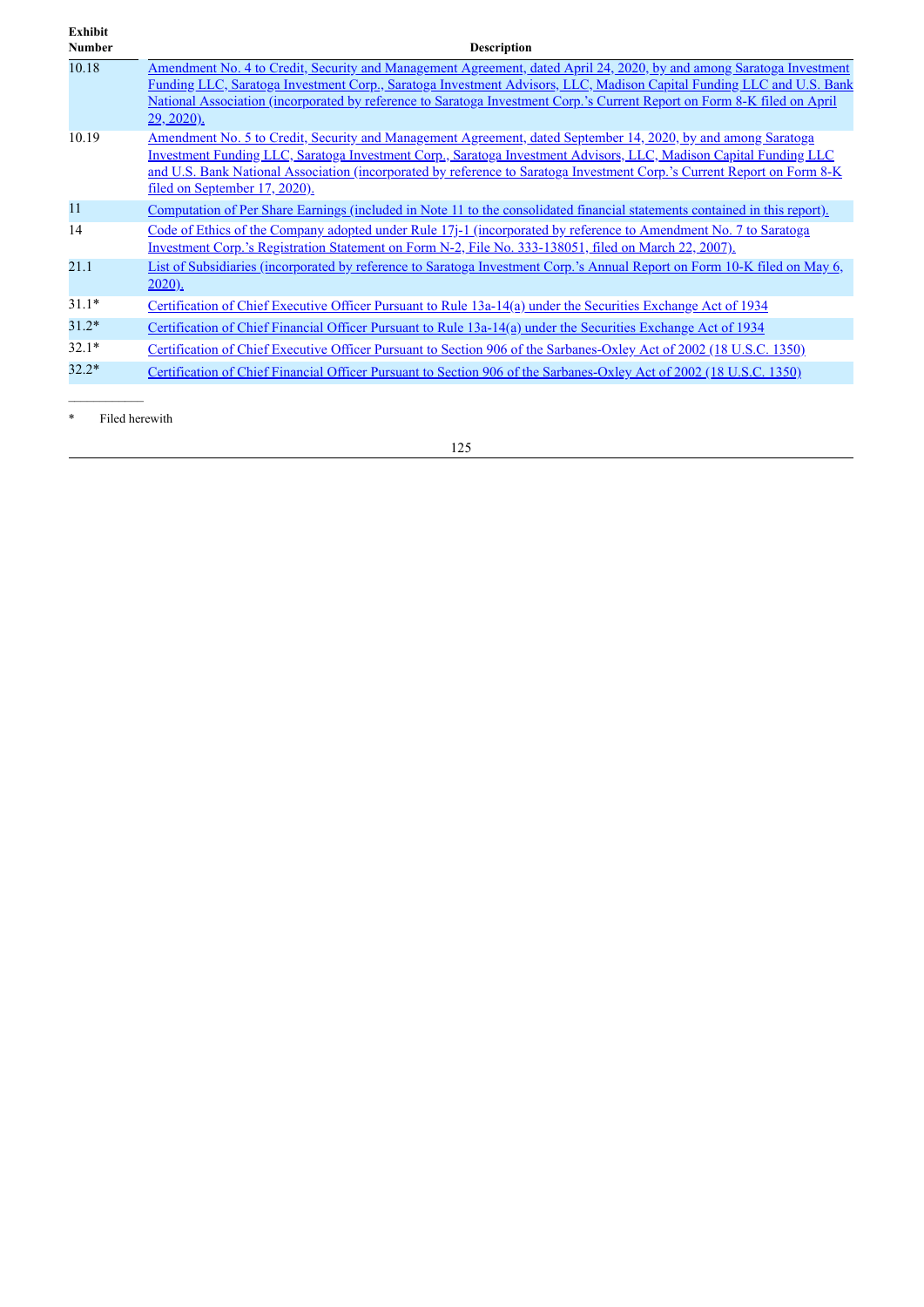| <b>Exhibit</b><br><b>Number</b> | <b>Description</b>                                                                                                                                                                                                                                                                                                                                                                             |
|---------------------------------|------------------------------------------------------------------------------------------------------------------------------------------------------------------------------------------------------------------------------------------------------------------------------------------------------------------------------------------------------------------------------------------------|
| 10.18                           | Amendment No. 4 to Credit, Security and Management Agreement, dated April 24, 2020, by and among Saratoga Investment<br>Funding LLC, Saratoga Investment Corp., Saratoga Investment Advisors, LLC, Madison Capital Funding LLC and U.S. Bank<br>National Association (incorporated by reference to Saratoga Investment Corp.'s Current Report on Form 8-K filed on April<br><u>29, 2020).</u>  |
| 10.19                           | Amendment No. 5 to Credit, Security and Management Agreement, dated September 14, 2020, by and among Saratoga<br>Investment Funding LLC, Saratoga Investment Corp., Saratoga Investment Advisors, LLC, Madison Capital Funding LLC<br>and U.S. Bank National Association (incorporated by reference to Saratoga Investment Corp.'s Current Report on Form 8-K<br>filed on September 17, 2020). |
| 11                              | Computation of Per Share Earnings (included in Note 11 to the consolidated financial statements contained in this report).                                                                                                                                                                                                                                                                     |
| 14                              | Code of Ethics of the Company adopted under Rule 17-1 (incorporated by reference to Amendment No. 7 to Saratoga<br>Investment Corp.'s Registration Statement on Form N-2, File No. 333-138051, filed on March 22, 2007).                                                                                                                                                                       |
| 21.1                            | List of Subsidiaries (incorporated by reference to Saratoga Investment Corp.'s Annual Report on Form 10-K filed on May 6,<br>$2020$ ).                                                                                                                                                                                                                                                         |
| $31.1*$                         | Certification of Chief Executive Officer Pursuant to Rule 13a-14(a) under the Securities Exchange Act of 1934                                                                                                                                                                                                                                                                                  |
| $31.2*$                         | Certification of Chief Financial Officer Pursuant to Rule 13a-14(a) under the Securities Exchange Act of 1934                                                                                                                                                                                                                                                                                  |
| $32.1*$                         | Certification of Chief Executive Officer Pursuant to Section 906 of the Sarbanes-Oxley Act of 2002 (18 U.S.C. 1350)                                                                                                                                                                                                                                                                            |
| $32.2*$                         | Certification of Chief Financial Officer Pursuant to Section 906 of the Sarbanes-Oxley Act of 2002 (18 U.S.C. 1350)                                                                                                                                                                                                                                                                            |

\* Filed herewith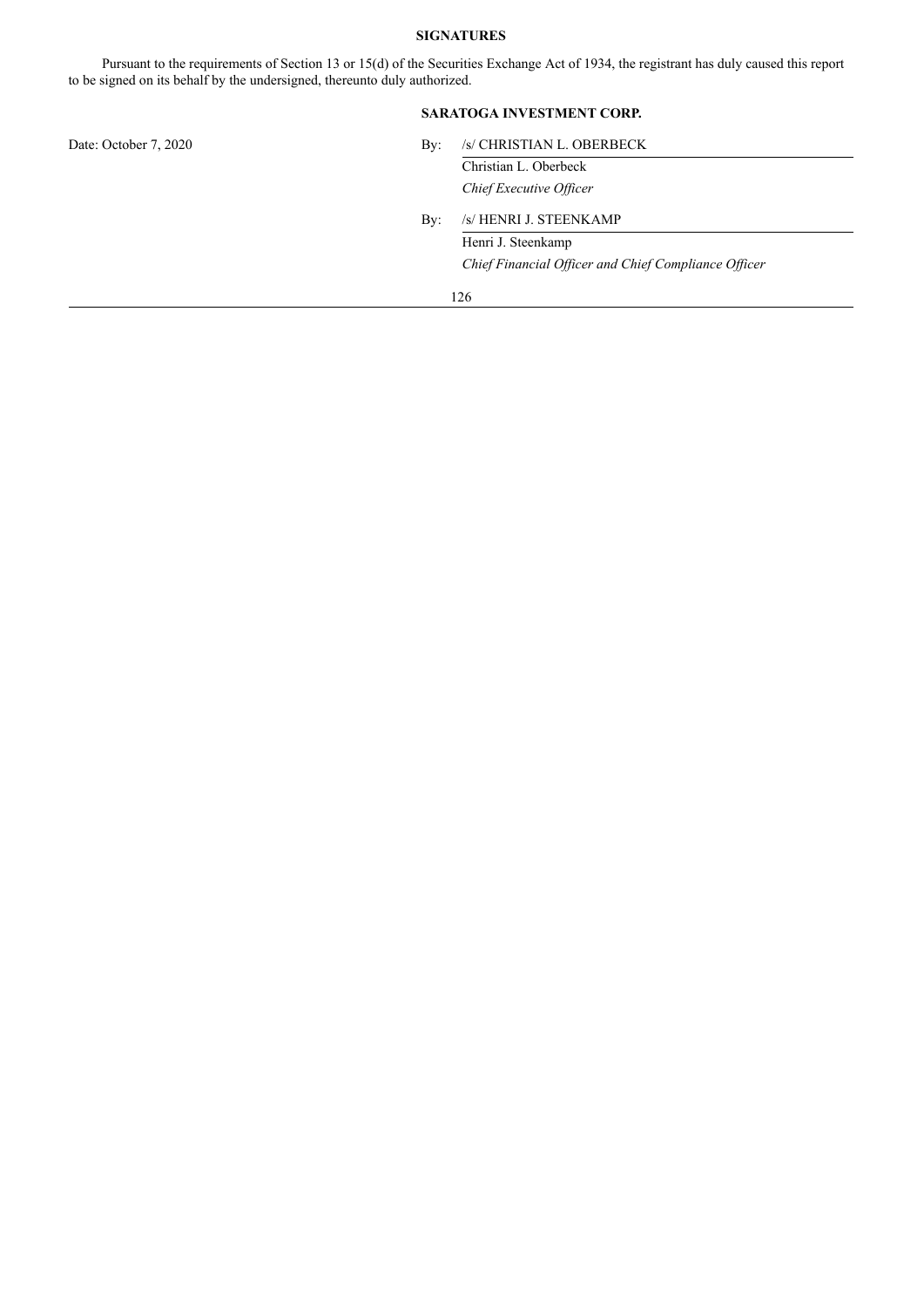# **SIGNATURES**

Pursuant to the requirements of Section 13 or 15(d) of the Securities Exchange Act of 1934, the registrant has duly caused this report to be signed on its behalf by the undersigned, thereunto duly authorized.

# **SARATOGA INVESTMENT CORP.**

| $\rm\,By:$ | /s/ CHRISTIAN L. OBERBECK                            |  |  |
|------------|------------------------------------------------------|--|--|
|            | Christian L. Oberbeck                                |  |  |
|            | Chief Executive Officer                              |  |  |
| $\rm\,By:$ | /s/ HENRI J. STEENKAMP                               |  |  |
|            | Henri J. Steenkamp                                   |  |  |
|            | Chief Financial Officer and Chief Compliance Officer |  |  |
|            | 126                                                  |  |  |
|            |                                                      |  |  |
|            |                                                      |  |  |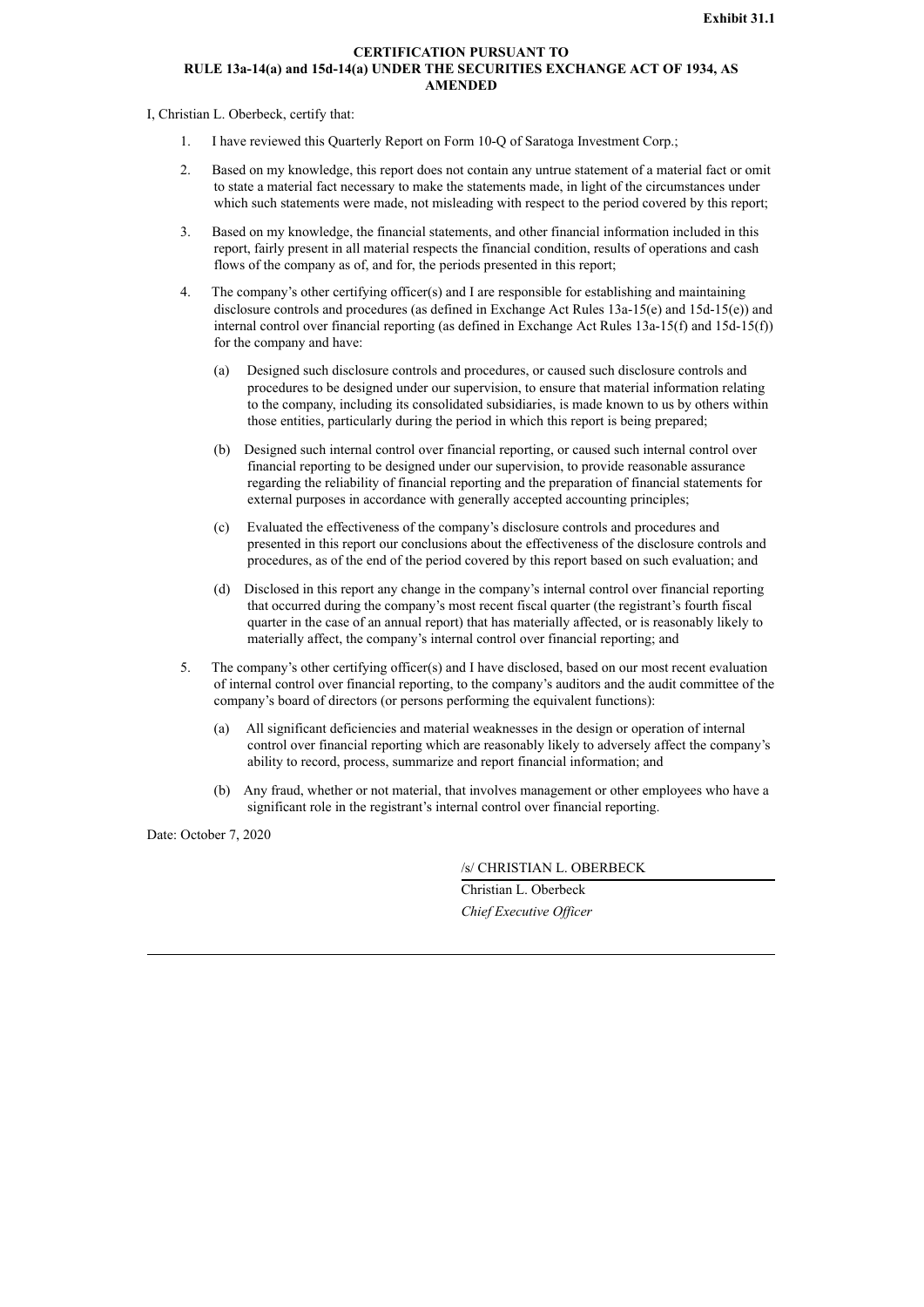# **CERTIFICATION PURSUANT TO RULE 13a-14(a) and 15d-14(a) UNDER THE SECURITIES EXCHANGE ACT OF 1934, AS AMENDED**

<span id="page-128-0"></span>I, Christian L. Oberbeck, certify that:

- 1. I have reviewed this Quarterly Report on Form 10-Q of Saratoga Investment Corp.;
- 2. Based on my knowledge, this report does not contain any untrue statement of a material fact or omit to state a material fact necessary to make the statements made, in light of the circumstances under which such statements were made, not misleading with respect to the period covered by this report;
- 3. Based on my knowledge, the financial statements, and other financial information included in this report, fairly present in all material respects the financial condition, results of operations and cash flows of the company as of, and for, the periods presented in this report;
- 4. The company's other certifying officer(s) and I are responsible for establishing and maintaining disclosure controls and procedures (as defined in Exchange Act Rules 13a-15(e) and 15d-15(e)) and internal control over financial reporting (as defined in Exchange Act Rules 13a-15(f) and 15d-15(f)) for the company and have:
	- (a) Designed such disclosure controls and procedures, or caused such disclosure controls and procedures to be designed under our supervision, to ensure that material information relating to the company, including its consolidated subsidiaries, is made known to us by others within those entities, particularly during the period in which this report is being prepared;
	- (b) Designed such internal control over financial reporting, or caused such internal control over financial reporting to be designed under our supervision, to provide reasonable assurance regarding the reliability of financial reporting and the preparation of financial statements for external purposes in accordance with generally accepted accounting principles;
	- (c) Evaluated the effectiveness of the company's disclosure controls and procedures and presented in this report our conclusions about the effectiveness of the disclosure controls and procedures, as of the end of the period covered by this report based on such evaluation; and
	- (d) Disclosed in this report any change in the company's internal control over financial reporting that occurred during the company's most recent fiscal quarter (the registrant's fourth fiscal quarter in the case of an annual report) that has materially affected, or is reasonably likely to materially affect, the company's internal control over financial reporting; and
- 5. The company's other certifying officer(s) and I have disclosed, based on our most recent evaluation of internal control over financial reporting, to the company's auditors and the audit committee of the company's board of directors (or persons performing the equivalent functions):
	- (a) All significant deficiencies and material weaknesses in the design or operation of internal control over financial reporting which are reasonably likely to adversely affect the company's ability to record, process, summarize and report financial information; and
	- (b) Any fraud, whether or not material, that involves management or other employees who have a significant role in the registrant's internal control over financial reporting.

Date: October 7, 2020

/s/ CHRISTIAN L. OBERBECK

Christian L. Oberbeck *Chief Executive Of icer*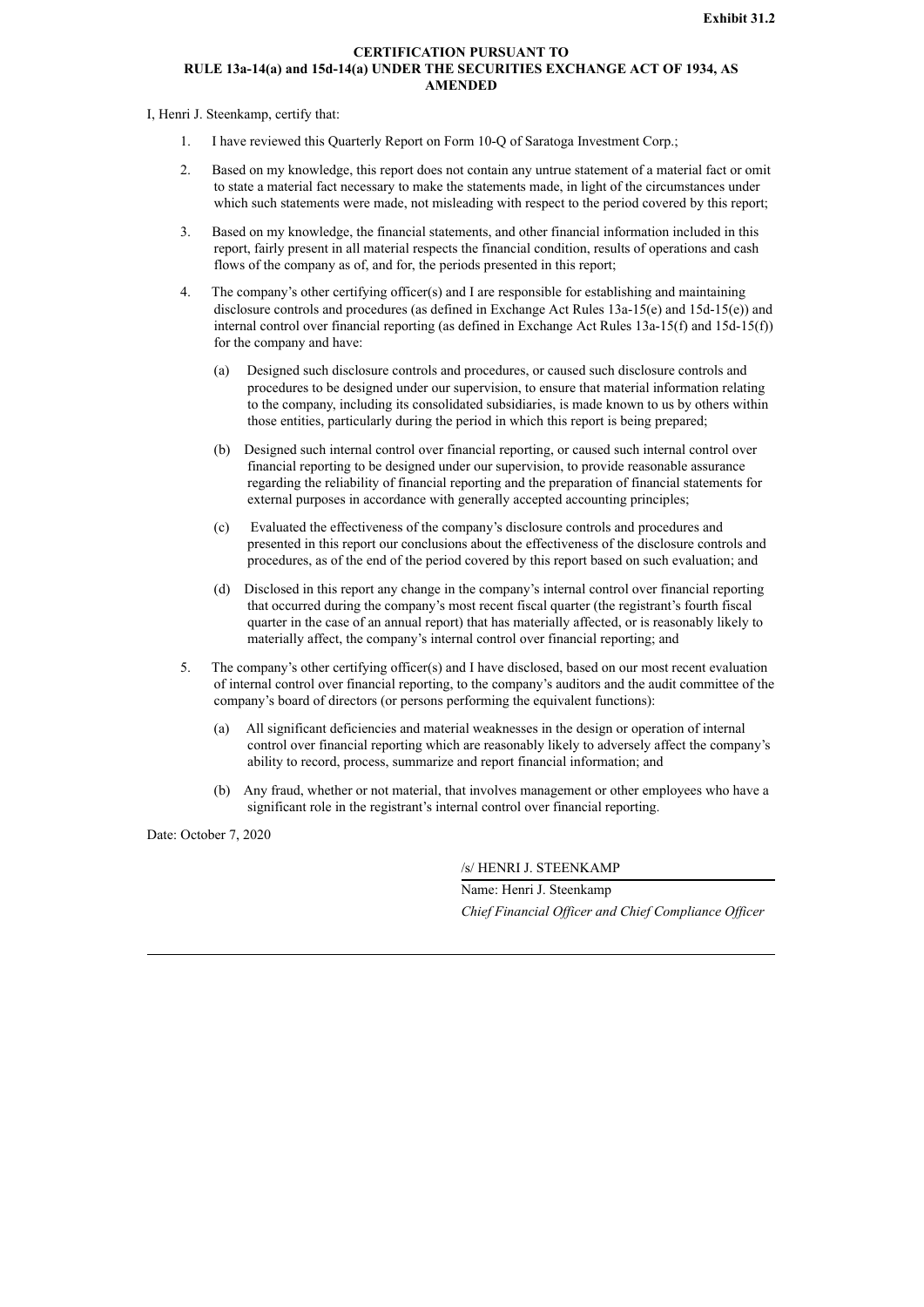# **CERTIFICATION PURSUANT TO RULE 13a-14(a) and 15d-14(a) UNDER THE SECURITIES EXCHANGE ACT OF 1934, AS AMENDED**

<span id="page-129-0"></span>I, Henri J. Steenkamp, certify that:

- 1. I have reviewed this Quarterly Report on Form 10-Q of Saratoga Investment Corp.;
- 2. Based on my knowledge, this report does not contain any untrue statement of a material fact or omit to state a material fact necessary to make the statements made, in light of the circumstances under which such statements were made, not misleading with respect to the period covered by this report;
- 3. Based on my knowledge, the financial statements, and other financial information included in this report, fairly present in all material respects the financial condition, results of operations and cash flows of the company as of, and for, the periods presented in this report;
- 4. The company's other certifying officer(s) and I are responsible for establishing and maintaining disclosure controls and procedures (as defined in Exchange Act Rules 13a-15(e) and 15d-15(e)) and internal control over financial reporting (as defined in Exchange Act Rules 13a-15(f) and 15d-15(f)) for the company and have:
	- (a) Designed such disclosure controls and procedures, or caused such disclosure controls and procedures to be designed under our supervision, to ensure that material information relating to the company, including its consolidated subsidiaries, is made known to us by others within those entities, particularly during the period in which this report is being prepared;
	- (b) Designed such internal control over financial reporting, or caused such internal control over financial reporting to be designed under our supervision, to provide reasonable assurance regarding the reliability of financial reporting and the preparation of financial statements for external purposes in accordance with generally accepted accounting principles;
	- (c) Evaluated the effectiveness of the company's disclosure controls and procedures and presented in this report our conclusions about the effectiveness of the disclosure controls and procedures, as of the end of the period covered by this report based on such evaluation; and
	- (d) Disclosed in this report any change in the company's internal control over financial reporting that occurred during the company's most recent fiscal quarter (the registrant's fourth fiscal quarter in the case of an annual report) that has materially affected, or is reasonably likely to materially affect, the company's internal control over financial reporting; and
- 5. The company's other certifying officer(s) and I have disclosed, based on our most recent evaluation of internal control over financial reporting, to the company's auditors and the audit committee of the company's board of directors (or persons performing the equivalent functions):
	- (a) All significant deficiencies and material weaknesses in the design or operation of internal control over financial reporting which are reasonably likely to adversely affect the company's ability to record, process, summarize and report financial information; and
	- (b) Any fraud, whether or not material, that involves management or other employees who have a significant role in the registrant's internal control over financial reporting.

Date: October 7, 2020

/s/ HENRI J. STEENKAMP

Name: Henri J. Steenkamp *Chief Financial Of icer and Chief Compliance Of icer*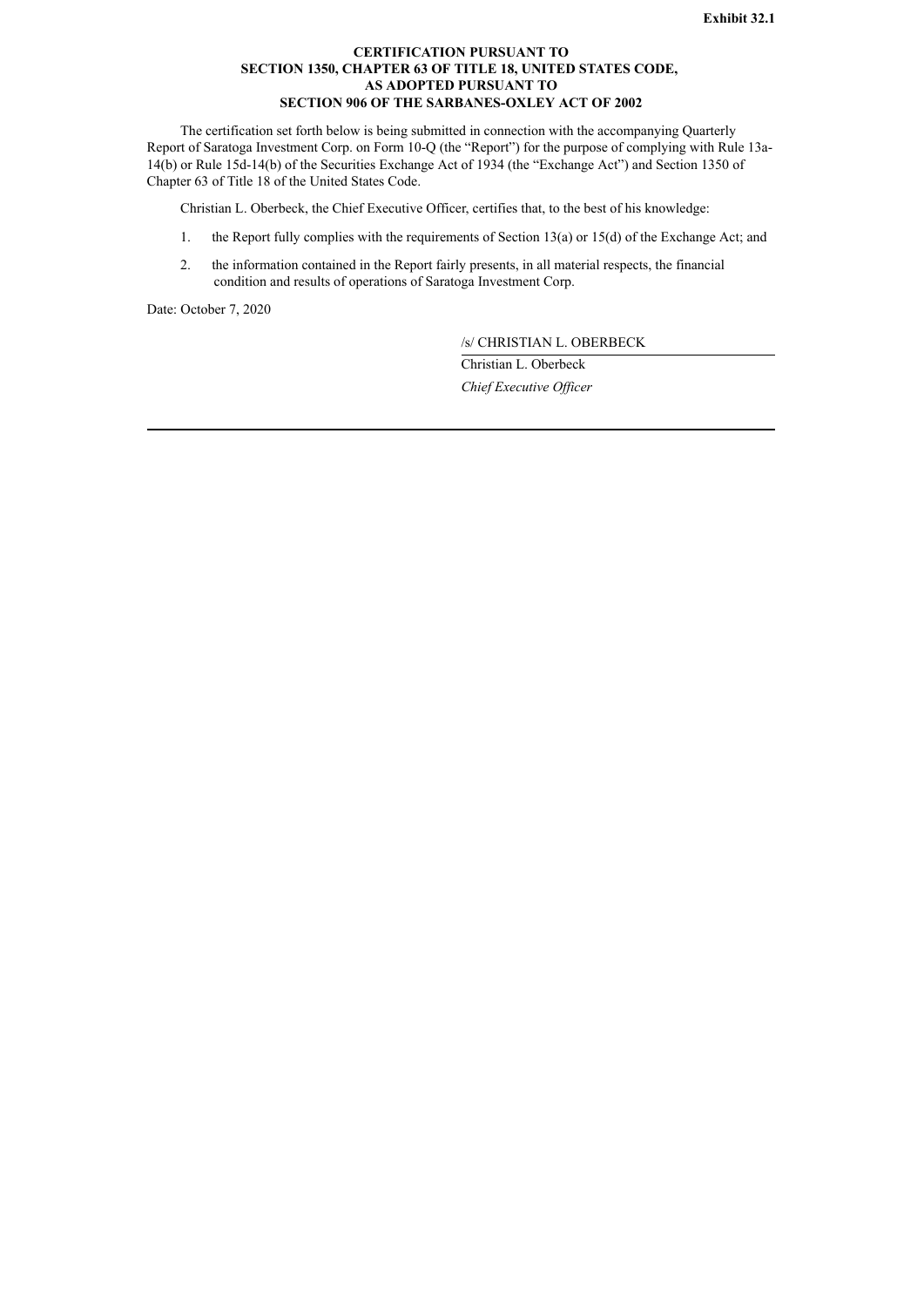# **CERTIFICATION PURSUANT TO SECTION 1350, CHAPTER 63 OF TITLE 18, UNITED STATES CODE, AS ADOPTED PURSUANT TO SECTION 906 OF THE SARBANES-OXLEY ACT OF 2002**

<span id="page-130-0"></span>The certification set forth below is being submitted in connection with the accompanying Quarterly Report of Saratoga Investment Corp. on Form 10-Q (the "Report") for the purpose of complying with Rule 13a-14(b) or Rule 15d-14(b) of the Securities Exchange Act of 1934 (the "Exchange Act") and Section 1350 of Chapter 63 of Title 18 of the United States Code.

Christian L. Oberbeck, the Chief Executive Officer, certifies that, to the best of his knowledge:

- 1. the Report fully complies with the requirements of Section 13(a) or 15(d) of the Exchange Act; and
- 2. the information contained in the Report fairly presents, in all material respects, the financial condition and results of operations of Saratoga Investment Corp.

Date: October 7, 2020

/s/ CHRISTIAN L. OBERBECK

Christian L. Oberbeck *Chief Executive Of icer*